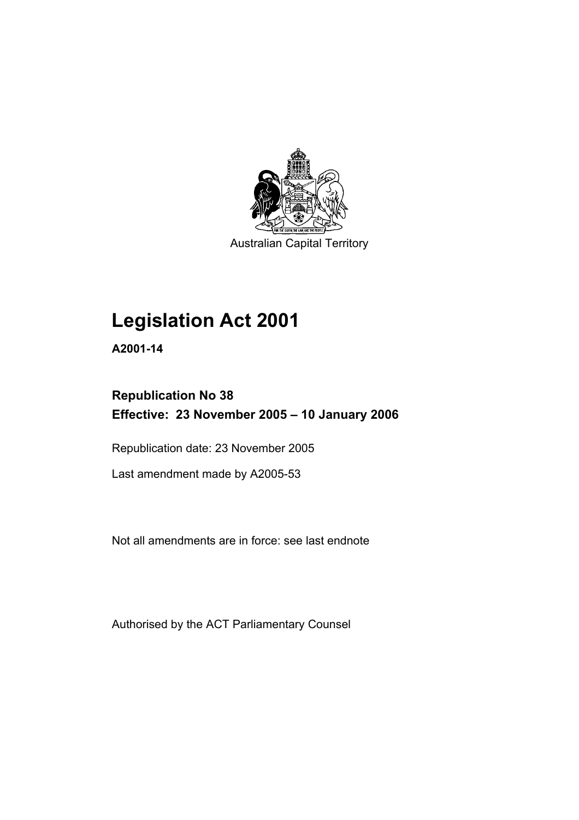

Australian Capital Territory

# **Legislation Act 2001**

**A2001-14** 

## **Republication No 38 Effective: 23 November 2005 – 10 January 2006**

Republication date: 23 November 2005

Last amendment made by A2005-53

Not all amendments are in force: see last endnote

Authorised by the ACT Parliamentary Counsel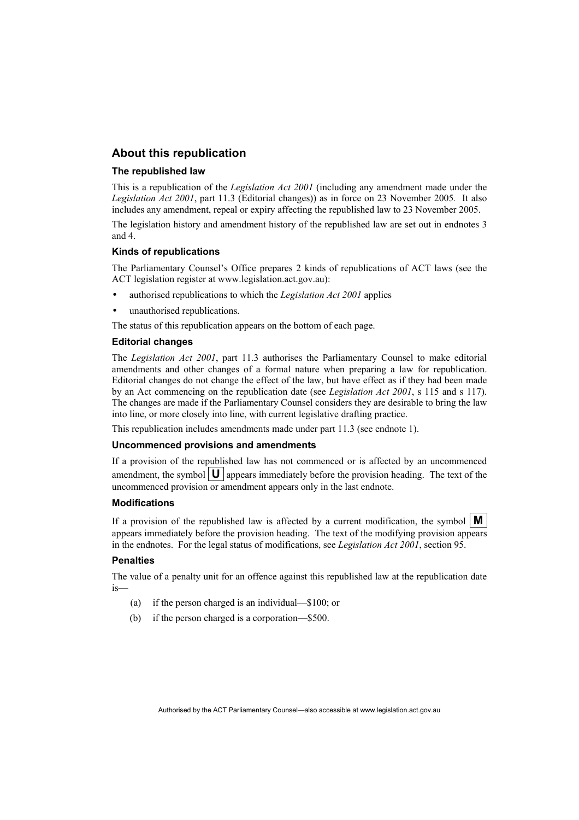### **About this republication**

#### **The republished law**

This is a republication of the *Legislation Act 2001* (including any amendment made under the *Legislation Act 2001*, part 11.3 (Editorial changes)) as in force on 23 November 2005*.* It also includes any amendment, repeal or expiry affecting the republished law to 23 November 2005.

The legislation history and amendment history of the republished law are set out in endnotes 3 and 4.

#### **Kinds of republications**

The Parliamentary Counsel's Office prepares 2 kinds of republications of ACT laws (see the ACT legislation register at www.legislation.act.gov.au):

- authorised republications to which the *Legislation Act 2001* applies
- unauthorised republications.

The status of this republication appears on the bottom of each page.

#### **Editorial changes**

The *Legislation Act 2001*, part 11.3 authorises the Parliamentary Counsel to make editorial amendments and other changes of a formal nature when preparing a law for republication. Editorial changes do not change the effect of the law, but have effect as if they had been made by an Act commencing on the republication date (see *Legislation Act 2001*, s 115 and s 117). The changes are made if the Parliamentary Counsel considers they are desirable to bring the law into line, or more closely into line, with current legislative drafting practice.

This republication includes amendments made under part 11.3 (see endnote 1).

#### **Uncommenced provisions and amendments**

If a provision of the republished law has not commenced or is affected by an uncommenced amendment, the symbol  $\mathbf{U}$  appears immediately before the provision heading. The text of the uncommenced provision or amendment appears only in the last endnote.

#### **Modifications**

If a provision of the republished law is affected by a current modification, the symbol  $\mathbf{M}$ appears immediately before the provision heading. The text of the modifying provision appears in the endnotes. For the legal status of modifications, see *Legislation Act 2001*, section 95.

### **Penalties**

The value of a penalty unit for an offence against this republished law at the republication date is—

- (a) if the person charged is an individual—\$100; or
- (b) if the person charged is a corporation—\$500.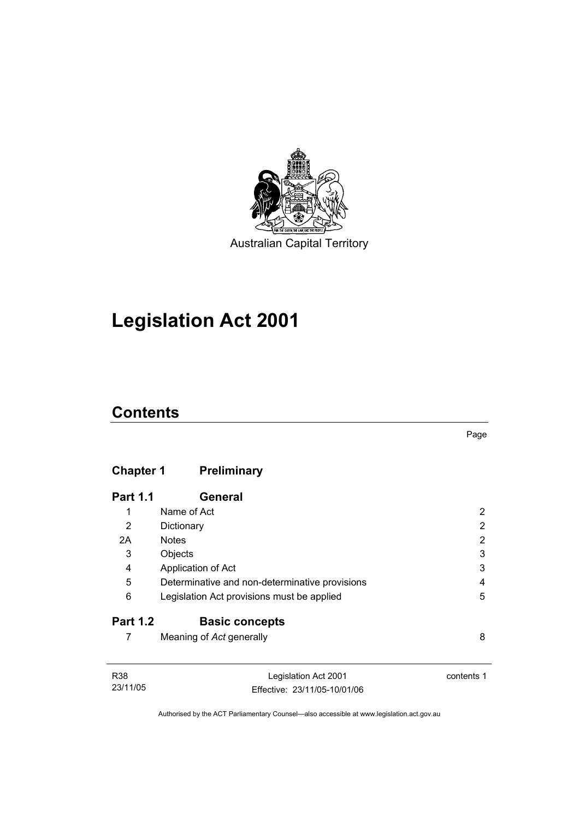

# **Legislation Act 2001**

## **Contents**

## **Chapter 1 Preliminary**

| <b>Part 1.1</b> | General                                        |   |
|-----------------|------------------------------------------------|---|
| 1               | Name of Act                                    | 2 |
| 2               | Dictionary                                     | 2 |
| 2A              | <b>Notes</b>                                   | 2 |
| 3               | Objects                                        | 3 |
| 4               | Application of Act                             | 3 |
| 5               | Determinative and non-determinative provisions | 4 |
| 6               | Legislation Act provisions must be applied     | 5 |
| <b>Part 1.2</b> | <b>Basic concepts</b>                          |   |
|                 | Meaning of Act generally                       | 8 |

| R38      | Legislation Act 2001         | contents 1 |
|----------|------------------------------|------------|
| 23/11/05 | Effective: 23/11/05-10/01/06 |            |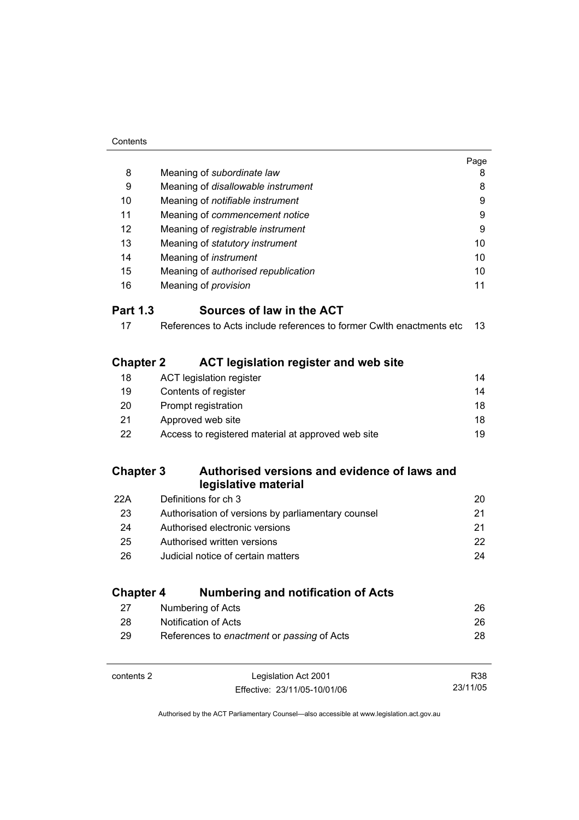|                  |                                                                      | Page |
|------------------|----------------------------------------------------------------------|------|
| 8                | Meaning of subordinate law                                           | 8    |
| 9                | Meaning of disallowable instrument                                   | 8    |
| 10               | Meaning of notifiable instrument                                     | 9    |
| 11               | Meaning of commencement notice                                       | 9    |
| 12               | Meaning of registrable instrument                                    | 9    |
| 13               | Meaning of statutory instrument                                      | 10   |
| 14               | Meaning of instrument                                                | 10   |
| 15               | Meaning of authorised republication                                  | 10   |
| 16               | Meaning of <i>provision</i>                                          | 11   |
| <b>Part 1.3</b>  | Sources of law in the ACT                                            |      |
| 17               | References to Acts include references to former Cwlth enactments etc | 13   |
| <b>Chapter 2</b> | <b>ACT legislation register and web site</b>                         |      |
| 18               | <b>ACT legislation register</b>                                      | 14   |
| 19               | Contents of register                                                 | 14   |
| 20               | Prompt registration                                                  | 18   |
| 21               | Approved web site                                                    | 18   |
| 22               | Access to registered material at approved web site                   | 19   |
| <b>Chapter 3</b> | Authorised versions and evidence of laws and<br>legislative material |      |
| 22A              | Definitions for ch 3                                                 | 20   |
| 23               | Authorisation of versions by parliamentary counsel                   | 21   |
| 24               | Authorised electronic versions                                       | 21   |
| 25               | Authorised written versions                                          | 22   |
| 26               | Judicial notice of certain matters                                   | 24   |
| <b>Chapter 4</b> | <b>Numbering and notification of Acts</b>                            |      |
| 27               | Numbering of Acts                                                    | 26   |
| 28               | Notification of Acts                                                 | 26   |
| 29               | References to enactment or passing of Acts                           | 28   |
|                  |                                                                      |      |

| contents 2 | Legislation Act 2001         | R38      |
|------------|------------------------------|----------|
|            | Effective: 23/11/05-10/01/06 | 23/11/05 |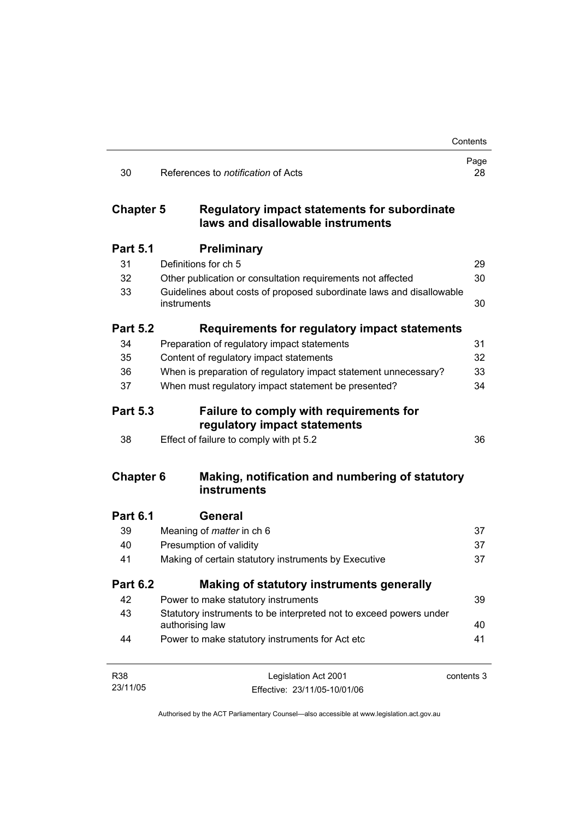|                  |                                                                                       | Contents   |
|------------------|---------------------------------------------------------------------------------------|------------|
| 30               | References to <i>notification</i> of Acts                                             | Page<br>28 |
| <b>Chapter 5</b> | Regulatory impact statements for subordinate<br>laws and disallowable instruments     |            |
| <b>Part 5.1</b>  | <b>Preliminary</b>                                                                    |            |
| 31               | Definitions for ch 5                                                                  | 29         |
| 32               | Other publication or consultation requirements not affected                           | 30         |
| 33               | Guidelines about costs of proposed subordinate laws and disallowable<br>instruments   | 30         |
| <b>Part 5.2</b>  | Requirements for regulatory impact statements                                         |            |
| 34               | Preparation of regulatory impact statements                                           | 31         |
| 35               | Content of regulatory impact statements                                               | 32         |
| 36               | When is preparation of regulatory impact statement unnecessary?                       | 33         |
| 37               | When must regulatory impact statement be presented?                                   | 34         |
| <b>Part 5.3</b>  | <b>Failure to comply with requirements for</b><br>regulatory impact statements        |            |
| 38               | Effect of failure to comply with pt 5.2                                               | 36         |
| <b>Chapter 6</b> | Making, notification and numbering of statutory<br>instruments                        |            |
| <b>Part 6.1</b>  | General                                                                               |            |
| 39               | Meaning of <i>matter</i> in ch 6                                                      | 37         |
| 40               | Presumption of validity                                                               | 37         |
| 41               | Making of certain statutory instruments by Executive                                  | 37         |
| <b>Part 6.2</b>  | Making of statutory instruments generally                                             |            |
| 42               | Power to make statutory instruments                                                   | 39         |
| 43               | Statutory instruments to be interpreted not to exceed powers under<br>authorising law | 40         |
| 44               | Power to make statutory instruments for Act etc                                       | 41         |
| R38              | Legislation Act 2001                                                                  | contents 3 |
| 23/11/05         | Effective: 23/11/05-10/01/06                                                          |            |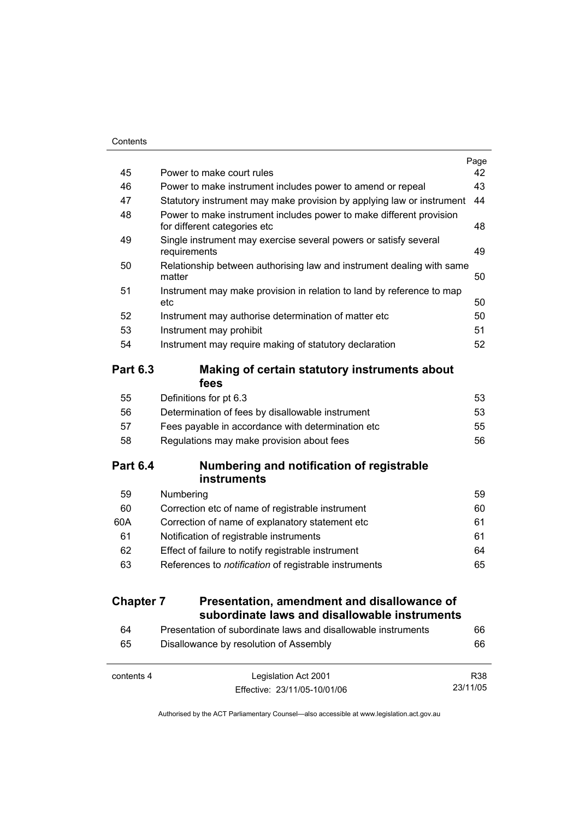|                  |                                                                                                     | Page |
|------------------|-----------------------------------------------------------------------------------------------------|------|
| 45               | Power to make court rules                                                                           | 42   |
| 46               | Power to make instrument includes power to amend or repeal                                          | 43   |
| 47               | Statutory instrument may make provision by applying law or instrument                               | 44   |
| 48               | Power to make instrument includes power to make different provision<br>for different categories etc | 48   |
| 49               | Single instrument may exercise several powers or satisfy several<br>requirements                    | 49   |
| 50               | Relationship between authorising law and instrument dealing with same<br>matter                     | 50   |
| 51               | Instrument may make provision in relation to land by reference to map<br>etc                        | 50   |
| 52               | Instrument may authorise determination of matter etc                                                | 50   |
| 53               | Instrument may prohibit                                                                             | 51   |
| 54               | Instrument may require making of statutory declaration                                              | 52   |
| <b>Part 6.3</b>  | Making of certain statutory instruments about<br>fees                                               |      |
| 55               | Definitions for pt 6.3                                                                              | 53   |
| 56               | Determination of fees by disallowable instrument                                                    | 53   |
| 57               | Fees payable in accordance with determination etc                                                   | 55   |
| 58               | Regulations may make provision about fees                                                           | 56   |
| <b>Part 6.4</b>  | Numbering and notification of registrable                                                           |      |
| 59               | <b>instruments</b><br>Numbering                                                                     | 59   |
| 60               | Correction etc of name of registrable instrument                                                    | 60   |
| 60A              | Correction of name of explanatory statement etc                                                     | 61   |
| 61               | Notification of registrable instruments                                                             | 61   |
| 62               | Effect of failure to notify registrable instrument                                                  | 64   |
| 63               | References to notification of registrable instruments                                               | 65   |
| <b>Chapter 7</b> | Presentation, amendment and disallowance of                                                         |      |
|                  | subordinate laws and disallowable instruments                                                       |      |
| 64               | Presentation of subordinate laws and disallowable instruments                                       | 66   |
| 65               | Disallowance by resolution of Assembly                                                              | 66   |

| contents 4 | Legislation Act 2001         | R38      |
|------------|------------------------------|----------|
|            | Effective: 23/11/05-10/01/06 | 23/11/05 |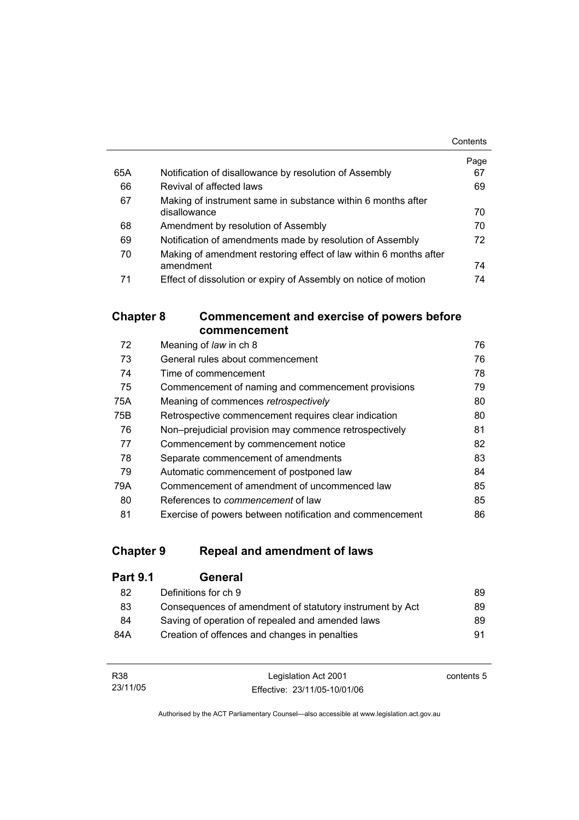|     |                                                                   | Contents |
|-----|-------------------------------------------------------------------|----------|
|     |                                                                   | Page     |
| 65A | Notification of disallowance by resolution of Assembly            | 67       |
| 66  | Revival of affected laws                                          | 69       |
| 67  | Making of instrument same in substance within 6 months after      |          |
|     | disallowance                                                      | 70       |
| 68  | Amendment by resolution of Assembly                               | 70       |
| 69  | Notification of amendments made by resolution of Assembly         | 72       |
| 70  | Making of amendment restoring effect of law within 6 months after |          |
|     | amendment                                                         | 74       |
| 71  | Effect of dissolution or expiry of Assembly on notice of motion   | 74       |

### **Chapter 8 Commencement and exercise of powers before commencement**

| 72  | Meaning of law in ch 8                                   | 76 |
|-----|----------------------------------------------------------|----|
| 73  | General rules about commencement                         | 76 |
| 74  | Time of commencement                                     | 78 |
| 75  | Commencement of naming and commencement provisions       | 79 |
| 75A | Meaning of commences retrospectively                     | 80 |
| 75B | Retrospective commencement requires clear indication     | 80 |
| 76  | Non-prejudicial provision may commence retrospectively   | 81 |
| 77  | Commencement by commencement notice                      | 82 |
| 78  | Separate commencement of amendments                      | 83 |
| 79  | Automatic commencement of postponed law                  | 84 |
| 79A | Commencement of amendment of uncommenced law             | 85 |
| 80  | References to <i>commencement</i> of law                 | 85 |
| 81  | Exercise of powers between notification and commencement | 86 |

## **Chapter 9 Repeal and amendment of laws**

| <b>Part 9.1</b> | General                                                  |    |
|-----------------|----------------------------------------------------------|----|
| 82              | Definitions for ch 9                                     | 89 |
| 83              | Consequences of amendment of statutory instrument by Act | 89 |
| 84              | Saving of operation of repealed and amended laws         | 89 |
| 84A             | Creation of offences and changes in penalties            | 91 |

| R38      | Legislation Act 2001         | contents 5 |
|----------|------------------------------|------------|
| 23/11/05 | Effective: 23/11/05-10/01/06 |            |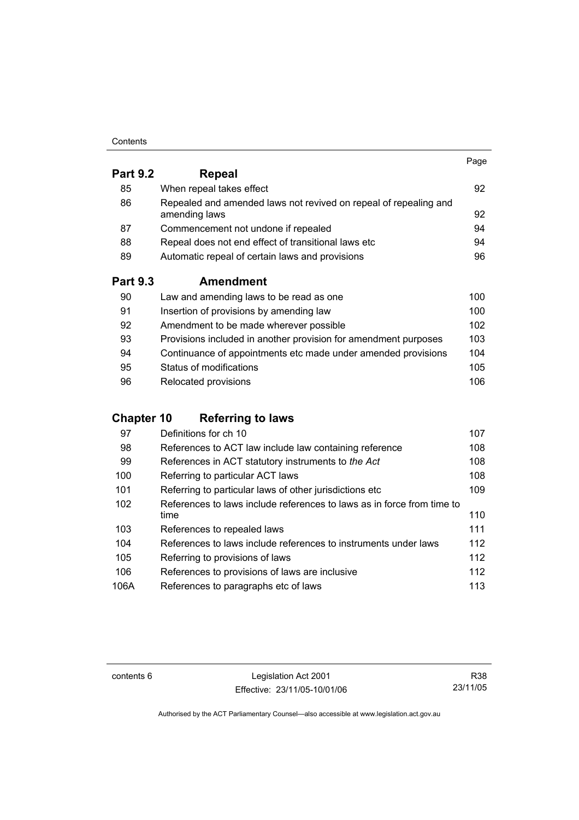#### **Contents**

|                 |                                                                                   | Page |
|-----------------|-----------------------------------------------------------------------------------|------|
| <b>Part 9.2</b> | Repeal                                                                            |      |
| 85              | When repeal takes effect                                                          | 92   |
| 86              | Repealed and amended laws not revived on repeal of repealing and<br>amending laws | 92   |
| 87              | Commencement not undone if repealed                                               | 94   |
| 88              | Repeal does not end effect of transitional laws etc                               | 94   |
| 89              | Automatic repeal of certain laws and provisions                                   | 96   |
| <b>Part 9.3</b> | <b>Amendment</b>                                                                  |      |
| 90              | Law and amending laws to be read as one                                           | 100  |
| 91              | Insertion of provisions by amending law                                           | 100  |
| 92              | Amendment to be made wherever possible                                            | 102  |
| 93              | Provisions included in another provision for amendment purposes                   | 103  |

| 94 | Continuance of appointments etc made under amended provisions | 104 |
|----|---------------------------------------------------------------|-----|
| 95 | Status of modifications                                       | 105 |
| 96 | Relocated provisions                                          | 106 |

## **Chapter 10 Referring to laws**

| 97   | Definitions for ch 10                                                  | 107 |
|------|------------------------------------------------------------------------|-----|
| 98   | References to ACT law include law containing reference                 | 108 |
| 99   | References in ACT statutory instruments to the Act                     | 108 |
| 100  | Referring to particular ACT laws                                       | 108 |
| 101  | Referring to particular laws of other jurisdictions etc                | 109 |
| 102  | References to laws include references to laws as in force from time to |     |
|      | time                                                                   | 110 |
| 103  | References to repealed laws                                            | 111 |
| 104  | References to laws include references to instruments under laws        | 112 |
| 105  | Referring to provisions of laws                                        | 112 |
| 106  | References to provisions of laws are inclusive                         | 112 |
| 106A | References to paragraphs etc of laws                                   | 113 |

contents 6 Legislation Act 2001 Effective: 23/11/05-10/01/06

R38 23/11/05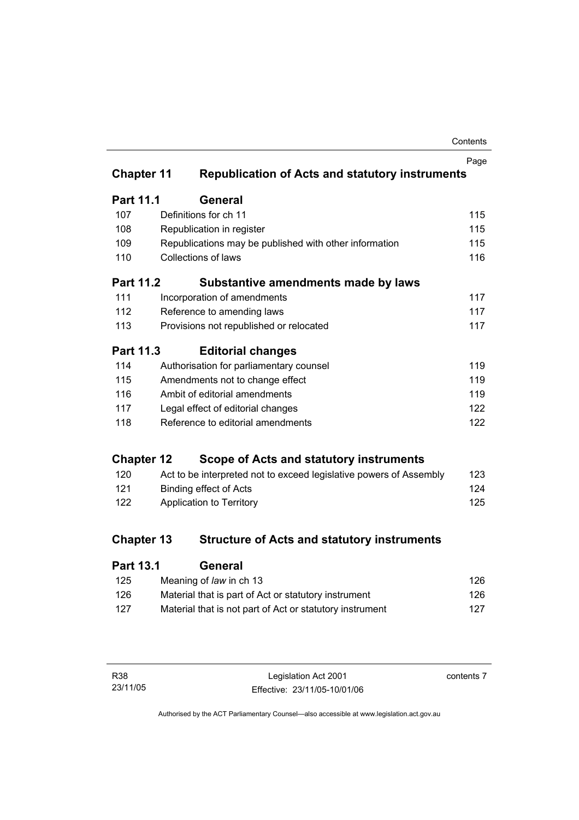| Contents |
|----------|
|----------|

|                   |                               |                                                                    | Page |
|-------------------|-------------------------------|--------------------------------------------------------------------|------|
| <b>Chapter 11</b> |                               | <b>Republication of Acts and statutory instruments</b>             |      |
| <b>Part 11.1</b>  |                               | <b>General</b>                                                     |      |
| 107               |                               | Definitions for ch 11                                              | 115  |
| 108               |                               | Republication in register                                          | 115  |
| 109               |                               | Republications may be published with other information             | 115  |
| 110               |                               | Collections of laws                                                | 116  |
| Part 11.2         |                               | Substantive amendments made by laws                                |      |
| 111               |                               | Incorporation of amendments                                        | 117  |
| 112               |                               | Reference to amending laws                                         | 117  |
| 113               |                               | Provisions not republished or relocated                            | 117  |
| <b>Part 11.3</b>  |                               | <b>Editorial changes</b>                                           |      |
| 114               |                               | Authorisation for parliamentary counsel                            | 119  |
| 115               |                               | Amendments not to change effect                                    | 119  |
| 116               | Ambit of editorial amendments |                                                                    | 119  |
| 117               |                               | Legal effect of editorial changes                                  | 122  |
| 118               |                               | Reference to editorial amendments                                  | 122  |
| <b>Chapter 12</b> |                               | Scope of Acts and statutory instruments                            |      |
| 120               |                               | Act to be interpreted not to exceed legislative powers of Assembly | 123  |
| 121               |                               | <b>Binding effect of Acts</b>                                      | 124  |
| 122               |                               | Application to Territory                                           | 125  |
|                   |                               |                                                                    |      |
| <b>Chapter 13</b> |                               | <b>Structure of Acts and statutory instruments</b>                 |      |
|                   | <b>Part 13.1</b><br>General   |                                                                    |      |

| 125 | Meaning of law in ch 13                                  | 126 |
|-----|----------------------------------------------------------|-----|
| 126 | Material that is part of Act or statutory instrument     | 126 |
| 127 | Material that is not part of Act or statutory instrument | 127 |

| R38 |          |
|-----|----------|
|     | 23/11/05 |

contents 7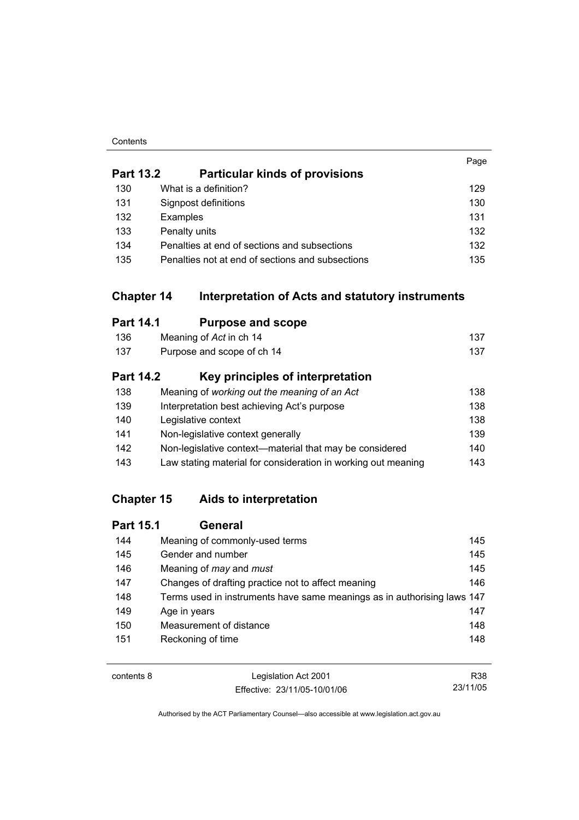#### **Contents**

|                  |                                                                       | Page |
|------------------|-----------------------------------------------------------------------|------|
| <b>Part 13.2</b> | <b>Particular kinds of provisions</b>                                 |      |
| 130              | What is a definition?                                                 | 129  |
| 131              | Signpost definitions                                                  | 130  |
| 132              | Examples                                                              | 131  |
| 133              | Penalty units                                                         | 132  |
| 134              | Penalties at end of sections and subsections                          | 132  |
| 135              | Penalties not at end of sections and subsections                      | 135  |
|                  | <b>Chapter 14</b><br>Interpretation of Acts and statutory instruments |      |
| <b>Part 14.1</b> | <b>Purpose and scope</b>                                              |      |
| 136              | Meaning of Act in ch 14                                               | 137  |
| 137              | Purpose and scope of ch 14                                            | 137  |
| <b>Part 14.2</b> | Key principles of interpretation                                      |      |
| 138              | Meaning of working out the meaning of an Act                          | 138  |
| 139              | Interpretation best achieving Act's purpose                           | 138  |
| 140              | Legislative context                                                   | 138  |
| 141              | Non-legislative context generally                                     | 139  |
| 142              | Non-legislative context-material that may be considered               | 140  |
| 143              | Law stating material for consideration in working out meaning         | 143  |

## **Chapter 15 Aids to interpretation**

| <b>Part 15.1</b> | General                                                                 |     |
|------------------|-------------------------------------------------------------------------|-----|
| 144              | Meaning of commonly-used terms                                          | 145 |
| 145              | Gender and number                                                       | 145 |
| 146              | Meaning of <i>may</i> and <i>must</i>                                   | 145 |
| 147              | Changes of drafting practice not to affect meaning                      | 146 |
| 148              | Terms used in instruments have same meanings as in authorising laws 147 |     |
| 149              | Age in years                                                            | 147 |
| 150              | Measurement of distance                                                 | 148 |
| 151              | Reckoning of time                                                       | 148 |
|                  |                                                                         |     |

contents 8 Legislation Act 2001 Effective: 23/11/05-10/01/06 R38 23/11/05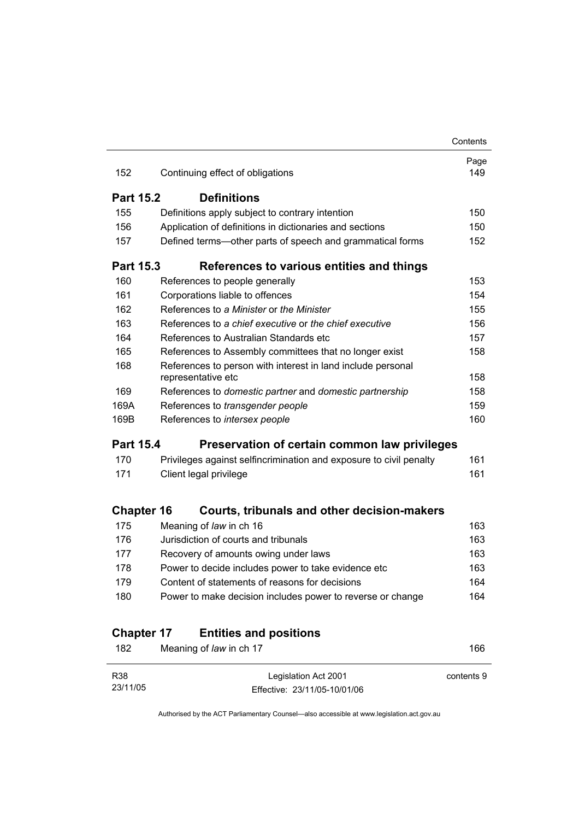|                   |                                                                    | Contents    |
|-------------------|--------------------------------------------------------------------|-------------|
| 152               | Continuing effect of obligations                                   | Page<br>149 |
|                   |                                                                    |             |
| <b>Part 15.2</b>  | <b>Definitions</b>                                                 |             |
| 155               | Definitions apply subject to contrary intention                    | 150         |
| 156               | Application of definitions in dictionaries and sections            | 150         |
| 157               | Defined terms-other parts of speech and grammatical forms          | 152         |
| Part 15.3         | References to various entities and things                          |             |
| 160               | References to people generally                                     | 153         |
| 161               | Corporations liable to offences                                    | 154         |
| 162               | References to a Minister or the Minister                           | 155         |
| 163               | References to a chief executive or the chief executive             | 156         |
| 164               | References to Australian Standards etc                             | 157         |
| 165               | References to Assembly committees that no longer exist             | 158         |
| 168               | References to person with interest in land include personal        |             |
|                   | representative etc                                                 | 158         |
| 169               | References to domestic partner and domestic partnership            | 158         |
| 169A              | References to transgender people                                   | 159         |
| 169B              | References to intersex people                                      | 160         |
| <b>Part 15.4</b>  | Preservation of certain common law privileges                      |             |
| 170               | Privileges against selfincrimination and exposure to civil penalty | 161         |
| 171               | Client legal privilege                                             | 161         |
| <b>Chapter 16</b> | Courts, tribunals and other decision-makers                        |             |
| 175               | Meaning of law in ch 16                                            | 163         |
| 176               | Jurisdiction of courts and tribunals                               | 163         |
| 177               | Recovery of amounts owing under laws                               | 163         |
| 178               | Power to decide includes power to take evidence etc                | 163         |
| 179               | Content of statements of reasons for decisions                     | 164         |
| 180               | Power to make decision includes power to reverse or change         | 164         |
|                   |                                                                    |             |
| <b>Chapter 17</b> | <b>Entities and positions</b>                                      |             |
| 182               | Meaning of law in ch 17                                            | 166         |
|                   |                                                                    |             |

| R38      | Legislation Act 2001         | contents 9 |
|----------|------------------------------|------------|
| 23/11/05 | Effective: 23/11/05-10/01/06 |            |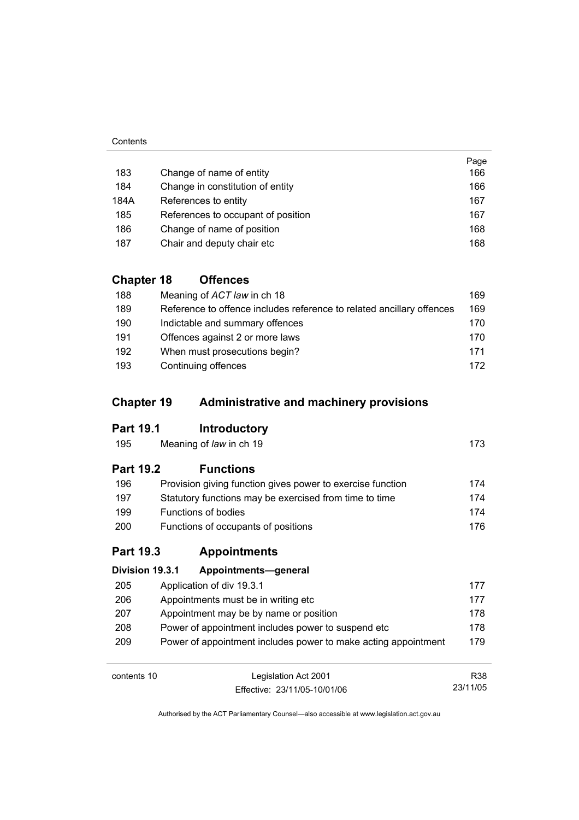#### **Contents**

|      |                                    | Page |
|------|------------------------------------|------|
| 183  | Change of name of entity           | 166  |
| 184  | Change in constitution of entity   | 166  |
| 184A | References to entity               | 167  |
| 185  | References to occupant of position | 167  |
| 186  | Change of name of position         | 168  |
| 187  | Chair and deputy chair etc         | 168  |

## **Chapter 18 Offences**

| 188 | Meaning of ACT law in ch 18                                           | 169 |
|-----|-----------------------------------------------------------------------|-----|
| 189 | Reference to offence includes reference to related ancillary offences | 169 |
| 190 | Indictable and summary offences                                       | 170 |
| 191 | Offences against 2 or more laws                                       | 170 |
| 192 | When must prosecutions begin?                                         | 171 |
| 193 | Continuing offences                                                   | 172 |

## **Chapter 19 Administrative and machinery provisions**

### **Part 19.1 Introductory**

| 195 | Meaning of law in ch 19 | 173 |  |
|-----|-------------------------|-----|--|
|     |                         |     |  |

### **Part 19.2 Functions**

| 196        | Provision giving function gives power to exercise function | 174  |
|------------|------------------------------------------------------------|------|
| 197        | Statutory functions may be exercised from time to time     | 174  |
| 199        | Functions of bodies                                        | 174  |
| <b>200</b> | Functions of occupants of positions                        | 176. |

### **Part 19.3 Appointments**

| Division 19.3.1 | Appointments-general                                           |     |
|-----------------|----------------------------------------------------------------|-----|
| 205             | Application of div 19.3.1                                      | 177 |
| 206             | Appointments must be in writing etc.                           | 177 |
| 207             | Appointment may be by name or position                         | 178 |
| 208             | Power of appointment includes power to suspend etc.            | 178 |
| 209             | Power of appointment includes power to make acting appointment | 179 |
|                 |                                                                |     |

contents 10 Legislation Act 2001 Effective: 23/11/05-10/01/06

R38 23/11/05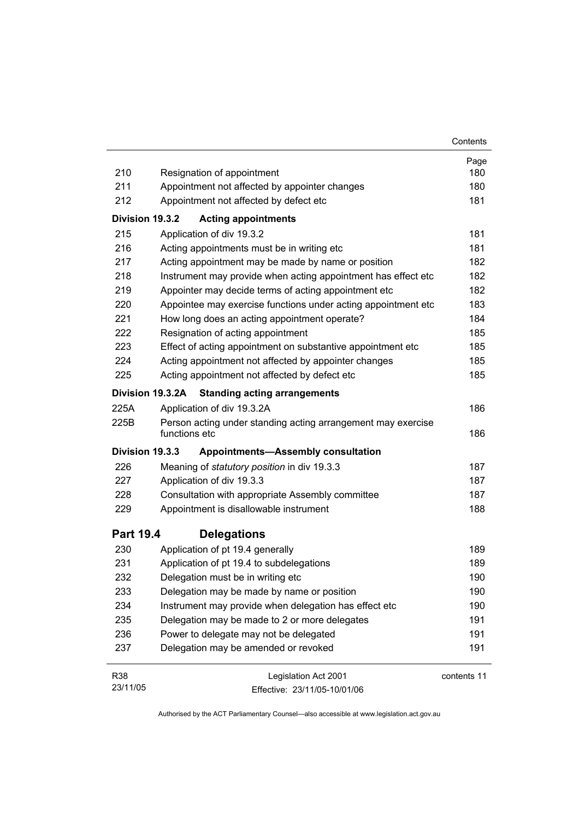|                  |                                                                               | Contents    |
|------------------|-------------------------------------------------------------------------------|-------------|
|                  |                                                                               | Page        |
| 210              | Resignation of appointment                                                    | 180         |
| 211              | Appointment not affected by appointer changes                                 | 180         |
| 212              | Appointment not affected by defect etc                                        | 181         |
| Division 19.3.2  | <b>Acting appointments</b>                                                    |             |
| 215              | Application of div 19.3.2                                                     | 181         |
| 216              | Acting appointments must be in writing etc                                    | 181         |
| 217              | Acting appointment may be made by name or position                            | 182         |
| 218              | Instrument may provide when acting appointment has effect etc                 | 182         |
| 219              | Appointer may decide terms of acting appointment etc                          | 182         |
| 220              | Appointee may exercise functions under acting appointment etc                 | 183         |
| 221              | How long does an acting appointment operate?                                  | 184         |
| 222              | Resignation of acting appointment                                             | 185         |
| 223              | Effect of acting appointment on substantive appointment etc                   | 185         |
| 224              | Acting appointment not affected by appointer changes                          | 185         |
| 225              | Acting appointment not affected by defect etc                                 | 185         |
| Division 19.3.2A | <b>Standing acting arrangements</b>                                           |             |
| 225A             | Application of div 19.3.2A                                                    | 186         |
| 225B             | Person acting under standing acting arrangement may exercise<br>functions etc | 186         |
| Division 19.3.3  | <b>Appointments-Assembly consultation</b>                                     |             |
| 226              | Meaning of statutory position in div 19.3.3                                   | 187         |
| 227              | Application of div 19.3.3                                                     | 187         |
| 228              | Consultation with appropriate Assembly committee                              | 187         |
| 229              | Appointment is disallowable instrument                                        | 188         |
| <b>Part 19.4</b> | <b>Delegations</b>                                                            |             |
| 230              | Application of pt 19.4 generally                                              | 189         |
| 231              | Application of pt 19.4 to subdelegations                                      | 189         |
| 232              | Delegation must be in writing etc                                             | 190         |
| 233              | Delegation may be made by name or position                                    | 190         |
| 234              | Instrument may provide when delegation has effect etc                         | 190         |
| 235              | Delegation may be made to 2 or more delegates                                 | 191         |
| 236              | Power to delegate may not be delegated                                        | 191         |
| 237              | Delegation may be amended or revoked                                          | 191         |
| R38              | Legislation Act 2001                                                          | contents 11 |
| 23/11/05         | Effective: 23/11/05-10/01/06                                                  |             |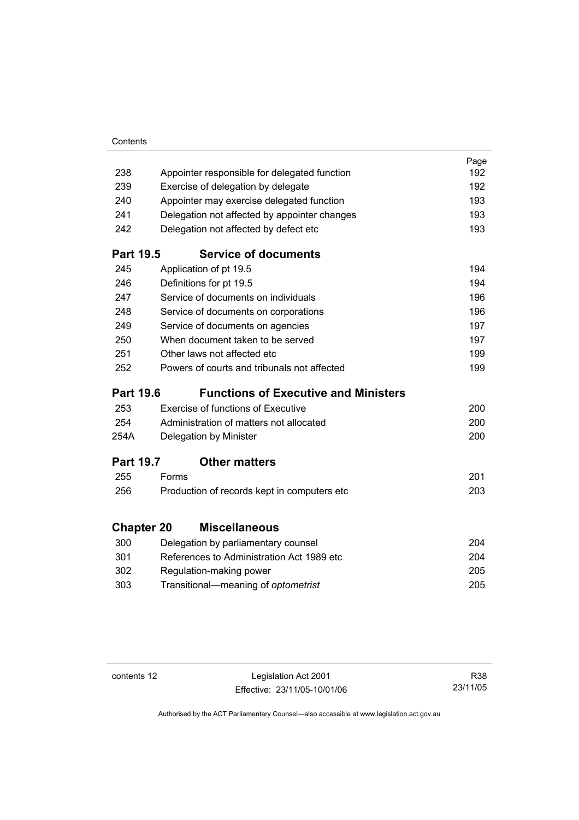| Contents |
|----------|
|          |

|                   |                                              | Page |
|-------------------|----------------------------------------------|------|
| 238               | Appointer responsible for delegated function | 192  |
| 239               | Exercise of delegation by delegate           | 192  |
| 240               | Appointer may exercise delegated function    | 193  |
| 241               | Delegation not affected by appointer changes | 193  |
| 242               | Delegation not affected by defect etc        | 193  |
| <b>Part 19.5</b>  | <b>Service of documents</b>                  |      |
| 245               | Application of pt 19.5                       | 194  |
| 246               | Definitions for pt 19.5                      | 194  |
| 247               | Service of documents on individuals          | 196  |
| 248               | Service of documents on corporations         | 196  |
| 249               | Service of documents on agencies             | 197  |
| 250               | When document taken to be served             | 197  |
| 251               | Other laws not affected etc                  | 199  |
| 252               | Powers of courts and tribunals not affected  | 199  |
| <b>Part 19.6</b>  | <b>Functions of Executive and Ministers</b>  |      |
| 253               | <b>Exercise of functions of Executive</b>    | 200  |
| 254               | Administration of matters not allocated      | 200  |
| 254A              | Delegation by Minister                       | 200  |
| <b>Part 19.7</b>  | <b>Other matters</b>                         |      |
| 255               | Forms                                        | 201  |
| 256               | Production of records kept in computers etc  | 203  |
| <b>Chapter 20</b> | <b>Miscellaneous</b>                         |      |
| 300               | Delegation by parliamentary counsel          | 204  |
| 301               | References to Administration Act 1989 etc    | 204  |
| 302               | Regulation-making power                      | 205  |
| 303               | Transitional-meaning of optometrist          | 205  |

contents 12 Legislation Act 2001 Effective: 23/11/05-10/01/06

R38 23/11/05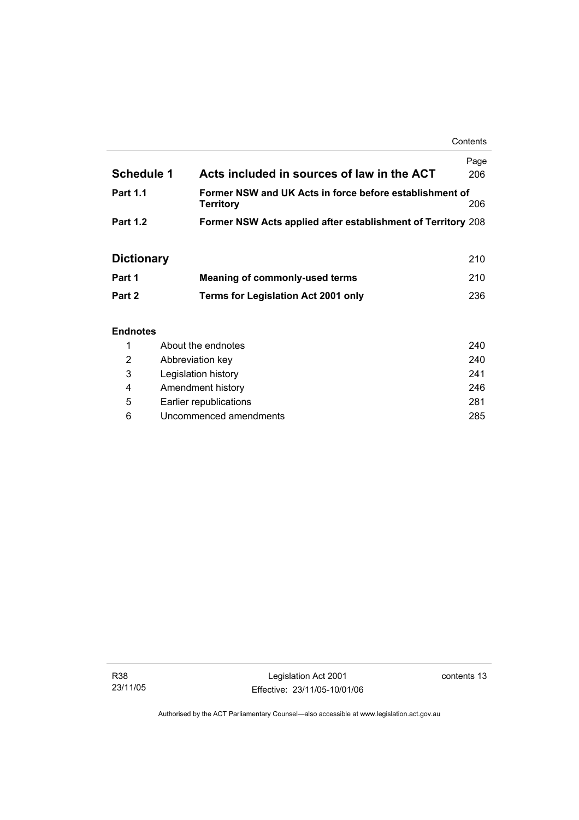**Contents** 

| <b>Schedule 1</b> | Acts included in sources of law in the ACT                           | Page<br>206 |
|-------------------|----------------------------------------------------------------------|-------------|
| <b>Part 1.1</b>   | Former NSW and UK Acts in force before establishment of<br>Territory | 206         |
| <b>Part 1.2</b>   | <b>Former NSW Acts applied after establishment of Territory 208</b>  |             |

## **Dictionary** 210

| Part 1 | Meaning of commonly-used terms             | 210 |
|--------|--------------------------------------------|-----|
| Part 2 | <b>Terms for Legislation Act 2001 only</b> | 236 |

### **Endnotes**

|   | About the endnotes     | 240 |
|---|------------------------|-----|
| 2 | Abbreviation key       | 240 |
| 3 | Legislation history    | 241 |
| 4 | Amendment history      | 246 |
| 5 | Earlier republications | 281 |
| 6 | Uncommenced amendments | 285 |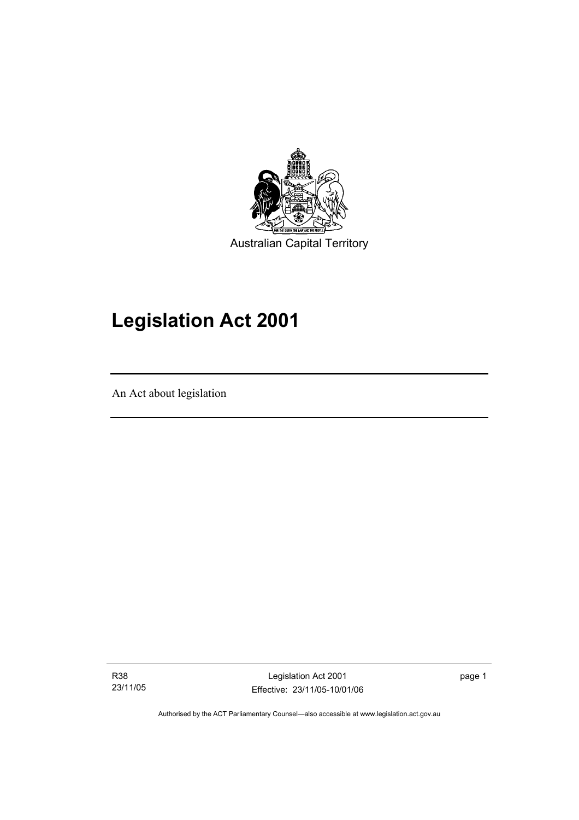

# **Legislation Act 2001**

An Act about legislation

I

R38 23/11/05

Legislation Act 2001 Effective: 23/11/05-10/01/06 page 1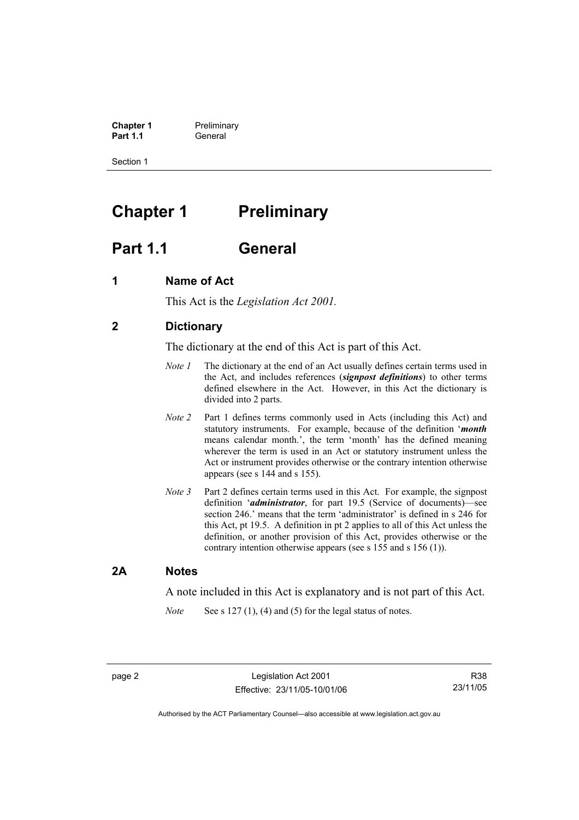**Chapter 1** Preliminary<br>**Part 1.1** General **Part 1.1** General

Section 1

## **Chapter 1** Preliminary

## **Part 1.1 General**

### **1 Name of Act**

This Act is the *Legislation Act 2001.* 

### **2 Dictionary**

The dictionary at the end of this Act is part of this Act.

- *Note 1* The dictionary at the end of an Act usually defines certain terms used in the Act, and includes references (*signpost definitions*) to other terms defined elsewhere in the Act. However, in this Act the dictionary is divided into 2 parts.
- *Note 2* Part 1 defines terms commonly used in Acts (including this Act) and statutory instruments. For example, because of the definition '*month* means calendar month.', the term 'month' has the defined meaning wherever the term is used in an Act or statutory instrument unless the Act or instrument provides otherwise or the contrary intention otherwise appears (see s 144 and s 155).
- *Note 3* Part 2 defines certain terms used in this Act. For example, the signpost definition '*administrator*, for part 19.5 (Service of documents)—see section 246.' means that the term 'administrator' is defined in s 246 for this Act, pt 19.5. A definition in pt 2 applies to all of this Act unless the definition, or another provision of this Act, provides otherwise or the contrary intention otherwise appears (see s 155 and s 156 (1)).

### **2A Notes**

A note included in this Act is explanatory and is not part of this Act.

*Note* See s 127 (1), (4) and (5) for the legal status of notes.

R38 23/11/05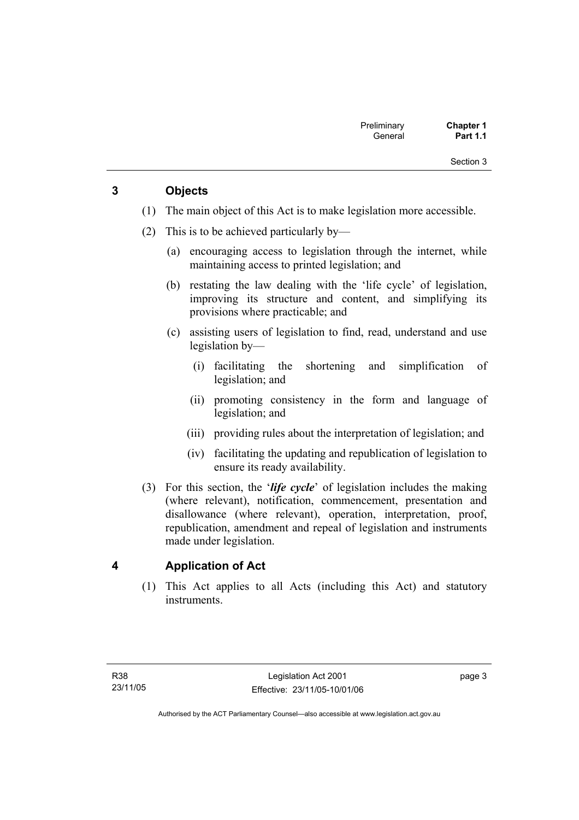### **3 Objects**

- (1) The main object of this Act is to make legislation more accessible.
- (2) This is to be achieved particularly by—
	- (a) encouraging access to legislation through the internet, while maintaining access to printed legislation; and
	- (b) restating the law dealing with the 'life cycle' of legislation, improving its structure and content, and simplifying its provisions where practicable; and
	- (c) assisting users of legislation to find, read, understand and use legislation by—
		- (i) facilitating the shortening and simplification of legislation; and
		- (ii) promoting consistency in the form and language of legislation; and
		- (iii) providing rules about the interpretation of legislation; and
		- (iv) facilitating the updating and republication of legislation to ensure its ready availability.
- (3) For this section, the '*life cycle*' of legislation includes the making (where relevant), notification, commencement, presentation and disallowance (where relevant), operation, interpretation, proof, republication, amendment and repeal of legislation and instruments made under legislation.

### **4 Application of Act**

 (1) This Act applies to all Acts (including this Act) and statutory instruments.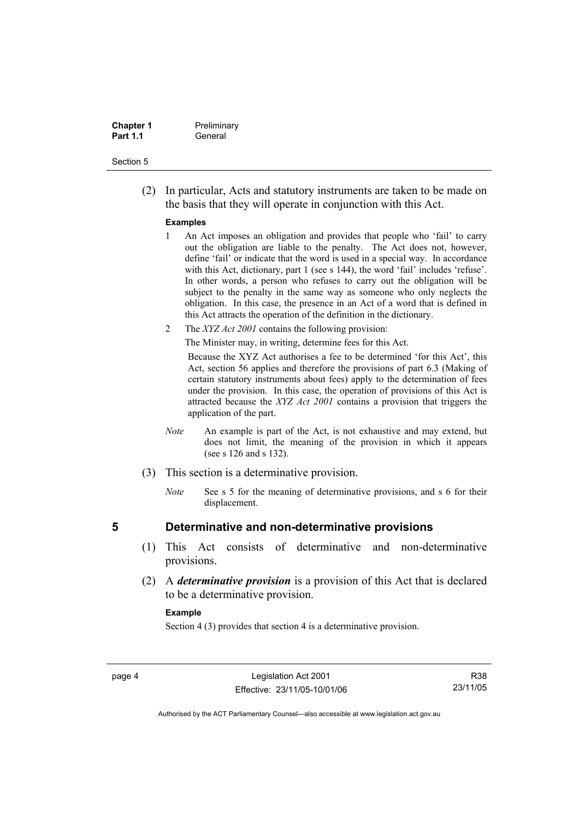| <b>Chapter 1</b> | Preliminary |
|------------------|-------------|
| <b>Part 1.1</b>  | General     |

 (2) In particular, Acts and statutory instruments are taken to be made on the basis that they will operate in conjunction with this Act.

#### **Examples**

- 1 An Act imposes an obligation and provides that people who 'fail' to carry out the obligation are liable to the penalty. The Act does not, however, define 'fail' or indicate that the word is used in a special way. In accordance with this Act, dictionary, part 1 (see s 144), the word 'fail' includes 'refuse'. In other words, a person who refuses to carry out the obligation will be subject to the penalty in the same way as someone who only neglects the obligation. In this case, the presence in an Act of a word that is defined in this Act attracts the operation of the definition in the dictionary.
- 2 The *XYZ Act 2001* contains the following provision:

The Minister may, in writing, determine fees for this Act.

Because the XYZ Act authorises a fee to be determined 'for this Act', this Act, section 56 applies and therefore the provisions of part 6.3 (Making of certain statutory instruments about fees) apply to the determination of fees under the provision. In this case, the operation of provisions of this Act is attracted because the *XYZ Act 2001* contains a provision that triggers the application of the part.

- *Note* An example is part of the Act, is not exhaustive and may extend, but does not limit, the meaning of the provision in which it appears (see s 126 and s 132).
- (3) This section is a determinative provision.
	- *Note* See s 5 for the meaning of determinative provisions, and s 6 for their displacement.

### **5 Determinative and non-determinative provisions**

- (1) This Act consists of determinative and non-determinative provisions.
- (2) A *determinative provision* is a provision of this Act that is declared to be a determinative provision.

#### **Example**

Section 4 (3) provides that section 4 is a determinative provision.

R38 23/11/05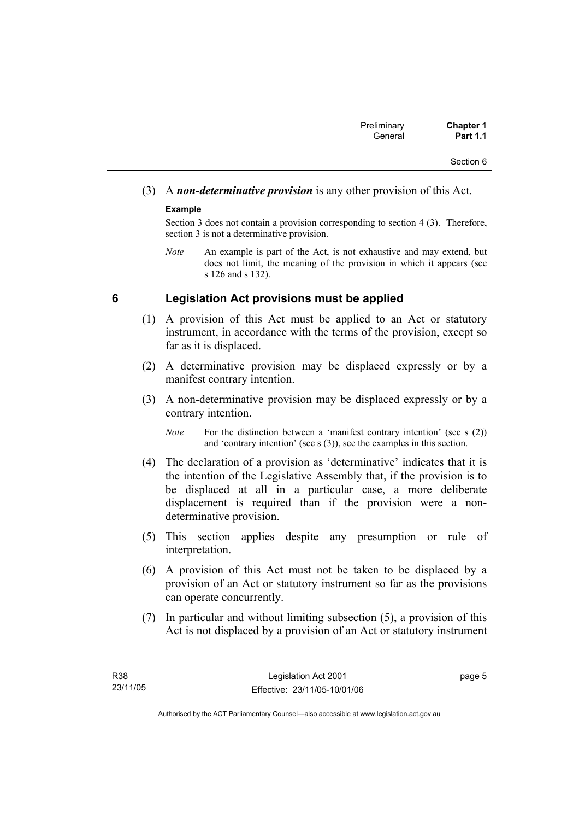## (3) A *non-determinative provision* is any other provision of this Act.

### **Example**

Section 3 does not contain a provision corresponding to section 4 (3). Therefore, section 3 is not a determinative provision.

*Note* An example is part of the Act, is not exhaustive and may extend, but does not limit, the meaning of the provision in which it appears (see s 126 and s 132).

### **6 Legislation Act provisions must be applied**

- (1) A provision of this Act must be applied to an Act or statutory instrument, in accordance with the terms of the provision, except so far as it is displaced.
- (2) A determinative provision may be displaced expressly or by a manifest contrary intention.
- (3) A non-determinative provision may be displaced expressly or by a contrary intention.

- (4) The declaration of a provision as 'determinative' indicates that it is the intention of the Legislative Assembly that, if the provision is to be displaced at all in a particular case, a more deliberate displacement is required than if the provision were a nondeterminative provision.
- (5) This section applies despite any presumption or rule of interpretation.
- (6) A provision of this Act must not be taken to be displaced by a provision of an Act or statutory instrument so far as the provisions can operate concurrently.
- (7) In particular and without limiting subsection (5), a provision of this Act is not displaced by a provision of an Act or statutory instrument

*Note* For the distinction between a 'manifest contrary intention' (see s (2)) and 'contrary intention' (see s (3)), see the examples in this section.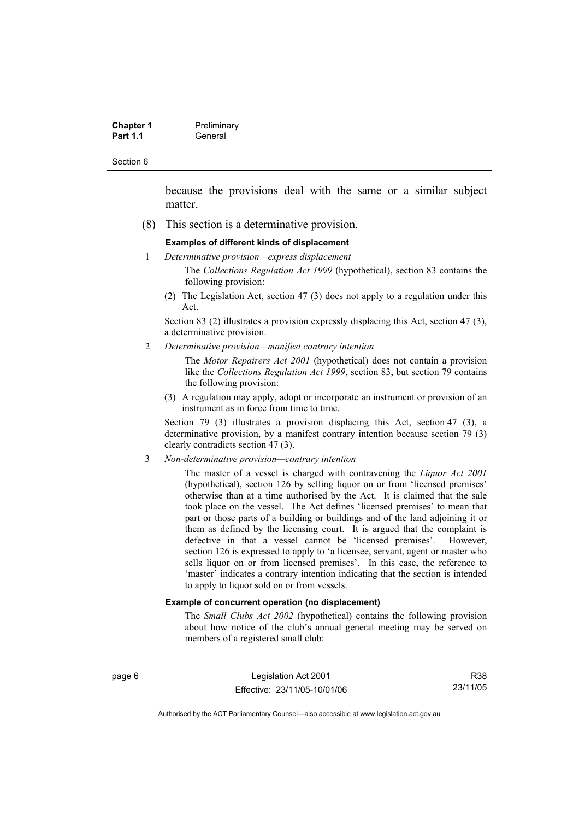| <b>Chapter 1</b> | Preliminary |
|------------------|-------------|
| <b>Part 1.1</b>  | General     |

because the provisions deal with the same or a similar subject matter.

(8) This section is a determinative provision.

#### **Examples of different kinds of displacement**

1 *Determinative provision—express displacement*

The *Collections Regulation Act 1999* (hypothetical), section 83 contains the following provision:

(2) The Legislation Act, section 47 (3) does not apply to a regulation under this Act.

Section 83 (2) illustrates a provision expressly displacing this Act, section 47 (3), a determinative provision.

2 *Determinative provision—manifest contrary intention*

The *Motor Repairers Act 2001* (hypothetical) does not contain a provision like the *Collections Regulation Act 1999*, section 83, but section 79 contains the following provision:

(3) A regulation may apply, adopt or incorporate an instrument or provision of an instrument as in force from time to time.

Section 79 (3) illustrates a provision displacing this Act, section 47 (3), a determinative provision, by a manifest contrary intention because section 79 (3) clearly contradicts section 47 (3).

3 *Non-determinative provision—contrary intention*

The master of a vessel is charged with contravening the *Liquor Act 2001* (hypothetical), section 126 by selling liquor on or from 'licensed premises' otherwise than at a time authorised by the Act. It is claimed that the sale took place on the vessel. The Act defines 'licensed premises' to mean that part or those parts of a building or buildings and of the land adjoining it or them as defined by the licensing court. It is argued that the complaint is defective in that a vessel cannot be 'licensed premises'. However, section 126 is expressed to apply to 'a licensee, servant, agent or master who sells liquor on or from licensed premises'. In this case, the reference to 'master' indicates a contrary intention indicating that the section is intended to apply to liquor sold on or from vessels.

#### **Example of concurrent operation (no displacement)**

The *Small Clubs Act 2002* (hypothetical) contains the following provision about how notice of the club's annual general meeting may be served on members of a registered small club:

page 6 Legislation Act 2001 Effective: 23/11/05-10/01/06

R38 23/11/05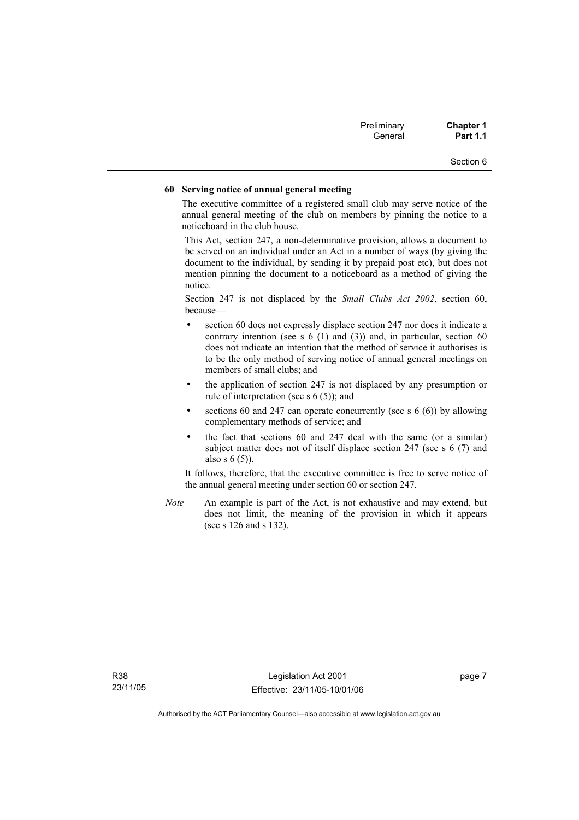| Preliminary | <b>Chapter 1</b> |
|-------------|------------------|
| General     | <b>Part 1.1</b>  |

#### **60 Serving notice of annual general meeting**

The executive committee of a registered small club may serve notice of the annual general meeting of the club on members by pinning the notice to a noticeboard in the club house.

This Act, section 247, a non-determinative provision, allows a document to be served on an individual under an Act in a number of ways (by giving the document to the individual, by sending it by prepaid post etc), but does not mention pinning the document to a noticeboard as a method of giving the notice.

Section 247 is not displaced by the *Small Clubs Act 2002*, section 60, because—

- section 60 does not expressly displace section 247 nor does it indicate a contrary intention (see s  $6(1)$  and  $(3)$ ) and, in particular, section  $60$ does not indicate an intention that the method of service it authorises is to be the only method of serving notice of annual general meetings on members of small clubs; and
- the application of section 247 is not displaced by any presumption or rule of interpretation (see s 6 (5)); and
- sections 60 and 247 can operate concurrently (see s  $6(6)$ ) by allowing complementary methods of service; and
- the fact that sections 60 and 247 deal with the same (or a similar) subject matter does not of itself displace section 247 (see s 6 (7) and also s 6 (5)).

It follows, therefore, that the executive committee is free to serve notice of the annual general meeting under section 60 or section 247.

*Note* An example is part of the Act, is not exhaustive and may extend, but does not limit, the meaning of the provision in which it appears (see s 126 and s 132).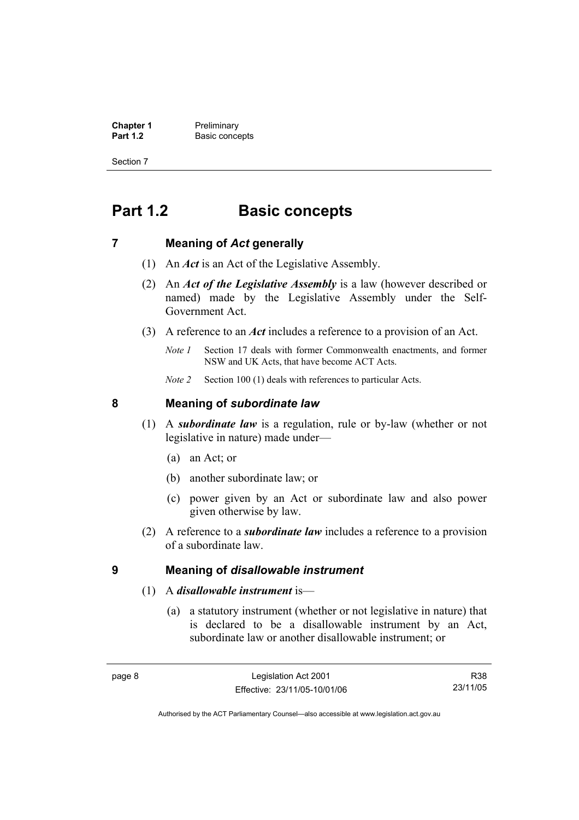**Chapter 1** Preliminary<br>**Part 1.2** Basic conce **Basic concepts** 

Section 7

## **Part 1.2 Basic concepts**

### **7 Meaning of** *Act* **generally**

- (1) An *Act* is an Act of the Legislative Assembly.
- (2) An *Act of the Legislative Assembly* is a law (however described or named) made by the Legislative Assembly under the Self-Government Act.
- (3) A reference to an *Act* includes a reference to a provision of an Act.
	- *Note 1* Section 17 deals with former Commonwealth enactments, and former NSW and UK Acts, that have become ACT Acts.
	- *Note 2* Section 100 (1) deals with references to particular Acts.

### **8 Meaning of** *subordinate law*

- (1) A *subordinate law* is a regulation, rule or by-law (whether or not legislative in nature) made under—
	- (a) an Act; or
	- (b) another subordinate law; or
	- (c) power given by an Act or subordinate law and also power given otherwise by law.
- (2) A reference to a *subordinate law* includes a reference to a provision of a subordinate law.

### **9 Meaning of** *disallowable instrument*

- (1) A *disallowable instrument* is—
	- (a) a statutory instrument (whether or not legislative in nature) that is declared to be a disallowable instrument by an Act, subordinate law or another disallowable instrument; or

R38 23/11/05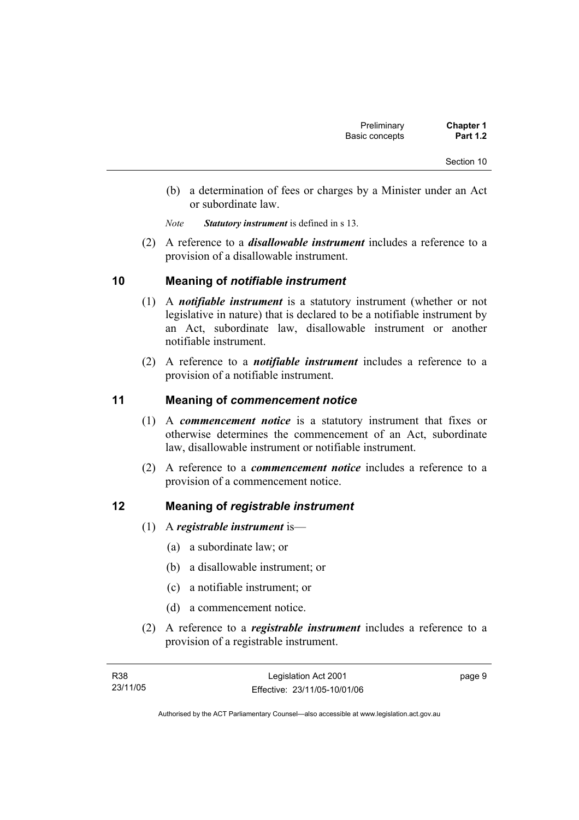- (b) a determination of fees or charges by a Minister under an Act or subordinate law.
- *Note Statutory instrument* is defined in s 13.
- (2) A reference to a *disallowable instrument* includes a reference to a provision of a disallowable instrument.

### **10 Meaning of** *notifiable instrument*

- (1) A *notifiable instrument* is a statutory instrument (whether or not legislative in nature) that is declared to be a notifiable instrument by an Act, subordinate law, disallowable instrument or another notifiable instrument.
- (2) A reference to a *notifiable instrument* includes a reference to a provision of a notifiable instrument.

### **11 Meaning of** *commencement notice*

- (1) A *commencement notice* is a statutory instrument that fixes or otherwise determines the commencement of an Act, subordinate law, disallowable instrument or notifiable instrument.
- (2) A reference to a *commencement notice* includes a reference to a provision of a commencement notice.

### **12 Meaning of** *registrable instrument*

- (1) A *registrable instrument* is—
	- (a) a subordinate law; or
	- (b) a disallowable instrument; or
	- (c) a notifiable instrument; or
	- (d) a commencement notice.
- (2) A reference to a *registrable instrument* includes a reference to a provision of a registrable instrument.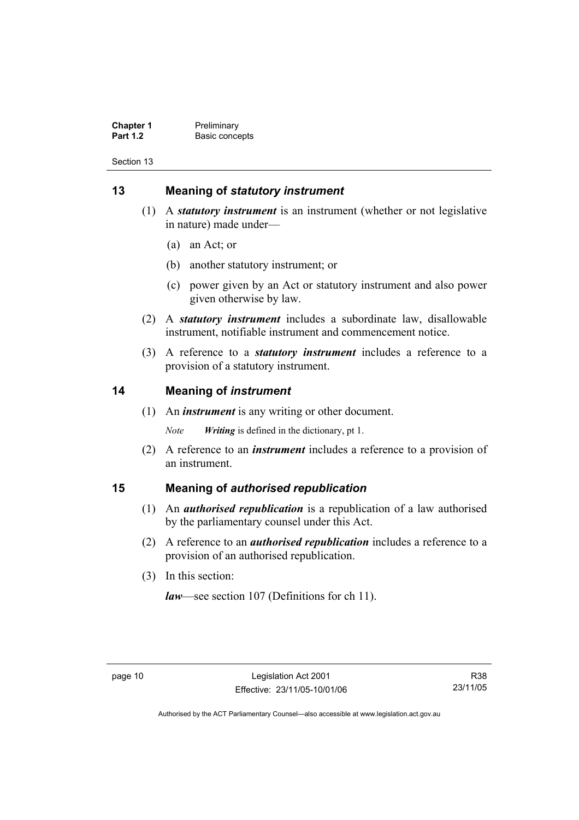**Chapter 1** Preliminary<br>**Part 1.2** Basic conce **Basic concepts** 

Section 13

### **13 Meaning of** *statutory instrument*

- (1) A *statutory instrument* is an instrument (whether or not legislative in nature) made under—
	- (a) an Act; or
	- (b) another statutory instrument; or
	- (c) power given by an Act or statutory instrument and also power given otherwise by law.
- (2) A *statutory instrument* includes a subordinate law, disallowable instrument, notifiable instrument and commencement notice.
- (3) A reference to a *statutory instrument* includes a reference to a provision of a statutory instrument.

### **14 Meaning of** *instrument*

(1) An *instrument* is any writing or other document.

*Note Writing* is defined in the dictionary, pt 1.

 (2) A reference to an *instrument* includes a reference to a provision of an instrument.

### **15 Meaning of** *authorised republication*

- (1) An *authorised republication* is a republication of a law authorised by the parliamentary counsel under this Act.
- (2) A reference to an *authorised republication* includes a reference to a provision of an authorised republication.
- (3) In this section:

*law*—see section 107 (Definitions for ch 11).

R38 23/11/05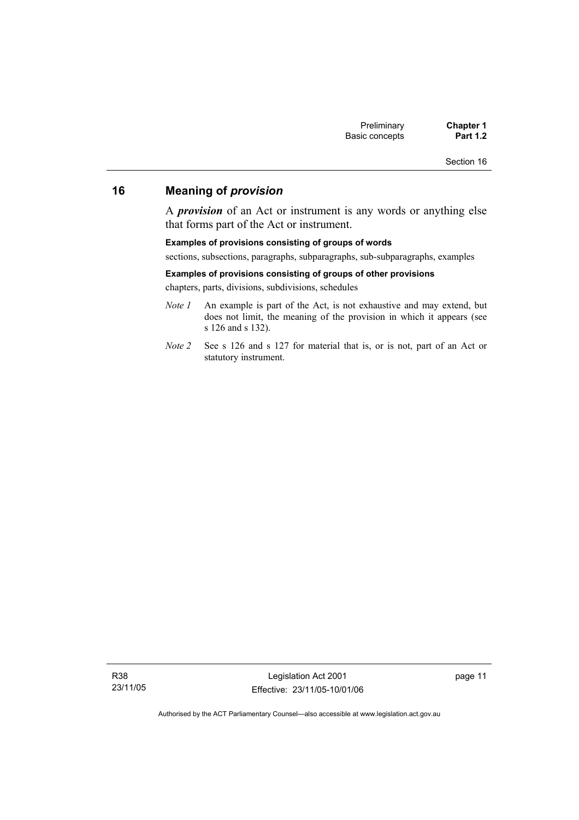### **16 Meaning of** *provision*

A *provision* of an Act or instrument is any words or anything else that forms part of the Act or instrument.

#### **Examples of provisions consisting of groups of words**

sections, subsections, paragraphs, subparagraphs, sub-subparagraphs, examples

#### **Examples of provisions consisting of groups of other provisions**

chapters, parts, divisions, subdivisions, schedules

- *Note 1* An example is part of the Act, is not exhaustive and may extend, but does not limit, the meaning of the provision in which it appears (see s 126 and s 132).
- *Note 2* See s 126 and s 127 for material that is, or is not, part of an Act or statutory instrument.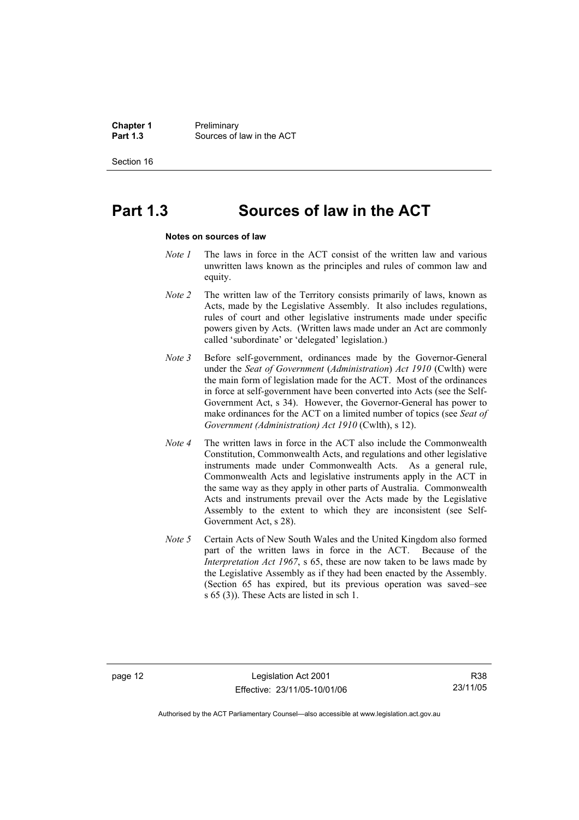**Chapter 1** Preliminary<br>**Part 1.3** Sources of **Part 1.3** Sources of law in the ACT

Section 16

## **Part 1.3 Sources of law in the ACT**

#### **Notes on sources of law**

- *Note 1* The laws in force in the ACT consist of the written law and various unwritten laws known as the principles and rules of common law and equity.
- *Note 2* The written law of the Territory consists primarily of laws, known as Acts, made by the Legislative Assembly. It also includes regulations, rules of court and other legislative instruments made under specific powers given by Acts. (Written laws made under an Act are commonly called 'subordinate' or 'delegated' legislation.)
- *Note 3* Before self-government, ordinances made by the Governor-General under the *Seat of Government* (*Administration*) *Act 1910* (Cwlth) were the main form of legislation made for the ACT. Most of the ordinances in force at self-government have been converted into Acts (see the Self-Government Act, s 34). However, the Governor-General has power to make ordinances for the ACT on a limited number of topics (see *Seat of Government (Administration) Act 1910* (Cwlth), s 12).
- *Note 4* The written laws in force in the ACT also include the Commonwealth Constitution, Commonwealth Acts, and regulations and other legislative instruments made under Commonwealth Acts. As a general rule, Commonwealth Acts and legislative instruments apply in the ACT in the same way as they apply in other parts of Australia. Commonwealth Acts and instruments prevail over the Acts made by the Legislative Assembly to the extent to which they are inconsistent (see Self-Government Act, s 28).
- *Note 5* Certain Acts of New South Wales and the United Kingdom also formed part of the written laws in force in the ACT. Because of the *Interpretation Act 1967*, s 65, these are now taken to be laws made by the Legislative Assembly as if they had been enacted by the Assembly. (Section 65 has expired, but its previous operation was saved–see s 65 (3)). These Acts are listed in sch 1.

R38 23/11/05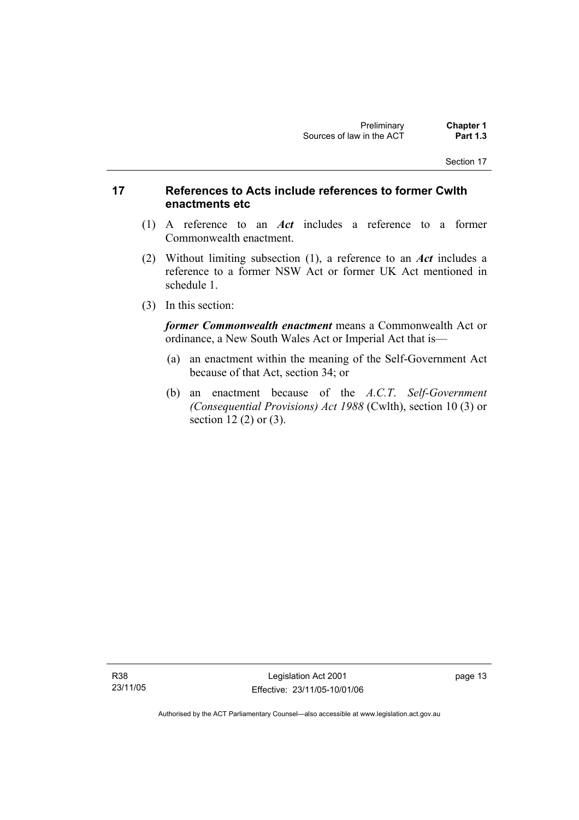### **17 References to Acts include references to former Cwlth enactments etc**

- (1) A reference to an *Act* includes a reference to a former Commonwealth enactment.
- (2) Without limiting subsection (1), a reference to an *Act* includes a reference to a former NSW Act or former UK Act mentioned in schedule 1.
- (3) In this section:

*former Commonwealth enactment* means a Commonwealth Act or ordinance, a New South Wales Act or Imperial Act that is—

- (a) an enactment within the meaning of the Self-Government Act because of that Act, section 34; or
- (b) an enactment because of the *A.C.T*. *Self-Government (Consequential Provisions) Act 1988* (Cwlth), section 10 (3) or section 12 (2) or (3).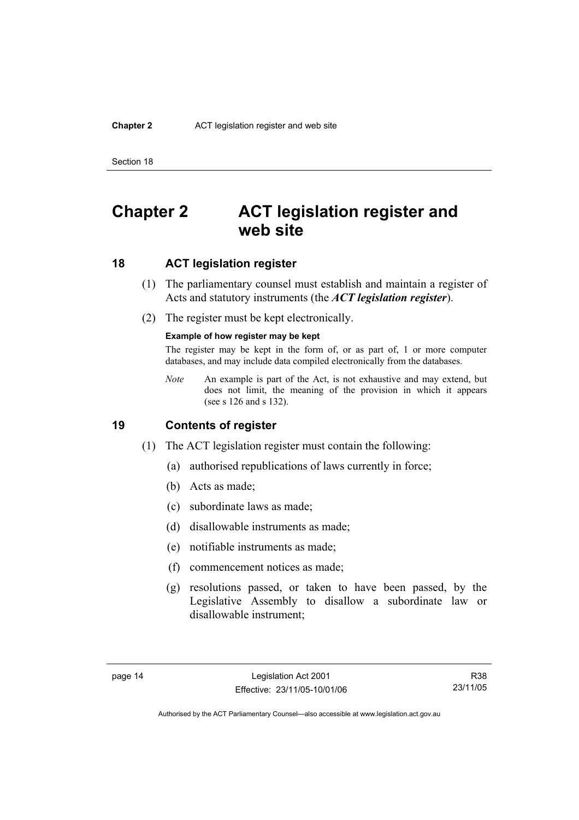#### **Chapter 2** ACT legislation register and web site

Section 18

## **Chapter 2 ACT legislation register and web site**

### **18 ACT legislation register**

- (1) The parliamentary counsel must establish and maintain a register of Acts and statutory instruments (the *ACT legislation register*).
- (2) The register must be kept electronically.

#### **Example of how register may be kept**

The register may be kept in the form of, or as part of, 1 or more computer databases, and may include data compiled electronically from the databases.

*Note* An example is part of the Act, is not exhaustive and may extend, but does not limit, the meaning of the provision in which it appears (see s 126 and s 132).

### **19 Contents of register**

- (1) The ACT legislation register must contain the following:
	- (a) authorised republications of laws currently in force;
	- (b) Acts as made;
	- (c) subordinate laws as made;
	- (d) disallowable instruments as made;
	- (e) notifiable instruments as made;
	- (f) commencement notices as made;
	- (g) resolutions passed, or taken to have been passed, by the Legislative Assembly to disallow a subordinate law or disallowable instrument;

R38 23/11/05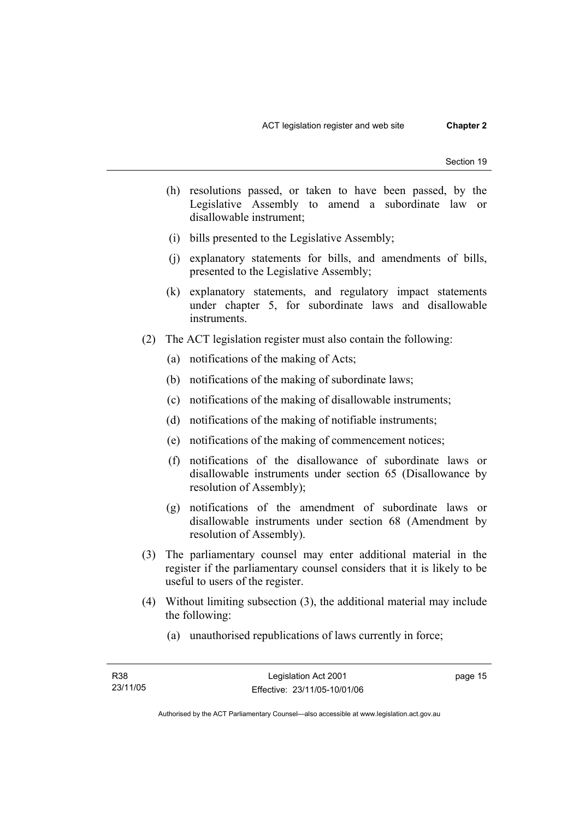- (h) resolutions passed, or taken to have been passed, by the Legislative Assembly to amend a subordinate law or disallowable instrument;
- (i) bills presented to the Legislative Assembly;
- (j) explanatory statements for bills, and amendments of bills, presented to the Legislative Assembly;
- (k) explanatory statements, and regulatory impact statements under chapter 5, for subordinate laws and disallowable instruments.
- (2) The ACT legislation register must also contain the following:
	- (a) notifications of the making of Acts;
	- (b) notifications of the making of subordinate laws;
	- (c) notifications of the making of disallowable instruments;
	- (d) notifications of the making of notifiable instruments;
	- (e) notifications of the making of commencement notices;
	- (f) notifications of the disallowance of subordinate laws or disallowable instruments under section 65 (Disallowance by resolution of Assembly);
	- (g) notifications of the amendment of subordinate laws or disallowable instruments under section 68 (Amendment by resolution of Assembly).
- (3) The parliamentary counsel may enter additional material in the register if the parliamentary counsel considers that it is likely to be useful to users of the register.
- (4) Without limiting subsection (3), the additional material may include the following:
	- (a) unauthorised republications of laws currently in force;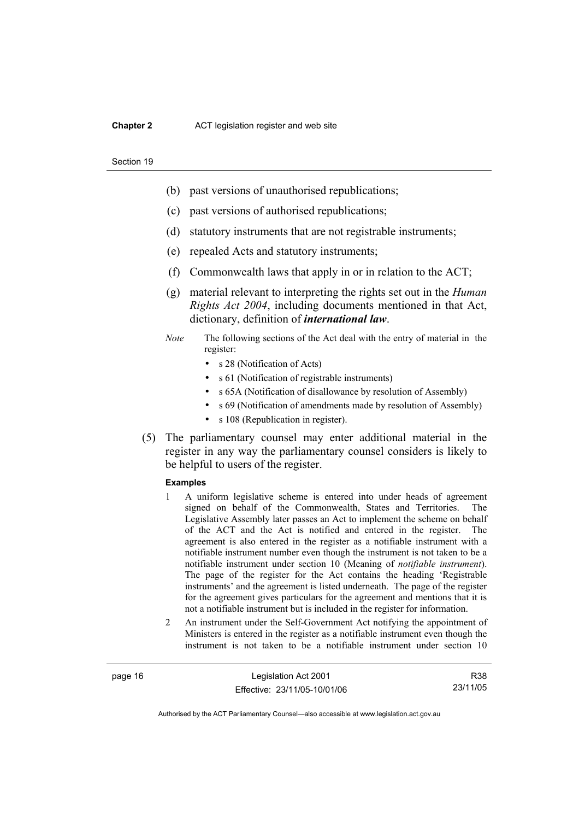#### **Chapter 2** ACT legislation register and web site

#### Section 19

- (b) past versions of unauthorised republications;
- (c) past versions of authorised republications;
- (d) statutory instruments that are not registrable instruments;
- (e) repealed Acts and statutory instruments;
- (f) Commonwealth laws that apply in or in relation to the ACT;
- (g) material relevant to interpreting the rights set out in the *Human Rights Act 2004*, including documents mentioned in that Act, dictionary, definition of *international law*.
- *Note* The following sections of the Act deal with the entry of material in the register:
	- s 28 (Notification of Acts)
	- s 61 (Notification of registrable instruments)
	- s 65A (Notification of disallowance by resolution of Assembly)
	- s 69 (Notification of amendments made by resolution of Assembly)
	- s 108 (Republication in register).
- (5) The parliamentary counsel may enter additional material in the register in any way the parliamentary counsel considers is likely to be helpful to users of the register.

#### **Examples**

- 1 A uniform legislative scheme is entered into under heads of agreement signed on behalf of the Commonwealth, States and Territories. The Legislative Assembly later passes an Act to implement the scheme on behalf of the ACT and the Act is notified and entered in the register. The agreement is also entered in the register as a notifiable instrument with a notifiable instrument number even though the instrument is not taken to be a notifiable instrument under section 10 (Meaning of *notifiable instrument*). The page of the register for the Act contains the heading 'Registrable instruments' and the agreement is listed underneath. The page of the register for the agreement gives particulars for the agreement and mentions that it is not a notifiable instrument but is included in the register for information.
- 2 An instrument under the Self-Government Act notifying the appointment of Ministers is entered in the register as a notifiable instrument even though the instrument is not taken to be a notifiable instrument under section 10

page 16 Legislation Act 2001 Effective: 23/11/05-10/01/06

R38 23/11/05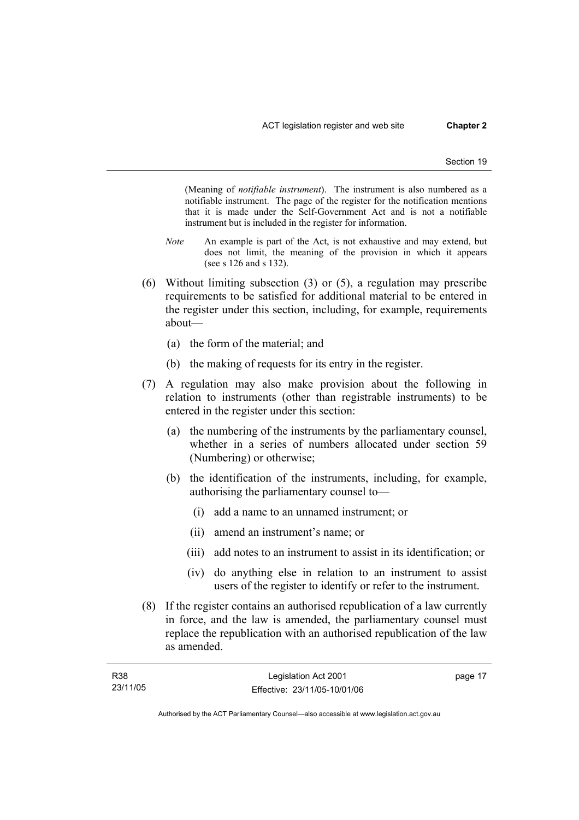(Meaning of *notifiable instrument*). The instrument is also numbered as a notifiable instrument. The page of the register for the notification mentions that it is made under the Self-Government Act and is not a notifiable instrument but is included in the register for information.

- *Note* An example is part of the Act, is not exhaustive and may extend, but does not limit, the meaning of the provision in which it appears (see s 126 and s 132).
- (6) Without limiting subsection (3) or (5), a regulation may prescribe requirements to be satisfied for additional material to be entered in the register under this section, including, for example, requirements about—
	- (a) the form of the material; and
	- (b) the making of requests for its entry in the register.
- (7) A regulation may also make provision about the following in relation to instruments (other than registrable instruments) to be entered in the register under this section:
	- (a) the numbering of the instruments by the parliamentary counsel, whether in a series of numbers allocated under section 59 (Numbering) or otherwise;
	- (b) the identification of the instruments, including, for example, authorising the parliamentary counsel to—
		- (i) add a name to an unnamed instrument; or
		- (ii) amend an instrument's name; or
		- (iii) add notes to an instrument to assist in its identification; or
		- (iv) do anything else in relation to an instrument to assist users of the register to identify or refer to the instrument.
- (8) If the register contains an authorised republication of a law currently in force, and the law is amended, the parliamentary counsel must replace the republication with an authorised republication of the law as amended.

| <b>R38</b> | Legislation Act 2001         | page 17 |
|------------|------------------------------|---------|
| 23/11/05   | Effective: 23/11/05-10/01/06 |         |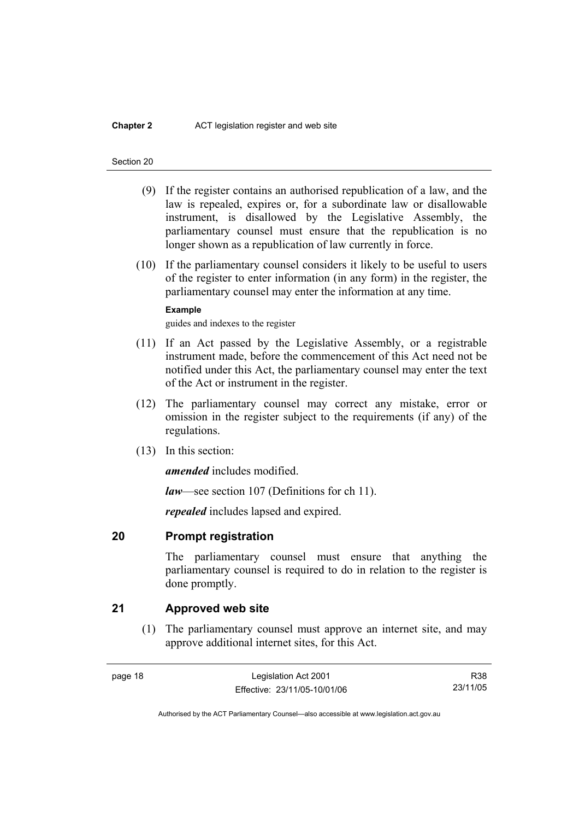#### **Chapter 2** ACT legislation register and web site

#### Section 20

- (9) If the register contains an authorised republication of a law, and the law is repealed, expires or, for a subordinate law or disallowable instrument, is disallowed by the Legislative Assembly, the parliamentary counsel must ensure that the republication is no longer shown as a republication of law currently in force.
- (10) If the parliamentary counsel considers it likely to be useful to users of the register to enter information (in any form) in the register, the parliamentary counsel may enter the information at any time.

#### **Example**

guides and indexes to the register

- (11) If an Act passed by the Legislative Assembly, or a registrable instrument made, before the commencement of this Act need not be notified under this Act, the parliamentary counsel may enter the text of the Act or instrument in the register.
- (12) The parliamentary counsel may correct any mistake, error or omission in the register subject to the requirements (if any) of the regulations.
- (13) In this section:

*amended* includes modified.

*law*—see section 107 (Definitions for ch 11).

*repealed* includes lapsed and expired.

### **20 Prompt registration**

The parliamentary counsel must ensure that anything the parliamentary counsel is required to do in relation to the register is done promptly.

### **21 Approved web site**

 (1) The parliamentary counsel must approve an internet site, and may approve additional internet sites, for this Act.

R38 23/11/05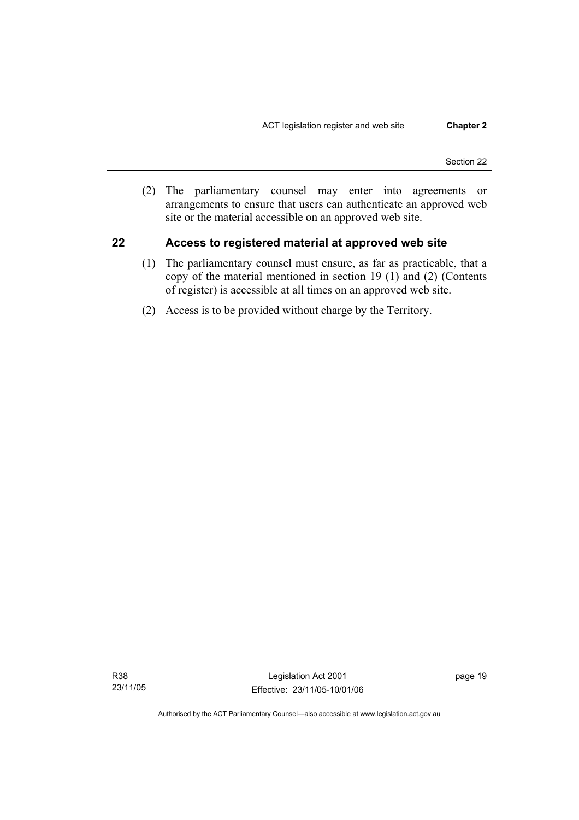(2) The parliamentary counsel may enter into agreements or arrangements to ensure that users can authenticate an approved web site or the material accessible on an approved web site.

### **22 Access to registered material at approved web site**

- (1) The parliamentary counsel must ensure, as far as practicable, that a copy of the material mentioned in section 19 (1) and (2) (Contents of register) is accessible at all times on an approved web site.
- (2) Access is to be provided without charge by the Territory.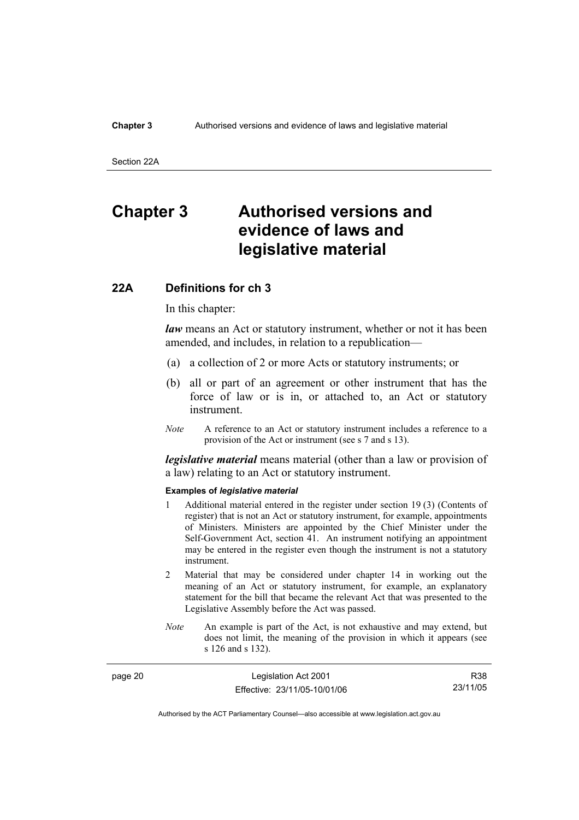#### **Chapter 3** Authorised versions and evidence of laws and legislative material

Section 22A

## **Chapter 3 Authorised versions and evidence of laws and legislative material**

### **22A Definitions for ch 3**

In this chapter:

*law* means an Act or statutory instrument, whether or not it has been amended, and includes, in relation to a republication—

- (a) a collection of 2 or more Acts or statutory instruments; or
- (b) all or part of an agreement or other instrument that has the force of law or is in, or attached to, an Act or statutory instrument.
- *Note* A reference to an Act or statutory instrument includes a reference to a provision of the Act or instrument (see s 7 and s 13).

*legislative material* means material (other than a law or provision of a law) relating to an Act or statutory instrument.

#### **Examples of** *legislative material*

- 1 Additional material entered in the register under section 19 (3) (Contents of register) that is not an Act or statutory instrument, for example, appointments of Ministers. Ministers are appointed by the Chief Minister under the Self-Government Act, section 41. An instrument notifying an appointment may be entered in the register even though the instrument is not a statutory instrument.
- 2 Material that may be considered under chapter 14 in working out the meaning of an Act or statutory instrument, for example, an explanatory statement for the bill that became the relevant Act that was presented to the Legislative Assembly before the Act was passed.
- *Note* An example is part of the Act, is not exhaustive and may extend, but does not limit, the meaning of the provision in which it appears (see s 126 and s 132).

| page 20 | Legislation Act 2001         | R38      |
|---------|------------------------------|----------|
|         | Effective: 23/11/05-10/01/06 | 23/11/05 |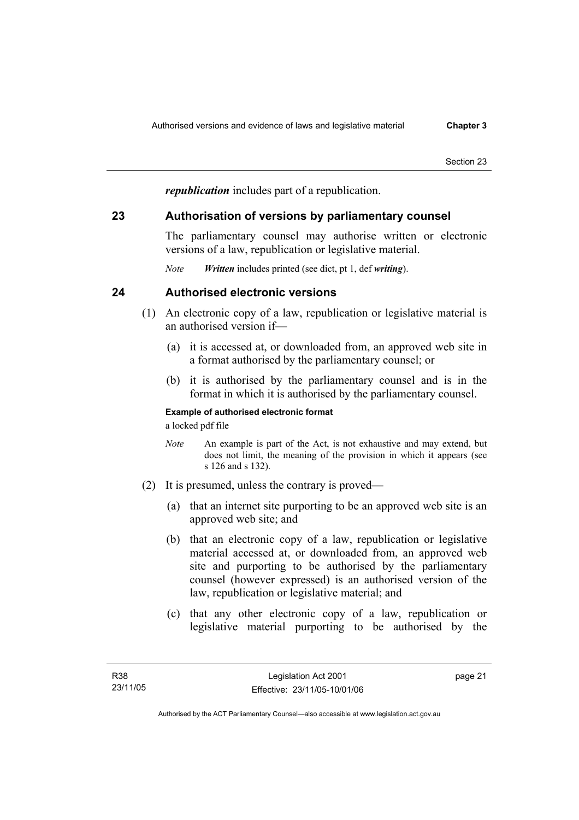*republication* includes part of a republication.

### **23 Authorisation of versions by parliamentary counsel**

The parliamentary counsel may authorise written or electronic versions of a law, republication or legislative material.

*Note Written* includes printed (see dict, pt 1, def *writing*).

## **24 Authorised electronic versions**

- (1) An electronic copy of a law, republication or legislative material is an authorised version if—
	- (a) it is accessed at, or downloaded from, an approved web site in a format authorised by the parliamentary counsel; or
	- (b) it is authorised by the parliamentary counsel and is in the format in which it is authorised by the parliamentary counsel.

### **Example of authorised electronic format**

a locked pdf file

- *Note* An example is part of the Act, is not exhaustive and may extend, but does not limit, the meaning of the provision in which it appears (see s 126 and s 132).
- (2) It is presumed, unless the contrary is proved—
	- (a) that an internet site purporting to be an approved web site is an approved web site; and
	- (b) that an electronic copy of a law, republication or legislative material accessed at, or downloaded from, an approved web site and purporting to be authorised by the parliamentary counsel (however expressed) is an authorised version of the law, republication or legislative material; and
	- (c) that any other electronic copy of a law, republication or legislative material purporting to be authorised by the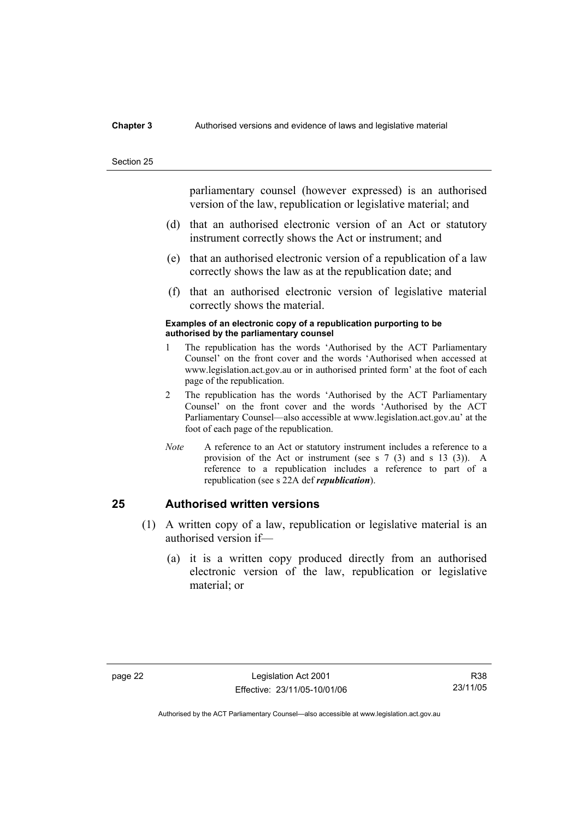#### **Chapter 3** Authorised versions and evidence of laws and legislative material

#### Section 25

parliamentary counsel (however expressed) is an authorised version of the law, republication or legislative material; and

- (d) that an authorised electronic version of an Act or statutory instrument correctly shows the Act or instrument; and
- (e) that an authorised electronic version of a republication of a law correctly shows the law as at the republication date; and
- (f) that an authorised electronic version of legislative material correctly shows the material.

#### **Examples of an electronic copy of a republication purporting to be authorised by the parliamentary counsel**

- 1 The republication has the words 'Authorised by the ACT Parliamentary Counsel' on the front cover and the words 'Authorised when accessed at www.legislation.act.gov.au or in authorised printed form' at the foot of each page of the republication.
- 2 The republication has the words 'Authorised by the ACT Parliamentary Counsel' on the front cover and the words 'Authorised by the ACT Parliamentary Counsel—also accessible at www.legislation.act.gov.au' at the foot of each page of the republication.
- *Note* A reference to an Act or statutory instrument includes a reference to a provision of the Act or instrument (see s 7 (3) and s 13 (3)). A reference to a republication includes a reference to part of a republication (see s 22A def *republication*).

### **25 Authorised written versions**

- (1) A written copy of a law, republication or legislative material is an authorised version if—
	- (a) it is a written copy produced directly from an authorised electronic version of the law, republication or legislative material; or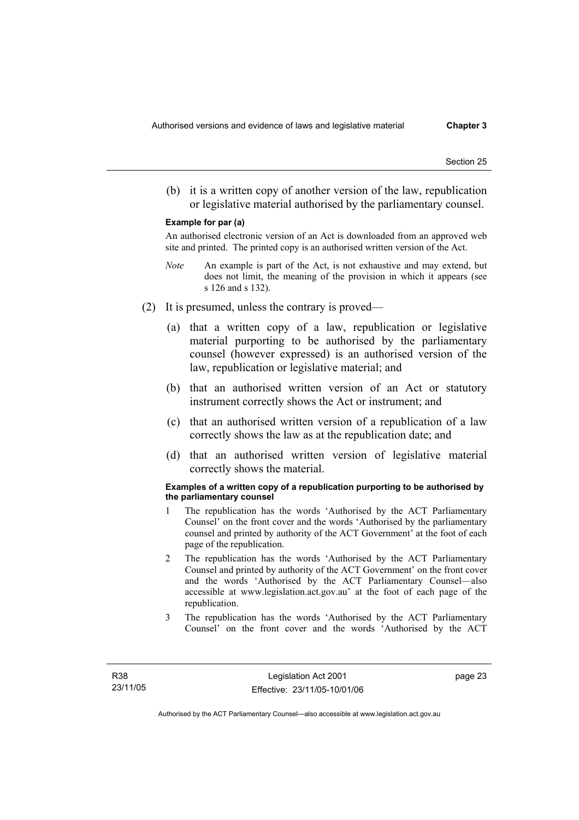(b) it is a written copy of another version of the law, republication or legislative material authorised by the parliamentary counsel.

#### **Example for par (a)**

An authorised electronic version of an Act is downloaded from an approved web site and printed. The printed copy is an authorised written version of the Act.

- *Note* An example is part of the Act, is not exhaustive and may extend, but does not limit, the meaning of the provision in which it appears (see s 126 and s 132).
- (2) It is presumed, unless the contrary is proved—
	- (a) that a written copy of a law, republication or legislative material purporting to be authorised by the parliamentary counsel (however expressed) is an authorised version of the law, republication or legislative material; and
	- (b) that an authorised written version of an Act or statutory instrument correctly shows the Act or instrument; and
	- (c) that an authorised written version of a republication of a law correctly shows the law as at the republication date; and
	- (d) that an authorised written version of legislative material correctly shows the material.

#### **Examples of a written copy of a republication purporting to be authorised by the parliamentary counsel**

- 1 The republication has the words 'Authorised by the ACT Parliamentary Counsel' on the front cover and the words 'Authorised by the parliamentary counsel and printed by authority of the ACT Government' at the foot of each page of the republication.
- 2 The republication has the words 'Authorised by the ACT Parliamentary Counsel and printed by authority of the ACT Government' on the front cover and the words 'Authorised by the ACT Parliamentary Counsel—also accessible at www.legislation.act.gov.au' at the foot of each page of the republication.
- 3 The republication has the words 'Authorised by the ACT Parliamentary Counsel' on the front cover and the words 'Authorised by the ACT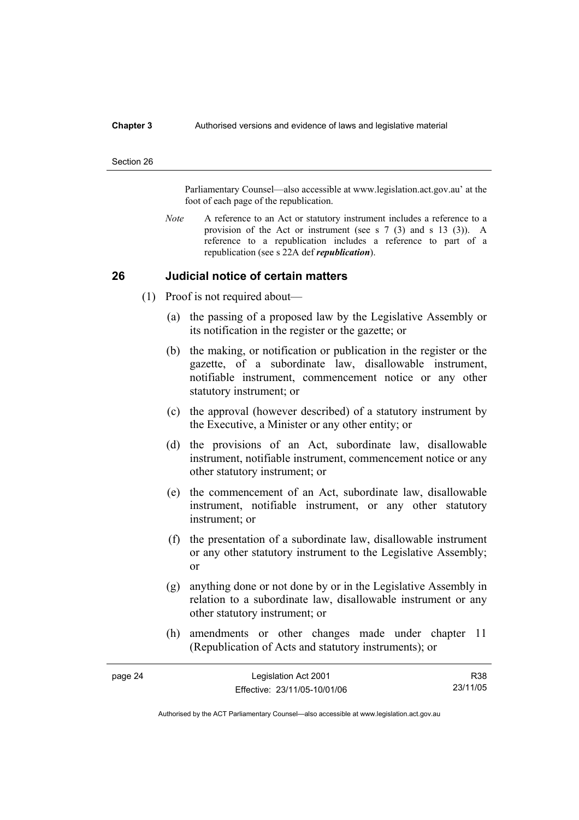#### **Chapter 3** Authorised versions and evidence of laws and legislative material

#### Section 26

Parliamentary Counsel—also accessible at www.legislation.act.gov.au' at the foot of each page of the republication.

*Note* A reference to an Act or statutory instrument includes a reference to a provision of the Act or instrument (see s 7 (3) and s 13 (3)). A reference to a republication includes a reference to part of a republication (see s 22A def *republication*).

### **26 Judicial notice of certain matters**

- (1) Proof is not required about—
	- (a) the passing of a proposed law by the Legislative Assembly or its notification in the register or the gazette; or
	- (b) the making, or notification or publication in the register or the gazette, of a subordinate law, disallowable instrument, notifiable instrument, commencement notice or any other statutory instrument; or
	- (c) the approval (however described) of a statutory instrument by the Executive, a Minister or any other entity; or
	- (d) the provisions of an Act, subordinate law, disallowable instrument, notifiable instrument, commencement notice or any other statutory instrument; or
	- (e) the commencement of an Act, subordinate law, disallowable instrument, notifiable instrument, or any other statutory instrument; or
	- (f) the presentation of a subordinate law, disallowable instrument or any other statutory instrument to the Legislative Assembly; or
	- (g) anything done or not done by or in the Legislative Assembly in relation to a subordinate law, disallowable instrument or any other statutory instrument; or
	- (h) amendments or other changes made under chapter 11 (Republication of Acts and statutory instruments); or

| page 24 | Legislation Act 2001         | R38      |
|---------|------------------------------|----------|
|         | Effective: 23/11/05-10/01/06 | 23/11/05 |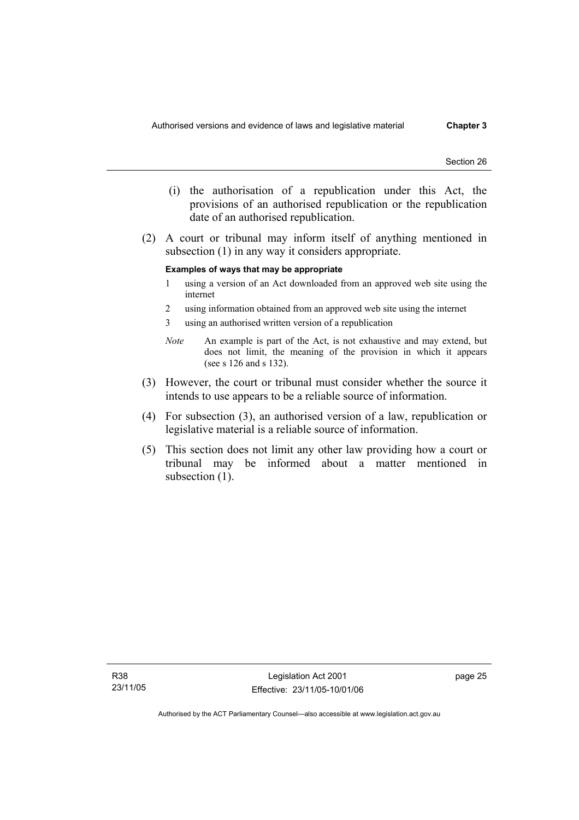- (i) the authorisation of a republication under this Act, the provisions of an authorised republication or the republication date of an authorised republication.
- (2) A court or tribunal may inform itself of anything mentioned in subsection (1) in any way it considers appropriate.

#### **Examples of ways that may be appropriate**

- 1 using a version of an Act downloaded from an approved web site using the internet
- 2 using information obtained from an approved web site using the internet
- 3 using an authorised written version of a republication
- *Note* An example is part of the Act, is not exhaustive and may extend, but does not limit, the meaning of the provision in which it appears (see s 126 and s 132).
- (3) However, the court or tribunal must consider whether the source it intends to use appears to be a reliable source of information.
- (4) For subsection (3), an authorised version of a law, republication or legislative material is a reliable source of information.
- (5) This section does not limit any other law providing how a court or tribunal may be informed about a matter mentioned in subsection  $(1)$ .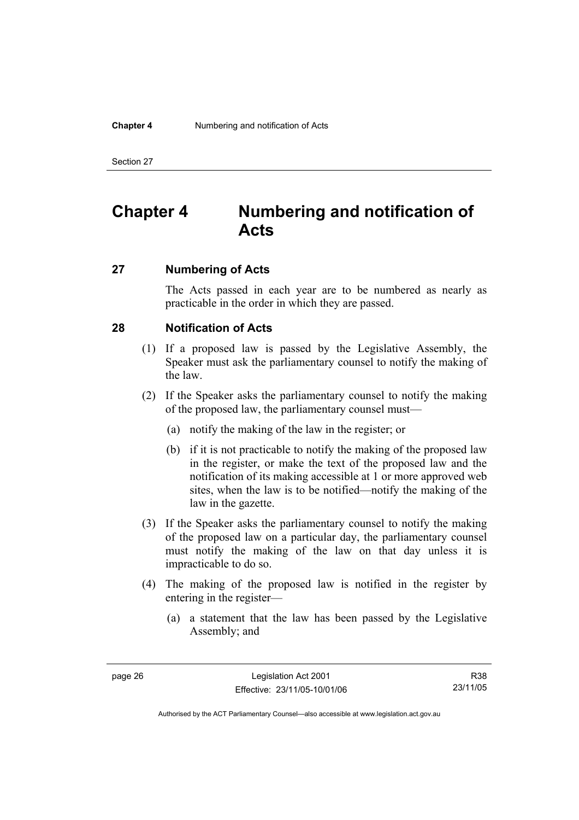#### **Chapter 4** Numbering and notification of Acts

Section 27

# **Chapter 4 Numbering and notification of Acts**

### **27 Numbering of Acts**

The Acts passed in each year are to be numbered as nearly as practicable in the order in which they are passed.

### **28 Notification of Acts**

- (1) If a proposed law is passed by the Legislative Assembly, the Speaker must ask the parliamentary counsel to notify the making of the law.
- (2) If the Speaker asks the parliamentary counsel to notify the making of the proposed law, the parliamentary counsel must—
	- (a) notify the making of the law in the register; or
	- (b) if it is not practicable to notify the making of the proposed law in the register, or make the text of the proposed law and the notification of its making accessible at 1 or more approved web sites, when the law is to be notified—notify the making of the law in the gazette.
- (3) If the Speaker asks the parliamentary counsel to notify the making of the proposed law on a particular day, the parliamentary counsel must notify the making of the law on that day unless it is impracticable to do so.
- (4) The making of the proposed law is notified in the register by entering in the register—
	- (a) a statement that the law has been passed by the Legislative Assembly; and

R38 23/11/05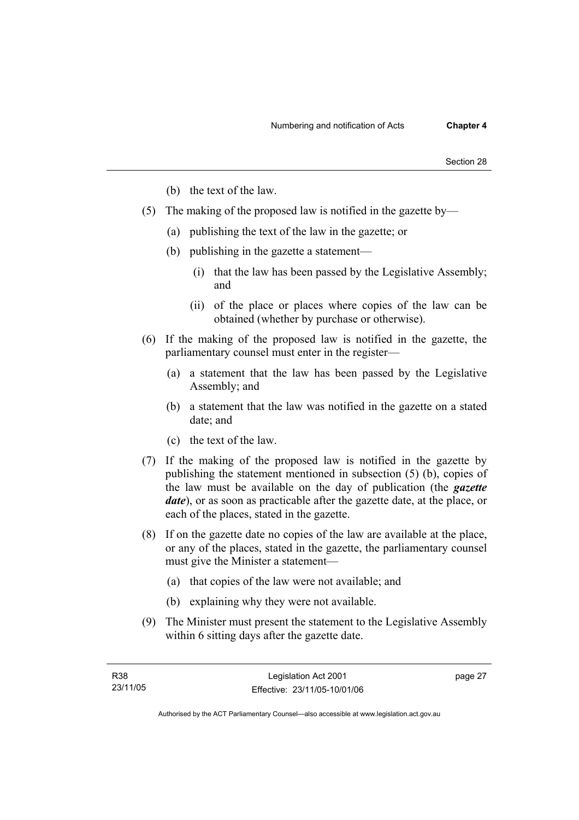- (b) the text of the law.
- (5) The making of the proposed law is notified in the gazette by—
	- (a) publishing the text of the law in the gazette; or
	- (b) publishing in the gazette a statement—
		- (i) that the law has been passed by the Legislative Assembly; and
		- (ii) of the place or places where copies of the law can be obtained (whether by purchase or otherwise).
- (6) If the making of the proposed law is notified in the gazette, the parliamentary counsel must enter in the register—
	- (a) a statement that the law has been passed by the Legislative Assembly; and
	- (b) a statement that the law was notified in the gazette on a stated date; and
	- (c) the text of the law.
- (7) If the making of the proposed law is notified in the gazette by publishing the statement mentioned in subsection (5) (b), copies of the law must be available on the day of publication (the *gazette date*), or as soon as practicable after the gazette date, at the place, or each of the places, stated in the gazette.
- (8) If on the gazette date no copies of the law are available at the place, or any of the places, stated in the gazette, the parliamentary counsel must give the Minister a statement—
	- (a) that copies of the law were not available; and
	- (b) explaining why they were not available.
- (9) The Minister must present the statement to the Legislative Assembly within 6 sitting days after the gazette date.

page 27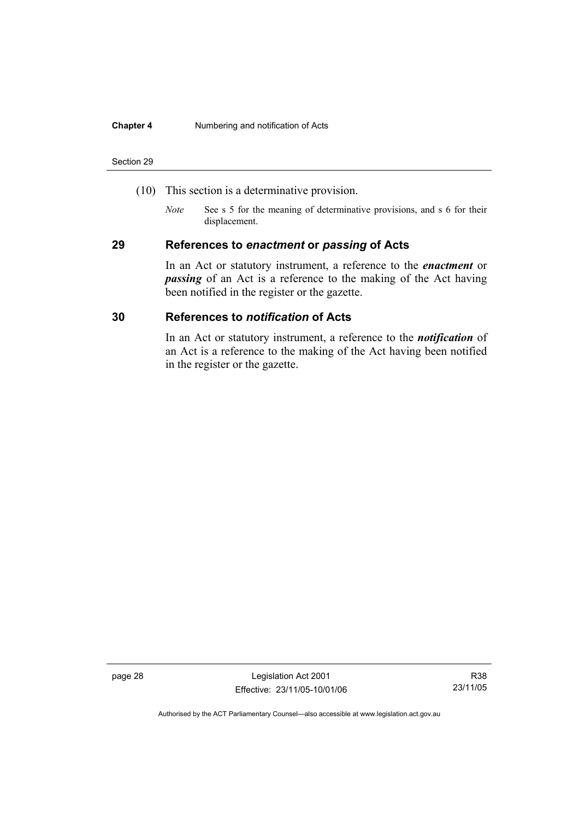#### **Chapter 4** Numbering and notification of Acts

#### Section 29

- (10) This section is a determinative provision.
	- *Note* See s 5 for the meaning of determinative provisions, and s 6 for their displacement.

### **29 References to** *enactment* **or** *passing* **of Acts**

In an Act or statutory instrument, a reference to the *enactment* or *passing* of an Act is a reference to the making of the Act having been notified in the register or the gazette.

### **30 References to** *notification* **of Acts**

In an Act or statutory instrument, a reference to the *notification* of an Act is a reference to the making of the Act having been notified in the register or the gazette.

page 28 Legislation Act 2001 Effective: 23/11/05-10/01/06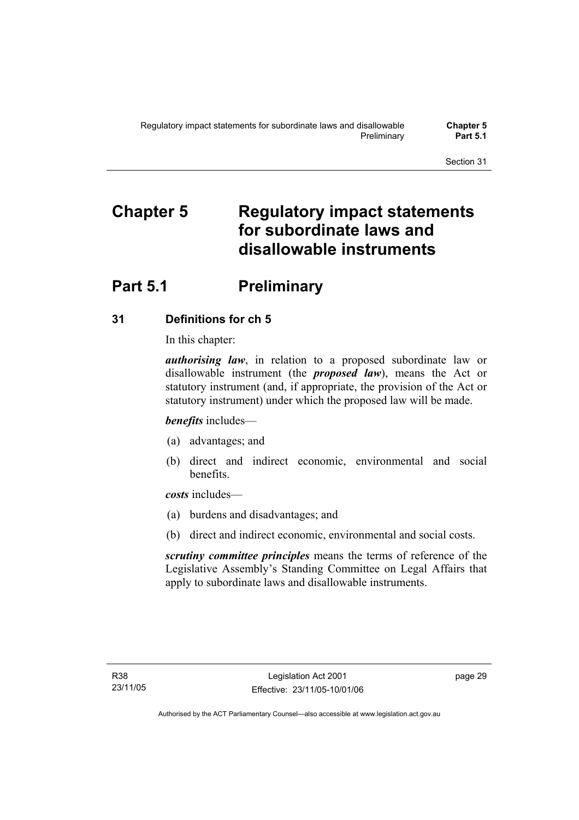# **Chapter 5 Regulatory impact statements for subordinate laws and disallowable instruments**

# **Part 5.1** Preliminary

## **31 Definitions for ch 5**

In this chapter:

*authorising law*, in relation to a proposed subordinate law or disallowable instrument (the *proposed law*), means the Act or statutory instrument (and, if appropriate, the provision of the Act or statutory instrument) under which the proposed law will be made.

*benefits* includes—

- (a) advantages; and
- (b) direct and indirect economic, environmental and social benefits.

*costs* includes—

- (a) burdens and disadvantages; and
- (b) direct and indirect economic, environmental and social costs.

*scrutiny committee principles* means the terms of reference of the Legislative Assembly's Standing Committee on Legal Affairs that apply to subordinate laws and disallowable instruments.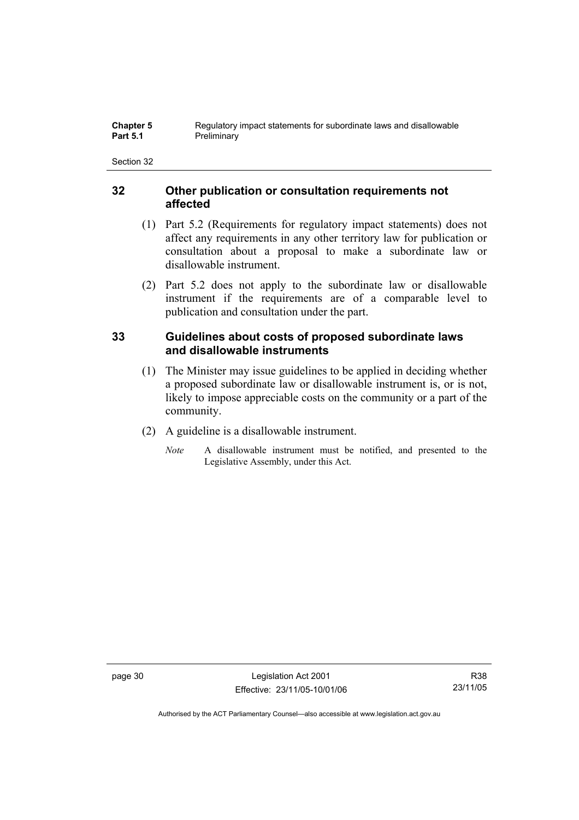### **32 Other publication or consultation requirements not affected**

- (1) Part 5.2 (Requirements for regulatory impact statements) does not affect any requirements in any other territory law for publication or consultation about a proposal to make a subordinate law or disallowable instrument.
- (2) Part 5.2 does not apply to the subordinate law or disallowable instrument if the requirements are of a comparable level to publication and consultation under the part.

## **33 Guidelines about costs of proposed subordinate laws and disallowable instruments**

- (1) The Minister may issue guidelines to be applied in deciding whether a proposed subordinate law or disallowable instrument is, or is not, likely to impose appreciable costs on the community or a part of the community.
- (2) A guideline is a disallowable instrument.
	- *Note* A disallowable instrument must be notified, and presented to the Legislative Assembly, under this Act.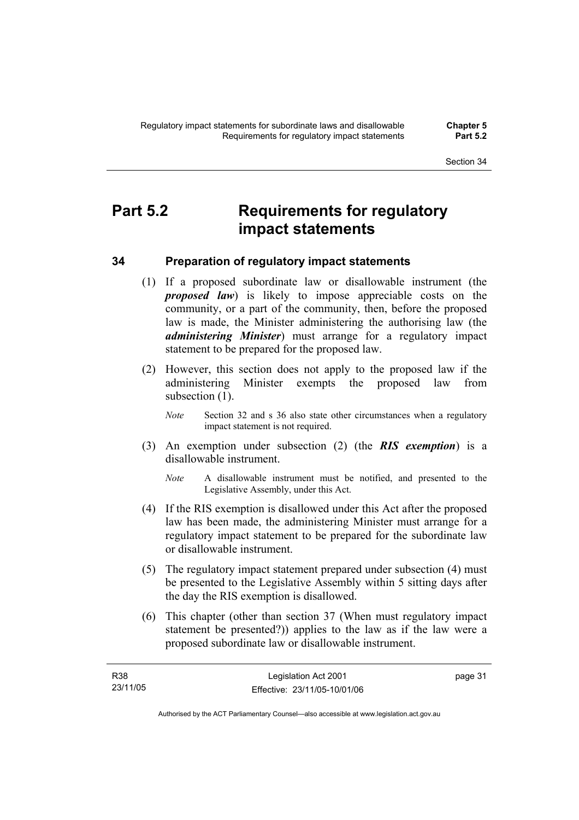# **Part 5.2 Requirements for regulatory impact statements**

## **34 Preparation of regulatory impact statements**

- (1) If a proposed subordinate law or disallowable instrument (the *proposed law*) is likely to impose appreciable costs on the community, or a part of the community, then, before the proposed law is made, the Minister administering the authorising law (the *administering Minister*) must arrange for a regulatory impact statement to be prepared for the proposed law.
- (2) However, this section does not apply to the proposed law if the administering Minister exempts the proposed law from subsection  $(1)$ .
	- *Note* Section 32 and s 36 also state other circumstances when a regulatory impact statement is not required.
- (3) An exemption under subsection (2) (the *RIS exemption*) is a disallowable instrument.
	- *Note* A disallowable instrument must be notified, and presented to the Legislative Assembly, under this Act.
- (4) If the RIS exemption is disallowed under this Act after the proposed law has been made, the administering Minister must arrange for a regulatory impact statement to be prepared for the subordinate law or disallowable instrument.
- (5) The regulatory impact statement prepared under subsection (4) must be presented to the Legislative Assembly within 5 sitting days after the day the RIS exemption is disallowed.
- (6) This chapter (other than section 37 (When must regulatory impact statement be presented?)) applies to the law as if the law were a proposed subordinate law or disallowable instrument.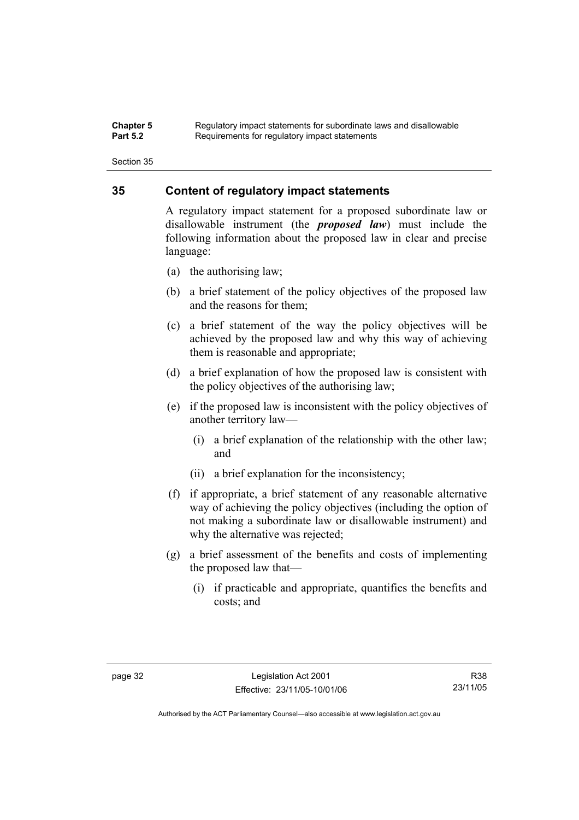#### **Chapter 5** Regulatory impact statements for subordinate laws and disallowable<br>**Part 5.2** Requirements for requistory impact statements Requirements for regulatory impact statements

Section 35

### **35 Content of regulatory impact statements**

A regulatory impact statement for a proposed subordinate law or disallowable instrument (the *proposed law*) must include the following information about the proposed law in clear and precise language:

- (a) the authorising law;
- (b) a brief statement of the policy objectives of the proposed law and the reasons for them;
- (c) a brief statement of the way the policy objectives will be achieved by the proposed law and why this way of achieving them is reasonable and appropriate;
- (d) a brief explanation of how the proposed law is consistent with the policy objectives of the authorising law;
- (e) if the proposed law is inconsistent with the policy objectives of another territory law—
	- (i) a brief explanation of the relationship with the other law; and
	- (ii) a brief explanation for the inconsistency;
- (f) if appropriate, a brief statement of any reasonable alternative way of achieving the policy objectives (including the option of not making a subordinate law or disallowable instrument) and why the alternative was rejected;
- (g) a brief assessment of the benefits and costs of implementing the proposed law that—
	- (i) if practicable and appropriate, quantifies the benefits and costs; and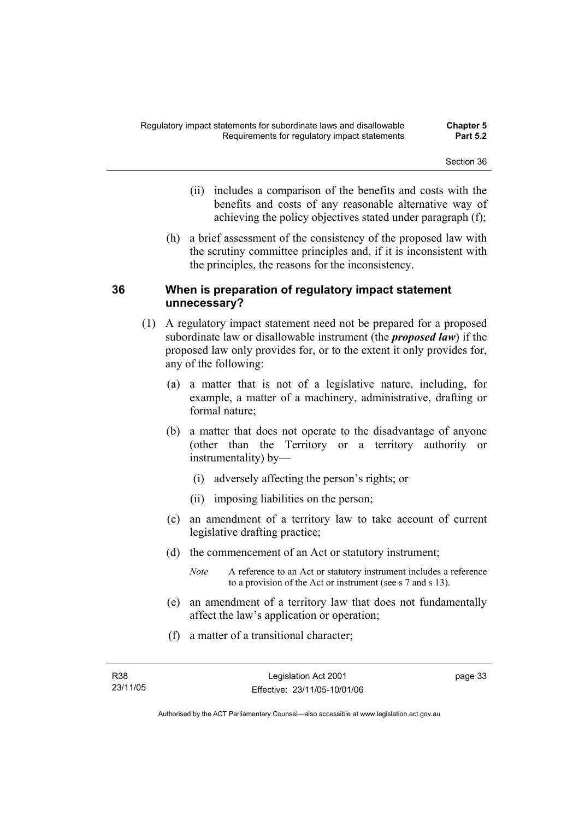- (ii) includes a comparison of the benefits and costs with the benefits and costs of any reasonable alternative way of achieving the policy objectives stated under paragraph (f);
- (h) a brief assessment of the consistency of the proposed law with the scrutiny committee principles and, if it is inconsistent with the principles, the reasons for the inconsistency.

### **36 When is preparation of regulatory impact statement unnecessary?**

- (1) A regulatory impact statement need not be prepared for a proposed subordinate law or disallowable instrument (the *proposed law*) if the proposed law only provides for, or to the extent it only provides for, any of the following:
	- (a) a matter that is not of a legislative nature, including, for example, a matter of a machinery, administrative, drafting or formal nature;
	- (b) a matter that does not operate to the disadvantage of anyone (other than the Territory or a territory authority or instrumentality) by—
		- (i) adversely affecting the person's rights; or
		- (ii) imposing liabilities on the person;
	- (c) an amendment of a territory law to take account of current legislative drafting practice;
	- (d) the commencement of an Act or statutory instrument;
		- *Note* A reference to an Act or statutory instrument includes a reference to a provision of the Act or instrument (see s 7 and s 13).
	- (e) an amendment of a territory law that does not fundamentally affect the law's application or operation;
	- (f) a matter of a transitional character;

page 33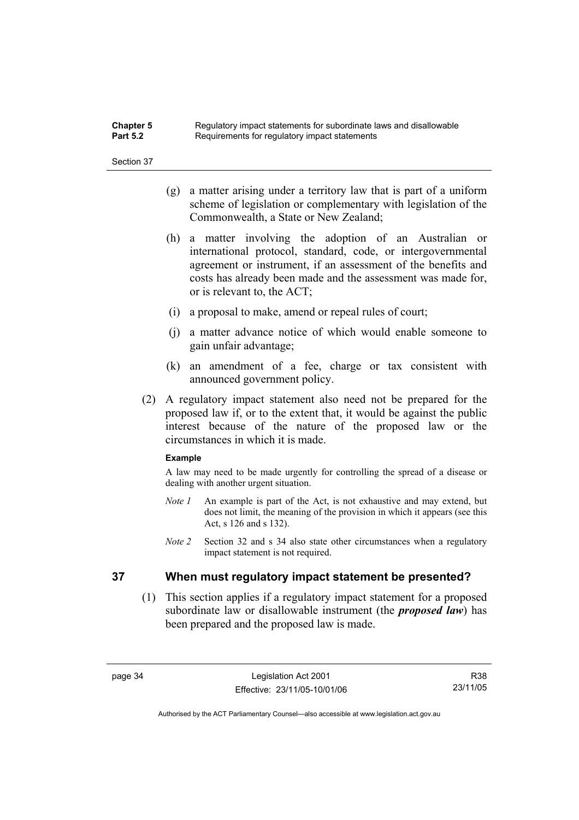| <b>Chapter 5</b> | Regulatory impact statements for subordinate laws and disallowable |
|------------------|--------------------------------------------------------------------|
| <b>Part 5.2</b>  | Requirements for regulatory impact statements                      |

- (g) a matter arising under a territory law that is part of a uniform scheme of legislation or complementary with legislation of the Commonwealth, a State or New Zealand;
- (h) a matter involving the adoption of an Australian or international protocol, standard, code, or intergovernmental agreement or instrument, if an assessment of the benefits and costs has already been made and the assessment was made for, or is relevant to, the ACT;
- (i) a proposal to make, amend or repeal rules of court;
- (j) a matter advance notice of which would enable someone to gain unfair advantage;
- (k) an amendment of a fee, charge or tax consistent with announced government policy.
- (2) A regulatory impact statement also need not be prepared for the proposed law if, or to the extent that, it would be against the public interest because of the nature of the proposed law or the circumstances in which it is made.

#### **Example**

A law may need to be made urgently for controlling the spread of a disease or dealing with another urgent situation.

- *Note 1* An example is part of the Act, is not exhaustive and may extend, but does not limit, the meaning of the provision in which it appears (see this Act, s 126 and s 132).
- *Note 2* Section 32 and s 34 also state other circumstances when a regulatory impact statement is not required.

### **37 When must regulatory impact statement be presented?**

 (1) This section applies if a regulatory impact statement for a proposed subordinate law or disallowable instrument (the *proposed law*) has been prepared and the proposed law is made.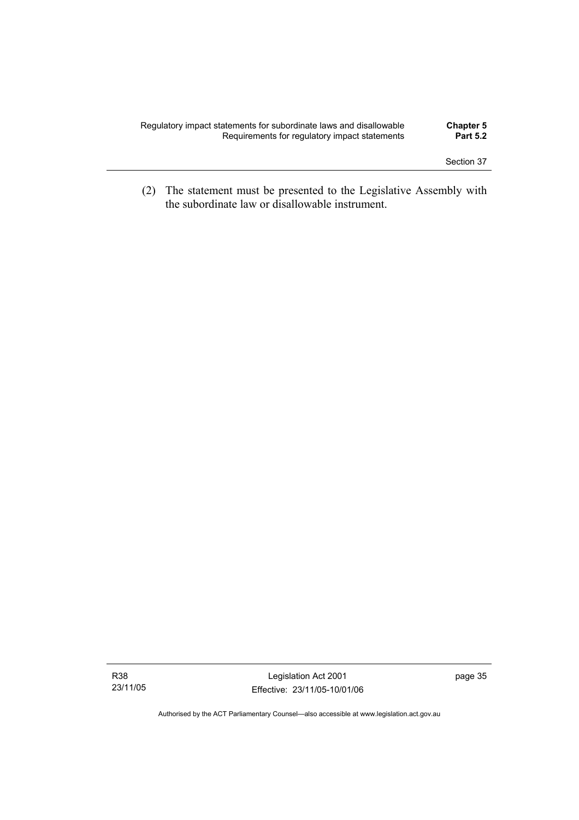| Regulatory impact statements for subordinate laws and disallowable | <b>Chapter 5</b> |
|--------------------------------------------------------------------|------------------|
| Requirements for regulatory impact statements                      | <b>Part 5.2</b>  |
|                                                                    |                  |

 (2) The statement must be presented to the Legislative Assembly with the subordinate law or disallowable instrument.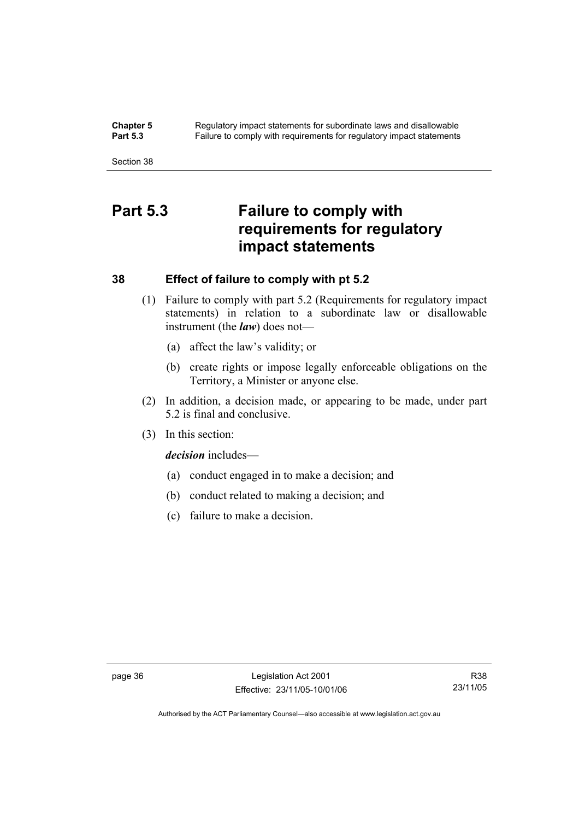**Chapter 5** Regulatory impact statements for subordinate laws and disallowable<br>**Part 5.3** Failure to comply with requirements for requilatory impact statements Failure to comply with requirements for regulatory impact statements

Section 38

# **Part 5.3 Failure to comply with requirements for regulatory impact statements**

### **38 Effect of failure to comply with pt 5.2**

- (1) Failure to comply with part 5.2 (Requirements for regulatory impact statements) in relation to a subordinate law or disallowable instrument (the *law*) does not—
	- (a) affect the law's validity; or
	- (b) create rights or impose legally enforceable obligations on the Territory, a Minister or anyone else.
- (2) In addition, a decision made, or appearing to be made, under part 5.2 is final and conclusive.
- (3) In this section:

*decision* includes—

- (a) conduct engaged in to make a decision; and
- (b) conduct related to making a decision; and
- (c) failure to make a decision.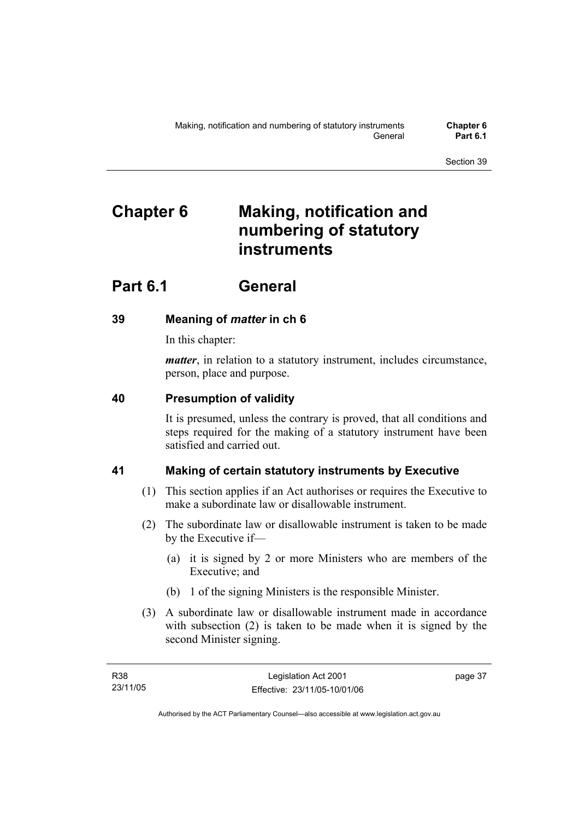# **Chapter 6 Making, notification and numbering of statutory instruments**

# **Part 6.1 General**

## **39 Meaning of** *matter* **in ch 6**

In this chapter:

*matter*, in relation to a statutory instrument, includes circumstance, person, place and purpose.

### **40 Presumption of validity**

It is presumed, unless the contrary is proved, that all conditions and steps required for the making of a statutory instrument have been satisfied and carried out.

## **41 Making of certain statutory instruments by Executive**

- (1) This section applies if an Act authorises or requires the Executive to make a subordinate law or disallowable instrument.
- (2) The subordinate law or disallowable instrument is taken to be made by the Executive if—
	- (a) it is signed by 2 or more Ministers who are members of the Executive; and
	- (b) 1 of the signing Ministers is the responsible Minister.
- (3) A subordinate law or disallowable instrument made in accordance with subsection (2) is taken to be made when it is signed by the second Minister signing.

page 37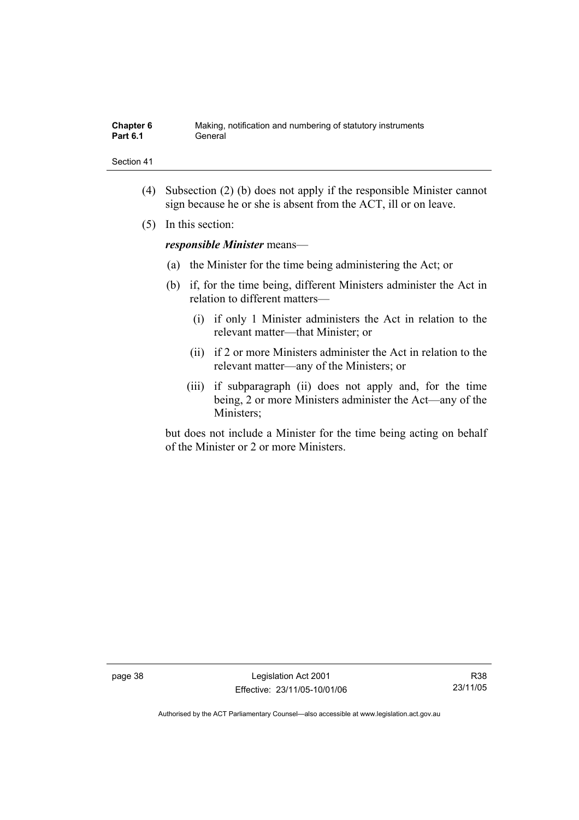| Chapter 6       | Making, notification and numbering of statutory instruments |
|-----------------|-------------------------------------------------------------|
| <b>Part 6.1</b> | General                                                     |

- (4) Subsection (2) (b) does not apply if the responsible Minister cannot sign because he or she is absent from the ACT, ill or on leave.
- (5) In this section:

*responsible Minister* means—

- (a) the Minister for the time being administering the Act; or
- (b) if, for the time being, different Ministers administer the Act in relation to different matters—
	- (i) if only 1 Minister administers the Act in relation to the relevant matter—that Minister; or
	- (ii) if 2 or more Ministers administer the Act in relation to the relevant matter—any of the Ministers; or
	- (iii) if subparagraph (ii) does not apply and, for the time being, 2 or more Ministers administer the Act—any of the Ministers;

but does not include a Minister for the time being acting on behalf of the Minister or 2 or more Ministers.

page 38 Legislation Act 2001 Effective: 23/11/05-10/01/06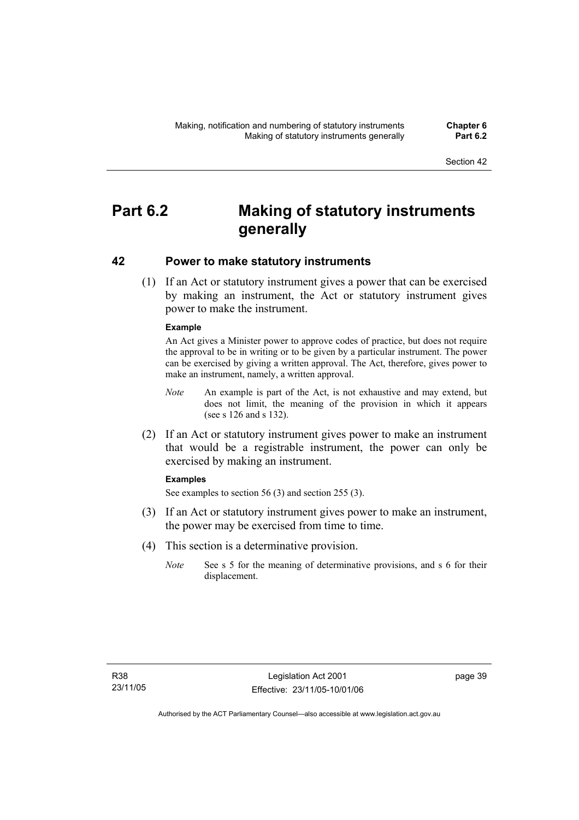# **Part 6.2 Making of statutory instruments generally**

### **42 Power to make statutory instruments**

 (1) If an Act or statutory instrument gives a power that can be exercised by making an instrument, the Act or statutory instrument gives power to make the instrument.

### **Example**

An Act gives a Minister power to approve codes of practice, but does not require the approval to be in writing or to be given by a particular instrument. The power can be exercised by giving a written approval. The Act, therefore, gives power to make an instrument, namely, a written approval.

- *Note* An example is part of the Act, is not exhaustive and may extend, but does not limit, the meaning of the provision in which it appears (see s 126 and s 132).
- (2) If an Act or statutory instrument gives power to make an instrument that would be a registrable instrument, the power can only be exercised by making an instrument.

#### **Examples**

See examples to section 56 (3) and section 255 (3).

- (3) If an Act or statutory instrument gives power to make an instrument, the power may be exercised from time to time.
- (4) This section is a determinative provision.
	- *Note* See s 5 for the meaning of determinative provisions, and s 6 for their displacement.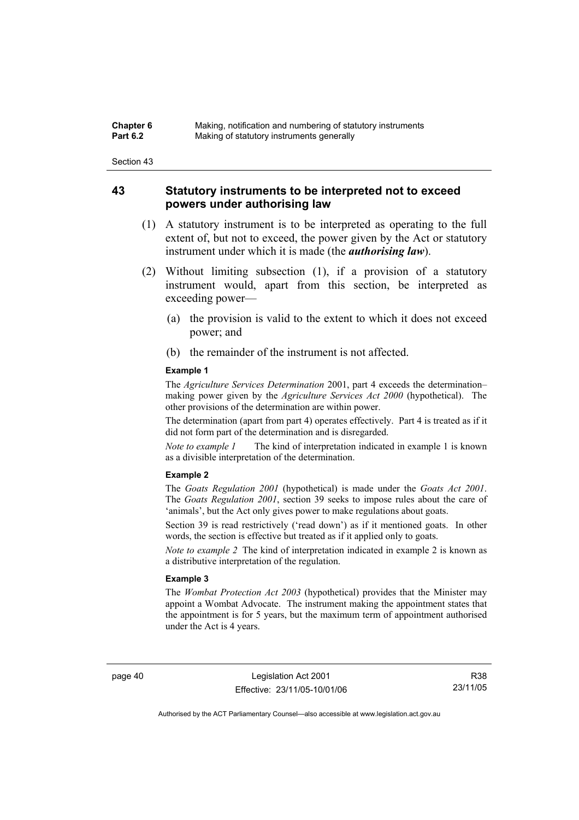| Chapter 6       | Making, notification and numbering of statutory instruments |
|-----------------|-------------------------------------------------------------|
| <b>Part 6.2</b> | Making of statutory instruments generally                   |

### **43 Statutory instruments to be interpreted not to exceed powers under authorising law**

- (1) A statutory instrument is to be interpreted as operating to the full extent of, but not to exceed, the power given by the Act or statutory instrument under which it is made (the *authorising law*).
- (2) Without limiting subsection (1), if a provision of a statutory instrument would, apart from this section, be interpreted as exceeding power—
	- (a) the provision is valid to the extent to which it does not exceed power; and
	- (b) the remainder of the instrument is not affected.

#### **Example 1**

The *Agriculture Services Determination* 2001, part 4 exceeds the determination– making power given by the *Agriculture Services Act 2000* (hypothetical). The other provisions of the determination are within power.

The determination (apart from part 4) operates effectively. Part 4 is treated as if it did not form part of the determination and is disregarded.

*Note to example 1* The kind of interpretation indicated in example 1 is known as a divisible interpretation of the determination.

#### **Example 2**

The *Goats Regulation 2001* (hypothetical) is made under the *Goats Act 2001*. The *Goats Regulation 2001*, section 39 seeks to impose rules about the care of 'animals', but the Act only gives power to make regulations about goats.

Section 39 is read restrictively ('read down') as if it mentioned goats. In other words, the section is effective but treated as if it applied only to goats.

*Note to example 2* The kind of interpretation indicated in example 2 is known as a distributive interpretation of the regulation.

#### **Example 3**

The *Wombat Protection Act 2003* (hypothetical) provides that the Minister may appoint a Wombat Advocate. The instrument making the appointment states that the appointment is for 5 years, but the maximum term of appointment authorised under the Act is 4 years.

page 40 Legislation Act 2001 Effective: 23/11/05-10/01/06

R38 23/11/05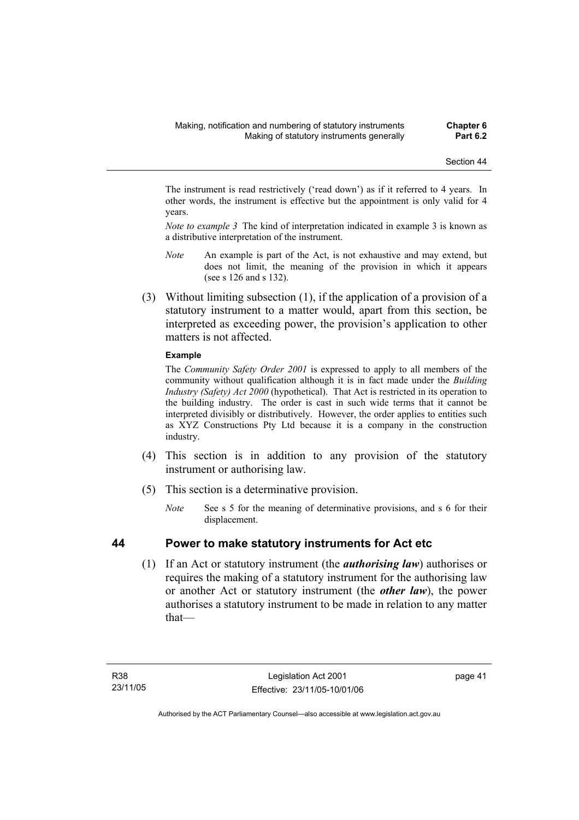The instrument is read restrictively ('read down') as if it referred to 4 years. In other words, the instrument is effective but the appointment is only valid for 4 years.

*Note to example 3* The kind of interpretation indicated in example 3 is known as a distributive interpretation of the instrument.

- *Note* An example is part of the Act, is not exhaustive and may extend, but does not limit, the meaning of the provision in which it appears (see s 126 and s 132).
- (3) Without limiting subsection (1), if the application of a provision of a statutory instrument to a matter would, apart from this section, be interpreted as exceeding power, the provision's application to other matters is not affected.

### **Example**

The *Community Safety Order 2001* is expressed to apply to all members of the community without qualification although it is in fact made under the *Building Industry (Safety) Act 2000* (hypothetical). That Act is restricted in its operation to the building industry. The order is cast in such wide terms that it cannot be interpreted divisibly or distributively. However, the order applies to entities such as XYZ Constructions Pty Ltd because it is a company in the construction industry.

- (4) This section is in addition to any provision of the statutory instrument or authorising law.
- (5) This section is a determinative provision.
	- *Note* See s 5 for the meaning of determinative provisions, and s 6 for their displacement.

## **44 Power to make statutory instruments for Act etc**

 (1) If an Act or statutory instrument (the *authorising law*) authorises or requires the making of a statutory instrument for the authorising law or another Act or statutory instrument (the *other law*), the power authorises a statutory instrument to be made in relation to any matter that—

page 41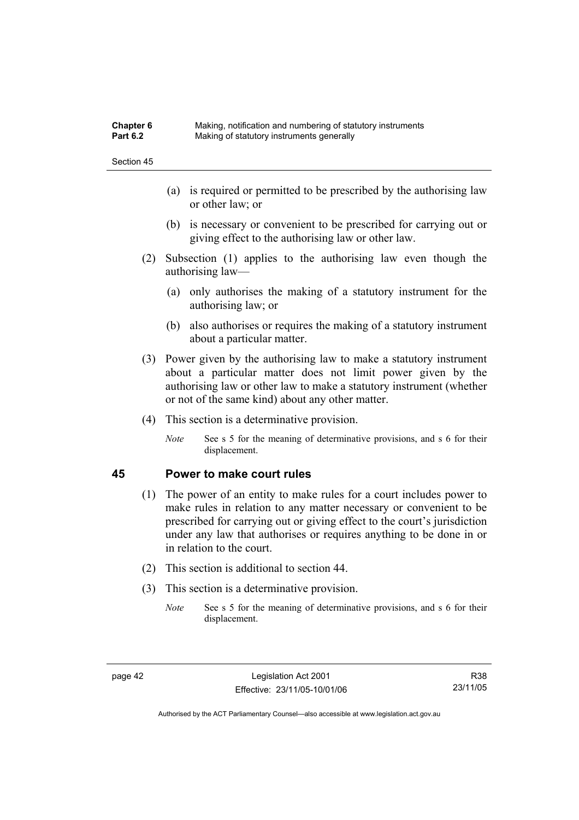| <b>Chapter 6</b> | Making, notification and numbering of statutory instruments |
|------------------|-------------------------------------------------------------|
| <b>Part 6.2</b>  | Making of statutory instruments generally                   |

- (a) is required or permitted to be prescribed by the authorising law or other law; or
- (b) is necessary or convenient to be prescribed for carrying out or giving effect to the authorising law or other law.
- (2) Subsection (1) applies to the authorising law even though the authorising law—
	- (a) only authorises the making of a statutory instrument for the authorising law; or
	- (b) also authorises or requires the making of a statutory instrument about a particular matter.
- (3) Power given by the authorising law to make a statutory instrument about a particular matter does not limit power given by the authorising law or other law to make a statutory instrument (whether or not of the same kind) about any other matter.
- (4) This section is a determinative provision.
	- *Note* See s 5 for the meaning of determinative provisions, and s 6 for their displacement.

### **45 Power to make court rules**

- (1) The power of an entity to make rules for a court includes power to make rules in relation to any matter necessary or convenient to be prescribed for carrying out or giving effect to the court's jurisdiction under any law that authorises or requires anything to be done in or in relation to the court.
- (2) This section is additional to section 44.
- (3) This section is a determinative provision.
	- *Note* See s 5 for the meaning of determinative provisions, and s 6 for their displacement.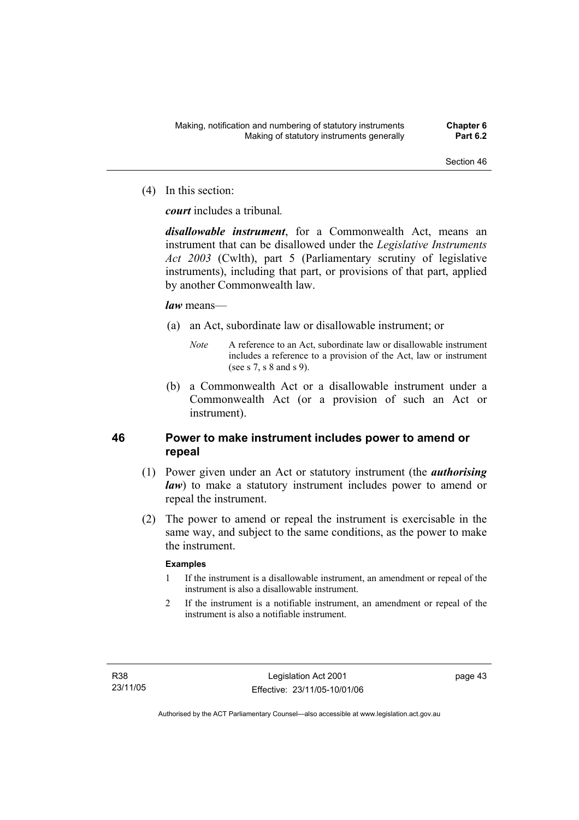(4) In this section:

*court* includes a tribunal*.*

*disallowable instrument*, for a Commonwealth Act, means an instrument that can be disallowed under the *Legislative Instruments Act 2003* (Cwlth), part 5 (Parliamentary scrutiny of legislative instruments), including that part, or provisions of that part, applied by another Commonwealth law.

### *law* means—

- (a) an Act, subordinate law or disallowable instrument; or
	- *Note* A reference to an Act, subordinate law or disallowable instrument includes a reference to a provision of the Act, law or instrument (see s 7, s 8 and s 9).
- (b) a Commonwealth Act or a disallowable instrument under a Commonwealth Act (or a provision of such an Act or instrument).

## **46 Power to make instrument includes power to amend or repeal**

- (1) Power given under an Act or statutory instrument (the *authorising law*) to make a statutory instrument includes power to amend or repeal the instrument.
- (2) The power to amend or repeal the instrument is exercisable in the same way, and subject to the same conditions, as the power to make the instrument.

### **Examples**

- 1 If the instrument is a disallowable instrument, an amendment or repeal of the instrument is also a disallowable instrument.
- 2 If the instrument is a notifiable instrument, an amendment or repeal of the instrument is also a notifiable instrument.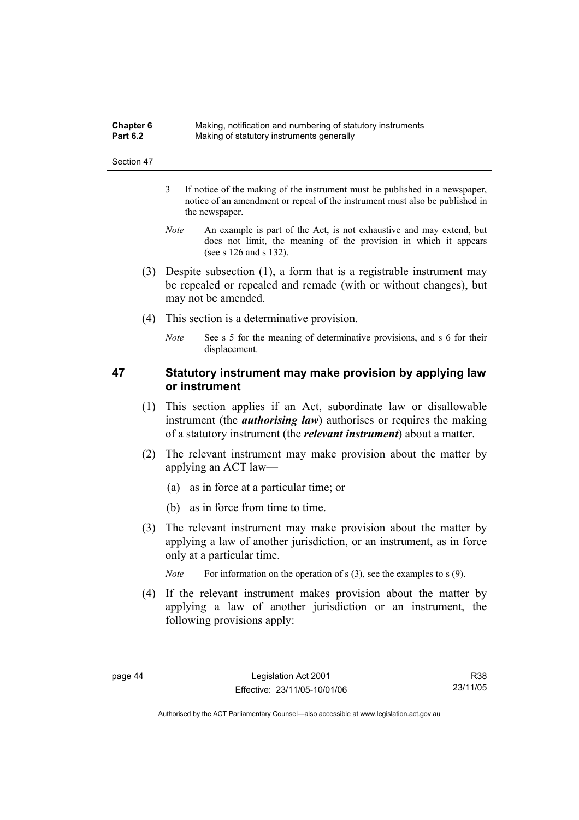| <b>Chapter 6</b> | Making, notification and numbering of statutory instruments |
|------------------|-------------------------------------------------------------|
| <b>Part 6.2</b>  | Making of statutory instruments generally                   |

- 3 If notice of the making of the instrument must be published in a newspaper, notice of an amendment or repeal of the instrument must also be published in the newspaper.
- *Note* An example is part of the Act, is not exhaustive and may extend, but does not limit, the meaning of the provision in which it appears (see s 126 and s 132).
- (3) Despite subsection (1), a form that is a registrable instrument may be repealed or repealed and remade (with or without changes), but may not be amended.
- (4) This section is a determinative provision.
	- *Note* See s 5 for the meaning of determinative provisions, and s 6 for their displacement.

## **47 Statutory instrument may make provision by applying law or instrument**

- (1) This section applies if an Act, subordinate law or disallowable instrument (the *authorising law*) authorises or requires the making of a statutory instrument (the *relevant instrument*) about a matter.
- (2) The relevant instrument may make provision about the matter by applying an ACT law—
	- (a) as in force at a particular time; or
	- (b) as in force from time to time.
- (3) The relevant instrument may make provision about the matter by applying a law of another jurisdiction, or an instrument, as in force only at a particular time.

*Note* For information on the operation of s (3), see the examples to s (9).

 (4) If the relevant instrument makes provision about the matter by applying a law of another jurisdiction or an instrument, the following provisions apply: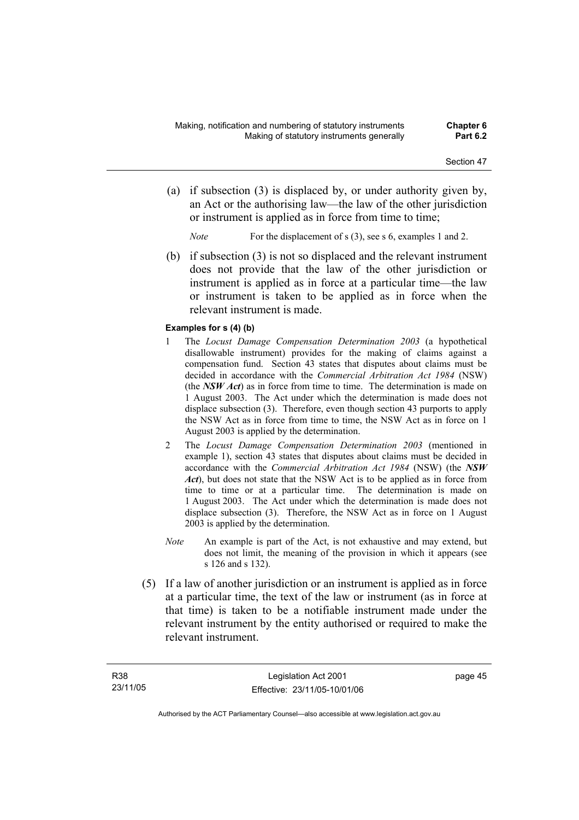- (a) if subsection (3) is displaced by, or under authority given by, an Act or the authorising law—the law of the other jurisdiction or instrument is applied as in force from time to time;
	- *Note* For the displacement of s (3), see s 6, examples 1 and 2.
- (b) if subsection (3) is not so displaced and the relevant instrument does not provide that the law of the other jurisdiction or instrument is applied as in force at a particular time—the law or instrument is taken to be applied as in force when the relevant instrument is made.

#### **Examples for s (4) (b)**

- 1 The *Locust Damage Compensation Determination 2003* (a hypothetical disallowable instrument) provides for the making of claims against a compensation fund. Section 43 states that disputes about claims must be decided in accordance with the *Commercial Arbitration Act 1984* (NSW) (the *NSW Act*) as in force from time to time. The determination is made on 1 August 2003. The Act under which the determination is made does not displace subsection (3). Therefore, even though section 43 purports to apply the NSW Act as in force from time to time, the NSW Act as in force on 1 August 2003 is applied by the determination.
- 2 The *Locust Damage Compensation Determination 2003* (mentioned in example 1), section 43 states that disputes about claims must be decided in accordance with the *Commercial Arbitration Act 1984* (NSW) (the *NSW Act*), but does not state that the NSW Act is to be applied as in force from time to time or at a particular time. The determination is made on 1 August 2003. The Act under which the determination is made does not displace subsection (3). Therefore, the NSW Act as in force on 1 August 2003 is applied by the determination.
- *Note* An example is part of the Act, is not exhaustive and may extend, but does not limit, the meaning of the provision in which it appears (see s 126 and s 132).
- (5) If a law of another jurisdiction or an instrument is applied as in force at a particular time, the text of the law or instrument (as in force at that time) is taken to be a notifiable instrument made under the relevant instrument by the entity authorised or required to make the relevant instrument.

page 45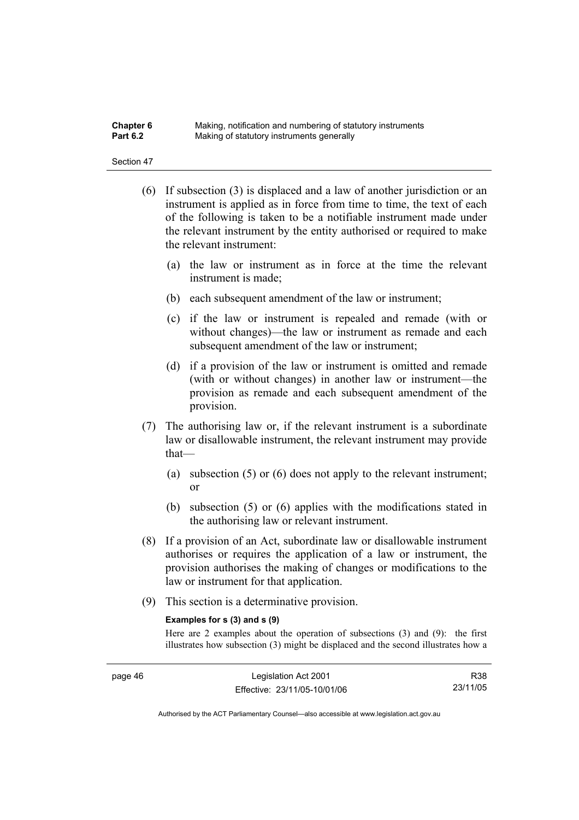| Chapter 6       | Making, notification and numbering of statutory instruments |
|-----------------|-------------------------------------------------------------|
| <b>Part 6.2</b> | Making of statutory instruments generally                   |

- (6) If subsection (3) is displaced and a law of another jurisdiction or an instrument is applied as in force from time to time, the text of each of the following is taken to be a notifiable instrument made under the relevant instrument by the entity authorised or required to make the relevant instrument:
	- (a) the law or instrument as in force at the time the relevant instrument is made;
	- (b) each subsequent amendment of the law or instrument;
	- (c) if the law or instrument is repealed and remade (with or without changes)—the law or instrument as remade and each subsequent amendment of the law or instrument;
	- (d) if a provision of the law or instrument is omitted and remade (with or without changes) in another law or instrument—the provision as remade and each subsequent amendment of the provision.
- (7) The authorising law or, if the relevant instrument is a subordinate law or disallowable instrument, the relevant instrument may provide that—
	- (a) subsection (5) or (6) does not apply to the relevant instrument; or
	- (b) subsection (5) or (6) applies with the modifications stated in the authorising law or relevant instrument.
- (8) If a provision of an Act, subordinate law or disallowable instrument authorises or requires the application of a law or instrument, the provision authorises the making of changes or modifications to the law or instrument for that application.
- (9) This section is a determinative provision.

#### **Examples for s (3) and s (9)**

Here are 2 examples about the operation of subsections (3) and (9): the first illustrates how subsection (3) might be displaced and the second illustrates how a

R38 23/11/05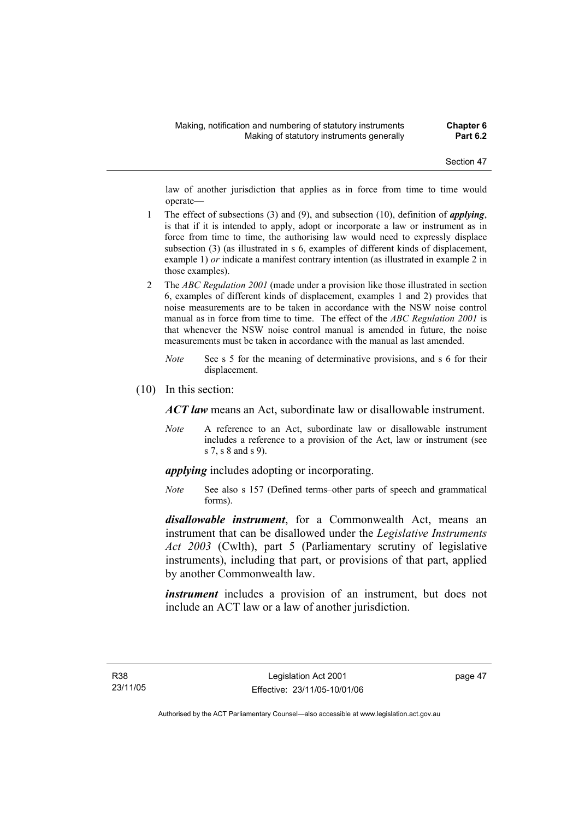law of another jurisdiction that applies as in force from time to time would operate—

- 1 The effect of subsections (3) and (9), and subsection (10), definition of *applying*, is that if it is intended to apply, adopt or incorporate a law or instrument as in force from time to time, the authorising law would need to expressly displace subsection (3) (as illustrated in s 6, examples of different kinds of displacement, example 1) *or* indicate a manifest contrary intention (as illustrated in example 2 in those examples).
- 2 The *ABC Regulation 2001* (made under a provision like those illustrated in section 6, examples of different kinds of displacement, examples 1 and 2) provides that noise measurements are to be taken in accordance with the NSW noise control manual as in force from time to time. The effect of the *ABC Regulation 2001* is that whenever the NSW noise control manual is amended in future, the noise measurements must be taken in accordance with the manual as last amended.
	- *Note* See s 5 for the meaning of determinative provisions, and s 6 for their displacement.
- (10) In this section:

*ACT law* means an Act, subordinate law or disallowable instrument.

*Note* A reference to an Act, subordinate law or disallowable instrument includes a reference to a provision of the Act, law or instrument (see s 7, s 8 and s 9).

*applying* includes adopting or incorporating.

*Note* See also s 157 (Defined terms–other parts of speech and grammatical forms).

*disallowable instrument*, for a Commonwealth Act, means an instrument that can be disallowed under the *Legislative Instruments Act 2003* (Cwlth), part 5 (Parliamentary scrutiny of legislative instruments), including that part, or provisions of that part, applied by another Commonwealth law.

*instrument* includes a provision of an instrument, but does not include an ACT law or a law of another jurisdiction.

page 47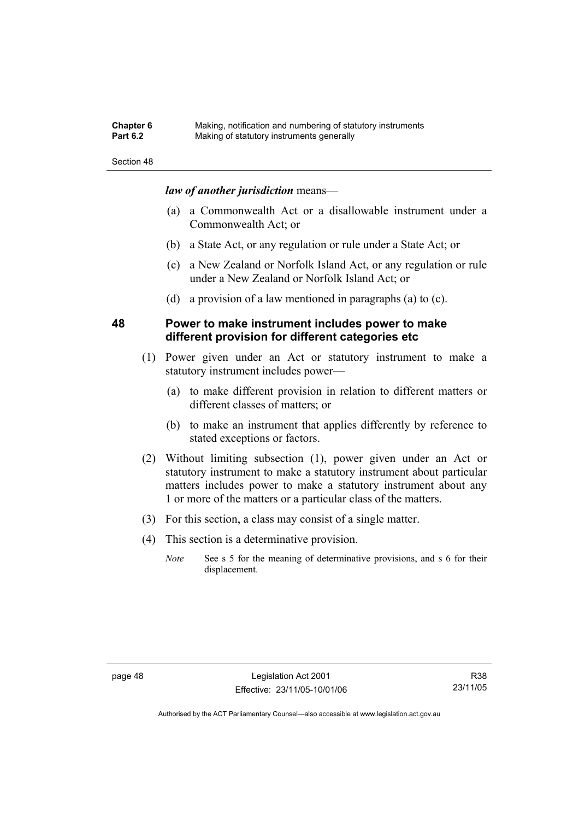| <b>Chapter 6</b> | Making, notification and numbering of statutory instruments |
|------------------|-------------------------------------------------------------|
| <b>Part 6.2</b>  | Making of statutory instruments generally                   |

### *law of another jurisdiction* means—

- (a) a Commonwealth Act or a disallowable instrument under a Commonwealth Act; or
- (b) a State Act, or any regulation or rule under a State Act; or
- (c) a New Zealand or Norfolk Island Act, or any regulation or rule under a New Zealand or Norfolk Island Act; or
- (d) a provision of a law mentioned in paragraphs (a) to (c).

### **48 Power to make instrument includes power to make different provision for different categories etc**

- (1) Power given under an Act or statutory instrument to make a statutory instrument includes power—
	- (a) to make different provision in relation to different matters or different classes of matters; or
	- (b) to make an instrument that applies differently by reference to stated exceptions or factors.
- (2) Without limiting subsection (1), power given under an Act or statutory instrument to make a statutory instrument about particular matters includes power to make a statutory instrument about any 1 or more of the matters or a particular class of the matters.
- (3) For this section, a class may consist of a single matter.
- (4) This section is a determinative provision.
	- *Note* See s 5 for the meaning of determinative provisions, and s 6 for their displacement.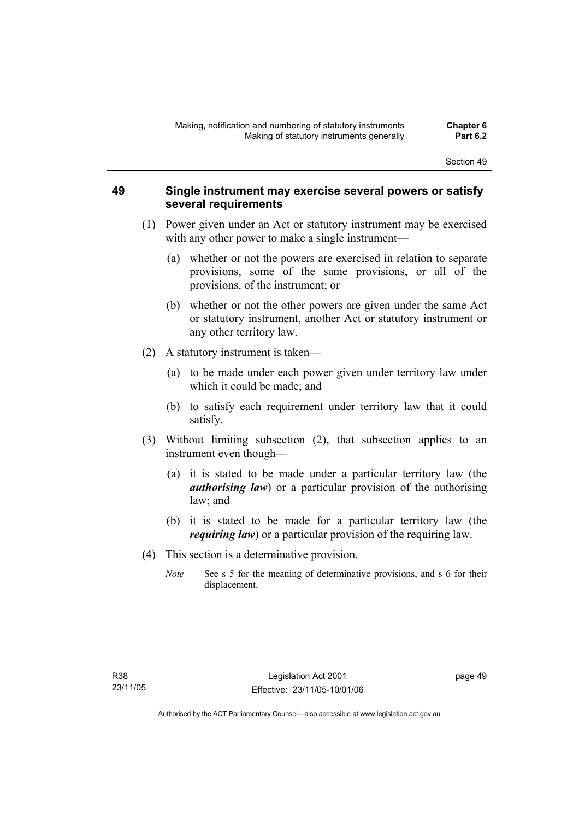### **49 Single instrument may exercise several powers or satisfy several requirements**

- (1) Power given under an Act or statutory instrument may be exercised with any other power to make a single instrument—
	- (a) whether or not the powers are exercised in relation to separate provisions, some of the same provisions, or all of the provisions, of the instrument; or
	- (b) whether or not the other powers are given under the same Act or statutory instrument, another Act or statutory instrument or any other territory law.
- (2) A statutory instrument is taken—
	- (a) to be made under each power given under territory law under which it could be made; and
	- (b) to satisfy each requirement under territory law that it could satisfy.
- (3) Without limiting subsection (2), that subsection applies to an instrument even though—
	- (a) it is stated to be made under a particular territory law (the *authorising law*) or a particular provision of the authorising law; and
	- (b) it is stated to be made for a particular territory law (the *requiring law*) or a particular provision of the requiring law.
- (4) This section is a determinative provision.
	- *Note* See s 5 for the meaning of determinative provisions, and s 6 for their displacement.

page 49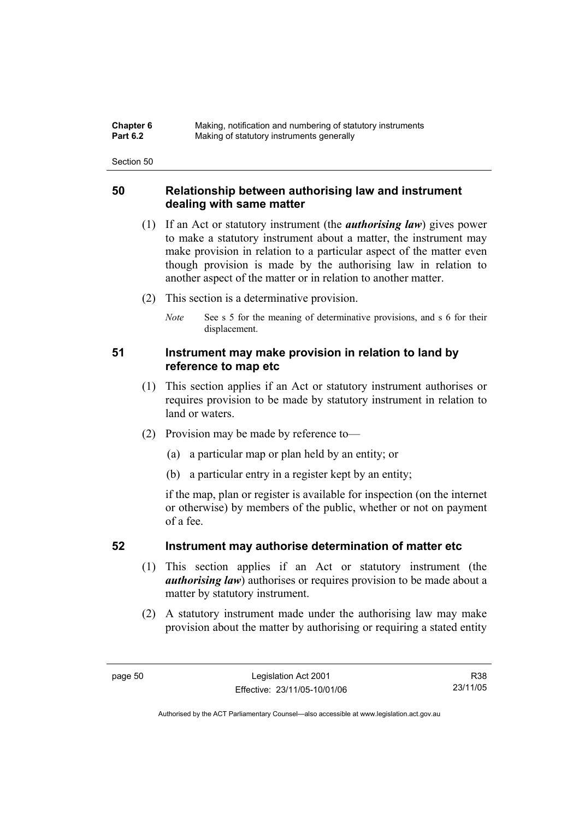| <b>Chapter 6</b> | Making, notification and numbering of statutory instruments |
|------------------|-------------------------------------------------------------|
| <b>Part 6.2</b>  | Making of statutory instruments generally                   |

### **50 Relationship between authorising law and instrument dealing with same matter**

- (1) If an Act or statutory instrument (the *authorising law*) gives power to make a statutory instrument about a matter, the instrument may make provision in relation to a particular aspect of the matter even though provision is made by the authorising law in relation to another aspect of the matter or in relation to another matter.
- (2) This section is a determinative provision.
	- *Note* See s 5 for the meaning of determinative provisions, and s 6 for their displacement.

### **51 Instrument may make provision in relation to land by reference to map etc**

- (1) This section applies if an Act or statutory instrument authorises or requires provision to be made by statutory instrument in relation to land or waters.
- (2) Provision may be made by reference to—
	- (a) a particular map or plan held by an entity; or
	- (b) a particular entry in a register kept by an entity;

if the map, plan or register is available for inspection (on the internet or otherwise) by members of the public, whether or not on payment of a fee.

### **52 Instrument may authorise determination of matter etc**

- (1) This section applies if an Act or statutory instrument (the *authorising law*) authorises or requires provision to be made about a matter by statutory instrument.
- (2) A statutory instrument made under the authorising law may make provision about the matter by authorising or requiring a stated entity

R38 23/11/05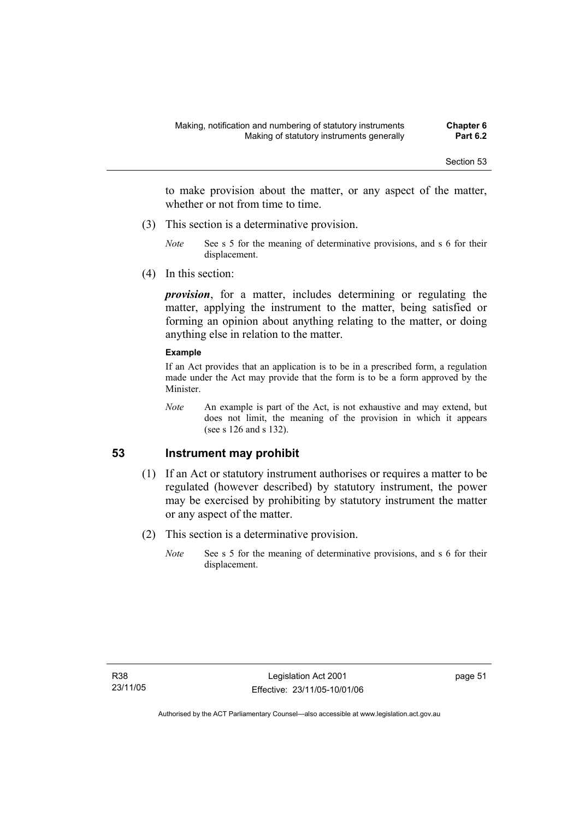to make provision about the matter, or any aspect of the matter, whether or not from time to time.

- (3) This section is a determinative provision.
	- *Note* See s 5 for the meaning of determinative provisions, and s 6 for their displacement.
- (4) In this section:

*provision*, for a matter, includes determining or regulating the matter, applying the instrument to the matter, being satisfied or forming an opinion about anything relating to the matter, or doing anything else in relation to the matter.

#### **Example**

If an Act provides that an application is to be in a prescribed form, a regulation made under the Act may provide that the form is to be a form approved by the Minister.

*Note* An example is part of the Act, is not exhaustive and may extend, but does not limit, the meaning of the provision in which it appears (see s 126 and s 132).

### **53 Instrument may prohibit**

- (1) If an Act or statutory instrument authorises or requires a matter to be regulated (however described) by statutory instrument, the power may be exercised by prohibiting by statutory instrument the matter or any aspect of the matter.
- (2) This section is a determinative provision.
	- *Note* See s 5 for the meaning of determinative provisions, and s 6 for their displacement.

page 51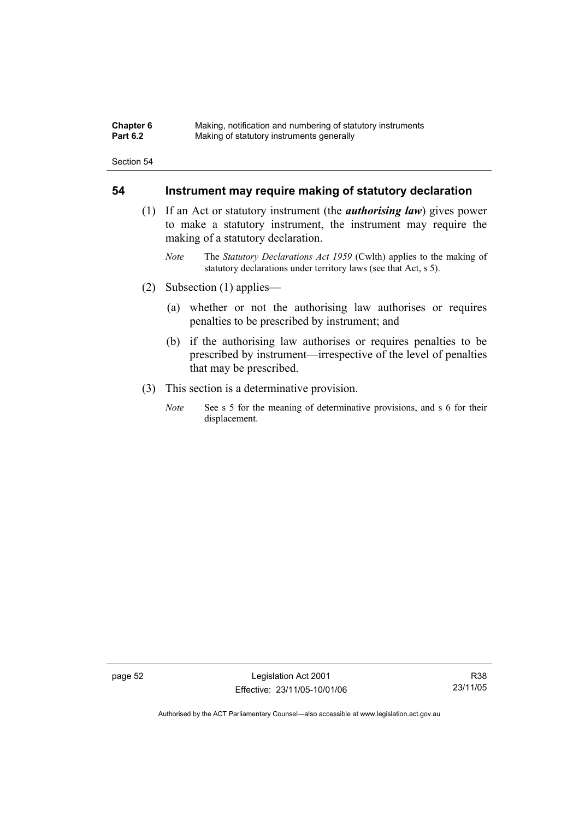| <b>Chapter 6</b> | Making, notification and numbering of statutory instruments |
|------------------|-------------------------------------------------------------|
| <b>Part 6.2</b>  | Making of statutory instruments generally                   |

### **54 Instrument may require making of statutory declaration**

- (1) If an Act or statutory instrument (the *authorising law*) gives power to make a statutory instrument, the instrument may require the making of a statutory declaration.
	- *Note* The *Statutory Declarations Act 1959* (Cwlth) applies to the making of statutory declarations under territory laws (see that Act, s 5).
- (2) Subsection (1) applies—
	- (a) whether or not the authorising law authorises or requires penalties to be prescribed by instrument; and
	- (b) if the authorising law authorises or requires penalties to be prescribed by instrument—irrespective of the level of penalties that may be prescribed.
- (3) This section is a determinative provision.
	- *Note* See s 5 for the meaning of determinative provisions, and s 6 for their displacement.

page 52 Legislation Act 2001 Effective: 23/11/05-10/01/06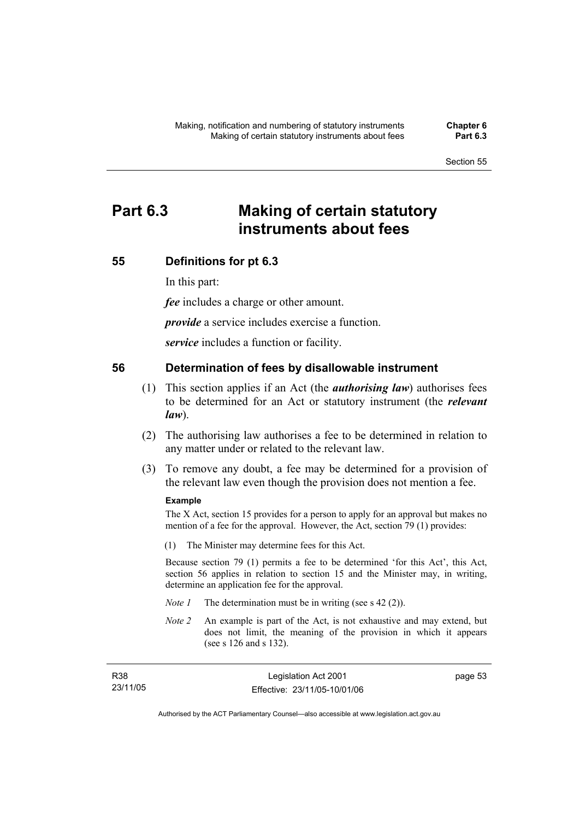# **Part 6.3 Making of certain statutory instruments about fees**

### **55 Definitions for pt 6.3**

In this part:

*fee* includes a charge or other amount.

*provide* a service includes exercise a function.

*service* includes a function or facility.

### **56 Determination of fees by disallowable instrument**

- (1) This section applies if an Act (the *authorising law*) authorises fees to be determined for an Act or statutory instrument (the *relevant law*).
- (2) The authorising law authorises a fee to be determined in relation to any matter under or related to the relevant law.
- (3) To remove any doubt, a fee may be determined for a provision of the relevant law even though the provision does not mention a fee.

#### **Example**

The X Act, section 15 provides for a person to apply for an approval but makes no mention of a fee for the approval. However, the Act, section 79 (1) provides:

(1) The Minister may determine fees for this Act.

Because section 79 (1) permits a fee to be determined 'for this Act', this Act, section 56 applies in relation to section 15 and the Minister may, in writing, determine an application fee for the approval.

- *Note 1* The determination must be in writing (see s 42 (2)).
- *Note 2* An example is part of the Act, is not exhaustive and may extend, but does not limit, the meaning of the provision in which it appears (see s 126 and s 132).

| R38      | Legislation Act 2001         | page 53 |
|----------|------------------------------|---------|
| 23/11/05 | Effective: 23/11/05-10/01/06 |         |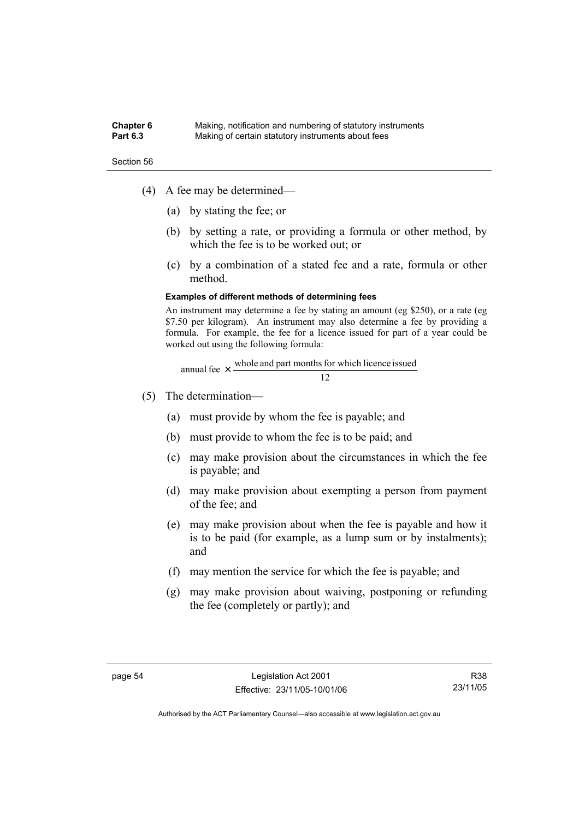#### **Chapter 6** Making, notification and numbering of statutory instruments<br>**Part 6.3** Making of certain statutory instruments about fees Making of certain statutory instruments about fees

Section 56

- (4) A fee may be determined—
	- (a) by stating the fee; or
	- (b) by setting a rate, or providing a formula or other method, by which the fee is to be worked out; or
	- (c) by a combination of a stated fee and a rate, formula or other method.

#### **Examples of different methods of determining fees**

An instrument may determine a fee by stating an amount (eg \$250), or a rate (eg \$7.50 per kilogram). An instrument may also determine a fee by providing a formula. For example, the fee for a licence issued for part of a year could be worked out using the following formula:

annual fee 
$$
\times
$$
  $\frac{\text{whole and part months for which licence issued}}{12}$ 

- (5) The determination—
	- (a) must provide by whom the fee is payable; and
	- (b) must provide to whom the fee is to be paid; and
	- (c) may make provision about the circumstances in which the fee is payable; and
	- (d) may make provision about exempting a person from payment of the fee; and
	- (e) may make provision about when the fee is payable and how it is to be paid (for example, as a lump sum or by instalments); and
	- (f) may mention the service for which the fee is payable; and
	- (g) may make provision about waiving, postponing or refunding the fee (completely or partly); and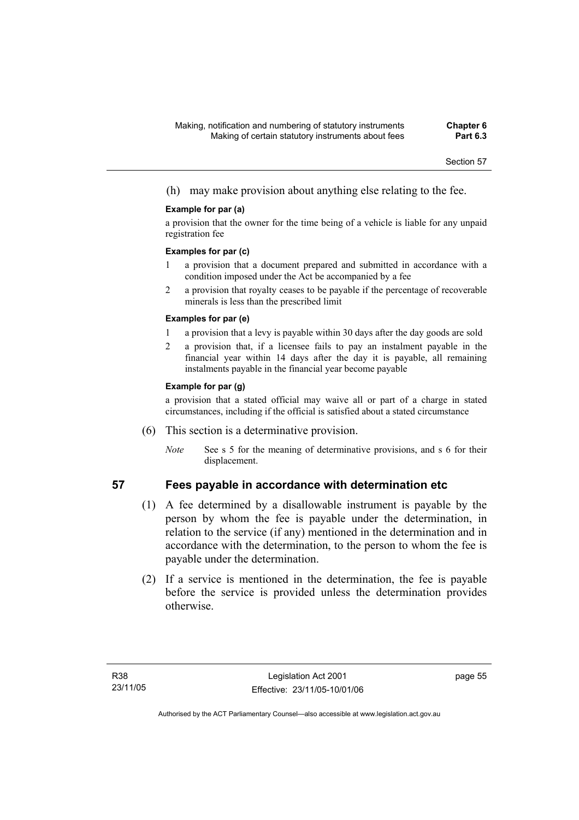(h) may make provision about anything else relating to the fee.

### **Example for par (a)**

a provision that the owner for the time being of a vehicle is liable for any unpaid registration fee

#### **Examples for par (c)**

- 1 a provision that a document prepared and submitted in accordance with a condition imposed under the Act be accompanied by a fee
- 2 a provision that royalty ceases to be payable if the percentage of recoverable minerals is less than the prescribed limit

### **Examples for par (e)**

- 1 a provision that a levy is payable within 30 days after the day goods are sold
- 2 a provision that, if a licensee fails to pay an instalment payable in the financial year within 14 days after the day it is payable, all remaining instalments payable in the financial year become payable

### **Example for par (g)**

a provision that a stated official may waive all or part of a charge in stated circumstances, including if the official is satisfied about a stated circumstance

- (6) This section is a determinative provision.
	- *Note* See s 5 for the meaning of determinative provisions, and s 6 for their displacement.

- **57 Fees payable in accordance with determination etc** 
	- (1) A fee determined by a disallowable instrument is payable by the person by whom the fee is payable under the determination, in relation to the service (if any) mentioned in the determination and in accordance with the determination, to the person to whom the fee is payable under the determination.
	- (2) If a service is mentioned in the determination, the fee is payable before the service is provided unless the determination provides otherwise.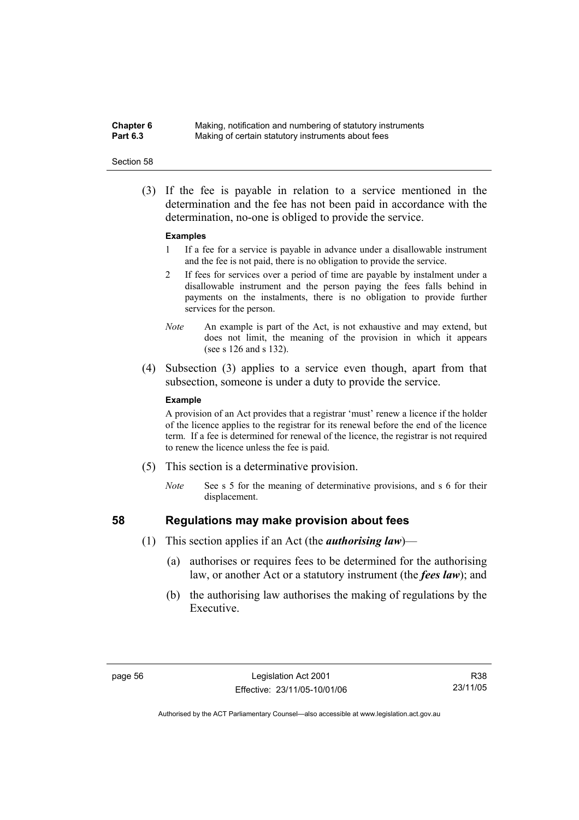**Chapter 6** Making, notification and numbering of statutory instruments<br>**Part 6.3** Making of certain statutory instruments about fees Making of certain statutory instruments about fees

#### Section 58

 (3) If the fee is payable in relation to a service mentioned in the determination and the fee has not been paid in accordance with the determination, no-one is obliged to provide the service.

#### **Examples**

- 1 If a fee for a service is payable in advance under a disallowable instrument and the fee is not paid, there is no obligation to provide the service.
- 2 If fees for services over a period of time are payable by instalment under a disallowable instrument and the person paying the fees falls behind in payments on the instalments, there is no obligation to provide further services for the person.
- *Note* An example is part of the Act, is not exhaustive and may extend, but does not limit, the meaning of the provision in which it appears (see s 126 and s 132).
- (4) Subsection (3) applies to a service even though, apart from that subsection, someone is under a duty to provide the service.

#### **Example**

A provision of an Act provides that a registrar 'must' renew a licence if the holder of the licence applies to the registrar for its renewal before the end of the licence term. If a fee is determined for renewal of the licence, the registrar is not required to renew the licence unless the fee is paid.

- (5) This section is a determinative provision.
	- *Note* See s 5 for the meaning of determinative provisions, and s 6 for their displacement.

- **58 Regulations may make provision about fees** 
	- (1) This section applies if an Act (the *authorising law*)—
		- (a) authorises or requires fees to be determined for the authorising law, or another Act or a statutory instrument (the *fees law*); and
		- (b) the authorising law authorises the making of regulations by the Executive.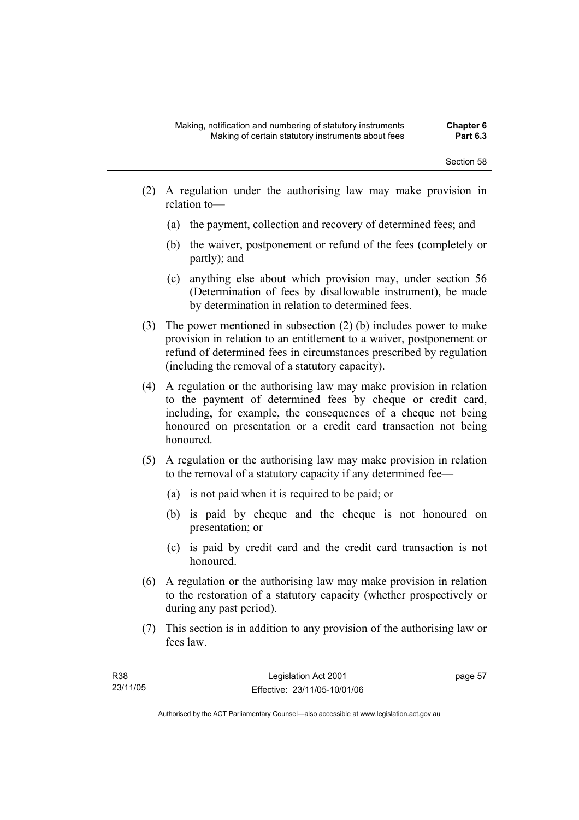- (2) A regulation under the authorising law may make provision in relation to—
	- (a) the payment, collection and recovery of determined fees; and
	- (b) the waiver, postponement or refund of the fees (completely or partly); and
	- (c) anything else about which provision may, under section 56 (Determination of fees by disallowable instrument), be made by determination in relation to determined fees.
- (3) The power mentioned in subsection (2) (b) includes power to make provision in relation to an entitlement to a waiver, postponement or refund of determined fees in circumstances prescribed by regulation (including the removal of a statutory capacity).
- (4) A regulation or the authorising law may make provision in relation to the payment of determined fees by cheque or credit card, including, for example, the consequences of a cheque not being honoured on presentation or a credit card transaction not being honoured.
- (5) A regulation or the authorising law may make provision in relation to the removal of a statutory capacity if any determined fee—
	- (a) is not paid when it is required to be paid; or
	- (b) is paid by cheque and the cheque is not honoured on presentation; or
	- (c) is paid by credit card and the credit card transaction is not honoured.
- (6) A regulation or the authorising law may make provision in relation to the restoration of a statutory capacity (whether prospectively or during any past period).
- (7) This section is in addition to any provision of the authorising law or fees law.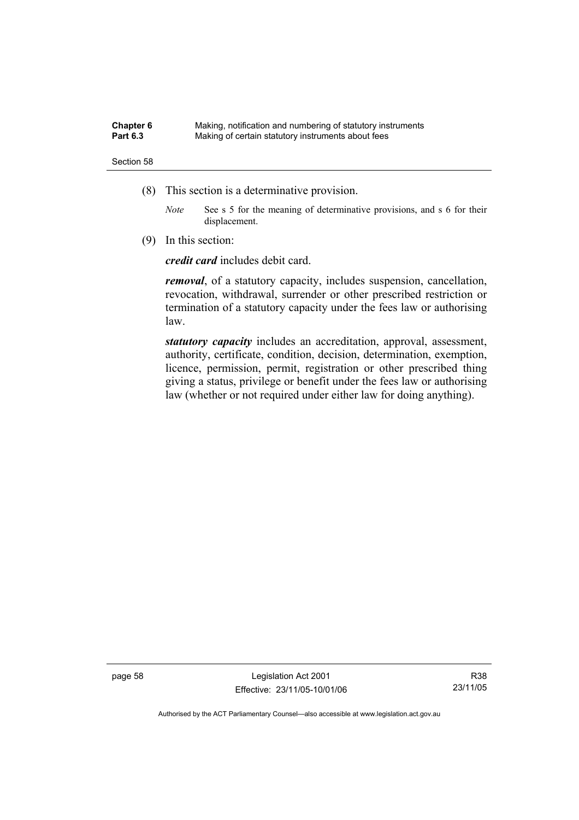| Chapter 6       | Making, notification and numbering of statutory instruments |
|-----------------|-------------------------------------------------------------|
| <b>Part 6.3</b> | Making of certain statutory instruments about fees          |

- (8) This section is a determinative provision.
	- *Note* See s 5 for the meaning of determinative provisions, and s 6 for their displacement.
- (9) In this section:

*credit card* includes debit card.

*removal*, of a statutory capacity, includes suspension, cancellation, revocation, withdrawal, surrender or other prescribed restriction or termination of a statutory capacity under the fees law or authorising law.

*statutory capacity* includes an accreditation, approval, assessment, authority, certificate, condition, decision, determination, exemption, licence, permission, permit, registration or other prescribed thing giving a status, privilege or benefit under the fees law or authorising law (whether or not required under either law for doing anything).

page 58 Legislation Act 2001 Effective: 23/11/05-10/01/06

R38 23/11/05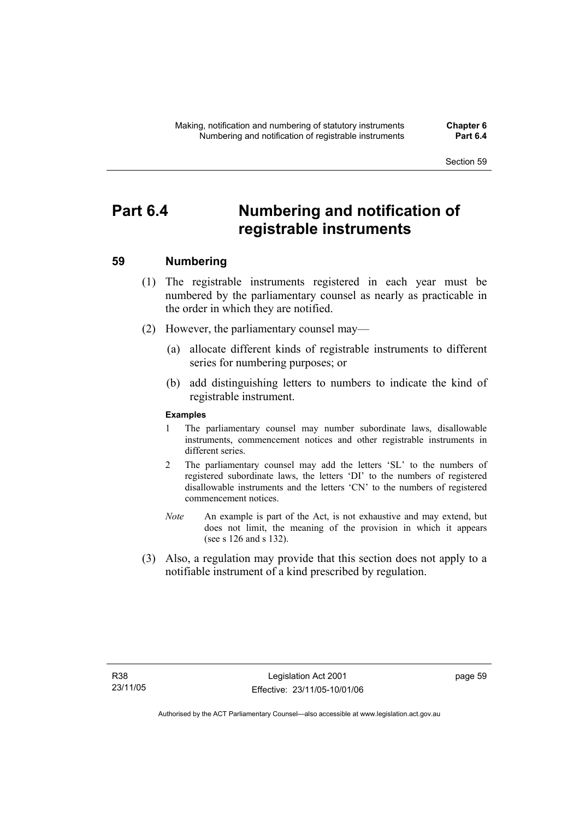# **Part 6.4 Numbering and notification of registrable instruments**

## **59 Numbering**

- (1) The registrable instruments registered in each year must be numbered by the parliamentary counsel as nearly as practicable in the order in which they are notified.
- (2) However, the parliamentary counsel may—
	- (a) allocate different kinds of registrable instruments to different series for numbering purposes; or
	- (b) add distinguishing letters to numbers to indicate the kind of registrable instrument.

## **Examples**

- 1 The parliamentary counsel may number subordinate laws, disallowable instruments, commencement notices and other registrable instruments in different series.
- 2 The parliamentary counsel may add the letters 'SL' to the numbers of registered subordinate laws, the letters 'DI' to the numbers of registered disallowable instruments and the letters 'CN' to the numbers of registered commencement notices.
- *Note* An example is part of the Act, is not exhaustive and may extend, but does not limit, the meaning of the provision in which it appears (see s 126 and s 132).
- (3) Also, a regulation may provide that this section does not apply to a notifiable instrument of a kind prescribed by regulation.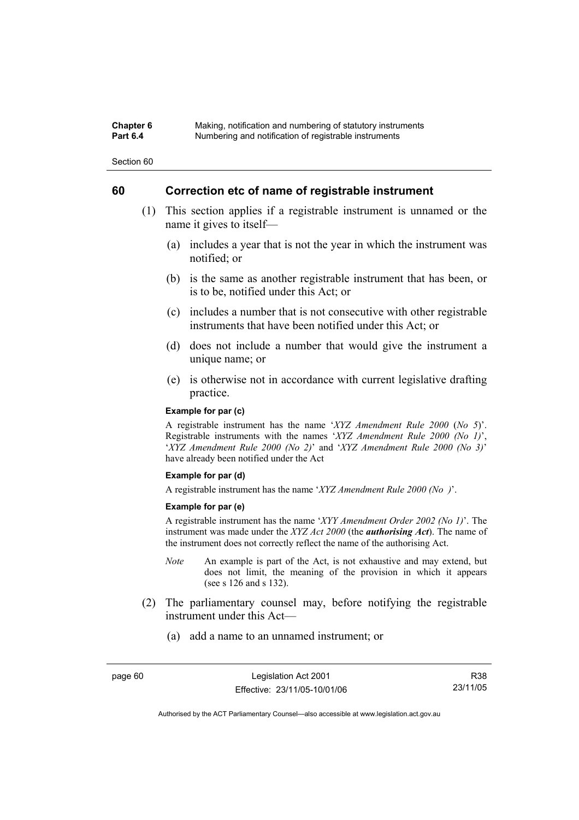### **Chapter 6** Making, notification and numbering of statutory instruments<br>**Part 6.4** Mumbering and notification of registrable instruments **Part 6.4** Numbering and notification of registrable instruments

Section 60

## **60 Correction etc of name of registrable instrument**

- (1) This section applies if a registrable instrument is unnamed or the name it gives to itself—
	- (a) includes a year that is not the year in which the instrument was notified; or
	- (b) is the same as another registrable instrument that has been, or is to be, notified under this Act; or
	- (c) includes a number that is not consecutive with other registrable instruments that have been notified under this Act; or
	- (d) does not include a number that would give the instrument a unique name; or
	- (e) is otherwise not in accordance with current legislative drafting practice.

### **Example for par (c)**

A registrable instrument has the name '*XYZ Amendment Rule 2000* (*No 5*)'. Registrable instruments with the names '*XYZ Amendment Rule 2000 (No 1)*', '*XYZ Amendment Rule 2000 (No 2)*' and '*XYZ Amendment Rule 2000 (No 3)*' have already been notified under the Act

#### **Example for par (d)**

A registrable instrument has the name '*XYZ Amendment Rule 2000 (No )*'.

#### **Example for par (e)**

A registrable instrument has the name '*XYY Amendment Order 2002 (No 1)*'. The instrument was made under the *XYZ Act 2000* (the *authorising Act*). The name of the instrument does not correctly reflect the name of the authorising Act.

- *Note* An example is part of the Act, is not exhaustive and may extend, but does not limit, the meaning of the provision in which it appears (see s 126 and s 132).
- (2) The parliamentary counsel may, before notifying the registrable instrument under this Act—
	- (a) add a name to an unnamed instrument; or

R38 23/11/05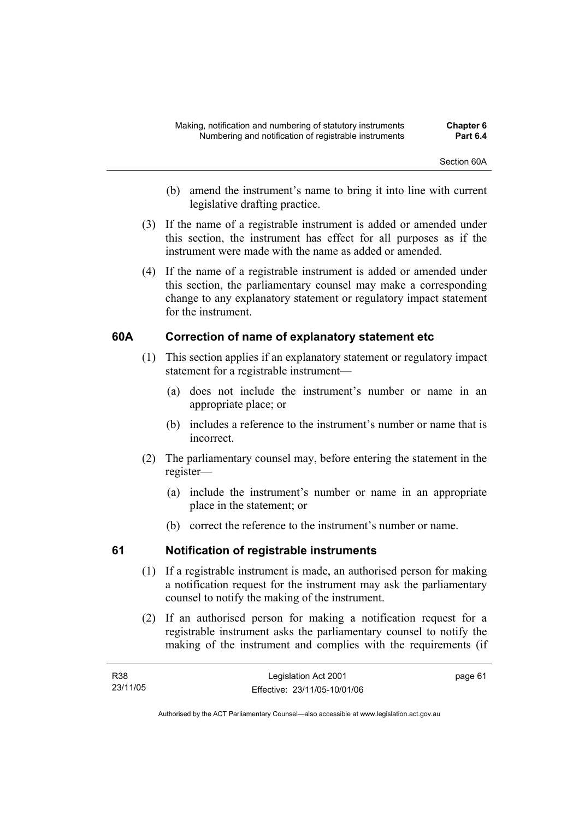- (b) amend the instrument's name to bring it into line with current legislative drafting practice.
- (3) If the name of a registrable instrument is added or amended under this section, the instrument has effect for all purposes as if the instrument were made with the name as added or amended.
- (4) If the name of a registrable instrument is added or amended under this section, the parliamentary counsel may make a corresponding change to any explanatory statement or regulatory impact statement for the instrument.

## **60A Correction of name of explanatory statement etc**

- (1) This section applies if an explanatory statement or regulatory impact statement for a registrable instrument—
	- (a) does not include the instrument's number or name in an appropriate place; or
	- (b) includes a reference to the instrument's number or name that is incorrect.
- (2) The parliamentary counsel may, before entering the statement in the register—
	- (a) include the instrument's number or name in an appropriate place in the statement; or
	- (b) correct the reference to the instrument's number or name.

## **61 Notification of registrable instruments**

- (1) If a registrable instrument is made, an authorised person for making a notification request for the instrument may ask the parliamentary counsel to notify the making of the instrument.
- (2) If an authorised person for making a notification request for a registrable instrument asks the parliamentary counsel to notify the making of the instrument and complies with the requirements (if

| R38      | Legislation Act 2001         | page 61 |
|----------|------------------------------|---------|
| 23/11/05 | Effective: 23/11/05-10/01/06 |         |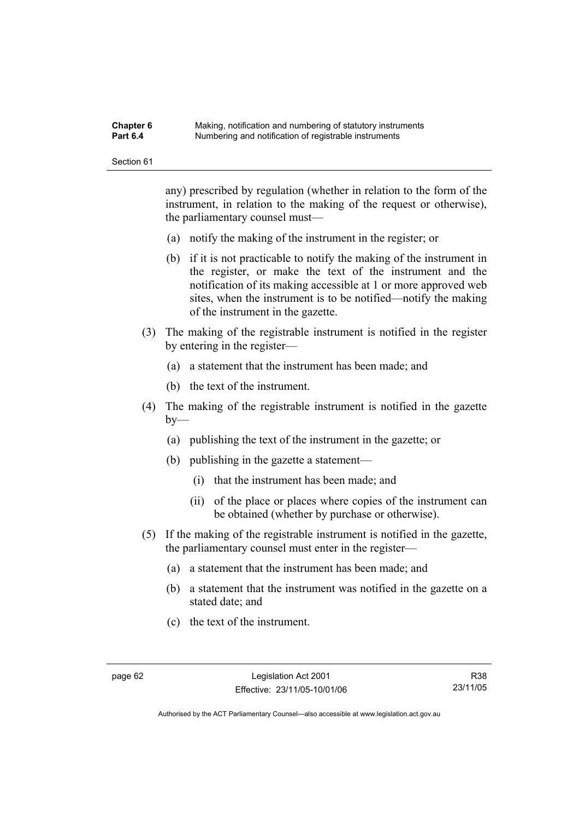#### **Chapter 6** Making, notification and numbering of statutory instruments<br>**Part 6.4** Mumbering and notification of registrable instruments **Part 6.4** Numbering and notification of registrable instruments

Section 61

any) prescribed by regulation (whether in relation to the form of the instrument, in relation to the making of the request or otherwise), the parliamentary counsel must—

- (a) notify the making of the instrument in the register; or
- (b) if it is not practicable to notify the making of the instrument in the register, or make the text of the instrument and the notification of its making accessible at 1 or more approved web sites, when the instrument is to be notified—notify the making of the instrument in the gazette.
- (3) The making of the registrable instrument is notified in the register by entering in the register—
	- (a) a statement that the instrument has been made; and
	- (b) the text of the instrument.
- (4) The making of the registrable instrument is notified in the gazette  $by-$ 
	- (a) publishing the text of the instrument in the gazette; or
	- (b) publishing in the gazette a statement—
		- (i) that the instrument has been made; and
		- (ii) of the place or places where copies of the instrument can be obtained (whether by purchase or otherwise).
- (5) If the making of the registrable instrument is notified in the gazette, the parliamentary counsel must enter in the register—
	- (a) a statement that the instrument has been made; and
	- (b) a statement that the instrument was notified in the gazette on a stated date; and
	- (c) the text of the instrument.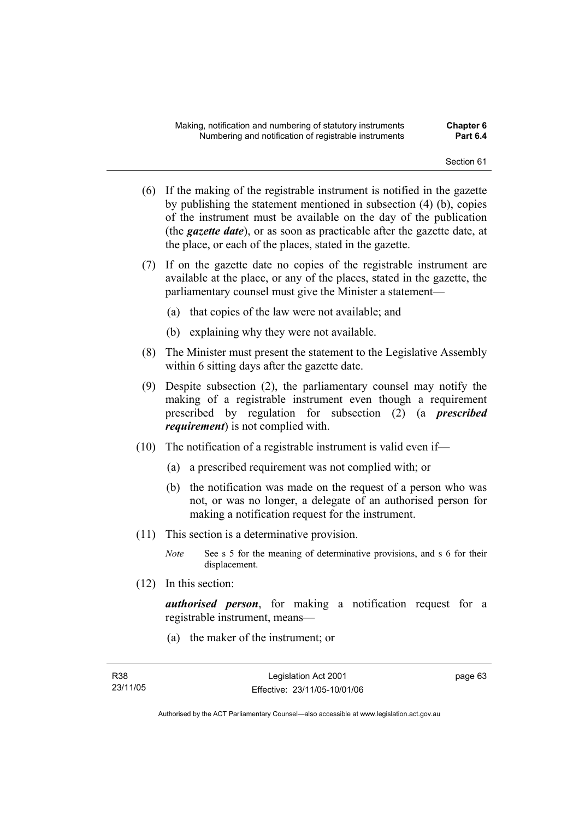- (6) If the making of the registrable instrument is notified in the gazette by publishing the statement mentioned in subsection (4) (b), copies of the instrument must be available on the day of the publication (the *gazette date*), or as soon as practicable after the gazette date, at the place, or each of the places, stated in the gazette.
- (7) If on the gazette date no copies of the registrable instrument are available at the place, or any of the places, stated in the gazette, the parliamentary counsel must give the Minister a statement—
	- (a) that copies of the law were not available; and
	- (b) explaining why they were not available.
- (8) The Minister must present the statement to the Legislative Assembly within 6 sitting days after the gazette date.
- (9) Despite subsection (2), the parliamentary counsel may notify the making of a registrable instrument even though a requirement prescribed by regulation for subsection (2) (a *prescribed requirement*) is not complied with.
- (10) The notification of a registrable instrument is valid even if—
	- (a) a prescribed requirement was not complied with; or
	- (b) the notification was made on the request of a person who was not, or was no longer, a delegate of an authorised person for making a notification request for the instrument.
- (11) This section is a determinative provision.
	- *Note* See s 5 for the meaning of determinative provisions, and s 6 for their displacement.
- (12) In this section:

*authorised person*, for making a notification request for a registrable instrument, means—

(a) the maker of the instrument; or

page 63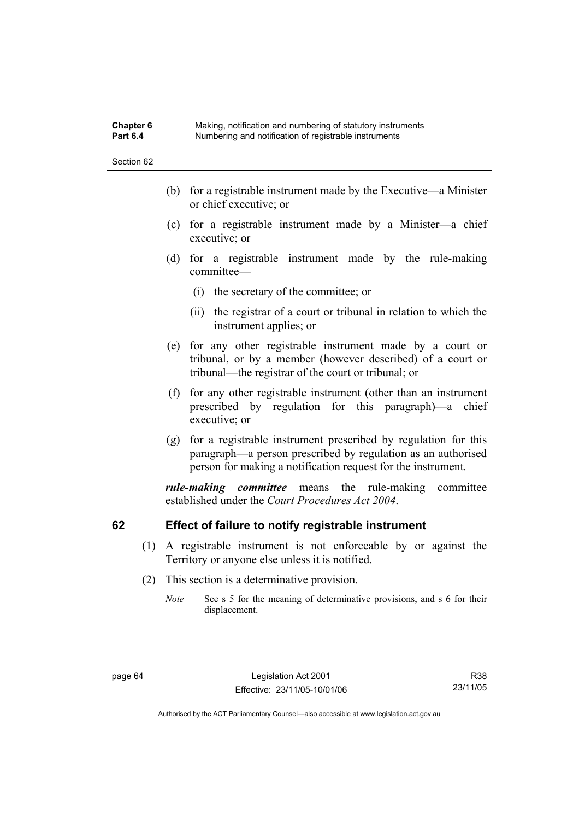## **Chapter 6** Making, notification and numbering of statutory instruments<br>**Part 6.4** Mumbering and notification of registrable instruments **Part 6.4** Numbering and notification of registrable instruments

Section 62

- (b) for a registrable instrument made by the Executive—a Minister or chief executive; or
- (c) for a registrable instrument made by a Minister—a chief executive; or
- (d) for a registrable instrument made by the rule-making committee—
	- (i) the secretary of the committee; or
	- (ii) the registrar of a court or tribunal in relation to which the instrument applies; or
- (e) for any other registrable instrument made by a court or tribunal, or by a member (however described) of a court or tribunal—the registrar of the court or tribunal; or
- (f) for any other registrable instrument (other than an instrument prescribed by regulation for this paragraph)—a chief executive; or
- (g) for a registrable instrument prescribed by regulation for this paragraph—a person prescribed by regulation as an authorised person for making a notification request for the instrument.

*rule-making committee* means the rule-making committee established under the *Court Procedures Act 2004*.

## **62 Effect of failure to notify registrable instrument**

- (1) A registrable instrument is not enforceable by or against the Territory or anyone else unless it is notified.
- (2) This section is a determinative provision.
	- *Note* See s 5 for the meaning of determinative provisions, and s 6 for their displacement.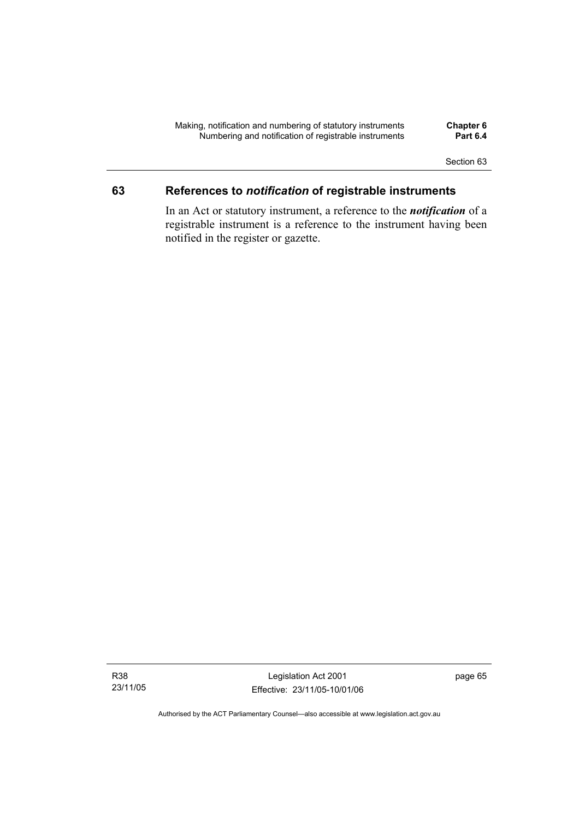## **63 References to** *notification* **of registrable instruments**

In an Act or statutory instrument, a reference to the *notification* of a registrable instrument is a reference to the instrument having been notified in the register or gazette.

Legislation Act 2001 Effective: 23/11/05-10/01/06 page 65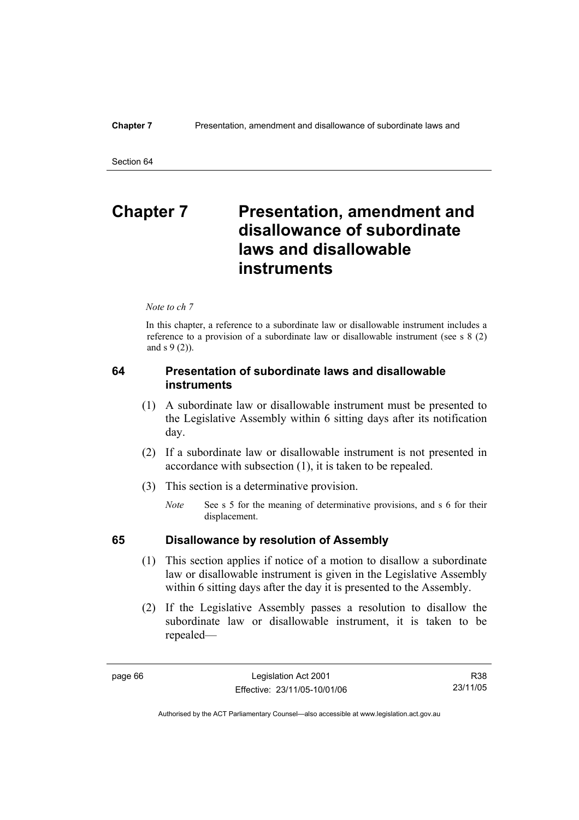# **Chapter 7** Presentation, amendment and **disallowance of subordinate laws and disallowable instruments**

*Note to ch 7* 

In this chapter, a reference to a subordinate law or disallowable instrument includes a reference to a provision of a subordinate law or disallowable instrument (see s 8 (2) and s 9 (2)).

## **64 Presentation of subordinate laws and disallowable instruments**

- (1) A subordinate law or disallowable instrument must be presented to the Legislative Assembly within 6 sitting days after its notification day.
- (2) If a subordinate law or disallowable instrument is not presented in accordance with subsection (1), it is taken to be repealed.
- (3) This section is a determinative provision.
	- *Note* See s 5 for the meaning of determinative provisions, and s 6 for their displacement.

## **65 Disallowance by resolution of Assembly**

- (1) This section applies if notice of a motion to disallow a subordinate law or disallowable instrument is given in the Legislative Assembly within 6 sitting days after the day it is presented to the Assembly.
- (2) If the Legislative Assembly passes a resolution to disallow the subordinate law or disallowable instrument, it is taken to be repealed—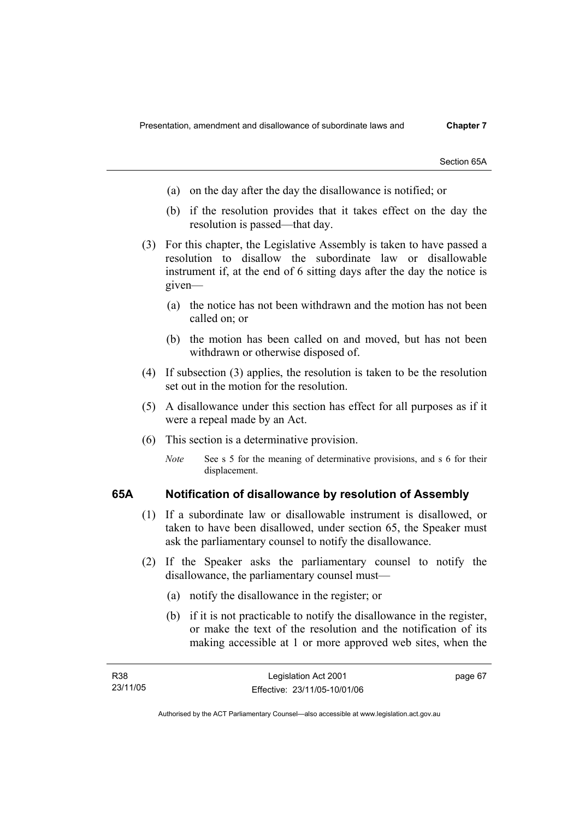Section 65A

- (a) on the day after the day the disallowance is notified; or
- (b) if the resolution provides that it takes effect on the day the resolution is passed—that day.
- (3) For this chapter, the Legislative Assembly is taken to have passed a resolution to disallow the subordinate law or disallowable instrument if, at the end of 6 sitting days after the day the notice is given—
	- (a) the notice has not been withdrawn and the motion has not been called on; or
	- (b) the motion has been called on and moved, but has not been withdrawn or otherwise disposed of.
- (4) If subsection (3) applies, the resolution is taken to be the resolution set out in the motion for the resolution.
- (5) A disallowance under this section has effect for all purposes as if it were a repeal made by an Act.
- (6) This section is a determinative provision.
	- *Note* See s 5 for the meaning of determinative provisions, and s 6 for their displacement.

## **65A Notification of disallowance by resolution of Assembly**

- (1) If a subordinate law or disallowable instrument is disallowed, or taken to have been disallowed, under section 65, the Speaker must ask the parliamentary counsel to notify the disallowance.
- (2) If the Speaker asks the parliamentary counsel to notify the disallowance, the parliamentary counsel must—
	- (a) notify the disallowance in the register; or
	- (b) if it is not practicable to notify the disallowance in the register, or make the text of the resolution and the notification of its making accessible at 1 or more approved web sites, when the

page 67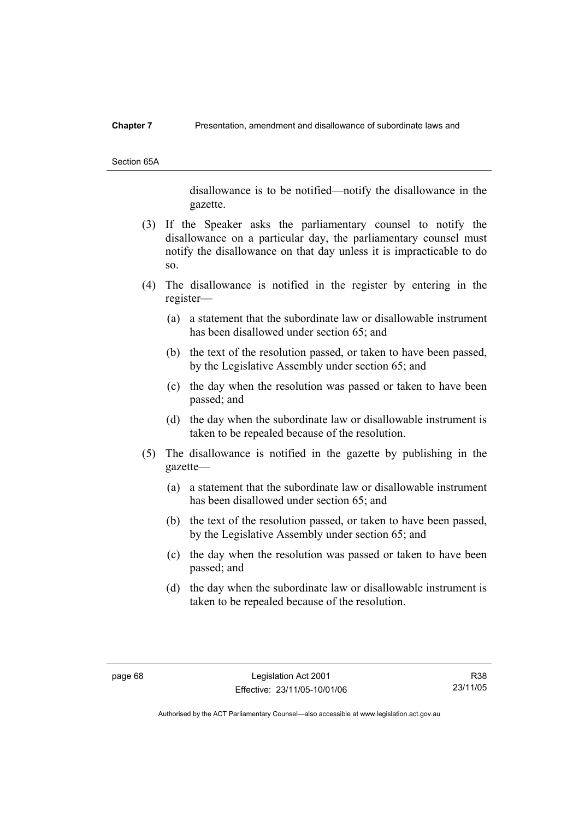### **Chapter 7** Presentation, amendment and disallowance of subordinate laws and

Section 65A

disallowance is to be notified—notify the disallowance in the gazette.

- (3) If the Speaker asks the parliamentary counsel to notify the disallowance on a particular day, the parliamentary counsel must notify the disallowance on that day unless it is impracticable to do so.
- (4) The disallowance is notified in the register by entering in the register—
	- (a) a statement that the subordinate law or disallowable instrument has been disallowed under section 65; and
	- (b) the text of the resolution passed, or taken to have been passed, by the Legislative Assembly under section 65; and
	- (c) the day when the resolution was passed or taken to have been passed; and
	- (d) the day when the subordinate law or disallowable instrument is taken to be repealed because of the resolution.
- (5) The disallowance is notified in the gazette by publishing in the gazette—
	- (a) a statement that the subordinate law or disallowable instrument has been disallowed under section 65; and
	- (b) the text of the resolution passed, or taken to have been passed, by the Legislative Assembly under section 65; and
	- (c) the day when the resolution was passed or taken to have been passed; and
	- (d) the day when the subordinate law or disallowable instrument is taken to be repealed because of the resolution.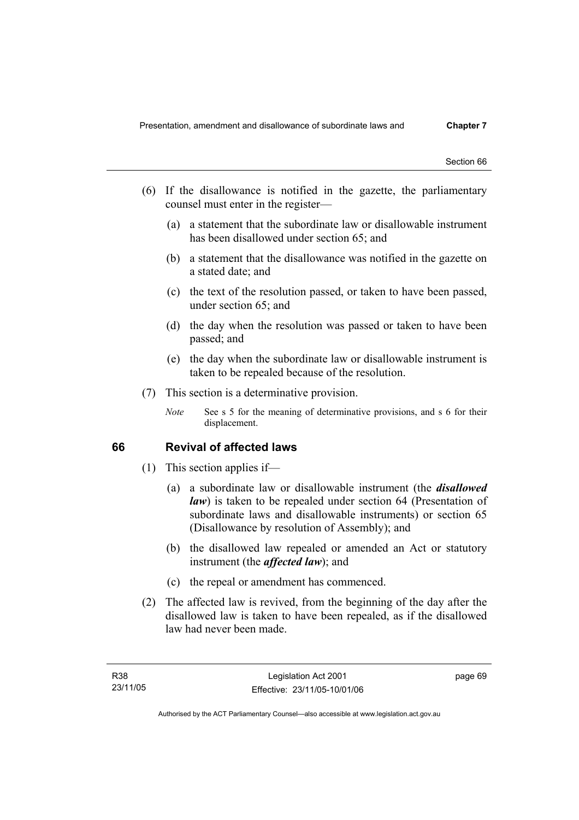- (6) If the disallowance is notified in the gazette, the parliamentary counsel must enter in the register—
	- (a) a statement that the subordinate law or disallowable instrument has been disallowed under section 65; and
	- (b) a statement that the disallowance was notified in the gazette on a stated date; and
	- (c) the text of the resolution passed, or taken to have been passed, under section 65; and
	- (d) the day when the resolution was passed or taken to have been passed; and
	- (e) the day when the subordinate law or disallowable instrument is taken to be repealed because of the resolution.
- (7) This section is a determinative provision.
	- *Note* See s 5 for the meaning of determinative provisions, and s 6 for their displacement.

## **66 Revival of affected laws**

- (1) This section applies if—
	- (a) a subordinate law or disallowable instrument (the *disallowed law*) is taken to be repealed under section 64 (Presentation of subordinate laws and disallowable instruments) or section 65 (Disallowance by resolution of Assembly); and
	- (b) the disallowed law repealed or amended an Act or statutory instrument (the *affected law*); and
	- (c) the repeal or amendment has commenced.
- (2) The affected law is revived, from the beginning of the day after the disallowed law is taken to have been repealed, as if the disallowed law had never been made.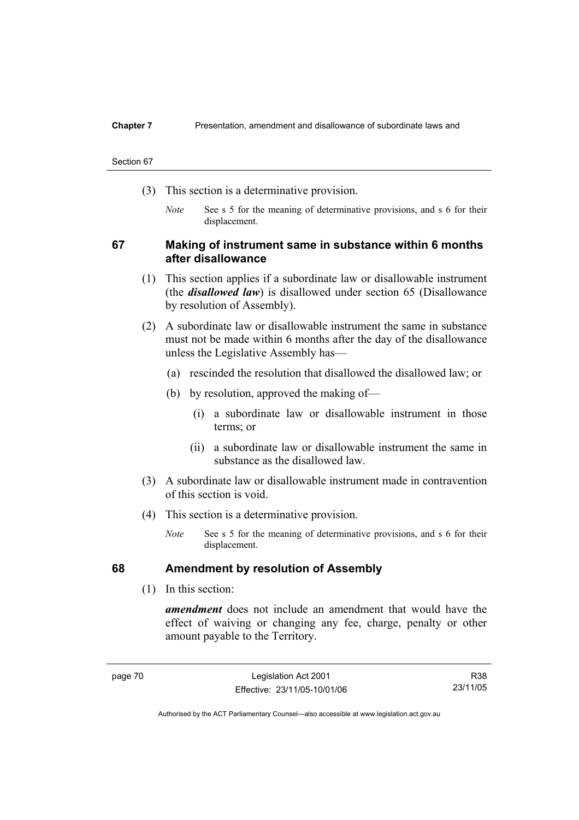#### **Chapter 7** Presentation, amendment and disallowance of subordinate laws and

#### Section 67

- (3) This section is a determinative provision.
	- *Note* See s 5 for the meaning of determinative provisions, and s 6 for their displacement.

## **67 Making of instrument same in substance within 6 months after disallowance**

- (1) This section applies if a subordinate law or disallowable instrument (the *disallowed law*) is disallowed under section 65 (Disallowance by resolution of Assembly).
- (2) A subordinate law or disallowable instrument the same in substance must not be made within 6 months after the day of the disallowance unless the Legislative Assembly has—
	- (a) rescinded the resolution that disallowed the disallowed law; or
	- (b) by resolution, approved the making of—
		- (i) a subordinate law or disallowable instrument in those terms; or
		- (ii) a subordinate law or disallowable instrument the same in substance as the disallowed law.
- (3) A subordinate law or disallowable instrument made in contravention of this section is void.
- (4) This section is a determinative provision.
	- *Note* See s 5 for the meaning of determinative provisions, and s 6 for their displacement.

## **68 Amendment by resolution of Assembly**

(1) In this section:

*amendment* does not include an amendment that would have the effect of waiving or changing any fee, charge, penalty or other amount payable to the Territory.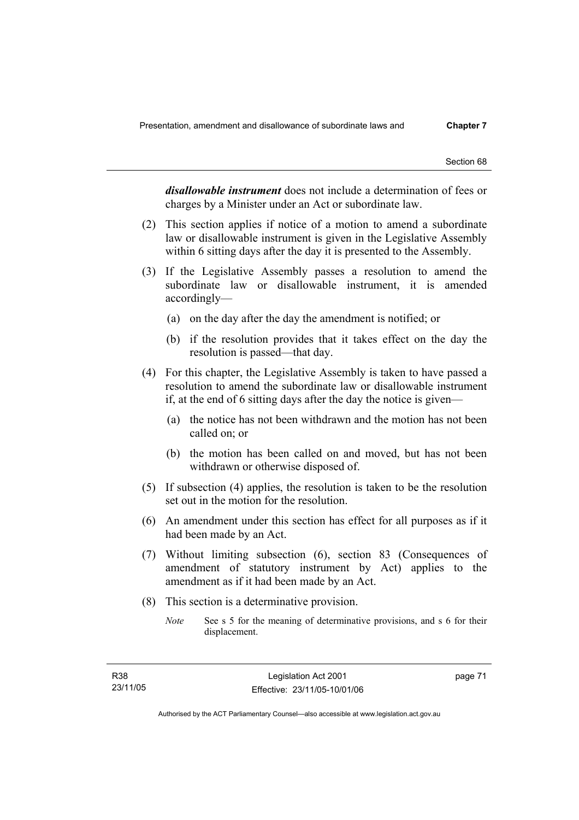*disallowable instrument* does not include a determination of fees or charges by a Minister under an Act or subordinate law.

- (2) This section applies if notice of a motion to amend a subordinate law or disallowable instrument is given in the Legislative Assembly within 6 sitting days after the day it is presented to the Assembly.
- (3) If the Legislative Assembly passes a resolution to amend the subordinate law or disallowable instrument, it is amended accordingly—
	- (a) on the day after the day the amendment is notified; or
	- (b) if the resolution provides that it takes effect on the day the resolution is passed—that day.
- (4) For this chapter, the Legislative Assembly is taken to have passed a resolution to amend the subordinate law or disallowable instrument if, at the end of 6 sitting days after the day the notice is given—
	- (a) the notice has not been withdrawn and the motion has not been called on; or
	- (b) the motion has been called on and moved, but has not been withdrawn or otherwise disposed of.
- (5) If subsection (4) applies, the resolution is taken to be the resolution set out in the motion for the resolution.
- (6) An amendment under this section has effect for all purposes as if it had been made by an Act.
- (7) Without limiting subsection (6), section 83 (Consequences of amendment of statutory instrument by Act) applies to the amendment as if it had been made by an Act.
- (8) This section is a determinative provision.
	- *Note* See s 5 for the meaning of determinative provisions, and s 6 for their displacement.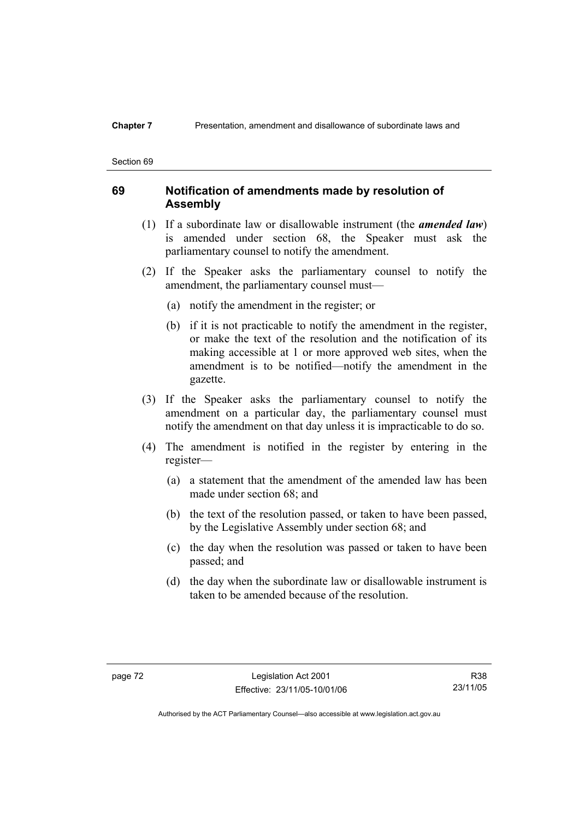## **Chapter 7** Presentation, amendment and disallowance of subordinate laws and

#### Section 69

## **69 Notification of amendments made by resolution of Assembly**

- (1) If a subordinate law or disallowable instrument (the *amended law*) is amended under section 68, the Speaker must ask the parliamentary counsel to notify the amendment.
- (2) If the Speaker asks the parliamentary counsel to notify the amendment, the parliamentary counsel must—
	- (a) notify the amendment in the register; or
	- (b) if it is not practicable to notify the amendment in the register, or make the text of the resolution and the notification of its making accessible at 1 or more approved web sites, when the amendment is to be notified—notify the amendment in the gazette.
- (3) If the Speaker asks the parliamentary counsel to notify the amendment on a particular day, the parliamentary counsel must notify the amendment on that day unless it is impracticable to do so.
- (4) The amendment is notified in the register by entering in the register—
	- (a) a statement that the amendment of the amended law has been made under section 68; and
	- (b) the text of the resolution passed, or taken to have been passed, by the Legislative Assembly under section 68; and
	- (c) the day when the resolution was passed or taken to have been passed; and
	- (d) the day when the subordinate law or disallowable instrument is taken to be amended because of the resolution.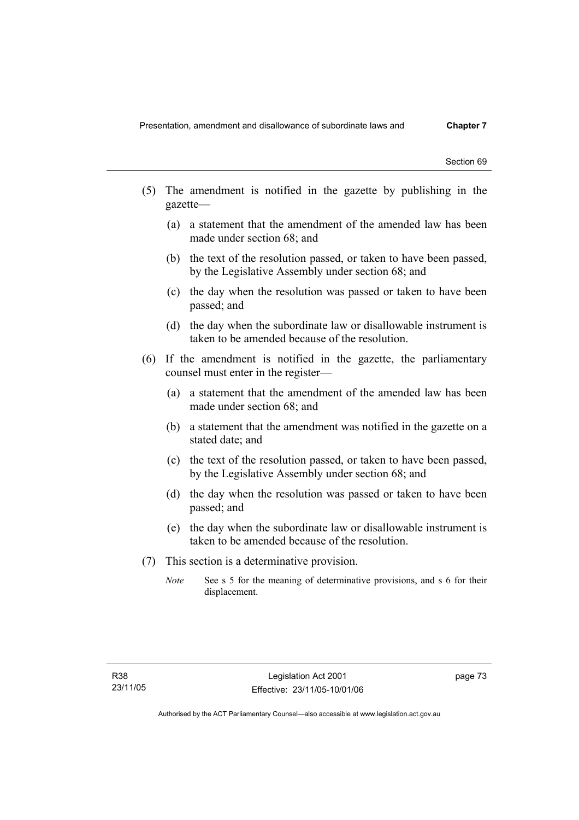- (5) The amendment is notified in the gazette by publishing in the gazette—
	- (a) a statement that the amendment of the amended law has been made under section 68; and
	- (b) the text of the resolution passed, or taken to have been passed, by the Legislative Assembly under section 68; and
	- (c) the day when the resolution was passed or taken to have been passed; and
	- (d) the day when the subordinate law or disallowable instrument is taken to be amended because of the resolution.
- (6) If the amendment is notified in the gazette, the parliamentary counsel must enter in the register—
	- (a) a statement that the amendment of the amended law has been made under section 68; and
	- (b) a statement that the amendment was notified in the gazette on a stated date; and
	- (c) the text of the resolution passed, or taken to have been passed, by the Legislative Assembly under section 68; and
	- (d) the day when the resolution was passed or taken to have been passed; and
	- (e) the day when the subordinate law or disallowable instrument is taken to be amended because of the resolution.
- (7) This section is a determinative provision.
	- *Note* See s 5 for the meaning of determinative provisions, and s 6 for their displacement.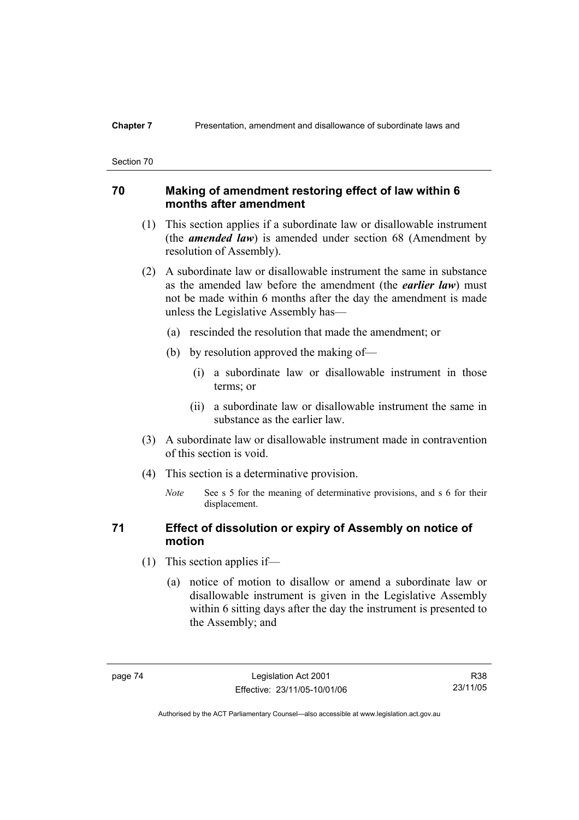## **70 Making of amendment restoring effect of law within 6 months after amendment**

- (1) This section applies if a subordinate law or disallowable instrument (the *amended law*) is amended under section 68 (Amendment by resolution of Assembly).
- (2) A subordinate law or disallowable instrument the same in substance as the amended law before the amendment (the *earlier law*) must not be made within 6 months after the day the amendment is made unless the Legislative Assembly has—
	- (a) rescinded the resolution that made the amendment; or
	- (b) by resolution approved the making of—
		- (i) a subordinate law or disallowable instrument in those terms; or
		- (ii) a subordinate law or disallowable instrument the same in substance as the earlier law.
- (3) A subordinate law or disallowable instrument made in contravention of this section is void.
- (4) This section is a determinative provision.
	- *Note* See s 5 for the meaning of determinative provisions, and s 6 for their displacement.

## **71 Effect of dissolution or expiry of Assembly on notice of motion**

- (1) This section applies if—
	- (a) notice of motion to disallow or amend a subordinate law or disallowable instrument is given in the Legislative Assembly within 6 sitting days after the day the instrument is presented to the Assembly; and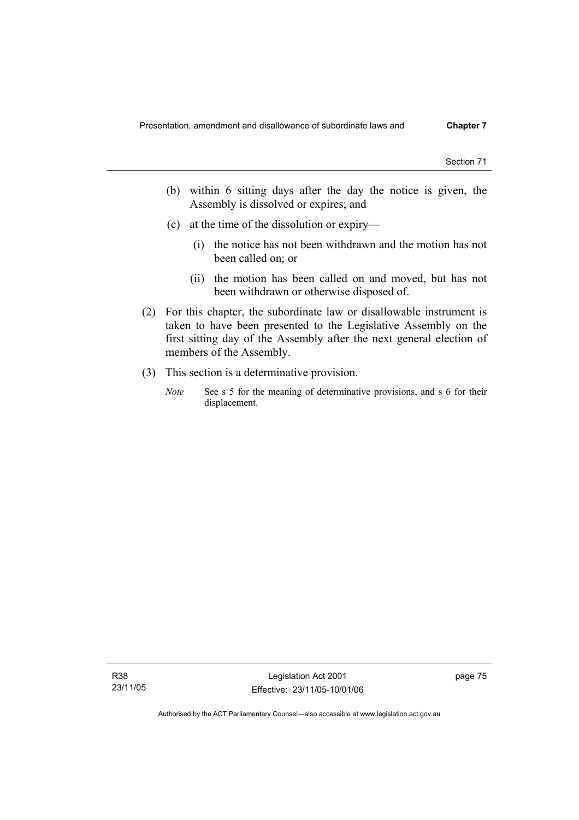- (b) within 6 sitting days after the day the notice is given, the Assembly is dissolved or expires; and
- (c) at the time of the dissolution or expiry—
	- (i) the notice has not been withdrawn and the motion has not been called on; or
	- (ii) the motion has been called on and moved, but has not been withdrawn or otherwise disposed of.
- (2) For this chapter, the subordinate law or disallowable instrument is taken to have been presented to the Legislative Assembly on the first sitting day of the Assembly after the next general election of members of the Assembly.
- (3) This section is a determinative provision.
	- *Note* See s 5 for the meaning of determinative provisions, and s 6 for their displacement.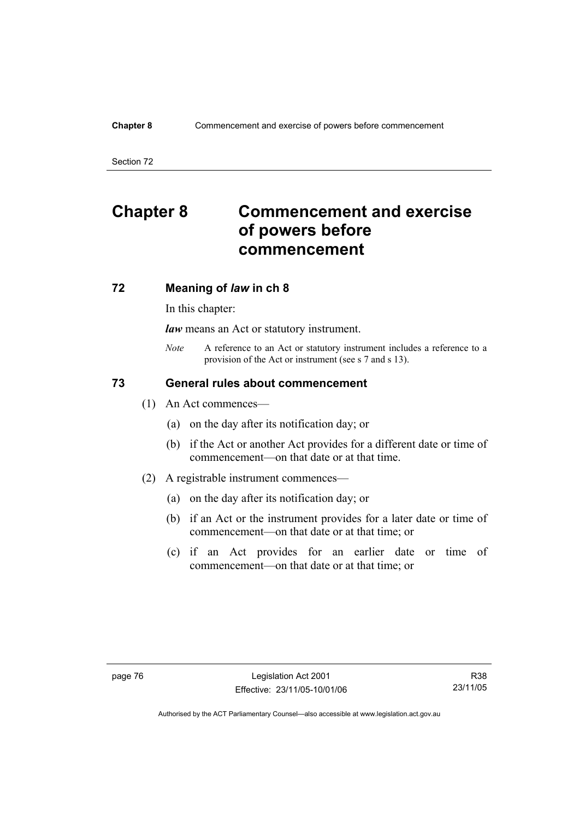### **Chapter 8** Commencement and exercise of powers before commencement

Section 72

# **Chapter 8 Commencement and exercise of powers before commencement**

## **72 Meaning of** *law* **in ch 8**

In this chapter:

*law* means an Act or statutory instrument.

*Note* A reference to an Act or statutory instrument includes a reference to a provision of the Act or instrument (see s 7 and s 13).

## **73 General rules about commencement**

- (1) An Act commences—
	- (a) on the day after its notification day; or
	- (b) if the Act or another Act provides for a different date or time of commencement—on that date or at that time.
- (2) A registrable instrument commences—
	- (a) on the day after its notification day; or
	- (b) if an Act or the instrument provides for a later date or time of commencement—on that date or at that time; or
	- (c) if an Act provides for an earlier date or time of commencement—on that date or at that time; or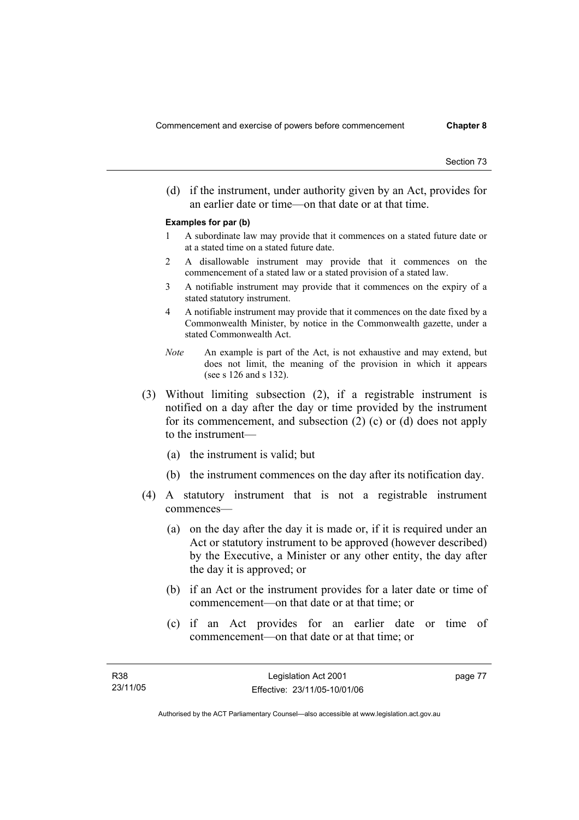(d) if the instrument, under authority given by an Act, provides for an earlier date or time—on that date or at that time.

#### **Examples for par (b)**

- 1 A subordinate law may provide that it commences on a stated future date or at a stated time on a stated future date.
- 2 A disallowable instrument may provide that it commences on the commencement of a stated law or a stated provision of a stated law.
- 3 A notifiable instrument may provide that it commences on the expiry of a stated statutory instrument.
- 4 A notifiable instrument may provide that it commences on the date fixed by a Commonwealth Minister, by notice in the Commonwealth gazette, under a stated Commonwealth Act.
- *Note* An example is part of the Act, is not exhaustive and may extend, but does not limit, the meaning of the provision in which it appears (see s 126 and s 132).
- (3) Without limiting subsection (2), if a registrable instrument is notified on a day after the day or time provided by the instrument for its commencement, and subsection (2) (c) or (d) does not apply to the instrument—
	- (a) the instrument is valid; but
	- (b) the instrument commences on the day after its notification day.
- (4) A statutory instrument that is not a registrable instrument commences—
	- (a) on the day after the day it is made or, if it is required under an Act or statutory instrument to be approved (however described) by the Executive, a Minister or any other entity, the day after the day it is approved; or
	- (b) if an Act or the instrument provides for a later date or time of commencement—on that date or at that time; or
	- (c) if an Act provides for an earlier date or time of commencement—on that date or at that time; or

page 77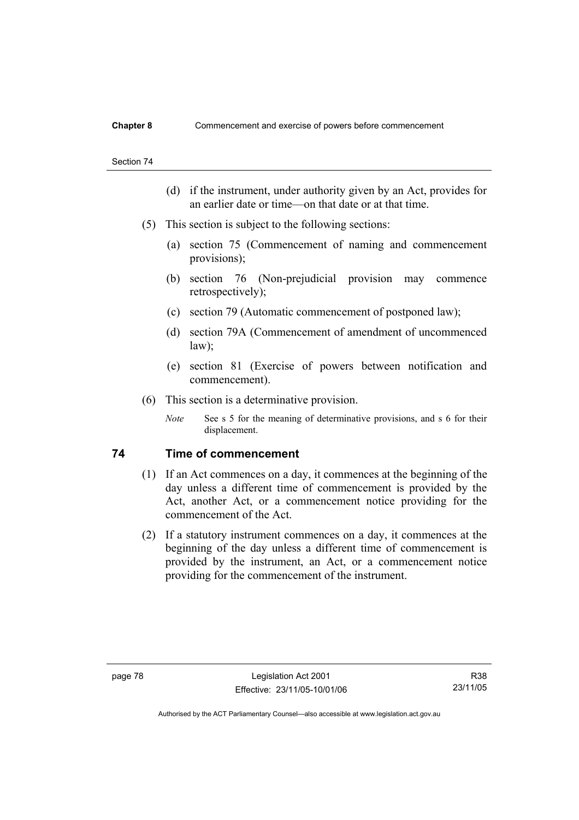- (d) if the instrument, under authority given by an Act, provides for an earlier date or time—on that date or at that time.
- (5) This section is subject to the following sections:
	- (a) section 75 (Commencement of naming and commencement provisions);
	- (b) section 76 (Non-prejudicial provision may commence retrospectively);
	- (c) section 79 (Automatic commencement of postponed law);
	- (d) section 79A (Commencement of amendment of uncommenced law);
	- (e) section 81 (Exercise of powers between notification and commencement).
- (6) This section is a determinative provision.
	- *Note* See s 5 for the meaning of determinative provisions, and s 6 for their displacement.

## **74 Time of commencement**

- (1) If an Act commences on a day, it commences at the beginning of the day unless a different time of commencement is provided by the Act, another Act, or a commencement notice providing for the commencement of the Act.
- (2) If a statutory instrument commences on a day, it commences at the beginning of the day unless a different time of commencement is provided by the instrument, an Act, or a commencement notice providing for the commencement of the instrument.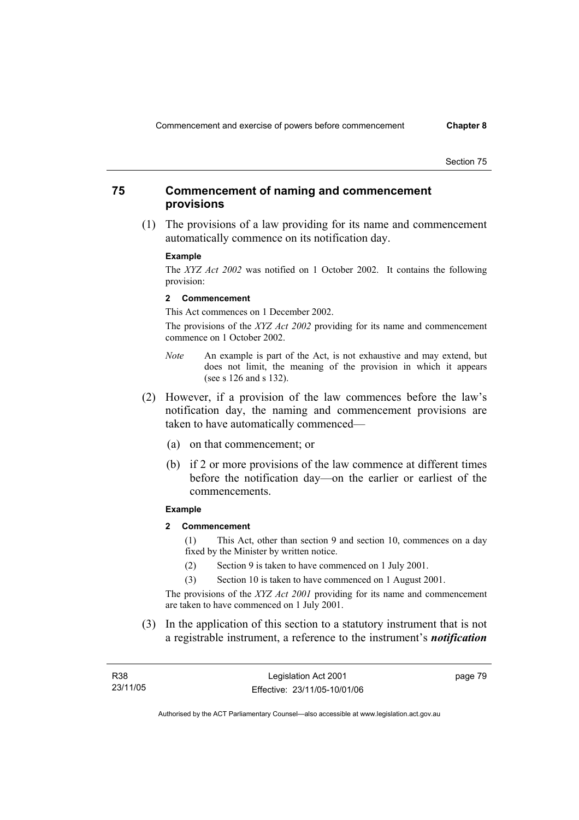## **75 Commencement of naming and commencement provisions**

 (1) The provisions of a law providing for its name and commencement automatically commence on its notification day.

#### **Example**

The *XYZ Act 2002* was notified on 1 October 2002. It contains the following provision:

#### **2 Commencement**

This Act commences on 1 December 2002.

The provisions of the *XYZ Act 2002* providing for its name and commencement commence on 1 October 2002.

- *Note* An example is part of the Act, is not exhaustive and may extend, but does not limit, the meaning of the provision in which it appears (see s 126 and s 132).
- (2) However, if a provision of the law commences before the law's notification day, the naming and commencement provisions are taken to have automatically commenced—
	- (a) on that commencement; or
	- (b) if 2 or more provisions of the law commence at different times before the notification day—on the earlier or earliest of the commencements.

#### **Example**

**2 Commencement** 

(1) This Act, other than section 9 and section 10, commences on a day fixed by the Minister by written notice.

- (2) Section 9 is taken to have commenced on 1 July 2001.
- (3) Section 10 is taken to have commenced on 1 August 2001.

The provisions of the *XYZ Act 2001* providing for its name and commencement are taken to have commenced on 1 July 2001.

 (3) In the application of this section to a statutory instrument that is not a registrable instrument, a reference to the instrument's *notification* 

| R38      | Legislation Act 2001         | page 79 |
|----------|------------------------------|---------|
| 23/11/05 | Effective: 23/11/05-10/01/06 |         |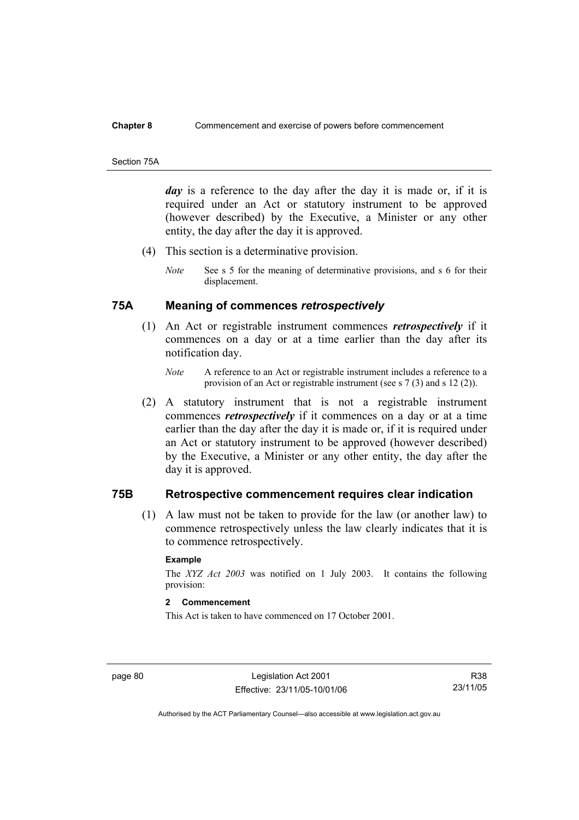#### **Chapter 8** Commencement and exercise of powers before commencement

#### Section 75A

*day* is a reference to the day after the day it is made or, if it is required under an Act or statutory instrument to be approved (however described) by the Executive, a Minister or any other entity, the day after the day it is approved.

- (4) This section is a determinative provision.
	- *Note* See s 5 for the meaning of determinative provisions, and s 6 for their displacement.

## **75A Meaning of commences** *retrospectively*

- (1) An Act or registrable instrument commences *retrospectively* if it commences on a day or at a time earlier than the day after its notification day.
	- *Note* A reference to an Act or registrable instrument includes a reference to a provision of an Act or registrable instrument (see s 7 (3) and s 12 (2)).
- (2) A statutory instrument that is not a registrable instrument commences *retrospectively* if it commences on a day or at a time earlier than the day after the day it is made or, if it is required under an Act or statutory instrument to be approved (however described) by the Executive, a Minister or any other entity, the day after the day it is approved.

## **75B Retrospective commencement requires clear indication**

 (1) A law must not be taken to provide for the law (or another law) to commence retrospectively unless the law clearly indicates that it is to commence retrospectively.

### **Example**

The *XYZ Act 2003* was notified on 1 July 2003. It contains the following provision:

## **2 Commencement**

This Act is taken to have commenced on 17 October 2001.

page 80 Legislation Act 2001 Effective: 23/11/05-10/01/06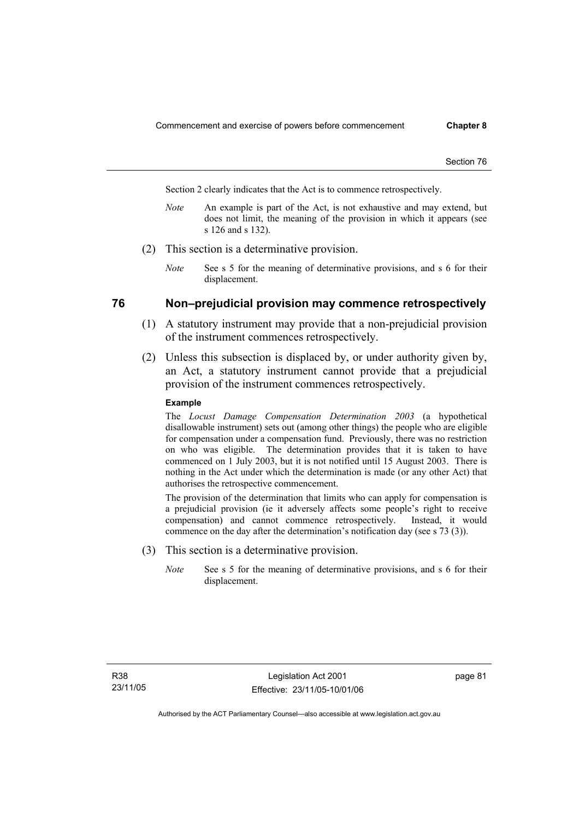Section 2 clearly indicates that the Act is to commence retrospectively.

- *Note* An example is part of the Act, is not exhaustive and may extend, but does not limit, the meaning of the provision in which it appears (see s 126 and s 132).
- (2) This section is a determinative provision.
	- *Note* See s 5 for the meaning of determinative provisions, and s 6 for their displacement.

## **76 Non–prejudicial provision may commence retrospectively**

- (1) A statutory instrument may provide that a non-prejudicial provision of the instrument commences retrospectively.
- (2) Unless this subsection is displaced by, or under authority given by, an Act, a statutory instrument cannot provide that a prejudicial provision of the instrument commences retrospectively.

#### **Example**

The *Locust Damage Compensation Determination 2003* (a hypothetical disallowable instrument) sets out (among other things) the people who are eligible for compensation under a compensation fund. Previously, there was no restriction on who was eligible. The determination provides that it is taken to have commenced on 1 July 2003, but it is not notified until 15 August 2003. There is nothing in the Act under which the determination is made (or any other Act) that authorises the retrospective commencement.

The provision of the determination that limits who can apply for compensation is a prejudicial provision (ie it adversely affects some people's right to receive compensation) and cannot commence retrospectively. Instead, it would commence on the day after the determination's notification day (see s 73 (3)).

- (3) This section is a determinative provision.
	- *Note* See s 5 for the meaning of determinative provisions, and s 6 for their displacement.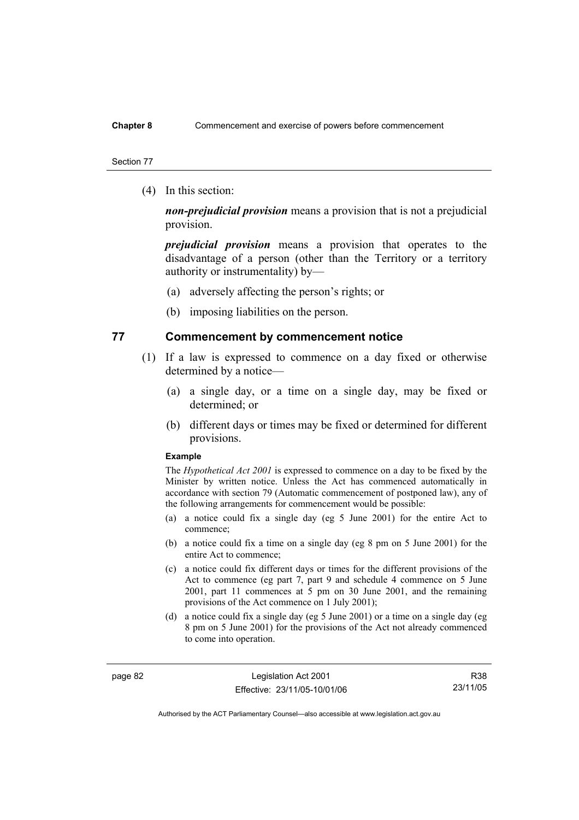### **Chapter 8** Commencement and exercise of powers before commencement

#### Section 77

(4) In this section:

*non-prejudicial provision* means a provision that is not a prejudicial provision.

*prejudicial provision* means a provision that operates to the disadvantage of a person (other than the Territory or a territory authority or instrumentality) by—

- (a) adversely affecting the person's rights; or
- (b) imposing liabilities on the person.

## **77 Commencement by commencement notice**

- (1) If a law is expressed to commence on a day fixed or otherwise determined by a notice—
	- (a) a single day, or a time on a single day, may be fixed or determined; or
	- (b) different days or times may be fixed or determined for different provisions.

#### **Example**

The *Hypothetical Act 2001* is expressed to commence on a day to be fixed by the Minister by written notice. Unless the Act has commenced automatically in accordance with section 79 (Automatic commencement of postponed law), any of the following arrangements for commencement would be possible:

- (a) a notice could fix a single day (eg 5 June 2001) for the entire Act to commence;
- (b) a notice could fix a time on a single day (eg 8 pm on 5 June 2001) for the entire Act to commence;
- (c) a notice could fix different days or times for the different provisions of the Act to commence (eg part 7, part 9 and schedule 4 commence on 5 June 2001, part 11 commences at 5 pm on 30 June 2001, and the remaining provisions of the Act commence on 1 July 2001);
- (d) a notice could fix a single day (eg 5 June 2001) or a time on a single day (eg 8 pm on 5 June 2001) for the provisions of the Act not already commenced to come into operation.

page 82 Legislation Act 2001 Effective: 23/11/05-10/01/06

R38 23/11/05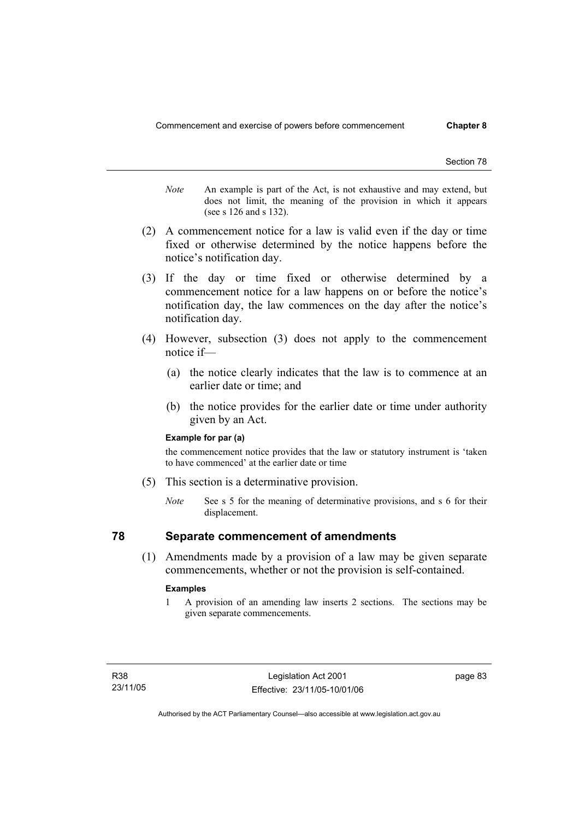- *Note* An example is part of the Act, is not exhaustive and may extend, but does not limit, the meaning of the provision in which it appears (see s 126 and s 132).
- (2) A commencement notice for a law is valid even if the day or time fixed or otherwise determined by the notice happens before the notice's notification day.
- (3) If the day or time fixed or otherwise determined by a commencement notice for a law happens on or before the notice's notification day, the law commences on the day after the notice's notification day.
- (4) However, subsection (3) does not apply to the commencement notice if—
	- (a) the notice clearly indicates that the law is to commence at an earlier date or time; and
	- (b) the notice provides for the earlier date or time under authority given by an Act.

#### **Example for par (a)**

the commencement notice provides that the law or statutory instrument is 'taken to have commenced' at the earlier date or time

- (5) This section is a determinative provision.
	- *Note* See s 5 for the meaning of determinative provisions, and s 6 for their displacement.

## **78 Separate commencement of amendments**

 (1) Amendments made by a provision of a law may be given separate commencements, whether or not the provision is self-contained.

#### **Examples**

1 A provision of an amending law inserts 2 sections. The sections may be given separate commencements.

page 83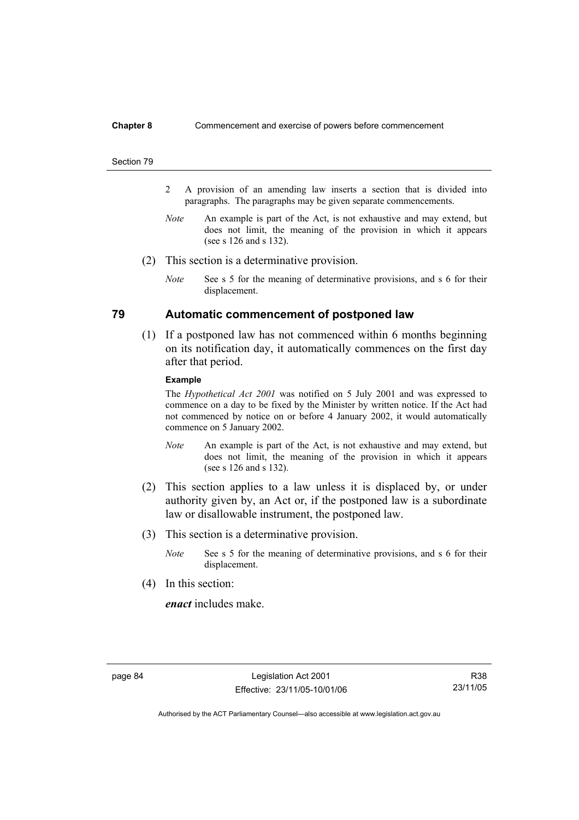#### **Chapter 8** Commencement and exercise of powers before commencement

#### Section 79

- 2 A provision of an amending law inserts a section that is divided into paragraphs. The paragraphs may be given separate commencements.
- *Note* An example is part of the Act, is not exhaustive and may extend, but does not limit, the meaning of the provision in which it appears (see s 126 and s 132).
- (2) This section is a determinative provision.
	- *Note* See s 5 for the meaning of determinative provisions, and s 6 for their displacement.

## **79 Automatic commencement of postponed law**

 (1) If a postponed law has not commenced within 6 months beginning on its notification day, it automatically commences on the first day after that period.

#### **Example**

The *Hypothetical Act 2001* was notified on 5 July 2001 and was expressed to commence on a day to be fixed by the Minister by written notice. If the Act had not commenced by notice on or before 4 January 2002, it would automatically commence on 5 January 2002.

- *Note* An example is part of the Act, is not exhaustive and may extend, but does not limit, the meaning of the provision in which it appears (see s 126 and s 132).
- (2) This section applies to a law unless it is displaced by, or under authority given by, an Act or, if the postponed law is a subordinate law or disallowable instrument, the postponed law.
- (3) This section is a determinative provision.
	- *Note* See s 5 for the meaning of determinative provisions, and s 6 for their displacement.
- (4) In this section:

*enact* includes make.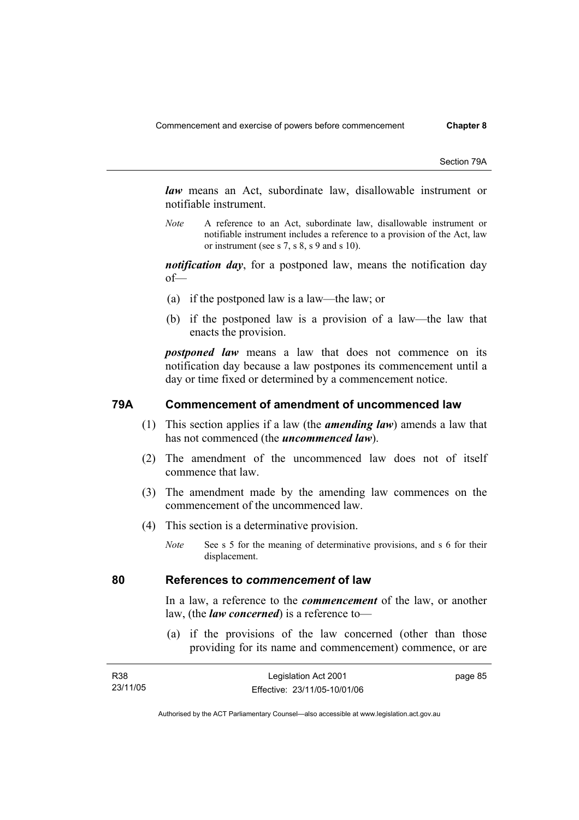Section 79A

*law* means an Act, subordinate law, disallowable instrument or notifiable instrument.

*Note* A reference to an Act, subordinate law, disallowable instrument or notifiable instrument includes a reference to a provision of the Act, law or instrument (see s 7, s 8, s 9 and s 10).

*notification day*, for a postponed law, means the notification day of—

- (a) if the postponed law is a law—the law; or
- (b) if the postponed law is a provision of a law—the law that enacts the provision.

*postponed law* means a law that does not commence on its notification day because a law postpones its commencement until a day or time fixed or determined by a commencement notice.

## **79A Commencement of amendment of uncommenced law**

- (1) This section applies if a law (the *amending law*) amends a law that has not commenced (the *uncommenced law*).
- (2) The amendment of the uncommenced law does not of itself commence that law.
- (3) The amendment made by the amending law commences on the commencement of the uncommenced law.
- (4) This section is a determinative provision.
	- *Note* See s 5 for the meaning of determinative provisions, and s 6 for their displacement.

### **80 References to** *commencement* **of law**

In a law, a reference to the *commencement* of the law, or another law, (the *law concerned*) is a reference to—

 (a) if the provisions of the law concerned (other than those providing for its name and commencement) commence, or are

| R38      | Legislation Act 2001         | page 85 |
|----------|------------------------------|---------|
| 23/11/05 | Effective: 23/11/05-10/01/06 |         |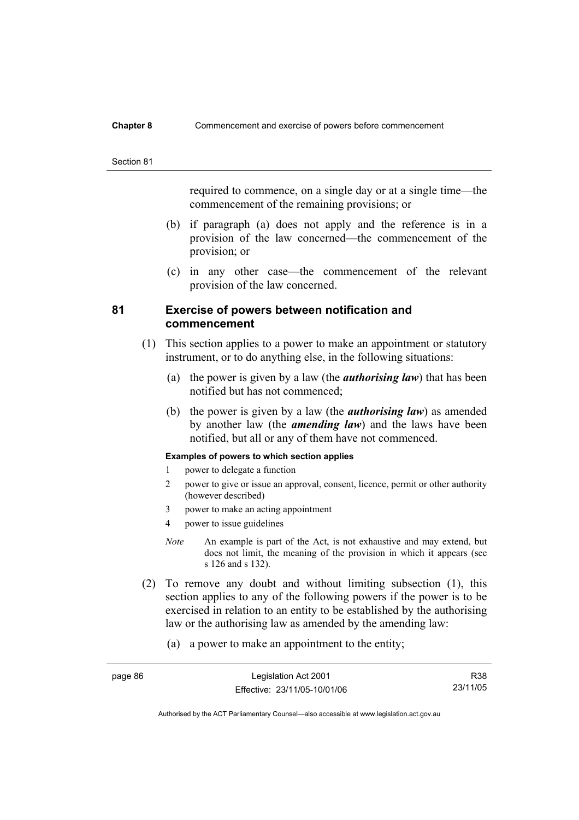#### **Chapter 8** Commencement and exercise of powers before commencement

#### Section 81

required to commence, on a single day or at a single time—the commencement of the remaining provisions; or

- (b) if paragraph (a) does not apply and the reference is in a provision of the law concerned—the commencement of the provision; or
- (c) in any other case—the commencement of the relevant provision of the law concerned.

## **81 Exercise of powers between notification and commencement**

- (1) This section applies to a power to make an appointment or statutory instrument, or to do anything else, in the following situations:
	- (a) the power is given by a law (the *authorising law*) that has been notified but has not commenced;
	- (b) the power is given by a law (the *authorising law*) as amended by another law (the *amending law*) and the laws have been notified, but all or any of them have not commenced.

### **Examples of powers to which section applies**

- 1 power to delegate a function
- 2 power to give or issue an approval, consent, licence, permit or other authority (however described)
- 3 power to make an acting appointment
- 4 power to issue guidelines
- *Note* An example is part of the Act, is not exhaustive and may extend, but does not limit, the meaning of the provision in which it appears (see s 126 and s 132).
- (2) To remove any doubt and without limiting subsection (1), this section applies to any of the following powers if the power is to be exercised in relation to an entity to be established by the authorising law or the authorising law as amended by the amending law:
	- (a) a power to make an appointment to the entity;

| page 86 | Legislation Act 2001         | R38      |
|---------|------------------------------|----------|
|         | Effective: 23/11/05-10/01/06 | 23/11/05 |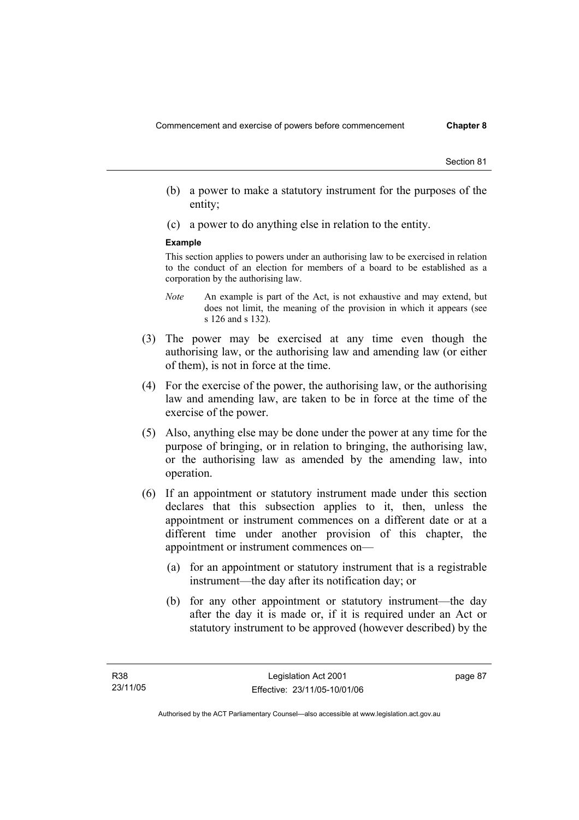- (b) a power to make a statutory instrument for the purposes of the entity;
- (c) a power to do anything else in relation to the entity.

#### **Example**

This section applies to powers under an authorising law to be exercised in relation to the conduct of an election for members of a board to be established as a corporation by the authorising law.

- *Note* An example is part of the Act, is not exhaustive and may extend, but does not limit, the meaning of the provision in which it appears (see s 126 and s 132).
- (3) The power may be exercised at any time even though the authorising law, or the authorising law and amending law (or either of them), is not in force at the time.
- (4) For the exercise of the power, the authorising law, or the authorising law and amending law, are taken to be in force at the time of the exercise of the power.
- (5) Also, anything else may be done under the power at any time for the purpose of bringing, or in relation to bringing, the authorising law, or the authorising law as amended by the amending law, into operation.
- (6) If an appointment or statutory instrument made under this section declares that this subsection applies to it, then, unless the appointment or instrument commences on a different date or at a different time under another provision of this chapter, the appointment or instrument commences on—
	- (a) for an appointment or statutory instrument that is a registrable instrument—the day after its notification day; or
	- (b) for any other appointment or statutory instrument—the day after the day it is made or, if it is required under an Act or statutory instrument to be approved (however described) by the

page 87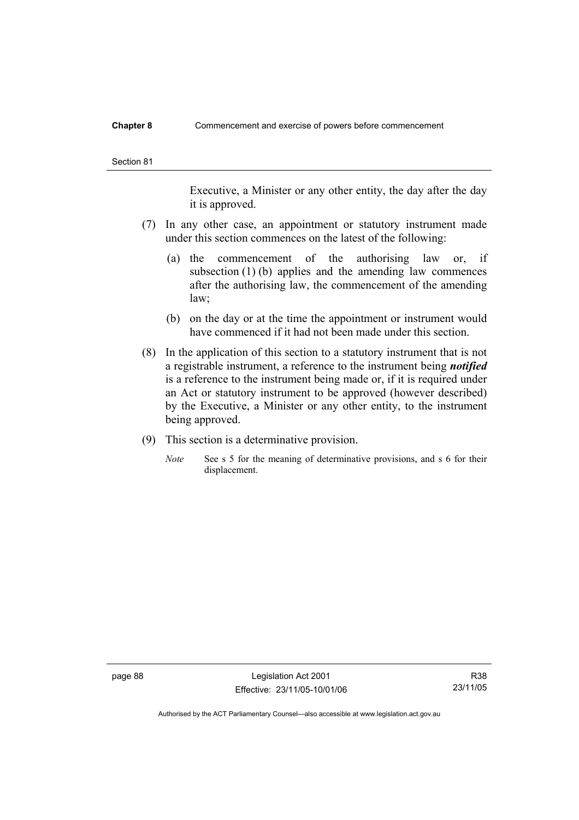#### **Chapter 8** Commencement and exercise of powers before commencement

Executive, a Minister or any other entity, the day after the day it is approved.

- (7) In any other case, an appointment or statutory instrument made under this section commences on the latest of the following:
	- (a) the commencement of the authorising law or, if subsection (1) (b) applies and the amending law commences after the authorising law, the commencement of the amending law;
	- (b) on the day or at the time the appointment or instrument would have commenced if it had not been made under this section.
- (8) In the application of this section to a statutory instrument that is not a registrable instrument, a reference to the instrument being *notified*  is a reference to the instrument being made or, if it is required under an Act or statutory instrument to be approved (however described) by the Executive, a Minister or any other entity, to the instrument being approved.
- (9) This section is a determinative provision.
	- *Note* See s 5 for the meaning of determinative provisions, and s 6 for their displacement.

page 88 Legislation Act 2001 Effective: 23/11/05-10/01/06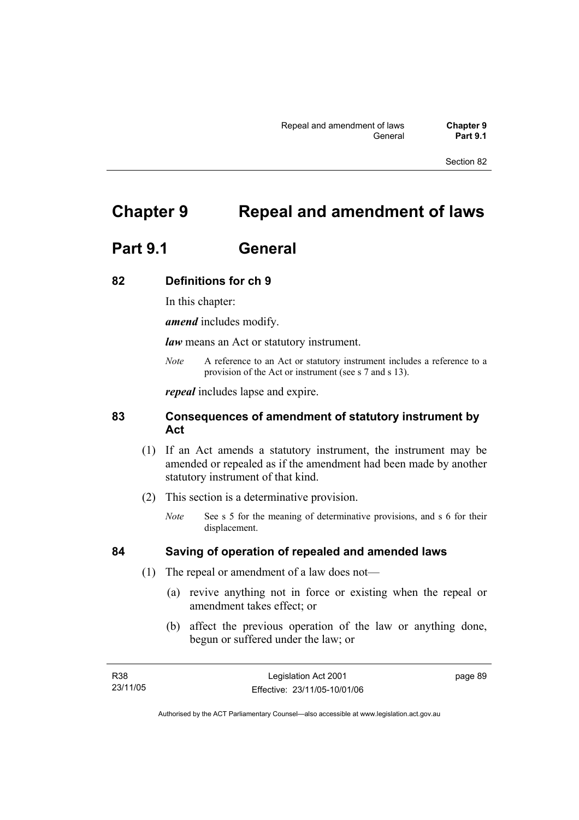# **Chapter 9 Repeal and amendment of laws**

# **Part 9.1 General**

## **82 Definitions for ch 9**

In this chapter:

*amend* includes modify.

*law* means an Act or statutory instrument.

*Note* A reference to an Act or statutory instrument includes a reference to a provision of the Act or instrument (see s 7 and s 13).

*repeal* includes lapse and expire.

## **83 Consequences of amendment of statutory instrument by Act**

- (1) If an Act amends a statutory instrument, the instrument may be amended or repealed as if the amendment had been made by another statutory instrument of that kind.
- (2) This section is a determinative provision.
	- *Note* See s 5 for the meaning of determinative provisions, and s 6 for their displacement.

## **84 Saving of operation of repealed and amended laws**

- (1) The repeal or amendment of a law does not—
	- (a) revive anything not in force or existing when the repeal or amendment takes effect; or
	- (b) affect the previous operation of the law or anything done, begun or suffered under the law; or

| R38      | Legislation Act 2001         | page 89 |
|----------|------------------------------|---------|
| 23/11/05 | Effective: 23/11/05-10/01/06 |         |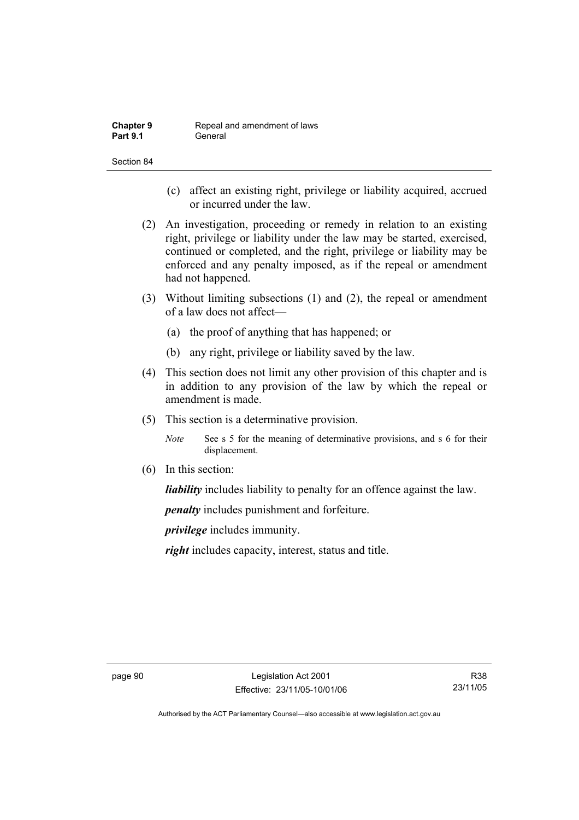| <b>Chapter 9</b> | Repeal and amendment of laws |
|------------------|------------------------------|
| <b>Part 9.1</b>  | General                      |

- (c) affect an existing right, privilege or liability acquired, accrued or incurred under the law.
- (2) An investigation, proceeding or remedy in relation to an existing right, privilege or liability under the law may be started, exercised, continued or completed, and the right, privilege or liability may be enforced and any penalty imposed, as if the repeal or amendment had not happened.
- (3) Without limiting subsections (1) and (2), the repeal or amendment of a law does not affect—
	- (a) the proof of anything that has happened; or
	- (b) any right, privilege or liability saved by the law.
- (4) This section does not limit any other provision of this chapter and is in addition to any provision of the law by which the repeal or amendment is made.
- (5) This section is a determinative provision.
	- *Note* See s 5 for the meaning of determinative provisions, and s 6 for their displacement.
- (6) In this section:

*liability* includes liability to penalty for an offence against the law.

*penalty* includes punishment and forfeiture.

*privilege* includes immunity.

*right* includes capacity, interest, status and title.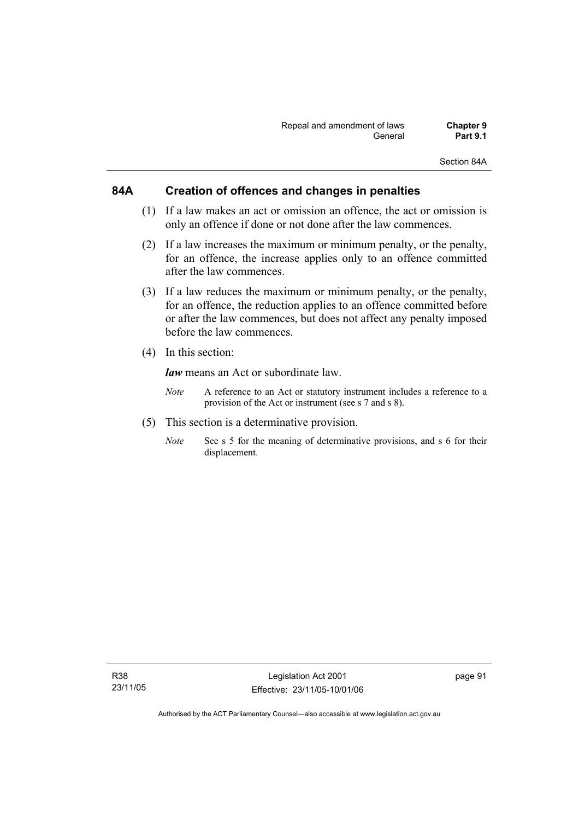Section 84A

## **84A Creation of offences and changes in penalties**

- (1) If a law makes an act or omission an offence, the act or omission is only an offence if done or not done after the law commences.
- (2) If a law increases the maximum or minimum penalty, or the penalty, for an offence, the increase applies only to an offence committed after the law commences.
- (3) If a law reduces the maximum or minimum penalty, or the penalty, for an offence, the reduction applies to an offence committed before or after the law commences, but does not affect any penalty imposed before the law commences.
- (4) In this section:

*law* means an Act or subordinate law.

- *Note* A reference to an Act or statutory instrument includes a reference to a provision of the Act or instrument (see s 7 and s 8).
- (5) This section is a determinative provision.
	- *Note* See s 5 for the meaning of determinative provisions, and s 6 for their displacement.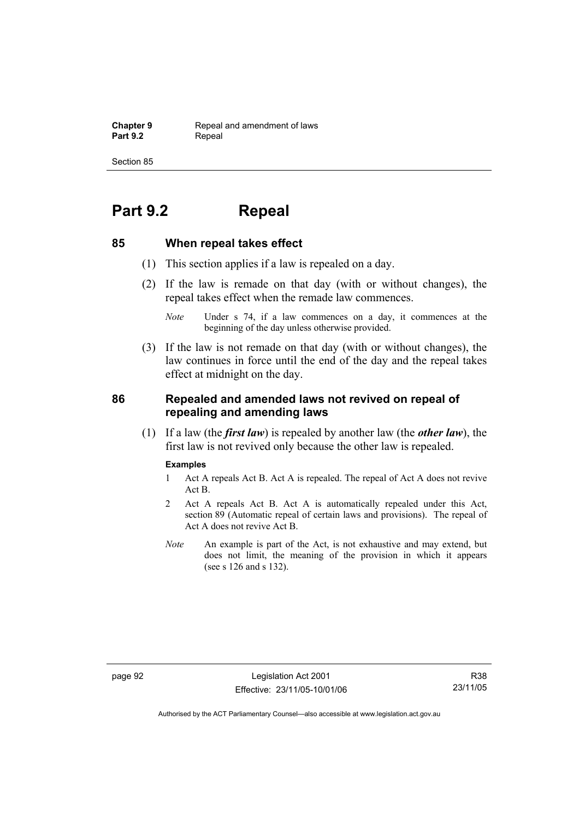**Chapter 9 Repeal and amendment of laws**<br>**Part 9.2 Repeal** Repeal

Section 85

# **Part 9.2 Repeal**

## **85 When repeal takes effect**

- (1) This section applies if a law is repealed on a day.
- (2) If the law is remade on that day (with or without changes), the repeal takes effect when the remade law commences.

 (3) If the law is not remade on that day (with or without changes), the law continues in force until the end of the day and the repeal takes effect at midnight on the day.

## **86 Repealed and amended laws not revived on repeal of repealing and amending laws**

 (1) If a law (the *first law*) is repealed by another law (the *other law*), the first law is not revived only because the other law is repealed.

#### **Examples**

- 1 Act A repeals Act B. Act A is repealed. The repeal of Act A does not revive Act B.
- 2 Act A repeals Act B. Act A is automatically repealed under this Act, section 89 (Automatic repeal of certain laws and provisions). The repeal of Act A does not revive Act B.
- *Note* An example is part of the Act, is not exhaustive and may extend, but does not limit, the meaning of the provision in which it appears (see s 126 and s 132).

page 92 Legislation Act 2001 Effective: 23/11/05-10/01/06

*Note* Under s 74, if a law commences on a day, it commences at the beginning of the day unless otherwise provided.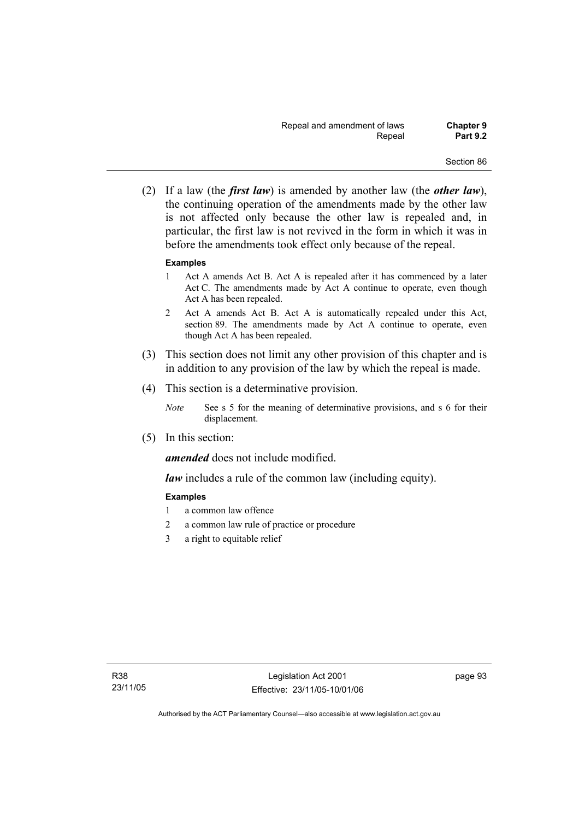(2) If a law (the *first law*) is amended by another law (the *other law*), the continuing operation of the amendments made by the other law is not affected only because the other law is repealed and, in particular, the first law is not revived in the form in which it was in before the amendments took effect only because of the repeal.

## **Examples**

- 1 Act A amends Act B. Act A is repealed after it has commenced by a later Act C. The amendments made by Act A continue to operate, even though Act A has been repealed.
- 2 Act A amends Act B. Act A is automatically repealed under this Act, section 89. The amendments made by Act A continue to operate, even though Act A has been repealed.
- (3) This section does not limit any other provision of this chapter and is in addition to any provision of the law by which the repeal is made.
- (4) This section is a determinative provision.
	- *Note* See s 5 for the meaning of determinative provisions, and s 6 for their displacement.
- (5) In this section:

*amended* does not include modified.

*law* includes a rule of the common law (including equity).

## **Examples**

- 1 a common law offence
- 2 a common law rule of practice or procedure
- 3 a right to equitable relief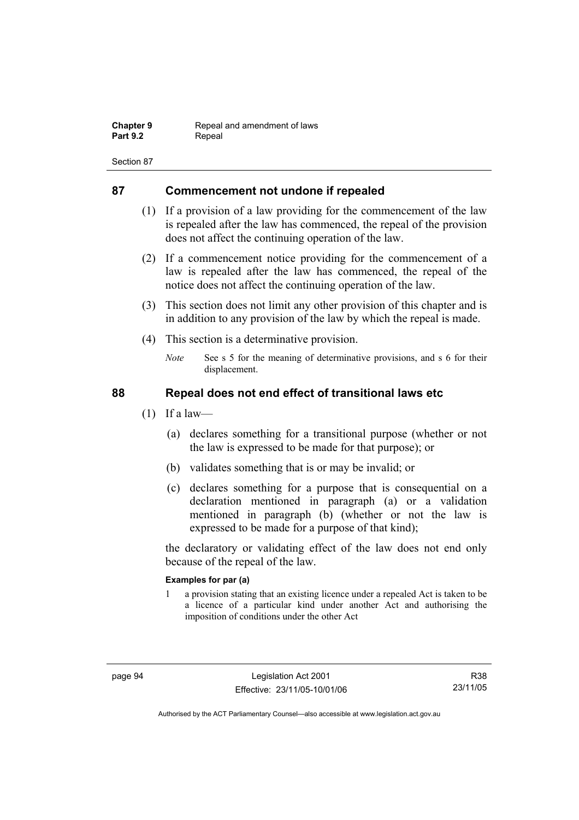| <b>Chapter 9</b> | Repeal and amendment of laws |
|------------------|------------------------------|
| <b>Part 9.2</b>  | Repeal                       |

# **87 Commencement not undone if repealed**

- (1) If a provision of a law providing for the commencement of the law is repealed after the law has commenced, the repeal of the provision does not affect the continuing operation of the law.
- (2) If a commencement notice providing for the commencement of a law is repealed after the law has commenced, the repeal of the notice does not affect the continuing operation of the law.
- (3) This section does not limit any other provision of this chapter and is in addition to any provision of the law by which the repeal is made.
- (4) This section is a determinative provision.
	- *Note* See s 5 for the meaning of determinative provisions, and s 6 for their displacement.

# **88 Repeal does not end effect of transitional laws etc**

- $(1)$  If a law—
	- (a) declares something for a transitional purpose (whether or not the law is expressed to be made for that purpose); or
	- (b) validates something that is or may be invalid; or
	- (c) declares something for a purpose that is consequential on a declaration mentioned in paragraph (a) or a validation mentioned in paragraph (b) (whether or not the law is expressed to be made for a purpose of that kind);

the declaratory or validating effect of the law does not end only because of the repeal of the law.

## **Examples for par (a)**

1 a provision stating that an existing licence under a repealed Act is taken to be a licence of a particular kind under another Act and authorising the imposition of conditions under the other Act

R38 23/11/05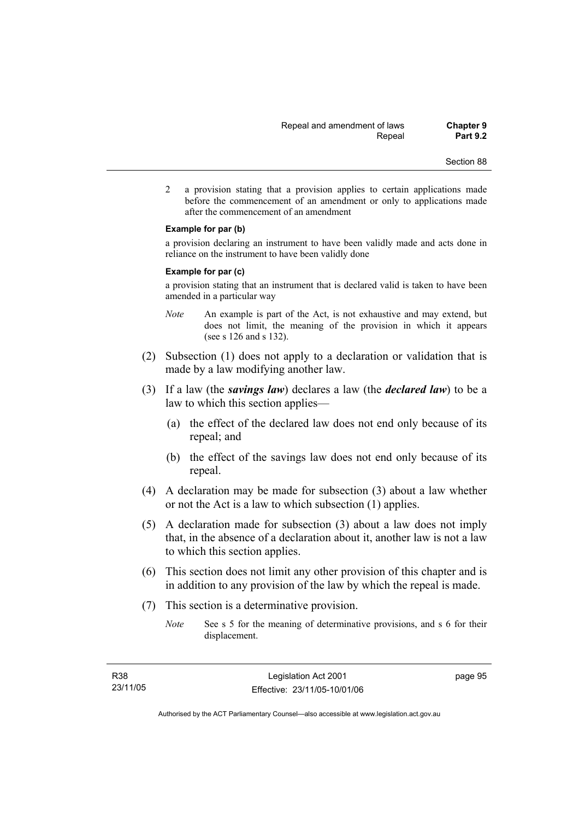2 a provision stating that a provision applies to certain applications made before the commencement of an amendment or only to applications made after the commencement of an amendment

### **Example for par (b)**

a provision declaring an instrument to have been validly made and acts done in reliance on the instrument to have been validly done

### **Example for par (c)**

a provision stating that an instrument that is declared valid is taken to have been amended in a particular way

- *Note* An example is part of the Act, is not exhaustive and may extend, but does not limit, the meaning of the provision in which it appears (see s 126 and s 132).
- (2) Subsection (1) does not apply to a declaration or validation that is made by a law modifying another law.
- (3) If a law (the *savings law*) declares a law (the *declared law*) to be a law to which this section applies—
	- (a) the effect of the declared law does not end only because of its repeal; and
	- (b) the effect of the savings law does not end only because of its repeal.
- (4) A declaration may be made for subsection (3) about a law whether or not the Act is a law to which subsection (1) applies.
- (5) A declaration made for subsection (3) about a law does not imply that, in the absence of a declaration about it, another law is not a law to which this section applies.
- (6) This section does not limit any other provision of this chapter and is in addition to any provision of the law by which the repeal is made.
- (7) This section is a determinative provision.
	- *Note* See s 5 for the meaning of determinative provisions, and s 6 for their displacement.

page 95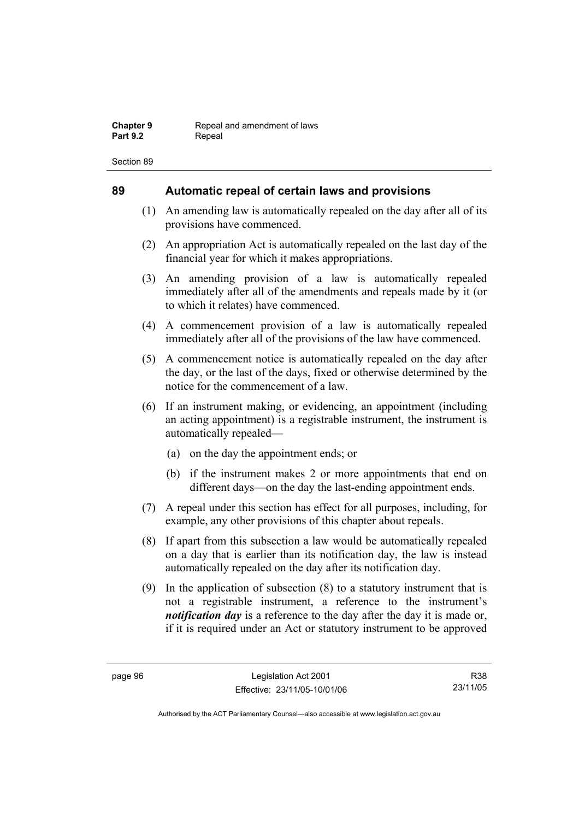# **89 Automatic repeal of certain laws and provisions**

- (1) An amending law is automatically repealed on the day after all of its provisions have commenced.
- (2) An appropriation Act is automatically repealed on the last day of the financial year for which it makes appropriations.
- (3) An amending provision of a law is automatically repealed immediately after all of the amendments and repeals made by it (or to which it relates) have commenced.
- (4) A commencement provision of a law is automatically repealed immediately after all of the provisions of the law have commenced.
- (5) A commencement notice is automatically repealed on the day after the day, or the last of the days, fixed or otherwise determined by the notice for the commencement of a law.
- (6) If an instrument making, or evidencing, an appointment (including an acting appointment) is a registrable instrument, the instrument is automatically repealed—
	- (a) on the day the appointment ends; or
	- (b) if the instrument makes 2 or more appointments that end on different days—on the day the last-ending appointment ends.
- (7) A repeal under this section has effect for all purposes, including, for example, any other provisions of this chapter about repeals.
- (8) If apart from this subsection a law would be automatically repealed on a day that is earlier than its notification day, the law is instead automatically repealed on the day after its notification day.
- (9) In the application of subsection (8) to a statutory instrument that is not a registrable instrument, a reference to the instrument's *notification day* is a reference to the day after the day it is made or, if it is required under an Act or statutory instrument to be approved

R38 23/11/05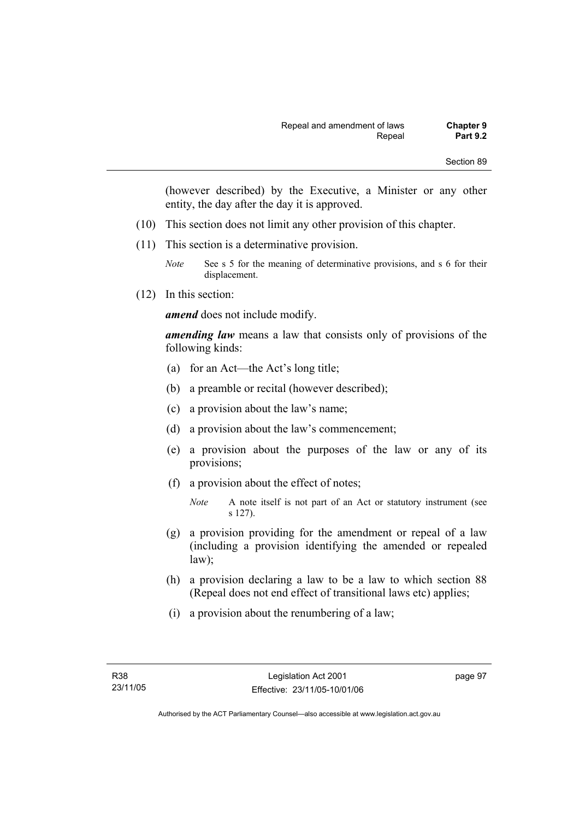(however described) by the Executive, a Minister or any other entity, the day after the day it is approved.

- (10) This section does not limit any other provision of this chapter.
- (11) This section is a determinative provision.
	- *Note* See s 5 for the meaning of determinative provisions, and s 6 for their displacement.
- (12) In this section:

*amend* does not include modify.

*amending law* means a law that consists only of provisions of the following kinds:

- (a) for an Act—the Act's long title;
- (b) a preamble or recital (however described);
- (c) a provision about the law's name;
- (d) a provision about the law's commencement;
- (e) a provision about the purposes of the law or any of its provisions;
- (f) a provision about the effect of notes;

- (g) a provision providing for the amendment or repeal of a law (including a provision identifying the amended or repealed law);
- (h) a provision declaring a law to be a law to which section 88 (Repeal does not end effect of transitional laws etc) applies;
- (i) a provision about the renumbering of a law;

page 97

*Note* A note itself is not part of an Act or statutory instrument (see s 127).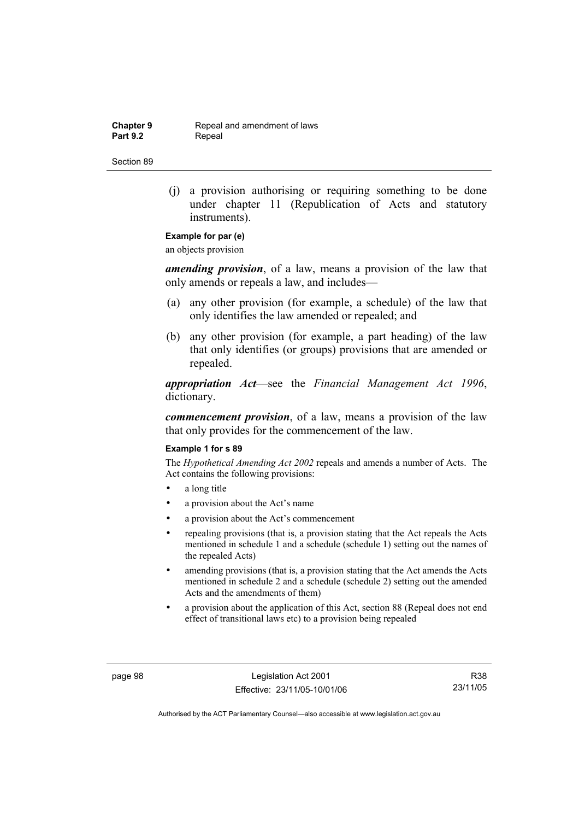**Chapter 9 Repeal and amendment of laws**<br>**Part 9.2 Repeal** Repeal

Section 89

 (j) a provision authorising or requiring something to be done under chapter 11 (Republication of Acts and statutory instruments).

# **Example for par (e)**

an objects provision

*amending provision*, of a law, means a provision of the law that only amends or repeals a law, and includes—

- (a) any other provision (for example, a schedule) of the law that only identifies the law amended or repealed; and
- (b) any other provision (for example, a part heading) of the law that only identifies (or groups) provisions that are amended or repealed.

*appropriation Act*—see the *Financial Management Act 1996*, dictionary.

*commencement provision*, of a law, means a provision of the law that only provides for the commencement of the law.

### **Example 1 for s 89**

The *Hypothetical Amending Act 2002* repeals and amends a number of Acts. The Act contains the following provisions:

- a long title
- a provision about the Act's name
- a provision about the Act's commencement
- repealing provisions (that is, a provision stating that the Act repeals the Acts mentioned in schedule 1 and a schedule (schedule 1) setting out the names of the repealed Acts)
- amending provisions (that is, a provision stating that the Act amends the Acts mentioned in schedule 2 and a schedule (schedule 2) setting out the amended Acts and the amendments of them)
- a provision about the application of this Act, section 88 (Repeal does not end effect of transitional laws etc) to a provision being repealed

page 98 Legislation Act 2001 Effective: 23/11/05-10/01/06

R38 23/11/05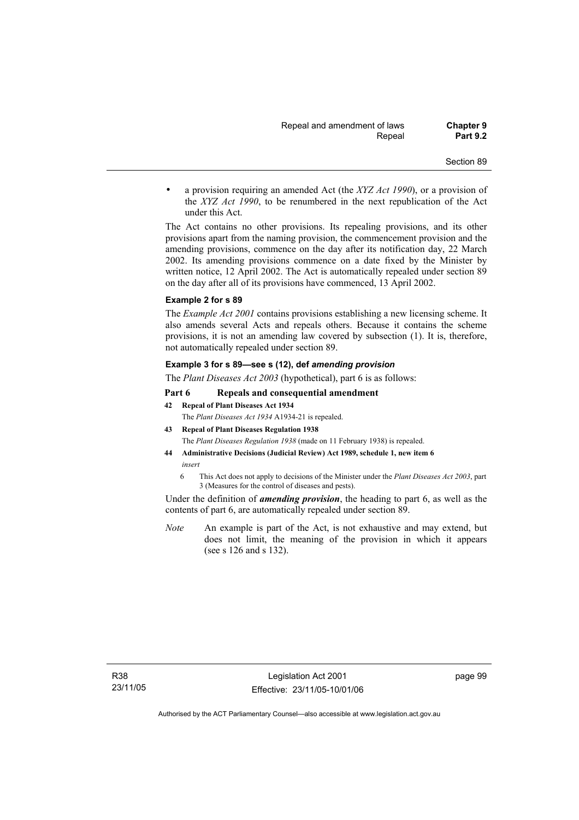• a provision requiring an amended Act (the *XYZ Act 1990*), or a provision of the *XYZ Act 1990*, to be renumbered in the next republication of the Act under this Act.

The Act contains no other provisions. Its repealing provisions, and its other provisions apart from the naming provision, the commencement provision and the amending provisions, commence on the day after its notification day, 22 March 2002. Its amending provisions commence on a date fixed by the Minister by written notice, 12 April 2002. The Act is automatically repealed under section 89 on the day after all of its provisions have commenced, 13 April 2002.

#### **Example 2 for s 89**

The *Example Act 2001* contains provisions establishing a new licensing scheme. It also amends several Acts and repeals others. Because it contains the scheme provisions, it is not an amending law covered by subsection (1). It is, therefore, not automatically repealed under section 89.

### **Example 3 for s 89—see s (12), def** *amending provision*

The *Plant Diseases Act 2003* (hypothetical), part 6 is as follows:

### **Part 6 Repeals and consequential amendment**

**42 Repeal of Plant Diseases Act 1934**

The *Plant Diseases Act 1934* A1934-21 is repealed.

- **43 Repeal of Plant Diseases Regulation 1938** The *Plant Diseases Regulation 1938* (made on 11 February 1938) is repealed.
- **44 Administrative Decisions (Judicial Review) Act 1989, schedule 1, new item 6**  *insert* 
	- 6 This Act does not apply to decisions of the Minister under the *Plant Diseases Act 2003*, part 3 (Measures for the control of diseases and pests).

Under the definition of *amending provision*, the heading to part 6, as well as the contents of part 6, are automatically repealed under section 89.

*Note* An example is part of the Act, is not exhaustive and may extend, but does not limit, the meaning of the provision in which it appears (see s 126 and s 132).

page 99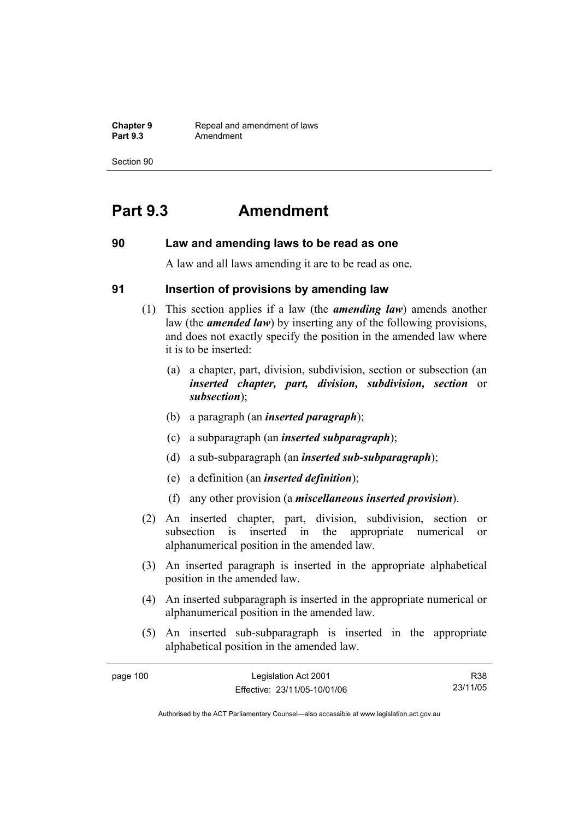**Chapter 9 Repeal and amendment of laws**<br>**Part 9.3 Amendment** Amendment

Section 90

# **Part 9.3 Amendment**

## **90 Law and amending laws to be read as one**

A law and all laws amending it are to be read as one.

## **91 Insertion of provisions by amending law**

- (1) This section applies if a law (the *amending law*) amends another law (the *amended law*) by inserting any of the following provisions, and does not exactly specify the position in the amended law where it is to be inserted:
	- (a) a chapter, part, division, subdivision, section or subsection (an *inserted chapter, part, division, subdivision, section* or *subsection*);
	- (b) a paragraph (an *inserted paragraph*);
	- (c) a subparagraph (an *inserted subparagraph*);
	- (d) a sub-subparagraph (an *inserted sub-subparagraph*);
	- (e) a definition (an *inserted definition*);
	- (f) any other provision (a *miscellaneous inserted provision*).
- (2) An inserted chapter, part, division, subdivision, section or subsection is inserted in the appropriate numerical or alphanumerical position in the amended law.
- (3) An inserted paragraph is inserted in the appropriate alphabetical position in the amended law.
- (4) An inserted subparagraph is inserted in the appropriate numerical or alphanumerical position in the amended law.
- (5) An inserted sub-subparagraph is inserted in the appropriate alphabetical position in the amended law.

| page 100 | Legislation Act 2001         | R38      |
|----------|------------------------------|----------|
|          | Effective: 23/11/05-10/01/06 | 23/11/05 |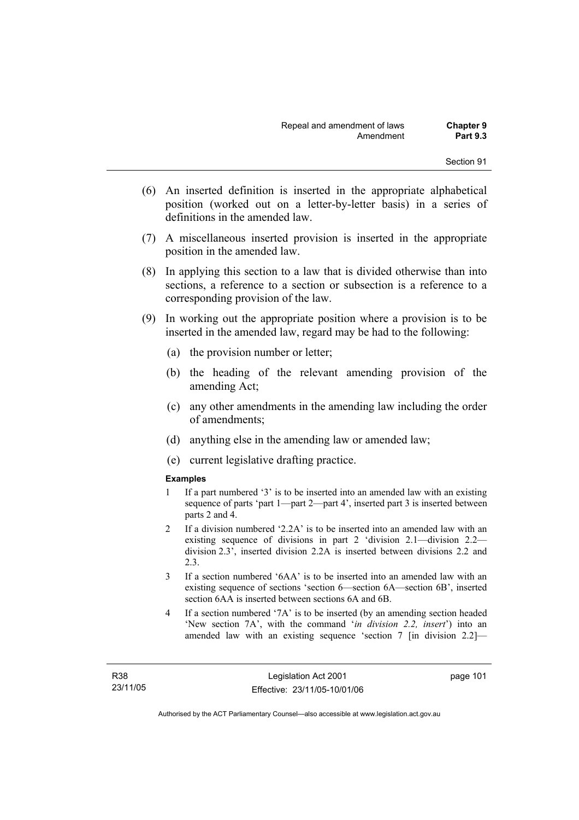- (6) An inserted definition is inserted in the appropriate alphabetical position (worked out on a letter-by-letter basis) in a series of definitions in the amended law.
- (7) A miscellaneous inserted provision is inserted in the appropriate position in the amended law.
- (8) In applying this section to a law that is divided otherwise than into sections, a reference to a section or subsection is a reference to a corresponding provision of the law.
- (9) In working out the appropriate position where a provision is to be inserted in the amended law, regard may be had to the following:
	- (a) the provision number or letter;
	- (b) the heading of the relevant amending provision of the amending Act;
	- (c) any other amendments in the amending law including the order of amendments;
	- (d) anything else in the amending law or amended law;
	- (e) current legislative drafting practice.

## **Examples**

- 1 If a part numbered '3' is to be inserted into an amended law with an existing sequence of parts 'part 1—part 2—part 4', inserted part 3 is inserted between parts 2 and 4.
- 2 If a division numbered '2.2A' is to be inserted into an amended law with an existing sequence of divisions in part 2 'division 2.1—division 2.2 division 2.3', inserted division 2.2A is inserted between divisions 2.2 and 2.3.
- 3 If a section numbered '6AA' is to be inserted into an amended law with an existing sequence of sections 'section 6—section 6A—section 6B', inserted section 6AA is inserted between sections 6A and 6B.
- 4 If a section numbered '7A' is to be inserted (by an amending section headed 'New section 7A', with the command '*in division 2.2, insert*') into an amended law with an existing sequence 'section 7 [in division 2.2]—

page 101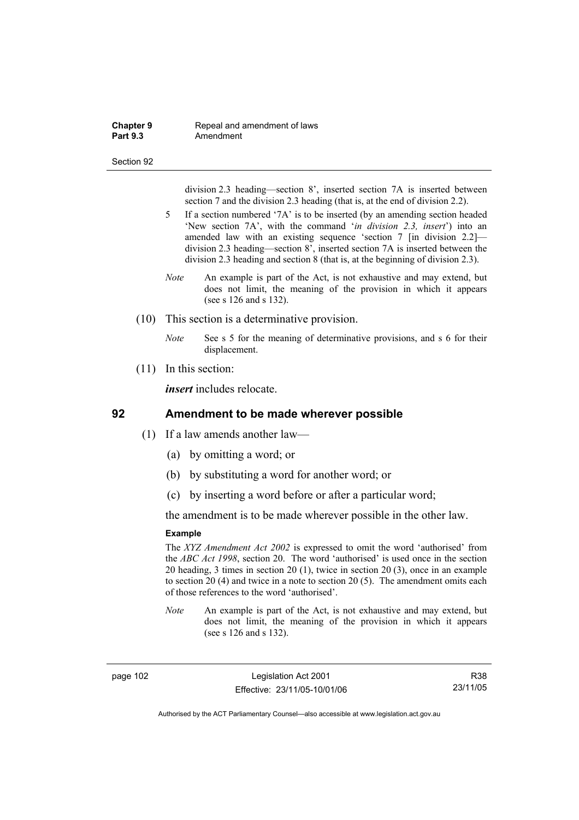### **Chapter 9 Repeal and amendment of laws**<br>**Part 9.3 Amendment** Amendment

#### Section 92

division 2.3 heading—section 8', inserted section 7A is inserted between section 7 and the division 2.3 heading (that is, at the end of division 2.2).

- 5 If a section numbered '7A' is to be inserted (by an amending section headed 'New section 7A', with the command '*in division 2.3, insert*') into an amended law with an existing sequence 'section 7 [in division 2.2] division 2.3 heading—section 8', inserted section 7A is inserted between the division 2.3 heading and section 8 (that is, at the beginning of division 2.3).
- *Note* An example is part of the Act, is not exhaustive and may extend, but does not limit, the meaning of the provision in which it appears (see s 126 and s 132).
- (10) This section is a determinative provision.
	- *Note* See s 5 for the meaning of determinative provisions, and s 6 for their displacement.
- (11) In this section:

*insert* includes relocate.

## **92 Amendment to be made wherever possible**

- (1) If a law amends another law—
	- (a) by omitting a word; or
	- (b) by substituting a word for another word; or
	- (c) by inserting a word before or after a particular word;

the amendment is to be made wherever possible in the other law.

## **Example**

The *XYZ Amendment Act 2002* is expressed to omit the word 'authorised' from the *ABC Act 1998*, section 20. The word 'authorised' is used once in the section 20 heading, 3 times in section 20 (1), twice in section 20 (3), once in an example to section 20 (4) and twice in a note to section 20 (5). The amendment omits each of those references to the word 'authorised'.

*Note* An example is part of the Act, is not exhaustive and may extend, but does not limit, the meaning of the provision in which it appears (see s 126 and s 132).

page 102 Legislation Act 2001 Effective: 23/11/05-10/01/06

R38 23/11/05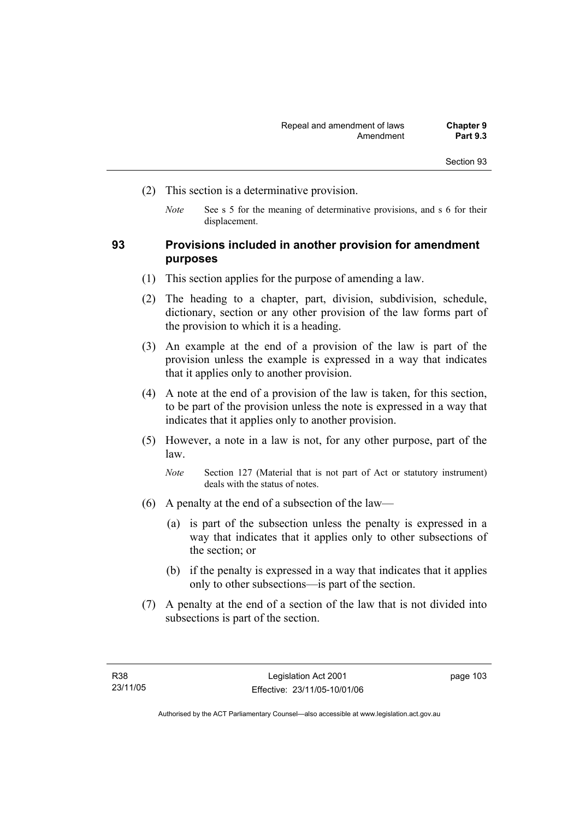- (2) This section is a determinative provision.
	- *Note* See s 5 for the meaning of determinative provisions, and s 6 for their displacement.

# **93 Provisions included in another provision for amendment purposes**

- (1) This section applies for the purpose of amending a law.
- (2) The heading to a chapter, part, division, subdivision, schedule, dictionary, section or any other provision of the law forms part of the provision to which it is a heading.
- (3) An example at the end of a provision of the law is part of the provision unless the example is expressed in a way that indicates that it applies only to another provision.
- (4) A note at the end of a provision of the law is taken, for this section, to be part of the provision unless the note is expressed in a way that indicates that it applies only to another provision.
- (5) However, a note in a law is not, for any other purpose, part of the law.

*Note* Section 127 (Material that is not part of Act or statutory instrument) deals with the status of notes.

- (6) A penalty at the end of a subsection of the law—
	- (a) is part of the subsection unless the penalty is expressed in a way that indicates that it applies only to other subsections of the section; or
	- (b) if the penalty is expressed in a way that indicates that it applies only to other subsections—is part of the section.
- (7) A penalty at the end of a section of the law that is not divided into subsections is part of the section.

page 103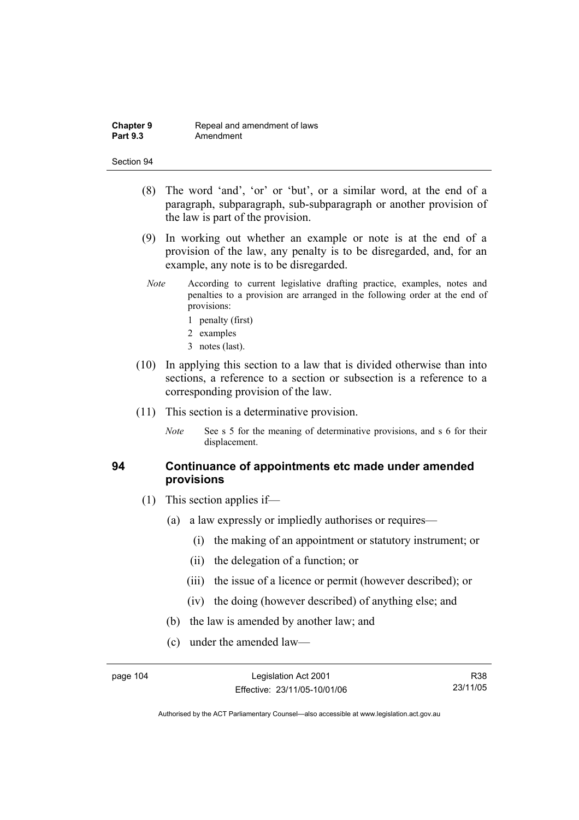- (8) The word 'and', 'or' or 'but', or a similar word, at the end of a paragraph, subparagraph, sub-subparagraph or another provision of the law is part of the provision.
- (9) In working out whether an example or note is at the end of a provision of the law, any penalty is to be disregarded, and, for an example, any note is to be disregarded.
- *Note* According to current legislative drafting practice, examples, notes and penalties to a provision are arranged in the following order at the end of provisions:
	- 1 penalty (first)
	- 2 examples
	- 3 notes (last).
- (10) In applying this section to a law that is divided otherwise than into sections, a reference to a section or subsection is a reference to a corresponding provision of the law.
- (11) This section is a determinative provision.
	- *Note* See s 5 for the meaning of determinative provisions, and s 6 for their displacement.

# **94 Continuance of appointments etc made under amended provisions**

- (1) This section applies if—
	- (a) a law expressly or impliedly authorises or requires—
		- (i) the making of an appointment or statutory instrument; or
		- (ii) the delegation of a function; or
		- (iii) the issue of a licence or permit (however described); or
		- (iv) the doing (however described) of anything else; and
	- (b) the law is amended by another law; and
	- (c) under the amended law—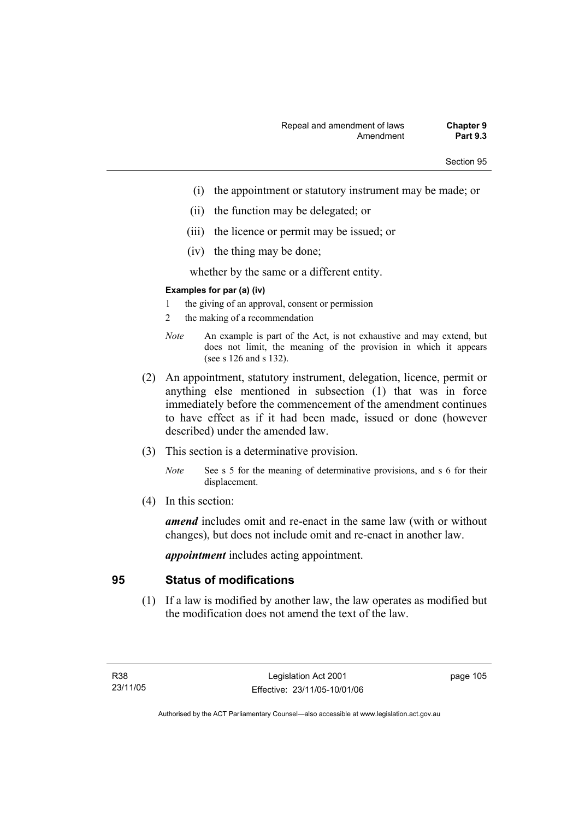- (i) the appointment or statutory instrument may be made; or
- (ii) the function may be delegated; or
- (iii) the licence or permit may be issued; or
- (iv) the thing may be done;

whether by the same or a different entity.

## **Examples for par (a) (iv)**

- 1 the giving of an approval, consent or permission
- 2 the making of a recommendation
- *Note* An example is part of the Act, is not exhaustive and may extend, but does not limit, the meaning of the provision in which it appears (see s 126 and s 132).
- (2) An appointment, statutory instrument, delegation, licence, permit or anything else mentioned in subsection (1) that was in force immediately before the commencement of the amendment continues to have effect as if it had been made, issued or done (however described) under the amended law.
- (3) This section is a determinative provision.
	- *Note* See s 5 for the meaning of determinative provisions, and s 6 for their displacement.
- (4) In this section:

*amend* includes omit and re-enact in the same law (with or without changes), but does not include omit and re-enact in another law.

*appointment* includes acting appointment.

# **95 Status of modifications**

 (1) If a law is modified by another law, the law operates as modified but the modification does not amend the text of the law.

page 105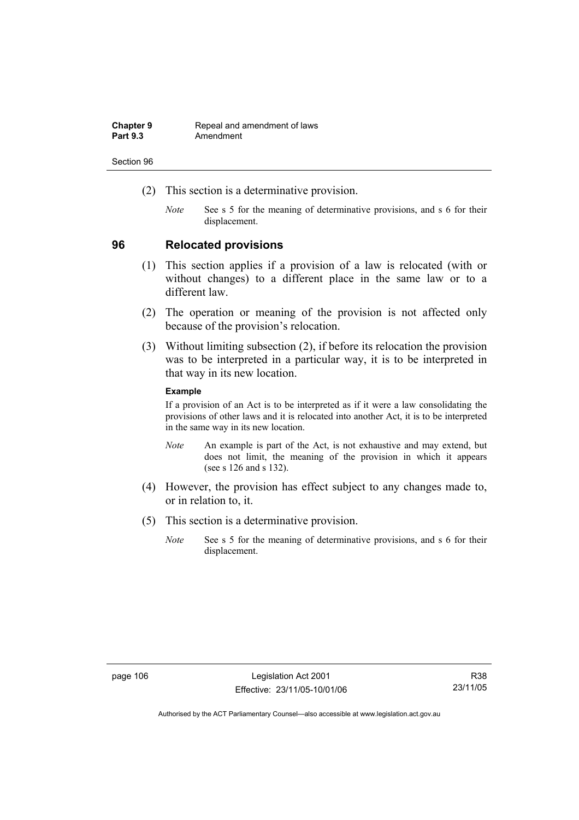| <b>Chapter 9</b> | Repeal and amendment of laws |
|------------------|------------------------------|
| <b>Part 9.3</b>  | Amendment                    |

- (2) This section is a determinative provision.
	- *Note* See s 5 for the meaning of determinative provisions, and s 6 for their displacement.

## **96 Relocated provisions**

- (1) This section applies if a provision of a law is relocated (with or without changes) to a different place in the same law or to a different law.
- (2) The operation or meaning of the provision is not affected only because of the provision's relocation.
- (3) Without limiting subsection (2), if before its relocation the provision was to be interpreted in a particular way, it is to be interpreted in that way in its new location.

## **Example**

If a provision of an Act is to be interpreted as if it were a law consolidating the provisions of other laws and it is relocated into another Act, it is to be interpreted in the same way in its new location.

- *Note* An example is part of the Act, is not exhaustive and may extend, but does not limit, the meaning of the provision in which it appears (see s 126 and s 132).
- (4) However, the provision has effect subject to any changes made to, or in relation to, it.
- (5) This section is a determinative provision.
	- *Note* See s 5 for the meaning of determinative provisions, and s 6 for their displacement.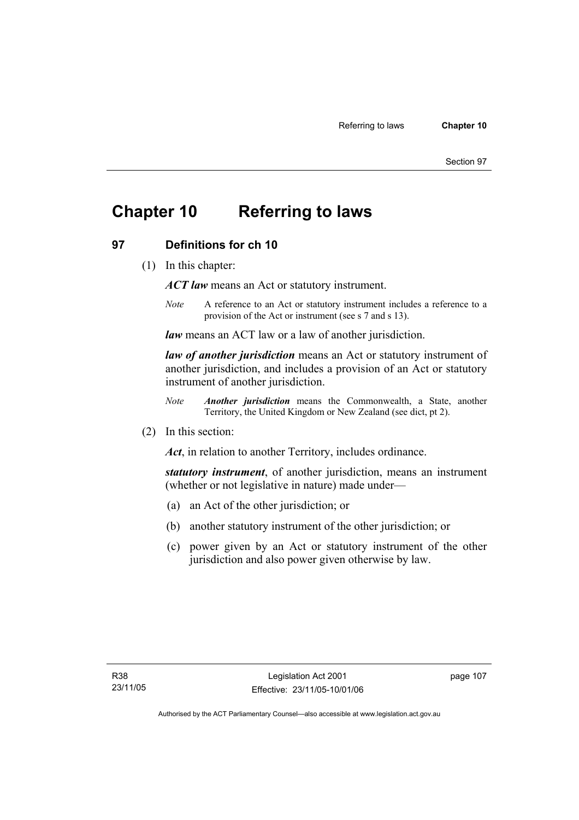# **Chapter 10 Referring to laws**

# **97 Definitions for ch 10**

(1) In this chapter:

*ACT law* means an Act or statutory instrument.

*Note* A reference to an Act or statutory instrument includes a reference to a provision of the Act or instrument (see s 7 and s 13).

*law* means an ACT law or a law of another jurisdiction.

*law of another jurisdiction* means an Act or statutory instrument of another jurisdiction, and includes a provision of an Act or statutory instrument of another jurisdiction.

- *Note Another jurisdiction* means the Commonwealth, a State, another Territory, the United Kingdom or New Zealand (see dict, pt 2).
- (2) In this section:

*Act*, in relation to another Territory, includes ordinance.

*statutory instrument*, of another jurisdiction, means an instrument (whether or not legislative in nature) made under—

- (a) an Act of the other jurisdiction; or
- (b) another statutory instrument of the other jurisdiction; or
- (c) power given by an Act or statutory instrument of the other jurisdiction and also power given otherwise by law.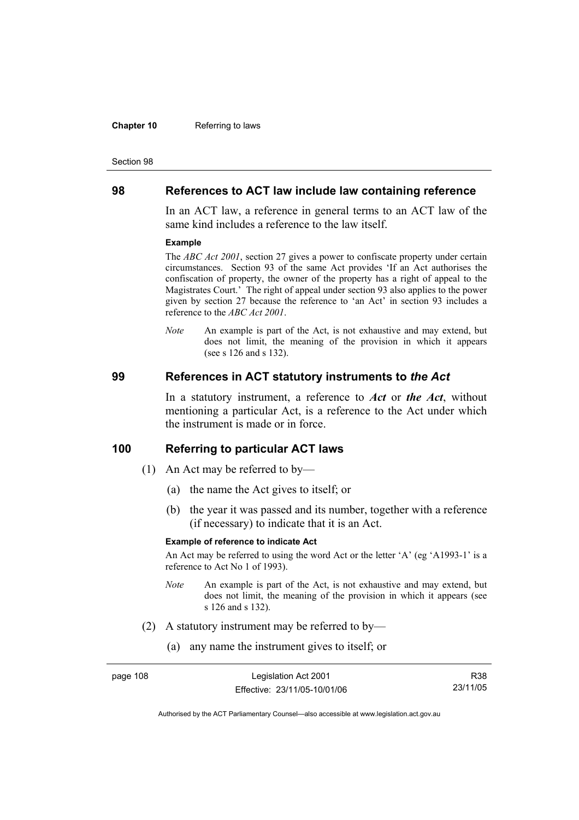#### **Chapter 10** Referring to laws

#### Section 98

## **98 References to ACT law include law containing reference**

In an ACT law, a reference in general terms to an ACT law of the same kind includes a reference to the law itself.

#### **Example**

The *ABC Act 2001*, section 27 gives a power to confiscate property under certain circumstances. Section 93 of the same Act provides 'If an Act authorises the confiscation of property, the owner of the property has a right of appeal to the Magistrates Court.' The right of appeal under section 93 also applies to the power given by section 27 because the reference to 'an Act' in section 93 includes a reference to the *ABC Act 2001*.

*Note* An example is part of the Act, is not exhaustive and may extend, but does not limit, the meaning of the provision in which it appears (see s 126 and s 132).

## **99 References in ACT statutory instruments to** *the Act*

In a statutory instrument, a reference to *Act* or *the Act*, without mentioning a particular Act, is a reference to the Act under which the instrument is made or in force.

# **100 Referring to particular ACT laws**

- (1) An Act may be referred to by—
	- (a) the name the Act gives to itself; or
	- (b) the year it was passed and its number, together with a reference (if necessary) to indicate that it is an Act.

## **Example of reference to indicate Act**

An Act may be referred to using the word Act or the letter 'A' (eg 'A1993-1' is a reference to Act No 1 of 1993).

- *Note* An example is part of the Act, is not exhaustive and may extend, but does not limit, the meaning of the provision in which it appears (see s 126 and s 132).
- (2) A statutory instrument may be referred to by—
	- (a) any name the instrument gives to itself; or

| page 108 | Legislation Act 2001         | R38      |
|----------|------------------------------|----------|
|          | Effective: 23/11/05-10/01/06 | 23/11/05 |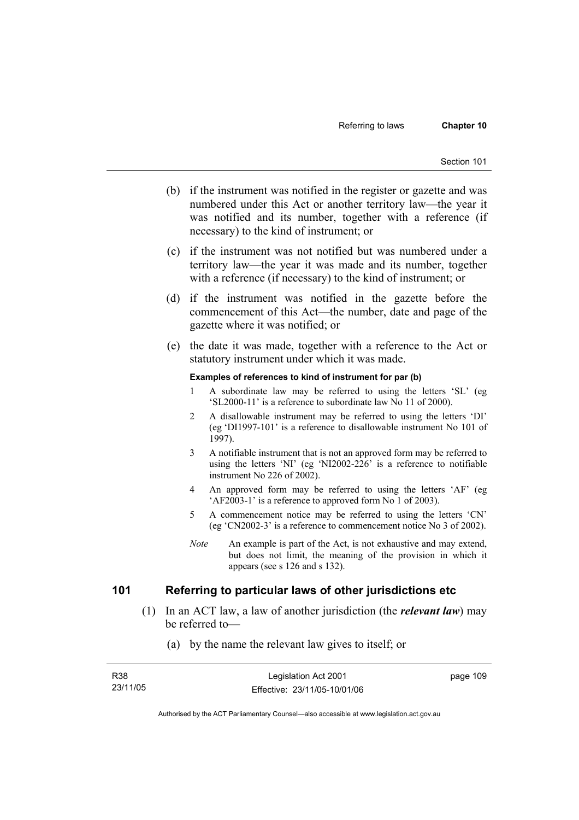- (b) if the instrument was notified in the register or gazette and was numbered under this Act or another territory law—the year it was notified and its number, together with a reference (if necessary) to the kind of instrument; or
- (c) if the instrument was not notified but was numbered under a territory law—the year it was made and its number, together with a reference (if necessary) to the kind of instrument; or
- (d) if the instrument was notified in the gazette before the commencement of this Act—the number, date and page of the gazette where it was notified; or
- (e) the date it was made, together with a reference to the Act or statutory instrument under which it was made.

### **Examples of references to kind of instrument for par (b)**

- 1 A subordinate law may be referred to using the letters 'SL' (eg 'SL2000-11' is a reference to subordinate law No 11 of 2000).
- 2 A disallowable instrument may be referred to using the letters 'DI' (eg 'DI1997-101' is a reference to disallowable instrument No 101 of 1997).
- 3 A notifiable instrument that is not an approved form may be referred to using the letters 'NI' (eg 'NI2002-226' is a reference to notifiable instrument No 226 of 2002).
- 4 An approved form may be referred to using the letters 'AF' (eg 'AF2003-1' is a reference to approved form No 1 of 2003).
- 5 A commencement notice may be referred to using the letters 'CN' (eg 'CN2002-3' is a reference to commencement notice No 3 of 2002).
- *Note* An example is part of the Act, is not exhaustive and may extend, but does not limit, the meaning of the provision in which it appears (see s 126 and s 132).

# **101 Referring to particular laws of other jurisdictions etc**

- (1) In an ACT law, a law of another jurisdiction (the *relevant law*) may be referred to—
	- (a) by the name the relevant law gives to itself; or

| R38      | Legislation Act 2001         | page 109 |
|----------|------------------------------|----------|
| 23/11/05 | Effective: 23/11/05-10/01/06 |          |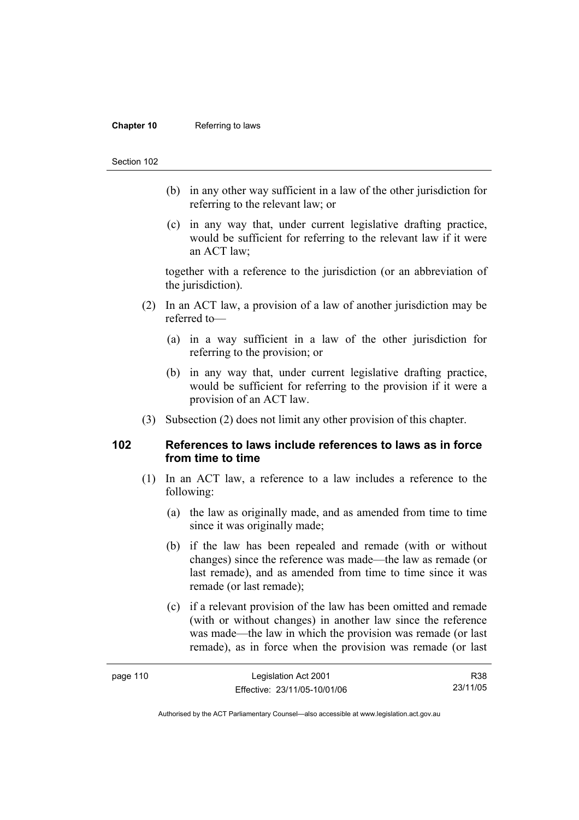### **Chapter 10** Referring to laws

#### Section 102

- (b) in any other way sufficient in a law of the other jurisdiction for referring to the relevant law; or
- (c) in any way that, under current legislative drafting practice, would be sufficient for referring to the relevant law if it were an ACT law;

together with a reference to the jurisdiction (or an abbreviation of the jurisdiction).

- (2) In an ACT law, a provision of a law of another jurisdiction may be referred to—
	- (a) in a way sufficient in a law of the other jurisdiction for referring to the provision; or
	- (b) in any way that, under current legislative drafting practice, would be sufficient for referring to the provision if it were a provision of an ACT law.
- (3) Subsection (2) does not limit any other provision of this chapter.

## **102 References to laws include references to laws as in force from time to time**

- (1) In an ACT law, a reference to a law includes a reference to the following:
	- (a) the law as originally made, and as amended from time to time since it was originally made;
	- (b) if the law has been repealed and remade (with or without changes) since the reference was made—the law as remade (or last remade), and as amended from time to time since it was remade (or last remade);
	- (c) if a relevant provision of the law has been omitted and remade (with or without changes) in another law since the reference was made—the law in which the provision was remade (or last remade), as in force when the provision was remade (or last

| page 110 | Legislation Act 2001         | R38      |
|----------|------------------------------|----------|
|          | Effective: 23/11/05-10/01/06 | 23/11/05 |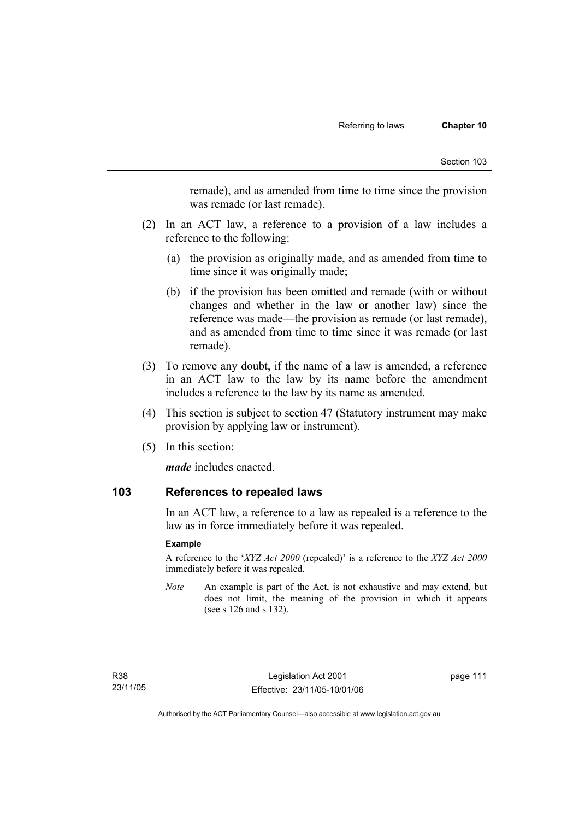remade), and as amended from time to time since the provision was remade (or last remade).

- (2) In an ACT law, a reference to a provision of a law includes a reference to the following:
	- (a) the provision as originally made, and as amended from time to time since it was originally made;
	- (b) if the provision has been omitted and remade (with or without changes and whether in the law or another law) since the reference was made—the provision as remade (or last remade), and as amended from time to time since it was remade (or last remade).
- (3) To remove any doubt, if the name of a law is amended, a reference in an ACT law to the law by its name before the amendment includes a reference to the law by its name as amended.
- (4) This section is subject to section 47 (Statutory instrument may make provision by applying law or instrument).
- (5) In this section:

*made* includes enacted.

## **103 References to repealed laws**

In an ACT law, a reference to a law as repealed is a reference to the law as in force immediately before it was repealed.

## **Example**

A reference to the '*XYZ Act 2000* (repealed)' is a reference to the *XYZ Act 2000* immediately before it was repealed.

*Note* An example is part of the Act, is not exhaustive and may extend, but does not limit, the meaning of the provision in which it appears (see s 126 and s 132).

page 111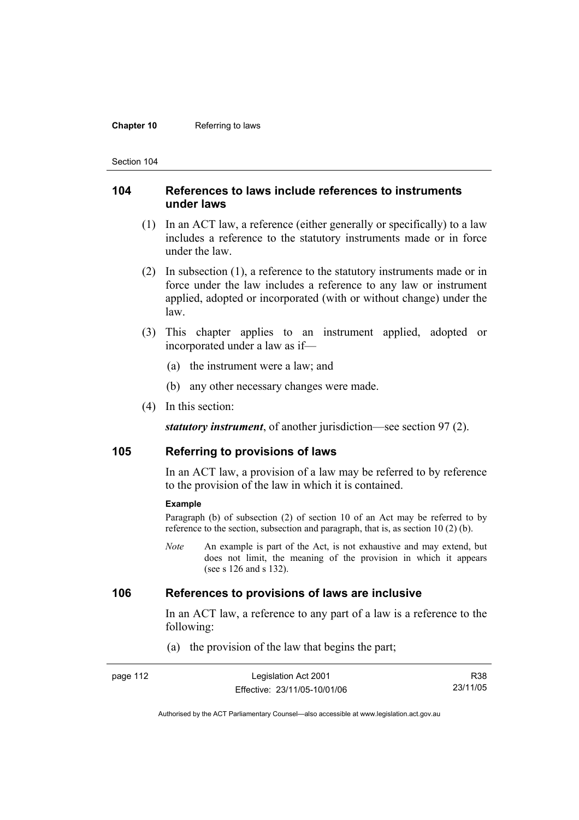### **Chapter 10** Referring to laws

Section 104

## **104 References to laws include references to instruments under laws**

- (1) In an ACT law, a reference (either generally or specifically) to a law includes a reference to the statutory instruments made or in force under the law.
- (2) In subsection (1), a reference to the statutory instruments made or in force under the law includes a reference to any law or instrument applied, adopted or incorporated (with or without change) under the law.
- (3) This chapter applies to an instrument applied, adopted or incorporated under a law as if—
	- (a) the instrument were a law; and
	- (b) any other necessary changes were made.
- (4) In this section:

*statutory instrument*, of another jurisdiction—see section 97 (2).

## **105 Referring to provisions of laws**

In an ACT law, a provision of a law may be referred to by reference to the provision of the law in which it is contained.

#### **Example**

Paragraph (b) of subsection (2) of section 10 of an Act may be referred to by reference to the section, subsection and paragraph, that is, as section 10 (2) (b).

*Note* An example is part of the Act, is not exhaustive and may extend, but does not limit, the meaning of the provision in which it appears (see s 126 and s 132).

# **106 References to provisions of laws are inclusive**

In an ACT law, a reference to any part of a law is a reference to the following:

(a) the provision of the law that begins the part;

| page 112 | Legislation Act 2001         | R38      |
|----------|------------------------------|----------|
|          | Effective: 23/11/05-10/01/06 | 23/11/05 |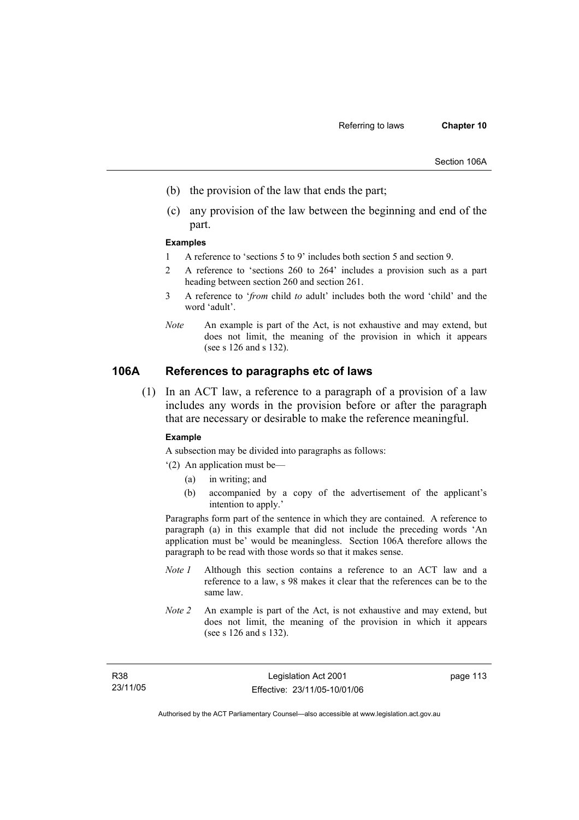- (b) the provision of the law that ends the part;
- (c) any provision of the law between the beginning and end of the part.

#### **Examples**

- 1 A reference to 'sections 5 to 9' includes both section 5 and section 9.
- 2 A reference to 'sections 260 to 264' includes a provision such as a part heading between section 260 and section 261.
- 3 A reference to '*from* child *to* adult' includes both the word 'child' and the word 'adult'.
- *Note* An example is part of the Act, is not exhaustive and may extend, but does not limit, the meaning of the provision in which it appears (see s 126 and s 132).

# **106A References to paragraphs etc of laws**

 (1) In an ACT law, a reference to a paragraph of a provision of a law includes any words in the provision before or after the paragraph that are necessary or desirable to make the reference meaningful.

#### **Example**

A subsection may be divided into paragraphs as follows:

- '(2) An application must be—
	- (a) in writing; and
	- (b) accompanied by a copy of the advertisement of the applicant's intention to apply.'

Paragraphs form part of the sentence in which they are contained. A reference to paragraph (a) in this example that did not include the preceding words 'An application must be' would be meaningless. Section 106A therefore allows the paragraph to be read with those words so that it makes sense.

- *Note 1* Although this section contains a reference to an ACT law and a reference to a law, s 98 makes it clear that the references can be to the same law.
- *Note 2* An example is part of the Act, is not exhaustive and may extend, but does not limit, the meaning of the provision in which it appears (see s 126 and s 132).

page 113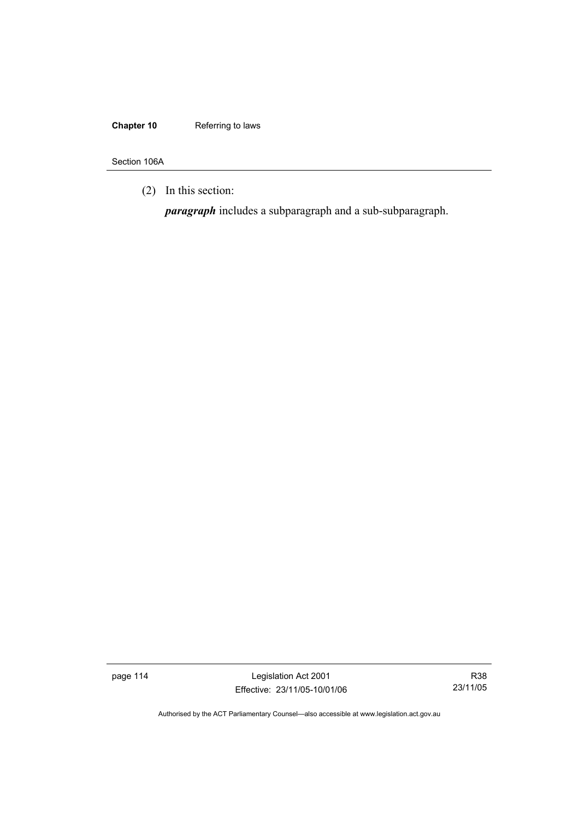# **Chapter 10** Referring to laws

Section 106A

(2) In this section:

*paragraph* includes a subparagraph and a sub-subparagraph.

page 114 Legislation Act 2001 Effective: 23/11/05-10/01/06

R38 23/11/05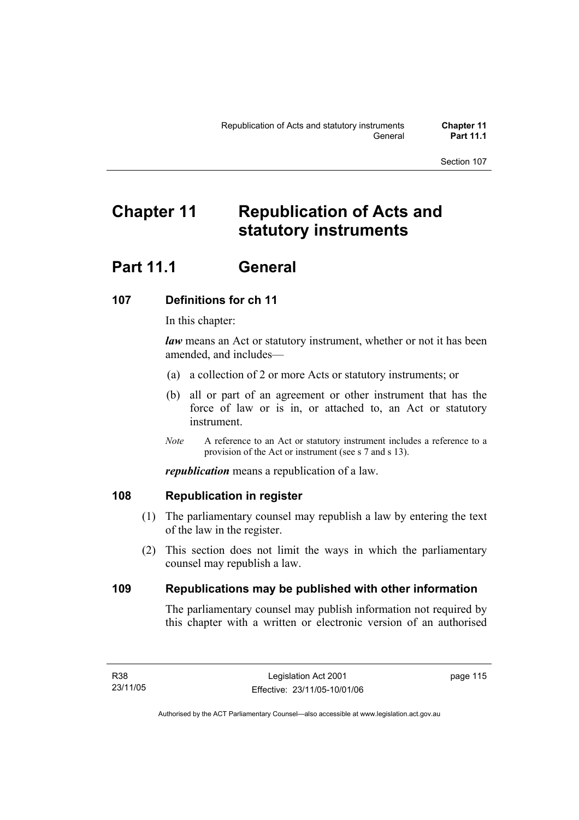# **Chapter 11 Republication of Acts and statutory instruments**

# **Part 11.1 General**

# **107 Definitions for ch 11**

In this chapter:

*law* means an Act or statutory instrument, whether or not it has been amended, and includes—

- (a) a collection of 2 or more Acts or statutory instruments; or
- (b) all or part of an agreement or other instrument that has the force of law or is in, or attached to, an Act or statutory instrument.
- *Note* A reference to an Act or statutory instrument includes a reference to a provision of the Act or instrument (see s 7 and s 13).

*republication* means a republication of a law.

# **108 Republication in register**

- (1) The parliamentary counsel may republish a law by entering the text of the law in the register.
- (2) This section does not limit the ways in which the parliamentary counsel may republish a law.

# **109 Republications may be published with other information**

The parliamentary counsel may publish information not required by this chapter with a written or electronic version of an authorised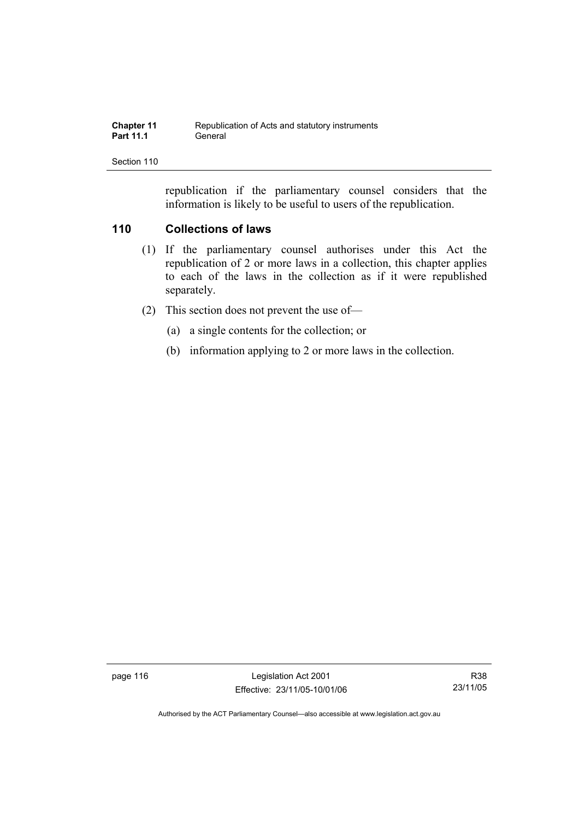| <b>Chapter 11</b> | Republication of Acts and statutory instruments |
|-------------------|-------------------------------------------------|
| <b>Part 11.1</b>  | General                                         |

republication if the parliamentary counsel considers that the information is likely to be useful to users of the republication.

# **110 Collections of laws**

- (1) If the parliamentary counsel authorises under this Act the republication of 2 or more laws in a collection, this chapter applies to each of the laws in the collection as if it were republished separately.
- (2) This section does not prevent the use of—
	- (a) a single contents for the collection; or
	- (b) information applying to 2 or more laws in the collection.

page 116 Legislation Act 2001 Effective: 23/11/05-10/01/06

R38 23/11/05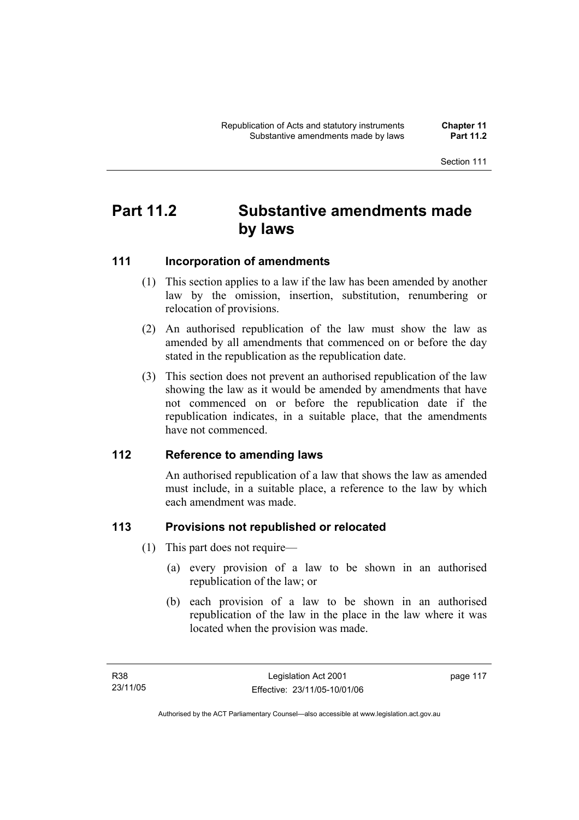# **Part 11.2 Substantive amendments made by laws**

# **111 Incorporation of amendments**

- (1) This section applies to a law if the law has been amended by another law by the omission, insertion, substitution, renumbering or relocation of provisions.
- (2) An authorised republication of the law must show the law as amended by all amendments that commenced on or before the day stated in the republication as the republication date.
- (3) This section does not prevent an authorised republication of the law showing the law as it would be amended by amendments that have not commenced on or before the republication date if the republication indicates, in a suitable place, that the amendments have not commenced.

# **112 Reference to amending laws**

An authorised republication of a law that shows the law as amended must include, in a suitable place, a reference to the law by which each amendment was made.

# **113 Provisions not republished or relocated**

- (1) This part does not require—
	- (a) every provision of a law to be shown in an authorised republication of the law; or
	- (b) each provision of a law to be shown in an authorised republication of the law in the place in the law where it was located when the provision was made.

page 117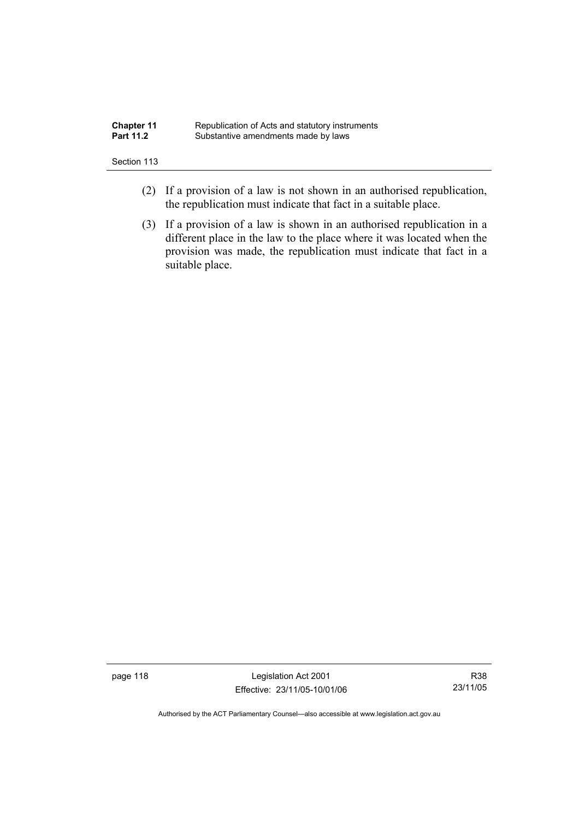| <b>Chapter 11</b> | Republication of Acts and statutory instruments |
|-------------------|-------------------------------------------------|
| <b>Part 11.2</b>  | Substantive amendments made by laws             |

- (2) If a provision of a law is not shown in an authorised republication, the republication must indicate that fact in a suitable place.
- (3) If a provision of a law is shown in an authorised republication in a different place in the law to the place where it was located when the provision was made, the republication must indicate that fact in a suitable place.

page 118 and the United States Legislation Act 2001 Effective: 23/11/05-10/01/06

R38 23/11/05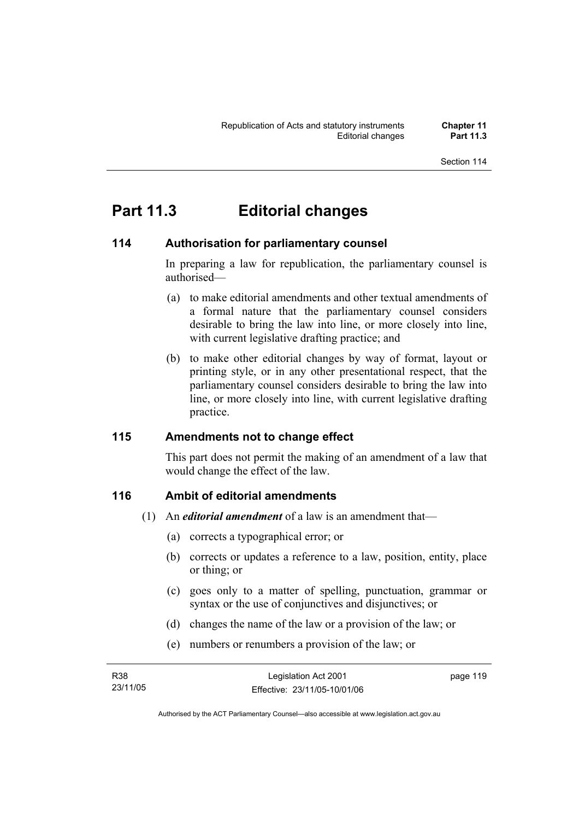# **Part 11.3 Editorial changes**

# **114 Authorisation for parliamentary counsel**

In preparing a law for republication, the parliamentary counsel is authorised—

- (a) to make editorial amendments and other textual amendments of a formal nature that the parliamentary counsel considers desirable to bring the law into line, or more closely into line, with current legislative drafting practice; and
- (b) to make other editorial changes by way of format, layout or printing style, or in any other presentational respect, that the parliamentary counsel considers desirable to bring the law into line, or more closely into line, with current legislative drafting practice.

# **115 Amendments not to change effect**

This part does not permit the making of an amendment of a law that would change the effect of the law.

# **116 Ambit of editorial amendments**

- (1) An *editorial amendment* of a law is an amendment that—
	- (a) corrects a typographical error; or
	- (b) corrects or updates a reference to a law, position, entity, place or thing; or
	- (c) goes only to a matter of spelling, punctuation, grammar or syntax or the use of conjunctives and disjunctives; or
	- (d) changes the name of the law or a provision of the law; or
	- (e) numbers or renumbers a provision of the law; or

| R38      | Legislation Act 2001         | page 119 |
|----------|------------------------------|----------|
| 23/11/05 | Effective: 23/11/05-10/01/06 |          |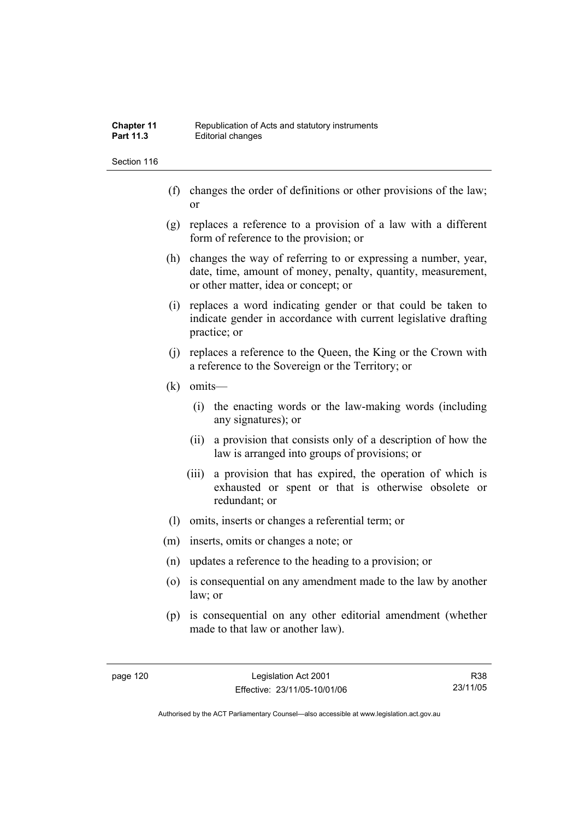- (f) changes the order of definitions or other provisions of the law; or
- (g) replaces a reference to a provision of a law with a different form of reference to the provision; or
- (h) changes the way of referring to or expressing a number, year, date, time, amount of money, penalty, quantity, measurement, or other matter, idea or concept; or
- (i) replaces a word indicating gender or that could be taken to indicate gender in accordance with current legislative drafting practice; or
- (j) replaces a reference to the Queen, the King or the Crown with a reference to the Sovereign or the Territory; or
- (k) omits—
	- (i) the enacting words or the law-making words (including any signatures); or
	- (ii) a provision that consists only of a description of how the law is arranged into groups of provisions; or
	- (iii) a provision that has expired, the operation of which is exhausted or spent or that is otherwise obsolete or redundant; or
- (l) omits, inserts or changes a referential term; or
- (m) inserts, omits or changes a note; or
- (n) updates a reference to the heading to a provision; or
- (o) is consequential on any amendment made to the law by another law; or
- (p) is consequential on any other editorial amendment (whether made to that law or another law).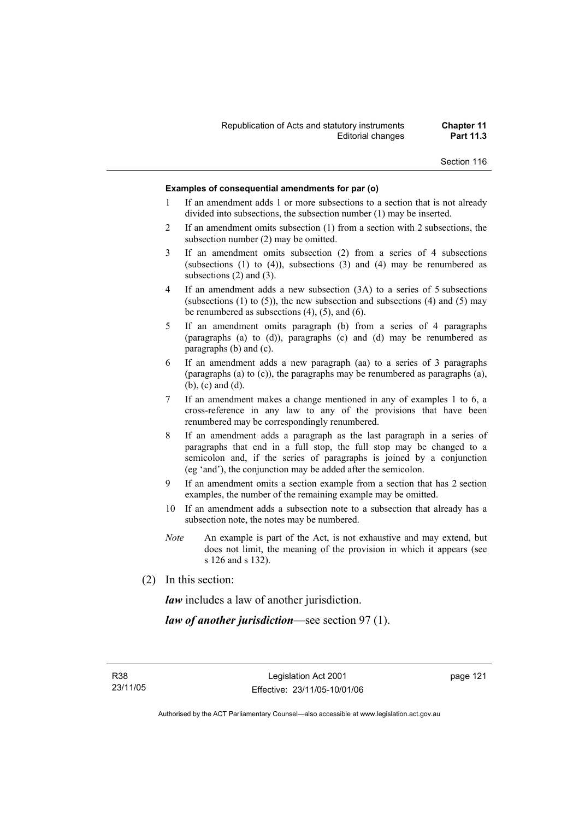### **Examples of consequential amendments for par (o)**

- 1 If an amendment adds 1 or more subsections to a section that is not already divided into subsections, the subsection number (1) may be inserted.
- 2 If an amendment omits subsection (1) from a section with 2 subsections, the subsection number (2) may be omitted.
- 3 If an amendment omits subsection (2) from a series of 4 subsections (subsections  $(1)$  to  $(4)$ ), subsections  $(3)$  and  $(4)$  may be renumbered as subsections (2) and (3).
- 4 If an amendment adds a new subsection (3A) to a series of 5 subsections (subsections  $(1)$  to  $(5)$ ), the new subsection and subsections  $(4)$  and  $(5)$  may be renumbered as subsections (4), (5), and (6).
- 5 If an amendment omits paragraph (b) from a series of 4 paragraphs (paragraphs (a) to (d)), paragraphs (c) and (d) may be renumbered as paragraphs (b) and (c).
- 6 If an amendment adds a new paragraph (aa) to a series of 3 paragraphs (paragraphs (a) to (c)), the paragraphs may be renumbered as paragraphs (a), (b), (c) and (d).
- 7 If an amendment makes a change mentioned in any of examples 1 to 6, a cross-reference in any law to any of the provisions that have been renumbered may be correspondingly renumbered.
- 8 If an amendment adds a paragraph as the last paragraph in a series of paragraphs that end in a full stop, the full stop may be changed to a semicolon and, if the series of paragraphs is joined by a conjunction (eg 'and'), the conjunction may be added after the semicolon.
- 9 If an amendment omits a section example from a section that has 2 section examples, the number of the remaining example may be omitted.
- 10 If an amendment adds a subsection note to a subsection that already has a subsection note, the notes may be numbered.
- *Note* An example is part of the Act, is not exhaustive and may extend, but does not limit, the meaning of the provision in which it appears (see s 126 and s 132).
- (2) In this section:

*law* includes a law of another jurisdiction.

*law of another jurisdiction*—see section 97 (1).

page 121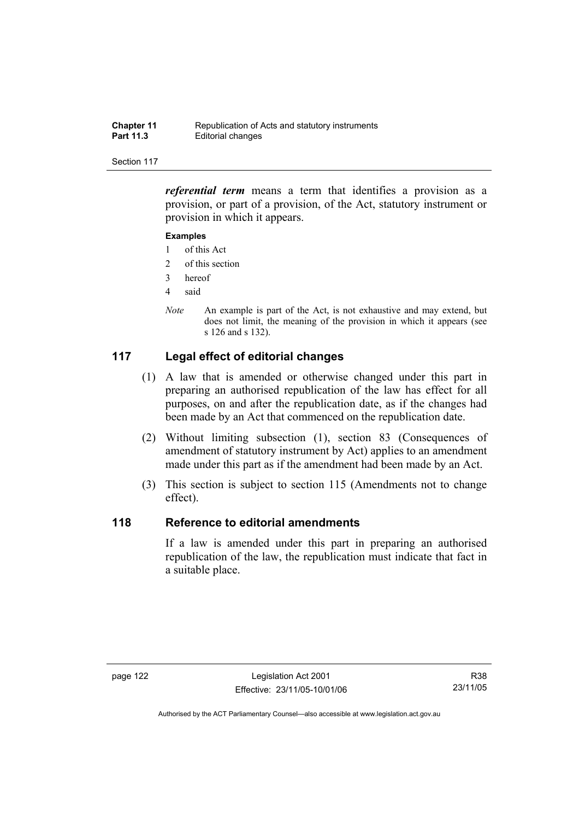| <b>Chapter 11</b> | Republication of Acts and statutory instruments |
|-------------------|-------------------------------------------------|
| <b>Part 11.3</b>  | Editorial changes                               |

*referential term* means a term that identifies a provision as a provision, or part of a provision, of the Act, statutory instrument or provision in which it appears.

### **Examples**

- 1 of this Act
- 2 of this section
- 3 hereof
- 4 said
- *Note* An example is part of the Act, is not exhaustive and may extend, but does not limit, the meaning of the provision in which it appears (see s 126 and s 132).

# **117 Legal effect of editorial changes**

- (1) A law that is amended or otherwise changed under this part in preparing an authorised republication of the law has effect for all purposes, on and after the republication date, as if the changes had been made by an Act that commenced on the republication date.
- (2) Without limiting subsection (1), section 83 (Consequences of amendment of statutory instrument by Act) applies to an amendment made under this part as if the amendment had been made by an Act.
- (3) This section is subject to section 115 (Amendments not to change effect).

# **118 Reference to editorial amendments**

If a law is amended under this part in preparing an authorised republication of the law, the republication must indicate that fact in a suitable place.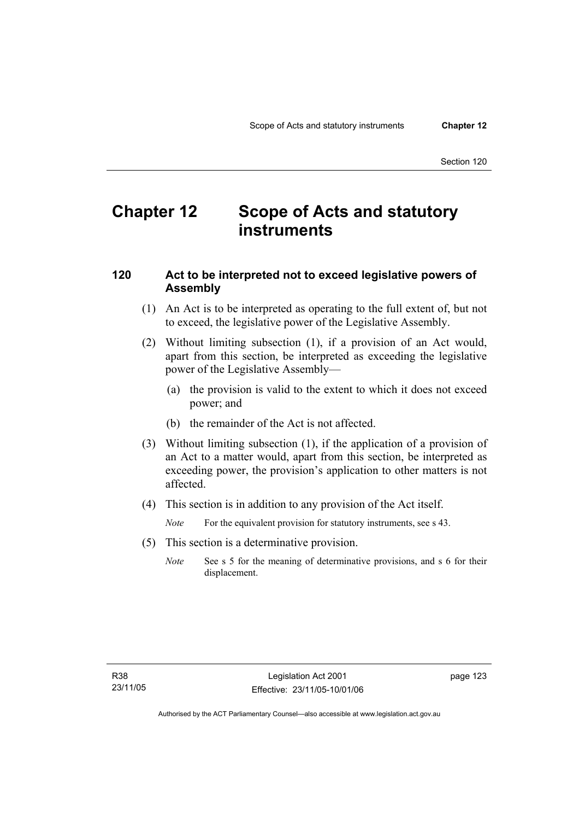# **Chapter 12 Scope of Acts and statutory instruments**

# **120 Act to be interpreted not to exceed legislative powers of Assembly**

- (1) An Act is to be interpreted as operating to the full extent of, but not to exceed, the legislative power of the Legislative Assembly.
- (2) Without limiting subsection (1), if a provision of an Act would, apart from this section, be interpreted as exceeding the legislative power of the Legislative Assembly—
	- (a) the provision is valid to the extent to which it does not exceed power; and
	- (b) the remainder of the Act is not affected.
- (3) Without limiting subsection (1), if the application of a provision of an Act to a matter would, apart from this section, be interpreted as exceeding power, the provision's application to other matters is not affected.
- (4) This section is in addition to any provision of the Act itself.

*Note* For the equivalent provision for statutory instruments, see s 43.

- (5) This section is a determinative provision.
	- *Note* See s 5 for the meaning of determinative provisions, and s 6 for their displacement.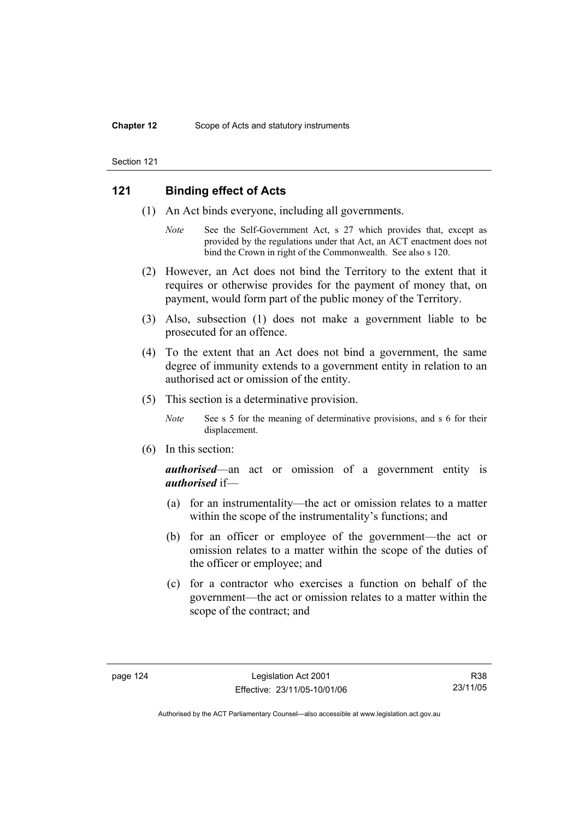# **121 Binding effect of Acts**

- (1) An Act binds everyone, including all governments.
	- *Note* See the Self-Government Act, s 27 which provides that, except as provided by the regulations under that Act, an ACT enactment does not bind the Crown in right of the Commonwealth. See also s 120.
- (2) However, an Act does not bind the Territory to the extent that it requires or otherwise provides for the payment of money that, on payment, would form part of the public money of the Territory.
- (3) Also, subsection (1) does not make a government liable to be prosecuted for an offence.
- (4) To the extent that an Act does not bind a government, the same degree of immunity extends to a government entity in relation to an authorised act or omission of the entity.
- (5) This section is a determinative provision.
	- *Note* See s 5 for the meaning of determinative provisions, and s 6 for their displacement.
- (6) In this section:

*authorised*—an act or omission of a government entity is *authorised* if—

- (a) for an instrumentality—the act or omission relates to a matter within the scope of the instrumentality's functions; and
- (b) for an officer or employee of the government—the act or omission relates to a matter within the scope of the duties of the officer or employee; and
- (c) for a contractor who exercises a function on behalf of the government—the act or omission relates to a matter within the scope of the contract; and

R38 23/11/05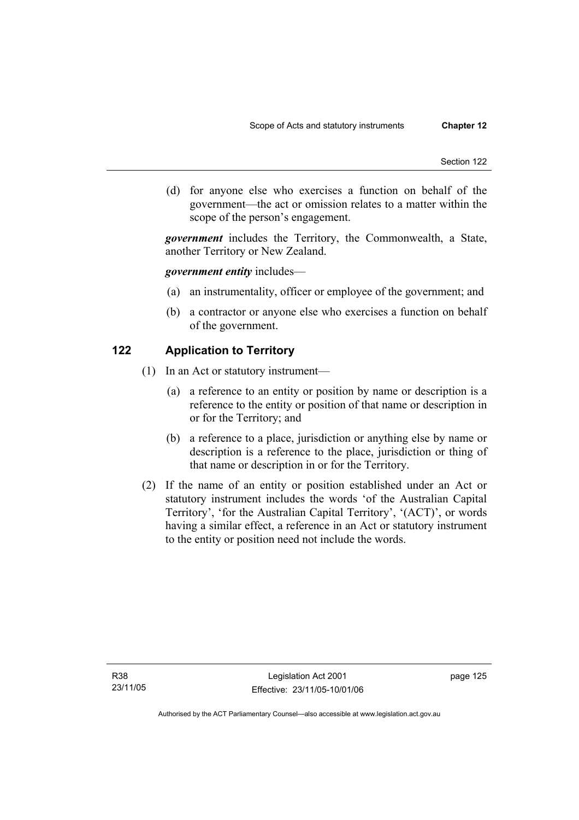(d) for anyone else who exercises a function on behalf of the government—the act or omission relates to a matter within the scope of the person's engagement.

*government* includes the Territory, the Commonwealth, a State, another Territory or New Zealand.

## *government entity* includes—

- (a) an instrumentality, officer or employee of the government; and
- (b) a contractor or anyone else who exercises a function on behalf of the government.

# **122 Application to Territory**

- (1) In an Act or statutory instrument—
	- (a) a reference to an entity or position by name or description is a reference to the entity or position of that name or description in or for the Territory; and
	- (b) a reference to a place, jurisdiction or anything else by name or description is a reference to the place, jurisdiction or thing of that name or description in or for the Territory.
- (2) If the name of an entity or position established under an Act or statutory instrument includes the words 'of the Australian Capital Territory', 'for the Australian Capital Territory', '(ACT)', or words having a similar effect, a reference in an Act or statutory instrument to the entity or position need not include the words.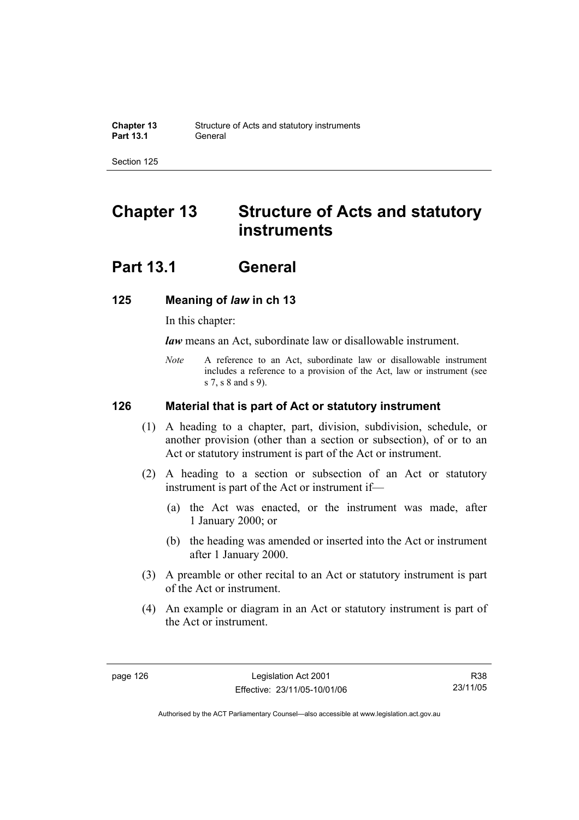# **Chapter 13 Structure of Acts and statutory instruments**

# **Part 13.1 General**

# **125 Meaning of** *law* **in ch 13**

In this chapter:

*law* means an Act, subordinate law or disallowable instrument.

*Note* A reference to an Act, subordinate law or disallowable instrument includes a reference to a provision of the Act, law or instrument (see s 7, s 8 and s 9).

## **126 Material that is part of Act or statutory instrument**

- (1) A heading to a chapter, part, division, subdivision, schedule, or another provision (other than a section or subsection), of or to an Act or statutory instrument is part of the Act or instrument.
- (2) A heading to a section or subsection of an Act or statutory instrument is part of the Act or instrument if—
	- (a) the Act was enacted, or the instrument was made, after 1 January 2000; or
	- (b) the heading was amended or inserted into the Act or instrument after 1 January 2000.
- (3) A preamble or other recital to an Act or statutory instrument is part of the Act or instrument.
- (4) An example or diagram in an Act or statutory instrument is part of the Act or instrument.

R38 23/11/05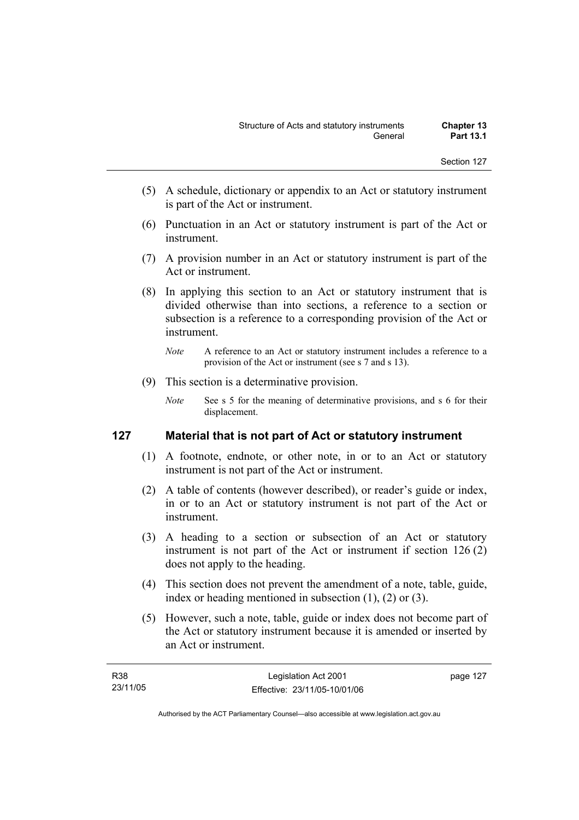- (5) A schedule, dictionary or appendix to an Act or statutory instrument is part of the Act or instrument.
- (6) Punctuation in an Act or statutory instrument is part of the Act or instrument.
- (7) A provision number in an Act or statutory instrument is part of the Act or instrument.
- (8) In applying this section to an Act or statutory instrument that is divided otherwise than into sections, a reference to a section or subsection is a reference to a corresponding provision of the Act or instrument.
	- *Note* A reference to an Act or statutory instrument includes a reference to a provision of the Act or instrument (see s 7 and s 13).
- (9) This section is a determinative provision.
	- *Note* See s 5 for the meaning of determinative provisions, and s 6 for their displacement.

# **127 Material that is not part of Act or statutory instrument**

- (1) A footnote, endnote, or other note, in or to an Act or statutory instrument is not part of the Act or instrument.
- (2) A table of contents (however described), or reader's guide or index, in or to an Act or statutory instrument is not part of the Act or instrument.
- (3) A heading to a section or subsection of an Act or statutory instrument is not part of the Act or instrument if section 126 (2) does not apply to the heading.
- (4) This section does not prevent the amendment of a note, table, guide, index or heading mentioned in subsection (1), (2) or (3).
- (5) However, such a note, table, guide or index does not become part of the Act or statutory instrument because it is amended or inserted by an Act or instrument.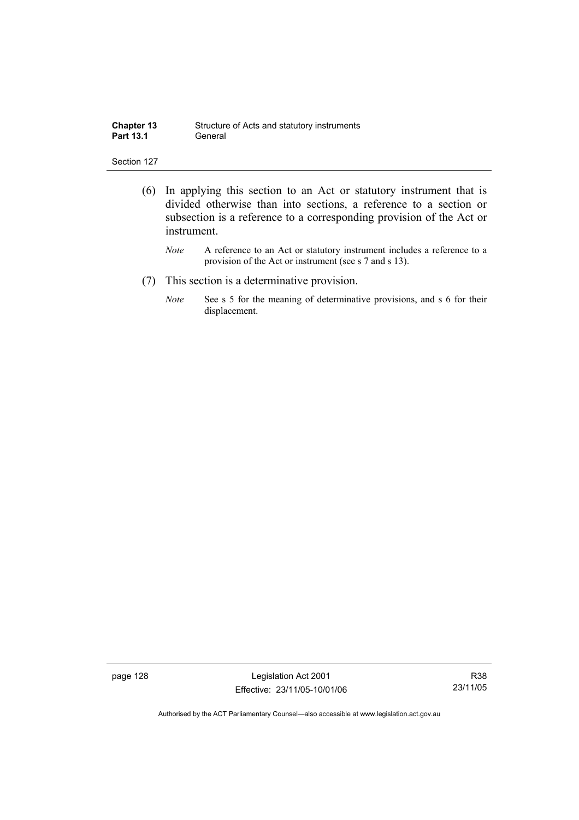| <b>Chapter 13</b> | Structure of Acts and statutory instruments |
|-------------------|---------------------------------------------|
| <b>Part 13.1</b>  | General                                     |

- (6) In applying this section to an Act or statutory instrument that is divided otherwise than into sections, a reference to a section or subsection is a reference to a corresponding provision of the Act or instrument.
	- *Note* A reference to an Act or statutory instrument includes a reference to a provision of the Act or instrument (see s 7 and s 13).
- (7) This section is a determinative provision.
	- *Note* See s 5 for the meaning of determinative provisions, and s 6 for their displacement.

page 128 Legislation Act 2001 Effective: 23/11/05-10/01/06

R38 23/11/05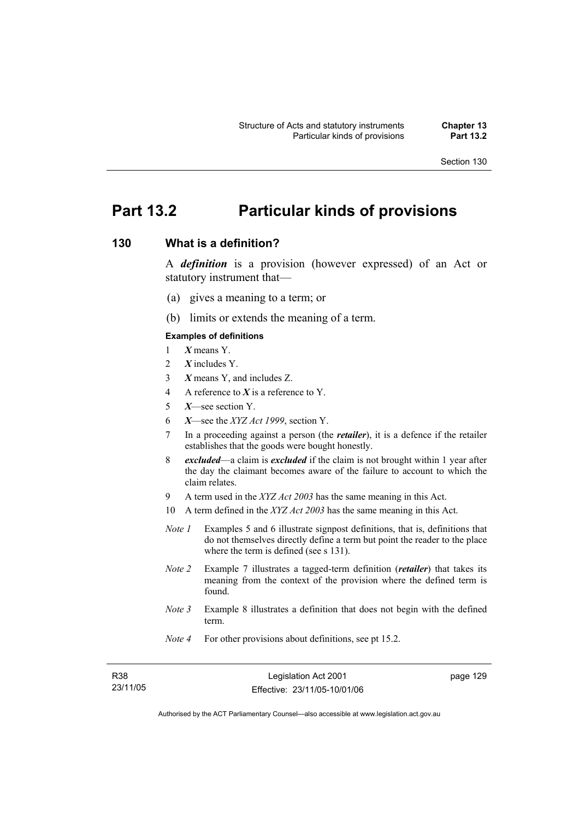# **Part 13.2 Particular kinds of provisions**

# **130 What is a definition?**

A *definition* is a provision (however expressed) of an Act or statutory instrument that—

- (a) gives a meaning to a term; or
- (b) limits or extends the meaning of a term.

#### **Examples of definitions**

- 1 *X* means Y.
- 2 *X* includes Y.
- 3 *X* means Y, and includes Z.
- 4 A reference to *X* is a reference to Y.
- 5 *X*—see section Y.
- 6 *X*—see the *XYZ Act 1999*, section Y.
- 7 In a proceeding against a person (the *retailer*), it is a defence if the retailer establishes that the goods were bought honestly.
- 8 *excluded*—a claim is *excluded* if the claim is not brought within 1 year after the day the claimant becomes aware of the failure to account to which the claim relates.
- 9 A term used in the *XYZ Act 2003* has the same meaning in this Act.
- 10 A term defined in the *XYZ Act 2003* has the same meaning in this Act.
- *Note 1* Examples 5 and 6 illustrate signpost definitions, that is, definitions that do not themselves directly define a term but point the reader to the place where the term is defined (see s 131).
- *Note 2* Example 7 illustrates a tagged-term definition (*retailer*) that takes its meaning from the context of the provision where the defined term is found.
- *Note 3* Example 8 illustrates a definition that does not begin with the defined term.
- *Note 4* For other provisions about definitions, see pt 15.2.

| R38 |          |
|-----|----------|
|     | 23/11/05 |

page 129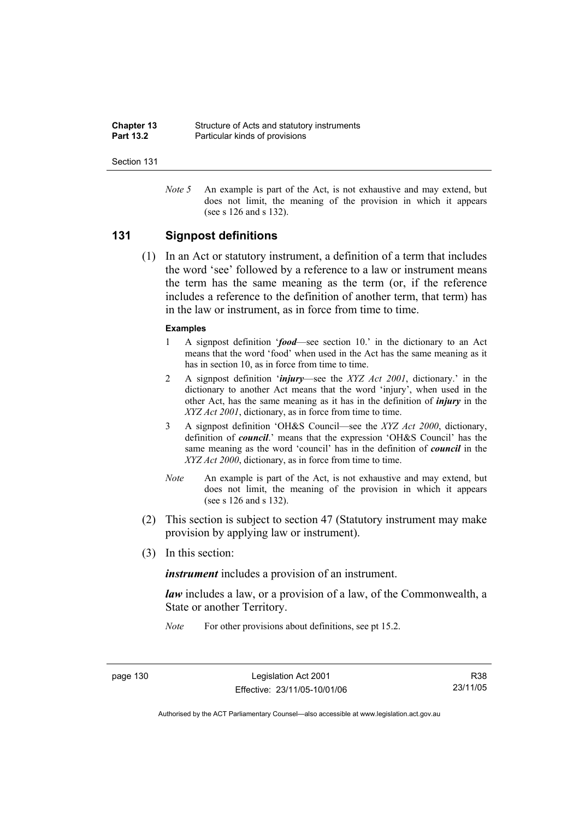| <b>Chapter 13</b> | Structure of Acts and statutory instruments |
|-------------------|---------------------------------------------|
| <b>Part 13.2</b>  | Particular kinds of provisions              |

*Note 5* An example is part of the Act, is not exhaustive and may extend, but does not limit, the meaning of the provision in which it appears (see s 126 and s 132).

## **131 Signpost definitions**

 (1) In an Act or statutory instrument, a definition of a term that includes the word 'see' followed by a reference to a law or instrument means the term has the same meaning as the term (or, if the reference includes a reference to the definition of another term, that term) has in the law or instrument, as in force from time to time.

#### **Examples**

- 1 A signpost definition '*food*—see section 10.' in the dictionary to an Act means that the word 'food' when used in the Act has the same meaning as it has in section 10, as in force from time to time.
- 2 A signpost definition '*injury*—see the *XYZ Act 2001*, dictionary.' in the dictionary to another Act means that the word 'injury', when used in the other Act, has the same meaning as it has in the definition of *injury* in the *XYZ Act 2001*, dictionary, as in force from time to time.
- 3 A signpost definition 'OH&S Council—see the *XYZ Act 2000*, dictionary, definition of *council*.' means that the expression 'OH&S Council' has the same meaning as the word 'council' has in the definition of *council* in the *XYZ Act 2000*, dictionary, as in force from time to time.
- *Note* An example is part of the Act, is not exhaustive and may extend, but does not limit, the meaning of the provision in which it appears (see s 126 and s 132).
- (2) This section is subject to section 47 (Statutory instrument may make provision by applying law or instrument).
- (3) In this section:

*instrument* includes a provision of an instrument.

*law* includes a law, or a provision of a law, of the Commonwealth, a State or another Territory.

*Note* For other provisions about definitions, see pt 15.2.

page 130 Legislation Act 2001 Effective: 23/11/05-10/01/06

R38 23/11/05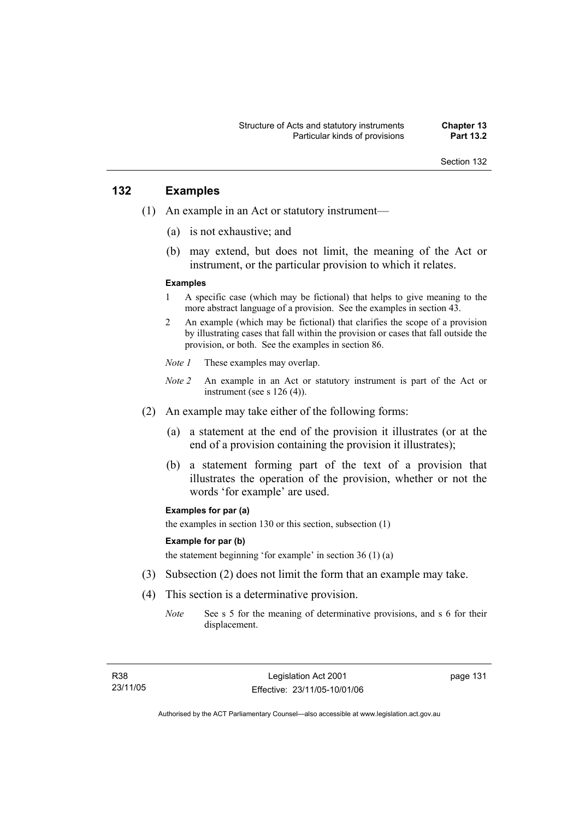# **132 Examples**

- (1) An example in an Act or statutory instrument—
	- (a) is not exhaustive; and
	- (b) may extend, but does not limit, the meaning of the Act or instrument, or the particular provision to which it relates.

#### **Examples**

- 1 A specific case (which may be fictional) that helps to give meaning to the more abstract language of a provision. See the examples in section 43.
- 2 An example (which may be fictional) that clarifies the scope of a provision by illustrating cases that fall within the provision or cases that fall outside the provision, or both. See the examples in section 86.
- *Note 1* These examples may overlap.
- *Note 2* An example in an Act or statutory instrument is part of the Act or instrument (see s 126 (4)).
- (2) An example may take either of the following forms:
	- (a) a statement at the end of the provision it illustrates (or at the end of a provision containing the provision it illustrates);
	- (b) a statement forming part of the text of a provision that illustrates the operation of the provision, whether or not the words 'for example' are used.

#### **Examples for par (a)**

the examples in section 130 or this section, subsection (1)

#### **Example for par (b)**

the statement beginning 'for example' in section 36 (1) (a)

- (3) Subsection (2) does not limit the form that an example may take.
- (4) This section is a determinative provision.
	- *Note* See s 5 for the meaning of determinative provisions, and s 6 for their displacement.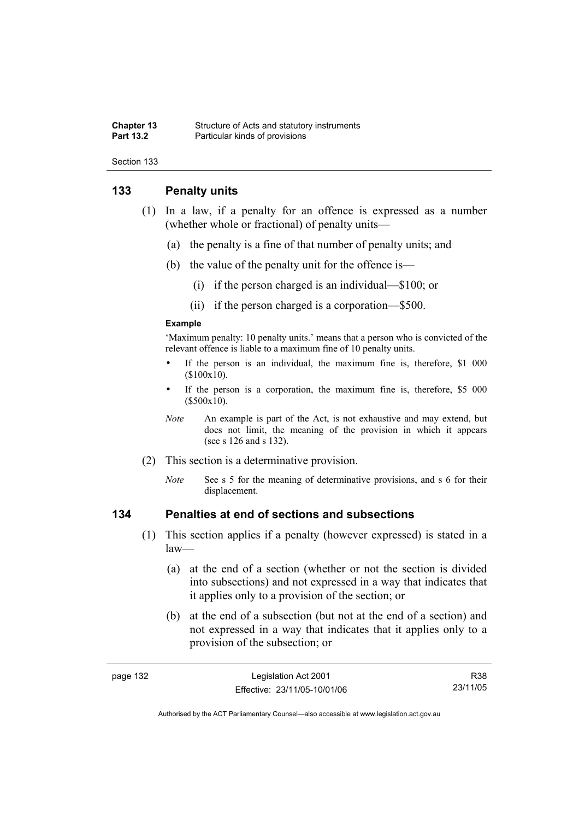#### **Chapter 13** Structure of Acts and statutory instruments<br> **Part 13.2** Particular kinds of provisions **Particular kinds of provisions**

Section 133

# **133 Penalty units**

- (1) In a law, if a penalty for an offence is expressed as a number (whether whole or fractional) of penalty units—
	- (a) the penalty is a fine of that number of penalty units; and
	- (b) the value of the penalty unit for the offence is—
		- (i) if the person charged is an individual—\$100; or
		- (ii) if the person charged is a corporation—\$500.

#### **Example**

'Maximum penalty: 10 penalty units.' means that a person who is convicted of the relevant offence is liable to a maximum fine of 10 penalty units.

- If the person is an individual, the maximum fine is, therefore, \$1 000 (\$100x10).
- If the person is a corporation, the maximum fine is, therefore, \$5 000 (\$500x10).
- *Note* An example is part of the Act, is not exhaustive and may extend, but does not limit, the meaning of the provision in which it appears (see s 126 and s 132).
- (2) This section is a determinative provision.
	- *Note* See s 5 for the meaning of determinative provisions, and s 6 for their displacement.

# **134 Penalties at end of sections and subsections**

- (1) This section applies if a penalty (however expressed) is stated in a law—
	- (a) at the end of a section (whether or not the section is divided into subsections) and not expressed in a way that indicates that it applies only to a provision of the section; or
	- (b) at the end of a subsection (but not at the end of a section) and not expressed in a way that indicates that it applies only to a provision of the subsection; or

| aade |  |
|------|--|
|------|--|

R38 23/11/05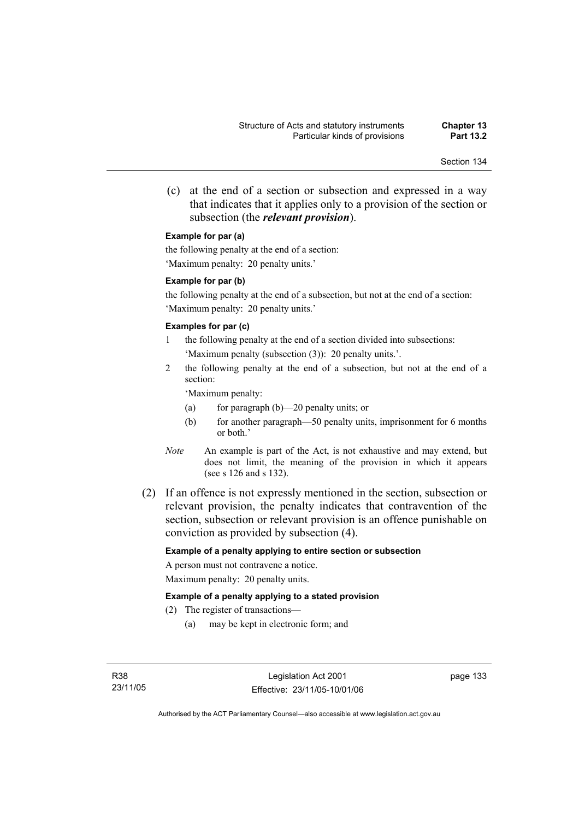(c) at the end of a section or subsection and expressed in a way that indicates that it applies only to a provision of the section or subsection (the *relevant provision*).

#### **Example for par (a)**

the following penalty at the end of a section: 'Maximum penalty: 20 penalty units.'

#### **Example for par (b)**

the following penalty at the end of a subsection, but not at the end of a section: 'Maximum penalty: 20 penalty units.'

#### **Examples for par (c)**

- 1 the following penalty at the end of a section divided into subsections: 'Maximum penalty (subsection (3)): 20 penalty units.'.
- 2 the following penalty at the end of a subsection, but not at the end of a section:

'Maximum penalty:

- (a) for paragraph (b)—20 penalty units; or
- (b) for another paragraph—50 penalty units, imprisonment for 6 months or both.'
- *Note* An example is part of the Act, is not exhaustive and may extend, but does not limit, the meaning of the provision in which it appears (see s 126 and s 132).
- (2) If an offence is not expressly mentioned in the section, subsection or relevant provision, the penalty indicates that contravention of the section, subsection or relevant provision is an offence punishable on conviction as provided by subsection (4).

### **Example of a penalty applying to entire section or subsection**

A person must not contravene a notice. Maximum penalty: 20 penalty units.

#### **Example of a penalty applying to a stated provision**

- (2) The register of transactions—
	- (a) may be kept in electronic form; and

page 133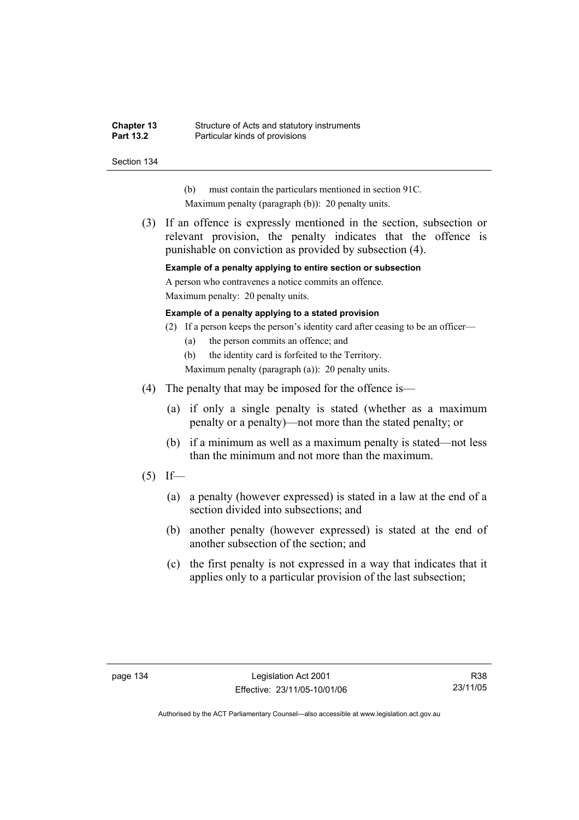#### **Chapter 13** Structure of Acts and statutory instruments<br> **Part 13.2** Particular kinds of provisions **Particular kinds of provisions**

Section 134

- (b) must contain the particulars mentioned in section 91C.
- Maximum penalty (paragraph (b)): 20 penalty units.
- (3) If an offence is expressly mentioned in the section, subsection or relevant provision, the penalty indicates that the offence is punishable on conviction as provided by subsection (4).

**Example of a penalty applying to entire section or subsection** 

A person who contravenes a notice commits an offence.

Maximum penalty: 20 penalty units.

#### **Example of a penalty applying to a stated provision**

- (2) If a person keeps the person's identity card after ceasing to be an officer—
	- (a) the person commits an offence; and

(b) the identity card is forfeited to the Territory.

Maximum penalty (paragraph (a)): 20 penalty units.

- (4) The penalty that may be imposed for the offence is—
	- (a) if only a single penalty is stated (whether as a maximum penalty or a penalty)—not more than the stated penalty; or
	- (b) if a minimum as well as a maximum penalty is stated—not less than the minimum and not more than the maximum.
- $(5)$  If—
	- (a) a penalty (however expressed) is stated in a law at the end of a section divided into subsections; and
	- (b) another penalty (however expressed) is stated at the end of another subsection of the section; and
	- (c) the first penalty is not expressed in a way that indicates that it applies only to a particular provision of the last subsection;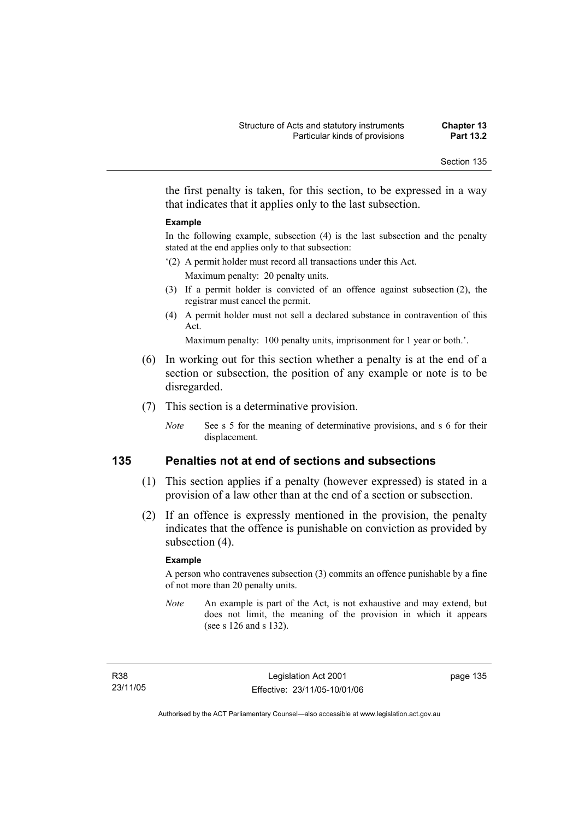the first penalty is taken, for this section, to be expressed in a way that indicates that it applies only to the last subsection.

#### **Example**

In the following example, subsection (4) is the last subsection and the penalty stated at the end applies only to that subsection:

- '(2) A permit holder must record all transactions under this Act. Maximum penalty: 20 penalty units.
- (3) If a permit holder is convicted of an offence against subsection (2), the registrar must cancel the permit.
- (4) A permit holder must not sell a declared substance in contravention of this Act.

Maximum penalty: 100 penalty units, imprisonment for 1 year or both.'.

- (6) In working out for this section whether a penalty is at the end of a section or subsection, the position of any example or note is to be disregarded.
- (7) This section is a determinative provision.
	- *Note* See s 5 for the meaning of determinative provisions, and s 6 for their displacement.

# **135 Penalties not at end of sections and subsections**

- (1) This section applies if a penalty (however expressed) is stated in a provision of a law other than at the end of a section or subsection.
- (2) If an offence is expressly mentioned in the provision, the penalty indicates that the offence is punishable on conviction as provided by subsection  $(4)$ .

#### **Example**

A person who contravenes subsection (3) commits an offence punishable by a fine of not more than 20 penalty units.

*Note* An example is part of the Act, is not exhaustive and may extend, but does not limit, the meaning of the provision in which it appears (see s 126 and s 132).

R38 23/11/05 page 135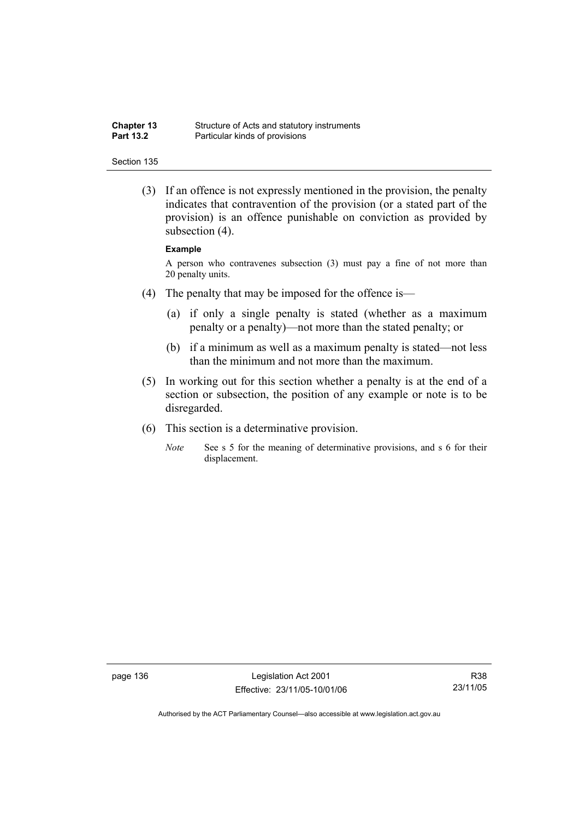| <b>Chapter 13</b> | Structure of Acts and statutory instruments |
|-------------------|---------------------------------------------|
| <b>Part 13.2</b>  | Particular kinds of provisions              |

 (3) If an offence is not expressly mentioned in the provision, the penalty indicates that contravention of the provision (or a stated part of the provision) is an offence punishable on conviction as provided by subsection (4).

#### **Example**

A person who contravenes subsection (3) must pay a fine of not more than 20 penalty units.

- (4) The penalty that may be imposed for the offence is—
	- (a) if only a single penalty is stated (whether as a maximum penalty or a penalty)—not more than the stated penalty; or
	- (b) if a minimum as well as a maximum penalty is stated—not less than the minimum and not more than the maximum.
- (5) In working out for this section whether a penalty is at the end of a section or subsection, the position of any example or note is to be disregarded.
- (6) This section is a determinative provision.
	- *Note* See s 5 for the meaning of determinative provisions, and s 6 for their displacement.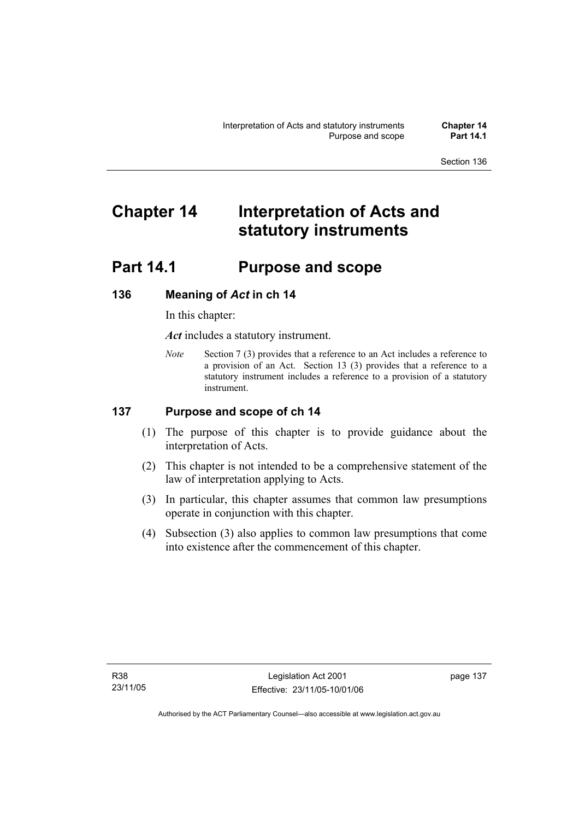# **Chapter 14 Interpretation of Acts and statutory instruments**

# **Part 14.1 Purpose and scope**

# **136 Meaning of** *Act* **in ch 14**

In this chapter:

*Act* includes a statutory instrument.

*Note* Section 7 (3) provides that a reference to an Act includes a reference to a provision of an Act. Section 13 (3) provides that a reference to a statutory instrument includes a reference to a provision of a statutory instrument.

# **137 Purpose and scope of ch 14**

- (1) The purpose of this chapter is to provide guidance about the interpretation of Acts.
- (2) This chapter is not intended to be a comprehensive statement of the law of interpretation applying to Acts.
- (3) In particular, this chapter assumes that common law presumptions operate in conjunction with this chapter.
- (4) Subsection (3) also applies to common law presumptions that come into existence after the commencement of this chapter.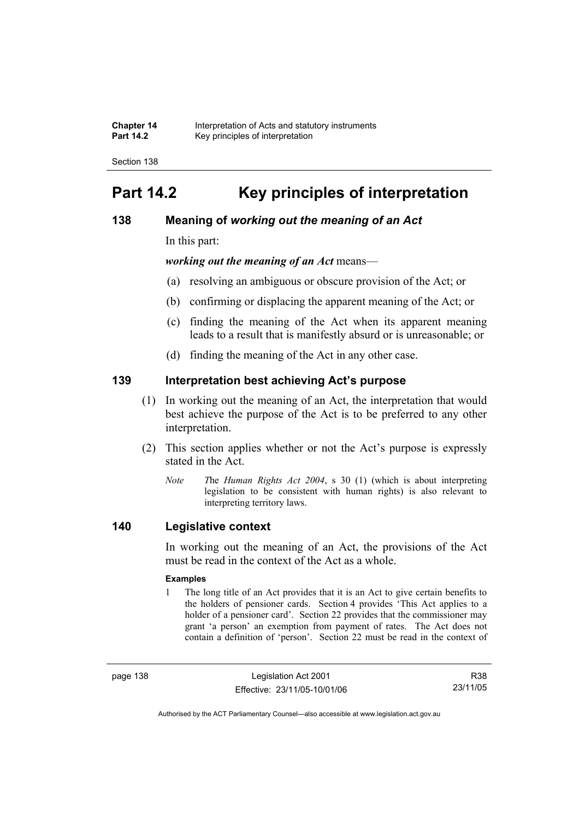| <b>Chapter 14</b> | Interpretation of Acts and statutory instruments |
|-------------------|--------------------------------------------------|
| <b>Part 14.2</b>  | Key principles of interpretation                 |

# **Part 14.2 Key principles of interpretation**

# **138 Meaning of** *working out the meaning of an Act*

In this part:

*working out the meaning of an Act* means—

- (a) resolving an ambiguous or obscure provision of the Act; or
- (b) confirming or displacing the apparent meaning of the Act; or
- (c) finding the meaning of the Act when its apparent meaning leads to a result that is manifestly absurd or is unreasonable; or
- (d) finding the meaning of the Act in any other case.

# **139 Interpretation best achieving Act's purpose**

- (1) In working out the meaning of an Act, the interpretation that would best achieve the purpose of the Act is to be preferred to any other interpretation.
- (2) This section applies whether or not the Act's purpose is expressly stated in the Act.
	- *Note T*he *Human Rights Act 2004*, s 30 (1) (which is about interpreting legislation to be consistent with human rights) is also relevant to interpreting territory laws.

# **140 Legislative context**

In working out the meaning of an Act, the provisions of the Act must be read in the context of the Act as a whole.

#### **Examples**

1 The long title of an Act provides that it is an Act to give certain benefits to the holders of pensioner cards. Section 4 provides 'This Act applies to a holder of a pensioner card'. Section 22 provides that the commissioner may grant 'a person' an exemption from payment of rates. The Act does not contain a definition of 'person'. Section 22 must be read in the context of

page 138 Legislation Act 2001 Effective: 23/11/05-10/01/06

R38 23/11/05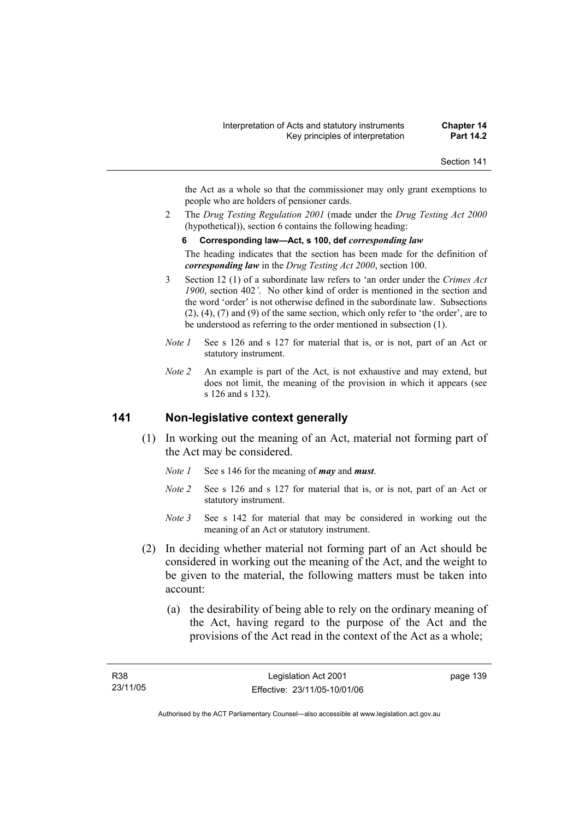the Act as a whole so that the commissioner may only grant exemptions to people who are holders of pensioner cards.

2 The *Drug Testing Regulation 2001* (made under the *Drug Testing Act 2000* (hypothetical)), section 6 contains the following heading:

#### **6 Corresponding law—Act, s 100, def** *corresponding law*

The heading indicates that the section has been made for the definition of *corresponding law* in the *Drug Testing Act 2000*, section 100.

- 3 Section 12 (1) of a subordinate law refers to 'an order under the *Crimes Act 1900*, section 402*'*. No other kind of order is mentioned in the section and the word 'order' is not otherwise defined in the subordinate law. Subsections (2), (4), (7) and (9) of the same section, which only refer to 'the order', are to be understood as referring to the order mentioned in subsection (1).
- *Note 1* See s 126 and s 127 for material that is, or is not, part of an Act or statutory instrument.
- *Note 2* An example is part of the Act, is not exhaustive and may extend, but does not limit, the meaning of the provision in which it appears (see s 126 and s 132).

### **141 Non-legislative context generally**

- (1) In working out the meaning of an Act, material not forming part of the Act may be considered.
	- *Note 1* See s 146 for the meaning of *may* and *must*.
	- *Note 2* See s 126 and s 127 for material that is, or is not, part of an Act or statutory instrument.
	- *Note* 3 See s 142 for material that may be considered in working out the meaning of an Act or statutory instrument.
- (2) In deciding whether material not forming part of an Act should be considered in working out the meaning of the Act, and the weight to be given to the material, the following matters must be taken into account:
	- (a) the desirability of being able to rely on the ordinary meaning of the Act, having regard to the purpose of the Act and the provisions of the Act read in the context of the Act as a whole;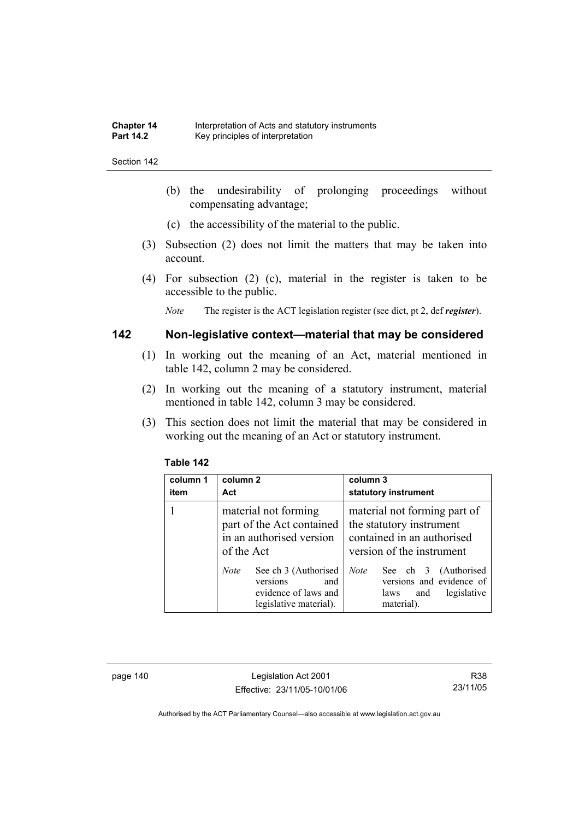- (b) the undesirability of prolonging proceedings without compensating advantage;
- (c) the accessibility of the material to the public.
- (3) Subsection (2) does not limit the matters that may be taken into account.
- (4) For subsection (2) (c), material in the register is taken to be accessible to the public.

*Note* The register is the ACT legislation register (see dict, pt 2, def *register*).

# **142 Non-legislative context—material that may be considered**

- (1) In working out the meaning of an Act, material mentioned in table 142, column 2 may be considered.
- (2) In working out the meaning of a statutory instrument, material mentioned in table 142, column 3 may be considered.
- (3) This section does not limit the material that may be considered in working out the meaning of an Act or statutory instrument.

| column 1<br>item | column 2<br>Act                                                                                          | column 3<br>statutory instrument                                                                                    |
|------------------|----------------------------------------------------------------------------------------------------------|---------------------------------------------------------------------------------------------------------------------|
|                  | material not forming<br>part of the Act contained<br>in an authorised version<br>of the Act              | material not forming part of<br>the statutory instrument<br>contained in an authorised<br>version of the instrument |
|                  | See ch 3 (Authorised<br><i>Note</i><br>versions<br>and<br>evidence of laws and<br>legislative material). | See ch 3 (Authorised<br><b>Note</b><br>versions and evidence of<br>legislative<br>and<br>laws<br>material).         |

#### **Table 142**

page 140 Legislation Act 2001 Effective: 23/11/05-10/01/06

R38 23/11/05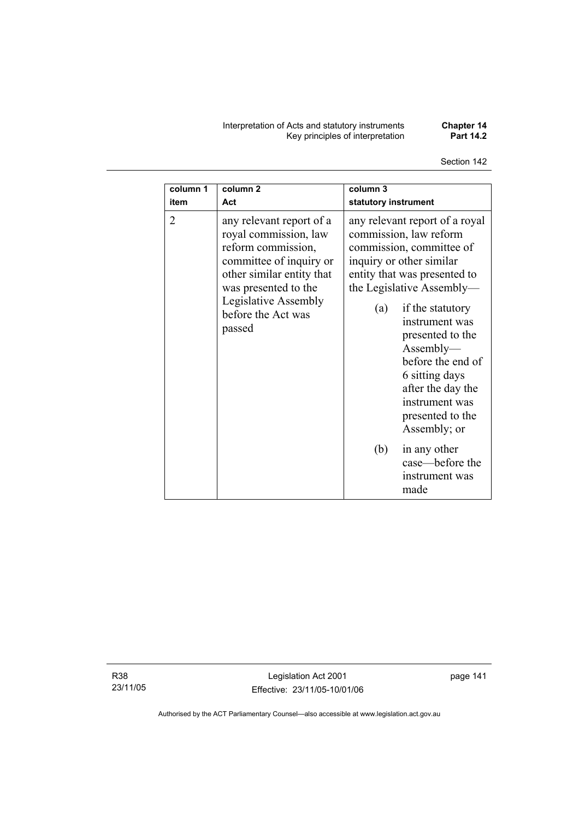Interpretation of Acts and statutory instruments **Chapter 14**  Key principles of interpretation **Part 14.2** 

Section 142

| column 1       | column <sub>2</sub>                                                                                                                                                                                             | column 3                                                                                                                                                                                                                                                                                                                                                                                             |
|----------------|-----------------------------------------------------------------------------------------------------------------------------------------------------------------------------------------------------------------|------------------------------------------------------------------------------------------------------------------------------------------------------------------------------------------------------------------------------------------------------------------------------------------------------------------------------------------------------------------------------------------------------|
| item           | Act                                                                                                                                                                                                             | statutory instrument                                                                                                                                                                                                                                                                                                                                                                                 |
| $\overline{2}$ | any relevant report of a<br>royal commission, law<br>reform commission,<br>committee of inquiry or<br>other similar entity that<br>was presented to the<br>Legislative Assembly<br>before the Act was<br>passed | any relevant report of a royal<br>commission, law reform<br>commission, committee of<br>inquiry or other similar<br>entity that was presented to<br>the Legislative Assembly—<br>if the statutory<br>(a)<br>instrument was<br>presented to the<br>Assently—<br>before the end of<br>6 sitting days<br>after the day the<br>instrument was<br>presented to the<br>Assembly; or<br>(b)<br>in any other |
|                |                                                                                                                                                                                                                 | case—before the<br>instrument was<br>made                                                                                                                                                                                                                                                                                                                                                            |

R38 23/11/05

Legislation Act 2001 Effective: 23/11/05-10/01/06 page 141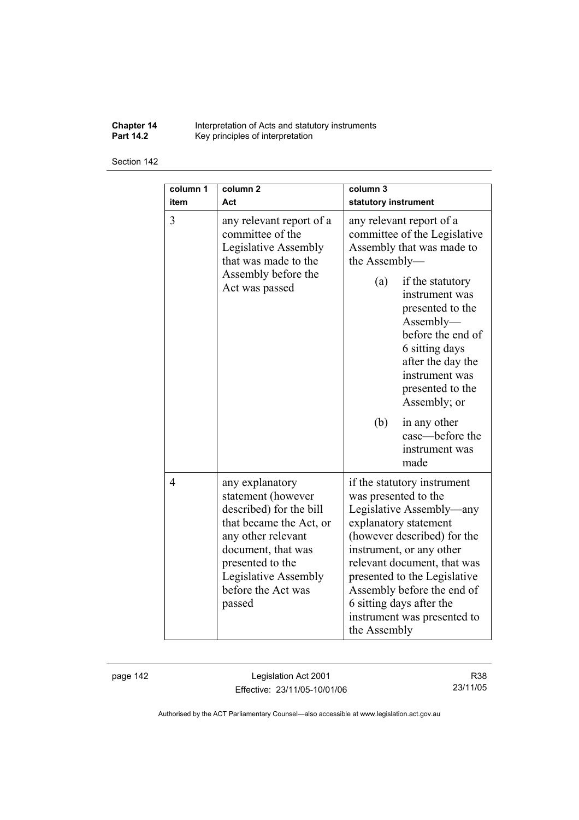**Chapter 14** Interpretation of Acts and statutory instruments **Part 14.2 Key principles of interpretation** 

Section 142

| column 1<br>item | column <sub>2</sub><br>Act                                                                                                                                                                                          | column <sub>3</sub><br>statutory instrument                                                                                                                                                                                                                                                                                                 |
|------------------|---------------------------------------------------------------------------------------------------------------------------------------------------------------------------------------------------------------------|---------------------------------------------------------------------------------------------------------------------------------------------------------------------------------------------------------------------------------------------------------------------------------------------------------------------------------------------|
| $\overline{3}$   | any relevant report of a<br>committee of the<br>Legislative Assembly<br>that was made to the<br>Assembly before the<br>Act was passed                                                                               | any relevant report of a<br>committee of the Legislative<br>Assembly that was made to<br>the Assembly-                                                                                                                                                                                                                                      |
|                  |                                                                                                                                                                                                                     | (a)<br>if the statutory<br>instrument was<br>presented to the<br>Assently—<br>before the end of<br>6 sitting days<br>after the day the<br>instrument was<br>presented to the<br>Assembly; or                                                                                                                                                |
|                  |                                                                                                                                                                                                                     | (b)<br>in any other<br>case-before the<br>instrument was<br>made                                                                                                                                                                                                                                                                            |
| $\overline{4}$   | any explanatory<br>statement (however<br>described) for the bill<br>that became the Act, or<br>any other relevant<br>document, that was<br>presented to the<br>Legislative Assembly<br>before the Act was<br>passed | if the statutory instrument<br>was presented to the<br>Legislative Assembly—any<br>explanatory statement<br>(however described) for the<br>instrument, or any other<br>relevant document, that was<br>presented to the Legislative<br>Assembly before the end of<br>6 sitting days after the<br>instrument was presented to<br>the Assembly |

page 142 Legislation Act 2001 Effective: 23/11/05-10/01/06

R38 23/11/05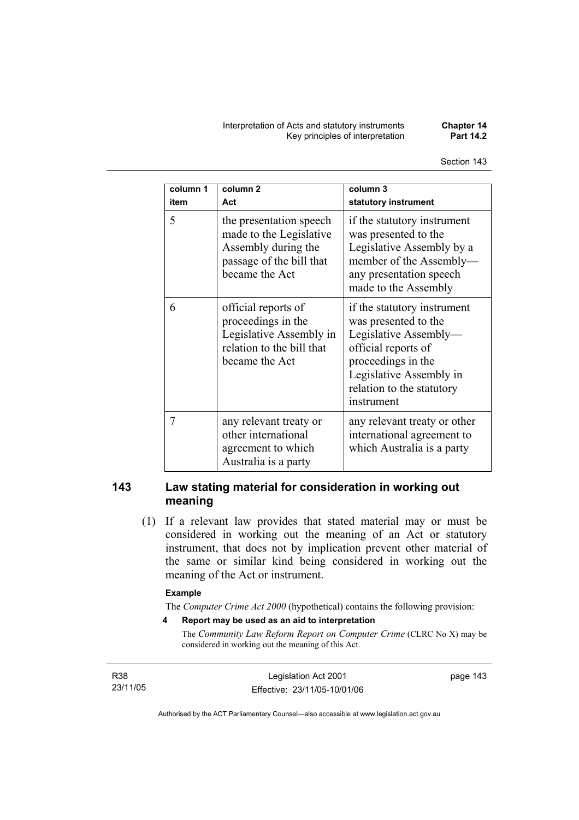Interpretation of Acts and statutory instruments **Chapter 14 Key principles of interpretation** 

| column 1<br>item | column <sub>2</sub><br>Act                                                                                              | column 3<br>statutory instrument                                                                                                                                                                |
|------------------|-------------------------------------------------------------------------------------------------------------------------|-------------------------------------------------------------------------------------------------------------------------------------------------------------------------------------------------|
| 5                | the presentation speech<br>made to the Legislative<br>Assembly during the<br>passage of the bill that<br>became the Act | if the statutory instrument<br>was presented to the<br>Legislative Assembly by a<br>member of the Assembly-<br>any presentation speech<br>made to the Assembly                                  |
| 6                | official reports of<br>proceedings in the<br>Legislative Assembly in<br>relation to the bill that<br>became the Act     | if the statutory instrument<br>was presented to the<br>Legislative Assembly-<br>official reports of<br>proceedings in the<br>Legislative Assembly in<br>relation to the statutory<br>instrument |
| 7                | any relevant treaty or<br>other international<br>agreement to which<br>Australia is a party                             | any relevant treaty or other<br>international agreement to<br>which Australia is a party                                                                                                        |

# **143 Law stating material for consideration in working out meaning**

 (1) If a relevant law provides that stated material may or must be considered in working out the meaning of an Act or statutory instrument, that does not by implication prevent other material of the same or similar kind being considered in working out the meaning of the Act or instrument.

#### **Example**

The *Computer Crime Act 2000* (hypothetical) contains the following provision:

**4 Report may be used as an aid to interpretation** 

The *Community Law Reform Report on Computer Crime* (CLRC No X) may be considered in working out the meaning of this Act.

R38 23/11/05 page 143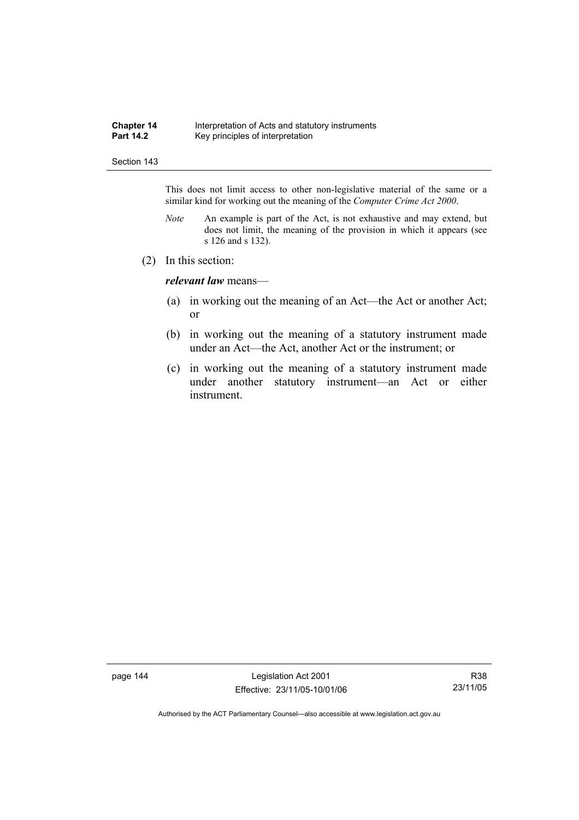#### **Chapter 14** Interpretation of Acts and statutory instruments<br>**Part 14.2** Key principles of interpretation Key principles of interpretation

#### Section 143

This does not limit access to other non-legislative material of the same or a similar kind for working out the meaning of the *Computer Crime Act 2000*.

- *Note* An example is part of the Act, is not exhaustive and may extend, but does not limit, the meaning of the provision in which it appears (see s 126 and s 132).
- (2) In this section:

*relevant law* means—

- (a) in working out the meaning of an Act—the Act or another Act; or
- (b) in working out the meaning of a statutory instrument made under an Act—the Act, another Act or the instrument; or
- (c) in working out the meaning of a statutory instrument made under another statutory instrument—an Act or either instrument.

page 144 Legislation Act 2001 Effective: 23/11/05-10/01/06

R38 23/11/05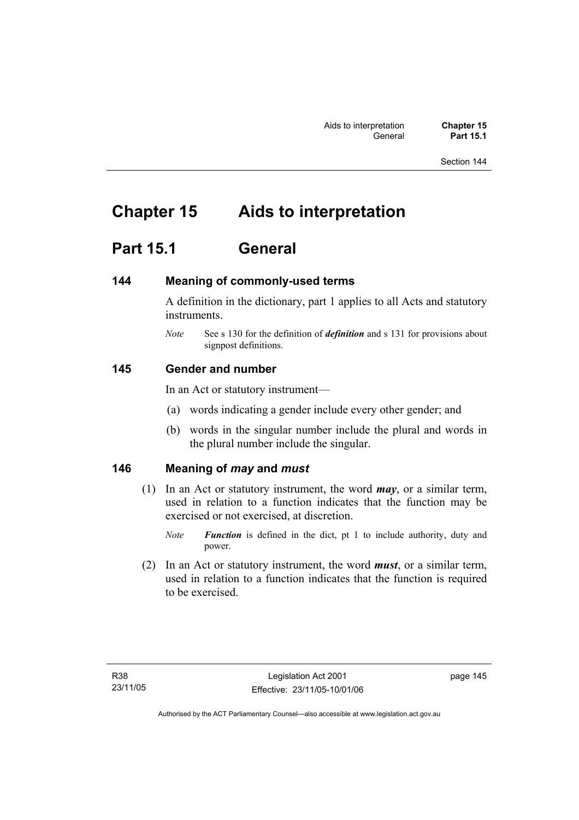# **Chapter 15 Aids to interpretation**

# **Part 15.1 General**

# **144 Meaning of commonly-used terms**

A definition in the dictionary, part 1 applies to all Acts and statutory instruments.

*Note* See s 130 for the definition of *definition* and s 131 for provisions about signpost definitions.

# **145 Gender and number**

In an Act or statutory instrument—

- (a) words indicating a gender include every other gender; and
- (b) words in the singular number include the plural and words in the plural number include the singular.

# **146 Meaning of** *may* **and** *must*

- (1) In an Act or statutory instrument, the word *may*, or a similar term, used in relation to a function indicates that the function may be exercised or not exercised, at discretion.
	- *Note Function* is defined in the dict, pt 1 to include authority, duty and power.
- (2) In an Act or statutory instrument, the word *must*, or a similar term, used in relation to a function indicates that the function is required to be exercised.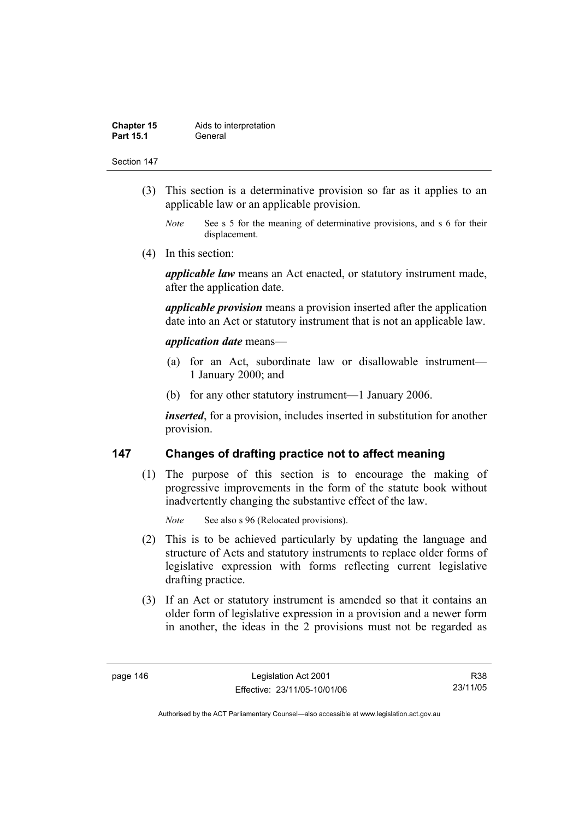| <b>Chapter 15</b> | Aids to interpretation |
|-------------------|------------------------|
| <b>Part 15.1</b>  | General                |

- (3) This section is a determinative provision so far as it applies to an applicable law or an applicable provision.
	- *Note* See s 5 for the meaning of determinative provisions, and s 6 for their displacement.
- (4) In this section:

*applicable law* means an Act enacted, or statutory instrument made, after the application date.

*applicable provision* means a provision inserted after the application date into an Act or statutory instrument that is not an applicable law.

### *application date* means—

- (a) for an Act, subordinate law or disallowable instrument— 1 January 2000; and
- (b) for any other statutory instrument—1 January 2006.

*inserted*, for a provision, includes inserted in substitution for another provision.

# **147 Changes of drafting practice not to affect meaning**

 (1) The purpose of this section is to encourage the making of progressive improvements in the form of the statute book without inadvertently changing the substantive effect of the law.

*Note* See also s 96 (Relocated provisions).

- (2) This is to be achieved particularly by updating the language and structure of Acts and statutory instruments to replace older forms of legislative expression with forms reflecting current legislative drafting practice.
- (3) If an Act or statutory instrument is amended so that it contains an older form of legislative expression in a provision and a newer form in another, the ideas in the 2 provisions must not be regarded as

R38 23/11/05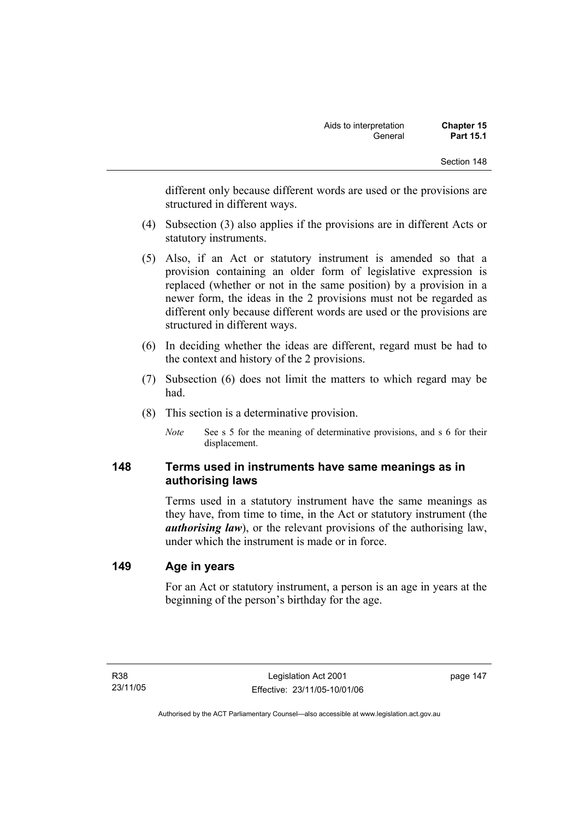different only because different words are used or the provisions are structured in different ways.

- (4) Subsection (3) also applies if the provisions are in different Acts or statutory instruments.
- (5) Also, if an Act or statutory instrument is amended so that a provision containing an older form of legislative expression is replaced (whether or not in the same position) by a provision in a newer form, the ideas in the 2 provisions must not be regarded as different only because different words are used or the provisions are structured in different ways.
- (6) In deciding whether the ideas are different, regard must be had to the context and history of the 2 provisions.
- (7) Subsection (6) does not limit the matters to which regard may be had.
- (8) This section is a determinative provision.
	- *Note* See s 5 for the meaning of determinative provisions, and s 6 for their displacement.

# **148 Terms used in instruments have same meanings as in authorising laws**

Terms used in a statutory instrument have the same meanings as they have, from time to time, in the Act or statutory instrument (the *authorising law*), or the relevant provisions of the authorising law, under which the instrument is made or in force.

# **149 Age in years**

For an Act or statutory instrument, a person is an age in years at the beginning of the person's birthday for the age.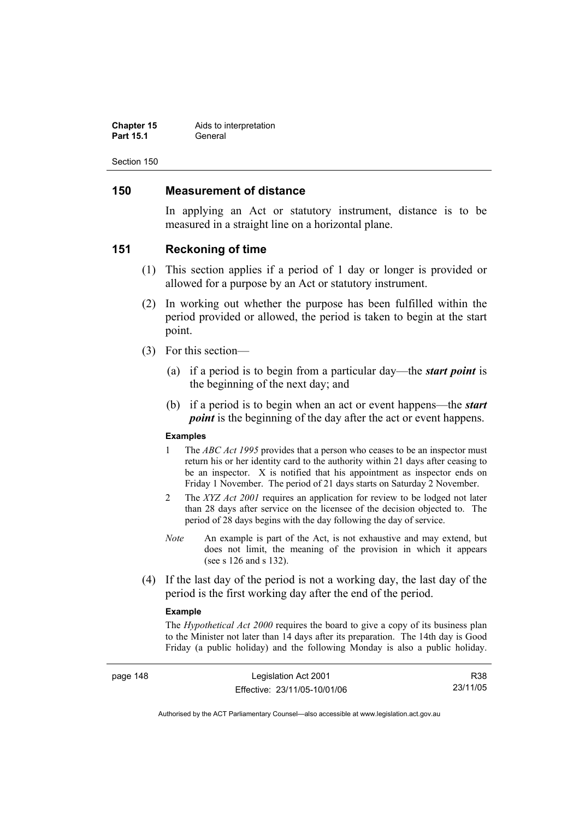| <b>Chapter 15</b> | Aids to interpretation |
|-------------------|------------------------|
| <b>Part 15.1</b>  | General                |

# **150 Measurement of distance**

In applying an Act or statutory instrument, distance is to be measured in a straight line on a horizontal plane.

#### **151 Reckoning of time**

- (1) This section applies if a period of 1 day or longer is provided or allowed for a purpose by an Act or statutory instrument.
- (2) In working out whether the purpose has been fulfilled within the period provided or allowed, the period is taken to begin at the start point.
- (3) For this section—
	- (a) if a period is to begin from a particular day—the *start point* is the beginning of the next day; and
	- (b) if a period is to begin when an act or event happens—the *start point* is the beginning of the day after the act or event happens.

#### **Examples**

- 1 The *ABC Act 1995* provides that a person who ceases to be an inspector must return his or her identity card to the authority within 21 days after ceasing to be an inspector. X is notified that his appointment as inspector ends on Friday 1 November. The period of 21 days starts on Saturday 2 November.
- 2 The *XYZ Act 2001* requires an application for review to be lodged not later than 28 days after service on the licensee of the decision objected to. The period of 28 days begins with the day following the day of service.
- *Note* An example is part of the Act, is not exhaustive and may extend, but does not limit, the meaning of the provision in which it appears (see s 126 and s 132).
- (4) If the last day of the period is not a working day, the last day of the period is the first working day after the end of the period.

#### **Example**

The *Hypothetical Act 2000* requires the board to give a copy of its business plan to the Minister not later than 14 days after its preparation. The 14th day is Good Friday (a public holiday) and the following Monday is also a public holiday.

page 148 Legislation Act 2001 Effective: 23/11/05-10/01/06

R38 23/11/05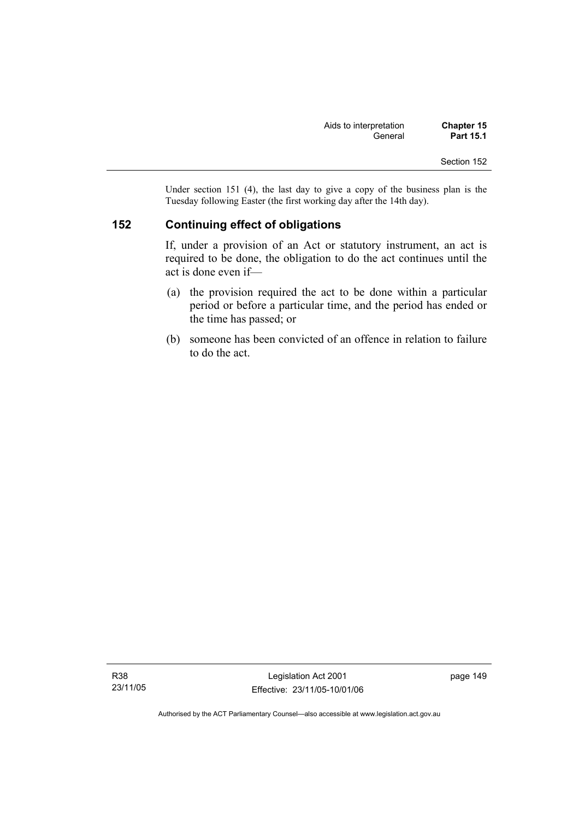Under section 151 (4), the last day to give a copy of the business plan is the Tuesday following Easter (the first working day after the 14th day).

# **152 Continuing effect of obligations**

If, under a provision of an Act or statutory instrument, an act is required to be done, the obligation to do the act continues until the act is done even if—

- (a) the provision required the act to be done within a particular period or before a particular time, and the period has ended or the time has passed; or
- (b) someone has been convicted of an offence in relation to failure to do the act.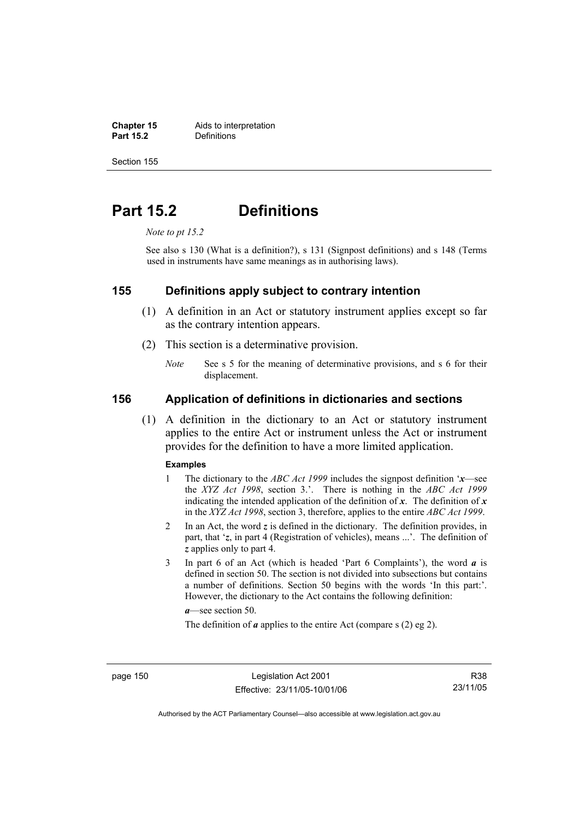**Chapter 15** Aids to interpretation<br> **Part 15.2** Definitions **Definitions** 

Section 155

# **Part 15.2 Definitions**

*Note to pt 15.2* 

See also s 130 (What is a definition?), s 131 (Signpost definitions) and s 148 (Terms used in instruments have same meanings as in authorising laws).

#### **155 Definitions apply subject to contrary intention**

- (1) A definition in an Act or statutory instrument applies except so far as the contrary intention appears.
- (2) This section is a determinative provision.
	- *Note* See s 5 for the meaning of determinative provisions, and s 6 for their displacement.

# **156 Application of definitions in dictionaries and sections**

 (1) A definition in the dictionary to an Act or statutory instrument applies to the entire Act or instrument unless the Act or instrument provides for the definition to have a more limited application.

#### **Examples**

- 1 The dictionary to the *ABC Act 1999* includes the signpost definition '*x*—see the *XYZ Act 1998*, section 3.'. There is nothing in the *ABC Act 1999* indicating the intended application of the definition of  $x$ . The definition of  $x$ in the *XYZ Act 1998*, section 3, therefore, applies to the entire *ABC Act 1999*.
- 2 In an Act, the word *z* is defined in the dictionary. The definition provides, in part, that '*z*, in part 4 (Registration of vehicles), means ...'. The definition of *z* applies only to part 4.
- 3 In part 6 of an Act (which is headed 'Part 6 Complaints'), the word *a* is defined in section 50. The section is not divided into subsections but contains a number of definitions. Section 50 begins with the words 'In this part:'. However, the dictionary to the Act contains the following definition:

*a*—see section 50.

The definition of *a* applies to the entire Act (compare s (2) eg 2).

page 150 Legislation Act 2001 Effective: 23/11/05-10/01/06

R38 23/11/05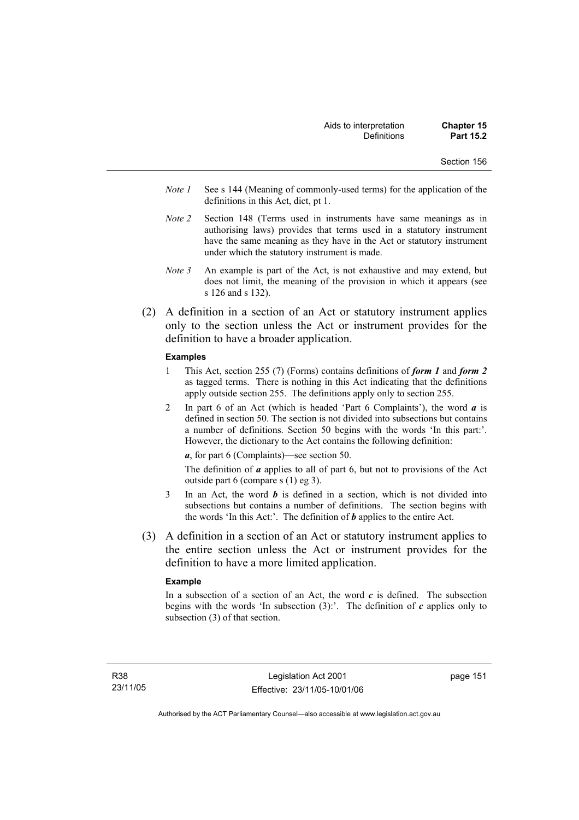- Section 156
- *Note 1* See s 144 (Meaning of commonly-used terms) for the application of the definitions in this Act, dict, pt 1.
- *Note 2* Section 148 (Terms used in instruments have same meanings as in authorising laws) provides that terms used in a statutory instrument have the same meaning as they have in the Act or statutory instrument under which the statutory instrument is made.
- *Note 3* An example is part of the Act, is not exhaustive and may extend, but does not limit, the meaning of the provision in which it appears (see s 126 and s 132).
- (2) A definition in a section of an Act or statutory instrument applies only to the section unless the Act or instrument provides for the definition to have a broader application.

#### **Examples**

- 1 This Act, section 255 (7) (Forms) contains definitions of *form 1* and *form 2* as tagged terms. There is nothing in this Act indicating that the definitions apply outside section 255. The definitions apply only to section 255.
- 2 In part 6 of an Act (which is headed 'Part 6 Complaints'), the word *a* is defined in section 50. The section is not divided into subsections but contains a number of definitions. Section 50 begins with the words 'In this part:'. However, the dictionary to the Act contains the following definition:

*a*, for part 6 (Complaints)—see section 50.

The definition of *a* applies to all of part 6, but not to provisions of the Act outside part 6 (compare s (1) eg 3).

- 3 In an Act, the word *b* is defined in a section, which is not divided into subsections but contains a number of definitions. The section begins with the words 'In this Act:'. The definition of *b* applies to the entire Act.
- (3) A definition in a section of an Act or statutory instrument applies to the entire section unless the Act or instrument provides for the definition to have a more limited application.

#### **Example**

In a subsection of a section of an Act, the word  $c$  is defined. The subsection begins with the words 'In subsection (3):'. The definition of *c* applies only to subsection (3) of that section.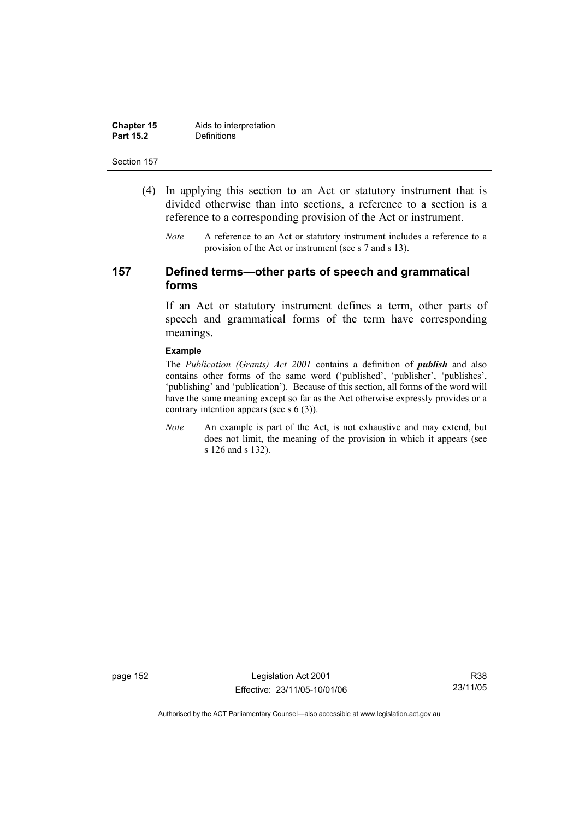| <b>Chapter 15</b> | Aids to interpretation |
|-------------------|------------------------|
| <b>Part 15.2</b>  | Definitions            |

- (4) In applying this section to an Act or statutory instrument that is divided otherwise than into sections, a reference to a section is a reference to a corresponding provision of the Act or instrument.
	- *Note* A reference to an Act or statutory instrument includes a reference to a provision of the Act or instrument (see s 7 and s 13).

# **157 Defined terms—other parts of speech and grammatical forms**

If an Act or statutory instrument defines a term, other parts of speech and grammatical forms of the term have corresponding meanings.

#### **Example**

The *Publication (Grants) Act 2001* contains a definition of *publish* and also contains other forms of the same word ('published', 'publisher', 'publishes', 'publishing' and 'publication'). Because of this section, all forms of the word will have the same meaning except so far as the Act otherwise expressly provides or a contrary intention appears (see s 6 (3)).

*Note* An example is part of the Act, is not exhaustive and may extend, but does not limit, the meaning of the provision in which it appears (see s 126 and s 132).

page 152 Legislation Act 2001 Effective: 23/11/05-10/01/06

R38 23/11/05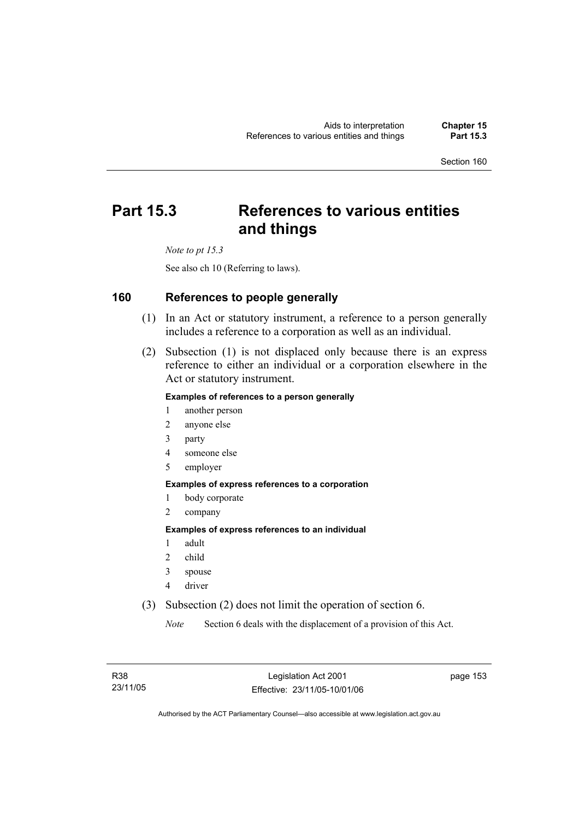# **Part 15.3 References to various entities and things**

*Note to pt 15.3* 

See also ch 10 (Referring to laws).

# **160 References to people generally**

- (1) In an Act or statutory instrument, a reference to a person generally includes a reference to a corporation as well as an individual.
- (2) Subsection (1) is not displaced only because there is an express reference to either an individual or a corporation elsewhere in the Act or statutory instrument.

### **Examples of references to a person generally**

- 1 another person
- 2 anyone else
- 3 party
- 4 someone else
- 5 employer

#### **Examples of express references to a corporation**

- 1 body corporate
- 2 company

#### **Examples of express references to an individual**

- 1 adult
- 2 child
- 3 spouse
- 4 driver
- (3) Subsection (2) does not limit the operation of section 6.

*Note* Section 6 deals with the displacement of a provision of this Act.

page 153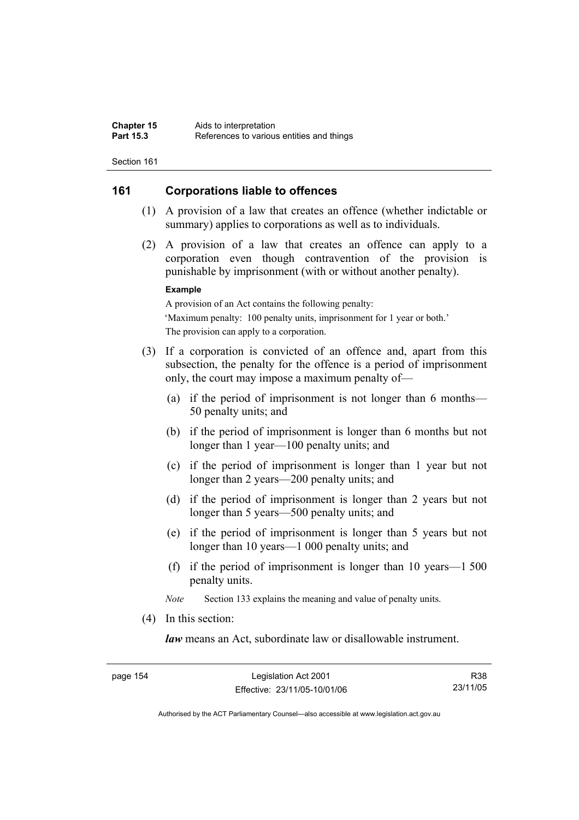# **161 Corporations liable to offences**

- (1) A provision of a law that creates an offence (whether indictable or summary) applies to corporations as well as to individuals.
- (2) A provision of a law that creates an offence can apply to a corporation even though contravention of the provision is punishable by imprisonment (with or without another penalty).

#### **Example**

A provision of an Act contains the following penalty: 'Maximum penalty: 100 penalty units, imprisonment for 1 year or both.' The provision can apply to a corporation.

- (3) If a corporation is convicted of an offence and, apart from this subsection, the penalty for the offence is a period of imprisonment only, the court may impose a maximum penalty of—
	- (a) if the period of imprisonment is not longer than 6 months— 50 penalty units; and
	- (b) if the period of imprisonment is longer than 6 months but not longer than 1 year—100 penalty units; and
	- (c) if the period of imprisonment is longer than 1 year but not longer than 2 years—200 penalty units; and
	- (d) if the period of imprisonment is longer than 2 years but not longer than 5 years—500 penalty units; and
	- (e) if the period of imprisonment is longer than 5 years but not longer than 10 years—1 000 penalty units; and
	- (f) if the period of imprisonment is longer than 10 years—1 500 penalty units.

*Note* Section 133 explains the meaning and value of penalty units.

(4) In this section:

*law* means an Act, subordinate law or disallowable instrument.

R38 23/11/05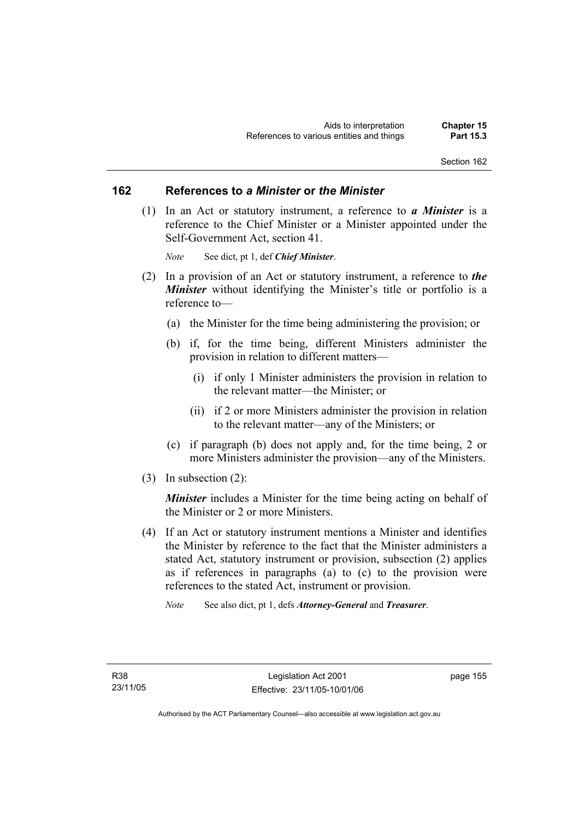### **162 References to** *a Minister* **or** *the Minister*

 (1) In an Act or statutory instrument, a reference to *a Minister* is a reference to the Chief Minister or a Minister appointed under the Self-Government Act, section 41.

*Note* See dict, pt 1, def *Chief Minister*.

- (2) In a provision of an Act or statutory instrument, a reference to *the Minister* without identifying the Minister's title or portfolio is a reference to—
	- (a) the Minister for the time being administering the provision; or
	- (b) if, for the time being, different Ministers administer the provision in relation to different matters—
		- (i) if only 1 Minister administers the provision in relation to the relevant matter—the Minister; or
		- (ii) if 2 or more Ministers administer the provision in relation to the relevant matter—any of the Ministers; or
	- (c) if paragraph (b) does not apply and, for the time being, 2 or more Ministers administer the provision—any of the Ministers.
- (3) In subsection (2):

*Minister* includes a Minister for the time being acting on behalf of the Minister or 2 or more Ministers.

- (4) If an Act or statutory instrument mentions a Minister and identifies the Minister by reference to the fact that the Minister administers a stated Act, statutory instrument or provision, subsection (2) applies as if references in paragraphs (a) to (c) to the provision were references to the stated Act, instrument or provision.
	- *Note* See also dict, pt 1, defs *Attorney-General* and *Treasurer*.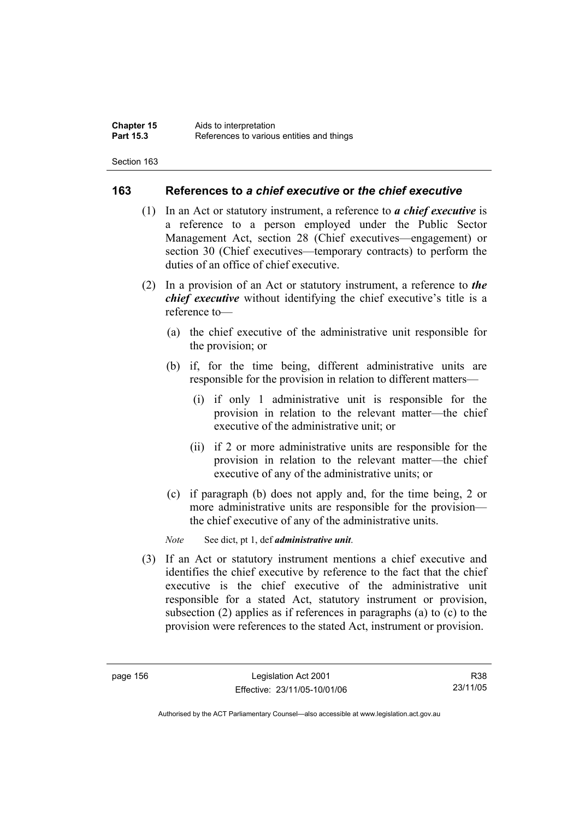# **163 References to** *a chief executive* **or** *the chief executive*

- (1) In an Act or statutory instrument, a reference to *a chief executive* is a reference to a person employed under the Public Sector Management Act, section 28 (Chief executives—engagement) or section 30 (Chief executives—temporary contracts) to perform the duties of an office of chief executive.
- (2) In a provision of an Act or statutory instrument, a reference to *the chief executive* without identifying the chief executive's title is a reference to—
	- (a) the chief executive of the administrative unit responsible for the provision; or
	- (b) if, for the time being, different administrative units are responsible for the provision in relation to different matters—
		- (i) if only 1 administrative unit is responsible for the provision in relation to the relevant matter—the chief executive of the administrative unit; or
		- (ii) if 2 or more administrative units are responsible for the provision in relation to the relevant matter—the chief executive of any of the administrative units; or
	- (c) if paragraph (b) does not apply and, for the time being, 2 or more administrative units are responsible for the provision the chief executive of any of the administrative units.

*Note* See dict, pt 1, def *administrative unit*.

 (3) If an Act or statutory instrument mentions a chief executive and identifies the chief executive by reference to the fact that the chief executive is the chief executive of the administrative unit responsible for a stated Act, statutory instrument or provision, subsection (2) applies as if references in paragraphs (a) to (c) to the provision were references to the stated Act, instrument or provision.

R38 23/11/05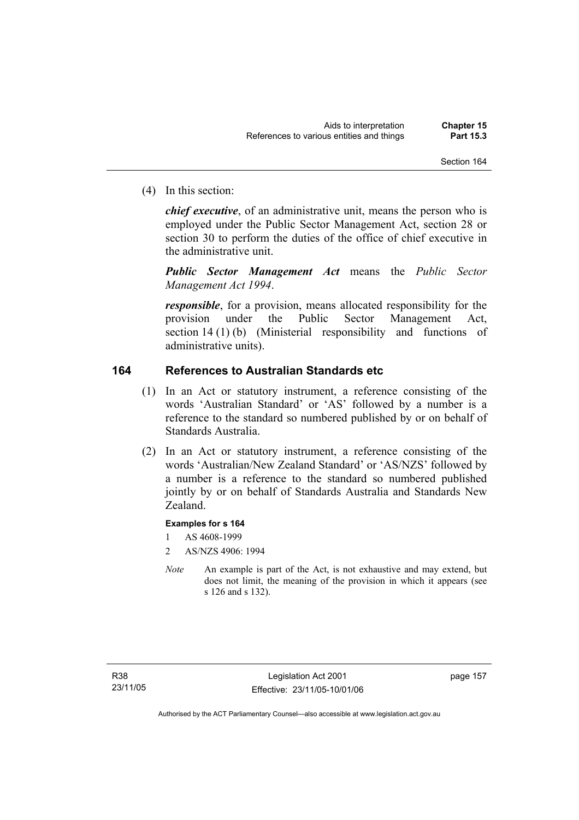(4) In this section:

*chief executive*, of an administrative unit, means the person who is employed under the Public Sector Management Act, section 28 or section 30 to perform the duties of the office of chief executive in the administrative unit.

*Public Sector Management Act* means the *Public Sector Management Act 1994*.

*responsible*, for a provision, means allocated responsibility for the provision under the Public Sector Management Act, section 14 (1) (b) (Ministerial responsibility and functions of administrative units).

# **164 References to Australian Standards etc**

- (1) In an Act or statutory instrument, a reference consisting of the words 'Australian Standard' or 'AS' followed by a number is a reference to the standard so numbered published by or on behalf of Standards Australia.
- (2) In an Act or statutory instrument, a reference consisting of the words 'Australian/New Zealand Standard' or 'AS/NZS' followed by a number is a reference to the standard so numbered published jointly by or on behalf of Standards Australia and Standards New Zealand.

### **Examples for s 164**

- 1 AS 4608-1999
- 2 AS/NZS 4906: 1994
- *Note* An example is part of the Act, is not exhaustive and may extend, but does not limit, the meaning of the provision in which it appears (see s 126 and s 132).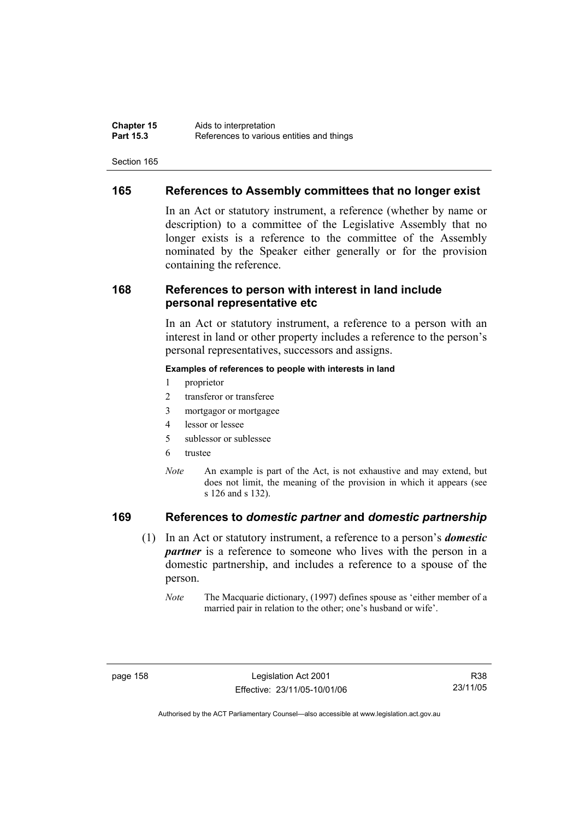# **165 References to Assembly committees that no longer exist**

In an Act or statutory instrument, a reference (whether by name or description) to a committee of the Legislative Assembly that no longer exists is a reference to the committee of the Assembly nominated by the Speaker either generally or for the provision containing the reference.

# **168 References to person with interest in land include personal representative etc**

In an Act or statutory instrument, a reference to a person with an interest in land or other property includes a reference to the person's personal representatives, successors and assigns.

#### **Examples of references to people with interests in land**

- 1 proprietor
- 2 transferor or transferee
- 3 mortgagor or mortgagee
- 4 lessor or lessee
- 5 sublessor or sublessee
- 6 trustee
- *Note* An example is part of the Act, is not exhaustive and may extend, but does not limit, the meaning of the provision in which it appears (see s 126 and s 132).

# **169 References to** *domestic partner* **and** *domestic partnership*

- (1) In an Act or statutory instrument, a reference to a person's *domestic partner* is a reference to someone who lives with the person in a domestic partnership, and includes a reference to a spouse of the person.
	- *Note* The Macquarie dictionary, (1997) defines spouse as 'either member of a married pair in relation to the other; one's husband or wife'.

R38 23/11/05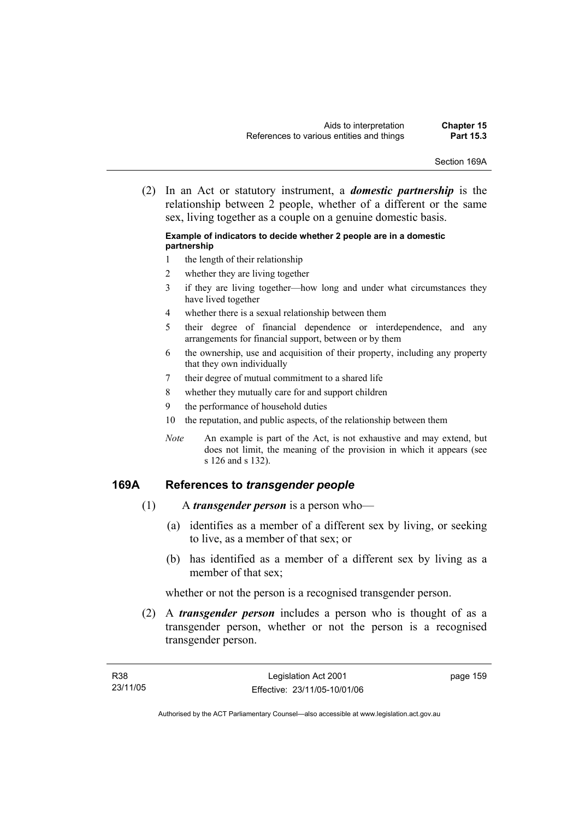Section 169A

 (2) In an Act or statutory instrument, a *domestic partnership* is the relationship between 2 people, whether of a different or the same sex, living together as a couple on a genuine domestic basis.

#### **Example of indicators to decide whether 2 people are in a domestic partnership**

- 1 the length of their relationship
- 2 whether they are living together
- 3 if they are living together—how long and under what circumstances they have lived together
- 4 whether there is a sexual relationship between them
- 5 their degree of financial dependence or interdependence, and any arrangements for financial support, between or by them
- 6 the ownership, use and acquisition of their property, including any property that they own individually
- 7 their degree of mutual commitment to a shared life
- 8 whether they mutually care for and support children
- 9 the performance of household duties
- 10 the reputation, and public aspects, of the relationship between them
- *Note* An example is part of the Act, is not exhaustive and may extend, but does not limit, the meaning of the provision in which it appears (see s 126 and s 132).

### **169A References to** *transgender people*

- (1) A *transgender person* is a person who—
	- (a) identifies as a member of a different sex by living, or seeking to live, as a member of that sex; or
	- (b) has identified as a member of a different sex by living as a member of that sex;

whether or not the person is a recognised transgender person.

 (2) A *transgender person* includes a person who is thought of as a transgender person, whether or not the person is a recognised transgender person.

page 159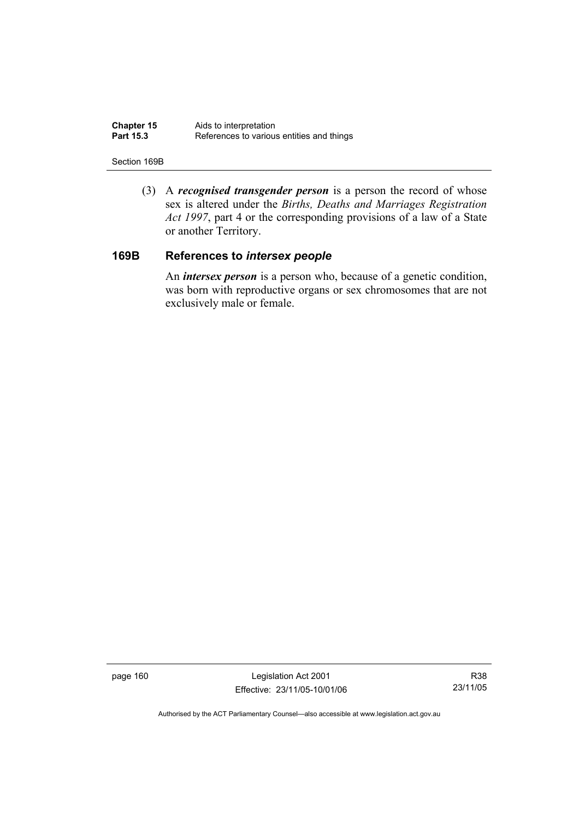| <b>Chapter 15</b> | Aids to interpretation                    |
|-------------------|-------------------------------------------|
| <b>Part 15.3</b>  | References to various entities and things |

#### Section 169B

 (3) A *recognised transgender person* is a person the record of whose sex is altered under the *Births, Deaths and Marriages Registration Act 1997*, part 4 or the corresponding provisions of a law of a State or another Territory.

# **169B References to** *intersex people*

 An *intersex person* is a person who, because of a genetic condition, was born with reproductive organs or sex chromosomes that are not exclusively male or female.

page 160 Legislation Act 2001 Effective: 23/11/05-10/01/06

R38 23/11/05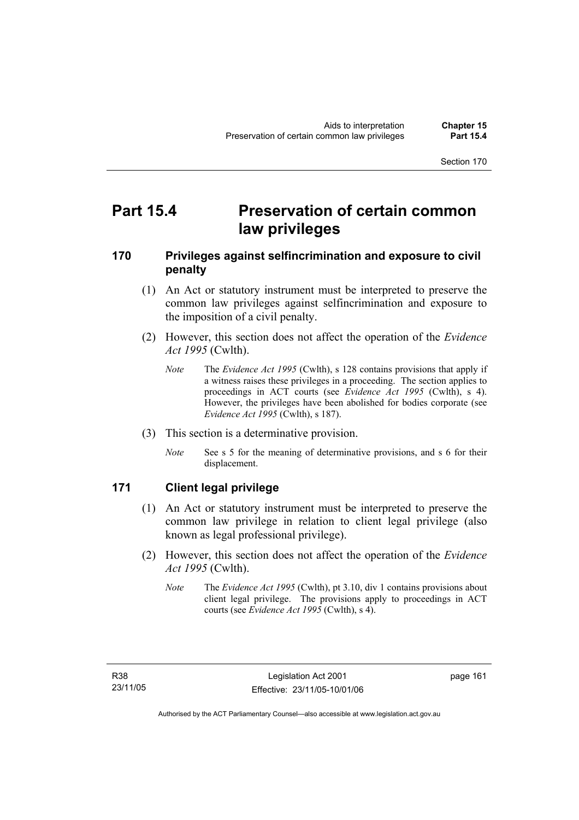# **Part 15.4 Preservation of certain common law privileges**

# **170 Privileges against selfincrimination and exposure to civil penalty**

- (1) An Act or statutory instrument must be interpreted to preserve the common law privileges against selfincrimination and exposure to the imposition of a civil penalty.
- (2) However, this section does not affect the operation of the *Evidence Act 1995* (Cwlth).
	- *Note* The *Evidence Act 1995* (Cwlth), s 128 contains provisions that apply if a witness raises these privileges in a proceeding. The section applies to proceedings in ACT courts (see *Evidence Act 1995* (Cwlth), s 4). However, the privileges have been abolished for bodies corporate (see *Evidence Act 1995* (Cwlth), s 187).
- (3) This section is a determinative provision.
	- *Note* See s 5 for the meaning of determinative provisions, and s 6 for their displacement.

# **171 Client legal privilege**

- (1) An Act or statutory instrument must be interpreted to preserve the common law privilege in relation to client legal privilege (also known as legal professional privilege).
- (2) However, this section does not affect the operation of the *Evidence Act 1995* (Cwlth).
	- *Note* The *Evidence Act 1995* (Cwlth), pt 3.10, div 1 contains provisions about client legal privilege. The provisions apply to proceedings in ACT courts (see *Evidence Act 1995* (Cwlth), s 4).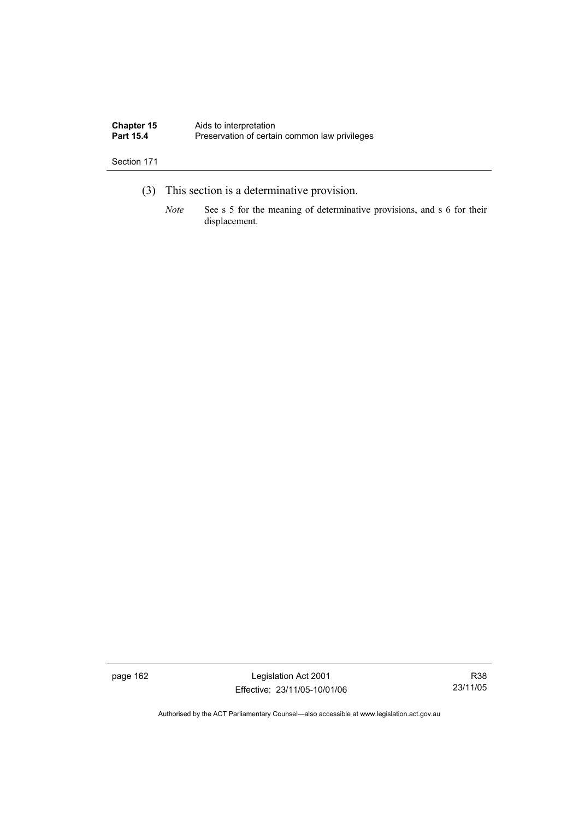| <b>Chapter 15</b> | Aids to interpretation                        |
|-------------------|-----------------------------------------------|
| <b>Part 15.4</b>  | Preservation of certain common law privileges |

- (3) This section is a determinative provision.
	- *Note* See s 5 for the meaning of determinative provisions, and s 6 for their displacement.

page 162 Legislation Act 2001 Effective: 23/11/05-10/01/06

R38 23/11/05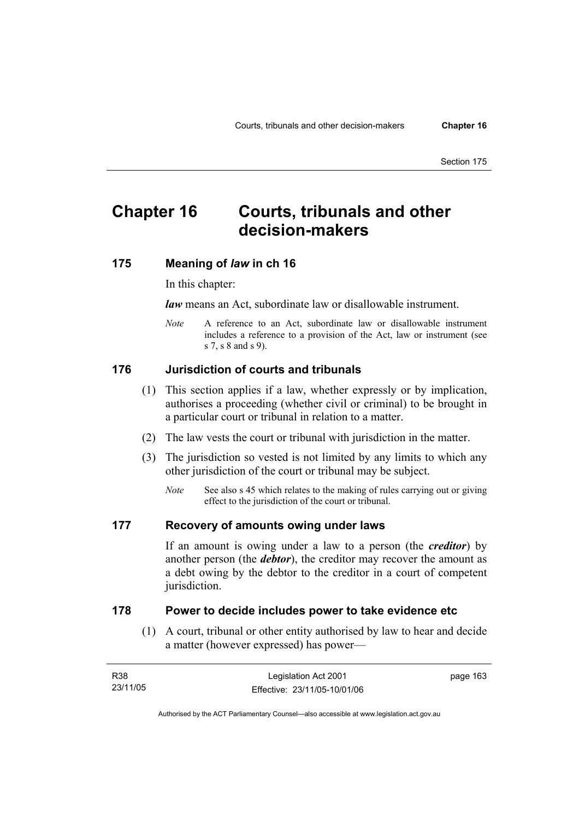# **Chapter 16 Courts, tribunals and other decision-makers**

# **175 Meaning of** *law* **in ch 16**

In this chapter:

*law* means an Act, subordinate law or disallowable instrument.

*Note* A reference to an Act, subordinate law or disallowable instrument includes a reference to a provision of the Act, law or instrument (see s 7, s 8 and s 9).

# **176 Jurisdiction of courts and tribunals**

- (1) This section applies if a law, whether expressly or by implication, authorises a proceeding (whether civil or criminal) to be brought in a particular court or tribunal in relation to a matter.
- (2) The law vests the court or tribunal with jurisdiction in the matter.
- (3) The jurisdiction so vested is not limited by any limits to which any other jurisdiction of the court or tribunal may be subject.
	- *Note* See also s 45 which relates to the making of rules carrying out or giving effect to the jurisdiction of the court or tribunal.

### **177 Recovery of amounts owing under laws**

If an amount is owing under a law to a person (the *creditor*) by another person (the *debtor*), the creditor may recover the amount as a debt owing by the debtor to the creditor in a court of competent jurisdiction.

# **178 Power to decide includes power to take evidence etc**

 (1) A court, tribunal or other entity authorised by law to hear and decide a matter (however expressed) has power—

| R38      | Legislation Act 2001         | page 163 |
|----------|------------------------------|----------|
| 23/11/05 | Effective: 23/11/05-10/01/06 |          |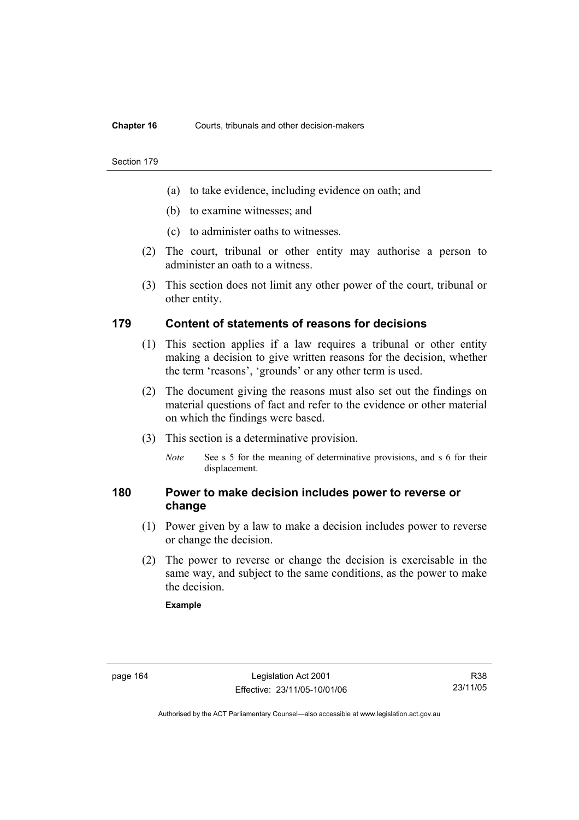#### **Chapter 16** Courts, tribunals and other decision-makers

#### Section 179

- (a) to take evidence, including evidence on oath; and
- (b) to examine witnesses; and
- (c) to administer oaths to witnesses.
- (2) The court, tribunal or other entity may authorise a person to administer an oath to a witness.
- (3) This section does not limit any other power of the court, tribunal or other entity.

# **179 Content of statements of reasons for decisions**

- (1) This section applies if a law requires a tribunal or other entity making a decision to give written reasons for the decision, whether the term 'reasons', 'grounds' or any other term is used.
- (2) The document giving the reasons must also set out the findings on material questions of fact and refer to the evidence or other material on which the findings were based.
- (3) This section is a determinative provision.
	- *Note* See s 5 for the meaning of determinative provisions, and s 6 for their displacement.

# **180 Power to make decision includes power to reverse or change**

- (1) Power given by a law to make a decision includes power to reverse or change the decision.
- (2) The power to reverse or change the decision is exercisable in the same way, and subject to the same conditions, as the power to make the decision.

#### **Example**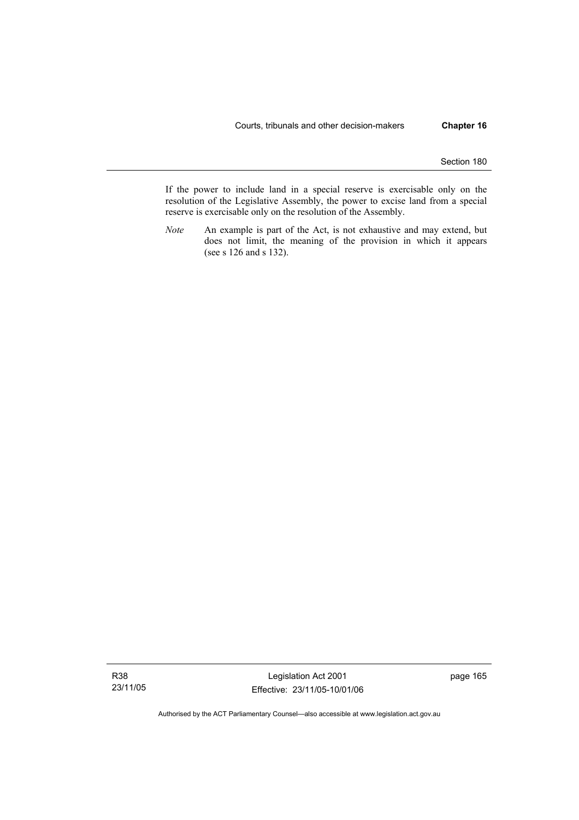If the power to include land in a special reserve is exercisable only on the resolution of the Legislative Assembly, the power to excise land from a special reserve is exercisable only on the resolution of the Assembly.

*Note* An example is part of the Act, is not exhaustive and may extend, but does not limit, the meaning of the provision in which it appears (see s 126 and s 132).

Legislation Act 2001 Effective: 23/11/05-10/01/06 page 165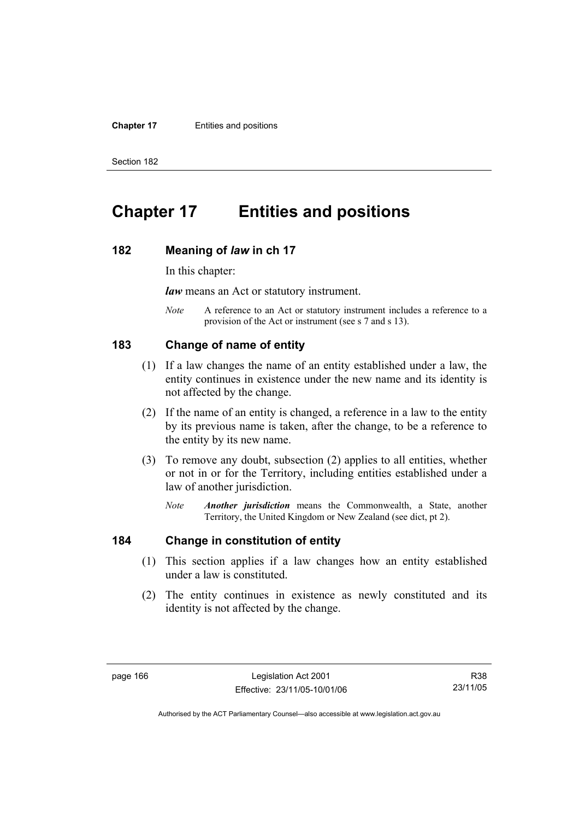#### **Chapter 17** Entities and positions

Section 182

# **Chapter 17 Entities and positions**

#### **182 Meaning of** *law* **in ch 17**

In this chapter:

*law* means an Act or statutory instrument.

*Note* A reference to an Act or statutory instrument includes a reference to a provision of the Act or instrument (see s 7 and s 13).

#### **183 Change of name of entity**

- (1) If a law changes the name of an entity established under a law, the entity continues in existence under the new name and its identity is not affected by the change.
- (2) If the name of an entity is changed, a reference in a law to the entity by its previous name is taken, after the change, to be a reference to the entity by its new name.
- (3) To remove any doubt, subsection (2) applies to all entities, whether or not in or for the Territory, including entities established under a law of another jurisdiction.
	- *Note Another jurisdiction* means the Commonwealth, a State, another Territory, the United Kingdom or New Zealand (see dict, pt 2).

## **184 Change in constitution of entity**

- (1) This section applies if a law changes how an entity established under a law is constituted.
- (2) The entity continues in existence as newly constituted and its identity is not affected by the change.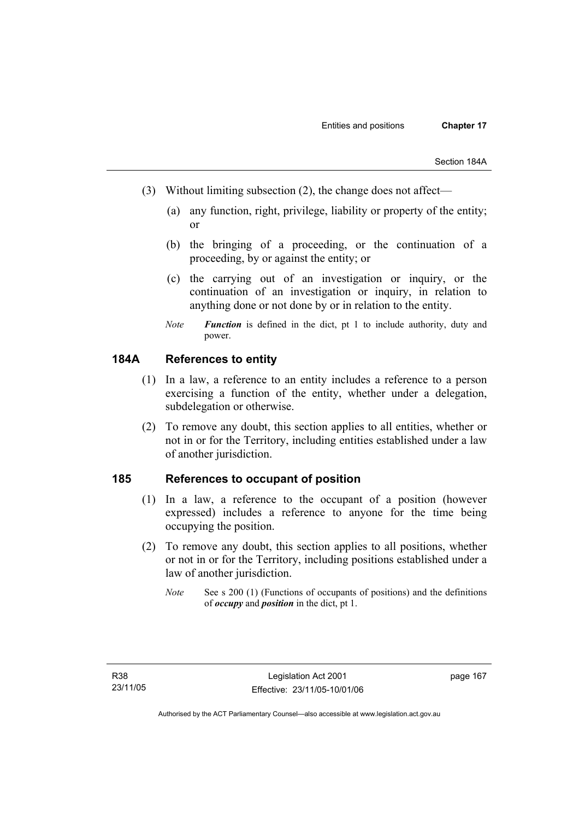- (3) Without limiting subsection (2), the change does not affect—
	- (a) any function, right, privilege, liability or property of the entity; or
	- (b) the bringing of a proceeding, or the continuation of a proceeding, by or against the entity; or
	- (c) the carrying out of an investigation or inquiry, or the continuation of an investigation or inquiry, in relation to anything done or not done by or in relation to the entity.
	- *Note Function* is defined in the dict, pt 1 to include authority, duty and power.

## **184A References to entity**

- (1) In a law, a reference to an entity includes a reference to a person exercising a function of the entity, whether under a delegation, subdelegation or otherwise.
- (2) To remove any doubt, this section applies to all entities, whether or not in or for the Territory, including entities established under a law of another jurisdiction.

#### **185 References to occupant of position**

- (1) In a law, a reference to the occupant of a position (however expressed) includes a reference to anyone for the time being occupying the position.
- (2) To remove any doubt, this section applies to all positions, whether or not in or for the Territory, including positions established under a law of another jurisdiction.
	- *Note* See s 200 (1) (Functions of occupants of positions) and the definitions of *occupy* and *position* in the dict, pt 1.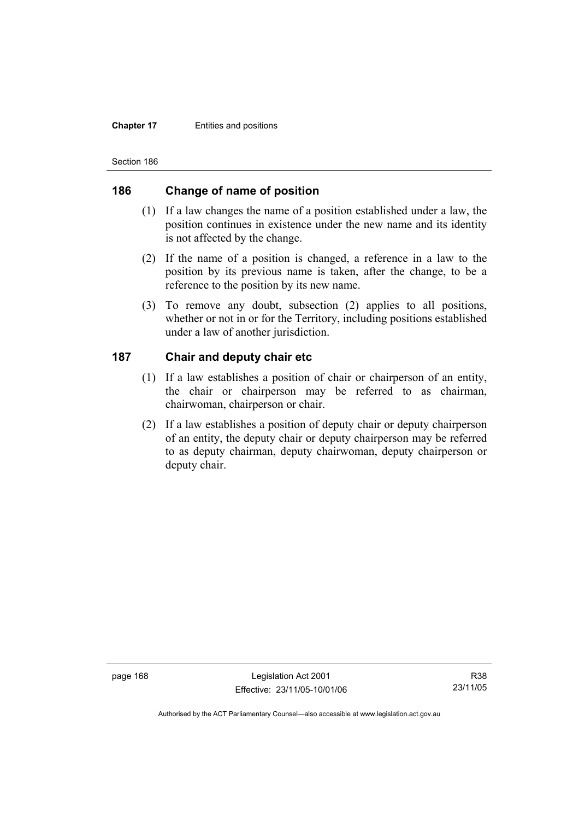#### **Chapter 17** Entities and positions

Section 186

### **186 Change of name of position**

- (1) If a law changes the name of a position established under a law, the position continues in existence under the new name and its identity is not affected by the change.
- (2) If the name of a position is changed, a reference in a law to the position by its previous name is taken, after the change, to be a reference to the position by its new name.
- (3) To remove any doubt, subsection (2) applies to all positions, whether or not in or for the Territory, including positions established under a law of another jurisdiction.

## **187 Chair and deputy chair etc**

- (1) If a law establishes a position of chair or chairperson of an entity, the chair or chairperson may be referred to as chairman, chairwoman, chairperson or chair.
- (2) If a law establishes a position of deputy chair or deputy chairperson of an entity, the deputy chair or deputy chairperson may be referred to as deputy chairman, deputy chairwoman, deputy chairperson or deputy chair.

page 168 Legislation Act 2001 Effective: 23/11/05-10/01/06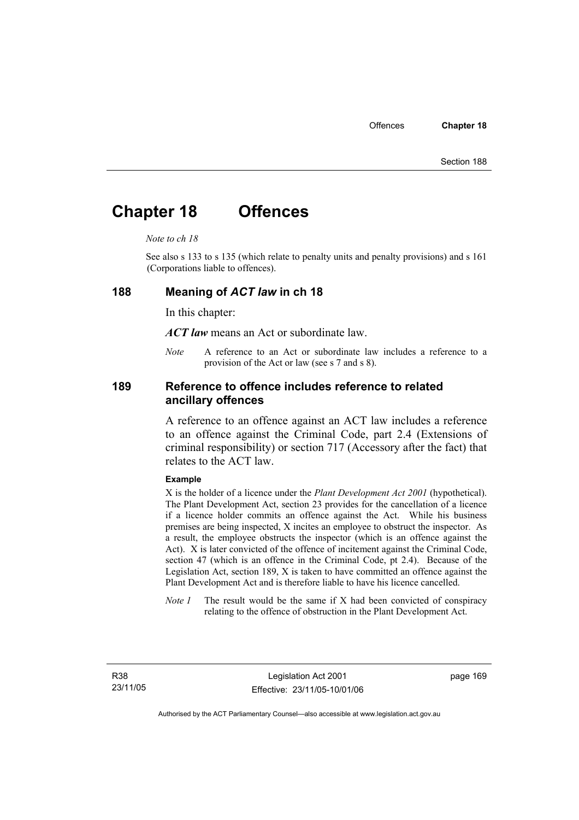# **Chapter 18 Offences**

#### *Note to ch 18*

See also s 133 to s 135 (which relate to penalty units and penalty provisions) and s 161 (Corporations liable to offences).

#### **188 Meaning of** *ACT law* **in ch 18**

In this chapter:

*ACT law* means an Act or subordinate law.

*Note* A reference to an Act or subordinate law includes a reference to a provision of the Act or law (see s 7 and s 8).

### **189 Reference to offence includes reference to related ancillary offences**

A reference to an offence against an ACT law includes a reference to an offence against the Criminal Code, part 2.4 (Extensions of criminal responsibility) or section 717 (Accessory after the fact) that relates to the ACT law.

#### **Example**

X is the holder of a licence under the *Plant Development Act 2001* (hypothetical). The Plant Development Act, section 23 provides for the cancellation of a licence if a licence holder commits an offence against the Act. While his business premises are being inspected, X incites an employee to obstruct the inspector. As a result, the employee obstructs the inspector (which is an offence against the Act). X is later convicted of the offence of incitement against the Criminal Code, section 47 (which is an offence in the Criminal Code, pt 2.4). Because of the Legislation Act, section 189, X is taken to have committed an offence against the Plant Development Act and is therefore liable to have his licence cancelled.

*Note 1* The result would be the same if X had been convicted of conspiracy relating to the offence of obstruction in the Plant Development Act.

R38 23/11/05 page 169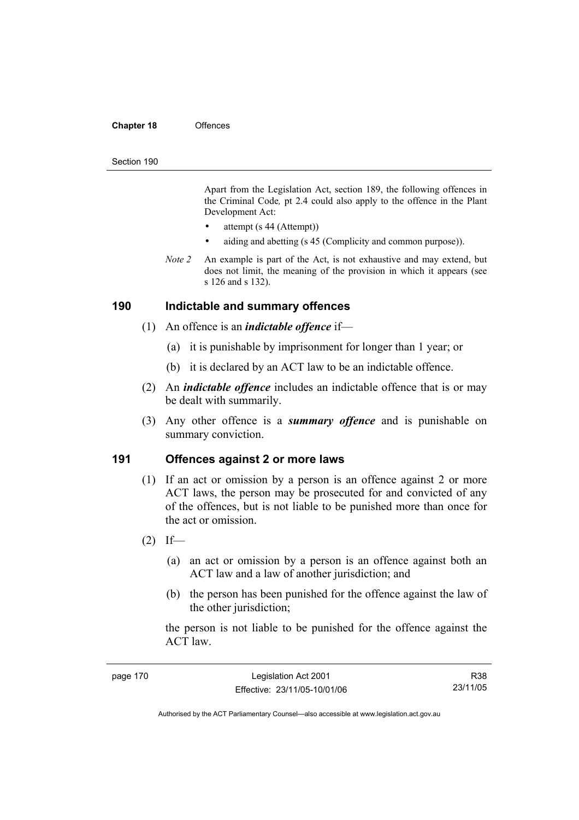#### **Chapter 18** Offences

#### Section 190

Apart from the Legislation Act, section 189, the following offences in the Criminal Code*,* pt 2.4 could also apply to the offence in the Plant Development Act:

- attempt (s 44 (Attempt))
- aiding and abetting (s 45 (Complicity and common purpose)).
- *Note 2* An example is part of the Act, is not exhaustive and may extend, but does not limit, the meaning of the provision in which it appears (see s 126 and s 132).

#### **190 Indictable and summary offences**

- (1) An offence is an *indictable offence* if—
	- (a) it is punishable by imprisonment for longer than 1 year; or
	- (b) it is declared by an ACT law to be an indictable offence.
- (2) An *indictable offence* includes an indictable offence that is or may be dealt with summarily.
- (3) Any other offence is a *summary offence* and is punishable on summary conviction.

#### **191 Offences against 2 or more laws**

- (1) If an act or omission by a person is an offence against 2 or more ACT laws, the person may be prosecuted for and convicted of any of the offences, but is not liable to be punished more than once for the act or omission.
- $(2)$  If—
	- (a) an act or omission by a person is an offence against both an ACT law and a law of another jurisdiction; and
	- (b) the person has been punished for the offence against the law of the other jurisdiction;

the person is not liable to be punished for the offence against the ACT law.

| page 170 | Legislation Act 2001         | R38      |
|----------|------------------------------|----------|
|          | Effective: 23/11/05-10/01/06 | 23/11/05 |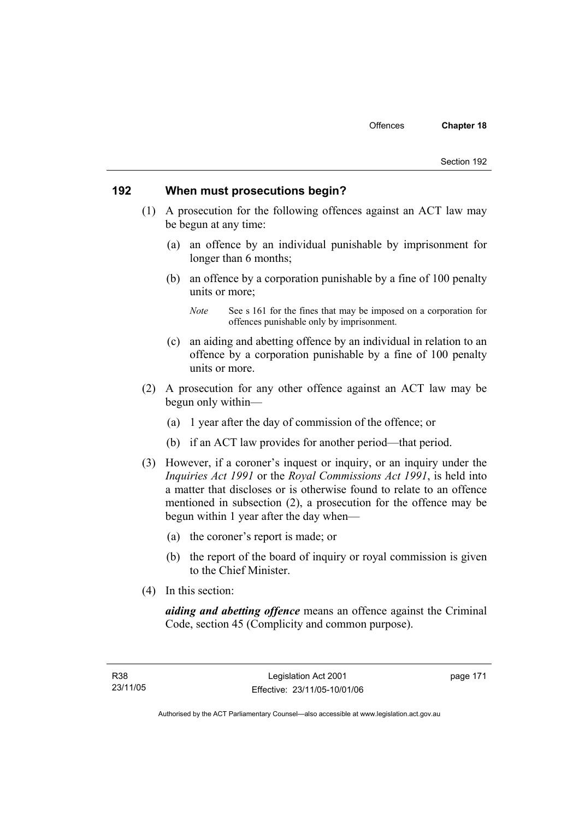#### **192 When must prosecutions begin?**

- (1) A prosecution for the following offences against an ACT law may be begun at any time:
	- (a) an offence by an individual punishable by imprisonment for longer than 6 months;
	- (b) an offence by a corporation punishable by a fine of 100 penalty units or more;

- (c) an aiding and abetting offence by an individual in relation to an offence by a corporation punishable by a fine of 100 penalty units or more.
- (2) A prosecution for any other offence against an ACT law may be begun only within—
	- (a) 1 year after the day of commission of the offence; or
	- (b) if an ACT law provides for another period—that period.
- (3) However, if a coroner's inquest or inquiry, or an inquiry under the *Inquiries Act 1991* or the *Royal Commissions Act 1991*, is held into a matter that discloses or is otherwise found to relate to an offence mentioned in subsection (2), a prosecution for the offence may be begun within 1 year after the day when—
	- (a) the coroner's report is made; or
	- (b) the report of the board of inquiry or royal commission is given to the Chief Minister.
- (4) In this section:

*aiding and abetting offence* means an offence against the Criminal Code, section 45 (Complicity and common purpose).

*Note* See s 161 for the fines that may be imposed on a corporation for offences punishable only by imprisonment.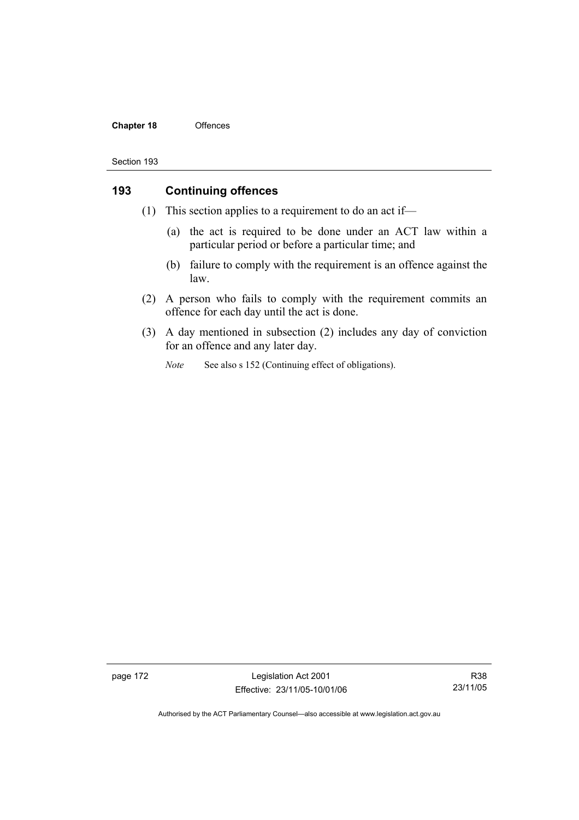#### **Chapter 18** Offences

#### Section 193

## **193 Continuing offences**

- (1) This section applies to a requirement to do an act if—
	- (a) the act is required to be done under an ACT law within a particular period or before a particular time; and
	- (b) failure to comply with the requirement is an offence against the law.
- (2) A person who fails to comply with the requirement commits an offence for each day until the act is done.
- (3) A day mentioned in subsection (2) includes any day of conviction for an offence and any later day.
	- *Note* See also s 152 (Continuing effect of obligations).

page 172 Legislation Act 2001 Effective: 23/11/05-10/01/06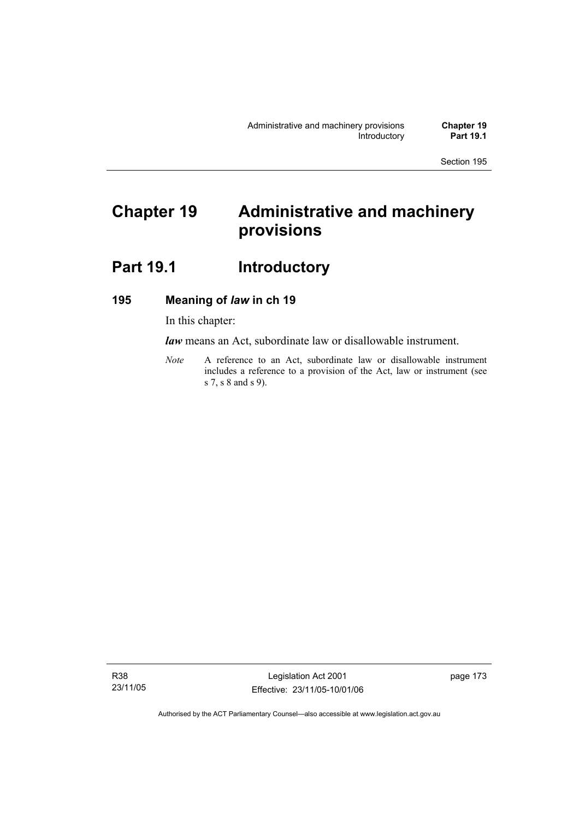# **Chapter 19 Administrative and machinery provisions**

# Part 19.1 **Introductory**

## **195 Meaning of** *law* **in ch 19**

In this chapter:

*law* means an Act, subordinate law or disallowable instrument.

*Note* A reference to an Act, subordinate law or disallowable instrument includes a reference to a provision of the Act, law or instrument (see s 7, s 8 and s 9).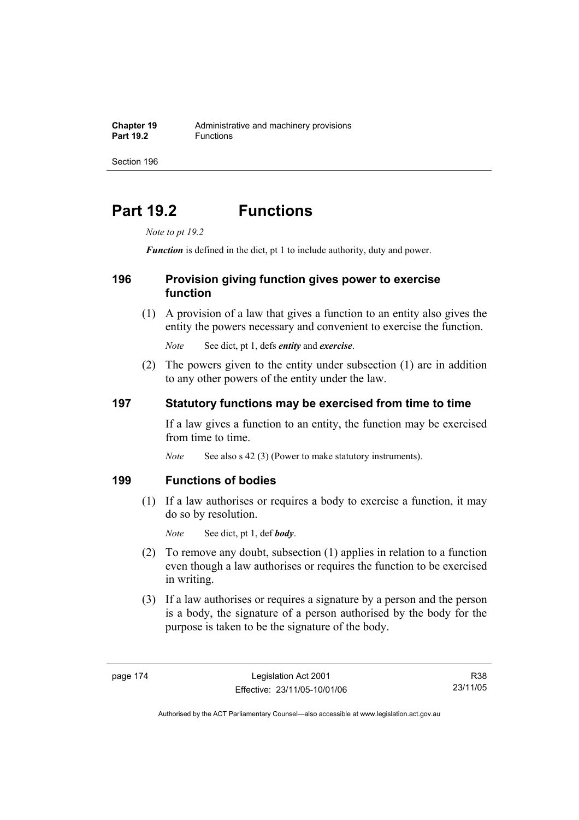# **Part 19.2 Functions**

*Note to pt 19.2* 

*Function* is defined in the dict, pt 1 to include authority, duty and power.

## **196 Provision giving function gives power to exercise function**

 (1) A provision of a law that gives a function to an entity also gives the entity the powers necessary and convenient to exercise the function.

*Note* See dict, pt 1, defs *entity* and *exercise*.

 (2) The powers given to the entity under subsection (1) are in addition to any other powers of the entity under the law.

## **197 Statutory functions may be exercised from time to time**

If a law gives a function to an entity, the function may be exercised from time to time.

*Note* See also s 42 (3) (Power to make statutory instruments).

#### **199 Functions of bodies**

 (1) If a law authorises or requires a body to exercise a function, it may do so by resolution.

*Note* See dict, pt 1, def *body*.

- (2) To remove any doubt, subsection (1) applies in relation to a function even though a law authorises or requires the function to be exercised in writing.
- (3) If a law authorises or requires a signature by a person and the person is a body, the signature of a person authorised by the body for the purpose is taken to be the signature of the body.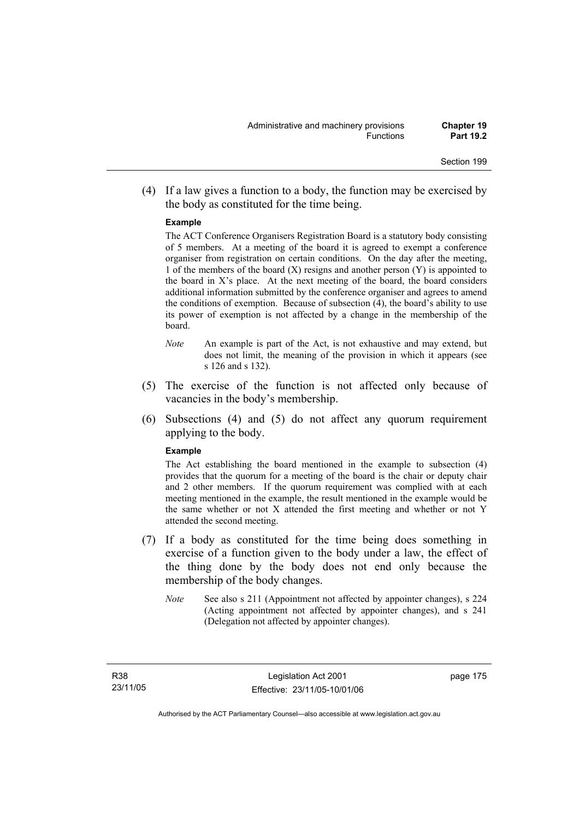(4) If a law gives a function to a body, the function may be exercised by the body as constituted for the time being.

#### **Example**

The ACT Conference Organisers Registration Board is a statutory body consisting of 5 members. At a meeting of the board it is agreed to exempt a conference organiser from registration on certain conditions. On the day after the meeting, 1 of the members of the board  $(X)$  resigns and another person  $(Y)$  is appointed to the board in  $X$ 's place. At the next meeting of the board, the board considers additional information submitted by the conference organiser and agrees to amend the conditions of exemption. Because of subsection (4), the board's ability to use its power of exemption is not affected by a change in the membership of the board.

- *Note* An example is part of the Act, is not exhaustive and may extend, but does not limit, the meaning of the provision in which it appears (see s 126 and s 132).
- (5) The exercise of the function is not affected only because of vacancies in the body's membership.
- (6) Subsections (4) and (5) do not affect any quorum requirement applying to the body.

#### **Example**

The Act establishing the board mentioned in the example to subsection (4) provides that the quorum for a meeting of the board is the chair or deputy chair and 2 other members. If the quorum requirement was complied with at each meeting mentioned in the example, the result mentioned in the example would be the same whether or not X attended the first meeting and whether or not Y attended the second meeting.

- (7) If a body as constituted for the time being does something in exercise of a function given to the body under a law, the effect of the thing done by the body does not end only because the membership of the body changes.
	- *Note* See also s 211 (Appointment not affected by appointer changes), s 224 (Acting appointment not affected by appointer changes), and s 241 (Delegation not affected by appointer changes).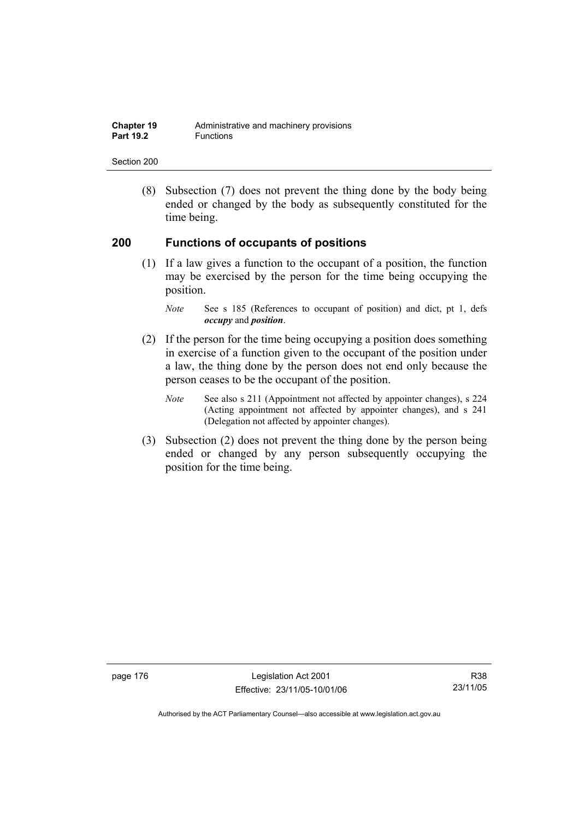| <b>Chapter 19</b> | Administrative and machinery provisions |
|-------------------|-----------------------------------------|
| <b>Part 19.2</b>  | <b>Functions</b>                        |

 (8) Subsection (7) does not prevent the thing done by the body being ended or changed by the body as subsequently constituted for the time being.

#### **200 Functions of occupants of positions**

 (1) If a law gives a function to the occupant of a position, the function may be exercised by the person for the time being occupying the position.

- (2) If the person for the time being occupying a position does something in exercise of a function given to the occupant of the position under a law, the thing done by the person does not end only because the person ceases to be the occupant of the position.
	- *Note* See also s 211 (Appointment not affected by appointer changes), s 224 (Acting appointment not affected by appointer changes), and s 241 (Delegation not affected by appointer changes).
- (3) Subsection (2) does not prevent the thing done by the person being ended or changed by any person subsequently occupying the position for the time being.

page 176 Legislation Act 2001 Effective: 23/11/05-10/01/06

*Note* See s 185 (References to occupant of position) and dict, pt 1, defs *occupy* and *position*.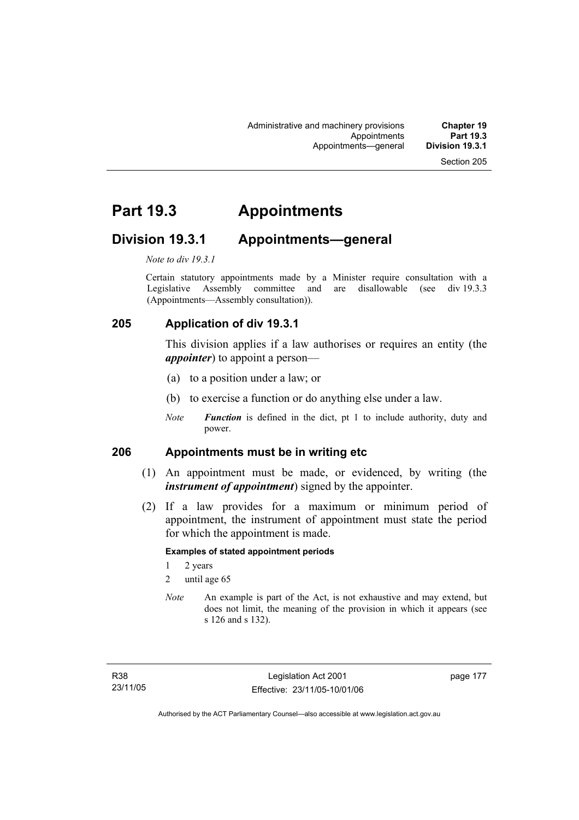# **Part 19.3 Appointments**

## **Division 19.3.1 Appointments—general**

*Note to div 19.3.1* 

Certain statutory appointments made by a Minister require consultation with a Legislative Assembly committee and are disallowable (see div 19.3.3) (Appointments—Assembly consultation)).

## **205 Application of div 19.3.1**

This division applies if a law authorises or requires an entity (the *appointer*) to appoint a person—

- (a) to a position under a law; or
- (b) to exercise a function or do anything else under a law.
- *Note Function* is defined in the dict, pt 1 to include authority, duty and power.

#### **206 Appointments must be in writing etc**

- (1) An appointment must be made, or evidenced, by writing (the *instrument of appointment*) signed by the appointer.
- (2) If a law provides for a maximum or minimum period of appointment, the instrument of appointment must state the period for which the appointment is made.

#### **Examples of stated appointment periods**

- 1 2 years
- 2 until age 65
- *Note* An example is part of the Act, is not exhaustive and may extend, but does not limit, the meaning of the provision in which it appears (see s 126 and s 132).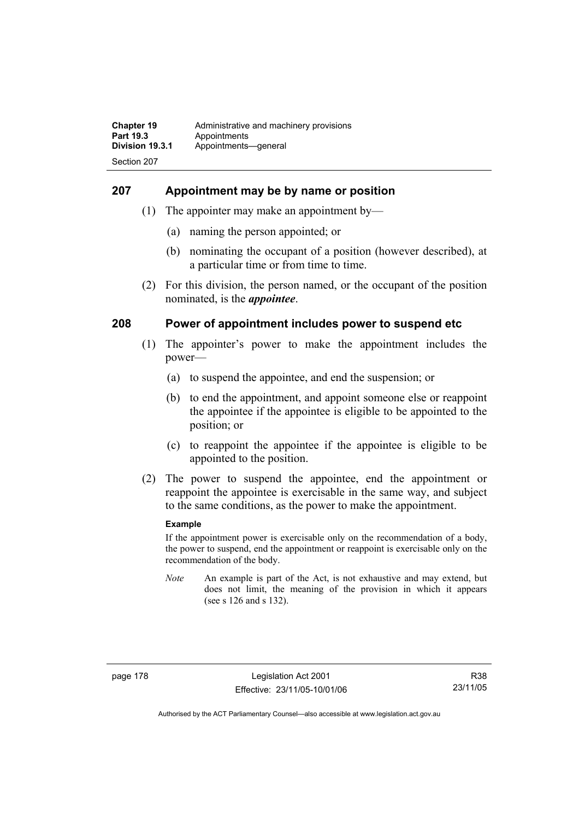#### **207 Appointment may be by name or position**

- (1) The appointer may make an appointment by—
	- (a) naming the person appointed; or
	- (b) nominating the occupant of a position (however described), at a particular time or from time to time.
- (2) For this division, the person named, or the occupant of the position nominated, is the *appointee*.

#### **208 Power of appointment includes power to suspend etc**

- (1) The appointer's power to make the appointment includes the power—
	- (a) to suspend the appointee, and end the suspension; or
	- (b) to end the appointment, and appoint someone else or reappoint the appointee if the appointee is eligible to be appointed to the position; or
	- (c) to reappoint the appointee if the appointee is eligible to be appointed to the position.
- (2) The power to suspend the appointee, end the appointment or reappoint the appointee is exercisable in the same way, and subject to the same conditions, as the power to make the appointment.

#### **Example**

If the appointment power is exercisable only on the recommendation of a body, the power to suspend, end the appointment or reappoint is exercisable only on the recommendation of the body.

*Note* An example is part of the Act, is not exhaustive and may extend, but does not limit, the meaning of the provision in which it appears (see s 126 and s 132).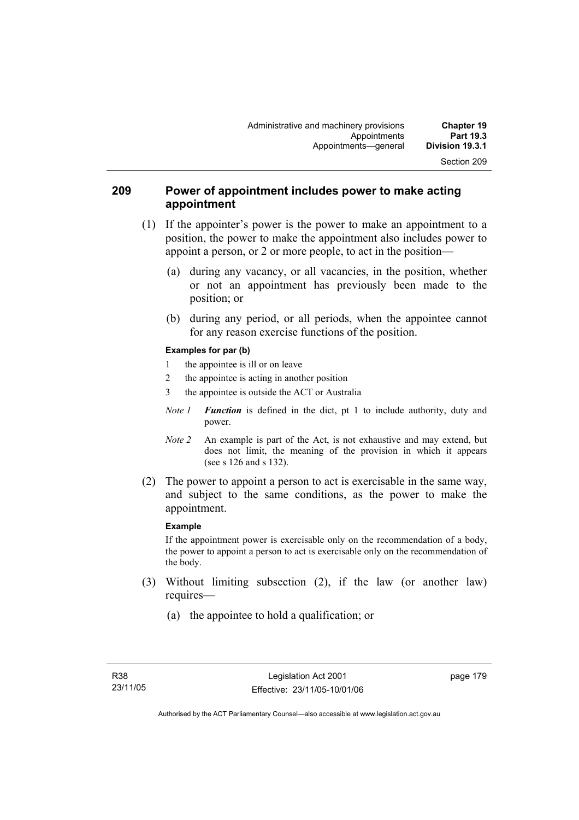### **209 Power of appointment includes power to make acting appointment**

- (1) If the appointer's power is the power to make an appointment to a position, the power to make the appointment also includes power to appoint a person, or 2 or more people, to act in the position—
	- (a) during any vacancy, or all vacancies, in the position, whether or not an appointment has previously been made to the position; or
	- (b) during any period, or all periods, when the appointee cannot for any reason exercise functions of the position.

#### **Examples for par (b)**

- 1 the appointee is ill or on leave
- 2 the appointee is acting in another position
- 3 the appointee is outside the ACT or Australia
- *Note 1 Function* is defined in the dict, pt 1 to include authority, duty and power.
- *Note 2* An example is part of the Act, is not exhaustive and may extend, but does not limit, the meaning of the provision in which it appears (see s 126 and s 132).
- (2) The power to appoint a person to act is exercisable in the same way, and subject to the same conditions, as the power to make the appointment.

#### **Example**

If the appointment power is exercisable only on the recommendation of a body, the power to appoint a person to act is exercisable only on the recommendation of the body.

- (3) Without limiting subsection (2), if the law (or another law) requires—
	- (a) the appointee to hold a qualification; or

Section 209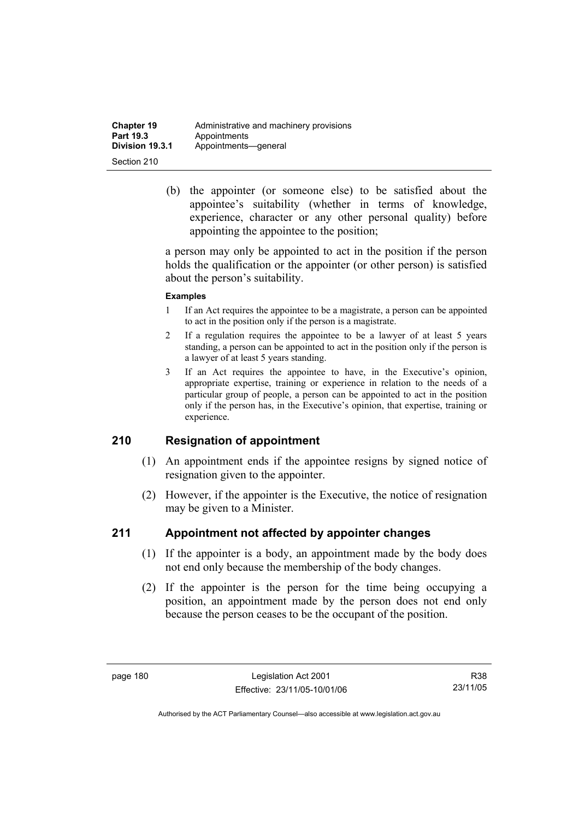| <b>Chapter 19</b> | Administrative and machinery provisions |
|-------------------|-----------------------------------------|
| Part 19.3         | Appointments                            |
| Division 19.3.1   | Appointments-qeneral                    |
| Section 210       |                                         |

 (b) the appointer (or someone else) to be satisfied about the appointee's suitability (whether in terms of knowledge, experience, character or any other personal quality) before appointing the appointee to the position;

a person may only be appointed to act in the position if the person holds the qualification or the appointer (or other person) is satisfied about the person's suitability.

#### **Examples**

- 1 If an Act requires the appointee to be a magistrate, a person can be appointed to act in the position only if the person is a magistrate.
- 2 If a regulation requires the appointee to be a lawyer of at least 5 years standing, a person can be appointed to act in the position only if the person is a lawyer of at least 5 years standing.
- 3 If an Act requires the appointee to have, in the Executive's opinion, appropriate expertise, training or experience in relation to the needs of a particular group of people, a person can be appointed to act in the position only if the person has, in the Executive's opinion, that expertise, training or experience.

#### **210 Resignation of appointment**

- (1) An appointment ends if the appointee resigns by signed notice of resignation given to the appointer.
- (2) However, if the appointer is the Executive, the notice of resignation may be given to a Minister.

#### **211 Appointment not affected by appointer changes**

- (1) If the appointer is a body, an appointment made by the body does not end only because the membership of the body changes.
- (2) If the appointer is the person for the time being occupying a position, an appointment made by the person does not end only because the person ceases to be the occupant of the position.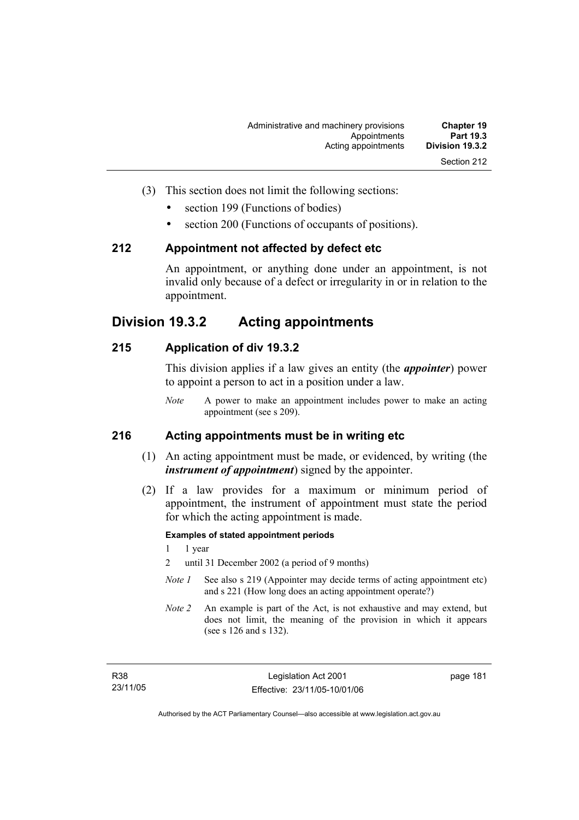- (3) This section does not limit the following sections:
	- section 199 (Functions of bodies)
	- section 200 (Functions of occupants of positions).

#### **212 Appointment not affected by defect etc**

An appointment, or anything done under an appointment, is not invalid only because of a defect or irregularity in or in relation to the appointment.

## **Division 19.3.2 Acting appointments**

### **215 Application of div 19.3.2**

This division applies if a law gives an entity (the *appointer*) power to appoint a person to act in a position under a law.

*Note* A power to make an appointment includes power to make an acting appointment (see s 209).

## **216 Acting appointments must be in writing etc**

- (1) An acting appointment must be made, or evidenced, by writing (the *instrument of appointment*) signed by the appointer.
- (2) If a law provides for a maximum or minimum period of appointment, the instrument of appointment must state the period for which the acting appointment is made.

#### **Examples of stated appointment periods**

- 1 1 year
- 2 until 31 December 2002 (a period of 9 months)
- *Note 1* See also s 219 (Appointer may decide terms of acting appointment etc) and s 221 (How long does an acting appointment operate?)
- *Note 2* An example is part of the Act, is not exhaustive and may extend, but does not limit, the meaning of the provision in which it appears (see s 126 and s 132).

page 181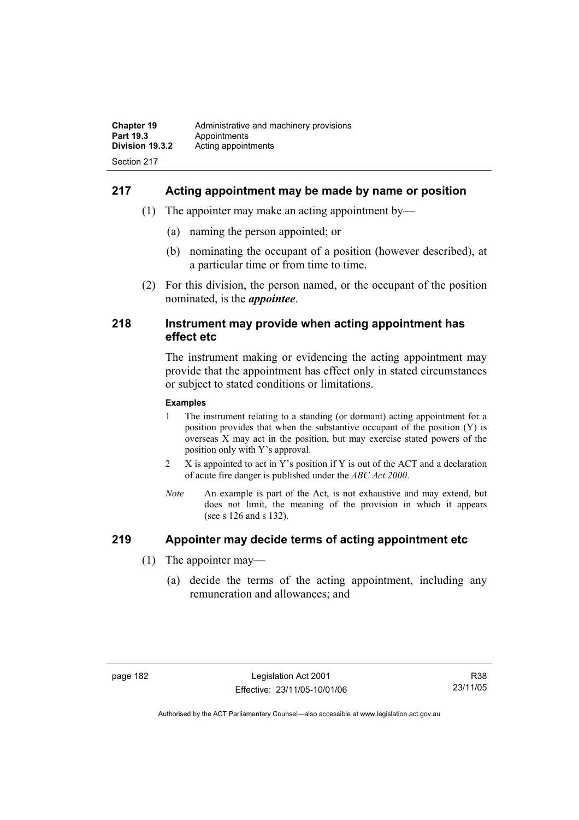## **217 Acting appointment may be made by name or position**

- (1) The appointer may make an acting appointment by—
	- (a) naming the person appointed; or
	- (b) nominating the occupant of a position (however described), at a particular time or from time to time.
- (2) For this division, the person named, or the occupant of the position nominated, is the *appointee*.

#### **218 Instrument may provide when acting appointment has effect etc**

The instrument making or evidencing the acting appointment may provide that the appointment has effect only in stated circumstances or subject to stated conditions or limitations.

#### **Examples**

- 1 The instrument relating to a standing (or dormant) acting appointment for a position provides that when the substantive occupant of the position (Y) is overseas X may act in the position, but may exercise stated powers of the position only with Y's approval.
- 2 X is appointed to act in Y's position if Y is out of the ACT and a declaration of acute fire danger is published under the *ABC Act 2000*.
- *Note* An example is part of the Act, is not exhaustive and may extend, but does not limit, the meaning of the provision in which it appears (see s 126 and s 132).

## **219 Appointer may decide terms of acting appointment etc**

- (1) The appointer may—
	- (a) decide the terms of the acting appointment, including any remuneration and allowances; and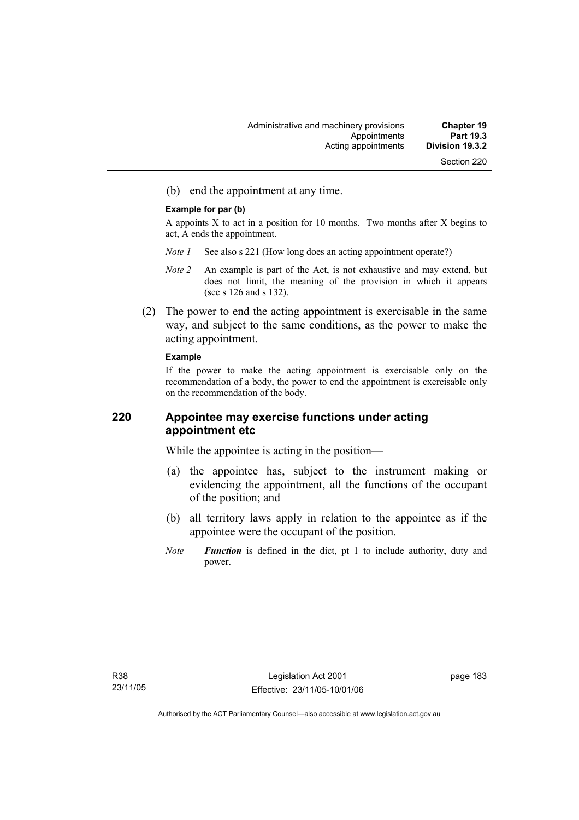(b) end the appointment at any time.

#### **Example for par (b)**

A appoints X to act in a position for 10 months. Two months after X begins to act, A ends the appointment.

- *Note 1* See also s 221 (How long does an acting appointment operate?)
- *Note 2* An example is part of the Act, is not exhaustive and may extend, but does not limit, the meaning of the provision in which it appears (see s 126 and s 132).
- (2) The power to end the acting appointment is exercisable in the same way, and subject to the same conditions, as the power to make the acting appointment.

#### **Example**

If the power to make the acting appointment is exercisable only on the recommendation of a body, the power to end the appointment is exercisable only on the recommendation of the body.

### **220 Appointee may exercise functions under acting appointment etc**

While the appointee is acting in the position—

- (a) the appointee has, subject to the instrument making or evidencing the appointment, all the functions of the occupant of the position; and
- (b) all territory laws apply in relation to the appointee as if the appointee were the occupant of the position.
- *Note Function* is defined in the dict, pt 1 to include authority, duty and power.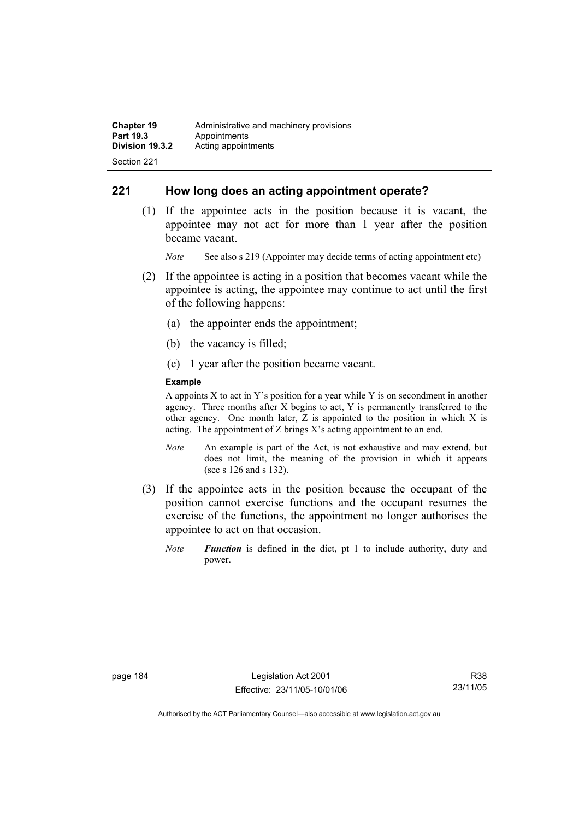## **221 How long does an acting appointment operate?**

 (1) If the appointee acts in the position because it is vacant, the appointee may not act for more than 1 year after the position became vacant.

*Note* See also s 219 (Appointer may decide terms of acting appointment etc)

- (2) If the appointee is acting in a position that becomes vacant while the appointee is acting, the appointee may continue to act until the first of the following happens:
	- (a) the appointer ends the appointment;
	- (b) the vacancy is filled;
	- (c) 1 year after the position became vacant.

#### **Example**

A appoints  $X$  to act in Y's position for a year while Y is on secondment in another agency. Three months after X begins to act, Y is permanently transferred to the other agency. One month later, Z is appointed to the position in which X is acting. The appointment of Z brings X's acting appointment to an end.

- *Note* An example is part of the Act, is not exhaustive and may extend, but does not limit, the meaning of the provision in which it appears (see s 126 and s 132).
- (3) If the appointee acts in the position because the occupant of the position cannot exercise functions and the occupant resumes the exercise of the functions, the appointment no longer authorises the appointee to act on that occasion.
	- *Note Function* is defined in the dict, pt 1 to include authority, duty and power.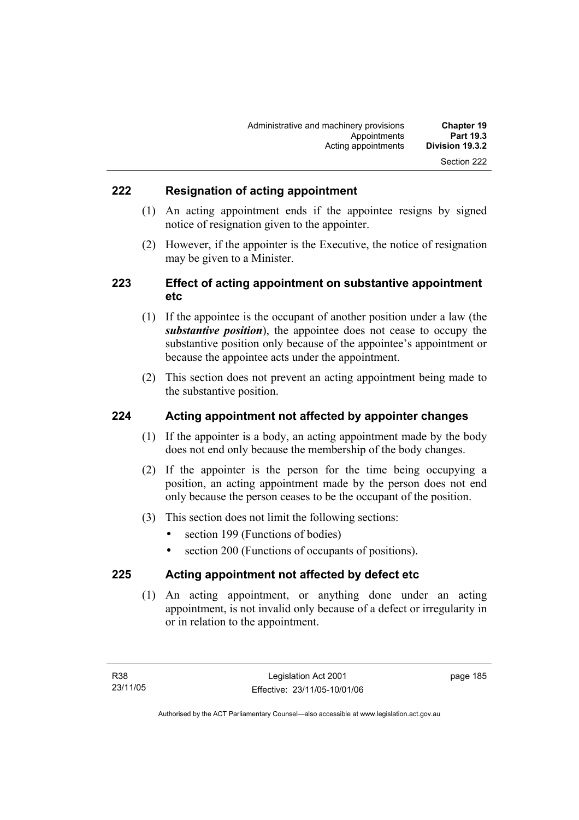## **222 Resignation of acting appointment**

- (1) An acting appointment ends if the appointee resigns by signed notice of resignation given to the appointer.
- (2) However, if the appointer is the Executive, the notice of resignation may be given to a Minister.

## **223 Effect of acting appointment on substantive appointment etc**

- (1) If the appointee is the occupant of another position under a law (the *substantive position*), the appointee does not cease to occupy the substantive position only because of the appointee's appointment or because the appointee acts under the appointment.
- (2) This section does not prevent an acting appointment being made to the substantive position.

### **224 Acting appointment not affected by appointer changes**

- (1) If the appointer is a body, an acting appointment made by the body does not end only because the membership of the body changes.
- (2) If the appointer is the person for the time being occupying a position, an acting appointment made by the person does not end only because the person ceases to be the occupant of the position.
- (3) This section does not limit the following sections:
	- section 199 (Functions of bodies)
	- section 200 (Functions of occupants of positions).

#### **225 Acting appointment not affected by defect etc**

 (1) An acting appointment, or anything done under an acting appointment, is not invalid only because of a defect or irregularity in or in relation to the appointment.

page 185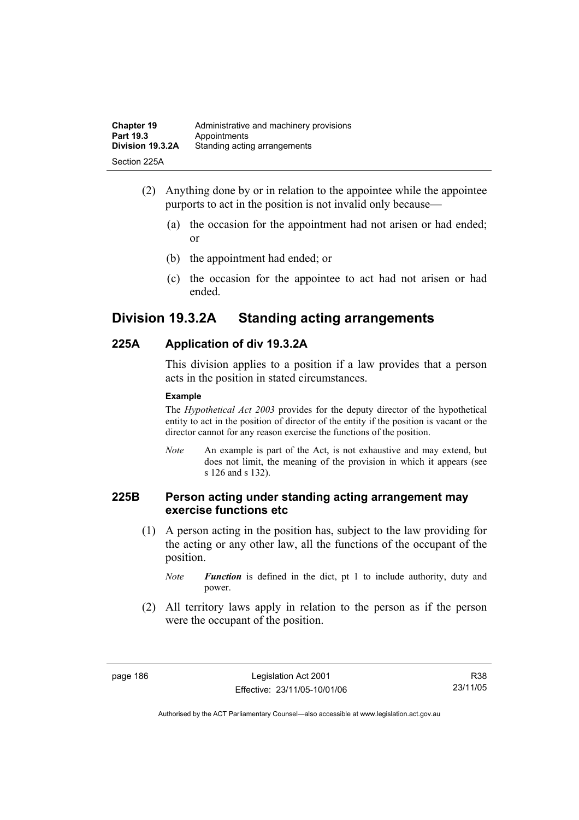| <b>Chapter 19</b> | Administrative and machinery provisions |
|-------------------|-----------------------------------------|
| Part 19.3         | Appointments                            |
| Division 19.3.2A  | Standing acting arrangements            |
| Section 225A      |                                         |

- (2) Anything done by or in relation to the appointee while the appointee purports to act in the position is not invalid only because—
	- (a) the occasion for the appointment had not arisen or had ended; or
	- (b) the appointment had ended; or
	- (c) the occasion for the appointee to act had not arisen or had ended.

## **Division 19.3.2A Standing acting arrangements**

## **225A Application of div 19.3.2A**

This division applies to a position if a law provides that a person acts in the position in stated circumstances.

#### **Example**

The *Hypothetical Act 2003* provides for the deputy director of the hypothetical entity to act in the position of director of the entity if the position is vacant or the director cannot for any reason exercise the functions of the position.

*Note* An example is part of the Act, is not exhaustive and may extend, but does not limit, the meaning of the provision in which it appears (see s 126 and s 132).

### **225B Person acting under standing acting arrangement may exercise functions etc**

 (1) A person acting in the position has, subject to the law providing for the acting or any other law, all the functions of the occupant of the position.

*Note Function* is defined in the dict, pt 1 to include authority, duty and power.

 (2) All territory laws apply in relation to the person as if the person were the occupant of the position.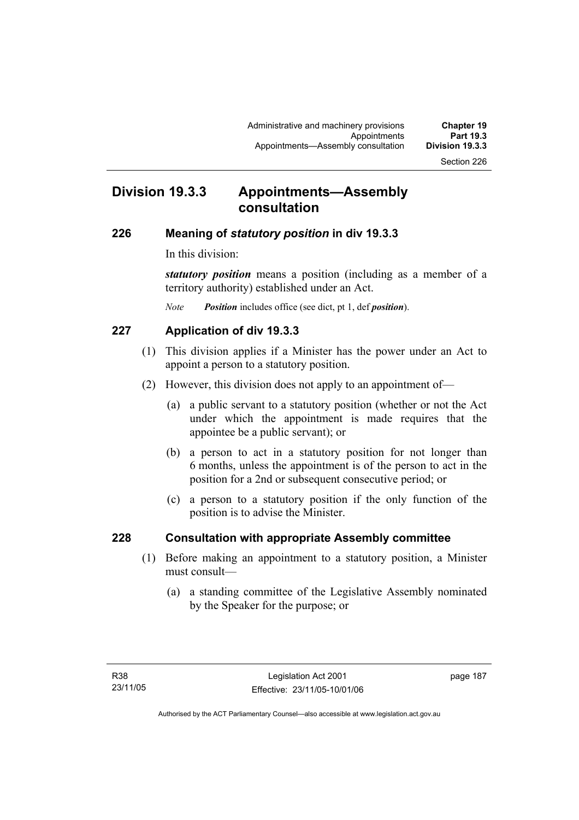## **Division 19.3.3 Appointments—Assembly consultation**

#### **226 Meaning of** *statutory position* **in div 19.3.3**

In this division:

*statutory position* means a position (including as a member of a territory authority) established under an Act.

*Note Position* includes office (see dict, pt 1, def *position*).

### **227 Application of div 19.3.3**

- (1) This division applies if a Minister has the power under an Act to appoint a person to a statutory position.
- (2) However, this division does not apply to an appointment of—
	- (a) a public servant to a statutory position (whether or not the Act under which the appointment is made requires that the appointee be a public servant); or
	- (b) a person to act in a statutory position for not longer than 6 months, unless the appointment is of the person to act in the position for a 2nd or subsequent consecutive period; or
	- (c) a person to a statutory position if the only function of the position is to advise the Minister.

### **228 Consultation with appropriate Assembly committee**

- (1) Before making an appointment to a statutory position, a Minister must consult—
	- (a) a standing committee of the Legislative Assembly nominated by the Speaker for the purpose; or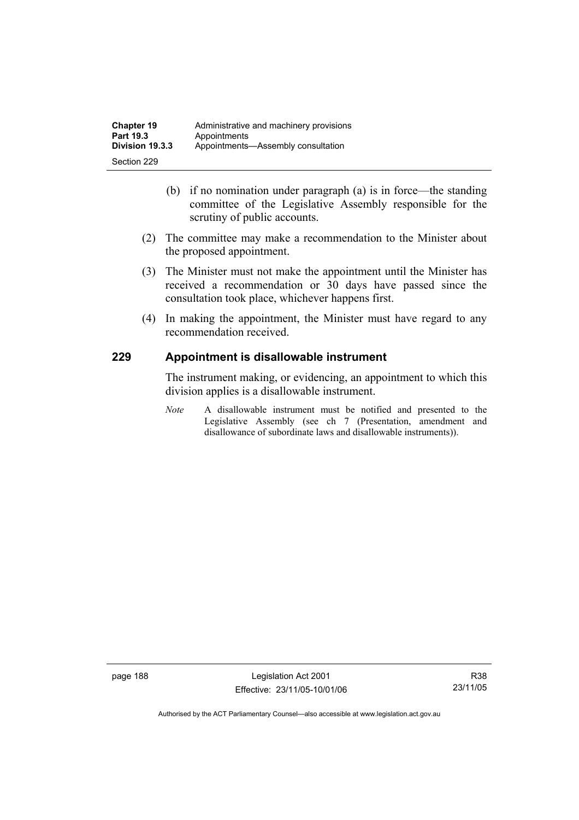- (b) if no nomination under paragraph (a) is in force—the standing committee of the Legislative Assembly responsible for the scrutiny of public accounts.
- (2) The committee may make a recommendation to the Minister about the proposed appointment.
- (3) The Minister must not make the appointment until the Minister has received a recommendation or 30 days have passed since the consultation took place, whichever happens first.
- (4) In making the appointment, the Minister must have regard to any recommendation received.

## **229 Appointment is disallowable instrument**

The instrument making, or evidencing, an appointment to which this division applies is a disallowable instrument.

*Note* A disallowable instrument must be notified and presented to the Legislative Assembly (see ch 7 (Presentation, amendment and disallowance of subordinate laws and disallowable instruments)).

page 188 Legislation Act 2001 Effective: 23/11/05-10/01/06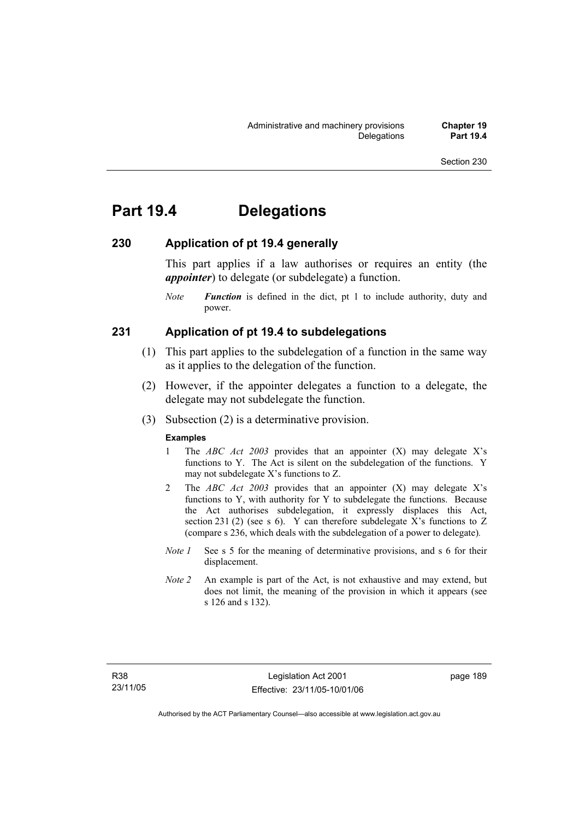# **Part 19.4 Delegations**

## **230 Application of pt 19.4 generally**

This part applies if a law authorises or requires an entity (the *appointer*) to delegate (or subdelegate) a function.

*Note Function* is defined in the dict, pt 1 to include authority, duty and power.

#### **231 Application of pt 19.4 to subdelegations**

- (1) This part applies to the subdelegation of a function in the same way as it applies to the delegation of the function.
- (2) However, if the appointer delegates a function to a delegate, the delegate may not subdelegate the function.
- (3) Subsection (2) is a determinative provision.

#### **Examples**

- 1 The *ABC Act 2003* provides that an appointer (X) may delegate X's functions to Y. The Act is silent on the subdelegation of the functions. Y may not subdelegate X's functions to Z.
- 2 The *ABC Act 2003* provides that an appointer (X) may delegate X's functions to Y, with authority for Y to subdelegate the functions. Because the Act authorises subdelegation, it expressly displaces this Act, section 231 (2) (see s 6). Y can therefore subdelegate X's functions to  $Z$ (compare s 236, which deals with the subdelegation of a power to delegate)*.*
- *Note 1* See s 5 for the meaning of determinative provisions, and s 6 for their displacement.
- *Note 2* An example is part of the Act, is not exhaustive and may extend, but does not limit, the meaning of the provision in which it appears (see s 126 and s 132).

page 189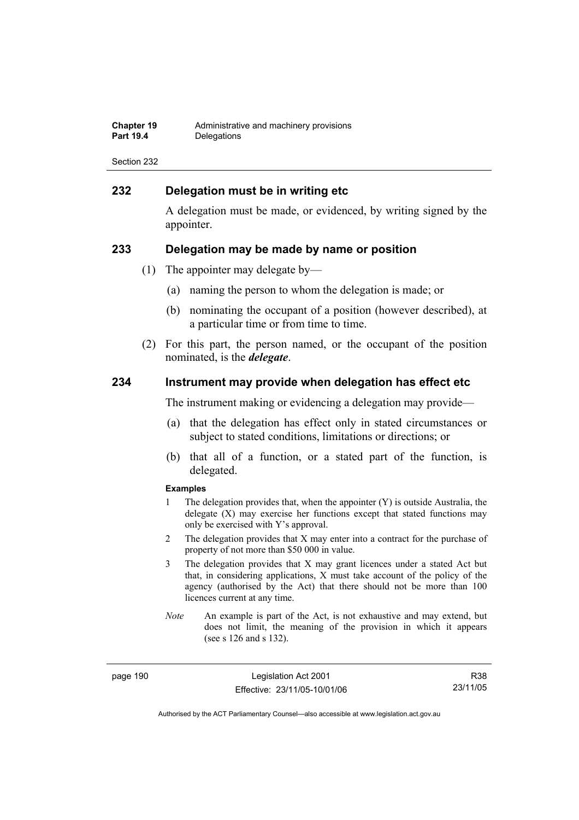| Chapter 19       | Administrative and machinery provisions |
|------------------|-----------------------------------------|
| <b>Part 19.4</b> | Delegations                             |

### **232 Delegation must be in writing etc**

A delegation must be made, or evidenced, by writing signed by the appointer.

#### **233 Delegation may be made by name or position**

- (1) The appointer may delegate by—
	- (a) naming the person to whom the delegation is made; or
	- (b) nominating the occupant of a position (however described), at a particular time or from time to time.
- (2) For this part, the person named, or the occupant of the position nominated, is the *delegate*.

#### **234 Instrument may provide when delegation has effect etc**

The instrument making or evidencing a delegation may provide—

- (a) that the delegation has effect only in stated circumstances or subject to stated conditions, limitations or directions; or
- (b) that all of a function, or a stated part of the function, is delegated.

#### **Examples**

- 1 The delegation provides that, when the appointer (Y) is outside Australia, the delegate (X) may exercise her functions except that stated functions may only be exercised with Y's approval.
- 2 The delegation provides that X may enter into a contract for the purchase of property of not more than \$50 000 in value.
- 3 The delegation provides that X may grant licences under a stated Act but that, in considering applications, X must take account of the policy of the agency (authorised by the Act) that there should not be more than 100 licences current at any time.
- *Note* An example is part of the Act, is not exhaustive and may extend, but does not limit, the meaning of the provision in which it appears (see s 126 and s 132).

page 190 Legislation Act 2001 Effective: 23/11/05-10/01/06

R38 23/11/05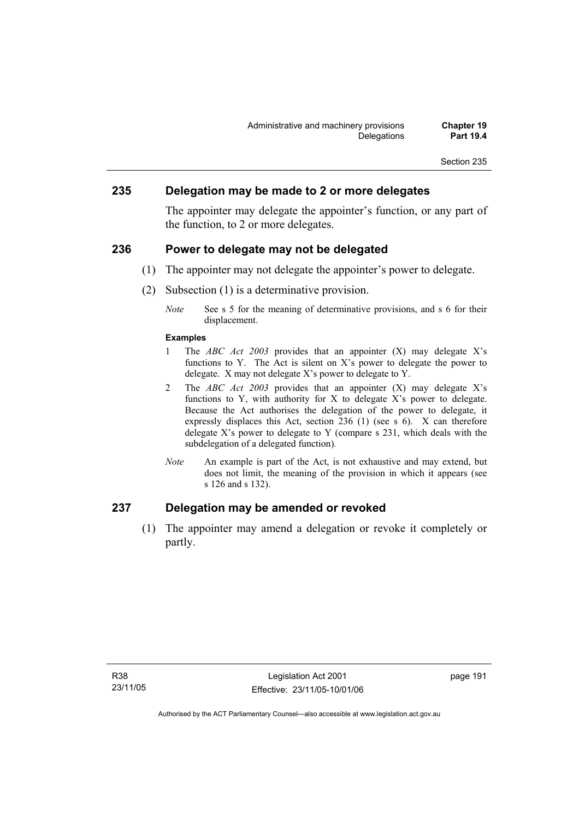#### **235 Delegation may be made to 2 or more delegates**

The appointer may delegate the appointer's function, or any part of the function, to 2 or more delegates.

#### **236 Power to delegate may not be delegated**

- (1) The appointer may not delegate the appointer's power to delegate.
- (2) Subsection (1) is a determinative provision.
	- *Note* See s 5 for the meaning of determinative provisions, and s 6 for their displacement.

#### **Examples**

- 1 The *ABC Act 2003* provides that an appointer (X) may delegate X's functions to Y. The Act is silent on X's power to delegate the power to delegate. X may not delegate X's power to delegate to Y.
- 2 The *ABC Act 2003* provides that an appointer (X) may delegate X's functions to Y, with authority for X to delegate X's power to delegate. Because the Act authorises the delegation of the power to delegate, it expressly displaces this Act, section 236 (1) (see s 6). X can therefore delegate  $X$ 's power to delegate to Y (compare s 231, which deals with the subdelegation of a delegated function)*.*
- *Note* An example is part of the Act, is not exhaustive and may extend, but does not limit, the meaning of the provision in which it appears (see s 126 and s 132).

## **237 Delegation may be amended or revoked**

 (1) The appointer may amend a delegation or revoke it completely or partly.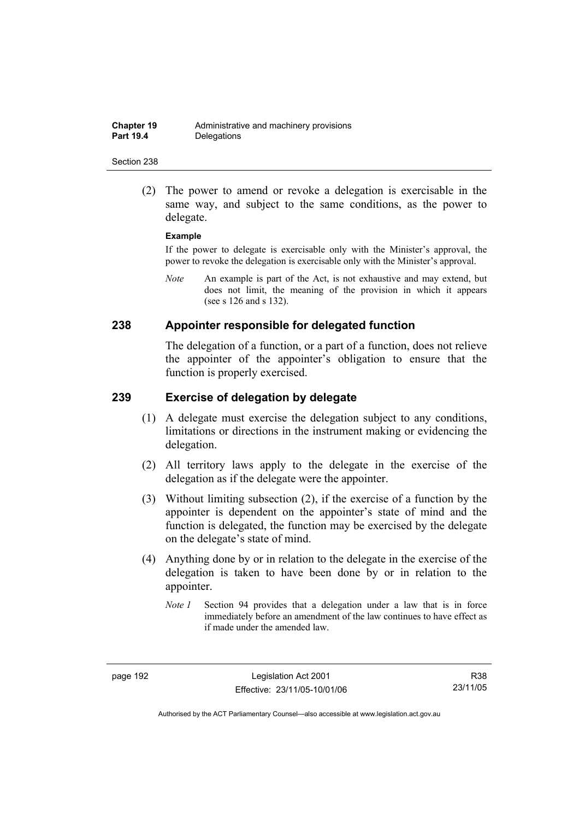(2) The power to amend or revoke a delegation is exercisable in the same way, and subject to the same conditions, as the power to delegate.

#### **Example**

If the power to delegate is exercisable only with the Minister's approval, the power to revoke the delegation is exercisable only with the Minister's approval.

*Note* An example is part of the Act, is not exhaustive and may extend, but does not limit, the meaning of the provision in which it appears (see s 126 and s 132).

## **238 Appointer responsible for delegated function**

The delegation of a function, or a part of a function, does not relieve the appointer of the appointer's obligation to ensure that the function is properly exercised.

#### **239 Exercise of delegation by delegate**

- (1) A delegate must exercise the delegation subject to any conditions, limitations or directions in the instrument making or evidencing the delegation.
- (2) All territory laws apply to the delegate in the exercise of the delegation as if the delegate were the appointer.
- (3) Without limiting subsection (2), if the exercise of a function by the appointer is dependent on the appointer's state of mind and the function is delegated, the function may be exercised by the delegate on the delegate's state of mind.
- (4) Anything done by or in relation to the delegate in the exercise of the delegation is taken to have been done by or in relation to the appointer.
	- *Note 1* Section 94 provides that a delegation under a law that is in force immediately before an amendment of the law continues to have effect as if made under the amended law.

R38 23/11/05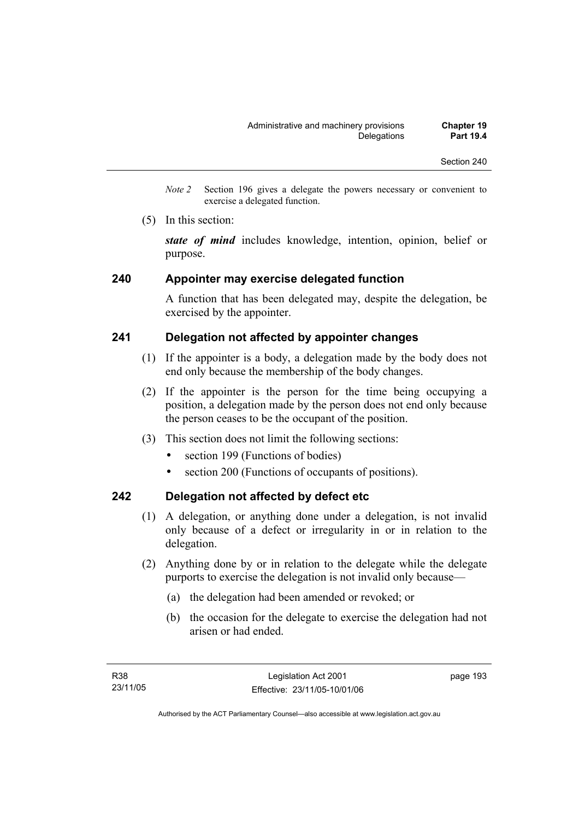- *Note 2* Section 196 gives a delegate the powers necessary or convenient to exercise a delegated function.
- (5) In this section:

*state of mind* includes knowledge, intention, opinion, belief or purpose.

#### **240 Appointer may exercise delegated function**

A function that has been delegated may, despite the delegation, be exercised by the appointer.

## **241 Delegation not affected by appointer changes**

- (1) If the appointer is a body, a delegation made by the body does not end only because the membership of the body changes.
- (2) If the appointer is the person for the time being occupying a position, a delegation made by the person does not end only because the person ceases to be the occupant of the position.
- (3) This section does not limit the following sections:
	- section 199 (Functions of bodies)
	- section 200 (Functions of occupants of positions).

### **242 Delegation not affected by defect etc**

- (1) A delegation, or anything done under a delegation, is not invalid only because of a defect or irregularity in or in relation to the delegation.
- (2) Anything done by or in relation to the delegate while the delegate purports to exercise the delegation is not invalid only because—
	- (a) the delegation had been amended or revoked; or
	- (b) the occasion for the delegate to exercise the delegation had not arisen or had ended.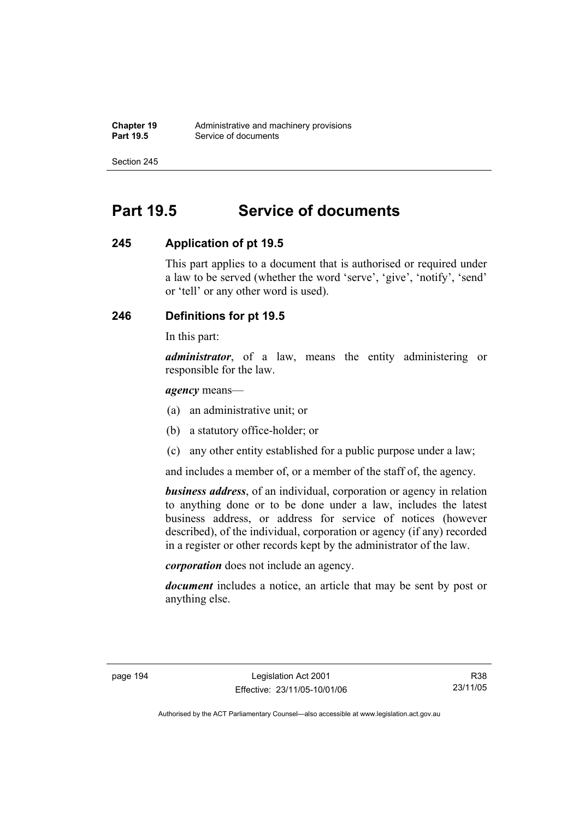# **Part 19.5 Service of documents**

## **245 Application of pt 19.5**

This part applies to a document that is authorised or required under a law to be served (whether the word 'serve', 'give', 'notify', 'send' or 'tell' or any other word is used).

## **246 Definitions for pt 19.5**

In this part:

*administrator*, of a law, means the entity administering or responsible for the law.

*agency* means—

- (a) an administrative unit; or
- (b) a statutory office-holder; or
- (c) any other entity established for a public purpose under a law;

and includes a member of, or a member of the staff of, the agency.

*business address*, of an individual, corporation or agency in relation to anything done or to be done under a law, includes the latest business address, or address for service of notices (however described), of the individual, corporation or agency (if any) recorded in a register or other records kept by the administrator of the law.

*corporation* does not include an agency.

*document* includes a notice, an article that may be sent by post or anything else.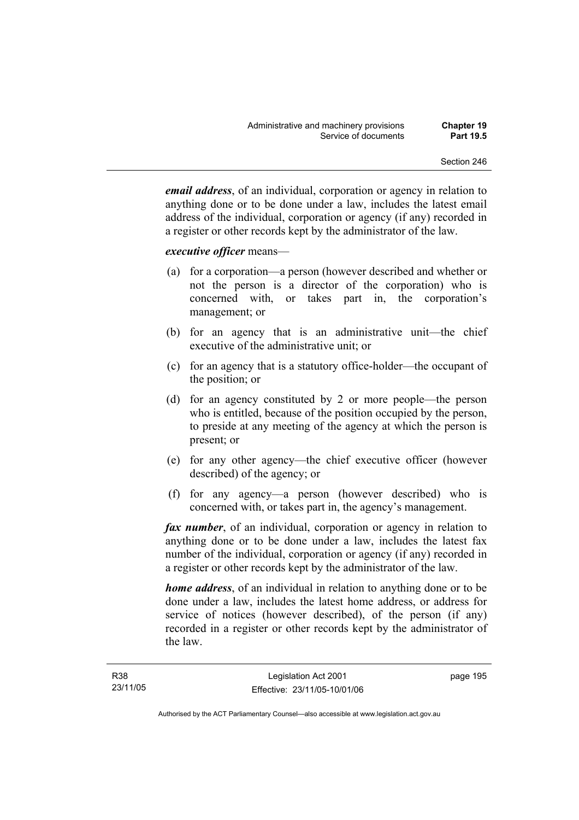*email address*, of an individual, corporation or agency in relation to anything done or to be done under a law, includes the latest email address of the individual, corporation or agency (if any) recorded in a register or other records kept by the administrator of the law.

#### *executive officer* means—

- (a) for a corporation—a person (however described and whether or not the person is a director of the corporation) who is concerned with, or takes part in, the corporation's management; or
- (b) for an agency that is an administrative unit—the chief executive of the administrative unit; or
- (c) for an agency that is a statutory office-holder—the occupant of the position; or
- (d) for an agency constituted by 2 or more people—the person who is entitled, because of the position occupied by the person, to preside at any meeting of the agency at which the person is present; or
- (e) for any other agency—the chief executive officer (however described) of the agency; or
- (f) for any agency—a person (however described) who is concerned with, or takes part in, the agency's management.

*fax number*, of an individual, corporation or agency in relation to anything done or to be done under a law, includes the latest fax number of the individual, corporation or agency (if any) recorded in a register or other records kept by the administrator of the law.

*home address*, of an individual in relation to anything done or to be done under a law, includes the latest home address, or address for service of notices (however described), of the person (if any) recorded in a register or other records kept by the administrator of the law.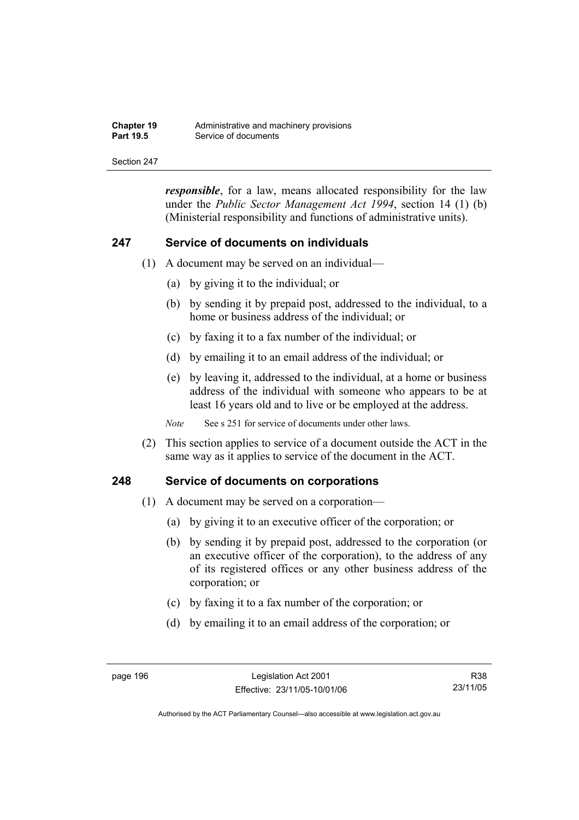| <b>Chapter 19</b> | Administrative and machinery provisions |
|-------------------|-----------------------------------------|
| <b>Part 19.5</b>  | Service of documents                    |

*responsible*, for a law, means allocated responsibility for the law under the *Public Sector Management Act 1994*, section 14 (1) (b) (Ministerial responsibility and functions of administrative units).

#### **247 Service of documents on individuals**

- (1) A document may be served on an individual—
	- (a) by giving it to the individual; or
	- (b) by sending it by prepaid post, addressed to the individual, to a home or business address of the individual; or
	- (c) by faxing it to a fax number of the individual; or
	- (d) by emailing it to an email address of the individual; or
	- (e) by leaving it, addressed to the individual, at a home or business address of the individual with someone who appears to be at least 16 years old and to live or be employed at the address.

*Note* See s 251 for service of documents under other laws.

 (2) This section applies to service of a document outside the ACT in the same way as it applies to service of the document in the ACT.

#### **248 Service of documents on corporations**

- (1) A document may be served on a corporation—
	- (a) by giving it to an executive officer of the corporation; or
	- (b) by sending it by prepaid post, addressed to the corporation (or an executive officer of the corporation), to the address of any of its registered offices or any other business address of the corporation; or
	- (c) by faxing it to a fax number of the corporation; or
	- (d) by emailing it to an email address of the corporation; or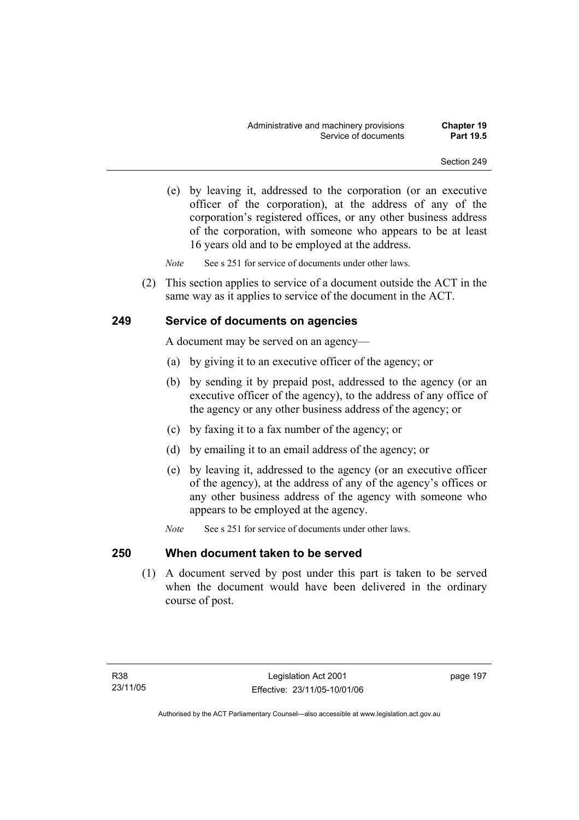(e) by leaving it, addressed to the corporation (or an executive officer of the corporation), at the address of any of the corporation's registered offices, or any other business address of the corporation, with someone who appears to be at least 16 years old and to be employed at the address.

*Note* See s 251 for service of documents under other laws.

 (2) This section applies to service of a document outside the ACT in the same way as it applies to service of the document in the ACT.

## **249 Service of documents on agencies**

A document may be served on an agency—

- (a) by giving it to an executive officer of the agency; or
- (b) by sending it by prepaid post, addressed to the agency (or an executive officer of the agency), to the address of any office of the agency or any other business address of the agency; or
- (c) by faxing it to a fax number of the agency; or
- (d) by emailing it to an email address of the agency; or
- (e) by leaving it, addressed to the agency (or an executive officer of the agency), at the address of any of the agency's offices or any other business address of the agency with someone who appears to be employed at the agency.
- *Note* See s 251 for service of documents under other laws.

#### **250 When document taken to be served**

 (1) A document served by post under this part is taken to be served when the document would have been delivered in the ordinary course of post.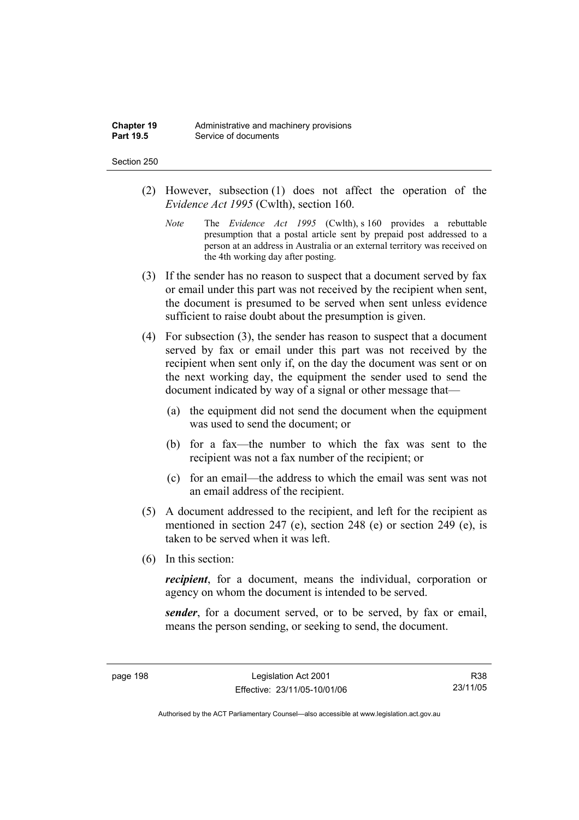- (2) However, subsection (1) does not affect the operation of the *Evidence Act 1995* (Cwlth), section 160.
	- *Note* The *Evidence Act 1995* (Cwlth), s 160 provides a rebuttable presumption that a postal article sent by prepaid post addressed to a person at an address in Australia or an external territory was received on the 4th working day after posting.
- (3) If the sender has no reason to suspect that a document served by fax or email under this part was not received by the recipient when sent, the document is presumed to be served when sent unless evidence sufficient to raise doubt about the presumption is given.
- (4) For subsection (3), the sender has reason to suspect that a document served by fax or email under this part was not received by the recipient when sent only if, on the day the document was sent or on the next working day, the equipment the sender used to send the document indicated by way of a signal or other message that—
	- (a) the equipment did not send the document when the equipment was used to send the document; or
	- (b) for a fax—the number to which the fax was sent to the recipient was not a fax number of the recipient; or
	- (c) for an email—the address to which the email was sent was not an email address of the recipient.
- (5) A document addressed to the recipient, and left for the recipient as mentioned in section 247 (e), section 248 (e) or section 249 (e), is taken to be served when it was left.
- (6) In this section:

*recipient*, for a document, means the individual, corporation or agency on whom the document is intended to be served.

*sender*, for a document served, or to be served, by fax or email, means the person sending, or seeking to send, the document.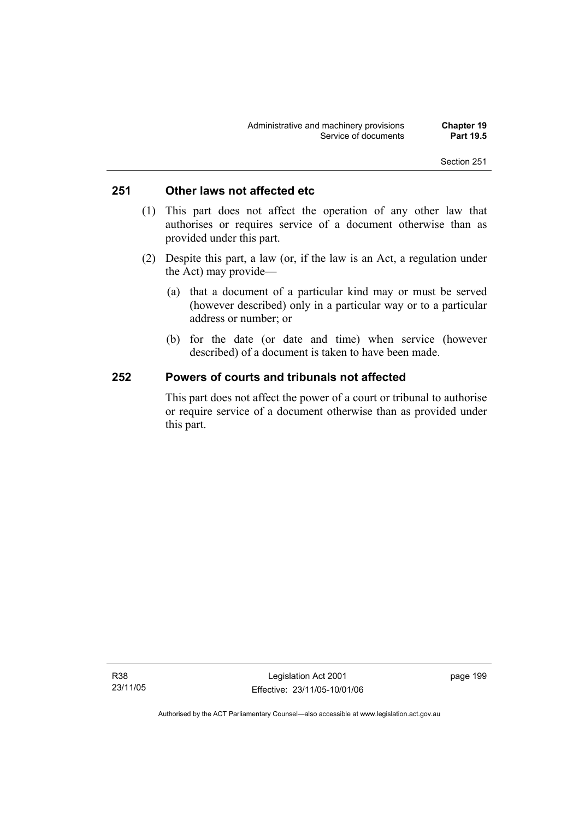## **251 Other laws not affected etc**

- (1) This part does not affect the operation of any other law that authorises or requires service of a document otherwise than as provided under this part.
- (2) Despite this part, a law (or, if the law is an Act, a regulation under the Act) may provide—
	- (a) that a document of a particular kind may or must be served (however described) only in a particular way or to a particular address or number; or
	- (b) for the date (or date and time) when service (however described) of a document is taken to have been made.

### **252 Powers of courts and tribunals not affected**

This part does not affect the power of a court or tribunal to authorise or require service of a document otherwise than as provided under this part.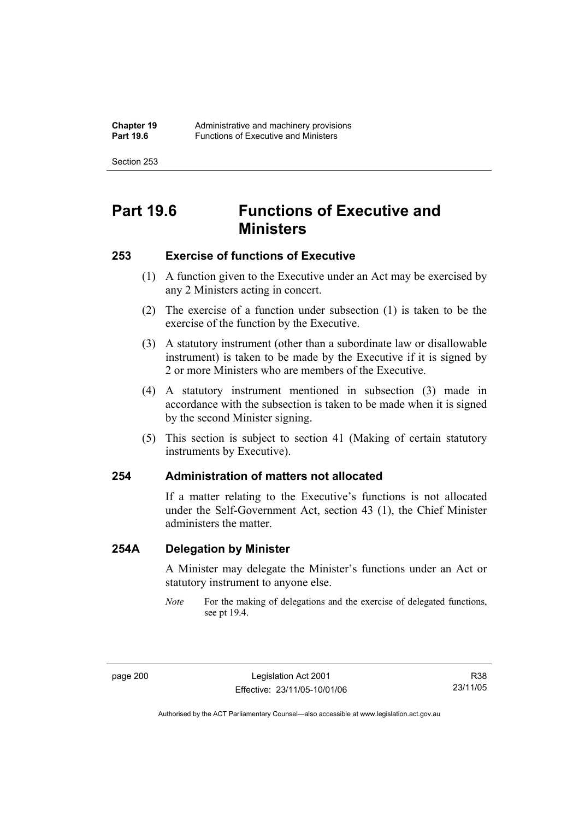# **Part 19.6 Functions of Executive and Ministers**

## **253 Exercise of functions of Executive**

- (1) A function given to the Executive under an Act may be exercised by any 2 Ministers acting in concert.
- (2) The exercise of a function under subsection (1) is taken to be the exercise of the function by the Executive.
- (3) A statutory instrument (other than a subordinate law or disallowable instrument) is taken to be made by the Executive if it is signed by 2 or more Ministers who are members of the Executive.
- (4) A statutory instrument mentioned in subsection (3) made in accordance with the subsection is taken to be made when it is signed by the second Minister signing.
- (5) This section is subject to section 41 (Making of certain statutory instruments by Executive).

#### **254 Administration of matters not allocated**

If a matter relating to the Executive's functions is not allocated under the Self-Government Act, section 43 (1), the Chief Minister administers the matter.

## **254A Delegation by Minister**

A Minister may delegate the Minister's functions under an Act or statutory instrument to anyone else.

*Note* For the making of delegations and the exercise of delegated functions, see pt 19.4.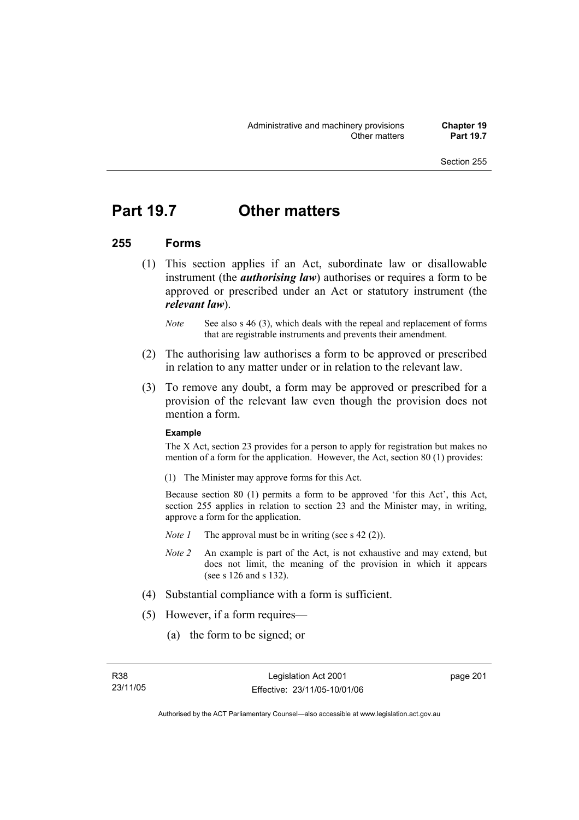## **Part 19.7 Other matters**

### **255 Forms**

- (1) This section applies if an Act, subordinate law or disallowable instrument (the *authorising law*) authorises or requires a form to be approved or prescribed under an Act or statutory instrument (the *relevant law*).
	- *Note* See also s 46 (3), which deals with the repeal and replacement of forms that are registrable instruments and prevents their amendment.
- (2) The authorising law authorises a form to be approved or prescribed in relation to any matter under or in relation to the relevant law.
- (3) To remove any doubt, a form may be approved or prescribed for a provision of the relevant law even though the provision does not mention a form.

#### **Example**

The X Act, section 23 provides for a person to apply for registration but makes no mention of a form for the application. However, the Act, section 80 (1) provides:

(1) The Minister may approve forms for this Act.

Because section 80 (1) permits a form to be approved 'for this Act', this Act, section 255 applies in relation to section 23 and the Minister may, in writing, approve a form for the application.

- *Note 1* The approval must be in writing (see s 42 (2)).
- *Note 2* An example is part of the Act, is not exhaustive and may extend, but does not limit, the meaning of the provision in which it appears (see s 126 and s 132).
- (4) Substantial compliance with a form is sufficient.
- (5) However, if a form requires—
	- (a) the form to be signed; or

page 201

Authorised by the ACT Parliamentary Counsel—also accessible at www.legislation.act.gov.au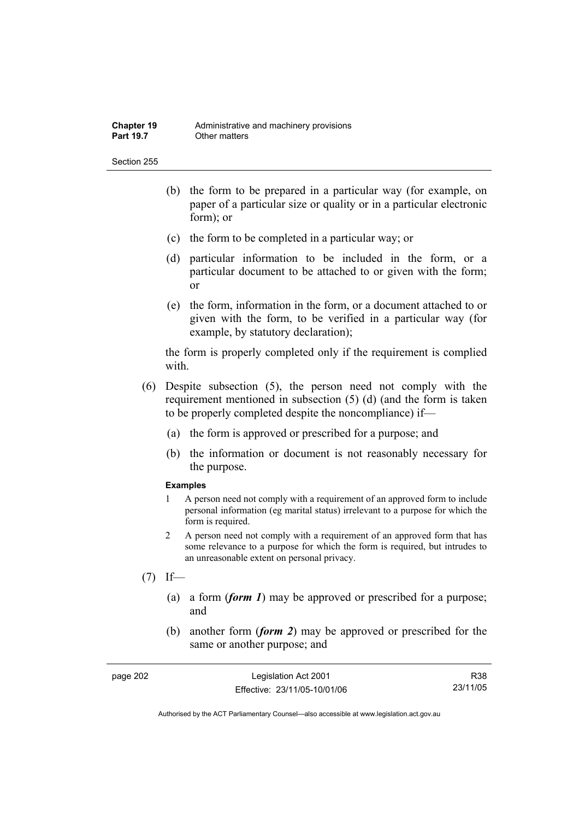Section 255

- (b) the form to be prepared in a particular way (for example, on paper of a particular size or quality or in a particular electronic form); or
- (c) the form to be completed in a particular way; or
- (d) particular information to be included in the form, or a particular document to be attached to or given with the form; or
- (e) the form, information in the form, or a document attached to or given with the form, to be verified in a particular way (for example, by statutory declaration);

the form is properly completed only if the requirement is complied with.

- (6) Despite subsection (5), the person need not comply with the requirement mentioned in subsection (5) (d) (and the form is taken to be properly completed despite the noncompliance) if—
	- (a) the form is approved or prescribed for a purpose; and
	- (b) the information or document is not reasonably necessary for the purpose.

#### **Examples**

- 1 A person need not comply with a requirement of an approved form to include personal information (eg marital status) irrelevant to a purpose for which the form is required.
- 2 A person need not comply with a requirement of an approved form that has some relevance to a purpose for which the form is required, but intrudes to an unreasonable extent on personal privacy.
- $(7)$  If—
	- (a) a form (*form 1*) may be approved or prescribed for a purpose; and
	- (b) another form (*form 2*) may be approved or prescribed for the same or another purpose; and

| page 202 | Legislation Act 2001         | R38      |
|----------|------------------------------|----------|
|          | Effective: 23/11/05-10/01/06 | 23/11/05 |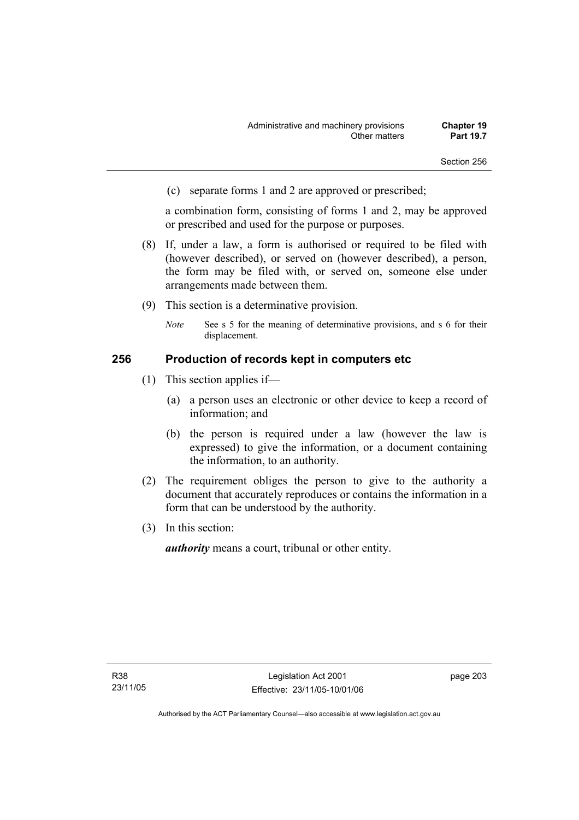(c) separate forms 1 and 2 are approved or prescribed;

a combination form, consisting of forms 1 and 2, may be approved or prescribed and used for the purpose or purposes.

- (8) If, under a law, a form is authorised or required to be filed with (however described), or served on (however described), a person, the form may be filed with, or served on, someone else under arrangements made between them.
- (9) This section is a determinative provision.
	- *Note* See s 5 for the meaning of determinative provisions, and s 6 for their displacement.

### **256 Production of records kept in computers etc**

- (1) This section applies if—
	- (a) a person uses an electronic or other device to keep a record of information; and
	- (b) the person is required under a law (however the law is expressed) to give the information, or a document containing the information, to an authority.
- (2) The requirement obliges the person to give to the authority a document that accurately reproduces or contains the information in a form that can be understood by the authority.
- (3) In this section:

*authority* means a court, tribunal or other entity.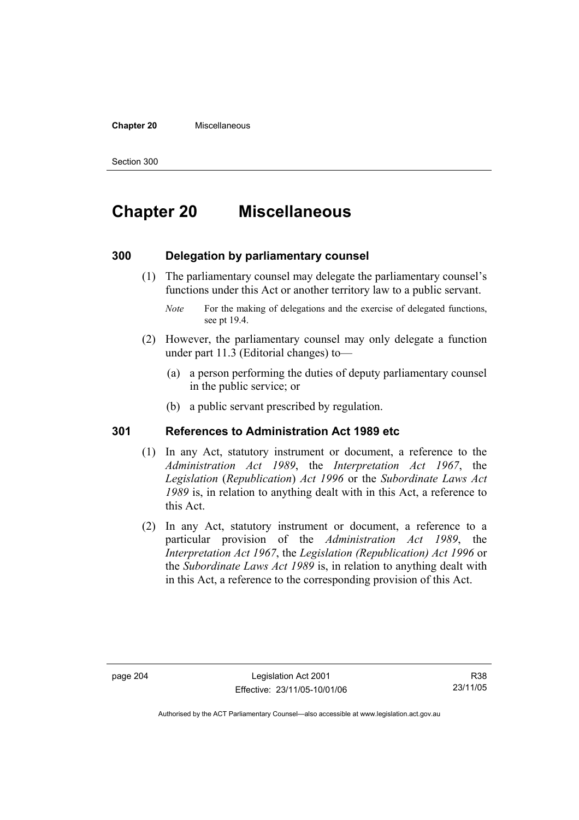#### **Chapter 20** Miscellaneous

Section 300

# **Chapter 20 Miscellaneous**

### **300 Delegation by parliamentary counsel**

 (1) The parliamentary counsel may delegate the parliamentary counsel's functions under this Act or another territory law to a public servant.

- (2) However, the parliamentary counsel may only delegate a function under part 11.3 (Editorial changes) to—
	- (a) a person performing the duties of deputy parliamentary counsel in the public service; or
	- (b) a public servant prescribed by regulation.

### **301 References to Administration Act 1989 etc**

- (1) In any Act, statutory instrument or document, a reference to the *Administration Act 1989*, the *Interpretation Act 1967*, the *Legislation* (*Republication*) *Act 1996* or the *Subordinate Laws Act 1989* is, in relation to anything dealt with in this Act, a reference to this Act.
- (2) In any Act, statutory instrument or document, a reference to a particular provision of the *Administration Act 1989*, the *Interpretation Act 1967*, the *Legislation (Republication) Act 1996* or the *Subordinate Laws Act 1989* is, in relation to anything dealt with in this Act, a reference to the corresponding provision of this Act.

R38 23/11/05

*Note* For the making of delegations and the exercise of delegated functions, see pt 19.4.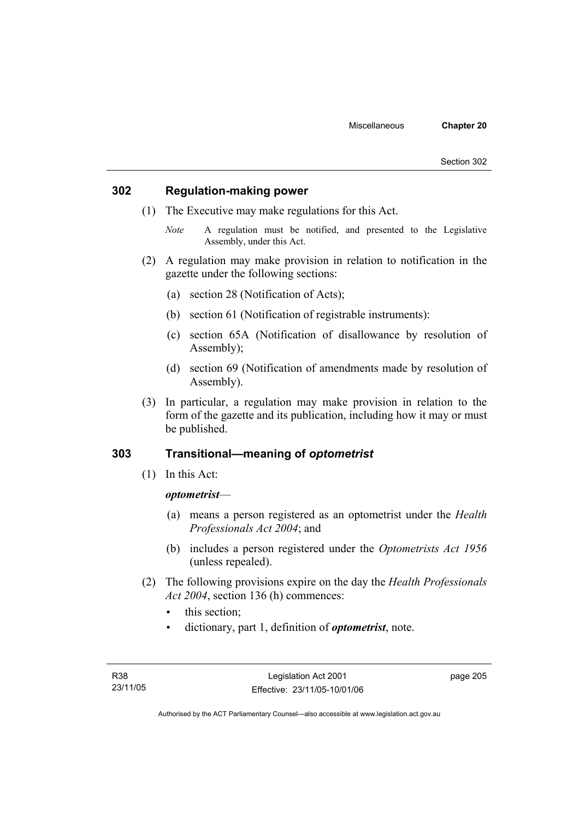## **302 Regulation-making power**

- (1) The Executive may make regulations for this Act.
	- *Note* A regulation must be notified, and presented to the Legislative Assembly, under this Act.
- (2) A regulation may make provision in relation to notification in the gazette under the following sections:
	- (a) section 28 (Notification of Acts);
	- (b) section 61 (Notification of registrable instruments):
	- (c) section 65A (Notification of disallowance by resolution of Assembly);
	- (d) section 69 (Notification of amendments made by resolution of Assembly).
- (3) In particular, a regulation may make provision in relation to the form of the gazette and its publication, including how it may or must be published.

## **303 Transitional—meaning of** *optometrist*

(1) In this Act:

### *optometrist*—

- (a) means a person registered as an optometrist under the *Health Professionals Act 2004*; and
- (b) includes a person registered under the *Optometrists Act 1956* (unless repealed).
- (2) The following provisions expire on the day the *Health Professionals Act 2004*, section 136 (h) commences:
	- this section:
	- dictionary, part 1, definition of *optometrist*, note.

page 205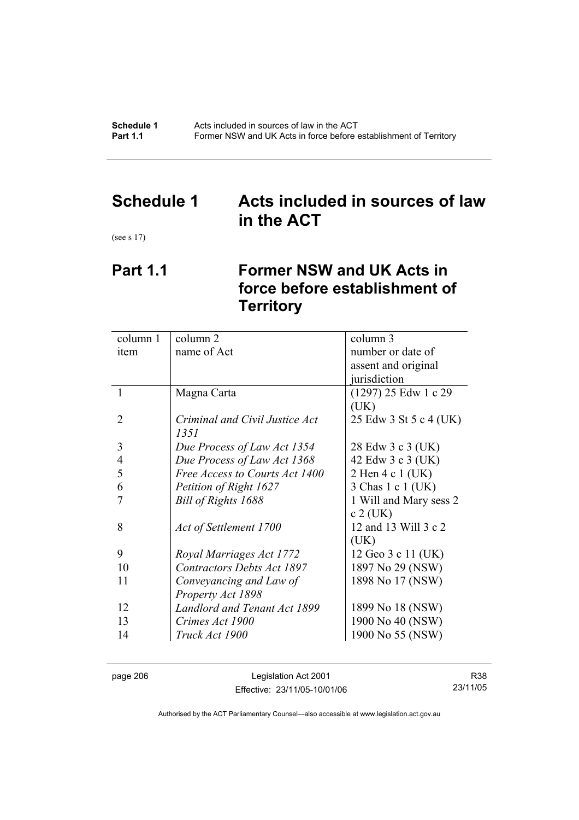**Schedule 1** Acts included in sources of law in the ACT<br>**Part 1.1** Former NSW and UK Acts in force before **Part 1.1** Former NSW and UK Acts in force before establishment of Territory

## **Schedule 1 Acts included in sources of law in the ACT**

(see s 17)

# **Part 1.1 Former NSW and UK Acts in force before establishment of Territory**

| column 1       | column 2                          | column 3               |  |
|----------------|-----------------------------------|------------------------|--|
| item           | name of Act                       | number or date of      |  |
|                |                                   | assent and original    |  |
|                |                                   | jurisdiction           |  |
| 1              | Magna Carta                       | $(1297)$ 25 Edw 1 c 29 |  |
|                |                                   | (UK)                   |  |
| 2              | Criminal and Civil Justice Act    | 25 Edw 3 St 5 c 4 (UK) |  |
|                | 1351                              |                        |  |
| 3              | Due Process of Law Act 1354       | 28 Edw 3 c 3 (UK)      |  |
| $\overline{4}$ | Due Process of Law Act 1368       | 42 Edw 3 c 3 (UK)      |  |
| 5              | Free Access to Courts Act 1400    | 2 Hen 4 c 1 (UK)       |  |
| 6              | Petition of Right 1627            | 3 Chas 1 c 1 (UK)      |  |
|                | Bill of Rights 1688               | 1 Will and Mary sess 2 |  |
|                |                                   | $c 2$ (UK)             |  |
| 8              | Act of Settlement 1700            | 12 and 13 Will 3 c 2   |  |
|                |                                   | (UK)                   |  |
| 9              | Royal Marriages Act 1772          | 12 Geo 3 c 11 (UK)     |  |
| 10             | <b>Contractors Debts Act 1897</b> | 1897 No 29 (NSW)       |  |
| 11             | Conveyancing and Law of           | 1898 No 17 (NSW)       |  |
|                | Property Act 1898                 |                        |  |
| 12             | Landlord and Tenant Act 1899      | 1899 No 18 (NSW)       |  |
| 13             | Crimes Act 1900                   | 1900 No 40 (NSW)       |  |
| 14             | Truck Act 1900                    | 1900 No 55 (NSW)       |  |
|                |                                   |                        |  |

page 206 Legislation Act 2001 Effective: 23/11/05-10/01/06

R38 23/11/05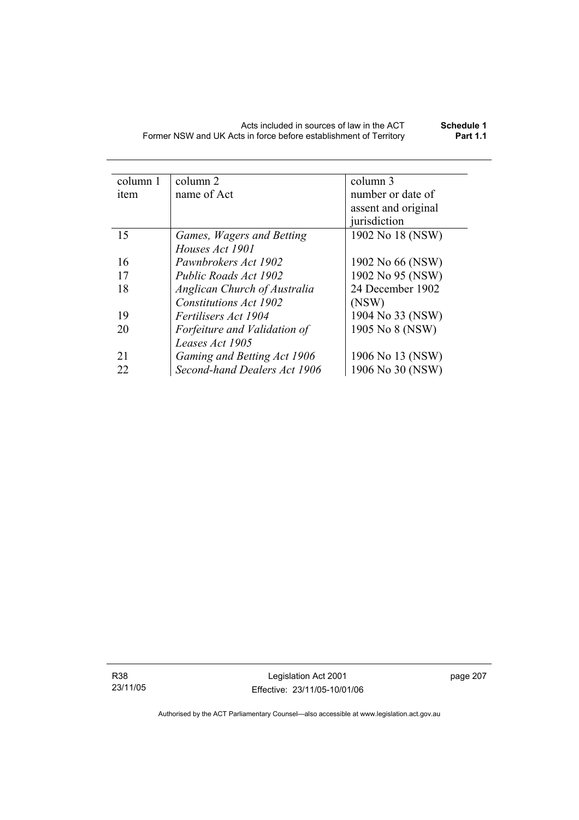| column 2                            | column 3            |  |
|-------------------------------------|---------------------|--|
| name of Act                         | number or date of   |  |
|                                     | assent and original |  |
|                                     | jurisdiction        |  |
| Games, Wagers and Betting           | 1902 No 18 (NSW)    |  |
| Houses Act 1901                     |                     |  |
| Pawnbrokers Act 1902                | 1902 No 66 (NSW)    |  |
| Public Roads Act 1902               | 1902 No 95 (NSW)    |  |
| <b>Anglican Church of Australia</b> | 24 December 1902    |  |
| Constitutions Act 1902              | (NSW)               |  |
| <i>Fertilisers Act 1904</i>         | 1904 No 33 (NSW)    |  |
| Forfeiture and Validation of        | 1905 No 8 (NSW)     |  |
| Leases Act 1905                     |                     |  |
| Gaming and Betting Act 1906         | 1906 No 13 (NSW)    |  |
| Second-hand Dealers Act 1906        | 1906 No 30 (NSW)    |  |
|                                     |                     |  |

R38 23/11/05

Legislation Act 2001 Effective: 23/11/05-10/01/06 page 207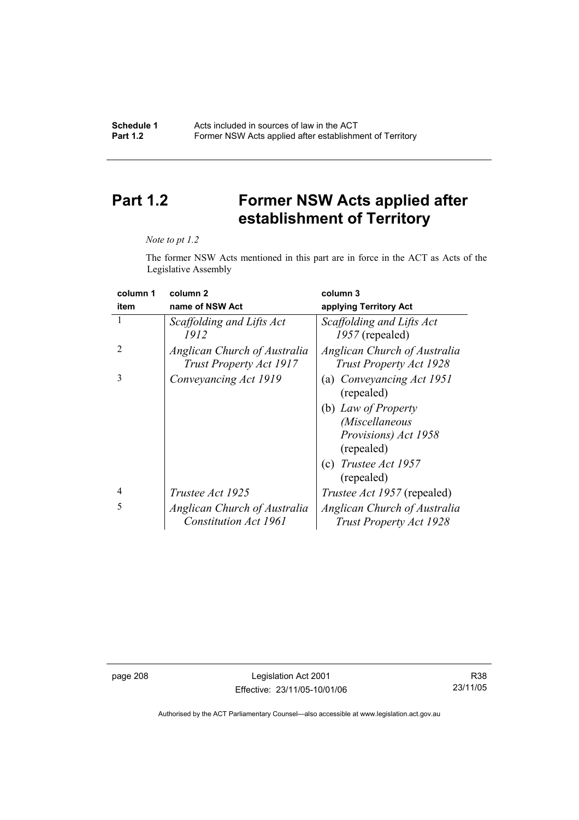# **Part 1.2 Former NSW Acts applied after establishment of Territory**

#### *Note to pt 1.2*

The former NSW Acts mentioned in this part are in force in the ACT as Acts of the Legislative Assembly

| column 1       | column <sub>2</sub>                                            | column 3                                                       |
|----------------|----------------------------------------------------------------|----------------------------------------------------------------|
| item           | name of NSW Act                                                | applying Territory Act                                         |
| 1              | Scaffolding and Lifts Act<br>1912                              | Scaffolding and Lifts Act<br>$1957$ (repealed)                 |
| $\mathfrak{D}$ | Anglican Church of Australia<br><b>Trust Property Act 1917</b> | Anglican Church of Australia<br><b>Trust Property Act 1928</b> |
| 3              | Conveyancing Act 1919                                          | (a) Conveyancing Act 1951<br>(repealed)                        |
|                |                                                                | (b) Law of Property                                            |
|                |                                                                | <i>(Miscellaneous</i>                                          |
|                |                                                                | Provisions) Act 1958<br>(repealed)                             |
|                |                                                                | (c) Trustee Act $1957$<br>(repealed)                           |
| $\overline{4}$ | Trustee Act 1925                                               | <i>Trustee Act 1957</i> (repealed)                             |
| 5              | Anglican Church of Australia                                   | Anglican Church of Australia                                   |
|                | <b>Constitution Act 1961</b>                                   | <b>Trust Property Act 1928</b>                                 |

page 208 Legislation Act 2001 Effective: 23/11/05-10/01/06

R38 23/11/05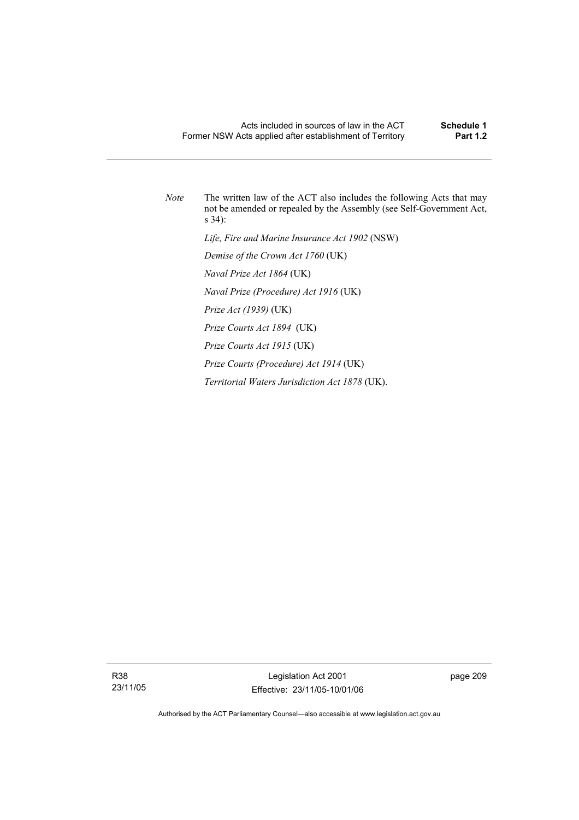*Note* The written law of the ACT also includes the following Acts that may not be amended or repealed by the Assembly (see Self-Government Act, s 34):  *Life, Fire and Marine Insurance Act 1902* (NSW)  *Demise of the Crown Act 1760* (UK)  *Naval Prize Act 1864* (UK)  *Naval Prize (Procedure) Act 1916* (UK)  *Prize Act (1939)* (UK)  *Prize Courts Act 1894* (UK)  *Prize Courts Act 1915* (UK)  *Prize Courts (Procedure) Act 1914* (UK)  *Territorial Waters Jurisdiction Act 1878* (UK).

R38 23/11/05

Legislation Act 2001 Effective: 23/11/05-10/01/06 page 209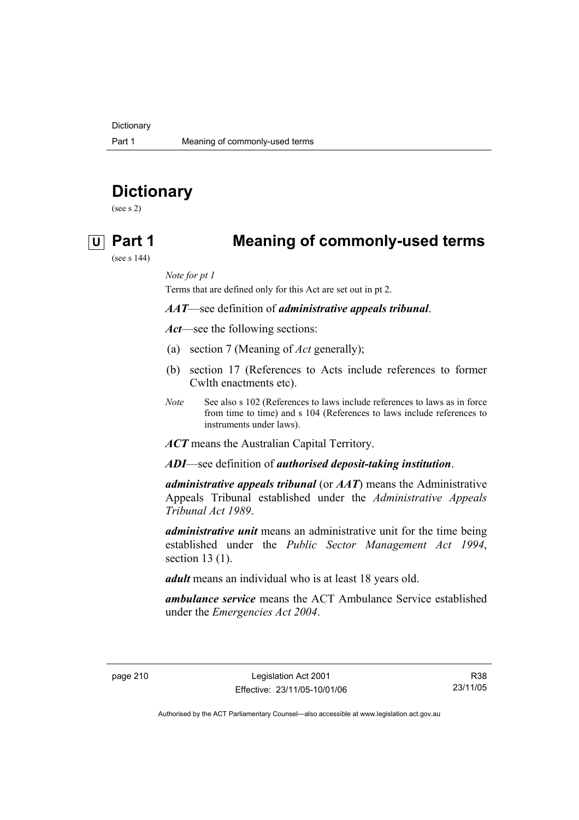**Dictionary** 

# **Dictionary**

(see s 2)

## **U Part 1 Meaning of commonly-used terms**

(see s 144)

*Note for pt 1* 

Terms that are defined only for this Act are set out in pt 2.

*AAT*—see definition of *administrative appeals tribunal*.

*Act*—see the following sections:

- (a) section 7 (Meaning of *Act* generally);
- (b) section 17 (References to Acts include references to former Cwlth enactments etc).
- *Note* See also s 102 (References to laws include references to laws as in force from time to time) and s 104 (References to laws include references to instruments under laws).

*ACT* means the Australian Capital Territory.

*ADI*—see definition of *authorised deposit-taking institution*.

*administrative appeals tribunal* (or *AAT*) means the Administrative Appeals Tribunal established under the *Administrative Appeals Tribunal Act 1989*.

*administrative unit* means an administrative unit for the time being established under the *Public Sector Management Act 1994*, section 13 (1).

*adult* means an individual who is at least 18 years old.

*ambulance service* means the ACT Ambulance Service established under the *Emergencies Act 2004*.

R38 23/11/05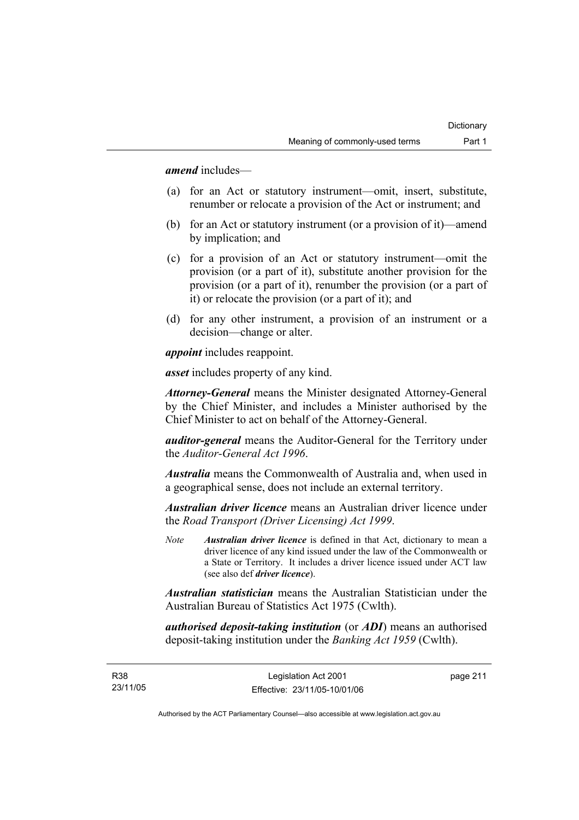*amend* includes—

- (a) for an Act or statutory instrument—omit, insert, substitute, renumber or relocate a provision of the Act or instrument; and
- (b) for an Act or statutory instrument (or a provision of it)—amend by implication; and
- (c) for a provision of an Act or statutory instrument—omit the provision (or a part of it), substitute another provision for the provision (or a part of it), renumber the provision (or a part of it) or relocate the provision (or a part of it); and
- (d) for any other instrument, a provision of an instrument or a decision—change or alter.

*appoint* includes reappoint.

*asset* includes property of any kind.

*Attorney-General* means the Minister designated Attorney-General by the Chief Minister, and includes a Minister authorised by the Chief Minister to act on behalf of the Attorney-General.

*auditor-general* means the Auditor-General for the Territory under the *Auditor-General Act 1996*.

*Australia* means the Commonwealth of Australia and, when used in a geographical sense, does not include an external territory.

*Australian driver licence* means an Australian driver licence under the *Road Transport (Driver Licensing) Act 1999*.

*Note Australian driver licence* is defined in that Act, dictionary to mean a driver licence of any kind issued under the law of the Commonwealth or a State or Territory. It includes a driver licence issued under ACT law (see also def *driver licence*).

*Australian statistician* means the Australian Statistician under the Australian Bureau of Statistics Act 1975 (Cwlth).

*authorised deposit-taking institution* (or *ADI*) means an authorised deposit-taking institution under the *Banking Act 1959* (Cwlth).

R38 23/11/05 page 211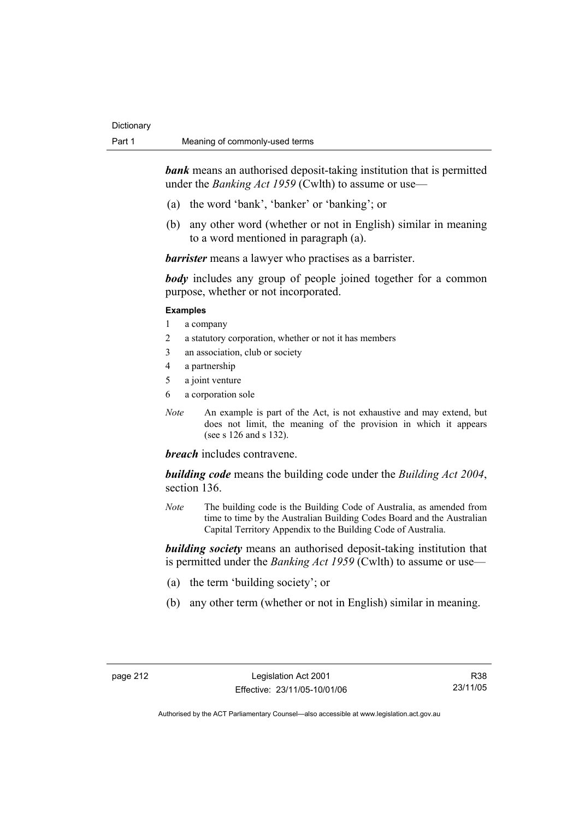*bank* means an authorised deposit-taking institution that is permitted under the *Banking Act 1959* (Cwlth) to assume or use—

- (a) the word 'bank', 'banker' or 'banking'; or
- (b) any other word (whether or not in English) similar in meaning to a word mentioned in paragraph (a).

*barrister* means a lawyer who practises as a barrister.

*body* includes any group of people joined together for a common purpose, whether or not incorporated.

#### **Examples**

- 1 a company
- 2 a statutory corporation, whether or not it has members
- 3 an association, club or society
- 4 a partnership
- 5 a joint venture
- 6 a corporation sole
- *Note* An example is part of the Act, is not exhaustive and may extend, but does not limit, the meaning of the provision in which it appears (see s 126 and s 132).

*breach* includes contravene.

*building code* means the building code under the *Building Act 2004*, section 136.

*Note* The building code is the Building Code of Australia, as amended from time to time by the Australian Building Codes Board and the Australian Capital Territory Appendix to the Building Code of Australia.

*building society* means an authorised deposit-taking institution that is permitted under the *Banking Act 1959* (Cwlth) to assume or use—

- (a) the term 'building society'; or
- (b) any other term (whether or not in English) similar in meaning.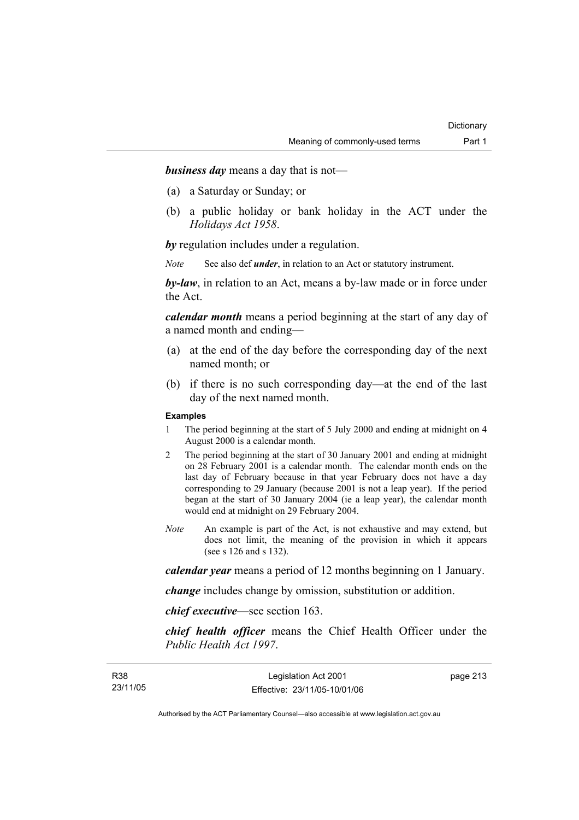*business day* means a day that is not—

- (a) a Saturday or Sunday; or
- (b) a public holiday or bank holiday in the ACT under the *Holidays Act 1958*.

*by* regulation includes under a regulation.

*Note* See also def *under*, in relation to an Act or statutory instrument.

*by-law*, in relation to an Act, means a by-law made or in force under the Act.

*calendar month* means a period beginning at the start of any day of a named month and ending—

- (a) at the end of the day before the corresponding day of the next named month; or
- (b) if there is no such corresponding day—at the end of the last day of the next named month.

#### **Examples**

- 1 The period beginning at the start of 5 July 2000 and ending at midnight on 4 August 2000 is a calendar month.
- 2 The period beginning at the start of 30 January 2001 and ending at midnight on 28 February 2001 is a calendar month. The calendar month ends on the last day of February because in that year February does not have a day corresponding to 29 January (because 2001 is not a leap year). If the period began at the start of 30 January 2004 (ie a leap year), the calendar month would end at midnight on 29 February 2004.
- *Note* An example is part of the Act, is not exhaustive and may extend, but does not limit, the meaning of the provision in which it appears (see s 126 and s 132).

*calendar year* means a period of 12 months beginning on 1 January.

*change* includes change by omission, substitution or addition.

*chief executive*—see section 163.

*chief health officer* means the Chief Health Officer under the *Public Health Act 1997*.

page 213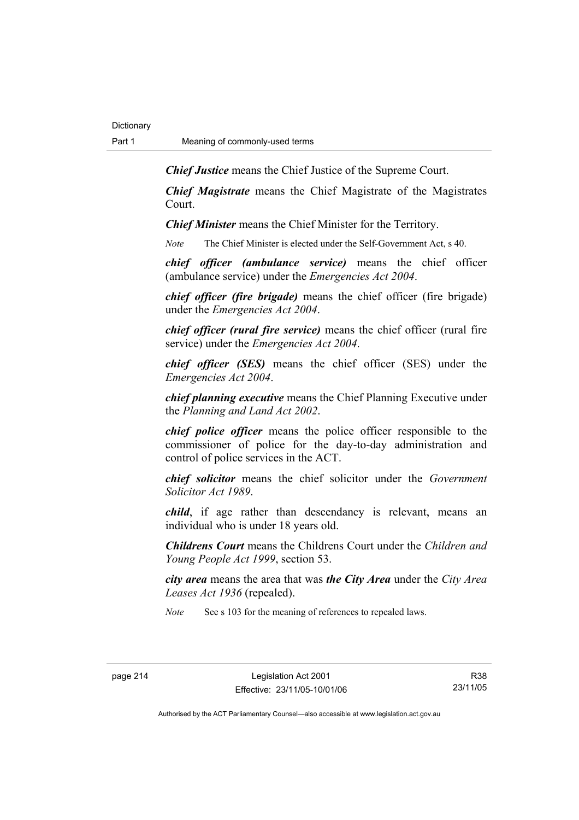*Chief Justice* means the Chief Justice of the Supreme Court.

*Chief Magistrate* means the Chief Magistrate of the Magistrates Court.

*Chief Minister* means the Chief Minister for the Territory.

*Note* The Chief Minister is elected under the Self-Government Act, s 40.

*chief officer (ambulance service)* means the chief officer (ambulance service) under the *Emergencies Act 2004*.

*chief officer (fire brigade)* means the chief officer (fire brigade) under the *Emergencies Act 2004*.

*chief officer (rural fire service)* means the chief officer (rural fire service) under the *Emergencies Act 2004*.

*chief officer (SES)* means the chief officer (SES) under the *Emergencies Act 2004*.

*chief planning executive* means the Chief Planning Executive under the *Planning and Land Act 2002*.

*chief police officer* means the police officer responsible to the commissioner of police for the day-to-day administration and control of police services in the ACT.

*chief solicitor* means the chief solicitor under the *Government Solicitor Act 1989*.

*child*, if age rather than descendancy is relevant, means an individual who is under 18 years old.

*Childrens Court* means the Childrens Court under the *Children and Young People Act 1999*, section 53.

*city area* means the area that was *the City Area* under the *City Area Leases Act 1936* (repealed).

*Note* See s 103 for the meaning of references to repealed laws.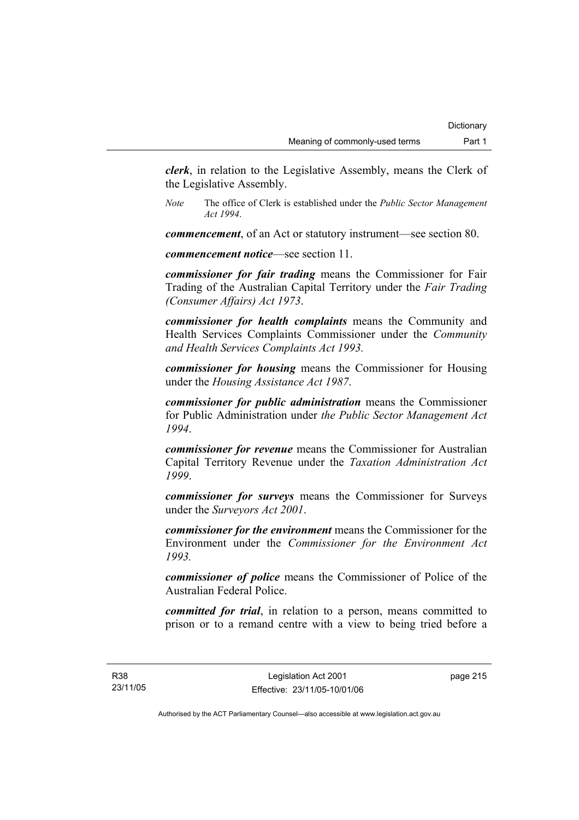*clerk*, in relation to the Legislative Assembly, means the Clerk of the Legislative Assembly.

*Note* The office of Clerk is established under the *Public Sector Management Act 1994*.

*commencement*, of an Act or statutory instrument—see section 80.

*commencement notice*—see section 11.

*commissioner for fair trading* means the Commissioner for Fair Trading of the Australian Capital Territory under the *Fair Trading (Consumer Affairs) Act 1973*.

*commissioner for health complaints* means the Community and Health Services Complaints Commissioner under the *Community and Health Services Complaints Act 1993.* 

*commissioner for housing* means the Commissioner for Housing under the *Housing Assistance Act 1987*.

*commissioner for public administration* means the Commissioner for Public Administration under *the Public Sector Management Act 1994*.

*commissioner for revenue* means the Commissioner for Australian Capital Territory Revenue under the *Taxation Administration Act 1999*.

*commissioner for surveys* means the Commissioner for Surveys under the *Surveyors Act 2001*.

*commissioner for the environment* means the Commissioner for the Environment under the *Commissioner for the Environment Act 1993.* 

*commissioner of police* means the Commissioner of Police of the Australian Federal Police.

*committed for trial*, in relation to a person, means committed to prison or to a remand centre with a view to being tried before a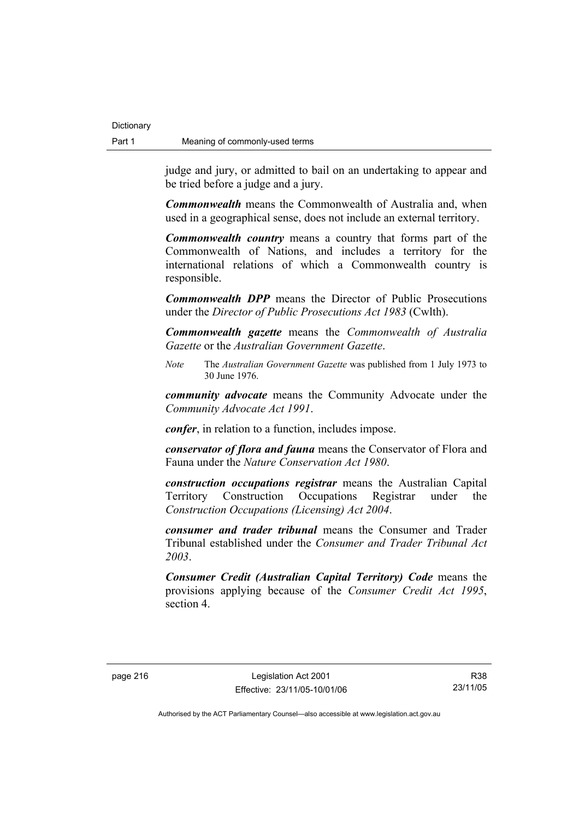judge and jury, or admitted to bail on an undertaking to appear and be tried before a judge and a jury.

*Commonwealth* means the Commonwealth of Australia and, when used in a geographical sense, does not include an external territory.

*Commonwealth country* means a country that forms part of the Commonwealth of Nations, and includes a territory for the international relations of which a Commonwealth country is responsible.

*Commonwealth DPP* means the Director of Public Prosecutions under the *Director of Public Prosecutions Act 1983* (Cwlth).

*Commonwealth gazette* means the *Commonwealth of Australia Gazette* or the *Australian Government Gazette*.

*Note* The *Australian Government Gazette* was published from 1 July 1973 to 30 June 1976.

*community advocate* means the Community Advocate under the *Community Advocate Act 1991*.

*confer*, in relation to a function, includes impose.

*conservator of flora and fauna* means the Conservator of Flora and Fauna under the *Nature Conservation Act 1980*.

*construction occupations registrar* means the Australian Capital Territory Construction Occupations Registrar under the *Construction Occupations (Licensing) Act 2004*.

*consumer and trader tribunal* means the Consumer and Trader Tribunal established under the *Consumer and Trader Tribunal Act 2003*.

*Consumer Credit (Australian Capital Territory) Code* means the provisions applying because of the *Consumer Credit Act 1995*, section 4.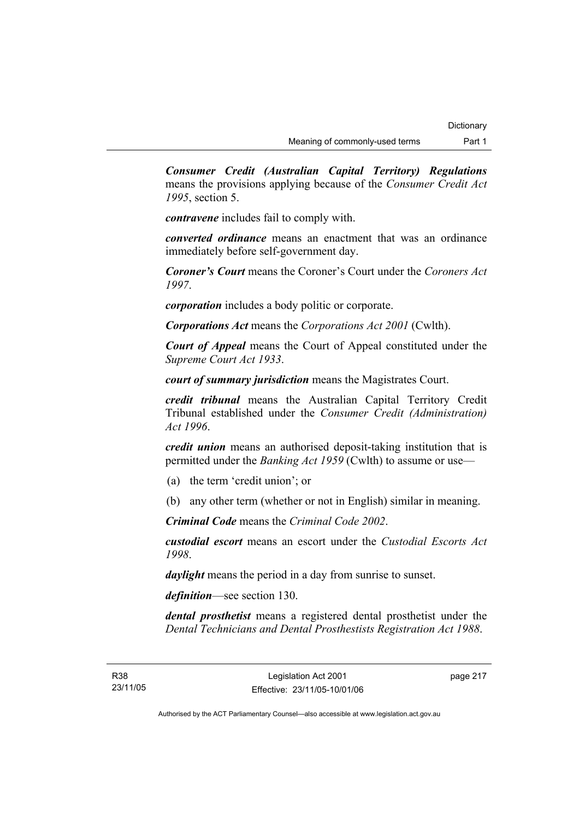*Consumer Credit (Australian Capital Territory) Regulations* means the provisions applying because of the *Consumer Credit Act 1995*, section 5.

*contravene* includes fail to comply with.

*converted ordinance* means an enactment that was an ordinance immediately before self-government day.

*Coroner's Court* means the Coroner's Court under the *Coroners Act 1997*.

*corporation* includes a body politic or corporate.

*Corporations Act* means the *Corporations Act 2001* (Cwlth).

*Court of Appeal* means the Court of Appeal constituted under the *Supreme Court Act 1933*.

*court of summary jurisdiction* means the Magistrates Court.

*credit tribunal* means the Australian Capital Territory Credit Tribunal established under the *Consumer Credit (Administration) Act 1996*.

*credit union* means an authorised deposit-taking institution that is permitted under the *Banking Act 1959* (Cwlth) to assume or use—

- (a) the term 'credit union'; or
- (b) any other term (whether or not in English) similar in meaning.

*Criminal Code* means the *Criminal Code 2002*.

*custodial escort* means an escort under the *Custodial Escorts Act 1998*.

*daylight* means the period in a day from sunrise to sunset.

*definition*—see section 130.

*dental prosthetist* means a registered dental prosthetist under the *Dental Technicians and Dental Prosthestists Registration Act 1988*.

page 217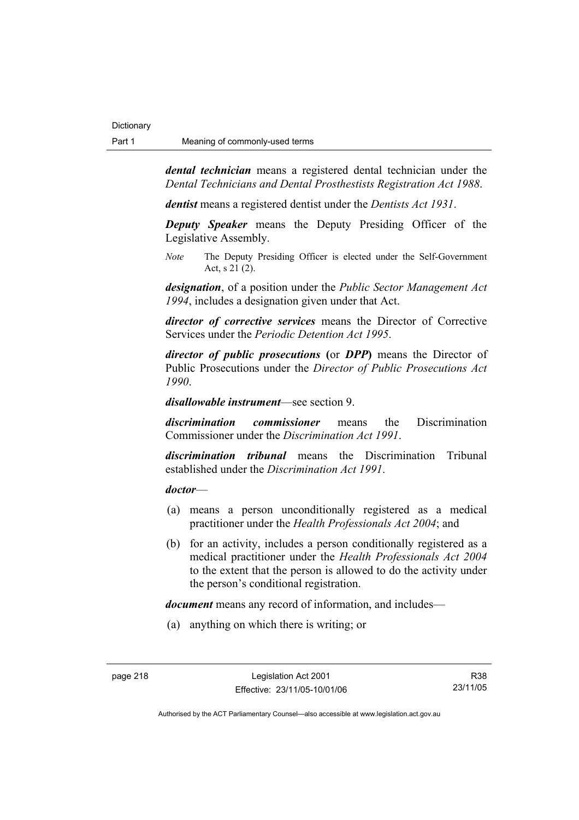*dental technician* means a registered dental technician under the *Dental Technicians and Dental Prosthestists Registration Act 1988*.

*dentist* means a registered dentist under the *Dentists Act 1931*.

*Deputy Speaker* means the Deputy Presiding Officer of the Legislative Assembly.

*Note* The Deputy Presiding Officer is elected under the Self-Government Act, s 21 (2).

*designation*, of a position under the *Public Sector Management Act 1994*, includes a designation given under that Act.

*director of corrective services* means the Director of Corrective Services under the *Periodic Detention Act 1995*.

*director of public prosecutions* **(**or *DPP***)** means the Director of Public Prosecutions under the *Director of Public Prosecutions Act 1990*.

*disallowable instrument*—see section 9.

*discrimination commissioner* means the Discrimination Commissioner under the *Discrimination Act 1991*.

*discrimination tribunal* means the Discrimination Tribunal established under the *Discrimination Act 1991*.

#### *doctor*—

- (a) means a person unconditionally registered as a medical practitioner under the *Health Professionals Act 2004*; and
- (b) for an activity, includes a person conditionally registered as a medical practitioner under the *Health Professionals Act 2004*  to the extent that the person is allowed to do the activity under the person's conditional registration.

*document* means any record of information, and includes—

(a) anything on which there is writing; or

R38 23/11/05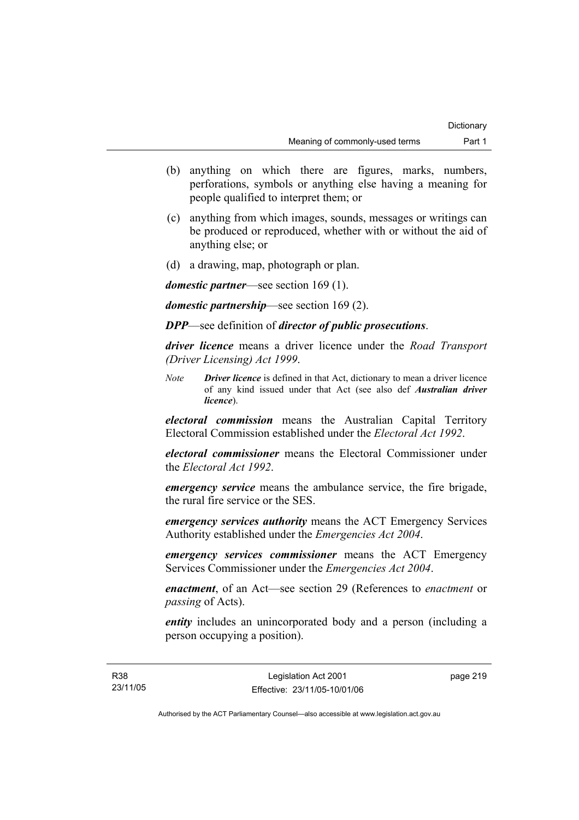- (b) anything on which there are figures, marks, numbers, perforations, symbols or anything else having a meaning for people qualified to interpret them; or
- (c) anything from which images, sounds, messages or writings can be produced or reproduced, whether with or without the aid of anything else; or
- (d) a drawing, map, photograph or plan.

*domestic partner*—see section 169 (1).

*domestic partnership*—see section 169 (2).

*DPP*—see definition of *director of public prosecutions*.

*driver licence* means a driver licence under the *Road Transport (Driver Licensing) Act 1999*.

*Note Driver licence* is defined in that Act, dictionary to mean a driver licence of any kind issued under that Act (see also def *Australian driver licence*).

*electoral commission* means the Australian Capital Territory Electoral Commission established under the *Electoral Act 1992*.

*electoral commissioner* means the Electoral Commissioner under the *Electoral Act 1992*.

*emergency service* means the ambulance service, the fire brigade, the rural fire service or the SES.

*emergency services authority* means the ACT Emergency Services Authority established under the *Emergencies Act 2004*.

*emergency services commissioner* means the ACT Emergency Services Commissioner under the *Emergencies Act 2004*.

*enactment*, of an Act—see section 29 (References to *enactment* or *passing* of Acts).

*entity* includes an unincorporated body and a person (including a person occupying a position).

page 219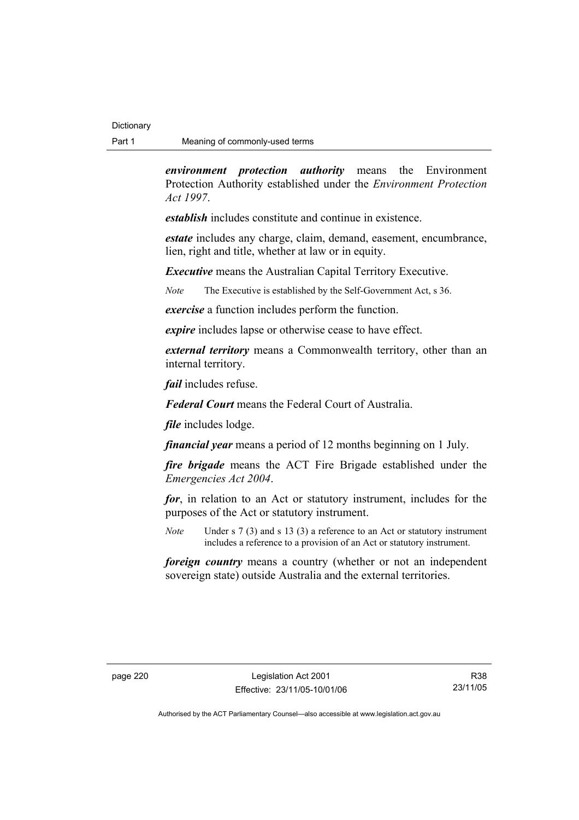*environment protection authority* means the Environment Protection Authority established under the *Environment Protection Act 1997*.

*establish* includes constitute and continue in existence.

*estate* includes any charge, claim, demand, easement, encumbrance, lien, right and title, whether at law or in equity.

*Executive* means the Australian Capital Territory Executive.

*Note* The Executive is established by the Self-Government Act, s 36.

*exercise* a function includes perform the function.

*expire* includes lapse or otherwise cease to have effect.

*external territory* means a Commonwealth territory, other than an internal territory.

*fail* includes refuse.

*Federal Court* means the Federal Court of Australia.

*file* includes lodge.

*financial year* means a period of 12 months beginning on 1 July.

*fire brigade* means the ACT Fire Brigade established under the *Emergencies Act 2004*.

*for*, in relation to an Act or statutory instrument, includes for the purposes of the Act or statutory instrument.

*Note* Under s 7 (3) and s 13 (3) a reference to an Act or statutory instrument includes a reference to a provision of an Act or statutory instrument.

*foreign country* means a country (whether or not an independent sovereign state) outside Australia and the external territories.

R38 23/11/05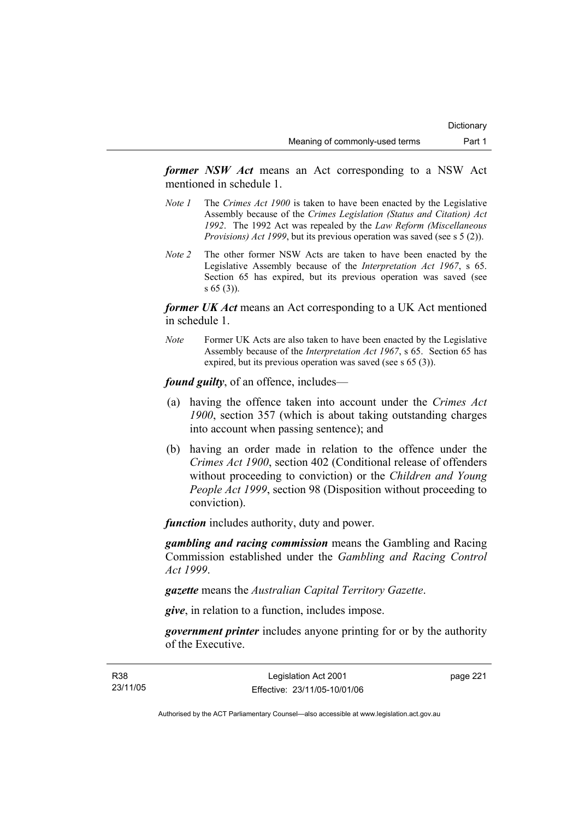*former NSW Act* means an Act corresponding to a NSW Act mentioned in schedule 1.

- *Note 1* The *Crimes Act 1900* is taken to have been enacted by the Legislative Assembly because of the *Crimes Legislation (Status and Citation) Act 1992*. The 1992 Act was repealed by the *Law Reform (Miscellaneous Provisions) Act 1999*, but its previous operation was saved (see s 5 (2)).
- *Note 2* The other former NSW Acts are taken to have been enacted by the Legislative Assembly because of the *Interpretation Act 1967*, s 65. Section 65 has expired, but its previous operation was saved (see s 65 (3)).

*former UK Act* means an Act corresponding to a UK Act mentioned in schedule 1.

*Note* Former UK Acts are also taken to have been enacted by the Legislative Assembly because of the *Interpretation Act 1967*, s 65. Section 65 has expired, but its previous operation was saved (see s 65 (3)).

*found guilty*, of an offence, includes—

- (a) having the offence taken into account under the *Crimes Act 1900*, section 357 (which is about taking outstanding charges into account when passing sentence); and
- (b) having an order made in relation to the offence under the *Crimes Act 1900*, section 402 (Conditional release of offenders without proceeding to conviction) or the *Children and Young People Act 1999*, section 98 (Disposition without proceeding to conviction).

*function* includes authority, duty and power.

*gambling and racing commission* means the Gambling and Racing Commission established under the *Gambling and Racing Control Act 1999*.

*gazette* means the *Australian Capital Territory Gazette*.

*give*, in relation to a function, includes impose.

*government printer* includes anyone printing for or by the authority of the Executive.

page 221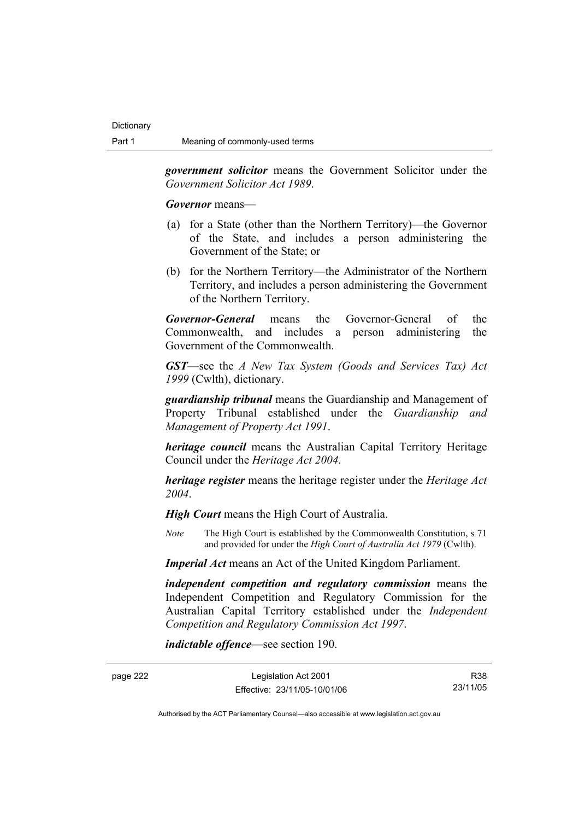*government solicitor* means the Government Solicitor under the *Government Solicitor Act 1989*.

*Governor* means—

- (a) for a State (other than the Northern Territory)—the Governor of the State, and includes a person administering the Government of the State; or
- (b) for the Northern Territory—the Administrator of the Northern Territory, and includes a person administering the Government of the Northern Territory.

*Governor-General* means the Governor-General of the Commonwealth, and includes a person administering the Government of the Commonwealth.

*GST*—see the *A New Tax System (Goods and Services Tax) Act 1999* (Cwlth), dictionary.

*guardianship tribunal* means the Guardianship and Management of Property Tribunal established under the *Guardianship and Management of Property Act 1991*.

*heritage council* means the Australian Capital Territory Heritage Council under the *Heritage Act 2004*.

*heritage register* means the heritage register under the *Heritage Act 2004*.

*High Court* means the High Court of Australia.

*Note* The High Court is established by the Commonwealth Constitution, s 71 and provided for under the *High Court of Australia Act 1979* (Cwlth).

*Imperial Act* means an Act of the United Kingdom Parliament.

*independent competition and regulatory commission* means the Independent Competition and Regulatory Commission for the Australian Capital Territory established under the *Independent Competition and Regulatory Commission Act 1997*.

*indictable offence*—see section 190.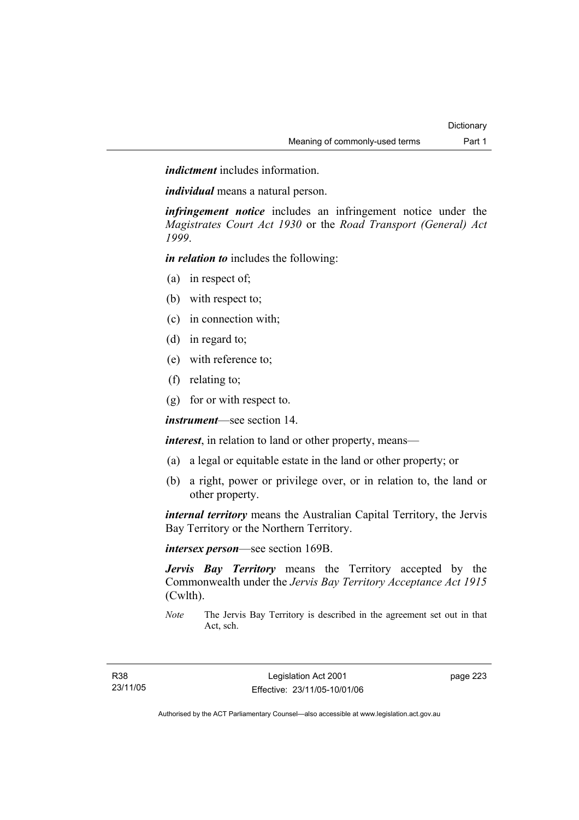*indictment* includes information.

*individual* means a natural person.

*infringement notice* includes an infringement notice under the *Magistrates Court Act 1930* or the *Road Transport (General) Act 1999*.

*in relation to* includes the following:

- (a) in respect of;
- (b) with respect to;
- (c) in connection with;
- (d) in regard to;
- (e) with reference to;
- (f) relating to;
- (g) for or with respect to.

*instrument*—see section 14.

*interest*, in relation to land or other property, means—

- (a) a legal or equitable estate in the land or other property; or
- (b) a right, power or privilege over, or in relation to, the land or other property.

*internal territory* means the Australian Capital Territory, the Jervis Bay Territory or the Northern Territory.

*intersex person*—see section 169B.

*Jervis Bay Territory* means the Territory accepted by the Commonwealth under the *Jervis Bay Territory Acceptance Act 1915* (Cwlth).

*Note* The Jervis Bay Territory is described in the agreement set out in that Act, sch.

page 223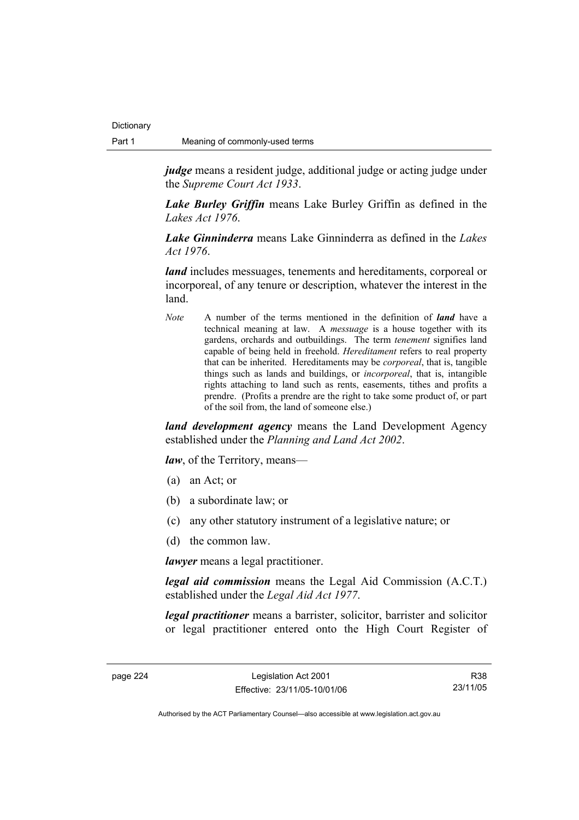*judge* means a resident judge, additional judge or acting judge under the *Supreme Court Act 1933*.

*Lake Burley Griffin* means Lake Burley Griffin as defined in the *Lakes Act 1976*.

*Lake Ginninderra* means Lake Ginninderra as defined in the *Lakes Act 1976*.

*land* includes messuages, tenements and hereditaments, corporeal or incorporeal, of any tenure or description, whatever the interest in the land.

*Note* A number of the terms mentioned in the definition of *land* have a technical meaning at law. A *messuage* is a house together with its gardens, orchards and outbuildings. The term *tenement* signifies land capable of being held in freehold. *Hereditament* refers to real property that can be inherited. Hereditaments may be *corporeal*, that is, tangible things such as lands and buildings, or *incorporeal*, that is, intangible rights attaching to land such as rents, easements, tithes and profits a prendre. (Profits a prendre are the right to take some product of, or part of the soil from, the land of someone else.)

*land development agency* means the Land Development Agency established under the *Planning and Land Act 2002*.

*law*, of the Territory, means—

- (a) an Act; or
- (b) a subordinate law; or
- (c) any other statutory instrument of a legislative nature; or
- (d) the common law.

*lawyer* means a legal practitioner.

*legal aid commission* means the Legal Aid Commission (A.C.T.) established under the *Legal Aid Act 1977*.

*legal practitioner* means a barrister, solicitor, barrister and solicitor or legal practitioner entered onto the High Court Register of

R38 23/11/05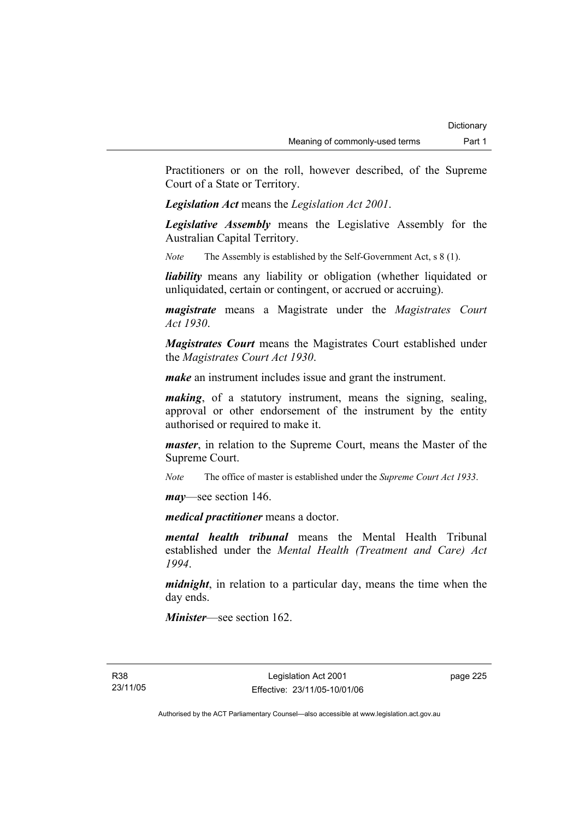Practitioners or on the roll, however described, of the Supreme Court of a State or Territory.

*Legislation Act* means the *Legislation Act 2001*.

*Legislative Assembly* means the Legislative Assembly for the Australian Capital Territory.

*Note* The Assembly is established by the Self-Government Act, s 8 (1).

*liability* means any liability or obligation (whether liquidated or unliquidated, certain or contingent, or accrued or accruing).

*magistrate* means a Magistrate under the *Magistrates Court Act 1930*.

*Magistrates Court* means the Magistrates Court established under the *Magistrates Court Act 1930*.

*make* an instrument includes issue and grant the instrument.

*making*, of a statutory instrument, means the signing, sealing, approval or other endorsement of the instrument by the entity authorised or required to make it.

*master*, in relation to the Supreme Court, means the Master of the Supreme Court.

*Note* The office of master is established under the *Supreme Court Act 1933*.

*may*—see section 146.

*medical practitioner* means a doctor.

*mental health tribunal* means the Mental Health Tribunal established under the *Mental Health (Treatment and Care) Act 1994*.

*midnight*, in relation to a particular day, means the time when the day ends.

*Minister*—see section 162.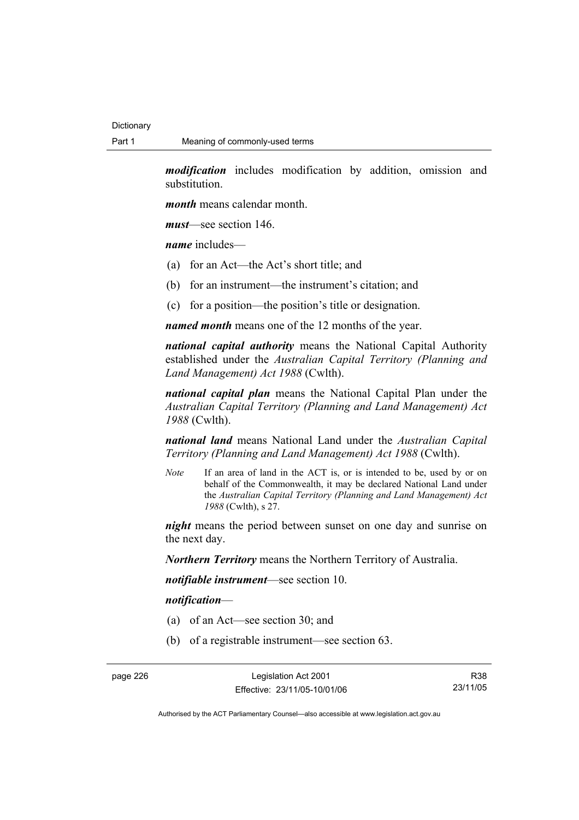*modification* includes modification by addition, omission and substitution.

*month* means calendar month.

*must*—see section 146.

*name* includes—

- (a) for an Act—the Act's short title; and
- (b) for an instrument—the instrument's citation; and
- (c) for a position—the position's title or designation.

*named month* means one of the 12 months of the year.

*national capital authority* means the National Capital Authority established under the *Australian Capital Territory (Planning and Land Management) Act 1988* (Cwlth).

*national capital plan* means the National Capital Plan under the *Australian Capital Territory (Planning and Land Management) Act 1988* (Cwlth).

*national land* means National Land under the *Australian Capital Territory (Planning and Land Management) Act 1988* (Cwlth).

*Note* If an area of land in the ACT is, or is intended to be, used by or on behalf of the Commonwealth, it may be declared National Land under the *Australian Capital Territory (Planning and Land Management) Act 1988* (Cwlth), s 27.

*night* means the period between sunset on one day and sunrise on the next day.

*Northern Territory* means the Northern Territory of Australia.

*notifiable instrument*—see section 10.

#### *notification*—

- (a) of an Act—see section 30; and
- (b) of a registrable instrument—see section 63.

page 226 Legislation Act 2001 Effective: 23/11/05-10/01/06

R38 23/11/05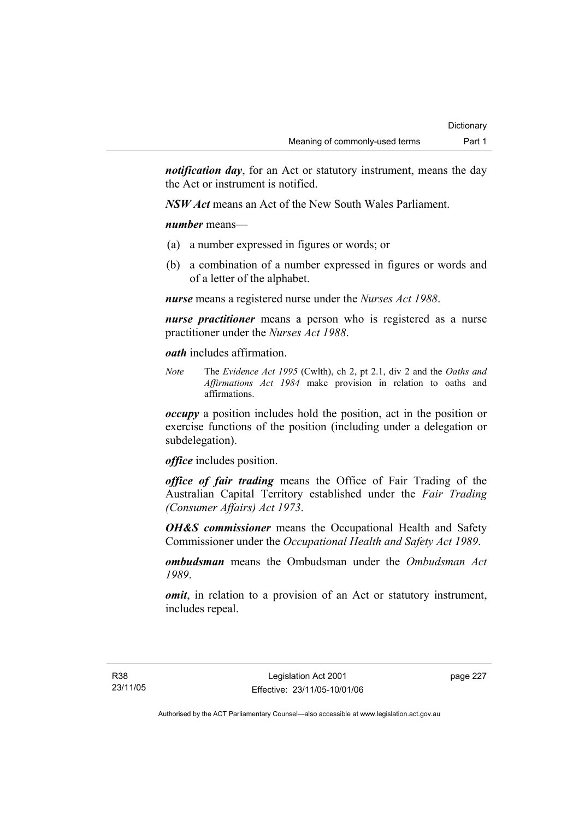*notification day*, for an Act or statutory instrument, means the day the Act or instrument is notified.

*NSW Act* means an Act of the New South Wales Parliament.

*number* means—

- (a) a number expressed in figures or words; or
- (b) a combination of a number expressed in figures or words and of a letter of the alphabet.

*nurse* means a registered nurse under the *Nurses Act 1988*.

*nurse practitioner* means a person who is registered as a nurse practitioner under the *Nurses Act 1988*.

*oath* includes affirmation.

*Note* The *Evidence Act 1995* (Cwlth), ch 2, pt 2.1, div 2 and the *Oaths and Affirmations Act 1984* make provision in relation to oaths and affirmations.

*occupy* a position includes hold the position, act in the position or exercise functions of the position (including under a delegation or subdelegation).

*office* includes position.

*office of fair trading* means the Office of Fair Trading of the Australian Capital Territory established under the *Fair Trading (Consumer Affairs) Act 1973*.

*OH&S commissioner* means the Occupational Health and Safety Commissioner under the *Occupational Health and Safety Act 1989*.

*ombudsman* means the Ombudsman under the *Ombudsman Act 1989*.

*omit*, in relation to a provision of an Act or statutory instrument, includes repeal.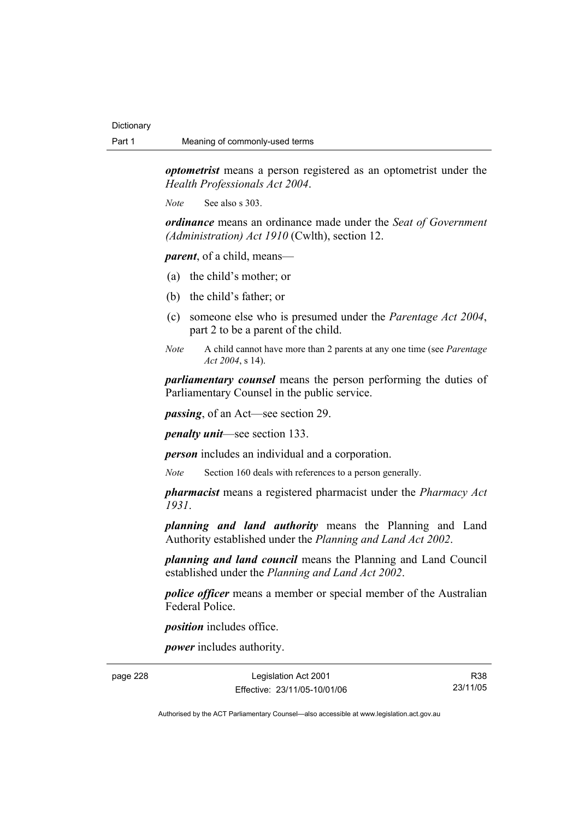*optometrist* means a person registered as an optometrist under the *Health Professionals Act 2004*.

*Note* See also s 303.

*ordinance* means an ordinance made under the *Seat of Government (Administration) Act 1910* (Cwlth), section 12.

*parent*, of a child, means—

- (a) the child's mother; or
- (b) the child's father; or
- (c) someone else who is presumed under the *Parentage Act 2004*, part 2 to be a parent of the child.
- *Note* A child cannot have more than 2 parents at any one time (see *Parentage Act 2004*, s 14).

*parliamentary counsel* means the person performing the duties of Parliamentary Counsel in the public service.

*passing*, of an Act—see section 29.

*penalty unit*—see section 133.

*person* includes an individual and a corporation.

*Note* Section 160 deals with references to a person generally.

*pharmacist* means a registered pharmacist under the *Pharmacy Act 1931*.

*planning and land authority* means the Planning and Land Authority established under the *Planning and Land Act 2002*.

*planning and land council* means the Planning and Land Council established under the *Planning and Land Act 2002*.

*police officer* means a member or special member of the Australian Federal Police.

*position* includes office.

*power* includes authority.

page 228 Legislation Act 2001 Effective: 23/11/05-10/01/06

R38 23/11/05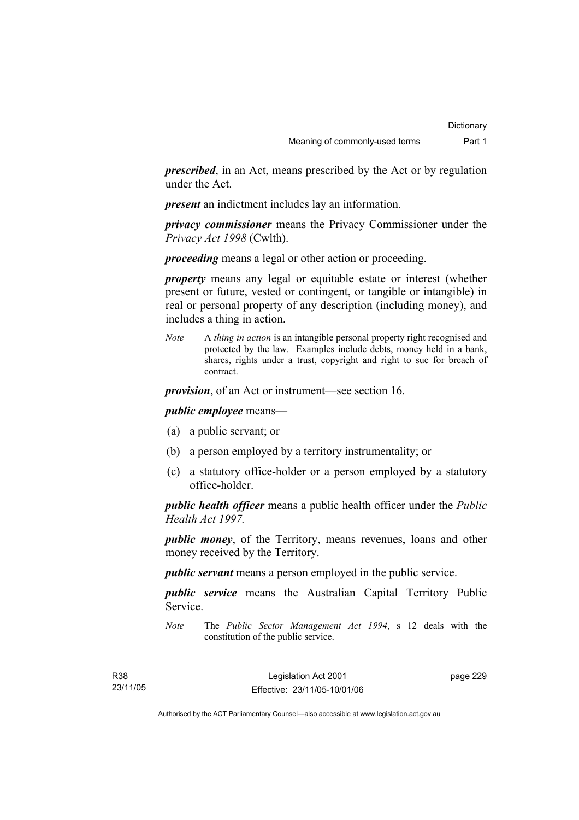*prescribed*, in an Act, means prescribed by the Act or by regulation under the Act.

*present* an indictment includes lay an information.

*privacy commissioner* means the Privacy Commissioner under the *Privacy Act 1998* (Cwlth).

*proceeding* means a legal or other action or proceeding.

*property* means any legal or equitable estate or interest (whether present or future, vested or contingent, or tangible or intangible) in real or personal property of any description (including money), and includes a thing in action.

*Note* A *thing in action* is an intangible personal property right recognised and protected by the law. Examples include debts, money held in a bank, shares, rights under a trust, copyright and right to sue for breach of contract.

*provision*, of an Act or instrument—see section 16.

*public employee* means—

- (a) a public servant; or
- (b) a person employed by a territory instrumentality; or
- (c) a statutory office-holder or a person employed by a statutory office-holder.

*public health officer* means a public health officer under the *Public Health Act 1997.*

*public money*, of the Territory, means revenues, loans and other money received by the Territory.

*public servant* means a person employed in the public service.

*public service* means the Australian Capital Territory Public Service.

*Note* The *Public Sector Management Act 1994*, s 12 deals with the constitution of the public service.

page 229

Authorised by the ACT Parliamentary Counsel—also accessible at www.legislation.act.gov.au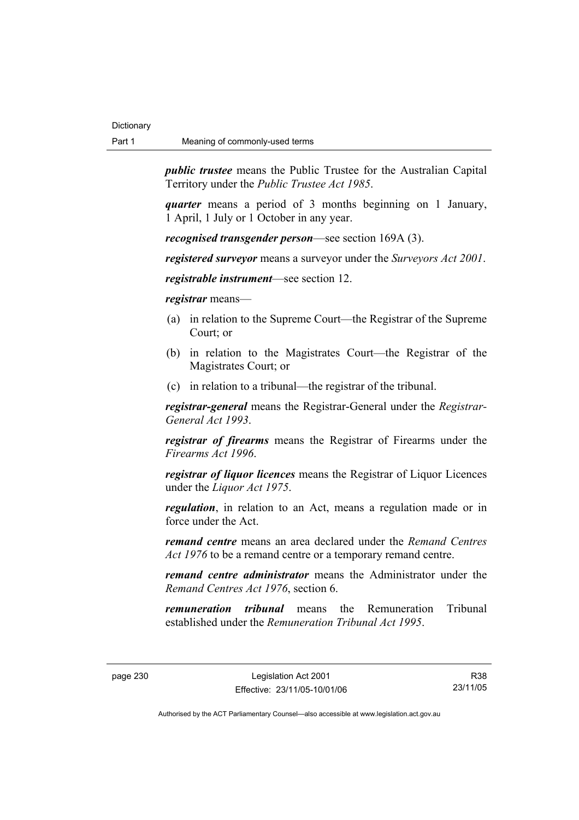*public trustee* means the Public Trustee for the Australian Capital Territory under the *Public Trustee Act 1985*.

*quarter* means a period of 3 months beginning on 1 January, 1 April, 1 July or 1 October in any year.

*recognised transgender person*—see section 169A (3).

*registered surveyor* means a surveyor under the *Surveyors Act 2001*.

*registrable instrument*—see section 12.

*registrar* means—

- (a) in relation to the Supreme Court—the Registrar of the Supreme Court; or
- (b) in relation to the Magistrates Court—the Registrar of the Magistrates Court; or
- (c) in relation to a tribunal—the registrar of the tribunal.

*registrar-general* means the Registrar-General under the *Registrar-General Act 1993*.

*registrar of firearms* means the Registrar of Firearms under the *Firearms Act 1996*.

*registrar of liquor licences* means the Registrar of Liquor Licences under the *Liquor Act 1975*.

*regulation*, in relation to an Act, means a regulation made or in force under the Act.

*remand centre* means an area declared under the *Remand Centres Act 1976* to be a remand centre or a temporary remand centre.

*remand centre administrator* means the Administrator under the *Remand Centres Act 1976*, section 6.

*remuneration tribunal* means the Remuneration Tribunal established under the *Remuneration Tribunal Act 1995*.

R38 23/11/05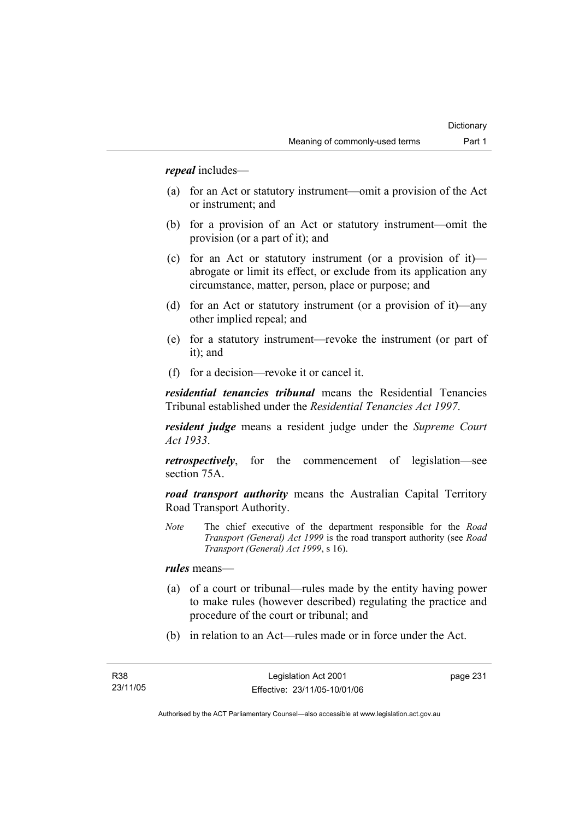*repeal* includes—

- (a) for an Act or statutory instrument—omit a provision of the Act or instrument; and
- (b) for a provision of an Act or statutory instrument—omit the provision (or a part of it); and
- (c) for an Act or statutory instrument (or a provision of it) abrogate or limit its effect, or exclude from its application any circumstance, matter, person, place or purpose; and
- (d) for an Act or statutory instrument (or a provision of it)—any other implied repeal; and
- (e) for a statutory instrument—revoke the instrument (or part of it); and
- (f) for a decision—revoke it or cancel it.

*residential tenancies tribunal* means the Residential Tenancies Tribunal established under the *Residential Tenancies Act 1997*.

*resident judge* means a resident judge under the *Supreme Court Act 1933*.

*retrospectively*, for the commencement of legislation—see section 75A.

*road transport authority* means the Australian Capital Territory Road Transport Authority.

*Note* The chief executive of the department responsible for the *Road Transport (General) Act 1999* is the road transport authority (see *Road Transport (General) Act 1999*, s 16).

*rules* means—

- (a) of a court or tribunal—rules made by the entity having power to make rules (however described) regulating the practice and procedure of the court or tribunal; and
- (b) in relation to an Act—rules made or in force under the Act.

page 231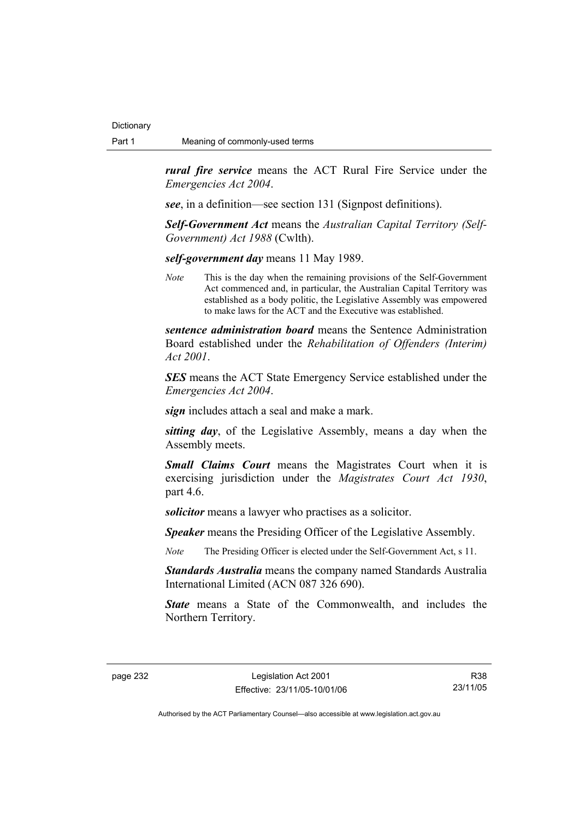*rural fire service* means the ACT Rural Fire Service under the *Emergencies Act 2004*.

*see*, in a definition—see section 131 (Signpost definitions).

*Self-Government Act* means the *Australian Capital Territory (Self-Government) Act 1988* (Cwlth).

*self-government day* means 11 May 1989.

*Note* This is the day when the remaining provisions of the Self-Government Act commenced and, in particular, the Australian Capital Territory was established as a body politic, the Legislative Assembly was empowered to make laws for the ACT and the Executive was established.

*sentence administration board* means the Sentence Administration Board established under the *Rehabilitation of Offenders (Interim) Act 2001*.

*SES* means the ACT State Emergency Service established under the *Emergencies Act 2004*.

*sign* includes attach a seal and make a mark.

*sitting day*, of the Legislative Assembly, means a day when the Assembly meets.

*Small Claims Court* means the Magistrates Court when it is exercising jurisdiction under the *Magistrates Court Act 1930*, part 4.6.

*solicitor* means a lawyer who practises as a solicitor.

*Speaker* means the Presiding Officer of the Legislative Assembly.

*Note* The Presiding Officer is elected under the Self-Government Act, s 11.

*Standards Australia* means the company named Standards Australia International Limited (ACN 087 326 690).

*State* means a State of the Commonwealth, and includes the Northern Territory.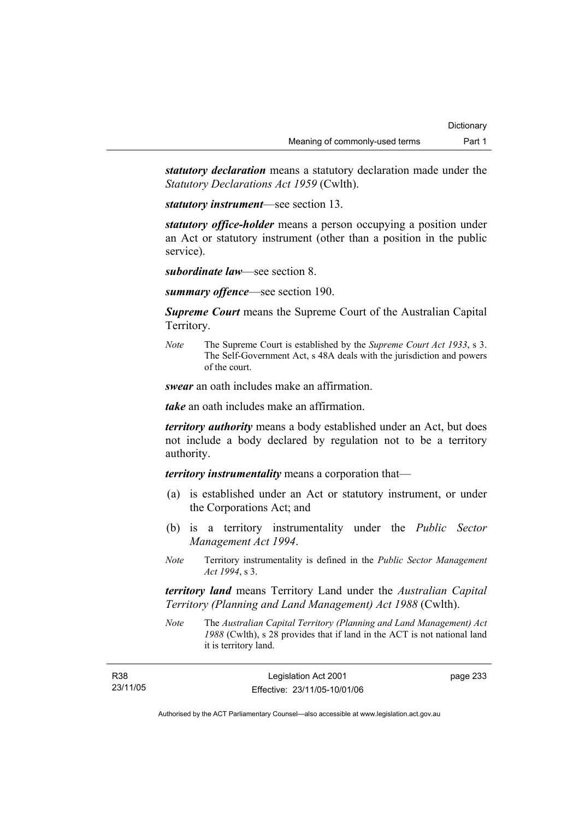*statutory declaration* means a statutory declaration made under the *Statutory Declarations Act 1959* (Cwlth).

*statutory instrument*—see section 13.

*statutory office-holder* means a person occupying a position under an Act or statutory instrument (other than a position in the public service).

*subordinate law*—see section 8.

*summary offence*—see section 190.

*Supreme Court* means the Supreme Court of the Australian Capital Territory.

*Note* The Supreme Court is established by the *Supreme Court Act 1933*, s 3. The Self-Government Act, s 48A deals with the jurisdiction and powers of the court.

*swear* an oath includes make an affirmation.

*take* an oath includes make an affirmation.

*territory authority* means a body established under an Act, but does not include a body declared by regulation not to be a territory authority.

*territory instrumentality* means a corporation that—

- (a) is established under an Act or statutory instrument, or under the Corporations Act; and
- (b) is a territory instrumentality under the *Public Sector Management Act 1994*.
- *Note* Territory instrumentality is defined in the *Public Sector Management Act 1994*, s 3.

*territory land* means Territory Land under the *Australian Capital Territory (Planning and Land Management) Act 1988* (Cwlth).

*Note* The *Australian Capital Territory (Planning and Land Management) Act 1988* (Cwlth), s 28 provides that if land in the ACT is not national land it is territory land.

| <b>R38</b> | Legislation Act 2001         | page 233 |
|------------|------------------------------|----------|
| 23/11/05   | Effective: 23/11/05-10/01/06 |          |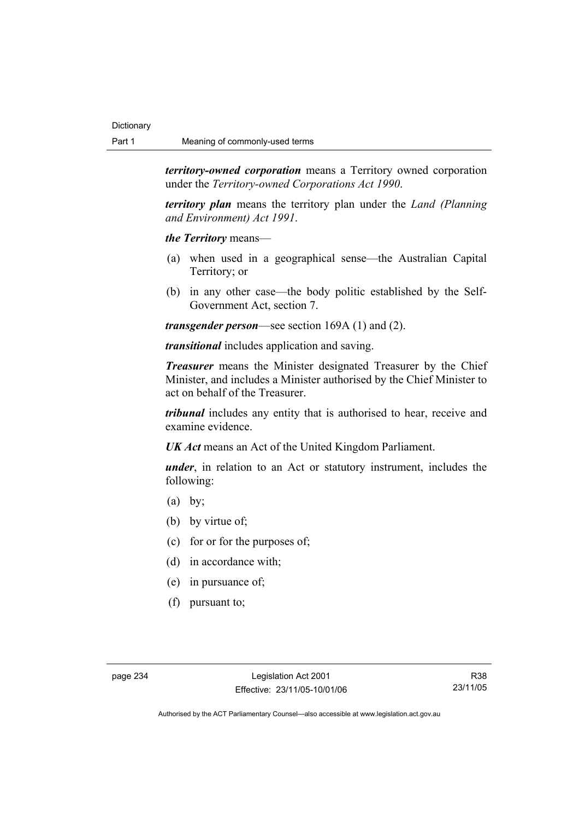*territory-owned corporation* means a Territory owned corporation under the *Territory-owned Corporations Act 1990*.

*territory plan* means the territory plan under the *Land (Planning and Environment) Act 1991*.

*the Territory* means—

- (a) when used in a geographical sense—the Australian Capital Territory; or
- (b) in any other case—the body politic established by the Self-Government Act, section 7.

*transgender person*—see section 169A (1) and (2).

*transitional* includes application and saving.

*Treasurer* means the Minister designated Treasurer by the Chief Minister, and includes a Minister authorised by the Chief Minister to act on behalf of the Treasurer.

*tribunal* includes any entity that is authorised to hear, receive and examine evidence.

*UK Act* means an Act of the United Kingdom Parliament.

*under*, in relation to an Act or statutory instrument, includes the following:

- $(a)$  by;
- (b) by virtue of;
- (c) for or for the purposes of;
- (d) in accordance with;
- (e) in pursuance of;
- (f) pursuant to;

R38 23/11/05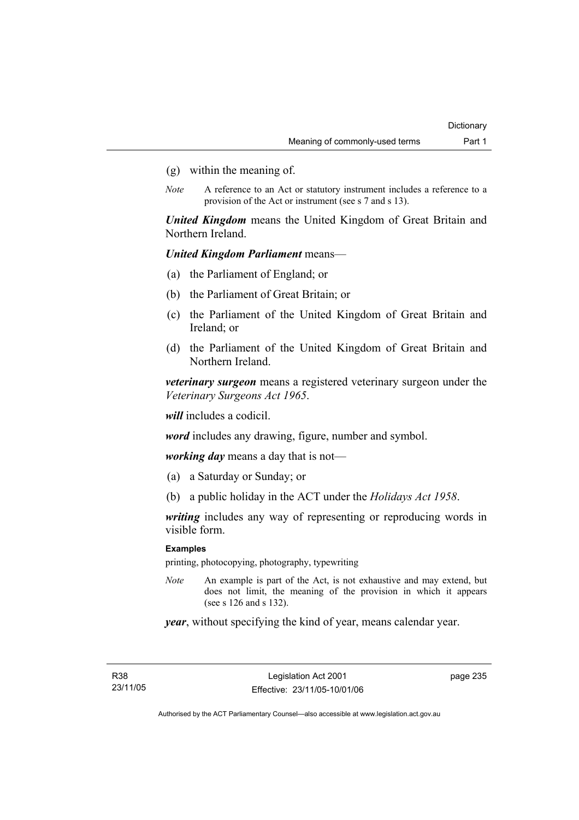- (g) within the meaning of.
- *Note* A reference to an Act or statutory instrument includes a reference to a provision of the Act or instrument (see s 7 and s 13).

*United Kingdom* means the United Kingdom of Great Britain and Northern Ireland.

### *United Kingdom Parliament* means—

- (a) the Parliament of England; or
- (b) the Parliament of Great Britain; or
- (c) the Parliament of the United Kingdom of Great Britain and Ireland; or
- (d) the Parliament of the United Kingdom of Great Britain and Northern Ireland.

*veterinary surgeon* means a registered veterinary surgeon under the *Veterinary Surgeons Act 1965*.

*will* includes a codicil.

*word* includes any drawing, figure, number and symbol.

*working day* means a day that is not—

- (a) a Saturday or Sunday; or
- (b) a public holiday in the ACT under the *Holidays Act 1958*.

*writing* includes any way of representing or reproducing words in visible form.

#### **Examples**

printing, photocopying, photography, typewriting

*Note* An example is part of the Act, is not exhaustive and may extend, but does not limit, the meaning of the provision in which it appears (see s 126 and s 132).

*year*, without specifying the kind of year, means calendar year.

R38 23/11/05 page 235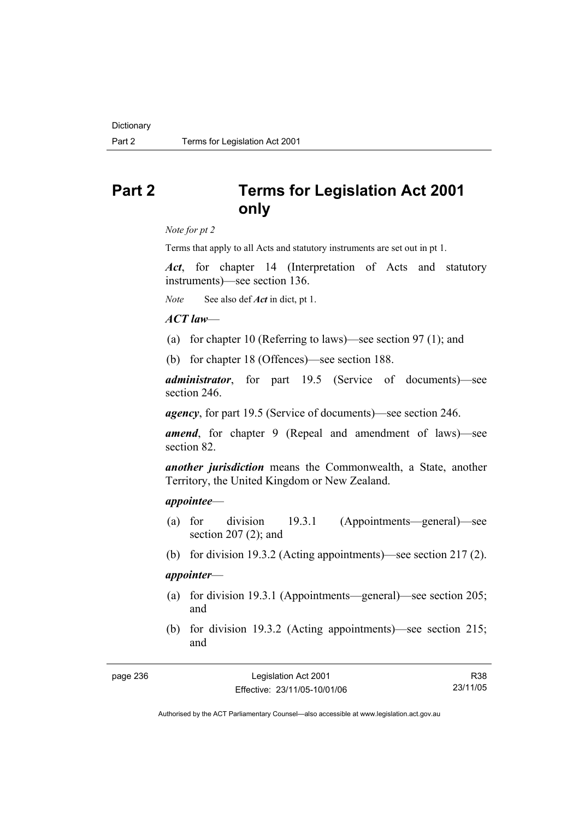## **Part 2 Terms for Legislation Act 2001 only**

*Note for pt 2* 

Terms that apply to all Acts and statutory instruments are set out in pt 1.

*Act*, for chapter 14 (Interpretation of Acts and statutory instruments)—see section 136.

*Note* See also def *Act* in dict, pt 1.

### *ACT law*—

- (a) for chapter 10 (Referring to laws)—see section 97 (1); and
- (b) for chapter 18 (Offences)—see section 188.

*administrator*, for part 19.5 (Service of documents)—see section 246.

*agency*, for part 19.5 (Service of documents)—see section 246.

*amend*, for chapter 9 (Repeal and amendment of laws)—see section 82.

*another jurisdiction* means the Commonwealth, a State, another Territory, the United Kingdom or New Zealand.

#### *appointee*—

- (a) for division 19.3.1 (Appointments—general)—see section 207 (2); and
- (b) for division 19.3.2 (Acting appointments)—see section 217 (2).

### *appointer*—

- (a) for division 19.3.1 (Appointments—general)—see section 205; and
- (b) for division 19.3.2 (Acting appointments)—see section 215; and

R38 23/11/05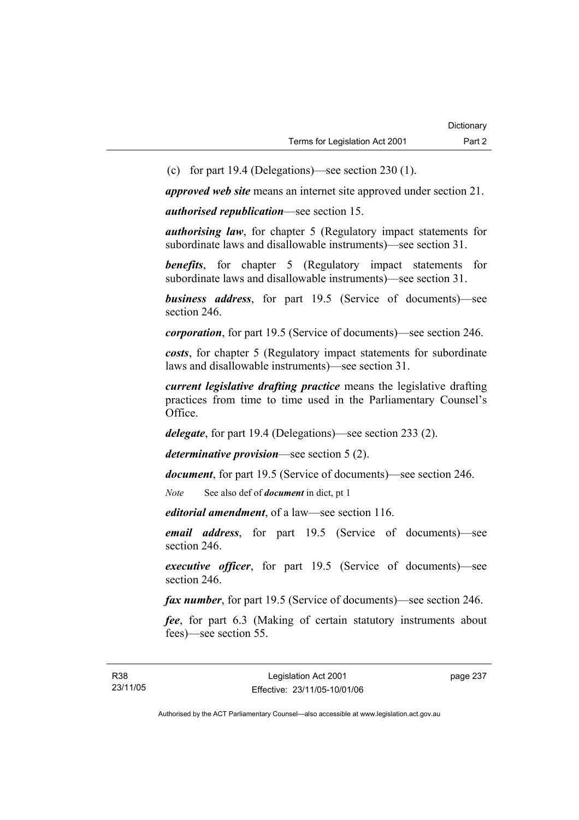(c) for part 19.4 (Delegations)—see section 230 (1).

*approved web site* means an internet site approved under section 21.

*authorised republication*—see section 15.

*authorising law*, for chapter 5 (Regulatory impact statements for subordinate laws and disallowable instruments)—see section 31.

**benefits**, for chapter 5 (Regulatory impact statements for subordinate laws and disallowable instruments)—see section 31.

*business address*, for part 19.5 (Service of documents)—see section 246.

*corporation*, for part 19.5 (Service of documents)—see section 246.

*costs*, for chapter 5 (Regulatory impact statements for subordinate laws and disallowable instruments)—see section 31.

*current legislative drafting practice* means the legislative drafting practices from time to time used in the Parliamentary Counsel's Office.

*delegate*, for part 19.4 (Delegations)—see section 233 (2).

*determinative provision*—see section 5 (2).

*document*, for part 19.5 (Service of documents)—see section 246.

*Note* See also def of *document* in dict, pt 1

*editorial amendment*, of a law—see section 116.

*email address*, for part 19.5 (Service of documents)—see section 246.

*executive officer*, for part 19.5 (Service of documents)—see section 246.

*fax number*, for part 19.5 (Service of documents)—see section 246.

*fee*, for part 6.3 (Making of certain statutory instruments about fees)—see section 55.

page 237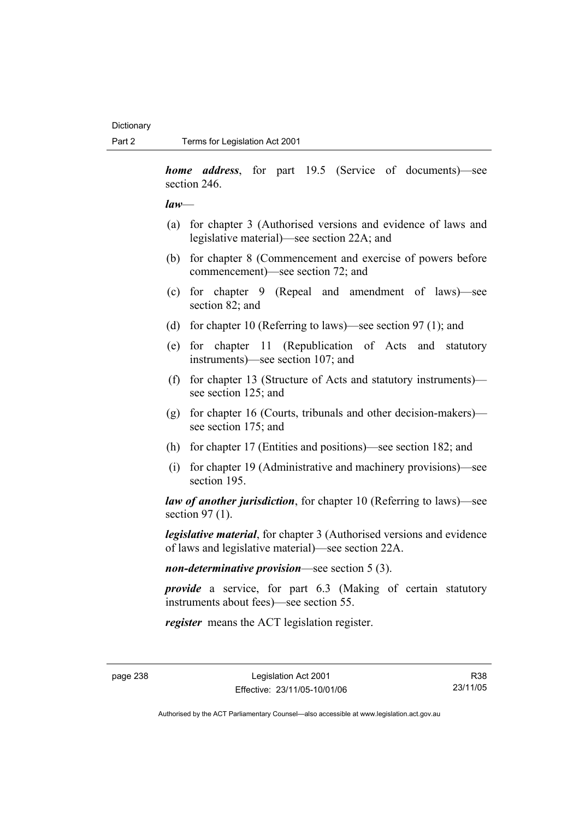*home address*, for part 19.5 (Service of documents)—see section 246.

*law*—

- (a) for chapter 3 (Authorised versions and evidence of laws and legislative material)—see section 22A; and
- (b) for chapter 8 (Commencement and exercise of powers before commencement)—see section 72; and
- (c) for chapter 9 (Repeal and amendment of laws)—see section 82; and
- (d) for chapter 10 (Referring to laws)—see section 97 (1); and
- (e) for chapter 11 (Republication of Acts and statutory instruments)—see section 107; and
- (f) for chapter 13 (Structure of Acts and statutory instruments) see section 125; and
- (g) for chapter 16 (Courts, tribunals and other decision-makers) see section 175; and
- (h) for chapter 17 (Entities and positions)—see section 182; and
- (i) for chapter 19 (Administrative and machinery provisions)—see section 195.

*law of another jurisdiction*, for chapter 10 (Referring to laws)—see section 97 (1).

*legislative material*, for chapter 3 (Authorised versions and evidence of laws and legislative material)—see section 22A.

*non-determinative provision*—see section 5 (3).

*provide* a service, for part 6.3 (Making of certain statutory instruments about fees)—see section 55.

*register* means the ACT legislation register.

Authorised by the ACT Parliamentary Counsel—also accessible at www.legislation.act.gov.au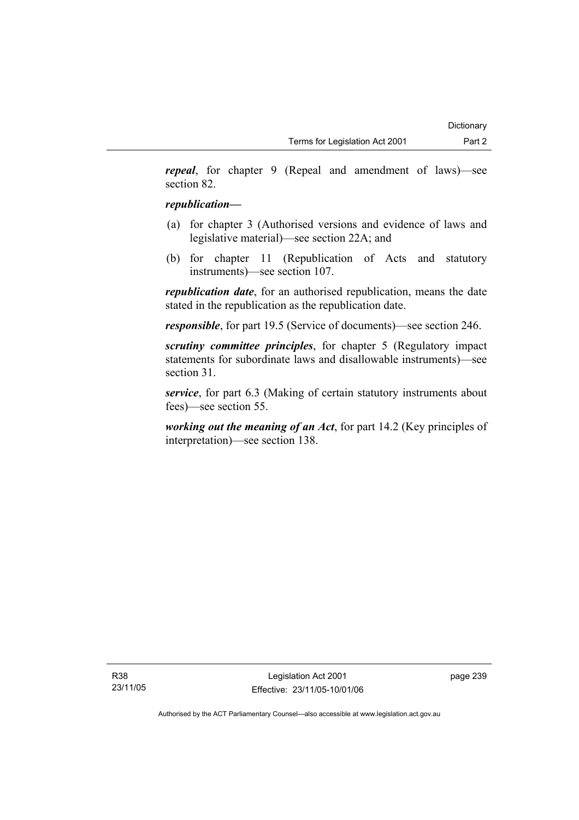*repeal*, for chapter 9 (Repeal and amendment of laws)—see section 82.

# *republication—*

- (a) for chapter 3 (Authorised versions and evidence of laws and legislative material)—see section 22A; and
- (b) for chapter 11 (Republication of Acts and statutory instruments)—see section 107.

*republication date*, for an authorised republication, means the date stated in the republication as the republication date.

*responsible*, for part 19.5 (Service of documents)—see section 246.

*scrutiny committee principles*, for chapter 5 (Regulatory impact statements for subordinate laws and disallowable instruments)—see section 31.

*service*, for part 6.3 (Making of certain statutory instruments about fees)—see section 55.

*working out the meaning of an Act*, for part 14.2 (Key principles of interpretation)—see section 138.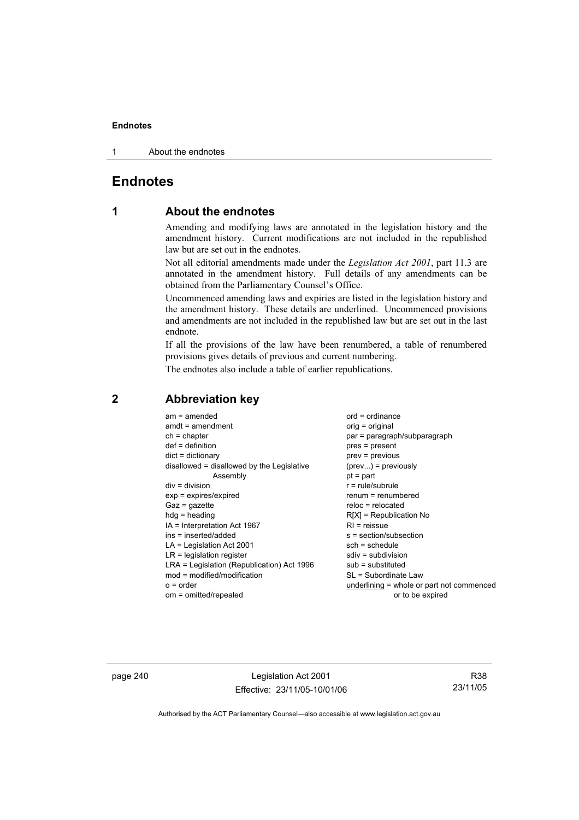1 About the endnotes

# **Endnotes**

# **1 About the endnotes**

Amending and modifying laws are annotated in the legislation history and the amendment history. Current modifications are not included in the republished law but are set out in the endnotes.

Not all editorial amendments made under the *Legislation Act 2001*, part 11.3 are annotated in the amendment history. Full details of any amendments can be obtained from the Parliamentary Counsel's Office.

Uncommenced amending laws and expiries are listed in the legislation history and the amendment history. These details are underlined. Uncommenced provisions and amendments are not included in the republished law but are set out in the last endnote.

If all the provisions of the law have been renumbered, a table of renumbered provisions gives details of previous and current numbering.

The endnotes also include a table of earlier republications.

| $am = amended$                             | $ord = ordinance$                           |
|--------------------------------------------|---------------------------------------------|
| $amdt = amendment$                         | $orig = original$                           |
| $ch = chapter$                             | par = paragraph/subparagraph                |
| $def = definition$                         | pres = present                              |
| $dict = dictionary$                        | prev = previous                             |
| disallowed = disallowed by the Legislative | $(\text{prev}) = \text{previously}$         |
| Assembly                                   | $pt = part$                                 |
| $div = division$                           | $r = rule/subrule$                          |
| $exp = expires/expired$                    | renum = renumbered                          |
| $Gaz = gazette$                            | $reloc = relocated$                         |
| $hdg =$ heading                            | $R[X]$ = Republication No                   |
| IA = Interpretation Act 1967               | $RI =$ reissue                              |
| ins = inserted/added                       | s = section/subsection                      |
| $LA =$ Legislation Act 2001                | $sch = schedule$                            |
| $LR =$ legislation register                | $sdiv = subdivision$                        |
| LRA = Legislation (Republication) Act 1996 | $sub =$ substituted                         |
| $mod = modified/modification$              | SL = Subordinate Law                        |
| $o = order$                                | $underlining = whole or part not commenced$ |
| om = omitted/repealed                      | or to be expired                            |

# **2 Abbreviation key**

page 240 Legislation Act 2001 Effective: 23/11/05-10/01/06

R38 23/11/05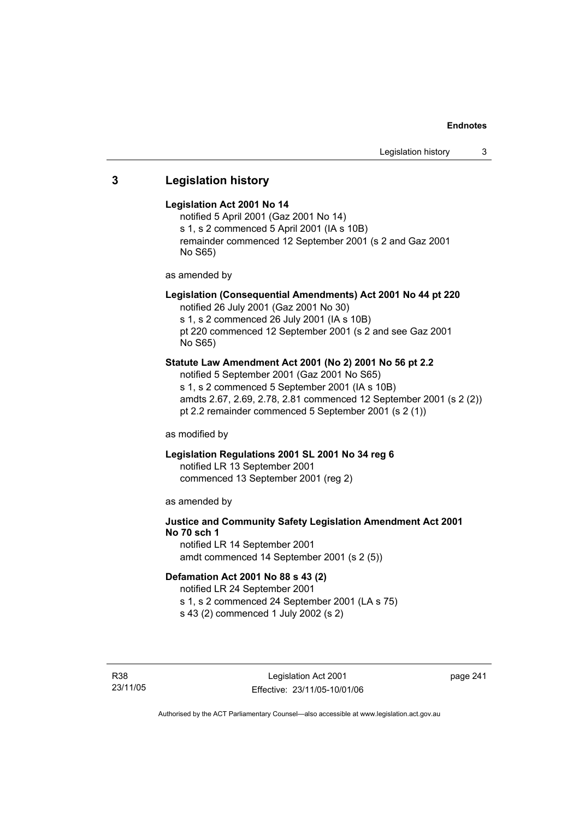# **3 Legislation history**

#### **Legislation Act 2001 No 14**

notified 5 April 2001 (Gaz 2001 No 14) s 1, s 2 commenced 5 April 2001 (IA s 10B) remainder commenced 12 September 2001 (s 2 and Gaz 2001 No S65)

as amended by

# **Legislation (Consequential Amendments) Act 2001 No 44 pt 220**

notified 26 July 2001 (Gaz 2001 No 30) s 1, s 2 commenced 26 July 2001 (IA s 10B)

pt 220 commenced 12 September 2001 (s 2 and see Gaz 2001 No S65)

# **Statute Law Amendment Act 2001 (No 2) 2001 No 56 pt 2.2**

notified 5 September 2001 (Gaz 2001 No S65) s 1, s 2 commenced 5 September 2001 (IA s 10B) amdts 2.67, 2.69, 2.78, 2.81 commenced 12 September 2001 (s 2 (2)) pt 2.2 remainder commenced 5 September 2001 (s 2 (1))

as modified by

# **Legislation Regulations 2001 SL 2001 No 34 reg 6**

notified LR 13 September 2001 commenced 13 September 2001 (reg 2)

as amended by

# **Justice and Community Safety Legislation Amendment Act 2001 No 70 sch 1**

notified LR 14 September 2001 amdt commenced 14 September 2001 (s 2 (5))

#### **Defamation Act 2001 No 88 s 43 (2)**

notified LR 24 September 2001 s 1, s 2 commenced 24 September 2001 (LA s 75)

s 43 (2) commenced 1 July 2002 (s 2)

R38 23/11/05 page 241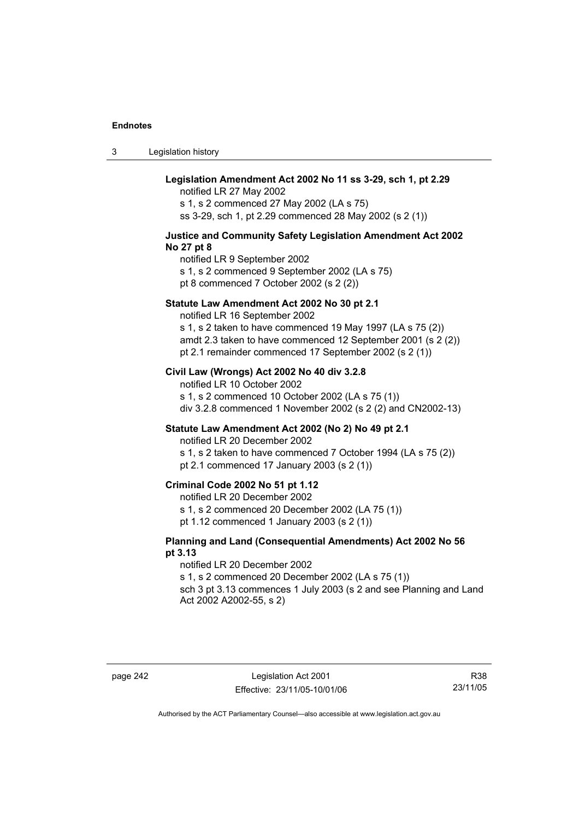3 Legislation history

# **Legislation Amendment Act 2002 No 11 ss 3-29, sch 1, pt 2.29**

notified LR 27 May 2002 s 1, s 2 commenced 27 May 2002 (LA s 75) ss 3-29, sch 1, pt 2.29 commenced 28 May 2002 (s 2 (1))

#### **Justice and Community Safety Legislation Amendment Act 2002 No 27 pt 8**

notified LR 9 September 2002 s 1, s 2 commenced 9 September 2002 (LA s 75) pt 8 commenced 7 October 2002 (s 2 (2))

#### **Statute Law Amendment Act 2002 No 30 pt 2.1**

notified LR 16 September 2002

s 1, s 2 taken to have commenced 19 May 1997 (LA s 75 (2)) amdt 2.3 taken to have commenced 12 September 2001 (s 2 (2)) pt 2.1 remainder commenced 17 September 2002 (s 2 (1))

#### **Civil Law (Wrongs) Act 2002 No 40 div 3.2.8**

notified LR 10 October 2002 s 1, s 2 commenced 10 October 2002 (LA s 75 (1)) div 3.2.8 commenced 1 November 2002 (s 2 (2) and CN2002-13)

#### **Statute Law Amendment Act 2002 (No 2) No 49 pt 2.1**

notified LR 20 December 2002

s 1, s 2 taken to have commenced 7 October 1994 (LA s 75 (2)) pt 2.1 commenced 17 January 2003 (s 2 (1))

#### **Criminal Code 2002 No 51 pt 1.12**

notified LR 20 December 2002

s 1, s 2 commenced 20 December 2002 (LA 75 (1))

pt 1.12 commenced 1 January 2003 (s 2 (1))

#### **Planning and Land (Consequential Amendments) Act 2002 No 56 pt 3.13**

#### notified LR 20 December 2002

s 1, s 2 commenced 20 December 2002 (LA s 75 (1))

sch 3 pt 3.13 commences 1 July 2003 (s 2 and see Planning and Land Act 2002 A2002-55, s 2)

R38 23/11/05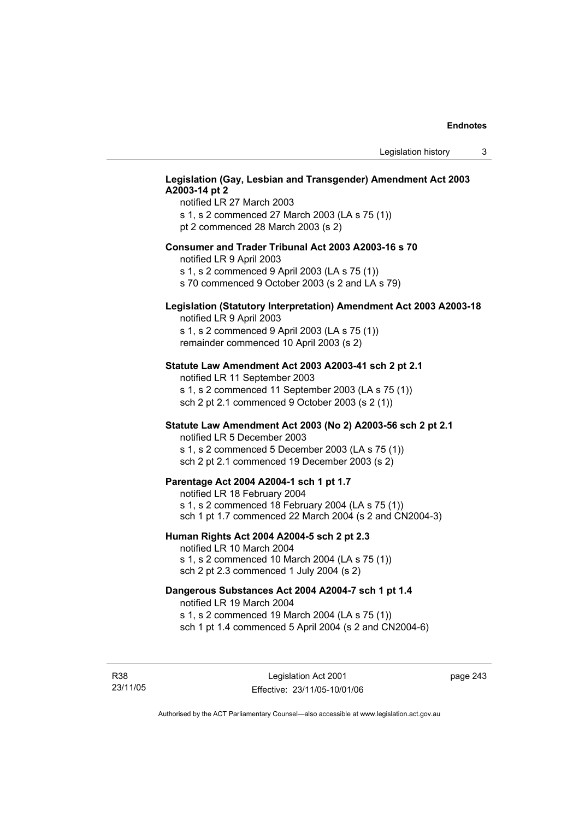# **Legislation (Gay, Lesbian and Transgender) Amendment Act 2003 A2003-14 pt 2**

notified LR 27 March 2003 s 1, s 2 commenced 27 March 2003 (LA s 75 (1)) pt 2 commenced 28 March 2003 (s 2)

#### **Consumer and Trader Tribunal Act 2003 A2003-16 s 70**

notified LR 9 April 2003

s 1, s 2 commenced 9 April 2003 (LA s 75 (1))

s 70 commenced 9 October 2003 (s 2 and LA s 79)

# **Legislation (Statutory Interpretation) Amendment Act 2003 A2003-18**

notified LR 9 April 2003 s 1, s 2 commenced 9 April 2003 (LA s 75 (1)) remainder commenced 10 April 2003 (s 2)

#### **Statute Law Amendment Act 2003 A2003-41 sch 2 pt 2.1**

notified LR 11 September 2003 s 1, s 2 commenced 11 September 2003 (LA s 75 (1)) sch 2 pt 2.1 commenced 9 October 2003 (s 2 (1))

#### **Statute Law Amendment Act 2003 (No 2) A2003-56 sch 2 pt 2.1**

notified LR 5 December 2003 s 1, s 2 commenced 5 December 2003 (LA s 75 (1)) sch 2 pt 2.1 commenced 19 December 2003 (s 2)

#### **Parentage Act 2004 A2004-1 sch 1 pt 1.7**

notified LR 18 February 2004 s 1, s 2 commenced 18 February 2004 (LA s 75 (1)) sch 1 pt 1.7 commenced 22 March 2004 (s 2 and CN2004-3)

#### **Human Rights Act 2004 A2004-5 sch 2 pt 2.3**

notified LR 10 March 2004 s 1, s 2 commenced 10 March 2004 (LA s 75 (1)) sch 2 pt 2.3 commenced 1 July 2004 (s 2)

#### **Dangerous Substances Act 2004 A2004-7 sch 1 pt 1.4**

notified LR 19 March 2004 s 1, s 2 commenced 19 March 2004 (LA s 75 (1)) sch 1 pt 1.4 commenced 5 April 2004 (s 2 and CN2004-6)

R38 23/11/05 page 243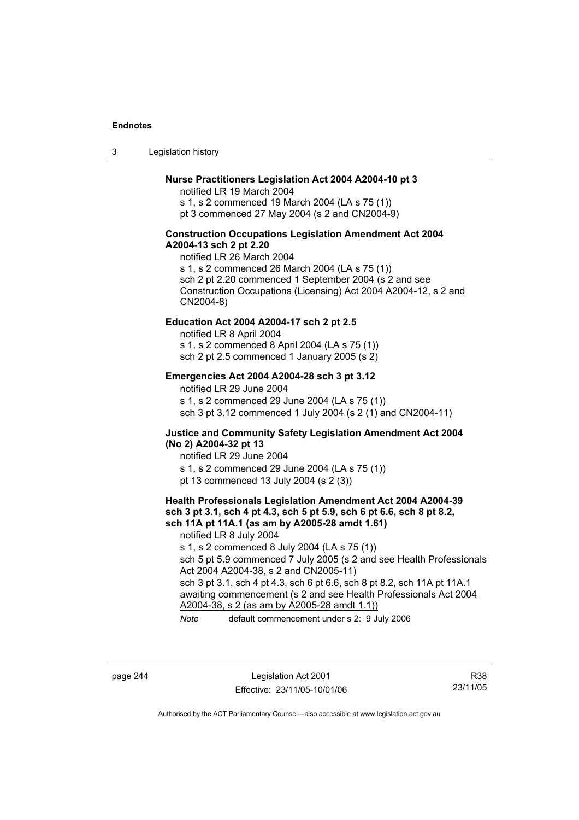3 Legislation history

#### **Nurse Practitioners Legislation Act 2004 A2004-10 pt 3**

notified LR 19 March 2004 s 1, s 2 commenced 19 March 2004 (LA s 75 (1)) pt 3 commenced 27 May 2004 (s 2 and CN2004-9)

#### **Construction Occupations Legislation Amendment Act 2004 A2004-13 sch 2 pt 2.20**

notified LR 26 March 2004 s 1, s 2 commenced 26 March 2004 (LA s 75 (1)) sch 2 pt 2.20 commenced 1 September 2004 (s 2 and see Construction Occupations (Licensing) Act 2004 A2004-12, s 2 and CN2004-8)

#### **Education Act 2004 A2004-17 sch 2 pt 2.5**

notified LR 8 April 2004 s 1, s 2 commenced 8 April 2004 (LA s 75 (1))

sch 2 pt 2.5 commenced 1 January 2005 (s 2)

#### **Emergencies Act 2004 A2004-28 sch 3 pt 3.12**

notified LR 29 June 2004

s 1, s 2 commenced 29 June 2004 (LA s 75 (1)) sch 3 pt 3.12 commenced 1 July 2004 (s 2 (1) and CN2004-11)

#### **Justice and Community Safety Legislation Amendment Act 2004 (No 2) A2004-32 pt 13**

notified LR 29 June 2004 s 1, s 2 commenced 29 June 2004 (LA s 75 (1)) pt 13 commenced 13 July 2004 (s 2 (3))

#### **Health Professionals Legislation Amendment Act 2004 A2004-39 sch 3 pt 3.1, sch 4 pt 4.3, sch 5 pt 5.9, sch 6 pt 6.6, sch 8 pt 8.2, sch 11A pt 11A.1 (as am by A2005-28 amdt 1.61)**

notified LR 8 July 2004 s 1, s 2 commenced 8 July 2004 (LA s 75 (1)) sch 5 pt 5.9 commenced 7 July 2005 (s 2 and see Health Professionals Act 2004 A2004-38, s 2 and CN2005-11) sch 3 pt 3.1, sch 4 pt 4.3, sch 6 pt 6.6, sch 8 pt 8.2, sch 11A pt 11A.1 awaiting commencement (s 2 and see Health Professionals Act 2004 A2004-38, s 2 (as am by A2005-28 amdt 1.1))

*Note* default commencement under s 2: 9 July 2006

page 244 Legislation Act 2001 Effective: 23/11/05-10/01/06

R38 23/11/05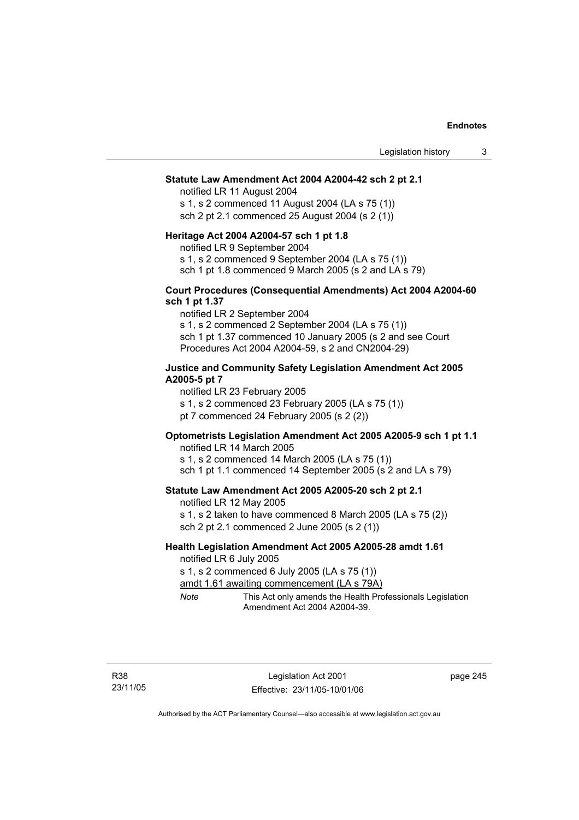#### **Statute Law Amendment Act 2004 A2004-42 sch 2 pt 2.1**

notified LR 11 August 2004 s 1, s 2 commenced 11 August 2004 (LA s 75 (1)) sch 2 pt 2.1 commenced 25 August 2004 (s 2 (1))

#### **Heritage Act 2004 A2004-57 sch 1 pt 1.8**

notified LR 9 September 2004

s 1, s 2 commenced 9 September 2004 (LA s 75 (1))

sch 1 pt 1.8 commenced 9 March 2005 (s 2 and LA s 79)

#### **Court Procedures (Consequential Amendments) Act 2004 A2004-60 sch 1 pt 1.37**

notified LR 2 September 2004 s 1, s 2 commenced 2 September 2004 (LA s 75 (1)) sch 1 pt 1.37 commenced 10 January 2005 (s 2 and see Court Procedures Act 2004 A2004-59, s 2 and CN2004-29)

#### **Justice and Community Safety Legislation Amendment Act 2005 A2005-5 pt 7**

notified LR 23 February 2005

s 1, s 2 commenced 23 February 2005 (LA s 75 (1))

pt 7 commenced 24 February 2005 (s 2 (2))

# **Optometrists Legislation Amendment Act 2005 A2005-9 sch 1 pt 1.1**

notified LR 14 March 2005 s 1, s 2 commenced 14 March 2005 (LA s 75 (1)) sch 1 pt 1.1 commenced 14 September 2005 (s 2 and LA s 79)

#### **Statute Law Amendment Act 2005 A2005-20 sch 2 pt 2.1**

notified LR 12 May 2005 s 1, s 2 taken to have commenced 8 March 2005 (LA s 75 (2)) sch 2 pt 2.1 commenced 2 June 2005 (s 2 (1))

#### **Health Legislation Amendment Act 2005 A2005-28 amdt 1.61**  notified LR 6 July 2005

s 1, s 2 commenced 6 July 2005 (LA s 75 (1))

amdt 1.61 awaiting commencement (LA s 79A)

*Note* This Act only amends the Health Professionals Legislation Amendment Act 2004 A2004-39.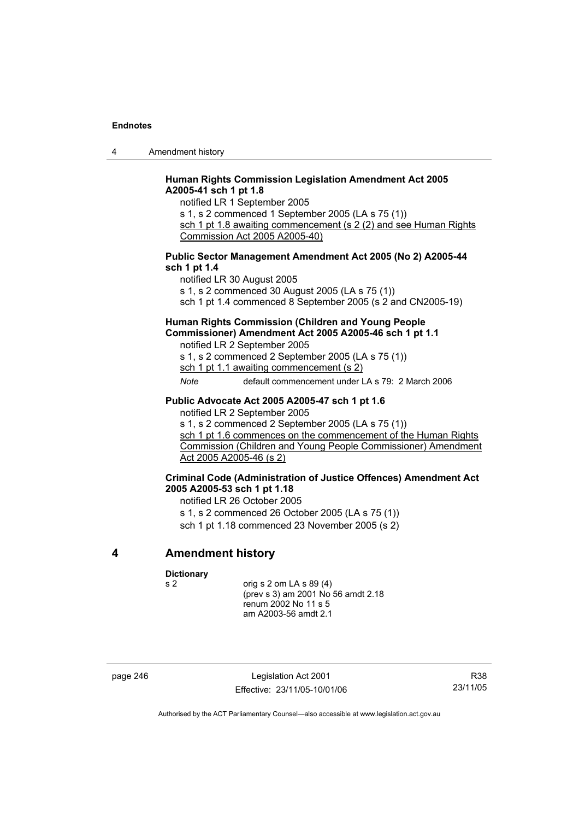4 Amendment history

#### **Human Rights Commission Legislation Amendment Act 2005 A2005-41 sch 1 pt 1.8**

notified LR 1 September 2005

s 1, s 2 commenced 1 September 2005 (LA s 75 (1))

sch 1 pt 1.8 awaiting commencement (s 2 (2) and see Human Rights Commission Act 2005 A2005-40)

#### **Public Sector Management Amendment Act 2005 (No 2) A2005-44 sch 1 pt 1.4**

notified LR 30 August 2005 s 1, s 2 commenced 30 August 2005 (LA s 75 (1)) sch 1 pt 1.4 commenced 8 September 2005 (s 2 and CN2005-19)

# **Human Rights Commission (Children and Young People Commissioner) Amendment Act 2005 A2005-46 sch 1 pt 1.1**

notified LR 2 September 2005 s 1, s 2 commenced 2 September 2005 (LA s 75 (1)) sch 1 pt 1.1 awaiting commencement (s 2)

*Note* default commencement under LA s 79: 2 March 2006

#### **Public Advocate Act 2005 A2005-47 sch 1 pt 1.6**

notified LR 2 September 2005

s 1, s 2 commenced 2 September 2005 (LA s 75 (1))

sch 1 pt 1.6 commences on the commencement of the Human Rights Commission (Children and Young People Commissioner) Amendment Act 2005 A2005-46 (s 2)

#### **Criminal Code (Administration of Justice Offences) Amendment Act 2005 A2005-53 sch 1 pt 1.18**

notified LR 26 October 2005

s 1, s 2 commenced 26 October 2005 (LA s 75 (1)) sch 1 pt 1.18 commenced 23 November 2005 (s 2)

# **4 Amendment history**

**Dictionary** 

s 2 orig s 2 om LA s 89 (4) (prev s 3) am 2001 No 56 amdt 2.18 renum 2002 No 11 s 5 am A2003-56 amdt 2.1

page 246 Legislation Act 2001 Effective: 23/11/05-10/01/06

R38 23/11/05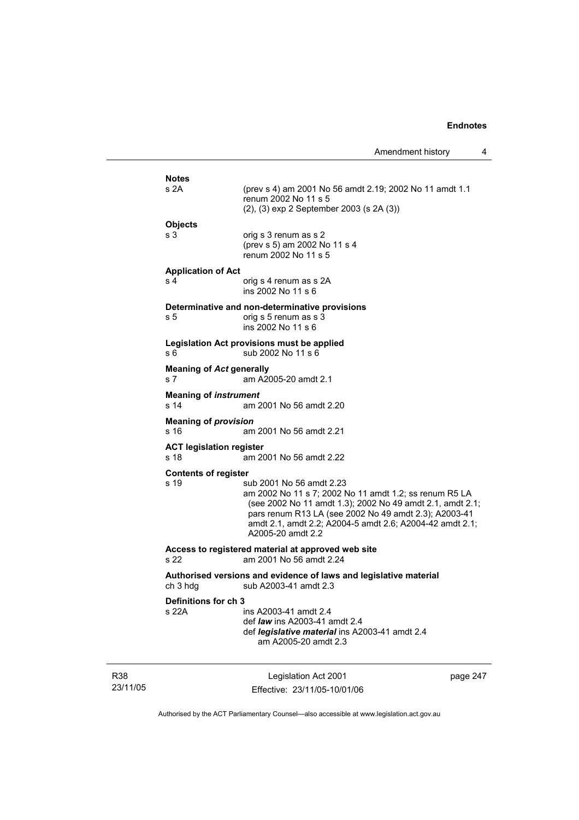| Amendment history |  |
|-------------------|--|
|-------------------|--|

| Definitions for ch 3<br>s 22A                     | ins A2003-41 amdt 2.4<br>def <i>law</i> ins A2003-41 amdt 2.4<br>def legislative material ins A2003-41 amdt 2.4<br>am A2005-20 amdt 2.3                                                                                                                                                   |
|---------------------------------------------------|-------------------------------------------------------------------------------------------------------------------------------------------------------------------------------------------------------------------------------------------------------------------------------------------|
| ch 3 hdg                                          | Authorised versions and evidence of laws and legislative material<br>sub A2003-41 amdt 2.3                                                                                                                                                                                                |
| s 22                                              | Access to registered material at approved web site<br>am 2001 No 56 amdt 2.24                                                                                                                                                                                                             |
| <b>Contents of register</b><br>s 19               | sub 2001 No 56 amdt 2.23<br>am 2002 No 11 s 7; 2002 No 11 amdt 1.2; ss renum R5 LA<br>(see 2002 No 11 amdt 1.3); 2002 No 49 amdt 2.1, amdt 2.1;<br>pars renum R13 LA (see 2002 No 49 amdt 2.3); A2003-41<br>amdt 2.1, amdt 2.2; A2004-5 amdt 2.6; A2004-42 amdt 2.1;<br>A2005-20 amdt 2.2 |
| <b>ACT legislation register</b><br>s 18           | am 2001 No 56 amdt 2.22                                                                                                                                                                                                                                                                   |
| <b>Meaning of provision</b><br>s 16               | am 2001 No 56 amdt 2.21                                                                                                                                                                                                                                                                   |
| <b>Meaning of instrument</b><br>s <sub>14</sub>   | am 2001 No 56 amdt 2.20                                                                                                                                                                                                                                                                   |
| <b>Meaning of Act generally</b><br>s <sub>7</sub> | am A2005-20 amdt 2.1                                                                                                                                                                                                                                                                      |
| s 6                                               | Legislation Act provisions must be applied<br>sub 2002 No 11 s 6                                                                                                                                                                                                                          |
| s 5                                               | Determinative and non-determinative provisions<br>orig s 5 renum as s 3<br>ins 2002 No 11 s 6                                                                                                                                                                                             |
| s 4                                               | orig s 4 renum as s 2A<br>ins 2002 No 11 s 6                                                                                                                                                                                                                                              |
| <b>Application of Act</b>                         |                                                                                                                                                                                                                                                                                           |
| s 3                                               | orig s 3 renum as s 2<br>(prev s 5) am 2002 No 11 s 4<br>renum 2002 No 11 s 5                                                                                                                                                                                                             |
| <b>Objects</b>                                    |                                                                                                                                                                                                                                                                                           |
| s <sub>2A</sub>                                   | (prev s 4) am 2001 No 56 amdt 2.19; 2002 No 11 amdt 1.1<br>renum 2002 No 11 s 5<br>(2), (3) exp 2 September 2003 (s 2A (3))                                                                                                                                                               |
|                                                   |                                                                                                                                                                                                                                                                                           |

R38 23/11/05

Legislation Act 2001 Effective: 23/11/05-10/01/06 page 247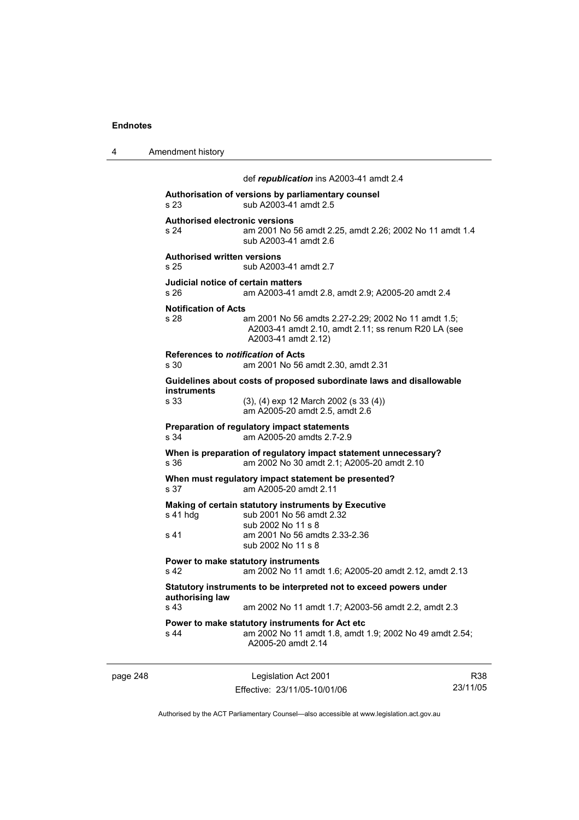4 Amendment history

|          |                                               | def republication ins A2003-41 amdt 2.4                                                                                                 |     |
|----------|-----------------------------------------------|-----------------------------------------------------------------------------------------------------------------------------------------|-----|
|          | s 23                                          | Authorisation of versions by parliamentary counsel<br>sub A2003-41 amdt 2.5                                                             |     |
|          | <b>Authorised electronic versions</b><br>s 24 | am 2001 No 56 amdt 2.25, amdt 2.26; 2002 No 11 amdt 1.4<br>sub A2003-41 amdt 2.6                                                        |     |
|          | <b>Authorised written versions</b><br>s 25    | sub A2003-41 amdt 2.7                                                                                                                   |     |
|          | Judicial notice of certain matters<br>s 26    | am A2003-41 amdt 2.8, amdt 2.9; A2005-20 amdt 2.4                                                                                       |     |
|          | <b>Notification of Acts</b><br>s 28           | am 2001 No 56 amdts 2.27-2.29; 2002 No 11 amdt 1.5;<br>A2003-41 amdt 2.10, amdt 2.11; ss renum R20 LA (see<br>A2003-41 amdt 2.12)       |     |
|          | References to notification of Acts<br>s 30    | am 2001 No 56 amdt 2.30, amdt 2.31                                                                                                      |     |
|          |                                               | Guidelines about costs of proposed subordinate laws and disallowable                                                                    |     |
|          | <b>instruments</b><br>s 33                    | $(3)$ , $(4)$ exp 12 March 2002 (s 33 $(4)$ )<br>am A2005-20 amdt 2.5, amdt 2.6                                                         |     |
|          | s 34                                          | Preparation of regulatory impact statements<br>am A2005-20 amdts 2.7-2.9                                                                |     |
|          | s 36                                          | When is preparation of regulatory impact statement unnecessary?<br>am 2002 No 30 amdt 2.1; A2005-20 amdt 2.10                           |     |
|          | s 37                                          | When must regulatory impact statement be presented?<br>am A2005-20 amdt 2.11                                                            |     |
|          | $s$ 41 hdg<br>s 41                            | Making of certain statutory instruments by Executive<br>sub 2001 No 56 amdt 2.32<br>sub 2002 No 11 s 8<br>am 2001 No 56 amdts 2.33-2.36 |     |
|          |                                               | sub 2002 No 11 s 8                                                                                                                      |     |
|          | s 42                                          | Power to make statutory instruments<br>am 2002 No 11 amdt 1.6; A2005-20 amdt 2.12, amdt 2.13                                            |     |
|          | authorising law                               | Statutory instruments to be interpreted not to exceed powers under                                                                      |     |
|          | s 43                                          | am 2002 No 11 amdt 1.7; A2003-56 amdt 2.2, amdt 2.3                                                                                     |     |
|          | s 44                                          | Power to make statutory instruments for Act etc<br>am 2002 No 11 amdt 1.8, amdt 1.9; 2002 No 49 amdt 2.54;<br>A2005-20 amdt 2.14        |     |
| page 248 |                                               | Legislation Act 2001                                                                                                                    | R38 |

Authorised by the ACT Parliamentary Counsel—also accessible at www.legislation.act.gov.au

23/11/05

Effective: 23/11/05-10/01/06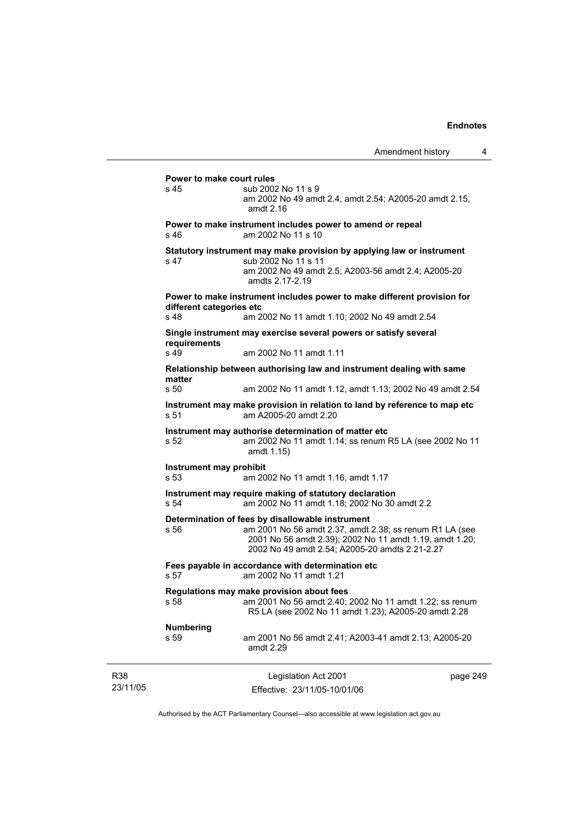|                 | Power to make court rules<br>s 45                                                    | sub 2002 No 11 s 9<br>am 2002 No 49 amdt 2.4, amdt 2.54; A2005-20 amdt 2.15,<br>amdt 2.16                                                                                                                                |          |
|-----------------|--------------------------------------------------------------------------------------|--------------------------------------------------------------------------------------------------------------------------------------------------------------------------------------------------------------------------|----------|
|                 | s 46                                                                                 | Power to make instrument includes power to amend or repeal<br>am 2002 No 11 s 10                                                                                                                                         |          |
|                 | s 47                                                                                 | Statutory instrument may make provision by applying law or instrument<br>sub 2002 No 11 s 11<br>am 2002 No 49 amdt 2.5; A2003-56 amdt 2.4; A2005-20<br>amdts 2.17-2.19                                                   |          |
|                 | different categories etc                                                             | Power to make instrument includes power to make different provision for                                                                                                                                                  |          |
|                 | s 48                                                                                 | am 2002 No 11 amdt 1.10; 2002 No 49 amdt 2.54                                                                                                                                                                            |          |
|                 | requirements                                                                         | Single instrument may exercise several powers or satisfy several                                                                                                                                                         |          |
|                 | s 49                                                                                 | am 2002 No 11 amdt 1.11                                                                                                                                                                                                  |          |
|                 |                                                                                      | Relationship between authorising law and instrument dealing with same                                                                                                                                                    |          |
|                 | matter<br>s 50                                                                       | am 2002 No 11 amdt 1.12, amdt 1.13; 2002 No 49 amdt 2.54                                                                                                                                                                 |          |
|                 | s 51                                                                                 | Instrument may make provision in relation to land by reference to map etc<br>am A2005-20 amdt 2.20                                                                                                                       |          |
|                 | s 52                                                                                 | Instrument may authorise determination of matter etc<br>am 2002 No 11 amdt 1.14; ss renum R5 LA (see 2002 No 11<br>amdt 1.15)                                                                                            |          |
|                 | Instrument may prohibit<br>s <sub>53</sub>                                           | am 2002 No 11 amdt 1.16, amdt 1.17                                                                                                                                                                                       |          |
|                 | s 54                                                                                 | Instrument may require making of statutory declaration<br>am 2002 No 11 amdt 1.18; 2002 No 30 amdt 2.2                                                                                                                   |          |
|                 | s 56                                                                                 | Determination of fees by disallowable instrument<br>am 2001 No 56 amdt 2.37, amdt 2.38; ss renum R1 LA (see<br>2001 No 56 amdt 2.39); 2002 No 11 amdt 1.19, amdt 1.20;<br>2002 No 49 amdt 2.54; A2005-20 amdts 2.21-2.27 |          |
|                 | Fees payable in accordance with determination etc<br>am 2002 No 11 amdt 1.21<br>s 57 |                                                                                                                                                                                                                          |          |
|                 | s 58                                                                                 | Regulations may make provision about fees<br>am 2001 No 56 amdt 2.40; 2002 No 11 amdt 1.22; ss renum<br>R5 LA (see 2002 No 11 amdt 1.23); A2005-20 amdt 2.28                                                             |          |
|                 | <b>Numbering</b><br>s 59                                                             | am 2001 No 56 amdt 2.41; A2003-41 amdt 2.13; A2005-20<br>amdt 2.29                                                                                                                                                       |          |
| R38<br>23/11/05 |                                                                                      | Legislation Act 2001<br>Effective: 23/11/05-10/01/06                                                                                                                                                                     | page 249 |

Authorised by the ACT Parliamentary Counsel—also accessible at www.legislation.act.gov.au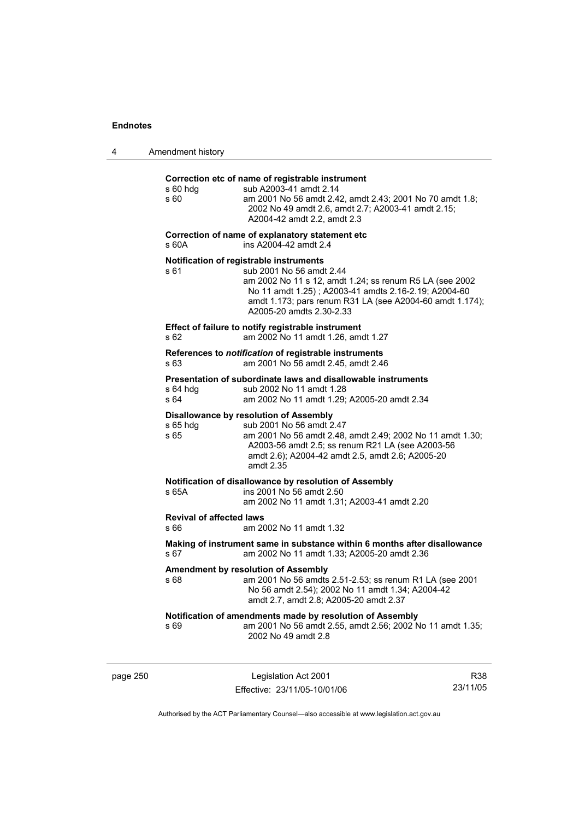|  | Amendment history |
|--|-------------------|
|--|-------------------|

#### **Correction etc of name of registrable instrument**

| s 60 hdg<br>s 60                        | Correction etc of name of registrable instrument<br>sub A2003-41 amdt 2.14<br>am 2001 No 56 amdt 2.42, amdt 2.43; 2001 No 70 amdt 1.8;<br>2002 No 49 amdt 2.6, amdt 2.7; A2003-41 amdt 2.15;<br>A2004-42 amdt 2.2, amdt 2.3                                                    |
|-----------------------------------------|--------------------------------------------------------------------------------------------------------------------------------------------------------------------------------------------------------------------------------------------------------------------------------|
| s 60A                                   | Correction of name of explanatory statement etc<br>ins A2004-42 amdt 2.4                                                                                                                                                                                                       |
| s 61                                    | Notification of registrable instruments<br>sub 2001 No 56 amdt 2.44<br>am 2002 No 11 s 12, amdt 1.24; ss renum R5 LA (see 2002<br>No 11 amdt 1.25); A2003-41 amdts 2.16-2.19; A2004-60<br>amdt 1.173; pars renum R31 LA (see A2004-60 amdt 1.174);<br>A2005-20 amdts 2.30-2.33 |
| s 62                                    | Effect of failure to notify registrable instrument<br>am 2002 No 11 amdt 1.26, amdt 1.27                                                                                                                                                                                       |
| s 63                                    | References to notification of registrable instruments<br>am 2001 No 56 amdt 2.45, amdt 2.46                                                                                                                                                                                    |
| $s$ 64 hdg<br>s 64                      | Presentation of subordinate laws and disallowable instruments<br>sub 2002 No 11 amdt 1.28<br>am 2002 No 11 amdt 1.29; A2005-20 amdt 2.34                                                                                                                                       |
| s 65 hdg<br>s 65                        | <b>Disallowance by resolution of Assembly</b><br>sub 2001 No 56 amdt 2.47<br>am 2001 No 56 amdt 2.48, amdt 2.49; 2002 No 11 amdt 1.30;<br>A2003-56 amdt 2.5; ss renum R21 LA (see A2003-56<br>amdt 2.6); A2004-42 amdt 2.5, amdt 2.6; A2005-20<br>amdt 2.35                    |
| s 65A                                   | Notification of disallowance by resolution of Assembly<br>ins 2001 No 56 amdt 2.50<br>am 2002 No 11 amdt 1.31; A2003-41 amdt 2.20                                                                                                                                              |
| <b>Revival of affected laws</b><br>s 66 | am 2002 No 11 amdt 1.32                                                                                                                                                                                                                                                        |
| s 67                                    | Making of instrument same in substance within 6 months after disallowance<br>am 2002 No 11 amdt 1.33; A2005-20 amdt 2.36                                                                                                                                                       |
| s 68                                    | Amendment by resolution of Assembly<br>am 2001 No 56 amdts 2.51-2.53; ss renum R1 LA (see 2001<br>No 56 amdt 2.54); 2002 No 11 amdt 1.34; A2004-42<br>amdt 2.7, amdt 2.8; A2005-20 amdt 2.37                                                                                   |
| s 69                                    | Notification of amendments made by resolution of Assembly<br>am 2001 No 56 amdt 2.55, amdt 2.56; 2002 No 11 amdt 1.35;<br>2002 No 49 amdt 2.8                                                                                                                                  |
|                                         |                                                                                                                                                                                                                                                                                |

page 250 Legislation Act 2001 Effective: 23/11/05-10/01/06

R38 23/11/05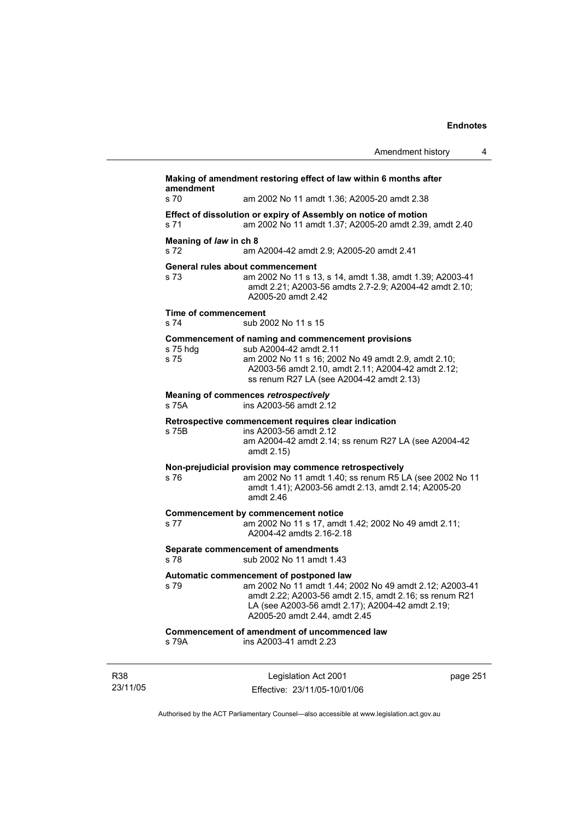|                                           | Amendment history                                                                                                                                                                                                                                 | 4 |
|-------------------------------------------|---------------------------------------------------------------------------------------------------------------------------------------------------------------------------------------------------------------------------------------------------|---|
| amendment                                 | Making of amendment restoring effect of law within 6 months after                                                                                                                                                                                 |   |
| s <sub>70</sub>                           | am 2002 No 11 amdt 1.36; A2005-20 amdt 2.38                                                                                                                                                                                                       |   |
| s 71                                      | Effect of dissolution or expiry of Assembly on notice of motion<br>am 2002 No 11 amdt 1.37; A2005-20 amdt 2.39, amdt 2.40                                                                                                                         |   |
| Meaning of law in ch 8<br>S <sub>72</sub> | am A2004-42 amdt 2.9; A2005-20 amdt 2.41                                                                                                                                                                                                          |   |
| s 73                                      | General rules about commencement<br>am 2002 No 11 s 13, s 14, amdt 1.38, amdt 1.39; A2003-41<br>amdt 2.21; A2003-56 amdts 2.7-2.9; A2004-42 amdt 2.10;<br>A2005-20 amdt 2.42                                                                      |   |
| <b>Time of commencement</b><br>s 74       | sub 2002 No 11 s 15                                                                                                                                                                                                                               |   |
| s 75 hdg<br>s 75                          | Commencement of naming and commencement provisions<br>sub A2004-42 amdt 2.11<br>am 2002 No 11 s 16; 2002 No 49 amdt 2.9, amdt 2.10;<br>A2003-56 amdt 2.10, amdt 2.11; A2004-42 amdt 2.12;<br>ss renum R27 LA (see A2004-42 amdt 2.13)             |   |
| s 75A                                     | <b>Meaning of commences retrospectively</b><br>ins A2003-56 amdt 2.12                                                                                                                                                                             |   |
| s 75B                                     | Retrospective commencement requires clear indication<br>ins A2003-56 amdt 2.12<br>am A2004-42 amdt 2.14; ss renum R27 LA (see A2004-42<br>amdt 2.15)                                                                                              |   |
| s 76                                      | Non-prejudicial provision may commence retrospectively<br>am 2002 No 11 amdt 1.40; ss renum R5 LA (see 2002 No 11<br>amdt 1.41); A2003-56 amdt 2.13, amdt 2.14; A2005-20<br>amdt 2.46                                                             |   |
| s 77                                      | Commencement by commencement notice<br>am 2002 No 11 s 17, amdt 1.42; 2002 No 49 amdt 2.11;<br>A2004-42 amdts 2.16-2.18                                                                                                                           |   |
| s 78                                      | Separate commencement of amendments<br>sub 2002 No 11 amdt 1.43                                                                                                                                                                                   |   |
| s 79                                      | Automatic commencement of postponed law<br>am 2002 No 11 amdt 1.44; 2002 No 49 amdt 2.12; A2003-41<br>amdt 2.22; A2003-56 amdt 2.15, amdt 2.16; ss renum R21<br>LA (see A2003-56 amdt 2.17); A2004-42 amdt 2.19;<br>A2005-20 amdt 2.44, amdt 2.45 |   |
| s 79A                                     | Commencement of amendment of uncommenced law<br>ins A2003-41 amdt 2.23                                                                                                                                                                            |   |
|                                           |                                                                                                                                                                                                                                                   |   |

R38 23/11/05

Legislation Act 2001 Effective: 23/11/05-10/01/06 page 251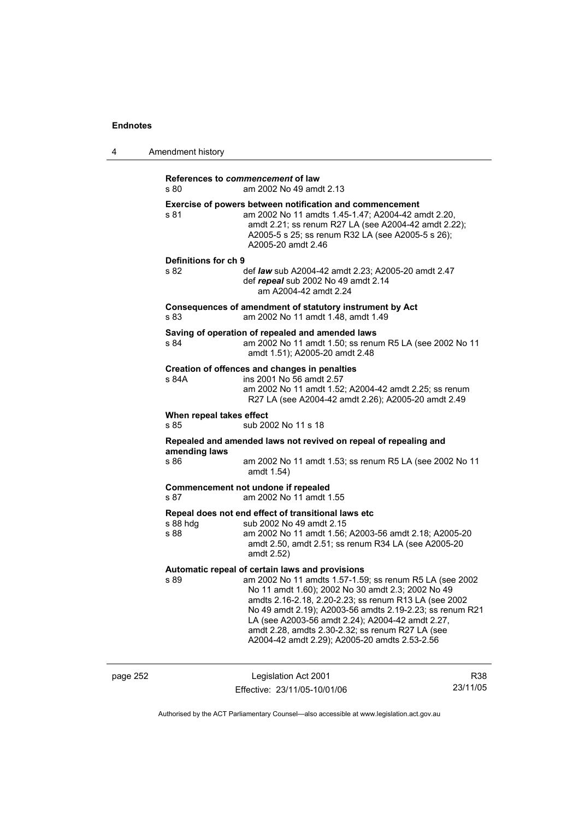| 4        | Amendment history                |                                                                                                                                                                                                                                                                                                                                                                                                                                               |     |
|----------|----------------------------------|-----------------------------------------------------------------------------------------------------------------------------------------------------------------------------------------------------------------------------------------------------------------------------------------------------------------------------------------------------------------------------------------------------------------------------------------------|-----|
|          | s 80                             | References to commencement of law<br>am 2002 No 49 amdt 2.13                                                                                                                                                                                                                                                                                                                                                                                  |     |
|          | s 81                             | Exercise of powers between notification and commencement<br>am 2002 No 11 amdts 1.45-1.47; A2004-42 amdt 2.20,<br>amdt 2.21; ss renum R27 LA (see A2004-42 amdt 2.22);<br>A2005-5 s 25; ss renum R32 LA (see A2005-5 s 26);<br>A2005-20 amdt 2.46                                                                                                                                                                                             |     |
|          | Definitions for ch 9<br>s.82     | def law sub A2004-42 amdt 2.23; A2005-20 amdt 2.47<br>def repeal sub 2002 No 49 amdt 2.14<br>am A2004-42 amdt 2.24                                                                                                                                                                                                                                                                                                                            |     |
|          | s 83                             | Consequences of amendment of statutory instrument by Act<br>am 2002 No 11 amdt 1.48, amdt 1.49                                                                                                                                                                                                                                                                                                                                                |     |
|          | s 84                             | Saving of operation of repealed and amended laws<br>am 2002 No 11 amdt 1.50; ss renum R5 LA (see 2002 No 11<br>amdt 1.51); A2005-20 amdt 2.48                                                                                                                                                                                                                                                                                                 |     |
|          | s 84A                            | Creation of offences and changes in penalties<br>ins 2001 No 56 amdt 2.57<br>am 2002 No 11 amdt 1.52; A2004-42 amdt 2.25; ss renum<br>R27 LA (see A2004-42 amdt 2.26); A2005-20 amdt 2.49                                                                                                                                                                                                                                                     |     |
|          | When repeal takes effect<br>s 85 | sub 2002 No 11 s 18                                                                                                                                                                                                                                                                                                                                                                                                                           |     |
|          | amending laws<br>s 86            | Repealed and amended laws not revived on repeal of repealing and<br>am 2002 No 11 amdt 1.53; ss renum R5 LA (see 2002 No 11<br>amdt 1.54)                                                                                                                                                                                                                                                                                                     |     |
|          | s 87                             | Commencement not undone if repealed<br>am 2002 No 11 amdt 1.55                                                                                                                                                                                                                                                                                                                                                                                |     |
|          | s 88 hdg<br>s 88                 | Repeal does not end effect of transitional laws etc<br>sub 2002 No 49 amdt 2.15<br>am 2002 No 11 amdt 1.56; A2003-56 amdt 2.18; A2005-20<br>amdt 2.50, amdt 2.51; ss renum R34 LA (see A2005-20<br>amdt 2.52)                                                                                                                                                                                                                                 |     |
|          | s 89                             | Automatic repeal of certain laws and provisions<br>am 2002 No 11 amdts 1.57-1.59; ss renum R5 LA (see 2002<br>No 11 amdt 1.60); 2002 No 30 amdt 2.3; 2002 No 49<br>amdts 2.16-2.18, 2.20-2.23; ss renum R13 LA (see 2002<br>No 49 amdt 2.19); A2003-56 amdts 2.19-2.23; ss renum R21<br>LA (see A2003-56 amdt 2.24); A2004-42 amdt 2.27,<br>amdt 2.28, amdts 2.30-2.32; ss renum R27 LA (see<br>A2004-42 amdt 2.29); A2005-20 amdts 2.53-2.56 |     |
| page 252 |                                  | Legislation Act 2001                                                                                                                                                                                                                                                                                                                                                                                                                          | R38 |

Authorised by the ACT Parliamentary Counsel—also accessible at www.legislation.act.gov.au

23/11/05

Effective: 23/11/05-10/01/06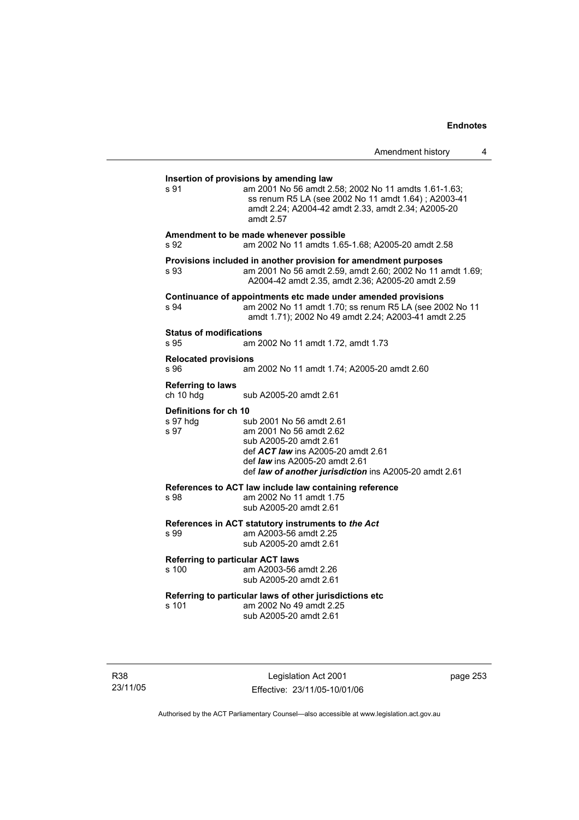| Amendment to be made whenever possible<br>am 2002 No 11 amdts 1.65-1.68; A2005-20 amdt 2.58                                                                                                                     |
|-----------------------------------------------------------------------------------------------------------------------------------------------------------------------------------------------------------------|
| Provisions included in another provision for amendment purposes<br>am 2001 No 56 amdt 2.59, amdt 2.60; 2002 No 11 amdt 1.69;<br>A2004-42 amdt 2.35, amdt 2.36; A2005-20 amdt 2.59                               |
| Continuance of appointments etc made under amended provisions<br>am 2002 No 11 amdt 1.70; ss renum R5 LA (see 2002 No 11<br>amdt 1.71); 2002 No 49 amdt 2.24; A2003-41 amdt 2.25                                |
| am 2002 No 11 amdt 1.72, amdt 1.73                                                                                                                                                                              |
| am 2002 No 11 amdt 1.74; A2005-20 amdt 2.60                                                                                                                                                                     |
| sub A2005-20 amdt 2.61                                                                                                                                                                                          |
| sub 2001 No 56 amdt 2.61<br>am 2001 No 56 amdt 2.62<br>sub A2005-20 amdt 2.61<br>def ACT law ins A2005-20 amdt 2.61<br>def law ins A2005-20 amdt 2.61<br>def law of another jurisdiction ins A2005-20 amdt 2.61 |
| References to ACT law include law containing reference<br>am 2002 No 11 amdt 1.75<br>sub A2005-20 amdt 2.61                                                                                                     |
| References in ACT statutory instruments to the Act<br>am A2003-56 amdt 2.25<br>sub A2005-20 amdt 2.61                                                                                                           |
| <b>Referring to particular ACT laws</b><br>am A2003-56 amdt 2.26<br>sub A2005-20 amdt 2.61                                                                                                                      |
| Referring to particular laws of other jurisdictions etc<br>am 2002 No 49 amdt 2.25<br>sub A2005-20 amdt 2.61                                                                                                    |
|                                                                                                                                                                                                                 |

R38 23/11/05

Legislation Act 2001 Effective: 23/11/05-10/01/06 page 253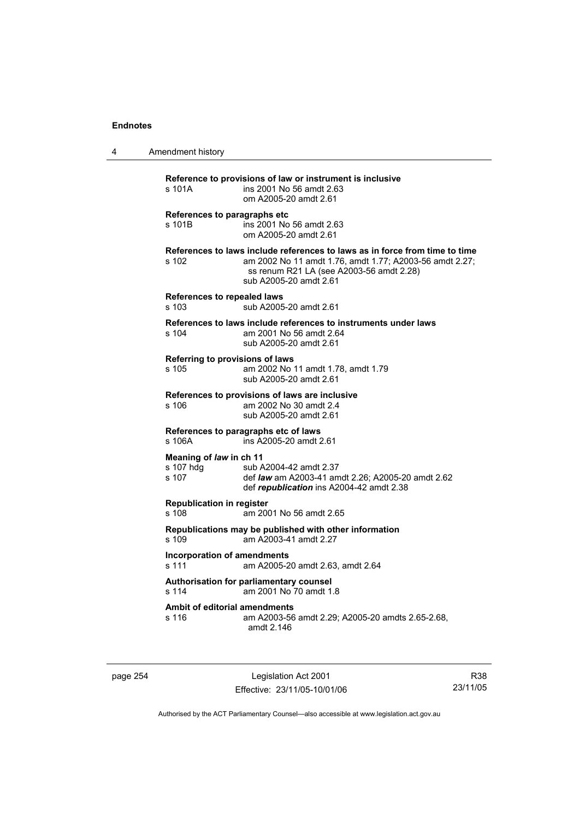4 Amendment history

| s 101A                                        | Reference to provisions of law or instrument is inclusive<br>ins 2001 No 56 amdt 2.63<br>om A2005-20 amdt 2.61                                                                                               |
|-----------------------------------------------|--------------------------------------------------------------------------------------------------------------------------------------------------------------------------------------------------------------|
| s 101B                                        | References to paragraphs etc<br>ins 2001 No 56 amdt 2.63<br>om A2005-20 amdt 2.61                                                                                                                            |
| s 102                                         | References to laws include references to laws as in force from time to time<br>am 2002 No 11 amdt 1.76, amdt 1.77; A2003-56 amdt 2.27;<br>ss renum R21 LA (see A2003-56 amdt 2.28)<br>sub A2005-20 amdt 2.61 |
| <b>References to repealed laws</b><br>s 103   | sub A2005-20 amdt 2.61                                                                                                                                                                                       |
| s 104                                         | References to laws include references to instruments under laws<br>am 2001 No 56 amdt 2.64<br>sub A2005-20 amdt 2.61                                                                                         |
| s 105                                         | Referring to provisions of laws<br>am 2002 No 11 amdt 1.78, amdt 1.79<br>sub A2005-20 amdt 2.61                                                                                                              |
| s 106                                         | References to provisions of laws are inclusive<br>am 2002 No 30 amdt 2.4<br>sub A2005-20 amdt 2.61                                                                                                           |
| s 106A                                        | References to paragraphs etc of laws<br>ins A2005-20 amdt 2.61                                                                                                                                               |
| Meaning of law in ch 11<br>s 107 hdg<br>s 107 | sub A2004-42 amdt 2.37<br>def law am A2003-41 amdt 2.26; A2005-20 amdt 2.62<br>def republication ins A2004-42 amdt 2.38                                                                                      |
| <b>Republication in register</b><br>s 108     | am 2001 No 56 amdt 2.65                                                                                                                                                                                      |
| s 109                                         | Republications may be published with other information<br>am A2003-41 amdt 2.27                                                                                                                              |
| s 111                                         | <b>Incorporation of amendments</b><br>am A2005-20 amdt 2.63, amdt 2.64                                                                                                                                       |
| s 114                                         | Authorisation for parliamentary counsel<br>am 2001 No 70 amdt 1.8                                                                                                                                            |
| s 116                                         | Ambit of editorial amendments<br>am A2003-56 amdt 2.29; A2005-20 amdts 2.65-2.68,<br>amdt 2.146                                                                                                              |

page 254 Legislation Act 2001 Effective: 23/11/05-10/01/06

R38 23/11/05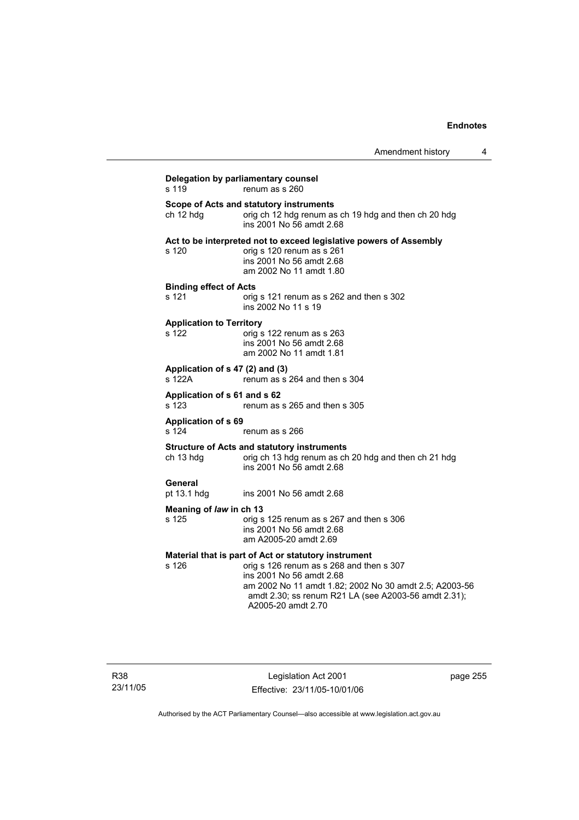# **Delegation by parliamentary counsel**<br>s 119 renum as s 260  $renum$  as s 260 **Scope of Acts and statutory instruments**<br>
ch 12 hdg renum as orig ch 12 hdg renum as ch 19 hdg and then ch 20 hdg ins 2001 No 56 amdt 2.68 **Act to be interpreted not to exceed legislative powers of Assembly**  s 120 orig s 120 renum as s 261 ins 2001 No 56 amdt 2.68 am 2002 No 11 amdt 1.80 **Binding effect of Acts**  s 121 orig s 121 renum as s 262 and then s 302 ins 2002 No 11 s 19 **Application to Territory**  s 122 orig s 122 renum as s 263 ins 2001 No 56 amdt 2.68 am 2002 No 11 amdt 1.81 **Application of s 47 (2) and (3)**  s 122A renum as s 264 and then s 304 **Application of s 61 and s 62**  s 123 renum as s 265 and then s 305 **Application of s 69**  s 124 renum as s 266 **Structure of Acts and statutory instruments**  ch 13 hdg orig ch 13 hdg renum as ch 20 hdg and then ch 21 hdg ins 2001 No 56 amdt 2.68 **General**  pt 13.1 hdg ins 2001 No 56 amdt 2.68 **Meaning of** *law* **in ch 13**  s 125 orig s 125 renum as s 267 and then s 306 ins 2001 No 56 amdt 2.68 am A2005-20 amdt 2.69 **Material that is part of Act or statutory instrument**  s 126 orig s 126 renum as s 268 and then s 307 ins 2001 No 56 amdt 2.68 am 2002 No 11 amdt 1.82; 2002 No 30 amdt 2.5; A2003-56 amdt 2.30; ss renum R21 LA (see A2003-56 amdt 2.31); A2005-20 amdt 2.70

page 255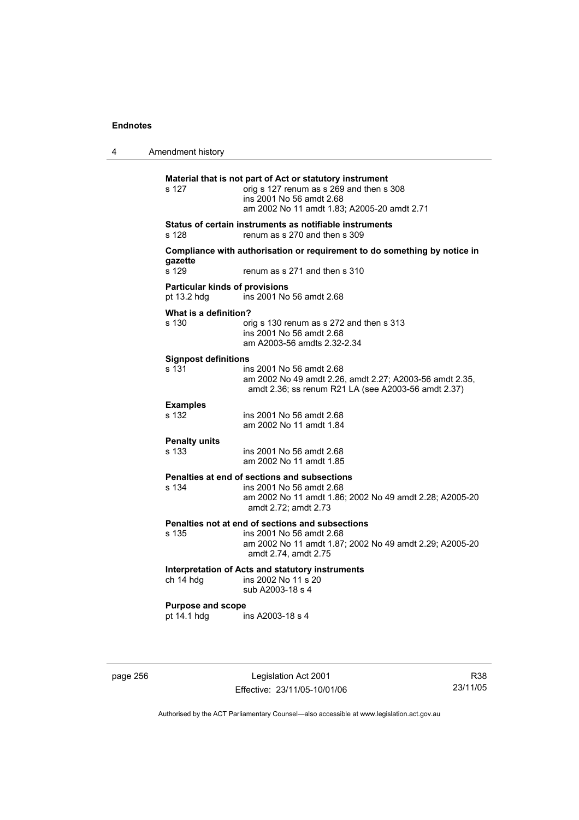| 4 | Amendment history                                    |                                                                                                                                                                                 |
|---|------------------------------------------------------|---------------------------------------------------------------------------------------------------------------------------------------------------------------------------------|
|   | s 127                                                | Material that is not part of Act or statutory instrument<br>orig s 127 renum as s 269 and then s 308<br>ins 2001 No 56 amdt 2.68<br>am 2002 No 11 amdt 1.83; A2005-20 amdt 2.71 |
|   | s 128                                                | Status of certain instruments as notifiable instruments<br>renum as s 270 and then s 309                                                                                        |
|   | gazette<br>s 129                                     | Compliance with authorisation or requirement to do something by notice in<br>renum as s 271 and then s 310                                                                      |
|   | <b>Particular kinds of provisions</b><br>pt 13.2 hdg | ins 2001 No 56 amdt 2.68                                                                                                                                                        |
|   | What is a definition?<br>s 130                       | orig s 130 renum as s 272 and then s 313<br>ins 2001 No 56 amdt 2.68<br>am A2003-56 amdts 2.32-2.34                                                                             |
|   | <b>Signpost definitions</b>                          |                                                                                                                                                                                 |
|   | s 131                                                | ins 2001 No 56 amdt 2.68<br>am 2002 No 49 amdt 2.26, amdt 2.27; A2003-56 amdt 2.35,<br>amdt 2.36; ss renum R21 LA (see A2003-56 amdt 2.37)                                      |
|   | <b>Examples</b><br>s 132                             | ins 2001 No 56 amdt 2.68<br>am 2002 No 11 amdt 1.84                                                                                                                             |
|   | <b>Penalty units</b><br>s 133                        | ins 2001 No 56 amdt 2.68<br>am 2002 No 11 amdt 1.85                                                                                                                             |
|   | s 134                                                | Penalties at end of sections and subsections<br>ins 2001 No 56 amdt 2.68<br>am 2002 No 11 amdt 1.86; 2002 No 49 amdt 2.28; A2005-20<br>amdt 2.72; amdt 2.73                     |
|   | s 135                                                | Penalties not at end of sections and subsections<br>ins 2001 No 56 amdt 2.68<br>am 2002 No 11 amdt 1.87; 2002 No 49 amdt 2.29; A2005-20<br>amdt 2.74, amdt 2.75                 |
|   | ch 14 hdg                                            | Interpretation of Acts and statutory instruments<br>ins 2002 No 11 s 20<br>sub A2003-18 s 4                                                                                     |
|   | <b>Purpose and scope</b><br>pt 14.1 hdg              | ins A2003-18 s 4                                                                                                                                                                |
|   |                                                      |                                                                                                                                                                                 |

page 256 Legislation Act 2001 Effective: 23/11/05-10/01/06

R38 23/11/05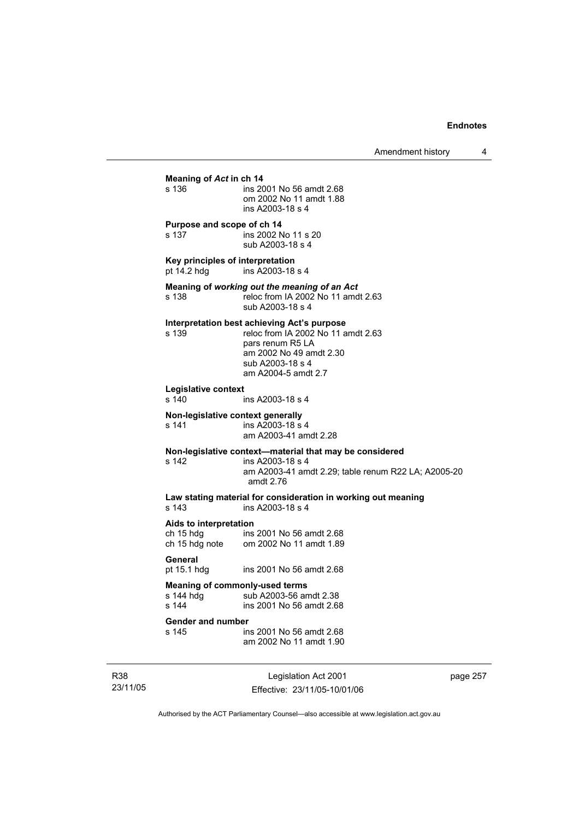| Meaning of Act in ch 14                                     |                                                                                                                                                                             |  |  |
|-------------------------------------------------------------|-----------------------------------------------------------------------------------------------------------------------------------------------------------------------------|--|--|
| s 136                                                       | ins 2001 No 56 amdt 2.68<br>om 2002 No 11 amdt 1.88<br>ins A2003-18 s 4                                                                                                     |  |  |
| Purpose and scope of ch 14<br>s 137                         | ins 2002 No 11 s 20<br>sub A2003-18 s 4                                                                                                                                     |  |  |
| Key principles of interpretation<br>pt 14.2 hdg             | ins A2003-18 s 4                                                                                                                                                            |  |  |
| s 138                                                       | Meaning of working out the meaning of an Act<br>reloc from IA 2002 No 11 amdt 2.63<br>sub A2003-18 s 4                                                                      |  |  |
| s 139                                                       | Interpretation best achieving Act's purpose<br>reloc from IA 2002 No 11 amdt 2.63<br>pars renum R5 LA<br>am 2002 No 49 amdt 2.30<br>sub A2003-18 s 4<br>am A2004-5 amdt 2.7 |  |  |
| Legislative context<br>s 140                                | ins A2003-18 s 4                                                                                                                                                            |  |  |
| Non-legislative context generally<br>s 141                  | ins A2003-18 s 4<br>am A2003-41 amdt 2.28                                                                                                                                   |  |  |
| s 142                                                       | Non-legislative context-material that may be considered<br>ins A2003-18 s 4<br>am A2003-41 amdt 2.29; table renum R22 LA; A2005-20<br>amdt 2.76                             |  |  |
| s 143                                                       | Law stating material for consideration in working out meaning<br>ins A2003-18 s 4                                                                                           |  |  |
| Aids to interpretation<br>ch 15 hdg                         | ins 2001 No 56 amdt 2.68<br>ch 15 hdg note om 2002 No 11 amdt 1.89                                                                                                          |  |  |
| General<br>pt 15.1 hdg                                      | ins 2001 No 56 amdt 2.68                                                                                                                                                    |  |  |
| <b>Meaning of commonly-used terms</b><br>s 144 hdg<br>s 144 | sub A2003-56 amdt 2.38<br>ins 2001 No 56 amdt 2.68                                                                                                                          |  |  |
| <b>Gender and number</b><br>s 145                           | ins 2001 No 56 amdt 2.68<br>am 2002 No 11 amdt 1.90                                                                                                                         |  |  |
|                                                             |                                                                                                                                                                             |  |  |

R38 23/11/05

Legislation Act 2001 Effective: 23/11/05-10/01/06 page 257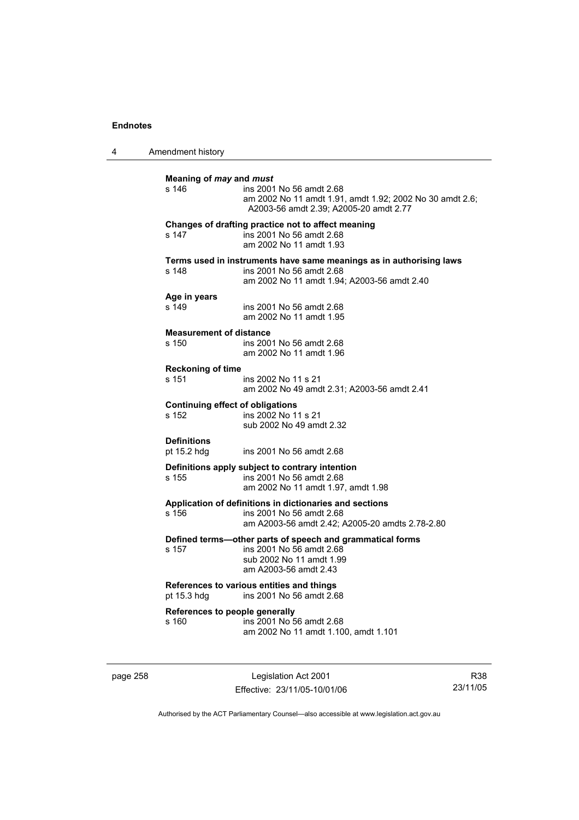| Amendment history                                |                                                                                                                                                |
|--------------------------------------------------|------------------------------------------------------------------------------------------------------------------------------------------------|
| Meaning of may and must<br>s 146                 | ins 2001 No 56 amdt 2.68<br>am 2002 No 11 amdt 1.91, amdt 1.92; 2002 No 30 amdt 2.6;<br>A2003-56 amdt 2.39; A2005-20 amdt 2.77                 |
| s 147                                            | Changes of drafting practice not to affect meaning<br>ins 2001 No 56 amdt 2.68<br>am 2002 No 11 amdt 1.93                                      |
| s 148                                            | Terms used in instruments have same meanings as in authorising laws<br>ins 2001 No 56 amdt 2.68<br>am 2002 No 11 amdt 1.94; A2003-56 amdt 2.40 |
| Age in years<br>s 149                            | ins 2001 No 56 amdt 2.68<br>am 2002 No 11 amdt 1.95                                                                                            |
| <b>Measurement of distance</b><br>s 150          | ins 2001 No 56 amdt 2.68<br>am 2002 No 11 amdt 1.96                                                                                            |
| <b>Reckoning of time</b><br>s 151                | ins 2002 No 11 s 21<br>am 2002 No 49 amdt 2.31; A2003-56 amdt 2.41                                                                             |
| <b>Continuing effect of obligations</b><br>s 152 | ins 2002 No 11 s 21<br>sub 2002 No 49 amdt 2.32                                                                                                |
| <b>Definitions</b><br>pt 15.2 hdg                | ins 2001 No 56 amdt 2.68                                                                                                                       |
| s 155                                            | Definitions apply subject to contrary intention<br>ins 2001 No 56 amdt 2.68<br>am 2002 No 11 amdt 1.97, amdt 1.98                              |
| s 156                                            | Application of definitions in dictionaries and sections<br>ins 2001 No 56 amdt 2.68<br>am A2003-56 amdt 2.42; A2005-20 amdts 2.78-2.80         |
| s 157                                            | Defined terms-other parts of speech and grammatical forms<br>ins 2001 No 56 amdt 2.68<br>sub 2002 No 11 amdt 1.99<br>am A2003-56 amdt 2.43     |
| pt 15.3 hdg                                      | References to various entities and things<br>ins 2001 No 56 amdt 2.68                                                                          |
| References to people generally<br>s 160          | ins 2001 No 56 amdt 2.68<br>am 2002 No 11 amdt 1.100, amdt 1.101                                                                               |
|                                                  |                                                                                                                                                |

page 258 Legislation Act 2001 Effective: 23/11/05-10/01/06

R38 23/11/05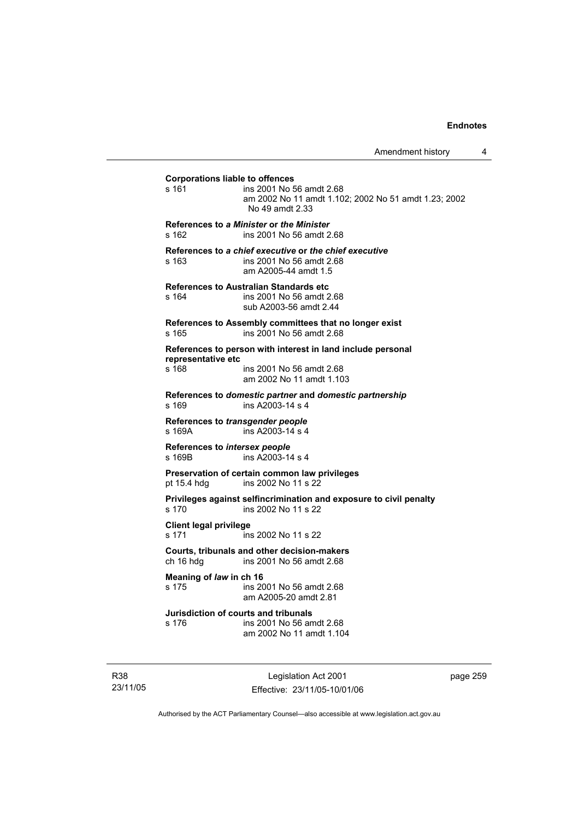| Amendment history |  |
|-------------------|--|
|-------------------|--|

**Corporations liable to offences**  s 161 ins 2001 No 56 amdt 2.68 am 2002 No 11 amdt 1.102; 2002 No 51 amdt 1.23; 2002 No 49 amdt 2.33 **References to** *a Minister* **or** *the Minister* s 162 ins 2001 No 56 amdt 2.68 **References to** *a chief executive* **or** *the chief executive* s 163 ins 2001 No 56 amdt 2.68 am A2005-44 amdt 1.5 **References to Australian Standards etc**  s 164 ins 2001 No 56 amdt 2.68 sub A2003-56 amdt 2.44 **References to Assembly committees that no longer exist**  s 165 ins 2001 No 56 amdt 2.68 **References to person with interest in land include personal representative etc**  ins 2001 No 56 amdt 2.68 am 2002 No 11 amdt 1.103 **References to** *domestic partner* **and** *domestic partnership*  s 169 ins A2003-14 s 4 **References to** *transgender people*  s 169A ins A2003-14 s 4 **References to** *intersex people*  s 169B ins A2003-14 s 4 **Preservation of certain common law privileges**  pt 15.4 hdg ins 2002 No 11 s 22 **Privileges against selfincrimination and exposure to civil penalty**  s 170 ins 2002 No 11 s 22 **Client legal privilege**  s 171 ins 2002 No 11 s 22 **Courts, tribunals and other decision-makers**  ch 16 hdg ins 2001 No 56 amdt 2.68 **Meaning of** *law* **in ch 16**  s 175 ins 2001 No 56 amdt 2.68 am A2005-20 amdt 2.81 **Jurisdiction of courts and tribunals**  s 176 ins 2001 No 56 amdt 2.68 am 2002 No 11 amdt 1.104

R38 23/11/05

Legislation Act 2001 Effective: 23/11/05-10/01/06 page 259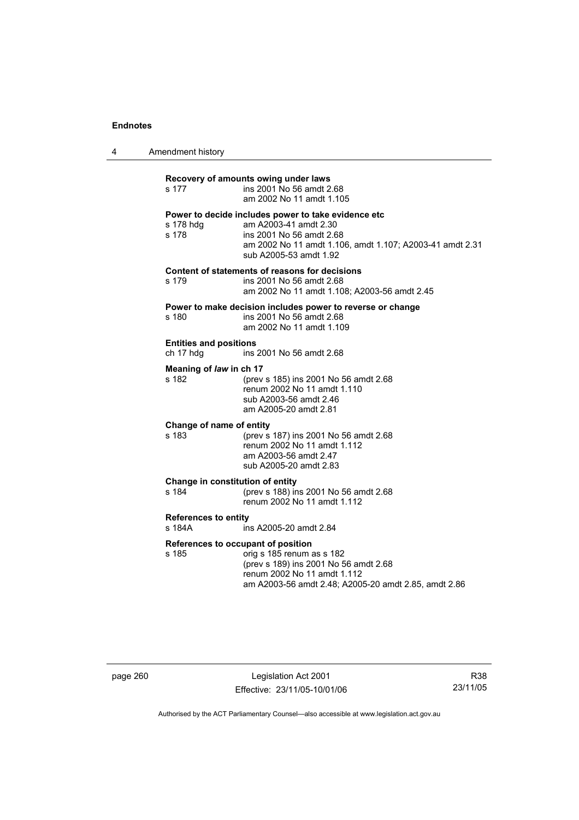4 Amendment history

| s 177                                                           | Recovery of amounts owing under laws<br>ins 2001 No 56 amdt 2.68<br>am 2002 No 11 amdt 1.105                                                                                                   |
|-----------------------------------------------------------------|------------------------------------------------------------------------------------------------------------------------------------------------------------------------------------------------|
| s 178 hdg<br>s 178                                              | Power to decide includes power to take evidence etc<br>am A2003-41 amdt 2.30<br>ins 2001 No 56 amdt 2.68<br>am 2002 No 11 amdt 1.106, amdt 1.107; A2003-41 amdt 2.31<br>sub A2005-53 amdt 1.92 |
| s 179                                                           | Content of statements of reasons for decisions<br>ins 2001 No 56 amdt 2.68<br>am 2002 No 11 amdt 1.108; A2003-56 amdt 2.45                                                                     |
| s 180                                                           | Power to make decision includes power to reverse or change<br>ins 2001 No 56 amdt 2.68<br>am 2002 No 11 amdt 1.109                                                                             |
| <b>Entities and positions</b><br>ch 17 hdg                      | ins 2001 No 56 amdt 2.68                                                                                                                                                                       |
| Meaning of law in ch 17<br>s 182                                | (prev s 185) ins 2001 No 56 amdt 2.68<br>renum 2002 No 11 amdt 1.110<br>sub A2003-56 amdt 2.46<br>am A2005-20 amdt 2.81                                                                        |
| Change of name of entity<br>s 183                               | (prev s 187) ins 2001 No 56 amdt 2.68<br>renum 2002 No 11 amdt 1.112<br>am A2003-56 amdt 2.47<br>sub A2005-20 amdt 2.83                                                                        |
| Change in constitution of entity<br>s 184                       | (prev s 188) ins 2001 No 56 amdt 2.68<br>renum 2002 No 11 amdt 1.112                                                                                                                           |
| <b>References to entity</b><br>s 184A<br>ins A2005-20 amdt 2.84 |                                                                                                                                                                                                |
| References to occupant of position<br>s 185                     | orig s 185 renum as s 182<br>(prev s 189) ins 2001 No 56 amdt 2.68<br>renum 2002 No 11 amdt 1.112<br>am A2003-56 amdt 2.48; A2005-20 amdt 2.85, amdt 2.86                                      |

page 260 Legislation Act 2001 Effective: 23/11/05-10/01/06

R38 23/11/05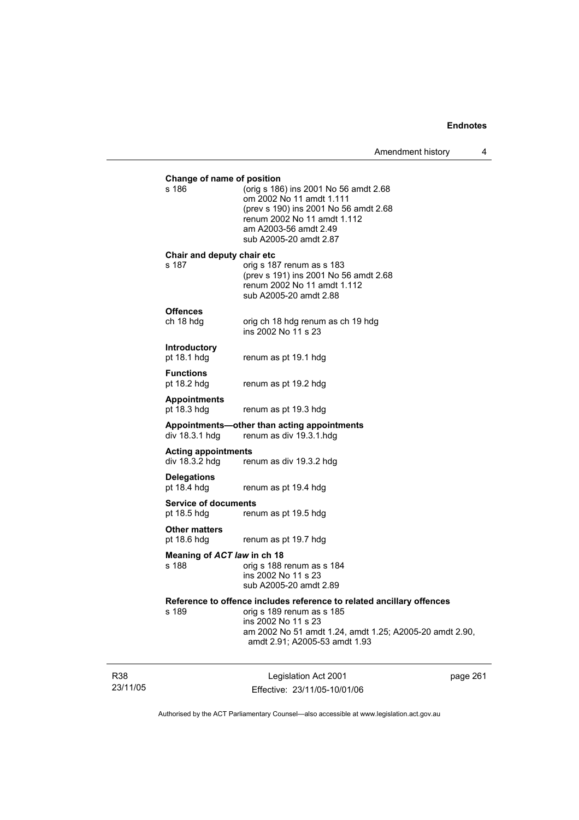**Contract Contract Contract Contract** 

| Change of name of position                   |                                                                                                                                                                                                                       |          |
|----------------------------------------------|-----------------------------------------------------------------------------------------------------------------------------------------------------------------------------------------------------------------------|----------|
| s 186                                        | (orig s 186) ins 2001 No 56 amdt 2.68<br>om 2002 No 11 amdt 1.111<br>(prev s 190) ins 2001 No 56 amdt 2.68<br>renum 2002 No 11 amdt 1.112<br>am A2003-56 amdt 2.49<br>sub A2005-20 amdt 2.87                          |          |
| Chair and deputy chair etc<br>s 187          | orig s 187 renum as s 183<br>(prev s 191) ins 2001 No 56 amdt 2.68<br>renum 2002 No 11 amdt 1.112<br>sub A2005-20 amdt 2.88                                                                                           |          |
| <b>Offences</b><br>ch 18 hdg                 | orig ch 18 hdg renum as ch 19 hdg<br>ins 2002 No 11 s 23                                                                                                                                                              |          |
| <b>Introductory</b><br>pt 18.1 hdg           | renum as pt 19.1 hdg                                                                                                                                                                                                  |          |
| <b>Functions</b><br>pt 18.2 hdg              | renum as pt 19.2 hdg                                                                                                                                                                                                  |          |
| <b>Appointments</b><br>pt 18.3 hdg           | renum as pt 19.3 hdg                                                                                                                                                                                                  |          |
| div 18.3.1 hdg                               | Appointments-other than acting appointments<br>renum as div 19.3.1.hdg                                                                                                                                                |          |
| <b>Acting appointments</b><br>div 18.3.2 hdg | renum as div 19.3.2 hdg                                                                                                                                                                                               |          |
| <b>Delegations</b><br>pt 18.4 hdg            | renum as pt 19.4 hdg                                                                                                                                                                                                  |          |
| <b>Service of documents</b><br>pt 18.5 hdg   | renum as pt 19.5 hdg                                                                                                                                                                                                  |          |
| <b>Other matters</b><br>pt 18.6 hdg          | renum as pt 19.7 hdg                                                                                                                                                                                                  |          |
| Meaning of ACT law in ch 18<br>s 188         | orig s 188 renum as s 184<br>ins 2002 No 11 s 23<br>sub A2005-20 amdt 2.89                                                                                                                                            |          |
| s 189                                        | Reference to offence includes reference to related ancillary offences<br>orig s 189 renum as s 185<br>ins 2002 No 11 s 23<br>am 2002 No 51 amdt 1.24, amdt 1.25; A2005-20 amdt 2.90,<br>amdt 2.91; A2005-53 amdt 1.93 |          |
|                                              | Legislation Act 2001<br>Effective: 23/11/05-10/01/06                                                                                                                                                                  | page 261 |

Authorised by the ACT Parliamentary Counsel—also accessible at www.legislation.act.gov.au

R38 23/11/05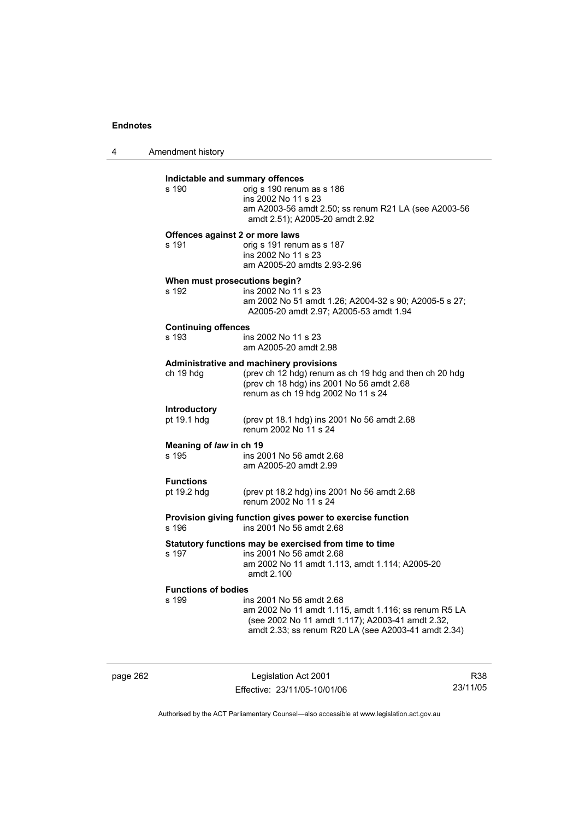4 Amendment history **Indictable and summary offences**   $\overline{\text{oria}}$  s 190 renum as s 186 ins 2002 No 11 s 23 am A2003-56 amdt 2.50; ss renum R21 LA (see A2003-56 amdt 2.51); A2005-20 amdt 2.92 **Offences against 2 or more laws**  s 191 orig s 191 renum as s 187 ins 2002 No 11 s 23 am A2005-20 amdts 2.93-2.96 **When must prosecutions begin?**  s 192 ins 2002 No 11 s 23 am 2002 No 51 amdt 1.26; A2004-32 s 90; A2005-5 s 27; A2005-20 amdt 2.97; A2005-53 amdt 1.94 **Continuing offences**  s 193 ins 2002 No 11 s 23 am A2005-20 amdt 2.98 **Administrative and machinery provisions**  ch 19 hdg (prev ch 12 hdg) renum as ch 19 hdg and then ch 20 hdg (prev ch 18 hdg) ins 2001 No 56 amdt 2.68 renum as ch 19 hdg 2002 No 11 s 24 **Introductory**  pt 19.1 hdg (prev pt 18.1 hdg) ins 2001 No 56 amdt 2.68 renum 2002 No 11 s 24 **Meaning of** *law* **in ch 19**  s 195 ins 2001 No 56 amdt 2.68 am A2005-20 amdt 2.99 **Functions**  pt 19.2 hdg (prev pt 18.2 hdg) ins 2001 No 56 amdt 2.68 renum 2002 No 11 s 24 **Provision giving function gives power to exercise function**  ins 2001 No 56 amdt 2.68 **Statutory functions may be exercised from time to time**  s 197 ins 2001 No 56 amdt 2.68 am 2002 No 11 amdt 1.113, amdt 1.114; A2005-20 amdt 2.100 **Functions of bodies**  s 199 ins 2001 No 56 amdt 2.68 am 2002 No 11 amdt 1.115, amdt 1.116; ss renum R5 LA (see 2002 No 11 amdt 1.117); A2003-41 amdt 2.32, amdt 2.33; ss renum R20 LA (see A2003-41 amdt 2.34)

page 262 Legislation Act 2001 Effective: 23/11/05-10/01/06

R38 23/11/05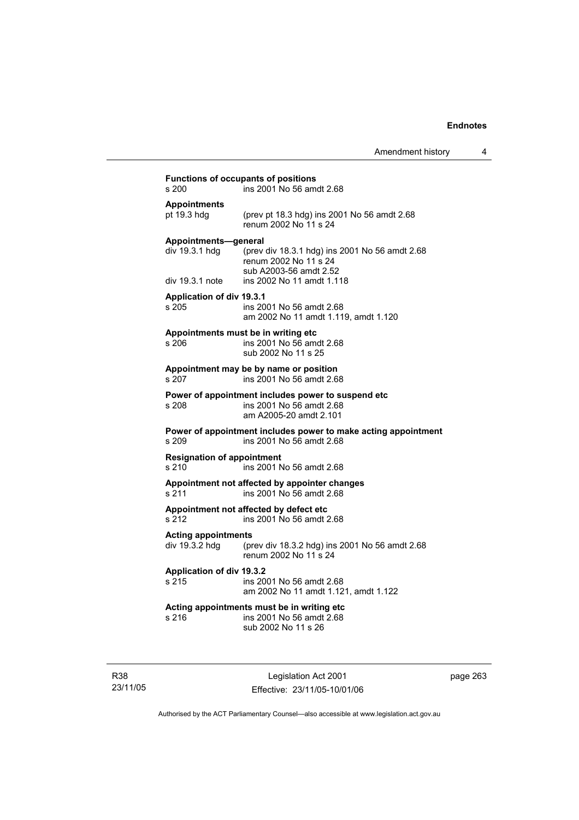| Amendment history |  |
|-------------------|--|
|-------------------|--|

| s 200                                        | ins 2001 No 56 amdt 2.68                                                                                 |
|----------------------------------------------|----------------------------------------------------------------------------------------------------------|
| <b>Appointments</b><br>pt 19.3 hdg           | (prev pt 18.3 hdg) ins 2001 No 56 amdt 2.68<br>renum 2002 No 11 s 24                                     |
| Appointments-general<br>div 19.3.1 hdg       | (prev div 18.3.1 hdg) ins 2001 No 56 amdt 2.68<br>renum 2002 No 11 s 24<br>sub A2003-56 amdt 2.52        |
| div 19.3.1 note                              | ins 2002 No 11 amdt 1.118                                                                                |
| Application of div 19.3.1<br>s 205           | ins 2001 No 56 amdt 2.68<br>am 2002 No 11 amdt 1.119, amdt 1.120                                         |
| s 206                                        | Appointments must be in writing etc<br>ins 2001 No 56 amdt 2.68<br>sub 2002 No 11 s 25                   |
| s 207                                        | Appointment may be by name or position<br>ins 2001 No 56 amdt 2.68                                       |
| s 208                                        | Power of appointment includes power to suspend etc<br>ins 2001 No 56 amdt 2.68<br>am A2005-20 amdt 2.101 |
| s 209                                        | Power of appointment includes power to make acting appointment<br>ins 2001 No 56 amdt 2.68               |
| <b>Resignation of appointment</b><br>s210    | ins 2001 No 56 amdt 2.68                                                                                 |
| s 211                                        | Appointment not affected by appointer changes<br>ins 2001 No 56 amdt 2.68                                |
| s 212                                        | Appointment not affected by defect etc<br>ins 2001 No 56 amdt 2.68                                       |
| <b>Acting appointments</b><br>div 19.3.2 hdg | (prev div 18.3.2 hdg) ins 2001 No 56 amdt 2.68<br>renum 2002 No 11 s 24                                  |
| Application of div 19.3.2<br>s 215           | ins 2001 No 56 amdt 2.68<br>am 2002 No 11 amdt 1.121, amdt 1.122                                         |
| s 216                                        | Acting appointments must be in writing etc<br>ins 2001 No 56 amdt 2.68<br>sub 2002 No 11 s 26            |

R38 23/11/05

Legislation Act 2001 Effective: 23/11/05-10/01/06 page 263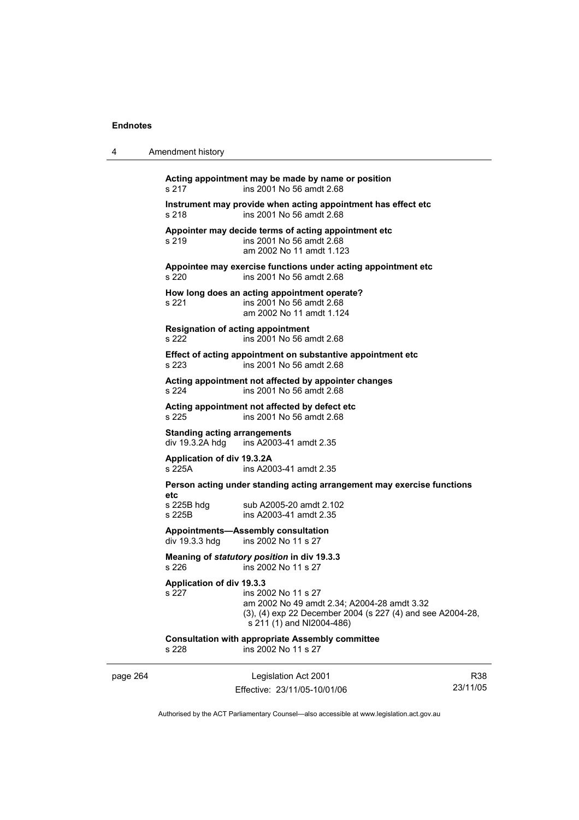4 Amendment history

| s 217                                                  | Acting appointment may be made by name or position<br>ins 2001 No 56 amdt 2.68                                                                                |
|--------------------------------------------------------|---------------------------------------------------------------------------------------------------------------------------------------------------------------|
| s 218                                                  | Instrument may provide when acting appointment has effect etc<br>ins 2001 No 56 amdt 2.68                                                                     |
| s 219                                                  | Appointer may decide terms of acting appointment etc<br>ins 2001 No 56 amdt 2.68<br>am 2002 No 11 amdt 1.123                                                  |
| s 220                                                  | Appointee may exercise functions under acting appointment etc<br>ins 2001 No 56 amdt 2.68                                                                     |
| s 221                                                  | How long does an acting appointment operate?<br>ins 2001 No 56 amdt 2.68<br>am 2002 No 11 amdt 1.124                                                          |
| <b>Resignation of acting appointment</b><br>s 222      | ins 2001 No 56 amdt 2.68                                                                                                                                      |
| s 223                                                  | Effect of acting appointment on substantive appointment etc<br>ins 2001 No 56 amdt 2.68                                                                       |
| s 224                                                  | Acting appointment not affected by appointer changes<br>ins 2001 No 56 amdt 2.68                                                                              |
| s 225                                                  | Acting appointment not affected by defect etc<br>ins 2001 No 56 amdt 2.68                                                                                     |
| <b>Standing acting arrangements</b><br>div 19.3.2A hdg | ins A2003-41 amdt 2.35                                                                                                                                        |
| Application of div 19.3.2A<br>s 225A                   | ins A2003-41 amdt 2.35                                                                                                                                        |
|                                                        | Person acting under standing acting arrangement may exercise functions                                                                                        |
| etc<br>s 225B hdg<br>s 225B                            | sub A2005-20 amdt 2.102<br>ins A2003-41 amdt 2.35                                                                                                             |
| div 19.3.3 hdg                                         | Appointments—Assembly consultation<br>ins 2002 No 11 s 27                                                                                                     |
| s 226                                                  | Meaning of statutory position in div 19.3.3<br>ins 2002 No 11 s 27                                                                                            |
| <b>Application of div 19.3.3</b><br>s 227              | ins 2002 No 11 s 27<br>am 2002 No 49 amdt 2.34; A2004-28 amdt 3.32<br>(3), (4) exp 22 December 2004 (s 227 (4) and see A2004-28,<br>s 211 (1) and NI2004-486) |
| s 228                                                  | <b>Consultation with appropriate Assembly committee</b><br>ins 2002 No 11 s 27                                                                                |

page 264 Legislation Act 2001 Effective: 23/11/05-10/01/06

R38 23/11/05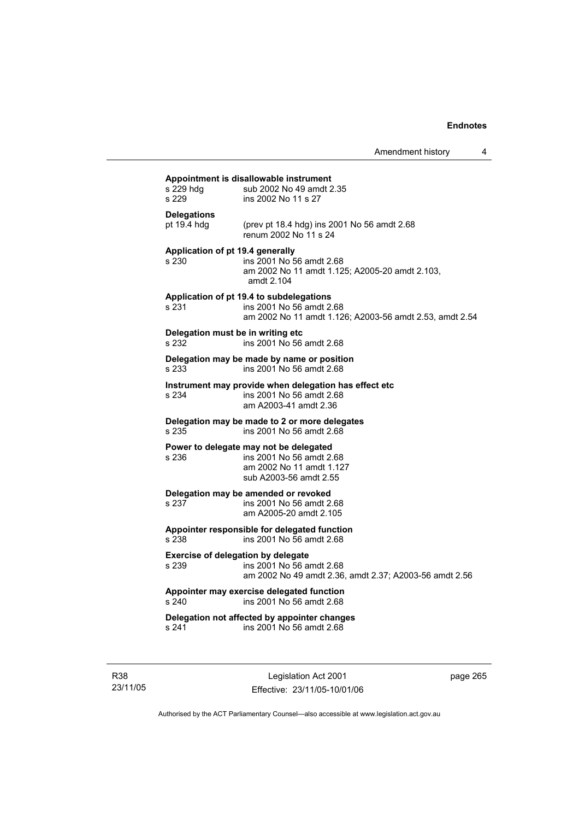| s 229 hdg<br>s 229                          | Appointment is disallowable instrument<br>sub 2002 No 49 amdt 2.35<br>ins 2002 No 11 s 27                                       |
|---------------------------------------------|---------------------------------------------------------------------------------------------------------------------------------|
| <b>Delegations</b><br>pt 19.4 hdg           | (prev pt 18.4 hdg) ins 2001 No 56 amdt 2.68<br>renum 2002 No 11 s 24                                                            |
| Application of pt 19.4 generally<br>s 230   | ins 2001 No 56 amdt 2.68<br>am 2002 No 11 amdt 1.125; A2005-20 amdt 2.103,<br>amdt 2.104                                        |
| s 231                                       | Application of pt 19.4 to subdelegations<br>ins 2001 No 56 amdt 2.68<br>am 2002 No 11 amdt 1.126; A2003-56 amdt 2.53, amdt 2.54 |
| Delegation must be in writing etc<br>s 232  | ins 2001 No 56 amdt 2.68                                                                                                        |
| s 233                                       | Delegation may be made by name or position<br>ins 2001 No 56 amdt 2.68                                                          |
| s 234                                       | Instrument may provide when delegation has effect etc<br>ins 2001 No 56 amdt 2.68<br>am A2003-41 amdt 2.36                      |
| s 235                                       | Delegation may be made to 2 or more delegates<br>ins 2001 No 56 amdt 2.68                                                       |
| s 236                                       | Power to delegate may not be delegated<br>ins 2001 No 56 amdt 2.68<br>am 2002 No 11 amdt 1.127<br>sub A2003-56 amdt 2.55        |
| s 237                                       | Delegation may be amended or revoked<br>ins 2001 No 56 amdt 2.68<br>am A2005-20 amdt 2.105                                      |
| s 238                                       | Appointer responsible for delegated function<br>ins 2001 No 56 amdt 2.68                                                        |
| Exercise of delegation by delegate<br>s 239 | ins 2001 No 56 amdt 2.68<br>am 2002 No 49 amdt 2.36, amdt 2.37; A2003-56 amdt 2.56                                              |
| s 240                                       | Appointer may exercise delegated function<br>ins 2001 No 56 amdt 2.68                                                           |
|                                             |                                                                                                                                 |

R38 23/11/05

Legislation Act 2001 Effective: 23/11/05-10/01/06 page 265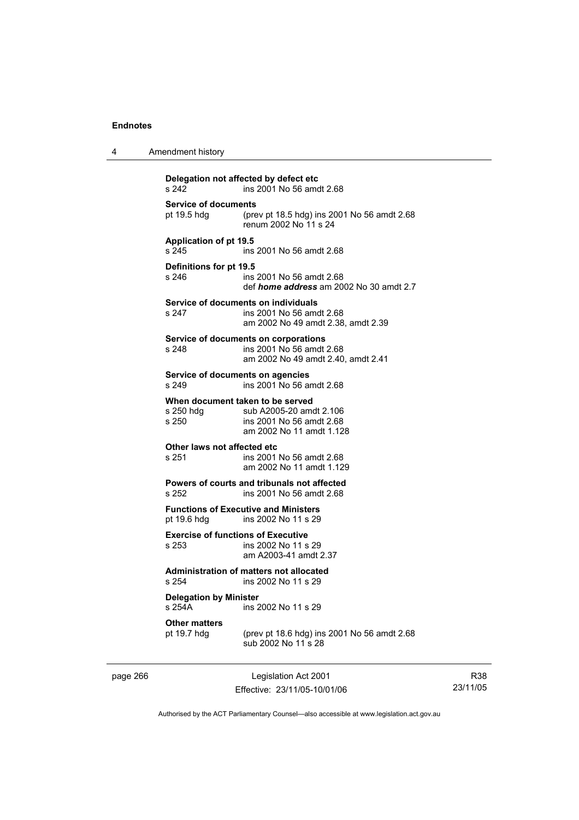4 Amendment history

| Delegation not affected by defect etc<br>s 242             | ins 2001 No 56 amdt 2.68                                                |
|------------------------------------------------------------|-------------------------------------------------------------------------|
| <b>Service of documents</b>                                | (prev pt 18.5 hdg) ins 2001 No 56 amdt 2.68                             |
| pt 19.5 hdg                                                | renum 2002 No 11 s 24                                                   |
| <b>Application of pt 19.5</b><br>s 245                     | ins 2001 No 56 amdt 2.68                                                |
| Definitions for pt 19.5                                    | ins 2001 No 56 amdt 2.68                                                |
| s 246                                                      | def <i>home address</i> am 2002 No 30 amdt 2.7                          |
| Service of documents on individuals                        | ins 2001 No 56 amdt 2.68                                                |
| s 247                                                      | am 2002 No 49 amdt 2.38, amdt 2.39                                      |
| Service of documents on corporations                       | ins 2001 No 56 amdt 2.68                                                |
| s 248                                                      | am 2002 No 49 amdt 2.40, amdt 2.41                                      |
| Service of documents on agencies<br>s 249                  | ins 2001 No 56 amdt 2.68                                                |
| When document taken to be served                           | sub A2005-20 amdt 2.106                                                 |
| s 250 hda                                                  | ins 2001 No 56 amdt 2.68                                                |
| s 250                                                      | am 2002 No 11 amdt 1.128                                                |
| Other laws not affected etc                                | ins 2001 No 56 amdt 2.68                                                |
| s 251                                                      | am 2002 No 11 amdt 1.129                                                |
| s 252                                                      | Powers of courts and tribunals not affected<br>ins 2001 No 56 amdt 2.68 |
| <b>Functions of Executive and Ministers</b><br>pt 19.6 hdg | ins 2002 No 11 s 29                                                     |
| <b>Exercise of functions of Executive</b>                  | ins 2002 No 11 s 29                                                     |
| s 253                                                      | am A2003-41 amdt 2.37                                                   |
| s 254                                                      | Administration of matters not allocated<br>ins 2002 No 11 s 29          |
| <b>Delegation by Minister</b><br>s 254A                    | ins 2002 No 11 s 29                                                     |
| <b>Other matters</b>                                       | (prev pt 18.6 hdg) ins 2001 No 56 amdt 2.68                             |
| pt 19.7 hdg                                                | sub 2002 No 11 s 28                                                     |

page 266 Legislation Act 2001 Effective: 23/11/05-10/01/06

R38 23/11/05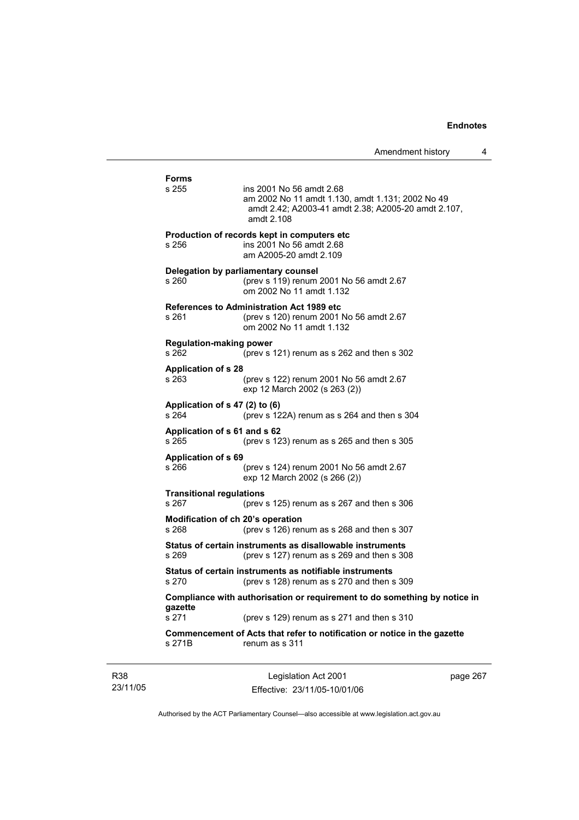| s 255                                      | ins 2001 No 56 amdt 2.68<br>am 2002 No 11 amdt 1.130, amdt 1.131; 2002 No 49<br>amdt 2.42; A2003-41 amdt 2.38; A2005-20 amdt 2.107,<br>amdt 2.108 |
|--------------------------------------------|---------------------------------------------------------------------------------------------------------------------------------------------------|
| s 256                                      | Production of records kept in computers etc<br>ins 2001 No 56 amdt 2.68<br>am A2005-20 amdt 2.109                                                 |
| s 260                                      | Delegation by parliamentary counsel<br>(prev s 119) renum 2001 No 56 amdt 2.67<br>om 2002 No 11 amdt 1.132                                        |
| s 261                                      | <b>References to Administration Act 1989 etc</b><br>(prev s 120) renum 2001 No 56 amdt 2.67<br>om 2002 No 11 amdt 1.132                           |
| <b>Regulation-making power</b><br>s 262    | (prev s 121) renum as s 262 and then s 302                                                                                                        |
| <b>Application of s 28</b><br>s 263        | (prev s 122) renum 2001 No 56 amdt 2.67<br>exp 12 March 2002 (s 263 (2))                                                                          |
| Application of s 47 (2) to (6)<br>s264     | (prev s 122A) renum as s 264 and then s 304                                                                                                       |
| Application of s 61 and s 62<br>s 265      | (prev s $123$ ) renum as s $265$ and then s $305$                                                                                                 |
| <b>Application of s 69</b><br>s 266        | (prev s 124) renum 2001 No 56 amdt 2.67<br>exp 12 March 2002 (s 266 (2))                                                                          |
| <b>Transitional regulations</b><br>s 267   | (prev s $125$ ) renum as s $267$ and then s $306$                                                                                                 |
| Modification of ch 20's operation<br>s 268 | (prev s 126) renum as s 268 and then s 307                                                                                                        |
| s 269                                      | Status of certain instruments as disallowable instruments<br>(prev s 127) renum as s 269 and then s 308                                           |
| s 270                                      | Status of certain instruments as notifiable instruments<br>(prev s 128) renum as s 270 and then s 309                                             |
|                                            | Compliance with authorisation or requirement to do something by notice in                                                                         |
| gazette<br>s 271                           | (prev s 129) renum as s 271 and then s 310                                                                                                        |

R38 23/11/05

Legislation Act 2001 Effective: 23/11/05-10/01/06 page 267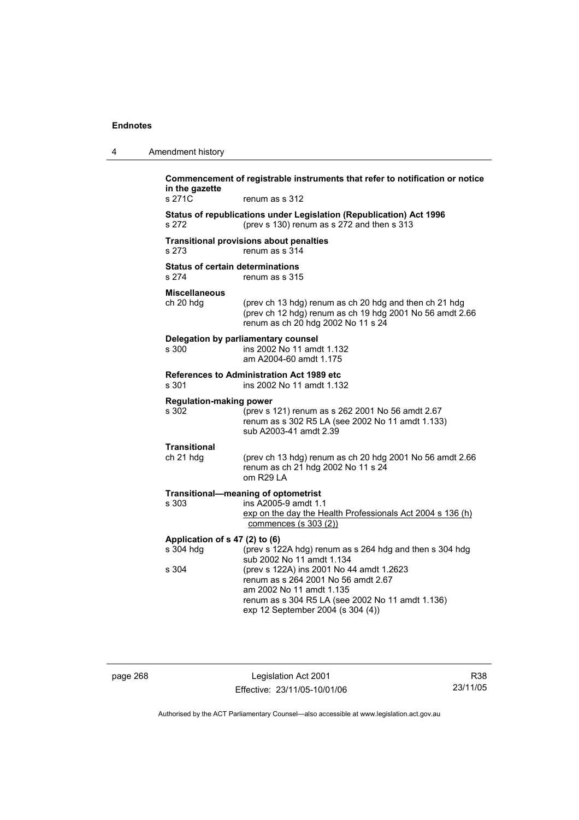| 4 | Amendment history                                |                                                                                                                                                                                                      |
|---|--------------------------------------------------|------------------------------------------------------------------------------------------------------------------------------------------------------------------------------------------------------|
|   | in the gazette<br>s 271C                         | Commencement of registrable instruments that refer to notification or notice<br>renum as s 312                                                                                                       |
|   | s 272                                            | Status of republications under Legislation (Republication) Act 1996<br>(prev s 130) renum as s 272 and then s 313                                                                                    |
|   | s 273                                            | <b>Transitional provisions about penalties</b><br>renum as s 314                                                                                                                                     |
|   | <b>Status of certain determinations</b><br>s 274 | renum as s 315                                                                                                                                                                                       |
|   | <b>Miscellaneous</b><br>ch 20 hdg                | (prev ch 13 hdg) renum as ch 20 hdg and then ch 21 hdg<br>(prev ch 12 hdg) renum as ch 19 hdg 2001 No 56 amdt 2.66<br>renum as ch 20 hdg 2002 No 11 s 24                                             |
|   | Delegation by parliamentary counsel<br>s 300     | ins 2002 No 11 amdt 1.132<br>am A2004-60 amdt 1.175                                                                                                                                                  |
|   | s 301                                            | <b>References to Administration Act 1989 etc.</b><br>ins 2002 No 11 amdt 1.132                                                                                                                       |
|   | <b>Regulation-making power</b><br>s 302          | (prev s 121) renum as s 262 2001 No 56 amdt 2.67<br>renum as s 302 R5 LA (see 2002 No 11 amdt 1.133)<br>sub A2003-41 amdt 2.39                                                                       |
|   | <b>Transitional</b><br>ch 21 hdg                 | (prev ch 13 hdg) renum as ch 20 hdg 2001 No 56 amdt 2.66<br>renum as ch 21 hdg 2002 No 11 s 24<br>om R29 LA                                                                                          |
|   | Transitional-meaning of optometrist<br>s 303     | ins A2005-9 amdt 1.1<br>exp on the day the Health Professionals Act 2004 s 136 (h)<br>commences (s 303 (2))                                                                                          |
|   | Application of s 47 (2) to (6)                   |                                                                                                                                                                                                      |
|   | s 304 hdg                                        | (prev s 122A hdg) renum as s 264 hdg and then s 304 hdg<br>sub 2002 No 11 amdt 1.134                                                                                                                 |
|   | s 304                                            | (prev s 122A) ins 2001 No 44 amdt 1.2623<br>renum as s 264 2001 No 56 amdt 2.67<br>am 2002 No 11 amdt 1.135<br>renum as s 304 R5 LA (see 2002 No 11 amdt 1.136)<br>exp 12 September 2004 (s 304 (4)) |
|   |                                                  |                                                                                                                                                                                                      |

page 268 Legislation Act 2001 Effective: 23/11/05-10/01/06

R38 23/11/05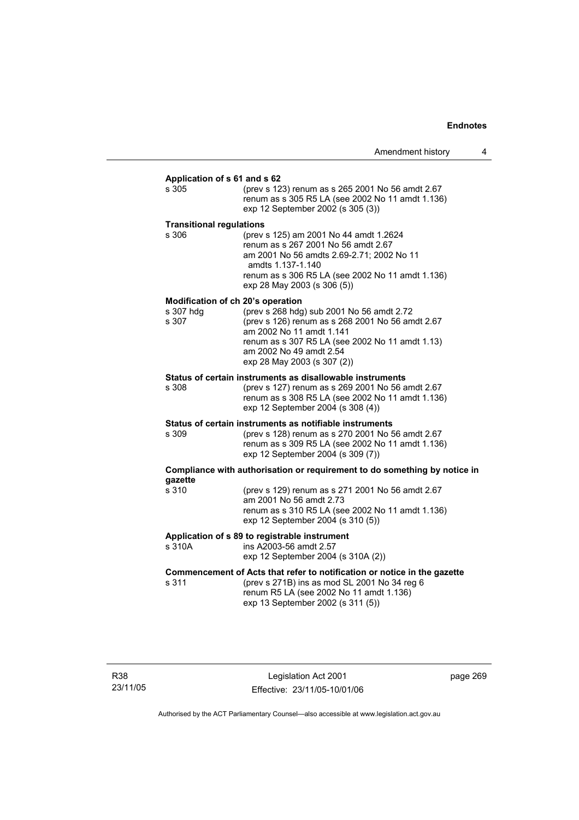# **Application of s 61 and s 62**

(prev s 123) renum as s 265 2001 No 56 amdt 2.67 renum as s 305 R5 LA (see 2002 No 11 amdt 1.136) exp 12 September 2002 (s 305 (3))

#### **Transitional regulations**

s 306 (prev s 125) am 2001 No 44 amdt 1.2624 renum as s 267 2001 No 56 amdt 2.67 am 2001 No 56 amdts 2.69-2.71; 2002 No 11 amdts 1.137-1.140 renum as s 306 R5 LA (see 2002 No 11 amdt 1.136) exp 28 May 2003 (s 306 (5))

#### **Modification of ch 20's operation**

| (prev s 268 hdg) sub 2001 No 56 amdt 2.72        |
|--------------------------------------------------|
| (prev s 126) renum as s 268 2001 No 56 amdt 2.67 |
| am 2002 No 11 amdt 1.141                         |
| renum as s 307 R5 LA (see 2002 No 11 amdt 1.13)  |
| am 2002 No 49 amdt 2.54                          |
| exp 28 May 2003 (s 307 (2))                      |
|                                                  |

#### **Status of certain instruments as disallowable instruments**

s 308 (prev s 127) renum as s 269 2001 No 56 amdt 2.67 renum as s 308 R5 LA (see 2002 No 11 amdt 1.136) exp 12 September 2004 (s 308 (4))

# **Status of certain instruments as notifiable instruments**

s 309 (prev s 128) renum as s 270 2001 No 56 amdt 2.67 renum as s 309 R5 LA (see 2002 No 11 amdt 1.136) exp 12 September 2004 (s 309 (7))

#### **Compliance with authorisation or requirement to do something by notice in gazette**

| s 310 | (prev s 129) renum as s 271 2001 No 56 amdt 2.67<br>am 2001 No 56 amdt 2.73           |
|-------|---------------------------------------------------------------------------------------|
|       | renum as s 310 R5 LA (see 2002 No 11 amdt 1.136)<br>exp 12 September 2004 (s 310 (5)) |

#### **Application of s 89 to registrable instrument**

s 310A ins A2003-56 amdt 2.57 exp 12 September 2004 (s 310A (2))

# **Commencement of Acts that refer to notification or notice in the gazette**<br>s 311 (prev s 271B) ins as mod SL 2001 No 34 reg 6

(prev s 271B) ins as mod SL 2001 No 34 reg  $6$  renum R5 LA (see 2002 No 11 amdt 1.136) exp 13 September 2002 (s 311 (5))

R38 23/11/05

Legislation Act 2001 Effective: 23/11/05-10/01/06 page 269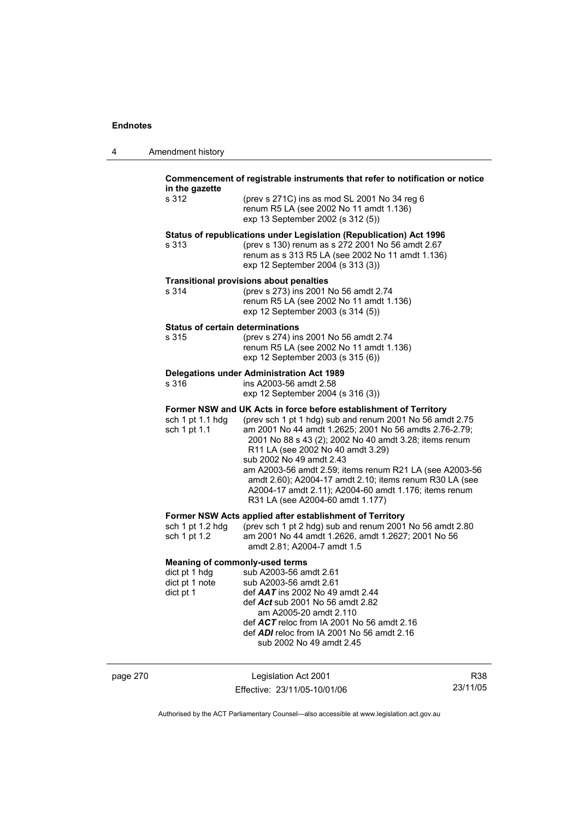| 4 | Amendment history |
|---|-------------------|
|---|-------------------|

| in the gazette                                                                        | Commencement of registrable instruments that refer to notification or notice                                                                                                                                                                                                                                                                                                                                                                                                                                                          |
|---------------------------------------------------------------------------------------|---------------------------------------------------------------------------------------------------------------------------------------------------------------------------------------------------------------------------------------------------------------------------------------------------------------------------------------------------------------------------------------------------------------------------------------------------------------------------------------------------------------------------------------|
| s 312                                                                                 | (prev s 271C) ins as mod SL 2001 No 34 reg 6<br>renum R5 LA (see 2002 No 11 amdt 1.136)<br>exp 13 September 2002 (s 312 (5))                                                                                                                                                                                                                                                                                                                                                                                                          |
| s 313                                                                                 | Status of republications under Legislation (Republication) Act 1996<br>(prev s 130) renum as s 272 2001 No 56 amdt 2.67<br>renum as s 313 R5 LA (see 2002 No 11 amdt 1.136)<br>exp 12 September 2004 (s 313 (3))                                                                                                                                                                                                                                                                                                                      |
| s 314                                                                                 | <b>Transitional provisions about penalties</b><br>(prev s 273) ins 2001 No 56 amdt 2.74<br>renum R5 LA (see 2002 No 11 amdt 1.136)<br>exp 12 September 2003 (s 314 (5))                                                                                                                                                                                                                                                                                                                                                               |
| <b>Status of certain determinations</b><br>s 315                                      | (prev s 274) ins 2001 No 56 amdt 2.74<br>renum R5 LA (see 2002 No 11 amdt 1.136)<br>exp 12 September 2003 (s 315 (6))                                                                                                                                                                                                                                                                                                                                                                                                                 |
| s 316                                                                                 | <b>Delegations under Administration Act 1989</b><br>ins A2003-56 amdt 2.58<br>exp 12 September 2004 (s 316 (3))                                                                                                                                                                                                                                                                                                                                                                                                                       |
| sch 1 pt 1.1 hdg<br>sch 1 pt 1.1                                                      | Former NSW and UK Acts in force before establishment of Territory<br>(prev sch 1 pt 1 hdg) sub and renum 2001 No 56 amdt 2.75<br>am 2001 No 44 amdt 1.2625; 2001 No 56 amdts 2.76-2.79;<br>2001 No 88 s 43 (2); 2002 No 40 amdt 3.28; items renum<br>R11 LA (see 2002 No 40 amdt 3.29)<br>sub 2002 No 49 amdt 2.43<br>am A2003-56 amdt 2.59; items renum R21 LA (see A2003-56<br>amdt 2.60); A2004-17 amdt 2.10; items renum R30 LA (see<br>A2004-17 amdt 2.11); A2004-60 amdt 1.176; items renum<br>R31 LA (see A2004-60 amdt 1.177) |
| sch 1 pt 1.2 hdg<br>sch 1 pt 1.2                                                      | Former NSW Acts applied after establishment of Territory<br>(prev sch 1 pt 2 hdg) sub and renum 2001 No 56 amdt 2.80<br>am 2001 No 44 amdt 1.2626, amdt 1.2627; 2001 No 56<br>amdt 2.81; A2004-7 amdt 1.5                                                                                                                                                                                                                                                                                                                             |
| <b>Meaning of commonly-used terms</b><br>dict pt 1 hdg<br>dict pt 1 note<br>dict pt 1 | sub A2003-56 amdt 2.61<br>sub A2003-56 amdt 2.61<br>def $AAT$ ins 2002 No 49 amdt 2.44<br>def Act sub 2001 No 56 amdt 2.82<br>am A2005-20 amdt 2.110<br>def ACT reloc from IA 2001 No 56 amdt 2.16<br>def <b>ADI</b> reloc from IA 2001 No 56 amdt 2.16                                                                                                                                                                                                                                                                               |

page 270 Legislation Act 2001 Effective: 23/11/05-10/01/06

R38 23/11/05

Authorised by the ACT Parliamentary Counsel—also accessible at www.legislation.act.gov.au

sub 2002 No 49 amdt 2.45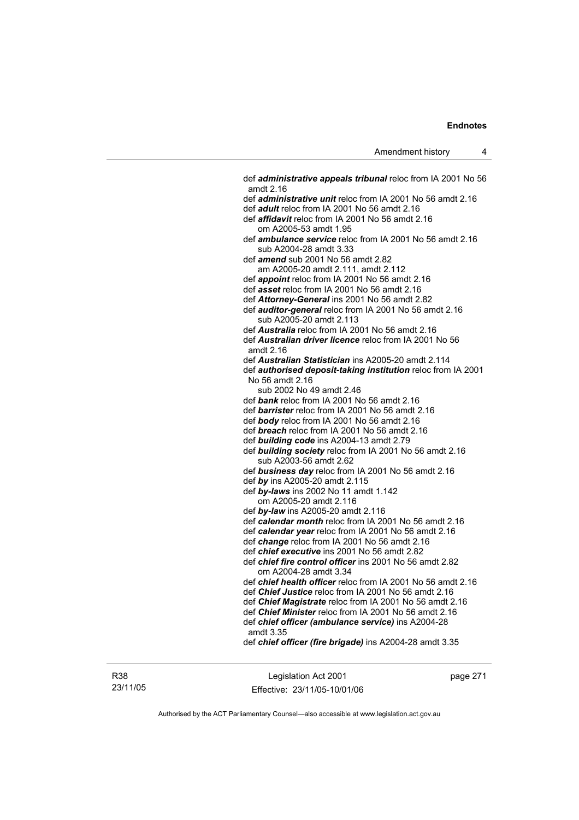def *administrative appeals tribunal* reloc from IA 2001 No 56 amdt 2.16 def *administrative unit* reloc from IA 2001 No 56 amdt 2.16 def *adult* reloc from IA 2001 No 56 amdt 2.16 def *affidavit* reloc from IA 2001 No 56 amdt 2.16 om A2005-53 amdt 1.95 def *ambulance service* reloc from IA 2001 No 56 amdt 2.16 sub A2004-28 amdt 3.33 def *amend* sub 2001 No 56 amdt 2.82 am A2005-20 amdt 2.111, amdt 2.112 def *appoint* reloc from IA 2001 No 56 amdt 2.16 def *asset* reloc from IA 2001 No 56 amdt 2.16 def *Attorney-General* ins 2001 No 56 amdt 2.82 def *auditor-general* reloc from IA 2001 No 56 amdt 2.16 sub A2005-20 amdt 2.113 def *Australia* reloc from IA 2001 No 56 amdt 2.16 def *Australian driver licence* reloc from IA 2001 No 56 amdt 2.16 def *Australian Statistician* ins A2005-20 amdt 2.114 def *authorised deposit-taking institution* reloc from IA 2001 No 56 amdt 2.16 sub 2002 No 49 amdt 2.46 def *bank* reloc from IA 2001 No 56 amdt 2.16 def *barrister* reloc from IA 2001 No 56 amdt 2.16 def *body* reloc from IA 2001 No 56 amdt 2.16 def *breach* reloc from IA 2001 No 56 amdt 2.16 def *building code* ins A2004-13 amdt 2.79 def *building society* reloc from IA 2001 No 56 amdt 2.16 sub A2003-56 amdt 2.62 def *business day* reloc from IA 2001 No 56 amdt 2.16 def *by* ins A2005-20 amdt 2.115 def *by-laws* ins 2002 No 11 amdt 1.142 om A2005-20 amdt 2.116 def *by-law* ins A2005-20 amdt 2.116 def *calendar month* reloc from IA 2001 No 56 amdt 2.16 def *calendar year* reloc from IA 2001 No 56 amdt 2.16 def *change* reloc from IA 2001 No 56 amdt 2.16 def *chief executive* ins 2001 No 56 amdt 2.82 def *chief fire control officer* ins 2001 No 56 amdt 2.82 om A2004-28 amdt 3.34 def *chief health officer* reloc from IA 2001 No 56 amdt 2.16 def *Chief Justice* reloc from IA 2001 No 56 amdt 2.16 def *Chief Magistrate* reloc from IA 2001 No 56 amdt 2.16 def *Chief Minister* reloc from IA 2001 No 56 amdt 2.16 def *chief officer (ambulance service)* ins A2004-28 amdt 3.35 def *chief officer (fire brigade)* ins A2004-28 amdt 3.35

R38 23/11/05

Legislation Act 2001 Effective: 23/11/05-10/01/06 page 271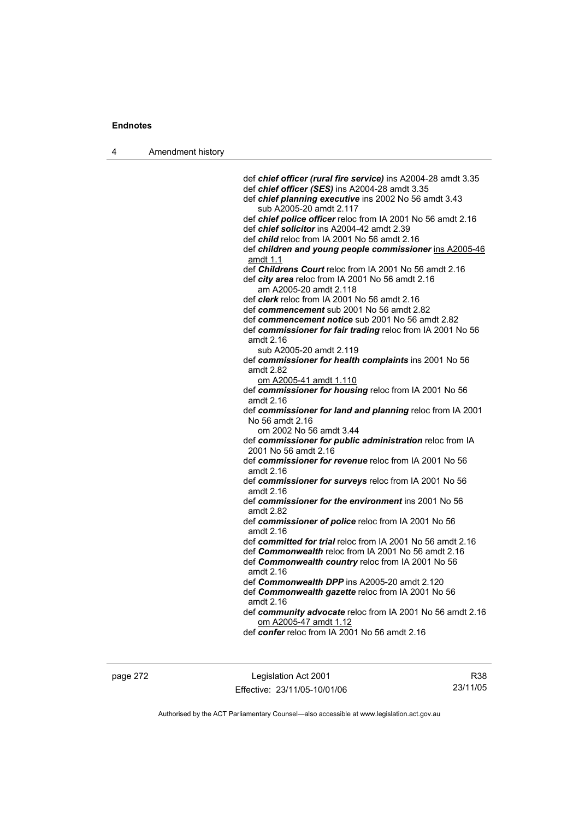4 Amendment history

 def *chief officer (rural fire service)* ins A2004-28 amdt 3.35 def *chief officer (SES)* ins A2004-28 amdt 3.35 def *chief planning executive* ins 2002 No 56 amdt 3.43 sub A2005-20 amdt 2.117 def *chief police officer* reloc from IA 2001 No 56 amdt 2.16 def *chief solicitor* ins A2004-42 amdt 2.39 def *child* reloc from IA 2001 No 56 amdt 2.16 def *children and young people commissioner* ins A2005-46 amdt 1.1 def *Childrens Court* reloc from IA 2001 No 56 amdt 2.16 def *city area* reloc from IA 2001 No 56 amdt 2.16 am A2005-20 amdt 2.118 def *clerk* reloc from IA 2001 No 56 amdt 2.16 def *commencement* sub 2001 No 56 amdt 2.82 def *commencement notice* sub 2001 No 56 amdt 2.82 def *commissioner for fair trading* reloc from IA 2001 No 56 amdt 2.16 sub A2005-20 amdt 2.119 def *commissioner for health complaints* ins 2001 No 56 amdt 2.82 om A2005-41 amdt 1.110 def *commissioner for housing* reloc from IA 2001 No 56 amdt 2.16 def *commissioner for land and planning* reloc from IA 2001 No 56 amdt 2.16 om 2002 No 56 amdt 3.44 def *commissioner for public administration* reloc from IA 2001 No 56 amdt 2.16 def *commissioner for revenue* reloc from IA 2001 No 56 amdt 2.16 def *commissioner for surveys* reloc from IA 2001 No 56 amdt 2.16 def *commissioner for the environment* ins 2001 No 56 amdt 2.82 def *commissioner of police* reloc from IA 2001 No 56 amdt 2.16 def *committed for trial* reloc from IA 2001 No 56 amdt 2.16 def *Commonwealth* reloc from IA 2001 No 56 amdt 2.16 def *Commonwealth country* reloc from IA 2001 No 56 amdt 2.16 def *Commonwealth DPP* ins A2005-20 amdt 2.120 def *Commonwealth gazette* reloc from IA 2001 No 56 amdt 2.16 def *community advocate* reloc from IA 2001 No 56 amdt 2.16 om A2005-47 amdt 1.12

def *confer* reloc from IA 2001 No 56 amdt 2.16

page 272 Legislation Act 2001 Effective: 23/11/05-10/01/06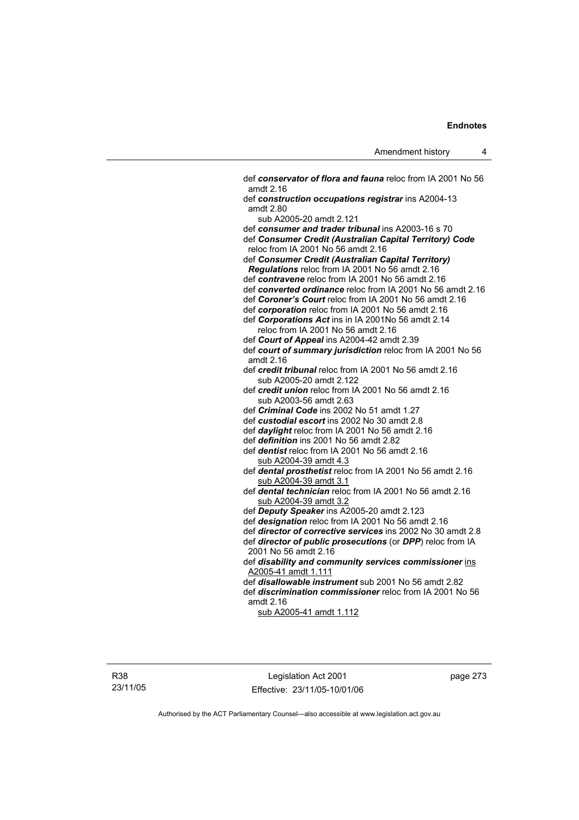def *conservator of flora and fauna* reloc from IA 2001 No 56 amdt 2.16 def *construction occupations registrar* ins A2004-13 amdt 2.80 sub A2005-20 amdt 2.121 def *consumer and trader tribunal* ins A2003-16 s 70 def *Consumer Credit (Australian Capital Territory) Code* reloc from IA 2001 No 56 amdt 2.16 def *Consumer Credit (Australian Capital Territory) Regulations* reloc from IA 2001 No 56 amdt 2.16 def *contravene* reloc from IA 2001 No 56 amdt 2.16 def *converted ordinance* reloc from IA 2001 No 56 amdt 2.16 def *Coroner's Court* reloc from IA 2001 No 56 amdt 2.16 def *corporation* reloc from IA 2001 No 56 amdt 2.16 def *Corporations Act* ins in IA 2001No 56 amdt 2.14 reloc from IA 2001 No 56 amdt 2.16 def *Court of Appeal* ins A2004-42 amdt 2.39 def *court of summary jurisdiction* reloc from IA 2001 No 56 amdt 2.16 def *credit tribunal* reloc from IA 2001 No 56 amdt 2.16 sub A2005-20 amdt 2.122 def *credit union* reloc from IA 2001 No 56 amdt 2.16 sub A2003-56 amdt 2.63 def *Criminal Code* ins 2002 No 51 amdt 1.27 def *custodial escort* ins 2002 No 30 amdt 2.8 def *daylight* reloc from IA 2001 No 56 amdt 2.16 def *definition* ins 2001 No 56 amdt 2.82 def *dentist* reloc from IA 2001 No 56 amdt 2.16 sub A2004-39 amdt 4.3 def *dental prosthetist* reloc from IA 2001 No 56 amdt 2.16 sub A2004-39 amdt 3.1 def *dental technician* reloc from IA 2001 No 56 amdt 2.16 sub A2004-39 amdt 3.2 def *Deputy Speaker* ins A2005-20 amdt 2.123 def *designation* reloc from IA 2001 No 56 amdt 2.16 def *director of corrective services* ins 2002 No 30 amdt 2.8 def *director of public prosecutions* (or *DPP*) reloc from IA 2001 No 56 amdt 2.16 def *disability and community services commissioner* ins A2005-41 amdt 1.111 def *disallowable instrument* sub 2001 No 56 amdt 2.82 def *discrimination commissioner* reloc from IA 2001 No 56 amdt 2.16 sub A2005-41 amdt 1.112

Legislation Act 2001 Effective: 23/11/05-10/01/06 page 273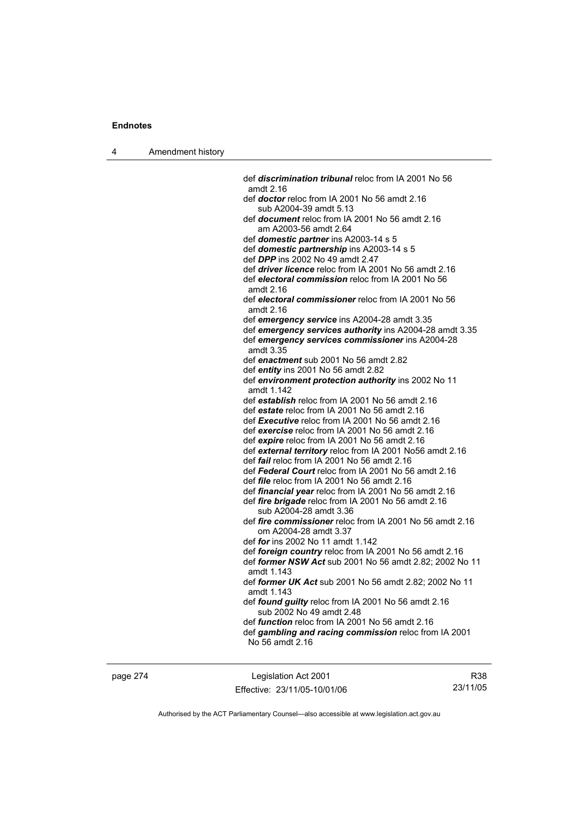| Amendment history<br>л |  |
|------------------------|--|
|------------------------|--|

 def *discrimination tribunal* reloc from IA 2001 No 56 amdt 2.16 def *doctor* reloc from IA 2001 No 56 amdt 2.16 sub A2004-39 amdt 5.13 def *document* reloc from IA 2001 No 56 amdt 2.16 am A2003-56 amdt 2.64 def *domestic partner* ins A2003-14 s 5 def *domestic partnership* ins A2003-14 s 5 def *DPP* ins 2002 No 49 amdt 2.47 def *driver licence* reloc from IA 2001 No 56 amdt 2.16 def *electoral commission* reloc from IA 2001 No 56 amdt 2.16 def *electoral commissioner* reloc from IA 2001 No 56 amdt 2.16 def *emergency service* ins A2004-28 amdt 3.35 def *emergency services authority* ins A2004-28 amdt 3.35 def *emergency services commissioner* ins A2004-28 amdt 3.35 def *enactment* sub 2001 No 56 amdt 2.82 def *entity* ins 2001 No 56 amdt 2.82 def *environment protection authority* ins 2002 No 11 amdt 1.142 def *establish* reloc from IA 2001 No 56 amdt 2.16 def *estate* reloc from IA 2001 No 56 amdt 2.16 def *Executive* reloc from IA 2001 No 56 amdt 2.16 def *exercise* reloc from IA 2001 No 56 amdt 2.16 def *expire* reloc from IA 2001 No 56 amdt 2.16 def *external territory* reloc from IA 2001 No56 amdt 2.16 def *fail* reloc from IA 2001 No 56 amdt 2.16 def *Federal Court* reloc from IA 2001 No 56 amdt 2.16 def *file* reloc from IA 2001 No 56 amdt 2.16 def *financial year* reloc from IA 2001 No 56 amdt 2.16 def *fire brigade* reloc from IA 2001 No 56 amdt 2.16 sub A2004-28 amdt 3.36 def *fire commissioner* reloc from IA 2001 No 56 amdt 2.16 om A2004-28 amdt 3.37 def *for* ins 2002 No 11 amdt 1.142 def *foreign country* reloc from IA 2001 No 56 amdt 2.16 def *former NSW Act* sub 2001 No 56 amdt 2.82; 2002 No 11 amdt 1.143 def *former UK Act* sub 2001 No 56 amdt 2.82; 2002 No 11 amdt 1.143 def *found guilty* reloc from IA 2001 No 56 amdt 2.16 sub 2002 No 49 amdt 2.48 def *function* reloc from IA 2001 No 56 amdt 2.16 def *gambling and racing commission* reloc from IA 2001 No 56 amdt 2.16

page 274 Legislation Act 2001 Effective: 23/11/05-10/01/06

R38 23/11/05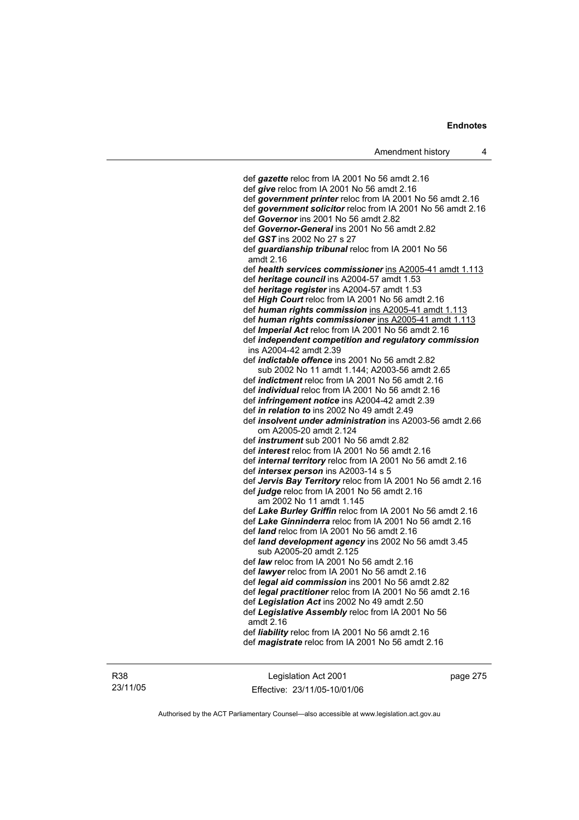def *gazette* reloc from IA 2001 No 56 amdt 2.16 def *give* reloc from IA 2001 No 56 amdt 2.16 def *government printer* reloc from IA 2001 No 56 amdt 2.16 def *government solicitor* reloc from IA 2001 No 56 amdt 2.16 def *Governor* ins 2001 No 56 amdt 2.82 def *Governor-General* ins 2001 No 56 amdt 2.82 def *GST* ins 2002 No 27 s 27 def *guardianship tribunal* reloc from IA 2001 No 56 amdt 2.16 def *health services commissioner* ins A2005-41 amdt 1.113 def *heritage council* ins A2004-57 amdt 1.53 def *heritage register* ins A2004-57 amdt 1.53 def *High Court* reloc from IA 2001 No 56 amdt 2.16 def *human rights commission* ins A2005-41 amdt 1.113 def *human rights commissioner* ins A2005-41 amdt 1.113 def *Imperial Act* reloc from IA 2001 No 56 amdt 2.16 def *independent competition and regulatory commission*  ins A2004-42 amdt 2.39 def *indictable offence* ins 2001 No 56 amdt 2.82 sub 2002 No 11 amdt 1.144; A2003-56 amdt 2.65 def *indictment* reloc from IA 2001 No 56 amdt 2.16 def *individual* reloc from IA 2001 No 56 amdt 2.16 def *infringement notice* ins A2004-42 amdt 2.39 def *in relation to* ins 2002 No 49 amdt 2.49 def *insolvent under administration* ins A2003-56 amdt 2.66 om A2005-20 amdt 2.124 def *instrument* sub 2001 No 56 amdt 2.82 def *interest* reloc from IA 2001 No 56 amdt 2.16 def *internal territory* reloc from IA 2001 No 56 amdt 2.16 def *intersex person* ins A2003-14 s 5 def *Jervis Bay Territory* reloc from IA 2001 No 56 amdt 2.16 def *judge* reloc from IA 2001 No 56 amdt 2.16 am 2002 No 11 amdt 1.145 def *Lake Burley Griffin* reloc from IA 2001 No 56 amdt 2.16 def *Lake Ginninderra* reloc from IA 2001 No 56 amdt 2.16 def *land* reloc from IA 2001 No 56 amdt 2.16 def *land development agency* ins 2002 No 56 amdt 3.45 sub A2005-20 amdt 2.125 def *law* reloc from IA 2001 No 56 amdt 2.16 def *lawyer* reloc from IA 2001 No 56 amdt 2.16 def *legal aid commission* ins 2001 No 56 amdt 2.82 def *legal practitioner* reloc from IA 2001 No 56 amdt 2.16 def *Legislation Act* ins 2002 No 49 amdt 2.50 def *Legislative Assembly* reloc from IA 2001 No 56 amdt 2.16 def *liability* reloc from IA 2001 No 56 amdt 2.16 def *magistrate* reloc from IA 2001 No 56 amdt 2.16

R38 23/11/05

Legislation Act 2001 Effective: 23/11/05-10/01/06 page 275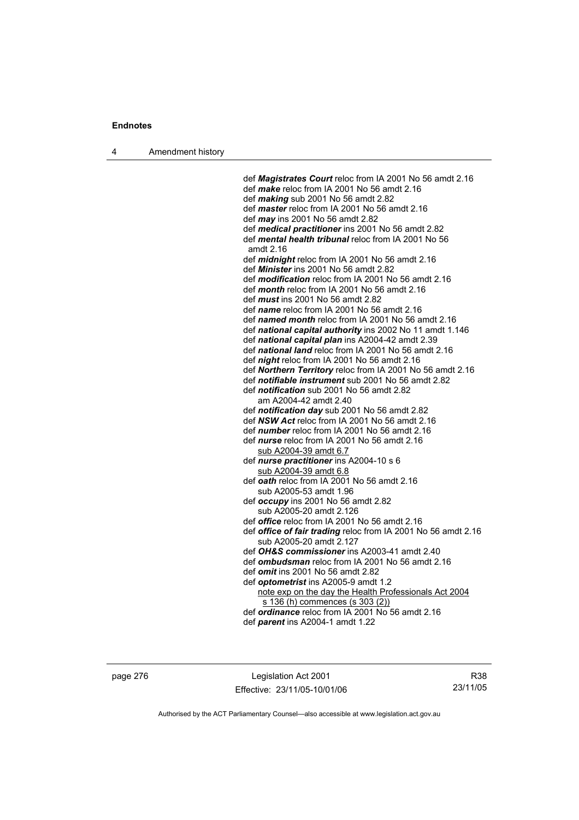4 Amendment history

 def *Magistrates Court* reloc from IA 2001 No 56 amdt 2.16 def *make* reloc from IA 2001 No 56 amdt 2.16 def *making* sub 2001 No 56 amdt 2.82 def *master* reloc from IA 2001 No 56 amdt 2.16 def *may* ins 2001 No 56 amdt 2.82 def *medical practitioner* ins 2001 No 56 amdt 2.82 def *mental health tribunal* reloc from IA 2001 No 56 amdt 2.16 def *midnight* reloc from IA 2001 No 56 amdt 2.16 def *Minister* ins 2001 No 56 amdt 2.82 def *modification* reloc from IA 2001 No 56 amdt 2.16 def *month* reloc from IA 2001 No 56 amdt 2.16 def *must* ins 2001 No 56 amdt 2.82 def *name* reloc from IA 2001 No 56 amdt 2.16 def *named month* reloc from IA 2001 No 56 amdt 2.16 def *national capital authority* ins 2002 No 11 amdt 1.146 def *national capital plan* ins A2004-42 amdt 2.39 def *national land* reloc from IA 2001 No 56 amdt 2.16 def *night* reloc from IA 2001 No 56 amdt 2.16 def *Northern Territory* reloc from IA 2001 No 56 amdt 2.16 def *notifiable instrument* sub 2001 No 56 amdt 2.82 def *notification* sub 2001 No 56 amdt 2.82 am A2004-42 amdt 2.40 def *notification day* sub 2001 No 56 amdt 2.82 def *NSW Act* reloc from IA 2001 No 56 amdt 2.16 def *number* reloc from IA 2001 No 56 amdt 2.16 def *nurse* reloc from IA 2001 No 56 amdt 2.16 sub A2004-39 amdt 6.7 def *nurse practitioner* ins A2004-10 s 6 sub A2004-39 amdt 6.8 def *oath* reloc from IA 2001 No 56 amdt 2.16 sub A2005-53 amdt 1.96 def *occupy* ins 2001 No 56 amdt 2.82 sub A2005-20 amdt 2.126 def *office* reloc from IA 2001 No 56 amdt 2.16 def *office of fair trading* reloc from IA 2001 No 56 amdt 2.16 sub A2005-20 amdt 2.127 def *OH&S commissioner* ins A2003-41 amdt 2.40 def *ombudsman* reloc from IA 2001 No 56 amdt 2.16 def *omit* ins 2001 No 56 amdt 2.82 def *optometrist* ins A2005-9 amdt 1.2 note exp on the day the Health Professionals Act 2004 s 136 (h) commences (s 303 (2)) def *ordinance* reloc from IA 2001 No 56 amdt 2.16 def *parent* ins A2004-1 amdt 1.22

page 276 Legislation Act 2001 Effective: 23/11/05-10/01/06

R38 23/11/05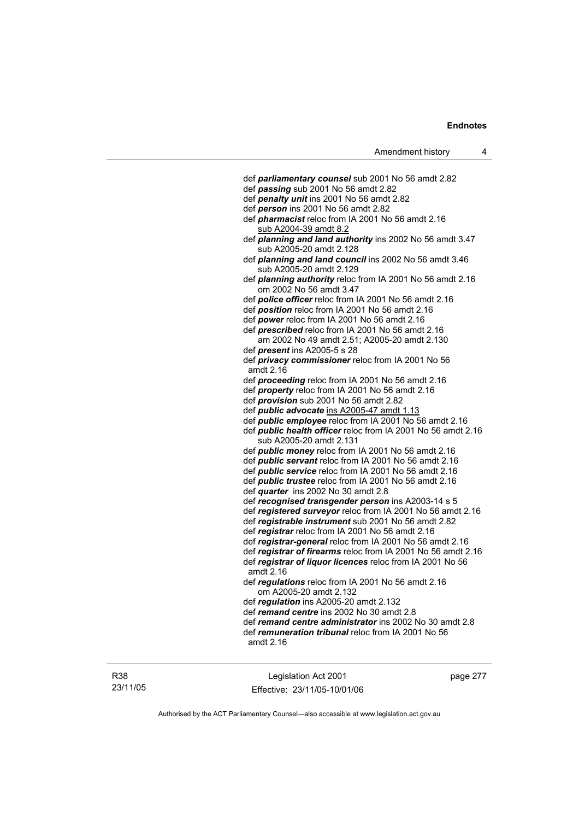| def parliamentary counsel sub 2001 No 56 amdt 2.82                  |
|---------------------------------------------------------------------|
| def passing sub 2001 No 56 amdt 2.82                                |
| def penalty unit ins 2001 No 56 amdt 2.82                           |
| def person ins 2001 No 56 amdt 2.82                                 |
| def <i>pharmacist</i> reloc from IA 2001 No 56 amdt 2.16            |
| sub A2004-39 amdt 8.2                                               |
| def planning and land authority ins 2002 No 56 amdt 3.47            |
| sub A2005-20 amdt 2.128                                             |
| def planning and land council ins 2002 No 56 amdt 3.46              |
| sub A2005-20 amdt 2.129                                             |
| def planning authority reloc from IA 2001 No 56 amdt 2.16           |
| om 2002 No 56 amdt 3.47                                             |
| def police officer reloc from IA 2001 No 56 amdt 2.16               |
| def position reloc from IA 2001 No 56 amdt 2.16                     |
| def power reloc from IA 2001 No 56 amdt 2.16                        |
| def prescribed reloc from IA 2001 No 56 amdt 2.16                   |
| am 2002 No 49 amdt 2.51; A2005-20 amdt 2.130                        |
| def <i>present</i> ins A2005-5 s 28                                 |
| def privacy commissioner reloc from IA 2001 No 56                   |
| amdt 2.16                                                           |
| def proceeding reloc from IA 2001 No 56 amdt 2.16                   |
| def property reloc from IA 2001 No 56 amdt 2.16                     |
| def <i>provision</i> sub 2001 No 56 amdt 2.82                       |
| def public advocate ins A2005-47 amdt 1.13                          |
| def public employee reloc from IA 2001 No 56 amdt 2.16              |
| def <i>public health officer</i> reloc from IA 2001 No 56 amdt 2.16 |
| sub A2005-20 amdt 2.131                                             |
| def <i>public money</i> reloc from IA 2001 No 56 amdt 2.16          |
| def <i>public servant</i> reloc from IA 2001 No 56 amdt 2.16        |
| def <i>public</i> service reloc from IA 2001 No 56 amdt 2.16        |
| def <i>public trustee</i> reloc from IA 2001 No 56 amdt 2.16        |
| def quarter ins 2002 No 30 amdt 2.8                                 |
| def recognised transgender person ins A2003-14 s 5                  |
| def registered surveyor reloc from IA 2001 No 56 amdt 2.16          |
| def registrable instrument sub 2001 No 56 amdt 2.82                 |
| def registrar reloc from IA 2001 No 56 amdt 2.16                    |
| def registrar-general reloc from IA 2001 No 56 amdt 2.16            |
| def registrar of firearms reloc from IA 2001 No 56 amdt 2.16        |
| def registrar of liquor licences reloc from IA 2001 No 56           |
| amdt 2.16                                                           |
| def regulations reloc from IA 2001 No 56 amdt 2.16                  |
| om A2005-20 amdt 2.132                                              |
| def regulation ins A2005-20 amdt 2.132                              |
| def remand centre ins 2002 No 30 amdt 2.8                           |
| def remand centre administrator ins 2002 No 30 amdt 2.8             |
| def remuneration tribunal reloc from IA 2001 No 56                  |
| amdt 2.16                                                           |
|                                                                     |

Legislation Act 2001 Effective: 23/11/05-10/01/06 page 277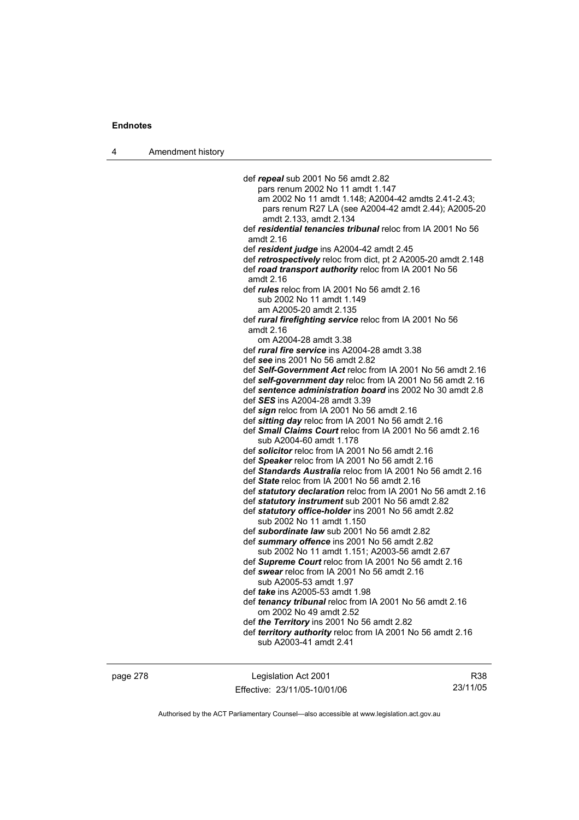4 Amendment history

 def *repeal* sub 2001 No 56 amdt 2.82 pars renum 2002 No 11 amdt 1.147 am 2002 No 11 amdt 1.148; A2004-42 amdts 2.41-2.43; pars renum R27 LA (see A2004-42 amdt 2.44); A2005-20 amdt 2.133, amdt 2.134 def *residential tenancies tribunal* reloc from IA 2001 No 56 amdt 2.16 def *resident judge* ins A2004-42 amdt 2.45 def *retrospectively* reloc from dict, pt 2 A2005-20 amdt 2.148 def *road transport authority* reloc from IA 2001 No 56 amdt 2.16 def *rules* reloc from IA 2001 No 56 amdt 2.16 sub 2002 No 11 amdt 1.149 am A2005-20 amdt 2.135 def *rural firefighting service* reloc from IA 2001 No 56 amdt 2.16 om A2004-28 amdt 3.38 def *rural fire service* ins A2004-28 amdt 3.38 def *see* ins 2001 No 56 amdt 2.82 def *Self-Government Act* reloc from IA 2001 No 56 amdt 2.16 def *self-government day* reloc from IA 2001 No 56 amdt 2.16 def *sentence administration board* ins 2002 No 30 amdt 2.8 def *SES* ins A2004-28 amdt 3.39 def *sign* reloc from IA 2001 No 56 amdt 2.16 def *sitting day* reloc from IA 2001 No 56 amdt 2.16 def *Small Claims Court* reloc from IA 2001 No 56 amdt 2.16 sub A2004-60 amdt 1.178 def *solicitor* reloc from IA 2001 No 56 amdt 2.16 def *Speaker* reloc from IA 2001 No 56 amdt 2.16 def *Standards Australia* reloc from IA 2001 No 56 amdt 2.16 def *State* reloc from IA 2001 No 56 amdt 2.16 def *statutory declaration* reloc from IA 2001 No 56 amdt 2.16 def *statutory instrument* sub 2001 No 56 amdt 2.82 def *statutory office-holder* ins 2001 No 56 amdt 2.82 sub 2002 No 11 amdt 1.150 def *subordinate law* sub 2001 No 56 amdt 2.82 def *summary offence* ins 2001 No 56 amdt 2.82 sub 2002 No 11 amdt 1.151; A2003-56 amdt 2.67 def *Supreme Court* reloc from IA 2001 No 56 amdt 2.16 def *swear* reloc from IA 2001 No 56 amdt 2.16 sub A2005-53 amdt 1.97 def *take* ins A2005-53 amdt 1.98 def *tenancy tribunal* reloc from IA 2001 No 56 amdt 2.16 om 2002 No 49 amdt 2.52 def *the Territory* ins 2001 No 56 amdt 2.82 def *territory authority* reloc from IA 2001 No 56 amdt 2.16 sub A2003-41 amdt 2.41

page 278 Legislation Act 2001 Effective: 23/11/05-10/01/06

R38 23/11/05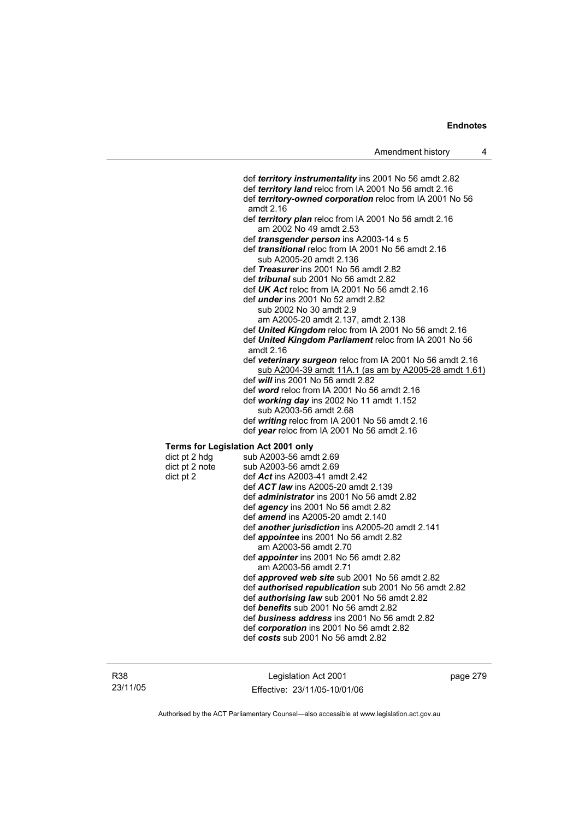def *territory instrumentality* ins 2001 No 56 amdt 2.82 def *territory land* reloc from IA 2001 No 56 amdt 2.16 def *territory-owned corporation* reloc from IA 2001 No 56 amdt 2.16 def *territory plan* reloc from IA 2001 No 56 amdt 2.16 am 2002 No 49 amdt 2.53 def *transgender person* ins A2003-14 s 5 def *transitional* reloc from IA 2001 No 56 amdt 2.16 sub A2005-20 amdt 2.136 def *Treasurer* ins 2001 No 56 amdt 2.82 def *tribunal* sub 2001 No 56 amdt 2.82 def *UK Act* reloc from IA 2001 No 56 amdt 2.16 def *under* ins 2001 No 52 amdt 2.82 sub 2002 No 30 amdt 2.9 am A2005-20 amdt 2.137, amdt 2.138 def *United Kingdom* reloc from IA 2001 No 56 amdt 2.16 def *United Kingdom Parliament* reloc from IA 2001 No 56 amdt 2.16 def *veterinary surgeon* reloc from IA 2001 No 56 amdt 2.16 sub A2004-39 amdt 11A.1 (as am by A2005-28 amdt 1.61) def *will* ins 2001 No 56 amdt 2.82 def *word* reloc from IA 2001 No 56 amdt 2.16 def *working day* ins 2002 No 11 amdt 1.152 sub A2003-56 amdt 2.68 def *writing* reloc from IA 2001 No 56 amdt 2.16 def *year* reloc from IA 2001 No 56 amdt 2.16 **Terms for Legislation Act 2001 only**   $dict$  pt 2 hdg sub A2003-56 amdt 2.69 dict pt 2 note sub A2003-56 amdt 2.69 dict pt 2 def *Act* ins A2003-41 amdt 2.42 def *ACT law* ins A2005-20 amdt 2.139 def *administrator* ins 2001 No 56 amdt 2.82 def *agency* ins 2001 No 56 amdt 2.82 def *amend* ins A2005-20 amdt 2.140 def *another jurisdiction* ins A2005-20 amdt 2.141 def *appointee* ins 2001 No 56 amdt 2.82 am A2003-56 amdt 2.70 def *appointer* ins 2001 No 56 amdt 2.82 am A2003-56 amdt 2.71 def *approved web site* sub 2001 No 56 amdt 2.82 def *authorised republication* sub 2001 No 56 amdt 2.82 def *authorising law* sub 2001 No 56 amdt 2.82 def *benefits* sub 2001 No 56 amdt 2.82 def *business address* ins 2001 No 56 amdt 2.82 def *corporation* ins 2001 No 56 amdt 2.82 def *costs* sub 2001 No 56 amdt 2.82

Legislation Act 2001 Effective: 23/11/05-10/01/06 page 279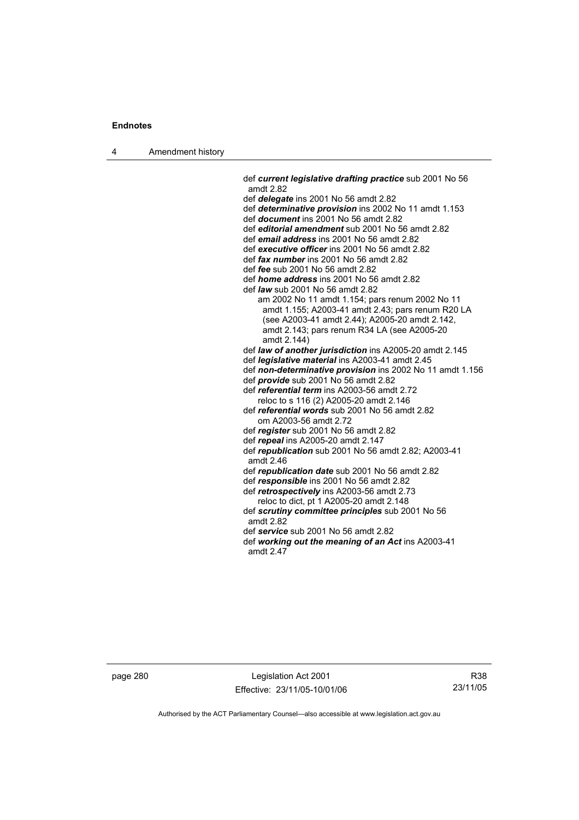4 Amendment history

 def *current legislative drafting practice* sub 2001 No 56 amdt 2.82 def *delegate* ins 2001 No 56 amdt 2.82 def *determinative provision* ins 2002 No 11 amdt 1.153 def *document* ins 2001 No 56 amdt 2.82 def *editorial amendment* sub 2001 No 56 amdt 2.82 def *email address* ins 2001 No 56 amdt 2.82 def *executive officer* ins 2001 No 56 amdt 2.82 def *fax number* ins 2001 No 56 amdt 2.82 def *fee* sub 2001 No 56 amdt 2.82 def *home address* ins 2001 No 56 amdt 2.82 def *law* sub 2001 No 56 amdt 2.82 am 2002 No 11 amdt 1.154; pars renum 2002 No 11 amdt 1.155; A2003-41 amdt 2.43; pars renum R20 LA (see A2003-41 amdt 2.44); A2005-20 amdt 2.142, amdt 2.143; pars renum R34 LA (see A2005-20 amdt 2.144) def *law of another jurisdiction* ins A2005-20 amdt 2.145 def *legislative material* ins A2003-41 amdt 2.45 def *non-determinative provision* ins 2002 No 11 amdt 1.156 def *provide* sub 2001 No 56 amdt 2.82 def *referential term* ins A2003-56 amdt 2.72 reloc to s 116 (2) A2005-20 amdt 2.146 def *referential words* sub 2001 No 56 amdt 2.82 om A2003-56 amdt 2.72 def *register* sub 2001 No 56 amdt 2.82 def *repeal* ins A2005-20 amdt 2.147 def *republication* sub 2001 No 56 amdt 2.82; A2003-41 amdt 2.46 def *republication date* sub 2001 No 56 amdt 2.82 def *responsible* ins 2001 No 56 amdt 2.82 def *retrospectively* ins A2003-56 amdt 2.73 reloc to dict, pt 1 A2005-20 amdt 2.148 def *scrutiny committee principles* sub 2001 No 56 amdt 2.82 def *service* sub 2001 No 56 amdt 2.82 def *working out the meaning of an Act* ins A2003-41 amdt 2.47

page 280 Legislation Act 2001 Effective: 23/11/05-10/01/06

R38 23/11/05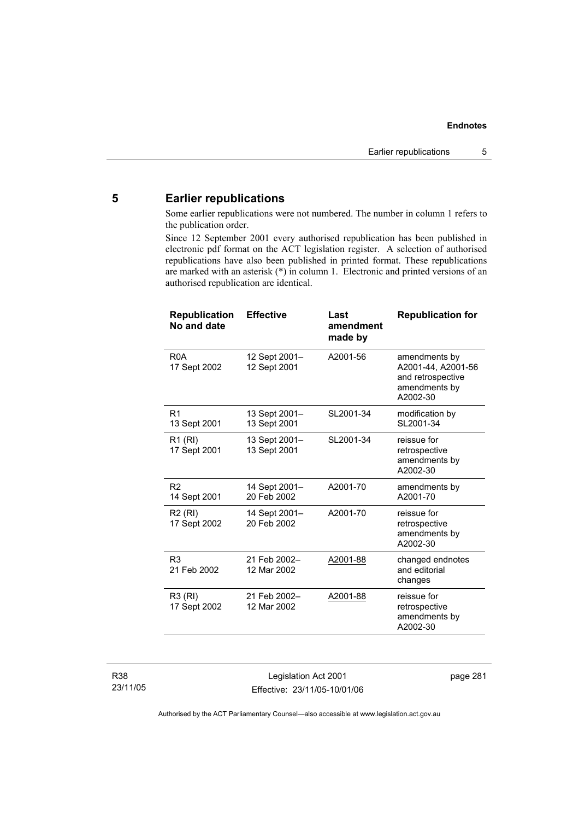# **5 Earlier republications**

Some earlier republications were not numbered. The number in column 1 refers to the publication order.

Since 12 September 2001 every authorised republication has been published in electronic pdf format on the ACT legislation register. A selection of authorised republications have also been published in printed format. These republications are marked with an asterisk (\*) in column 1. Electronic and printed versions of an authorised republication are identical.

| <b>Republication</b><br>No and date | <b>Effective</b>              | Last<br>amendment<br>made by | <b>Republication for</b>                                                              |
|-------------------------------------|-------------------------------|------------------------------|---------------------------------------------------------------------------------------|
| R <sub>0</sub> A<br>17 Sept 2002    | 12 Sept 2001–<br>12 Sept 2001 | A2001-56                     | amendments by<br>A2001-44, A2001-56<br>and retrospective<br>amendments by<br>A2002-30 |
| R <sub>1</sub><br>13 Sept 2001      | 13 Sept 2001-<br>13 Sept 2001 | SL2001-34                    | modification by<br>SL2001-34                                                          |
| R <sub>1</sub> (RI)<br>17 Sept 2001 | 13 Sept 2001-<br>13 Sept 2001 | SL2001-34                    | reissue for<br>retrospective<br>amendments by<br>A2002-30                             |
| R <sub>2</sub><br>14 Sept 2001      | 14 Sept 2001-<br>20 Feb 2002  | A2001-70                     | amendments by<br>A2001-70                                                             |
| R <sub>2</sub> (RI)<br>17 Sept 2002 | 14 Sept 2001-<br>20 Feb 2002  | A2001-70                     | reissue for<br>retrospective<br>amendments by<br>A2002-30                             |
| R <sub>3</sub><br>21 Feb 2002       | 21 Feb 2002-<br>12 Mar 2002   | A2001-88                     | changed endnotes<br>and editorial<br>changes                                          |
| R3 (RI)<br>17 Sept 2002             | 21 Feb 2002-<br>12 Mar 2002   | A2001-88                     | reissue for<br>retrospective<br>amendments by<br>A2002-30                             |

Legislation Act 2001 Effective: 23/11/05-10/01/06 page 281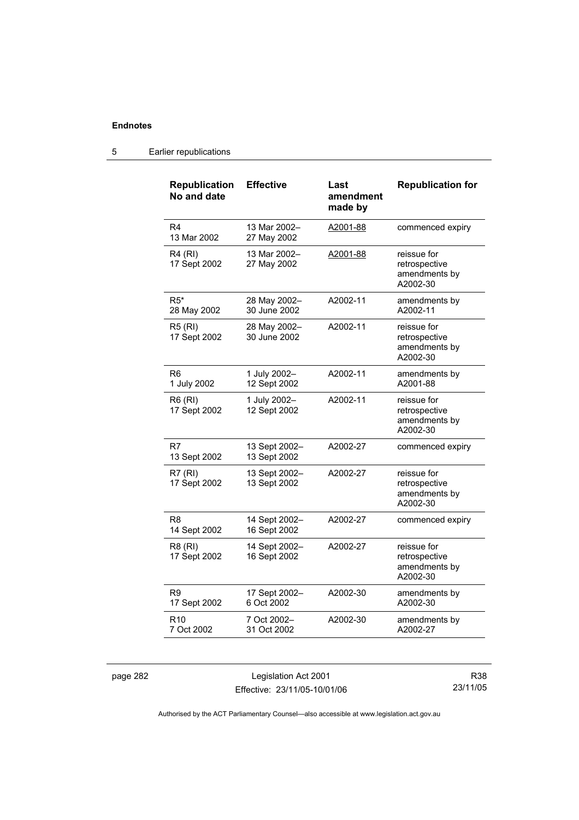| <b>Republication</b><br>No and date | <b>Effective</b>              | Last<br>amendment<br>made by | <b>Republication for</b>                                  |
|-------------------------------------|-------------------------------|------------------------------|-----------------------------------------------------------|
| R4<br>13 Mar 2002                   | 13 Mar 2002-<br>27 May 2002   | A2001-88                     | commenced expiry                                          |
| R4 (RI)<br>17 Sept 2002             | 13 Mar 2002-<br>27 May 2002   | A2001-88                     | reissue for<br>retrospective<br>amendments by<br>A2002-30 |
| $R5*$<br>28 May 2002                | 28 May 2002-<br>30 June 2002  | A2002-11                     | amendments by<br>A2002-11                                 |
| <b>R5 (RI)</b><br>17 Sept 2002      | 28 May 2002-<br>30 June 2002  | A2002-11                     | reissue for<br>retrospective<br>amendments by<br>A2002-30 |
| R <sub>6</sub><br>1 July 2002       | 1 July 2002-<br>12 Sept 2002  | A2002-11                     | amendments by<br>A2001-88                                 |
| <b>R6 (RI)</b><br>17 Sept 2002      | 1 July 2002-<br>12 Sept 2002  | A2002-11                     | reissue for<br>retrospective<br>amendments by<br>A2002-30 |
| R7<br>13 Sept 2002                  | 13 Sept 2002-<br>13 Sept 2002 | A2002-27                     | commenced expiry                                          |
| R7(RI)<br>17 Sept 2002              | 13 Sept 2002-<br>13 Sept 2002 | A2002-27                     | reissue for<br>retrospective<br>amendments by<br>A2002-30 |
| R8<br>14 Sept 2002                  | 14 Sept 2002-<br>16 Sept 2002 | A2002-27                     | commenced expiry                                          |
| R8 (RI)<br>17 Sept 2002             | 14 Sept 2002-<br>16 Sept 2002 | A2002-27                     | reissue for<br>retrospective<br>amendments by<br>A2002-30 |
| R9<br>17 Sept 2002                  | 17 Sept 2002-<br>6 Oct 2002   | A2002-30                     | amendments by<br>A2002-30                                 |
| R <sub>10</sub><br>7 Oct 2002       | 7 Oct 2002-<br>31 Oct 2002    | A2002-30                     | amendments by<br>A2002-27                                 |

## 5 Earlier republications

page 282 Legislation Act 2001 Effective: 23/11/05-10/01/06

R38 23/11/05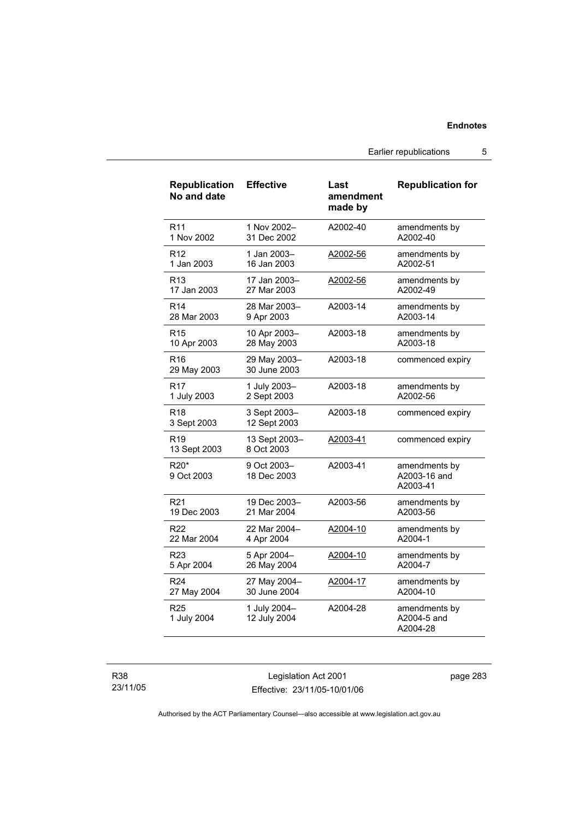Earlier republications 5

| <b>Republication</b><br>No and date        | <b>Effective</b>             | Last<br>amendment<br>made by | <b>Republication for</b>                  |
|--------------------------------------------|------------------------------|------------------------------|-------------------------------------------|
| R <sub>11</sub>                            | 1 Nov 2002-                  | A2002-40                     | amendments by                             |
| 1 Nov 2002                                 | 31 Dec 2002                  |                              | A2002-40                                  |
| R <sub>12</sub>                            | 1 Jan 2003-                  | A2002-56                     | amendments by                             |
| 1 Jan 2003                                 | 16 Jan 2003                  |                              | A2002-51                                  |
| R <sub>13</sub>                            | 17 Jan 2003-                 | A2002-56                     | amendments by                             |
| 17 Jan 2003                                | 27 Mar 2003                  |                              | A2002-49                                  |
| R <sub>14</sub>                            | 28 Mar 2003-                 | A2003-14                     | amendments by                             |
| 28 Mar 2003                                | 9 Apr 2003                   |                              | A2003-14                                  |
| R <sub>15</sub>                            | 10 Apr 2003-                 | A2003-18                     | amendments by                             |
| 10 Apr 2003                                | 28 May 2003                  |                              | A2003-18                                  |
| R <sub>16</sub><br>29 May 2003             | 29 May 2003-<br>30 June 2003 | A2003-18                     | commenced expiry                          |
| R <sub>17</sub>                            | 1 July 2003-                 | A2003-18                     | amendments by                             |
| 1 July 2003                                | 2 Sept 2003                  |                              | A2002-56                                  |
| R <sub>18</sub><br>3 Sept 2003             | 3 Sept 2003-<br>12 Sept 2003 | A2003-18                     | commenced expiry                          |
| R <sub>19</sub><br>13 Sept 2003            | 13 Sept 2003-<br>8 Oct 2003  | A2003-41                     | commenced expiry                          |
| R <sub>20</sub> <sup>*</sup><br>9 Oct 2003 | 9 Oct 2003-<br>18 Dec 2003   | A2003-41                     | amendments by<br>A2003-16 and<br>A2003-41 |
| R <sub>21</sub>                            | 19 Dec 2003-                 | A2003-56                     | amendments by                             |
| 19 Dec 2003                                | 21 Mar 2004                  |                              | A2003-56                                  |
| R <sub>22</sub>                            | 22 Mar 2004-                 | A2004-10                     | amendments by                             |
| 22 Mar 2004                                | 4 Apr 2004                   |                              | A2004-1                                   |
| R <sub>23</sub>                            | 5 Apr 2004-                  | A2004-10                     | amendments by                             |
| 5 Apr 2004                                 | 26 May 2004                  |                              | A2004-7                                   |
| R <sub>24</sub>                            | 27 May 2004-                 | A2004-17                     | amendments by                             |
| 27 May 2004                                | 30 June 2004                 |                              | A2004-10                                  |
| R <sub>25</sub><br>1 July 2004             | 1 July 2004-<br>12 July 2004 | A2004-28                     | amendments by<br>A2004-5 and<br>A2004-28  |

R38 23/11/05

Legislation Act 2001 Effective: 23/11/05-10/01/06 page 283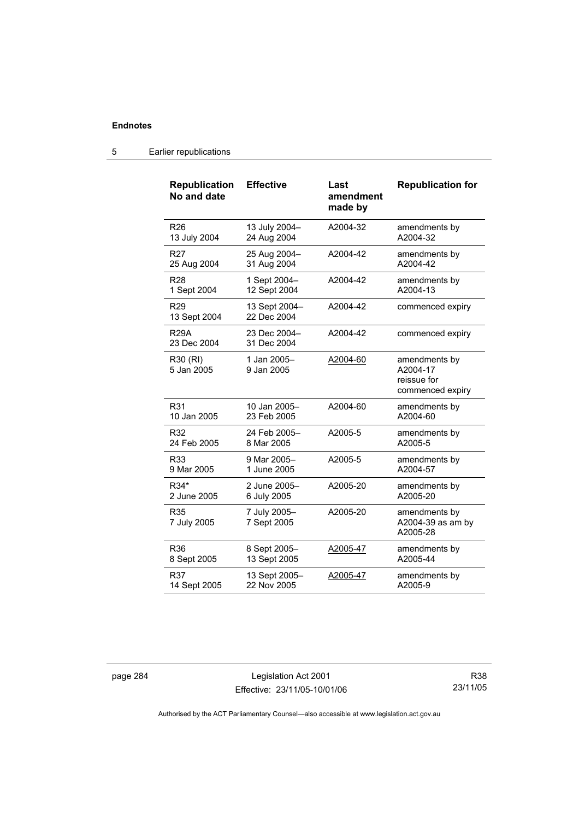| <b>Republication</b><br>No and date | <b>Effective</b>             | Last<br>amendment<br>made by | <b>Republication for</b>                                     |
|-------------------------------------|------------------------------|------------------------------|--------------------------------------------------------------|
| R26                                 | 13 July 2004-                | A2004-32                     | amendments by                                                |
| 13 July 2004                        | 24 Aug 2004                  |                              | A2004-32                                                     |
| R <sub>27</sub>                     | 25 Aug 2004-                 | A2004-42                     | amendments by                                                |
| 25 Aug 2004                         | 31 Aug 2004                  |                              | A2004-42                                                     |
| R <sub>28</sub>                     | 1 Sept 2004-                 | A2004-42                     | amendments by                                                |
| 1 Sept 2004                         | 12 Sept 2004                 |                              | A2004-13                                                     |
| R <sub>29</sub><br>13 Sept 2004     | 13 Sept 2004-<br>22 Dec 2004 | A2004-42                     | commenced expiry                                             |
| <b>R29A</b><br>23 Dec 2004          | 23 Dec 2004-<br>31 Dec 2004  | A2004-42                     | commenced expiry                                             |
| R30 (RI)<br>5 Jan 2005              | 1 Jan 2005-<br>9 Jan 2005    | A2004-60                     | amendments by<br>A2004-17<br>reissue for<br>commenced expiry |
| R31                                 | 10 Jan 2005-                 | A2004-60                     | amendments by                                                |
| 10 Jan 2005                         | 23 Feb 2005                  |                              | A2004-60                                                     |
| R32                                 | 24 Feb 2005-                 | A2005-5                      | amendments by                                                |
| 24 Feb 2005                         | 8 Mar 2005                   |                              | A2005-5                                                      |
| R33                                 | 9 Mar 2005-                  | A2005-5                      | amendments by                                                |
| 9 Mar 2005                          | 1 June 2005                  |                              | A2004-57                                                     |
| R34*                                | 2 June 2005-                 | A2005-20                     | amendments by                                                |
| 2 June 2005                         | 6 July 2005                  |                              | A2005-20                                                     |
| <b>R35</b><br>7 July 2005           | 7 July 2005-<br>7 Sept 2005  | A2005-20                     | amendments by<br>A2004-39 as am by<br>A2005-28               |
| R36                                 | 8 Sept 2005-                 | A2005-47                     | amendments by                                                |
| 8 Sept 2005                         | 13 Sept 2005                 |                              | A2005-44                                                     |
| R37                                 | 13 Sept 2005-                | A2005-47                     | amendments by                                                |
| 14 Sept 2005                        | 22 Nov 2005                  |                              | A2005-9                                                      |

## 5 Earlier republications

page 284 Legislation Act 2001 Effective: 23/11/05-10/01/06

R38 23/11/05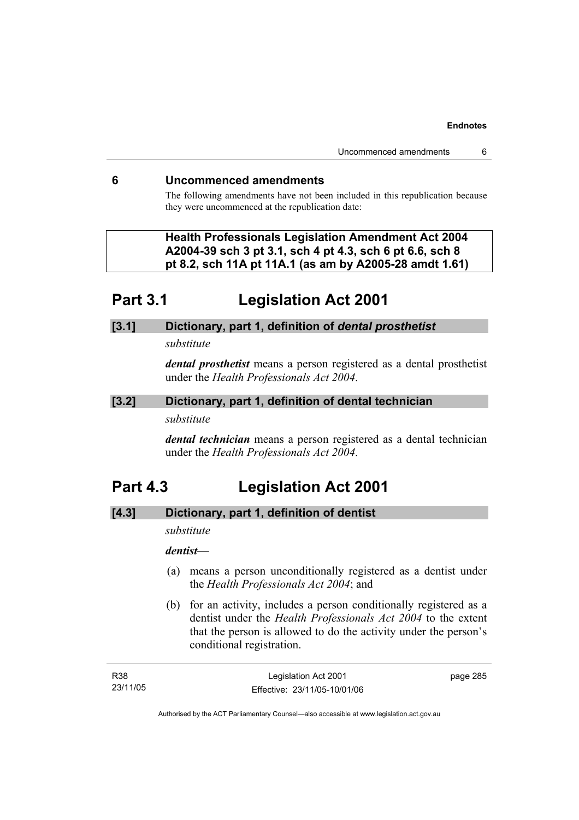## **6 Uncommenced amendments**

The following amendments have not been included in this republication because they were uncommenced at the republication date:

 **Health Professionals Legislation Amendment Act 2004 A2004-39 sch 3 pt 3.1, sch 4 pt 4.3, sch 6 pt 6.6, sch 8 pt 8.2, sch 11A pt 11A.1 (as am by A2005-28 amdt 1.61)** 

# **Part 3.1 Legislation Act 2001**

## **[3.1] Dictionary, part 1, definition of** *dental prosthetist*

*substitute* 

*dental prosthetist* means a person registered as a dental prosthetist under the *Health Professionals Act 2004*.

## **[3.2] Dictionary, part 1, definition of dental technician**

### *substitute*

*dental technician* means a person registered as a dental technician under the *Health Professionals Act 2004*.

# **Part 4.3 Legislation Act 2001**

## **[4.3] Dictionary, part 1, definition of dentist**

*substitute* 

# *dentist***—**

- (a) means a person unconditionally registered as a dentist under the *Health Professionals Act 2004*; and
- (b) for an activity, includes a person conditionally registered as a dentist under the *Health Professionals Act 2004* to the extent that the person is allowed to do the activity under the person's conditional registration.

| R38      | Legislation Act 2001         | page 285 |
|----------|------------------------------|----------|
| 23/11/05 | Effective: 23/11/05-10/01/06 |          |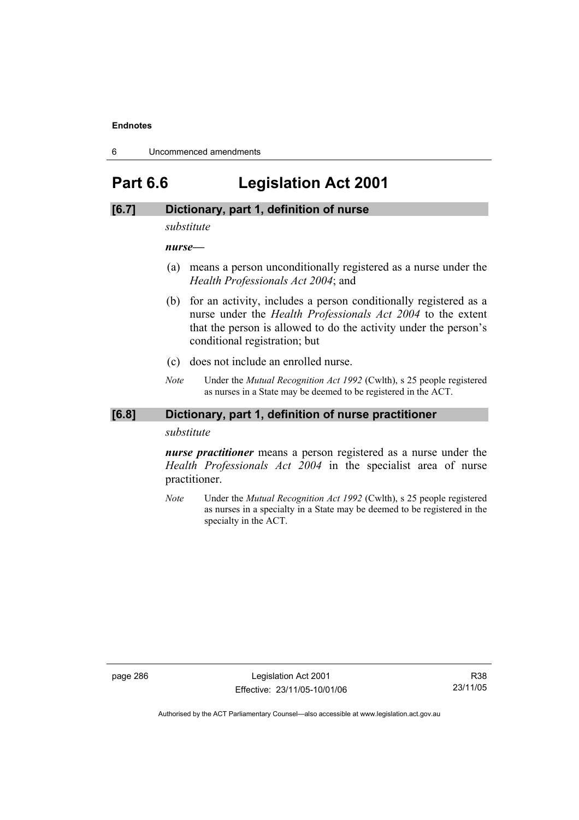6 Uncommenced amendments

# **Part 6.6 Legislation Act 2001**

## **[6.7] Dictionary, part 1, definition of nurse**

*substitute* 

*nurse***—**

- (a) means a person unconditionally registered as a nurse under the *Health Professionals Act 2004*; and
- (b) for an activity, includes a person conditionally registered as a nurse under the *Health Professionals Act 2004* to the extent that the person is allowed to do the activity under the person's conditional registration; but
- (c) does not include an enrolled nurse.
- *Note* Under the *Mutual Recognition Act 1992* (Cwlth), s 25 people registered as nurses in a State may be deemed to be registered in the ACT.

### **[6.8] Dictionary, part 1, definition of nurse practitioner**

*substitute* 

*nurse practitioner* means a person registered as a nurse under the *Health Professionals Act 2004* in the specialist area of nurse practitioner.

*Note* Under the *Mutual Recognition Act 1992* (Cwlth), s 25 people registered as nurses in a specialty in a State may be deemed to be registered in the specialty in the ACT.

page 286 **Legislation Act 2001** Effective: 23/11/05-10/01/06

R38 23/11/05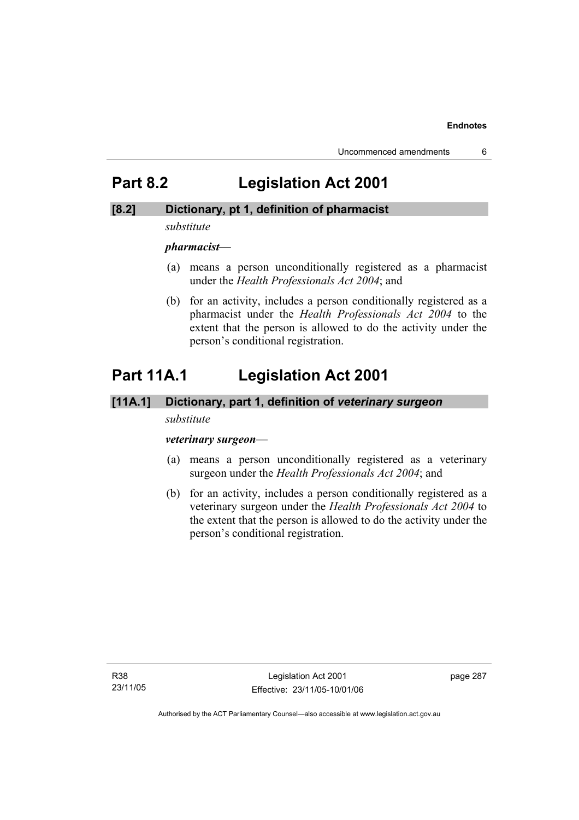# **Part 8.2 Legislation Act 2001**

## **[8.2] Dictionary, pt 1, definition of pharmacist**

### *substitute*

*pharmacist***—**

- (a) means a person unconditionally registered as a pharmacist under the *Health Professionals Act 2004*; and
- (b) for an activity, includes a person conditionally registered as a pharmacist under the *Health Professionals Act 2004* to the extent that the person is allowed to do the activity under the person's conditional registration.

# **Part 11A.1 Legislation Act 2001**

### **[11A.1] Dictionary, part 1, definition of** *veterinary surgeon*

### *substitute*

### *veterinary surgeon*—

- (a) means a person unconditionally registered as a veterinary surgeon under the *Health Professionals Act 2004*; and
- (b) for an activity, includes a person conditionally registered as a veterinary surgeon under the *Health Professionals Act 2004* to the extent that the person is allowed to do the activity under the person's conditional registration.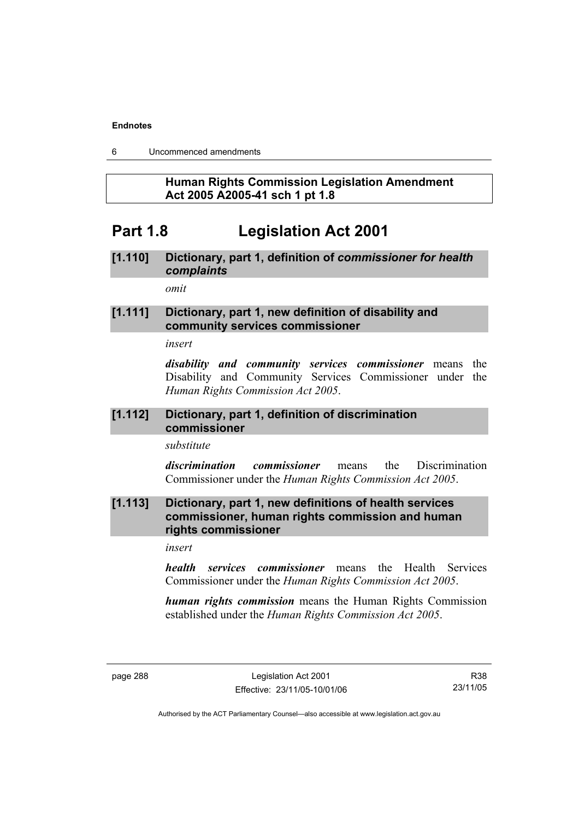6 Uncommenced amendments

## **Human Rights Commission Legislation Amendment Act 2005 A2005-41 sch 1 pt 1.8**

# **Part 1.8 Legislation Act 2001**

# **[1.110] Dictionary, part 1, definition of** *commissioner for health complaints*

*omit* 

## **[1.111] Dictionary, part 1, new definition of disability and community services commissioner**

*insert* 

*disability and community services commissioner* means the Disability and Community Services Commissioner under the *Human Rights Commission Act 2005*.

## **[1.112] Dictionary, part 1, definition of discrimination commissioner**

*substitute* 

*discrimination commissioner* means the Discrimination Commissioner under the *Human Rights Commission Act 2005*.

## **[1.113] Dictionary, part 1, new definitions of health services commissioner, human rights commission and human rights commissioner**

*insert* 

*health services commissioner* means the Health Services Commissioner under the *Human Rights Commission Act 2005*.

*human rights commission* means the Human Rights Commission established under the *Human Rights Commission Act 2005*.

R38 23/11/05